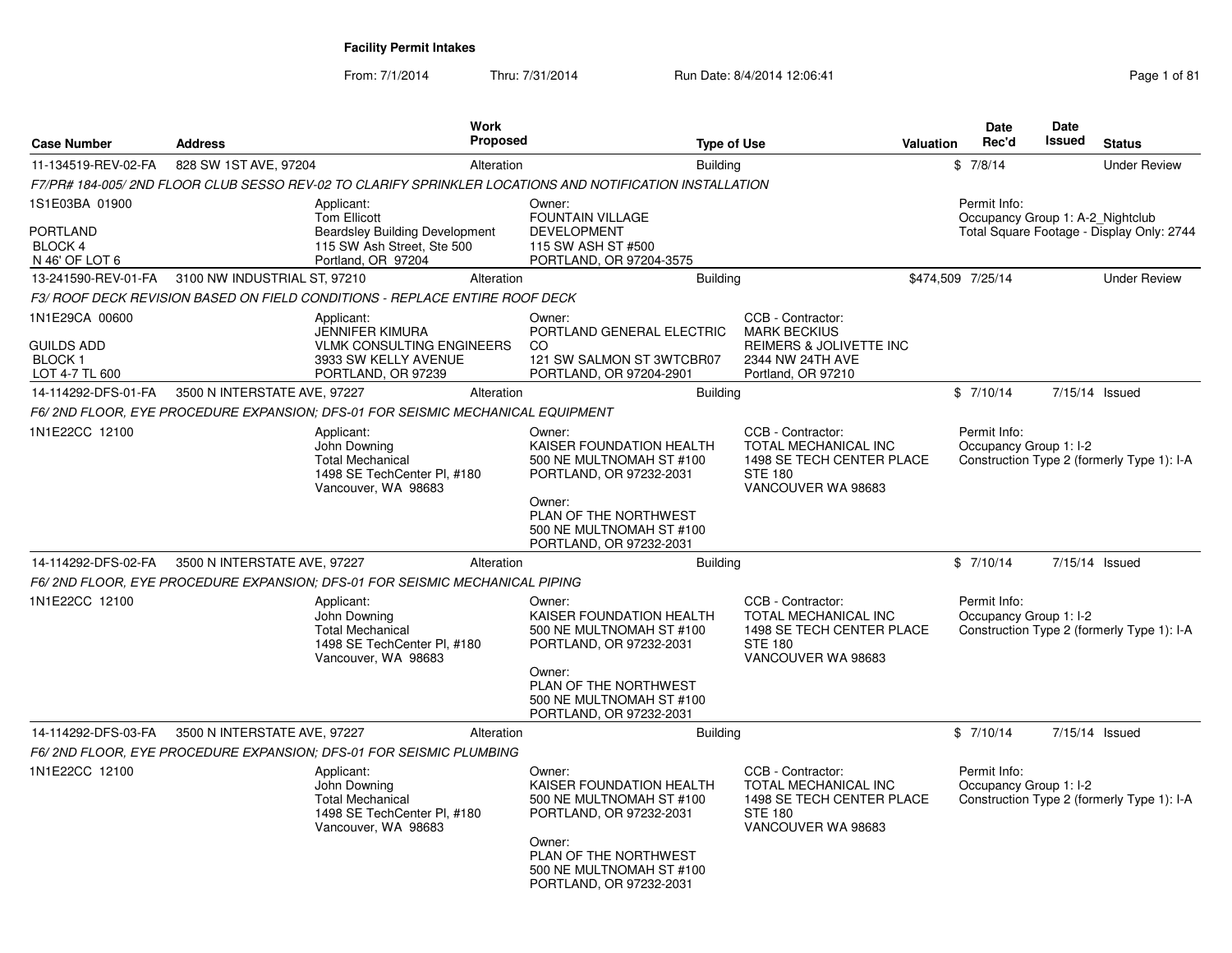From: 7/1/2014Thru: 7/31/2014 Run Date: 8/4/2014 12:06:41 Page 1 of 81

|                                                                 |                              | <b>Work</b>                                                                                                                    |                                                                                                                                                                                     |                                                                                                                       |                  | Date                                             | <b>Date</b><br><b>Issued</b> |                                            |
|-----------------------------------------------------------------|------------------------------|--------------------------------------------------------------------------------------------------------------------------------|-------------------------------------------------------------------------------------------------------------------------------------------------------------------------------------|-----------------------------------------------------------------------------------------------------------------------|------------------|--------------------------------------------------|------------------------------|--------------------------------------------|
| <b>Case Number</b>                                              | <b>Address</b>               | Proposed                                                                                                                       | <b>Type of Use</b>                                                                                                                                                                  |                                                                                                                       | <b>Valuation</b> | Rec'd                                            |                              | <b>Status</b>                              |
| 11-134519-REV-02-FA                                             | 828 SW 1ST AVE, 97204        | Alteration                                                                                                                     | <b>Building</b>                                                                                                                                                                     |                                                                                                                       |                  | \$7/8/14                                         |                              | <b>Under Review</b>                        |
|                                                                 |                              | F7/PR# 184-005/ 2ND FLOOR CLUB SESSO REV-02 TO CLARIFY SPRINKLER LOCATIONS AND NOTIFICATION INSTALLATION                       |                                                                                                                                                                                     |                                                                                                                       |                  |                                                  |                              |                                            |
| 1S1E03BA 01900<br>PORTLAND<br><b>BLOCK 4</b><br>N 46' OF LOT 6  |                              | Applicant:<br><b>Tom Ellicott</b><br><b>Beardsley Building Development</b><br>115 SW Ash Street, Ste 500<br>Portland, OR 97204 | Owner:<br><b>FOUNTAIN VILLAGE</b><br><b>DEVELOPMENT</b><br>115 SW ASH ST #500<br>PORTLAND, OR 97204-3575                                                                            |                                                                                                                       |                  | Permit Info:<br>Occupancy Group 1: A-2 Nightclub |                              | Total Square Footage - Display Only: 2744  |
| 13-241590-REV-01-FA                                             | 3100 NW INDUSTRIAL ST, 97210 | Alteration                                                                                                                     | <b>Building</b>                                                                                                                                                                     |                                                                                                                       |                  | \$474,509 7/25/14                                |                              | <b>Under Review</b>                        |
|                                                                 |                              | F3/ ROOF DECK REVISION BASED ON FIELD CONDITIONS - REPLACE ENTIRE ROOF DECK                                                    |                                                                                                                                                                                     |                                                                                                                       |                  |                                                  |                              |                                            |
| 1N1E29CA 00600<br>GUILDS ADD<br><b>BLOCK1</b><br>LOT 4-7 TL 600 |                              | Applicant:<br><b>JENNIFER KIMURA</b><br><b>VLMK CONSULTING ENGINEERS</b><br>3933 SW KELLY AVENUE<br>PORTLAND, OR 97239         | Owner:<br>PORTLAND GENERAL ELECTRIC<br><sub>CO</sub><br>121 SW SALMON ST 3WTCBR07<br>PORTLAND, OR 97204-2901                                                                        | CCB - Contractor:<br><b>MARK BECKIUS</b><br>REIMERS & JOLIVETTE INC<br>2344 NW 24TH AVE<br>Portland, OR 97210         |                  |                                                  |                              |                                            |
| 14-114292-DFS-01-FA                                             | 3500 N INTERSTATE AVE, 97227 | Alteration                                                                                                                     | <b>Building</b>                                                                                                                                                                     |                                                                                                                       |                  | \$7/10/14                                        |                              | 7/15/14 Issued                             |
|                                                                 |                              | F6/2ND FLOOR, EYE PROCEDURE EXPANSION; DFS-01 FOR SEISMIC MECHANICAL EQUIPMENT                                                 |                                                                                                                                                                                     |                                                                                                                       |                  |                                                  |                              |                                            |
| 1N1E22CC 12100                                                  |                              | Applicant:<br>John Downing<br><b>Total Mechanical</b><br>1498 SE TechCenter PI, #180<br>Vancouver, WA 98683                    | Owner:<br>KAISER FOUNDATION HEALTH<br>500 NE MULTNOMAH ST #100<br>PORTLAND, OR 97232-2031<br>Owner:                                                                                 | CCB - Contractor:<br><b>TOTAL MECHANICAL INC</b><br>1498 SE TECH CENTER PLACE<br><b>STE 180</b><br>VANCOUVER WA 98683 |                  | Permit Info:<br>Occupancy Group 1: I-2           |                              | Construction Type 2 (formerly Type 1): I-A |
|                                                                 |                              |                                                                                                                                | PLAN OF THE NORTHWEST<br>500 NE MULTNOMAH ST #100<br>PORTLAND, OR 97232-2031                                                                                                        |                                                                                                                       |                  |                                                  |                              |                                            |
| 14-114292-DFS-02-FA                                             | 3500 N INTERSTATE AVE, 97227 | Alteration                                                                                                                     | <b>Building</b>                                                                                                                                                                     |                                                                                                                       |                  | \$7/10/14                                        |                              | 7/15/14 Issued                             |
|                                                                 |                              | F6/2ND FLOOR, EYE PROCEDURE EXPANSION; DFS-01 FOR SEISMIC MECHANICAL PIPING                                                    |                                                                                                                                                                                     |                                                                                                                       |                  |                                                  |                              |                                            |
| 1N1E22CC 12100                                                  |                              | Applicant:<br>John Downing<br><b>Total Mechanical</b><br>1498 SE TechCenter PI, #180<br>Vancouver, WA 98683                    | Owner:<br>KAISER FOUNDATION HEALTH<br>500 NE MULTNOMAH ST #100<br>PORTLAND, OR 97232-2031<br>Owner:<br>PLAN OF THE NORTHWEST                                                        | CCB - Contractor:<br>TOTAL MECHANICAL INC<br>1498 SE TECH CENTER PLACE<br><b>STE 180</b><br>VANCOUVER WA 98683        |                  | Permit Info:<br>Occupancy Group 1: I-2           |                              | Construction Type 2 (formerly Type 1): I-A |
|                                                                 |                              |                                                                                                                                | 500 NE MULTNOMAH ST #100<br>PORTLAND, OR 97232-2031                                                                                                                                 |                                                                                                                       |                  |                                                  |                              |                                            |
| 14-114292-DFS-03-FA                                             | 3500 N INTERSTATE AVE, 97227 | Alteration<br>F6/2ND FLOOR, EYE PROCEDURE EXPANSION; DFS-01 FOR SEISMIC PLUMBING                                               | <b>Building</b>                                                                                                                                                                     |                                                                                                                       |                  | \$7/10/14                                        |                              | 7/15/14 Issued                             |
| 1N1E22CC 12100                                                  |                              | Applicant:<br>John Downing<br><b>Total Mechanical</b><br>1498 SE TechCenter PI, #180<br>Vancouver, WA 98683                    | Owner:<br>KAISER FOUNDATION HEALTH<br>500 NE MULTNOMAH ST #100<br>PORTLAND, OR 97232-2031<br>Owner:<br>PLAN OF THE NORTHWEST<br>500 NE MULTNOMAH ST #100<br>PORTLAND, OR 97232-2031 | CCB - Contractor:<br>TOTAL MECHANICAL INC<br>1498 SE TECH CENTER PLACE<br><b>STE 180</b><br>VANCOUVER WA 98683        |                  | Permit Info:<br>Occupancy Group 1: I-2           |                              | Construction Type 2 (formerly Type 1): I-A |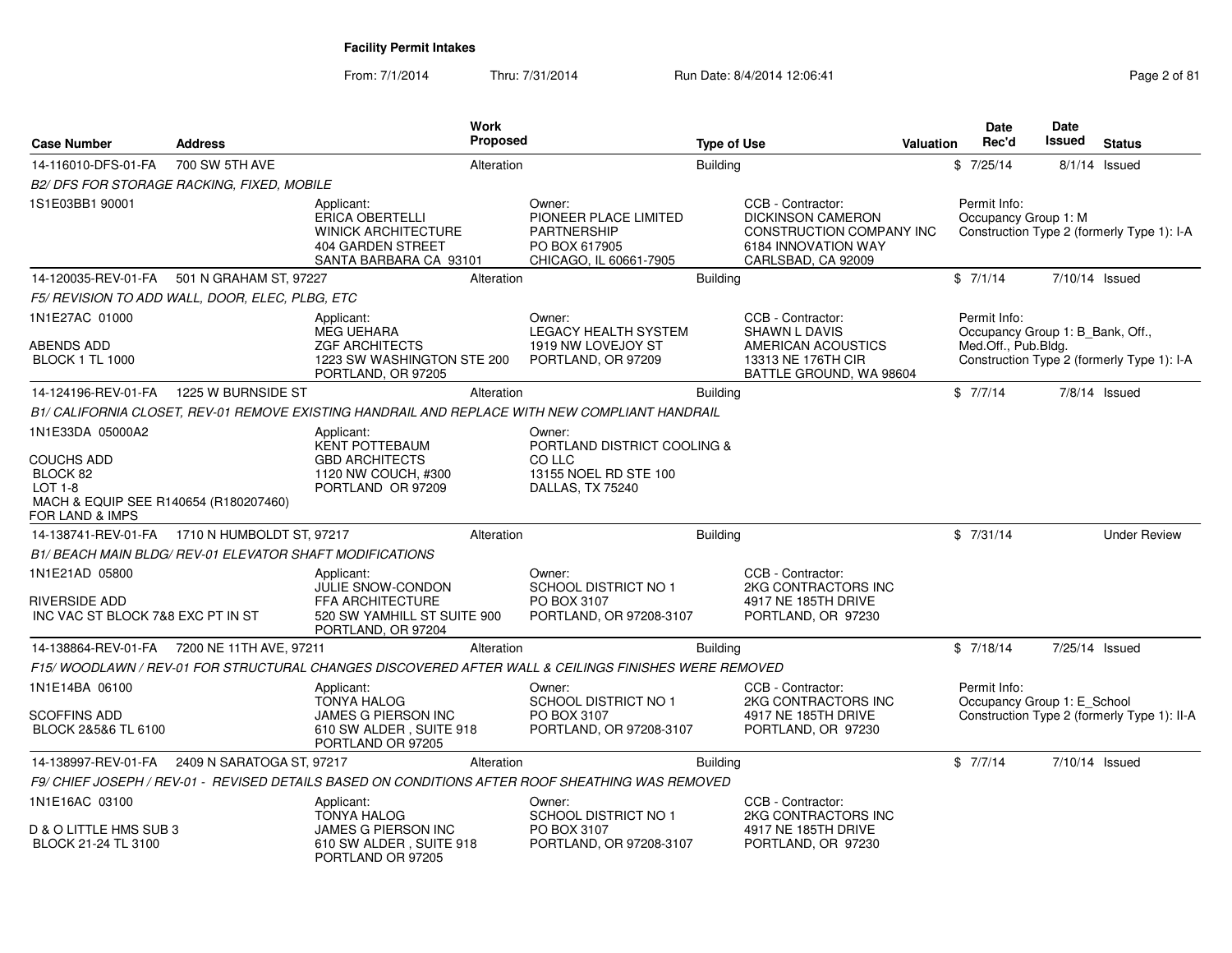From: 7/1/2014Thru: 7/31/2014 Run Date: 8/4/2014 12:06:41 Page 2 of 81

| Case Number                                                                                    | <b>Address</b>                                                  | Work                                                                                                              | Proposed   |                                                                                                  | <b>Type of Use</b> |                                                                                                                        | Valuation | <b>Date</b><br>Rec'd                                                    | Date<br>Issued | <b>Status</b>                               |
|------------------------------------------------------------------------------------------------|-----------------------------------------------------------------|-------------------------------------------------------------------------------------------------------------------|------------|--------------------------------------------------------------------------------------------------|--------------------|------------------------------------------------------------------------------------------------------------------------|-----------|-------------------------------------------------------------------------|----------------|---------------------------------------------|
| 14-116010-DFS-01-FA                                                                            | 700 SW 5TH AVE                                                  |                                                                                                                   | Alteration |                                                                                                  | <b>Building</b>    |                                                                                                                        |           | \$7/25/14                                                               |                | $8/1/14$ Issued                             |
|                                                                                                | B2/ DFS FOR STORAGE RACKING, FIXED, MOBILE                      |                                                                                                                   |            |                                                                                                  |                    |                                                                                                                        |           |                                                                         |                |                                             |
| 1S1E03BB1 90001                                                                                |                                                                 | Applicant:<br><b>ERICA OBERTELLI</b><br><b>WINICK ARCHITECTURE</b><br>404 GARDEN STREET<br>SANTA BARBARA CA 93101 |            | Owner:<br>PIONEER PLACE LIMITED<br><b>PARTNERSHIP</b><br>PO BOX 617905<br>CHICAGO, IL 60661-7905 |                    | CCB - Contractor:<br><b>DICKINSON CAMERON</b><br>CONSTRUCTION COMPANY INC<br>6184 INNOVATION WAY<br>CARLSBAD, CA 92009 |           | Permit Info:<br>Occupancy Group 1: M                                    |                | Construction Type 2 (formerly Type 1): I-A  |
| 14-120035-REV-01-FA                                                                            | 501 N GRAHAM ST, 97227                                          |                                                                                                                   | Alteration |                                                                                                  | <b>Building</b>    |                                                                                                                        |           | \$7/1/14                                                                |                | 7/10/14 Issued                              |
|                                                                                                | F5/ REVISION TO ADD WALL, DOOR, ELEC, PLBG, ETC                 |                                                                                                                   |            |                                                                                                  |                    |                                                                                                                        |           |                                                                         |                |                                             |
| 1N1E27AC 01000<br>ABENDS ADD<br><b>BLOCK 1 TL 1000</b>                                         |                                                                 | Applicant:<br><b>MEG UEHARA</b><br><b>ZGF ARCHITECTS</b><br>1223 SW WASHINGTON STE 200<br>PORTLAND, OR 97205      |            | Owner:<br><b>LEGACY HEALTH SYSTEM</b><br>1919 NW LOVEJOY ST<br>PORTLAND, OR 97209                |                    | CCB - Contractor:<br><b>SHAWN L DAVIS</b><br>AMERICAN ACOUSTICS<br>13313 NE 176TH CIR<br>BATTLE GROUND, WA 98604       |           | Permit Info:<br>Occupancy Group 1: B Bank, Off.,<br>Med.Off., Pub.Bldg. |                | Construction Type 2 (formerly Type 1): I-A  |
| 14-124196-REV-01-FA                                                                            | 1225 W BURNSIDE ST                                              |                                                                                                                   | Alteration |                                                                                                  | <b>Building</b>    |                                                                                                                        |           | \$7/7/14                                                                |                | $7/8/14$ Issued                             |
|                                                                                                |                                                                 | B1/ CALIFORNIA CLOSET, REV-01 REMOVE EXISTING HANDRAIL AND REPLACE WITH NEW COMPLIANT HANDRAIL                    |            |                                                                                                  |                    |                                                                                                                        |           |                                                                         |                |                                             |
| 1N1E33DA 05000A2<br>COUCHS ADD<br>BLOCK 82<br>LOT 1-8<br>MACH & EQUIP SEE R140654 (R180207460) |                                                                 | Applicant:<br><b>KENT POTTEBAUM</b><br><b>GBD ARCHITECTS</b><br>1120 NW COUCH, #300<br>PORTLAND OR 97209          |            | Owner:<br>PORTLAND DISTRICT COOLING &<br>CO LLC<br>13155 NOEL RD STE 100<br>DALLAS, TX 75240     |                    |                                                                                                                        |           |                                                                         |                |                                             |
| FOR LAND & IMPS                                                                                | 14-138741-REV-01-FA 1710 N HUMBOLDT ST, 97217                   |                                                                                                                   | Alteration |                                                                                                  | Building           |                                                                                                                        |           | \$7/31/14                                                               |                | <b>Under Review</b>                         |
|                                                                                                | <b>B1/ BEACH MAIN BLDG/ REV-01 ELEVATOR SHAFT MODIFICATIONS</b> |                                                                                                                   |            |                                                                                                  |                    |                                                                                                                        |           |                                                                         |                |                                             |
| 1N1E21AD 05800<br><b>RIVERSIDE ADD</b><br>INC VAC ST BLOCK 7&8 EXC PT IN ST                    |                                                                 | Applicant:<br>JULIE SNOW-CONDON<br>FFA ARCHITECTURE<br>520 SW YAMHILL ST SUITE 900<br>PORTLAND, OR 97204          |            | Owner:<br><b>SCHOOL DISTRICT NO 1</b><br>PO BOX 3107<br>PORTLAND, OR 97208-3107                  |                    | CCB - Contractor:<br>2KG CONTRACTORS INC<br>4917 NE 185TH DRIVE<br>PORTLAND, OR 97230                                  |           |                                                                         |                |                                             |
| 14-138864-REV-01-FA                                                                            | 7200 NE 11TH AVE, 97211                                         |                                                                                                                   | Alteration |                                                                                                  | <b>Building</b>    |                                                                                                                        |           | \$7/18/14                                                               |                | 7/25/14 Issued                              |
|                                                                                                |                                                                 | F15/ WOODLAWN / REV-01 FOR STRUCTURAL CHANGES DISCOVERED AFTER WALL & CEILINGS FINISHES WERE REMOVED              |            |                                                                                                  |                    |                                                                                                                        |           |                                                                         |                |                                             |
| 1N1E14BA 06100<br><b>SCOFFINS ADD</b><br>BLOCK 2&5&6 TL 6100                                   |                                                                 | Applicant:<br><b>TONYA HALOG</b><br>JAMES G PIERSON INC<br>610 SW ALDER, SUITE 918<br>PORTLAND OR 97205           |            | Owner:<br><b>SCHOOL DISTRICT NO 1</b><br>PO BOX 3107<br>PORTLAND, OR 97208-3107                  |                    | CCB - Contractor:<br>2KG CONTRACTORS INC<br>4917 NE 185TH DRIVE<br>PORTLAND, OR 97230                                  |           | Permit Info:<br>Occupancy Group 1: E_School                             |                | Construction Type 2 (formerly Type 1): II-A |
| 14-138997-REV-01-FA                                                                            | 2409 N SARATOGA ST, 97217                                       |                                                                                                                   | Alteration |                                                                                                  | <b>Building</b>    |                                                                                                                        |           | \$7/7/14                                                                |                | 7/10/14 Issued                              |
|                                                                                                |                                                                 | F9/ CHIEF JOSEPH / REV-01 - REVISED DETAILS BASED ON CONDITIONS AFTER ROOF SHEATHING WAS REMOVED                  |            |                                                                                                  |                    |                                                                                                                        |           |                                                                         |                |                                             |
| 1N1E16AC 03100<br>D & O LITTLE HMS SUB 3<br>BLOCK 21-24 TL 3100                                |                                                                 | Applicant:<br><b>TONYA HALOG</b><br>JAMES G PIERSON INC<br>610 SW ALDER, SUITE 918<br>PORTLAND OR 97205           |            | Owner:<br><b>SCHOOL DISTRICT NO 1</b><br>PO BOX 3107<br>PORTLAND, OR 97208-3107                  |                    | CCB - Contractor:<br>2KG CONTRACTORS INC<br>4917 NE 185TH DRIVE<br>PORTLAND, OR 97230                                  |           |                                                                         |                |                                             |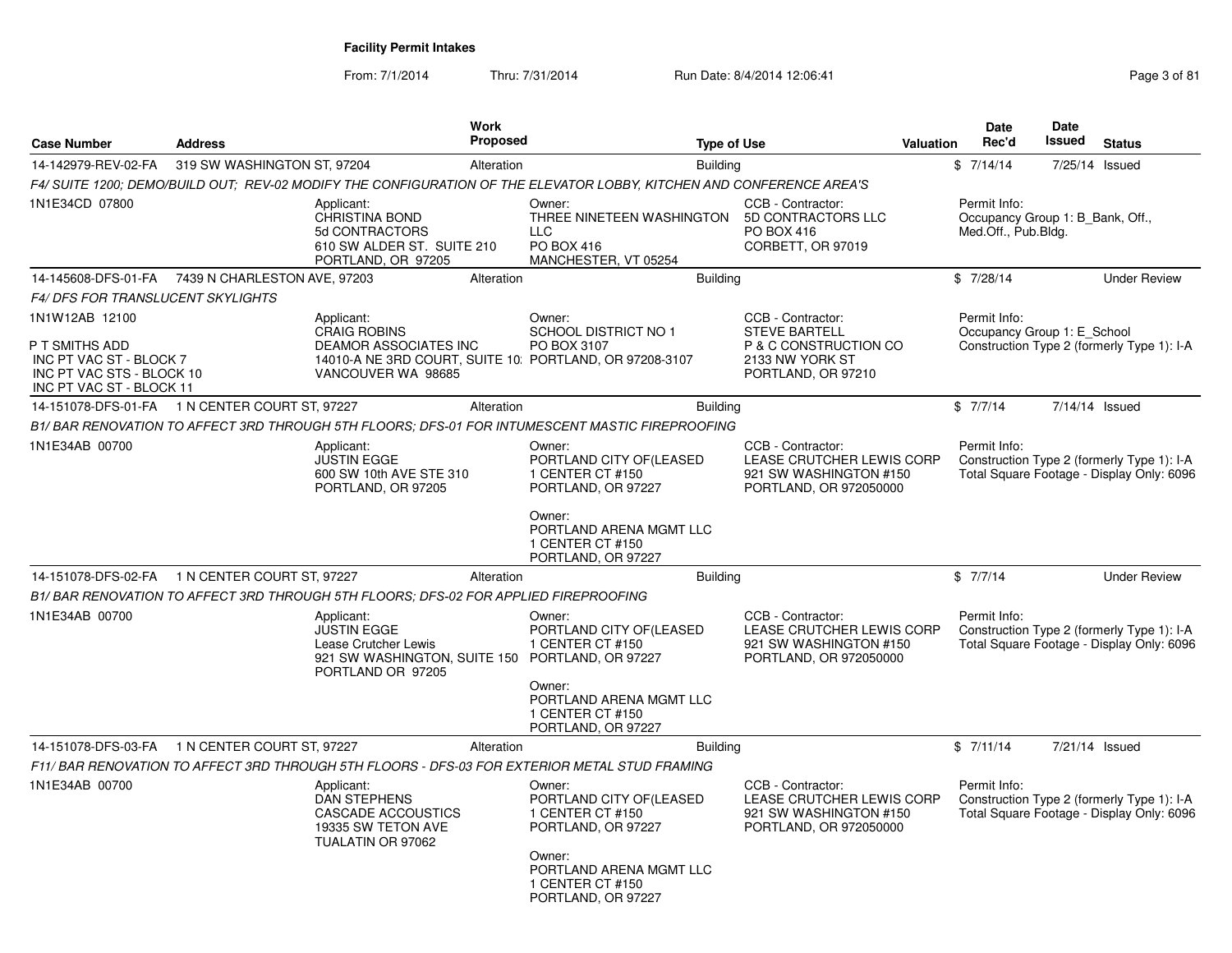From: 7/1/2014Thru: 7/31/2014 Run Date: 8/4/2014 12:06:41 Page 3 of 81

| <b>Case Number</b>                                                                                 | <b>Address</b>              | Work<br><b>Proposed</b>                                                                                                            |                                                                                         | <b>Type of Use</b>                                                                                 | <b>Valuation</b> | <b>Date</b><br>Rec'd                                                    | <b>Date</b><br>Issued | <b>Status</b>                                                                           |
|----------------------------------------------------------------------------------------------------|-----------------------------|------------------------------------------------------------------------------------------------------------------------------------|-----------------------------------------------------------------------------------------|----------------------------------------------------------------------------------------------------|------------------|-------------------------------------------------------------------------|-----------------------|-----------------------------------------------------------------------------------------|
|                                                                                                    |                             |                                                                                                                                    |                                                                                         |                                                                                                    |                  |                                                                         |                       |                                                                                         |
| 14-142979-REV-02-FA                                                                                | 319 SW WASHINGTON ST, 97204 | Alteration<br>F4/ SUITE 1200; DEMO/BUILD OUT; REV-02 MODIFY THE CONFIGURATION OF THE ELEVATOR LOBBY, KITCHEN AND CONFERENCE AREA'S | <b>Building</b>                                                                         |                                                                                                    |                  | \$7/14/14                                                               |                       | 7/25/14 Issued                                                                          |
| 1N1E34CD 07800                                                                                     |                             | Applicant:<br>CHRISTINA BOND<br>5d CONTRACTORS<br>610 SW ALDER ST. SUITE 210<br>PORTLAND, OR 97205                                 | Owner:<br>THREE NINETEEN WASHINGTON<br><b>LLC</b><br>PO BOX 416<br>MANCHESTER, VT 05254 | CCB - Contractor:<br>5D CONTRACTORS LLC<br><b>PO BOX 416</b><br>CORBETT, OR 97019                  |                  | Permit Info:<br>Occupancy Group 1: B Bank, Off.,<br>Med.Off., Pub.Bldg. |                       |                                                                                         |
| 14-145608-DFS-01-FA  7439 N CHARLESTON AVE, 97203                                                  |                             | Alteration                                                                                                                         | <b>Building</b>                                                                         |                                                                                                    |                  | \$7/28/14                                                               |                       | <b>Under Review</b>                                                                     |
| <b>F4/ DFS FOR TRANSLUCENT SKYLIGHTS</b>                                                           |                             |                                                                                                                                    |                                                                                         |                                                                                                    |                  |                                                                         |                       |                                                                                         |
| 1N1W12AB 12100                                                                                     |                             | Applicant:<br><b>CRAIG ROBINS</b>                                                                                                  | Owner:<br><b>SCHOOL DISTRICT NO 1</b>                                                   | CCB - Contractor:<br><b>STEVE BARTELL</b>                                                          |                  | Permit Info:<br>Occupancy Group 1: E_School                             |                       |                                                                                         |
| P T SMITHS ADD<br>INC PT VAC ST - BLOCK 7<br>INC PT VAC STS - BLOCK 10<br>INC PT VAC ST - BLOCK 11 |                             | <b>DEAMOR ASSOCIATES INC</b><br>14010-A NE 3RD COURT, SUITE 10: PORTLAND, OR 97208-3107<br>VANCOUVER WA 98685                      | PO BOX 3107                                                                             | P & C CONSTRUCTION CO<br>2133 NW YORK ST<br>PORTLAND, OR 97210                                     |                  |                                                                         |                       | Construction Type 2 (formerly Type 1): I-A                                              |
| 14-151078-DFS-01-FA 1 N CENTER COURT ST, 97227                                                     |                             | Alteration                                                                                                                         | <b>Building</b>                                                                         |                                                                                                    |                  | \$7/7/14                                                                |                       | 7/14/14 Issued                                                                          |
|                                                                                                    |                             | B1/ BAR RENOVATION TO AFFECT 3RD THROUGH 5TH FLOORS; DFS-01 FOR INTUMESCENT MASTIC FIREPROOFING                                    |                                                                                         |                                                                                                    |                  |                                                                         |                       |                                                                                         |
| 1N1E34AB 00700                                                                                     |                             | Applicant:<br><b>JUSTIN EGGE</b><br>600 SW 10th AVE STE 310<br>PORTLAND, OR 97205                                                  | Owner:<br>PORTLAND CITY OF (LEASED<br>1 CENTER CT #150<br>PORTLAND, OR 97227            | CCB - Contractor:<br>LEASE CRUTCHER LEWIS CORP<br>921 SW WASHINGTON #150<br>PORTLAND, OR 972050000 |                  | Permit Info:                                                            |                       | Construction Type 2 (formerly Type 1): I-A<br>Total Square Footage - Display Only: 6096 |
|                                                                                                    |                             |                                                                                                                                    | Owner:<br>PORTLAND ARENA MGMT LLC<br>1 CENTER CT #150<br>PORTLAND, OR 97227             |                                                                                                    |                  |                                                                         |                       |                                                                                         |
| 14-151078-DFS-02-FA 1 N CENTER COURT ST, 97227                                                     |                             | Alteration                                                                                                                         | <b>Building</b>                                                                         |                                                                                                    |                  | \$7/7/14                                                                |                       | <b>Under Review</b>                                                                     |
|                                                                                                    |                             | B1/ BAR RENOVATION TO AFFECT 3RD THROUGH 5TH FLOORS: DFS-02 FOR APPLIED FIREPROOFING                                               |                                                                                         |                                                                                                    |                  |                                                                         |                       |                                                                                         |
| 1N1E34AB 00700                                                                                     |                             | Applicant:<br><b>JUSTIN EGGE</b><br>Lease Crutcher Lewis<br>921 SW WASHINGTON, SUITE 150 PORTLAND, OR 97227<br>PORTLAND OR 97205   | Owner:<br>PORTLAND CITY OF (LEASED<br>1 CENTER CT #150                                  | CCB - Contractor:<br>LEASE CRUTCHER LEWIS CORP<br>921 SW WASHINGTON #150<br>PORTLAND, OR 972050000 |                  | Permit Info:                                                            |                       | Construction Type 2 (formerly Type 1): I-A<br>Total Square Footage - Display Only: 6096 |
|                                                                                                    |                             |                                                                                                                                    | Owner:<br>PORTLAND ARENA MGMT LLC<br>1 CENTER CT #150<br>PORTLAND, OR 97227             |                                                                                                    |                  |                                                                         |                       |                                                                                         |
| 14-151078-DFS-03-FA 1 N CENTER COURT ST, 97227                                                     |                             | Alteration                                                                                                                         | <b>Building</b>                                                                         |                                                                                                    |                  | \$7/11/14                                                               |                       | 7/21/14 Issued                                                                          |
|                                                                                                    |                             | F11/ BAR RENOVATION TO AFFECT 3RD THROUGH 5TH FLOORS - DFS-03 FOR EXTERIOR METAL STUD FRAMING                                      |                                                                                         |                                                                                                    |                  |                                                                         |                       |                                                                                         |
| 1N1E34AB 00700                                                                                     |                             | Applicant:<br><b>DAN STEPHENS</b><br>CASCADE ACCOUSTICS<br>19335 SW TETON AVE<br>TUALATIN OR 97062                                 | Owner:<br>PORTLAND CITY OF (LEASED<br>1 CENTER CT #150<br>PORTLAND, OR 97227            | CCB - Contractor:<br>LEASE CRUTCHER LEWIS CORP<br>921 SW WASHINGTON #150<br>PORTLAND, OR 972050000 |                  | Permit Info:                                                            |                       | Construction Type 2 (formerly Type 1): I-A<br>Total Square Footage - Display Only: 6096 |
|                                                                                                    |                             |                                                                                                                                    | Owner:<br>PORTLAND ARENA MGMT LLC<br>1 CENTER CT #150<br>PORTLAND, OR 97227             |                                                                                                    |                  |                                                                         |                       |                                                                                         |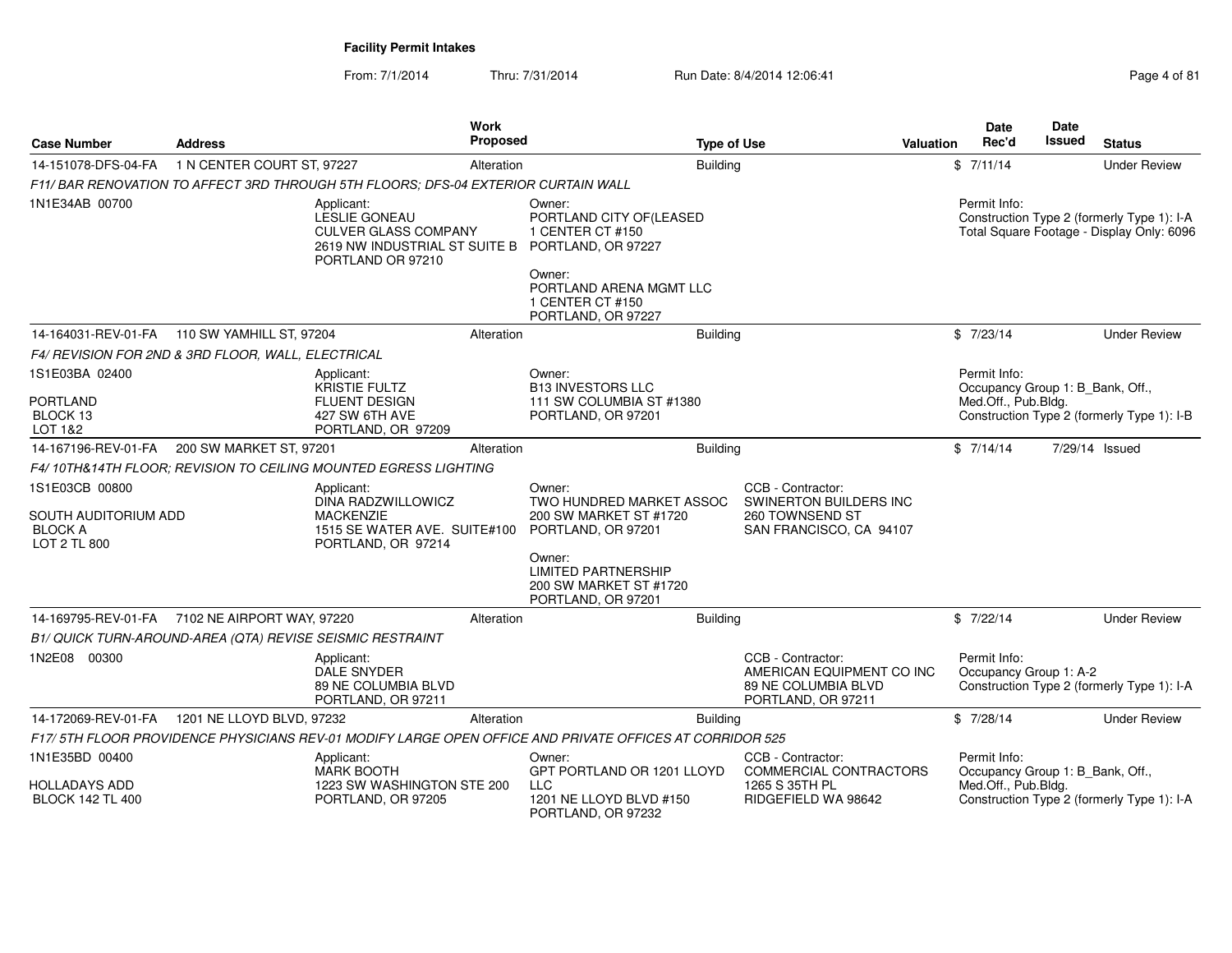From: 7/1/2014Thru: 7/31/2014 Run Date: 8/4/2014 12:06:41 Research 2012 12:06:41

|                                                                          |                                                           |                                                                                                                  | Work       |                                                                                                         |                    |                                                                                             | <b>Date</b>                                      | Date   |                                                                                         |
|--------------------------------------------------------------------------|-----------------------------------------------------------|------------------------------------------------------------------------------------------------------------------|------------|---------------------------------------------------------------------------------------------------------|--------------------|---------------------------------------------------------------------------------------------|--------------------------------------------------|--------|-----------------------------------------------------------------------------------------|
| <b>Case Number</b>                                                       | <b>Address</b>                                            |                                                                                                                  | Proposed   |                                                                                                         | <b>Type of Use</b> | <b>Valuation</b>                                                                            | Rec'd                                            | Issued | <b>Status</b>                                                                           |
| 14-151078-DFS-04-FA                                                      | 1 N CENTER COURT ST, 97227                                |                                                                                                                  | Alteration |                                                                                                         | <b>Building</b>    |                                                                                             | \$7/11/14                                        |        | <b>Under Review</b>                                                                     |
|                                                                          |                                                           | F11/BAR RENOVATION TO AFFECT 3RD THROUGH 5TH FLOORS: DFS-04 EXTERIOR CURTAIN WALL                                |            |                                                                                                         |                    |                                                                                             |                                                  |        |                                                                                         |
| 1N1E34AB 00700                                                           |                                                           | Applicant:<br>LESLIE GONEAU<br><b>CULVER GLASS COMPANY</b><br>2619 NW INDUSTRIAL ST SUITE B<br>PORTLAND OR 97210 |            | Owner:<br>PORTLAND CITY OF(LEASED<br>1 CENTER CT #150<br>PORTLAND, OR 97227                             |                    |                                                                                             | Permit Info:                                     |        | Construction Type 2 (formerly Type 1): I-A<br>Total Square Footage - Display Only: 6096 |
|                                                                          |                                                           |                                                                                                                  |            | Owner:<br>PORTLAND ARENA MGMT LLC<br>1 CENTER CT #150<br>PORTLAND, OR 97227                             |                    |                                                                                             |                                                  |        |                                                                                         |
|                                                                          | 14-164031-REV-01-FA   110 SW YAMHILL ST, 97204            |                                                                                                                  | Alteration |                                                                                                         | <b>Building</b>    |                                                                                             | \$7/23/14                                        |        | <b>Under Review</b>                                                                     |
|                                                                          | F4/ REVISION FOR 2ND & 3RD FLOOR, WALL, ELECTRICAL        |                                                                                                                  |            |                                                                                                         |                    |                                                                                             |                                                  |        |                                                                                         |
| 1S1E03BA 02400                                                           |                                                           | Applicant:<br><b>KRISTIE FULTZ</b>                                                                               |            | Owner:<br><b>B13 INVESTORS LLC</b>                                                                      |                    |                                                                                             | Permit Info:<br>Occupancy Group 1: B_Bank, Off., |        |                                                                                         |
| <b>PORTLAND</b><br>BLOCK 13<br>LOT 1&2                                   |                                                           | <b>FLUENT DESIGN</b><br>427 SW 6TH AVE<br>PORTLAND, OR 97209                                                     |            | 111 SW COLUMBIA ST #1380<br>PORTLAND, OR 97201                                                          |                    |                                                                                             | Med.Off., Pub.Bldg.                              |        | Construction Type 2 (formerly Type 1): I-B                                              |
| 14-167196-REV-01-FA                                                      | 200 SW MARKET ST, 97201                                   |                                                                                                                  | Alteration |                                                                                                         | <b>Building</b>    |                                                                                             | \$7/14/14                                        |        | 7/29/14 Issued                                                                          |
|                                                                          |                                                           | F4/ 10TH&14TH FLOOR: REVISION TO CEILING MOUNTED EGRESS LIGHTING                                                 |            |                                                                                                         |                    |                                                                                             |                                                  |        |                                                                                         |
| 1S1E03CB 00800<br>SOUTH AUDITORIUM ADD<br><b>BLOCK A</b><br>LOT 2 TL 800 |                                                           | Applicant:<br>DINA RADZWILLOWICZ<br><b>MACKENZIE</b><br>1515 SE WATER AVE. SUITE#100<br>PORTLAND, OR 97214       |            | Owner:<br>TWO HUNDRED MARKET ASSOC<br>200 SW MARKET ST #1720<br>PORTLAND, OR 97201                      |                    | CCB - Contractor:<br>SWINERTON BUILDERS INC<br>260 TOWNSEND ST<br>SAN FRANCISCO, CA 94107   |                                                  |        |                                                                                         |
|                                                                          |                                                           |                                                                                                                  |            | Owner:<br><b>LIMITED PARTNERSHIP</b><br>200 SW MARKET ST #1720<br>PORTLAND, OR 97201                    |                    |                                                                                             |                                                  |        |                                                                                         |
|                                                                          | 14-169795-REV-01-FA 7102 NE AIRPORT WAY, 97220            |                                                                                                                  | Alteration |                                                                                                         | <b>Building</b>    |                                                                                             | \$7/22/14                                        |        | <b>Under Review</b>                                                                     |
|                                                                          | B1/ QUICK TURN-AROUND-AREA (QTA) REVISE SEISMIC RESTRAINT |                                                                                                                  |            |                                                                                                         |                    |                                                                                             |                                                  |        |                                                                                         |
| 1N2E08 00300                                                             |                                                           | Applicant:<br><b>DALE SNYDER</b><br>89 NE COLUMBIA BLVD<br>PORTLAND, OR 97211                                    |            |                                                                                                         |                    | CCB - Contractor:<br>AMERICAN EQUIPMENT CO INC<br>89 NE COLUMBIA BLVD<br>PORTLAND, OR 97211 | Permit Info:<br>Occupancy Group 1: A-2           |        | Construction Type 2 (formerly Type 1): I-A                                              |
| 14-172069-REV-01-FA                                                      | 1201 NE LLOYD BLVD, 97232                                 |                                                                                                                  | Alteration |                                                                                                         | <b>Building</b>    |                                                                                             | \$7/28/14                                        |        | <b>Under Review</b>                                                                     |
|                                                                          |                                                           |                                                                                                                  |            | F17/5TH FLOOR PROVIDENCE PHYSICIANS REV-01 MODIFY LARGE OPEN OFFICE AND PRIVATE OFFICES AT CORRIDOR 525 |                    |                                                                                             |                                                  |        |                                                                                         |
| 1N1E35BD 00400                                                           |                                                           | Applicant:<br>MARK BOOTH                                                                                         |            | Owner:<br>GPT PORTLAND OR 1201 LLOYD                                                                    |                    | CCB - Contractor:<br>COMMERCIAL CONTRACTORS                                                 | Permit Info:<br>Occupancy Group 1: B_Bank, Off., |        |                                                                                         |
| HOLLADAYS ADD<br><b>BLOCK 142 TL 400</b>                                 |                                                           | 1223 SW WASHINGTON STE 200<br>PORTLAND, OR 97205                                                                 |            | LLC<br>1201 NE LLOYD BLVD #150<br>PORTLAND, OR 97232                                                    |                    | 1265 S 35TH PL<br>RIDGEFIELD WA 98642                                                       | Med.Off., Pub.Bldg.                              |        | Construction Type 2 (formerly Type 1): I-A                                              |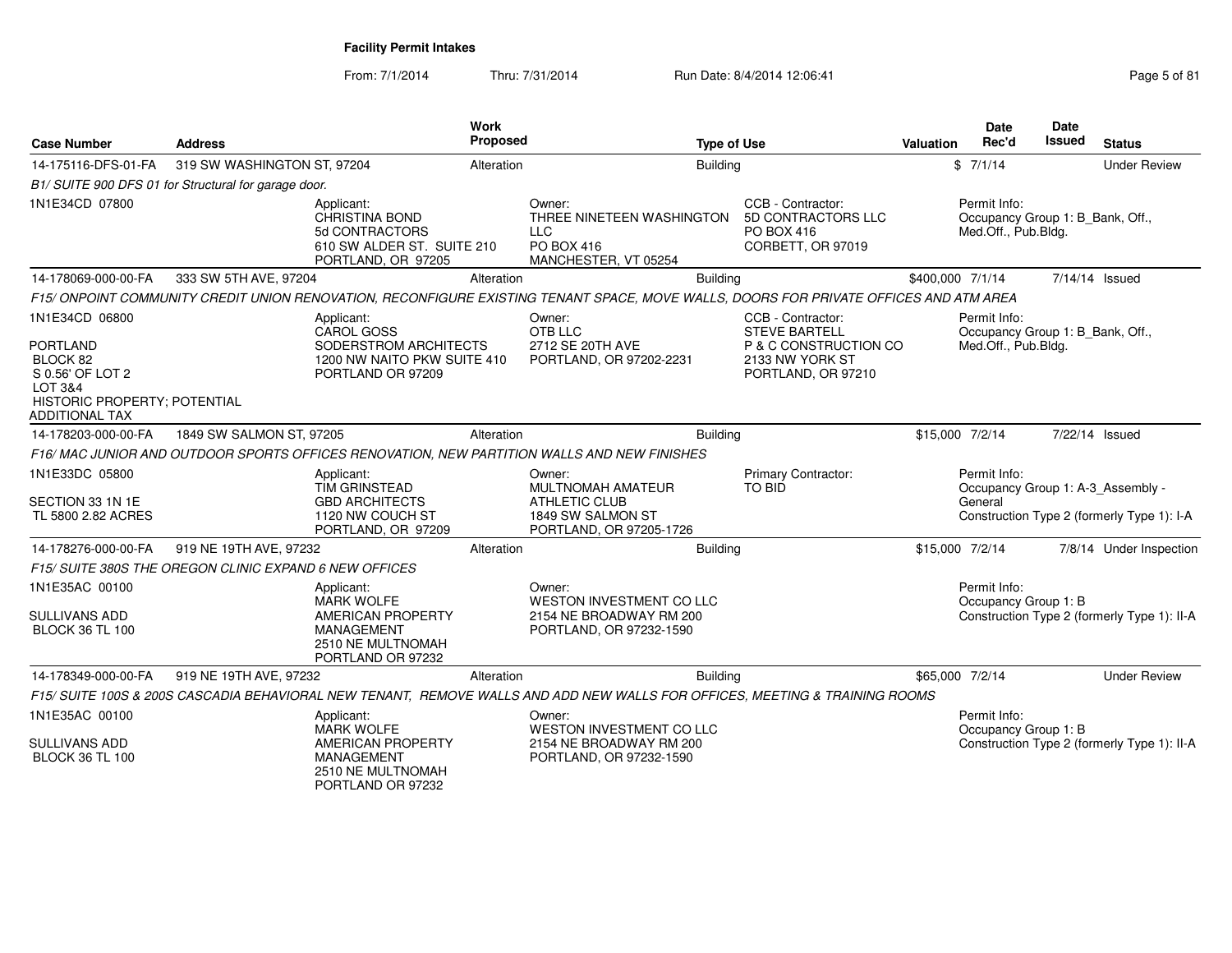From: 7/1/2014Thru: 7/31/2014 Run Date: 8/4/2014 12:06:41 Page 5 of 81

| <b>Case Number</b>                                                                                                             | <b>Address</b>                                         |                                                                                                                     | <b>Work</b><br>Proposed |                                                                                                                                       | <b>Type of Use</b>                                                                                          | Valuation        | <b>Date</b><br>Rec'd                                                    | <b>Date</b><br>Issued | <b>Status</b>                                                                   |
|--------------------------------------------------------------------------------------------------------------------------------|--------------------------------------------------------|---------------------------------------------------------------------------------------------------------------------|-------------------------|---------------------------------------------------------------------------------------------------------------------------------------|-------------------------------------------------------------------------------------------------------------|------------------|-------------------------------------------------------------------------|-----------------------|---------------------------------------------------------------------------------|
| 14-175116-DFS-01-FA                                                                                                            | 319 SW WASHINGTON ST, 97204                            |                                                                                                                     | Alteration              |                                                                                                                                       | <b>Building</b>                                                                                             |                  | \$7/1/14                                                                |                       | <b>Under Review</b>                                                             |
|                                                                                                                                | B1/ SUITE 900 DFS 01 for Structural for garage door.   |                                                                                                                     |                         |                                                                                                                                       |                                                                                                             |                  |                                                                         |                       |                                                                                 |
| 1N1E34CD 07800                                                                                                                 |                                                        | Applicant:<br>CHRISTINA BOND<br>5d CONTRACTORS<br>610 SW ALDER ST. SUITE 210<br>PORTLAND, OR 97205                  |                         | Owner:<br>THREE NINETEEN WASHINGTON<br><b>LLC</b><br>PO BOX 416<br>MANCHESTER, VT 05254                                               | CCB - Contractor:<br>5D CONTRACTORS LLC<br>PO BOX 416<br>CORBETT, OR 97019                                  |                  | Permit Info:<br>Occupancy Group 1: B_Bank, Off.,<br>Med.Off., Pub.Bldg. |                       |                                                                                 |
| 14-178069-000-00-FA                                                                                                            | 333 SW 5TH AVE, 97204                                  |                                                                                                                     | Alteration              |                                                                                                                                       | <b>Building</b>                                                                                             | \$400,000 7/1/14 |                                                                         |                       | 7/14/14 Issued                                                                  |
|                                                                                                                                |                                                        |                                                                                                                     |                         | F15/ ONPOINT COMMUNITY CREDIT UNION RENOVATION. RECONFIGURE EXISTING TENANT SPACE, MOVE WALLS, DOORS FOR PRIVATE OFFICES AND ATM AREA |                                                                                                             |                  |                                                                         |                       |                                                                                 |
| 1N1E34CD 06800<br><b>PORTLAND</b><br>BLOCK 82<br>S 0.56' OF LOT 2<br>LOT 3&4<br>HISTORIC PROPERTY; POTENTIAL<br>ADDITIONAL TAX |                                                        | Applicant:<br><b>CAROL GOSS</b><br>SODERSTROM ARCHITECTS<br>1200 NW NAITO PKW SUITE 410<br>PORTLAND OR 97209        |                         | Owner:<br>OTB LLC<br>2712 SE 20TH AVE<br>PORTLAND, OR 97202-2231                                                                      | CCB - Contractor:<br><b>STEVE BARTELL</b><br>P & C CONSTRUCTION CO<br>2133 NW YORK ST<br>PORTLAND, OR 97210 |                  | Permit Info:<br>Occupancy Group 1: B_Bank, Off.,<br>Med.Off., Pub.Bldg. |                       |                                                                                 |
| 14-178203-000-00-FA                                                                                                            | 1849 SW SALMON ST, 97205                               |                                                                                                                     | Alteration              |                                                                                                                                       | <b>Building</b>                                                                                             |                  | \$15,000 7/2/14                                                         |                       | 7/22/14 Issued                                                                  |
|                                                                                                                                |                                                        |                                                                                                                     |                         | F16/MAC JUNIOR AND OUTDOOR SPORTS OFFICES RENOVATION, NEW PARTITION WALLS AND NEW FINISHES                                            |                                                                                                             |                  |                                                                         |                       |                                                                                 |
| 1N1E33DC 05800<br>SECTION 33 1N 1E<br>TL 5800 2.82 ACRES                                                                       |                                                        | Applicant:<br>TIM GRINSTEAD<br><b>GBD ARCHITECTS</b><br>1120 NW COUCH ST<br>PORTLAND, OR 97209                      |                         | Owner:<br>MULTNOMAH AMATEUR<br><b>ATHLETIC CLUB</b><br>1849 SW SALMON ST<br>PORTLAND, OR 97205-1726                                   | Primary Contractor:<br><b>TO BID</b>                                                                        |                  | Permit Info:<br>General                                                 |                       | Occupancy Group 1: A-3_Assembly -<br>Construction Type 2 (formerly Type 1): I-A |
| 14-178276-000-00-FA                                                                                                            | 919 NE 19TH AVE, 97232                                 |                                                                                                                     | Alteration              |                                                                                                                                       | <b>Building</b>                                                                                             |                  | \$15,000 7/2/14                                                         |                       | 7/8/14 Under Inspection                                                         |
|                                                                                                                                | F15/ SUITE 380S THE OREGON CLINIC EXPAND 6 NEW OFFICES |                                                                                                                     |                         |                                                                                                                                       |                                                                                                             |                  |                                                                         |                       |                                                                                 |
| 1N1E35AC 00100<br>SULLIVANS ADD<br><b>BLOCK 36 TL 100</b>                                                                      |                                                        | Applicant:<br><b>MARK WOLFE</b><br>AMERICAN PROPERTY<br><b>MANAGEMENT</b><br>2510 NE MULTNOMAH<br>PORTLAND OR 97232 |                         | Owner:<br>WESTON INVESTMENT CO LLC<br>2154 NE BROADWAY RM 200<br>PORTLAND, OR 97232-1590                                              |                                                                                                             |                  | Permit Info:<br>Occupancy Group 1: B                                    |                       | Construction Type 2 (formerly Type 1): II-A                                     |
| 14-178349-000-00-FA                                                                                                            | 919 NE 19TH AVE, 97232                                 |                                                                                                                     | Alteration              |                                                                                                                                       | <b>Building</b>                                                                                             |                  | \$65,000 7/2/14                                                         |                       | <b>Under Review</b>                                                             |
|                                                                                                                                |                                                        |                                                                                                                     |                         | F15/ SUITE 100S & 200S CASCADIA BEHAVIORAL NEW TENANT, REMOVE WALLS AND ADD NEW WALLS FOR OFFICES, MEETING & TRAINING ROOMS           |                                                                                                             |                  |                                                                         |                       |                                                                                 |
| 1N1E35AC 00100<br><b>SULLIVANS ADD</b><br><b>BLOCK 36 TL 100</b>                                                               |                                                        | Applicant:<br><b>MARK WOLFE</b><br><b>AMERICAN PROPERTY</b><br><b>MANAGEMENT</b><br>2510 NE MULTNOMAH               |                         | Owner:<br>WESTON INVESTMENT CO LLC<br>2154 NE BROADWAY RM 200<br>PORTLAND, OR 97232-1590                                              |                                                                                                             |                  | Permit Info:<br>Occupancy Group 1: B                                    |                       | Construction Type 2 (formerly Type 1): II-A                                     |
|                                                                                                                                |                                                        | PORTLAND OR 97232                                                                                                   |                         |                                                                                                                                       |                                                                                                             |                  |                                                                         |                       |                                                                                 |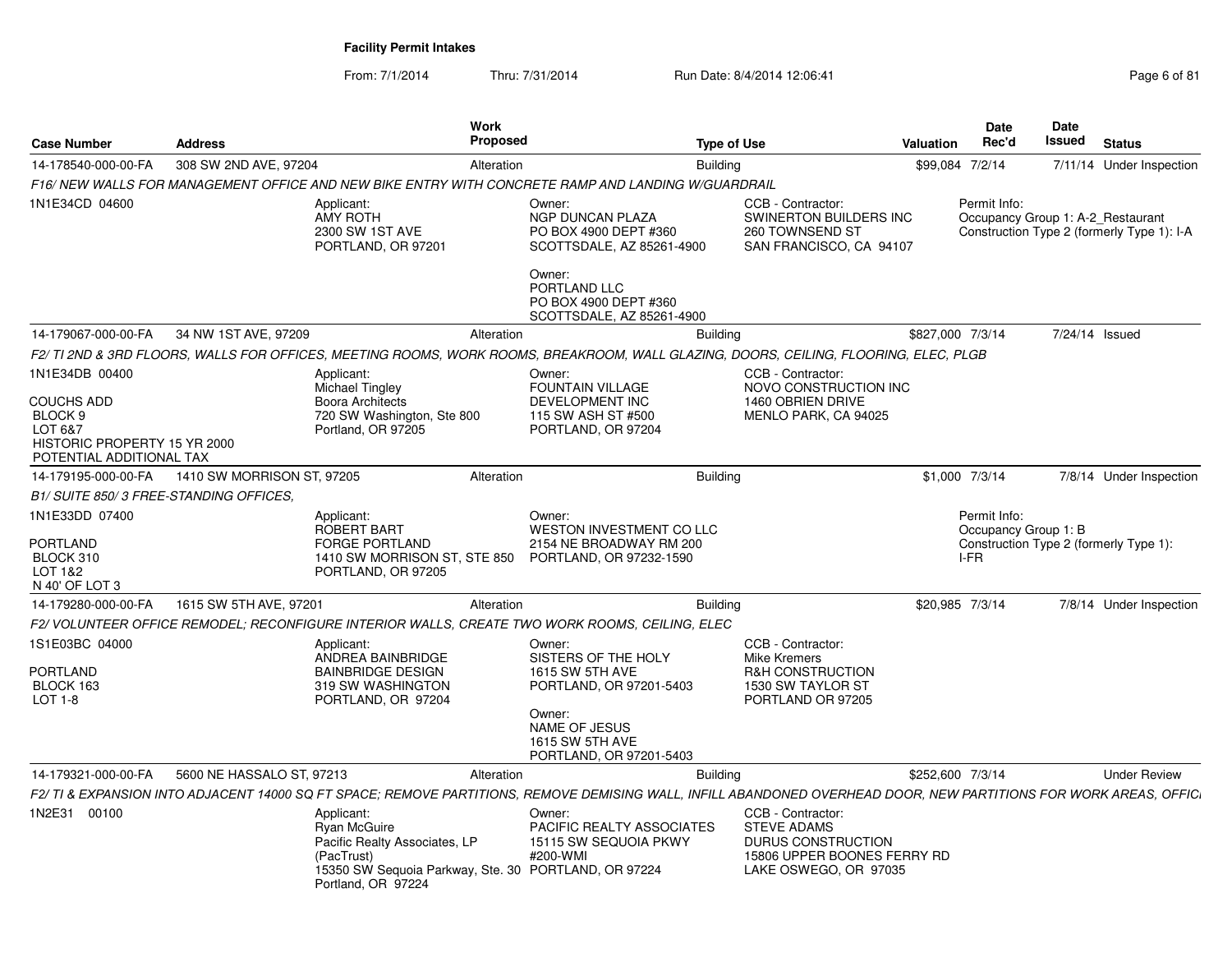From: 7/1/2014Thru: 7/31/2014 Run Date: 8/4/2014 12:06:41 Page 6 of 81

| <b>Case Number</b>                                                                                                    | <b>Address</b>             |                                                                                                                     | Work<br>Proposed                                                                                                                                                  | <b>Type of Use</b> |                                                                                                                       | Valuation        | <b>Date</b><br>Rec'd                 | Date<br>Issued | <b>Status</b>                                                                   |
|-----------------------------------------------------------------------------------------------------------------------|----------------------------|---------------------------------------------------------------------------------------------------------------------|-------------------------------------------------------------------------------------------------------------------------------------------------------------------|--------------------|-----------------------------------------------------------------------------------------------------------------------|------------------|--------------------------------------|----------------|---------------------------------------------------------------------------------|
| 14-178540-000-00-FA                                                                                                   | 308 SW 2ND AVE, 97204      |                                                                                                                     | Alteration                                                                                                                                                        | Building           |                                                                                                                       |                  | \$99,084 7/2/14                      |                | 7/11/14 Under Inspection                                                        |
|                                                                                                                       |                            |                                                                                                                     | F16/NEW WALLS FOR MANAGEMENT OFFICE AND NEW BIKE ENTRY WITH CONCRETE RAMP AND LANDING W/GUARDRAIL                                                                 |                    |                                                                                                                       |                  |                                      |                |                                                                                 |
| 1N1E34CD 04600                                                                                                        |                            | Applicant:<br><b>AMY ROTH</b><br>2300 SW 1ST AVE<br>PORTLAND, OR 97201                                              | Owner:<br>NGP DUNCAN PLAZA<br>PO BOX 4900 DEPT #360<br>SCOTTSDALE, AZ 85261-4900<br>Owner:                                                                        |                    | CCB - Contractor:<br>SWINERTON BUILDERS INC<br>260 TOWNSEND ST<br>SAN FRANCISCO, CA 94107                             |                  | Permit Info:                         |                | Occupancy Group 1: A-2_Restaurant<br>Construction Type 2 (formerly Type 1): I-A |
|                                                                                                                       |                            |                                                                                                                     | PORTLAND LLC<br>PO BOX 4900 DEPT #360<br>SCOTTSDALE, AZ 85261-4900                                                                                                |                    |                                                                                                                       |                  |                                      |                |                                                                                 |
| 14-179067-000-00-FA                                                                                                   | 34 NW 1ST AVE, 97209       |                                                                                                                     | Alteration                                                                                                                                                        | <b>Building</b>    |                                                                                                                       | \$827,000 7/3/14 |                                      |                | 7/24/14 Issued                                                                  |
|                                                                                                                       |                            |                                                                                                                     | F2/ TI 2ND & 3RD FLOORS, WALLS FOR OFFICES, MEETING ROOMS, WORK ROOMS, BREAKROOM, WALL GLAZING, DOORS, CEILING, FLOORING, ELEC, PLGB                              |                    |                                                                                                                       |                  |                                      |                |                                                                                 |
| 1N1E34DB 00400<br><b>COUCHS ADD</b><br>BLOCK 9<br>LOT 6&7<br>HISTORIC PROPERTY 15 YR 2000<br>POTENTIAL ADDITIONAL TAX |                            | Applicant:<br><b>Michael Tingley</b><br><b>Boora Architects</b><br>720 SW Washington, Ste 800<br>Portland, OR 97205 | Owner:<br><b>FOUNTAIN VILLAGE</b><br>DEVELOPMENT INC<br>115 SW ASH ST #500<br>PORTLAND, OR 97204                                                                  |                    | CCB - Contractor:<br>NOVO CONSTRUCTION INC<br>1460 OBRIEN DRIVE<br>MENLO PARK, CA 94025                               |                  |                                      |                |                                                                                 |
| 14-179195-000-00-FA                                                                                                   | 1410 SW MORRISON ST. 97205 |                                                                                                                     | Alteration                                                                                                                                                        | <b>Building</b>    |                                                                                                                       |                  | \$1,000 7/3/14                       |                | 7/8/14 Under Inspection                                                         |
| B1/ SUITE 850/3 FREE-STANDING OFFICES.                                                                                |                            |                                                                                                                     |                                                                                                                                                                   |                    |                                                                                                                       |                  |                                      |                |                                                                                 |
| 1N1E33DD 07400                                                                                                        |                            | Applicant:<br>ROBERT BART                                                                                           | Owner:<br><b>WESTON INVESTMENT CO LLC</b>                                                                                                                         |                    |                                                                                                                       |                  | Permit Info:<br>Occupancy Group 1: B |                |                                                                                 |
| PORTLAND<br>BLOCK 310<br>LOT 1&2<br>N 40' OF LOT 3                                                                    |                            | <b>FORGE PORTLAND</b><br>1410 SW MORRISON ST, STE 850<br>PORTLAND, OR 97205                                         | 2154 NE BROADWAY RM 200<br>PORTLAND, OR 97232-1590                                                                                                                |                    |                                                                                                                       |                  | I-FR                                 |                | Construction Type 2 (formerly Type 1):                                          |
| 14-179280-000-00-FA                                                                                                   | 1615 SW 5TH AVE, 97201     |                                                                                                                     | Alteration                                                                                                                                                        | Building           |                                                                                                                       |                  | \$20,985 7/3/14                      |                | 7/8/14 Under Inspection                                                         |
|                                                                                                                       |                            |                                                                                                                     | F2/ VOLUNTEER OFFICE REMODEL; RECONFIGURE INTERIOR WALLS, CREATE TWO WORK ROOMS, CEILING, ELEC                                                                    |                    |                                                                                                                       |                  |                                      |                |                                                                                 |
| 1S1E03BC 04000                                                                                                        |                            | Applicant:<br>ANDREA BAINBRIDGE                                                                                     | Owner:<br>SISTERS OF THE HOLY                                                                                                                                     |                    | CCB - Contractor:<br>Mike Kremers                                                                                     |                  |                                      |                |                                                                                 |
| PORTLAND<br>BLOCK 163<br>$LOT 1-8$                                                                                    |                            | <b>BAINBRIDGE DESIGN</b><br>319 SW WASHINGTON<br>PORTLAND, OR 97204                                                 | <b>1615 SW 5TH AVE</b><br>PORTLAND, OR 97201-5403<br>Owner:<br>NAME OF JESUS<br>1615 SW 5TH AVE<br>PORTLAND, OR 97201-5403                                        |                    | R&H CONSTRUCTION<br>1530 SW TAYLOR ST<br>PORTLAND OR 97205                                                            |                  |                                      |                |                                                                                 |
| 14-179321-000-00-FA                                                                                                   | 5600 NE HASSALO ST, 97213  |                                                                                                                     | Alteration                                                                                                                                                        | Building           |                                                                                                                       | \$252,600 7/3/14 |                                      |                | <b>Under Review</b>                                                             |
|                                                                                                                       |                            |                                                                                                                     | F2/ TI & EXPANSION INTO ADJACENT 14000 SQ FT SPACE; REMOVE PARTITIONS, REMOVE DEMISING WALL, INFILL ABANDONED OVERHEAD DOOR, NEW PARTITIONS FOR WORK AREAS, OFFIC |                    |                                                                                                                       |                  |                                      |                |                                                                                 |
| 1N2E31 00100                                                                                                          |                            | Applicant:<br>Ryan McGuire<br>Pacific Realty Associates, LP<br>(PacTrust)<br>Portland, OR 97224                     | Owner:<br>PACIFIC REALTY ASSOCIATES<br>15115 SW SEQUOIA PKWY<br>#200-WMI<br>15350 SW Sequoia Parkway, Ste. 30 PORTLAND, OR 97224                                  |                    | CCB - Contractor:<br><b>STEVE ADAMS</b><br>DURUS CONSTRUCTION<br>15806 UPPER BOONES FERRY RD<br>LAKE OSWEGO, OR 97035 |                  |                                      |                |                                                                                 |
|                                                                                                                       |                            |                                                                                                                     |                                                                                                                                                                   |                    |                                                                                                                       |                  |                                      |                |                                                                                 |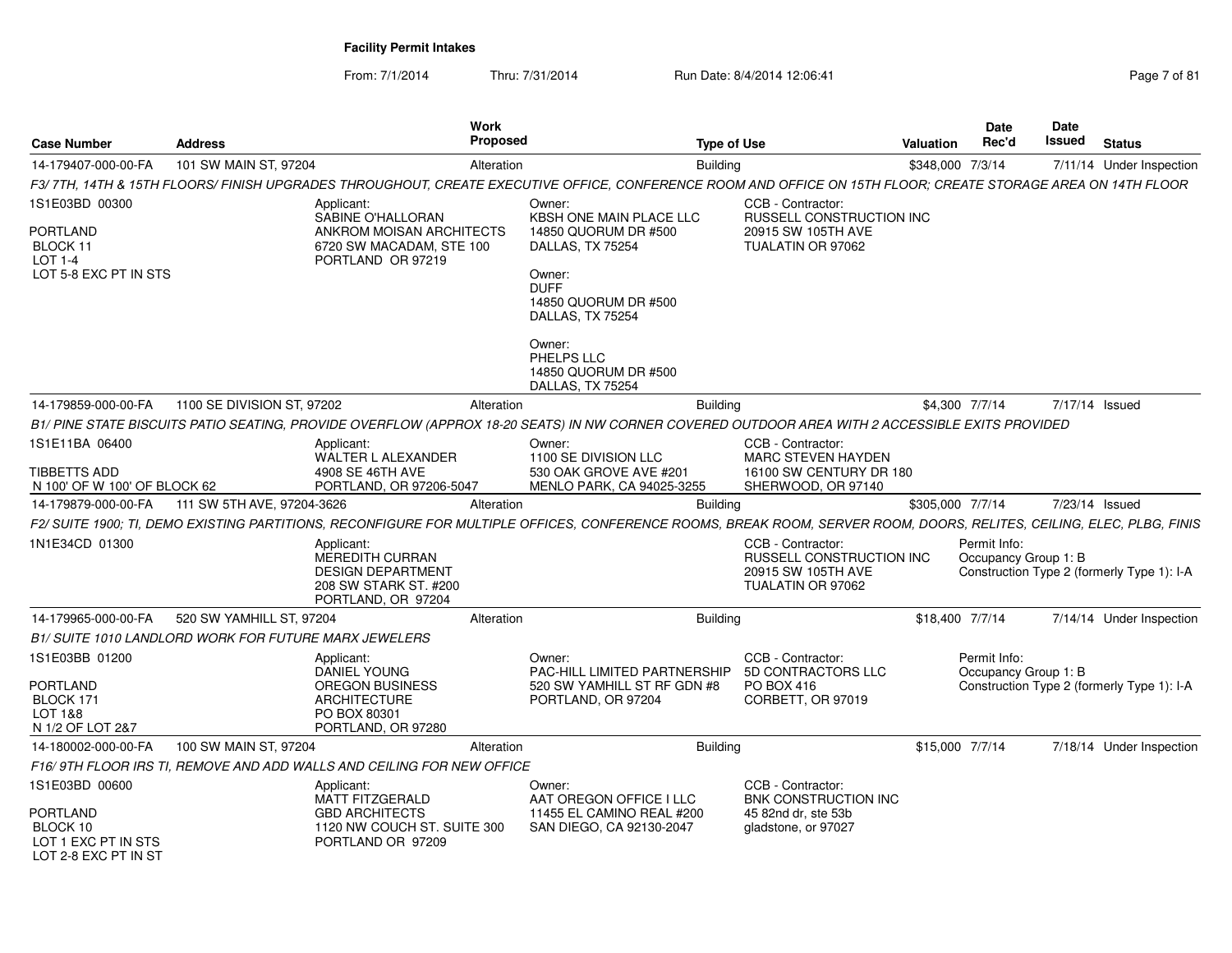From: 7/1/2014Thru: 7/31/2014 Run Date: 8/4/2014 12:06:41 Page 7 of 81

| <b>Case Number</b>                                                  | <b>Address</b>                                               |                                                                                                                 | <b>Work</b><br>Proposed |                                                                                                                                                                       | <b>Type of Use</b> |                                                                                                 | Valuation        | <b>Date</b><br>Rec'd                 | Date<br>Issued | <b>Status</b>                              |
|---------------------------------------------------------------------|--------------------------------------------------------------|-----------------------------------------------------------------------------------------------------------------|-------------------------|-----------------------------------------------------------------------------------------------------------------------------------------------------------------------|--------------------|-------------------------------------------------------------------------------------------------|------------------|--------------------------------------|----------------|--------------------------------------------|
| 14-179407-000-00-FA                                                 | 101 SW MAIN ST, 97204                                        |                                                                                                                 | Alteration              |                                                                                                                                                                       | <b>Building</b>    |                                                                                                 | \$348,000 7/3/14 |                                      |                | 7/11/14 Under Inspection                   |
|                                                                     |                                                              |                                                                                                                 |                         | F3/7TH, 14TH & 15TH FLOORS/FINISH UPGRADES THROUGHOUT, CREATE EXECUTIVE OFFICE, CONFERENCE ROOM AND OFFICE ON 15TH FLOOR; CREATE STORAGE AREA ON 14TH FLOOR           |                    |                                                                                                 |                  |                                      |                |                                            |
| 1S1E03BD 00300<br>PORTLAND                                          |                                                              | Applicant:<br>SABINE O'HALLORAN<br>ANKROM MOISAN ARCHITECTS                                                     |                         | Owner:<br>KBSH ONE MAIN PLACE LLC<br>14850 QUORUM DR #500                                                                                                             |                    | CCB - Contractor:<br>RUSSELL CONSTRUCTION INC<br>20915 SW 105TH AVE                             |                  |                                      |                |                                            |
| BLOCK 11<br><b>LOT 1-4</b><br>LOT 5-8 EXC PT IN STS                 |                                                              | 6720 SW MACADAM, STE 100<br>PORTLAND OR 97219                                                                   |                         | DALLAS, TX 75254<br>Owner:<br><b>DUFF</b><br>14850 QUORUM DR #500<br>DALLAS, TX 75254                                                                                 |                    | TUALATIN OR 97062                                                                               |                  |                                      |                |                                            |
|                                                                     |                                                              |                                                                                                                 |                         | Owner:<br>PHELPS LLC<br>14850 QUORUM DR #500<br>DALLAS, TX 75254                                                                                                      |                    |                                                                                                 |                  |                                      |                |                                            |
| 14-179859-000-00-FA                                                 | 1100 SE DIVISION ST, 97202                                   |                                                                                                                 | Alteration              |                                                                                                                                                                       | <b>Building</b>    |                                                                                                 | \$4,300 7/7/14   |                                      | 7/17/14 Issued |                                            |
|                                                                     |                                                              |                                                                                                                 |                         | B1/ PINE STATE BISCUITS PATIO SEATING, PROVIDE OVERFLOW (APPROX 18-20 SEATS) IN NW CORNER COVERED OUTDOOR AREA WITH 2 ACCESSIBLE EXITS PROVIDED                       |                    |                                                                                                 |                  |                                      |                |                                            |
| 1S1E11BA 06400<br>TIBBETTS ADD<br>N 100' OF W 100' OF BLOCK 62      |                                                              | Applicant:<br>WALTER L ALEXANDER<br>4908 SE 46TH AVE<br>PORTLAND, OR 97206-5047                                 |                         | Owner:<br>1100 SE DIVISION LLC<br>530 OAK GROVE AVE #201<br>MENLO PARK, CA 94025-3255                                                                                 |                    | CCB - Contractor:<br><b>MARC STEVEN HAYDEN</b><br>16100 SW CENTURY DR 180<br>SHERWOOD, OR 97140 |                  |                                      |                |                                            |
| 14-179879-000-00-FA                                                 | 111 SW 5TH AVE, 97204-3626                                   |                                                                                                                 | Alteration              |                                                                                                                                                                       | <b>Building</b>    |                                                                                                 | \$305,000 7/7/14 |                                      | 7/23/14 Issued |                                            |
|                                                                     |                                                              |                                                                                                                 |                         | F2/ SUITE 1900; TI, DEMO EXISTING PARTITIONS, RECONFIGURE FOR MULTIPLE OFFICES, CONFERENCE ROOMS, BREAK ROOM, SERVER ROOM, DOORS, RELITES, CEILING, ELEC, PLBG, FINIS |                    |                                                                                                 |                  |                                      |                |                                            |
| 1N1E34CD 01300                                                      |                                                              | Applicant:<br><b>MEREDITH CURRAN</b><br><b>DESIGN DEPARTMENT</b><br>208 SW STARK ST. #200<br>PORTLAND, OR 97204 |                         |                                                                                                                                                                       |                    | CCB - Contractor:<br>RUSSELL CONSTRUCTION INC<br>20915 SW 105TH AVE<br>TUALATIN OR 97062        |                  | Permit Info:<br>Occupancy Group 1: B |                | Construction Type 2 (formerly Type 1): I-A |
| 14-179965-000-00-FA                                                 | 520 SW YAMHILL ST, 97204                                     |                                                                                                                 | Alteration              |                                                                                                                                                                       | <b>Building</b>    |                                                                                                 | \$18,400 7/7/14  |                                      |                | 7/14/14 Under Inspection                   |
|                                                                     | <b>B1/ SUITE 1010 LANDLORD WORK FOR FUTURE MARX JEWELERS</b> |                                                                                                                 |                         |                                                                                                                                                                       |                    |                                                                                                 |                  |                                      |                |                                            |
| 1S1E03BB 01200<br>PORTLAND<br>BLOCK 171<br>LOT 1&8                  |                                                              | Applicant:<br><b>DANIEL YOUNG</b><br><b>OREGON BUSINESS</b><br><b>ARCHITECTURE</b><br>PO BOX 80301              |                         | Owner:<br><b>PAC-HILL LIMITED PARTNERSHIP</b><br>520 SW YAMHILL ST RF GDN #8<br>PORTLAND, OR 97204                                                                    |                    | CCB - Contractor:<br>5D CONTRACTORS LLC<br>PO BOX 416<br>CORBETT, OR 97019                      |                  | Permit Info:<br>Occupancy Group 1: B |                | Construction Type 2 (formerly Type 1): I-A |
| N 1/2 OF LOT 2&7                                                    |                                                              | PORTLAND, OR 97280                                                                                              |                         |                                                                                                                                                                       |                    |                                                                                                 |                  |                                      |                |                                            |
| 14-180002-000-00-FA                                                 | 100 SW MAIN ST, 97204                                        | F16/9TH FLOOR IRS TI, REMOVE AND ADD WALLS AND CEILING FOR NEW OFFICE                                           | Alteration              |                                                                                                                                                                       | <b>Building</b>    |                                                                                                 | \$15,000 7/7/14  |                                      |                | 7/18/14 Under Inspection                   |
| 1S1E03BD 00600                                                      |                                                              | Applicant:                                                                                                      |                         | Owner:                                                                                                                                                                |                    | CCB - Contractor:                                                                               |                  |                                      |                |                                            |
| PORTLAND<br>BLOCK 10<br>LOT 1 EXC PT IN STS<br>LOT 2-8 EXC PT IN ST |                                                              | <b>MATT FITZGERALD</b><br><b>GBD ARCHITECTS</b><br>1120 NW COUCH ST. SUITE 300<br>PORTLAND OR 97209             |                         | AAT OREGON OFFICE I LLC<br>11455 EL CAMINO REAL #200<br>SAN DIEGO, CA 92130-2047                                                                                      |                    | <b>BNK CONSTRUCTION INC</b><br>45 82nd dr, ste 53b<br>gladstone, or 97027                       |                  |                                      |                |                                            |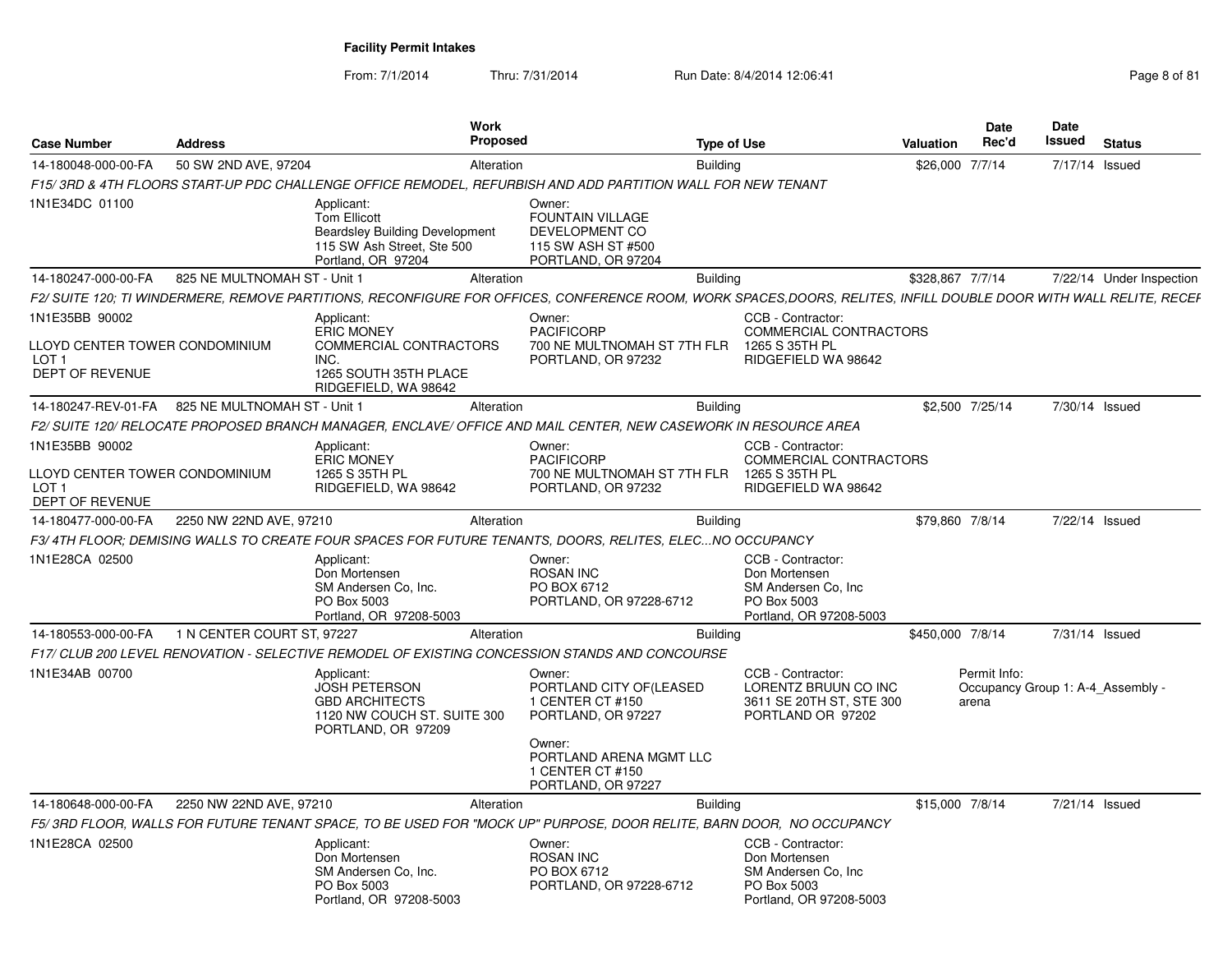From: 7/1/2014Thru: 7/31/2014 Run Date: 8/4/2014 12:06:41 Page 8 of 81

| <b>Case Number</b>                                                    | <b>Address</b>               | Work<br><b>Proposed</b>                                                                                                                                           |                                                                                                 | <b>Type of Use</b>                                                                                   | Valuation        | Date<br>Rec'd                                              | Date<br>Issued | <b>Status</b>            |
|-----------------------------------------------------------------------|------------------------------|-------------------------------------------------------------------------------------------------------------------------------------------------------------------|-------------------------------------------------------------------------------------------------|------------------------------------------------------------------------------------------------------|------------------|------------------------------------------------------------|----------------|--------------------------|
| 14-180048-000-00-FA                                                   | 50 SW 2ND AVE, 97204         | Alteration                                                                                                                                                        |                                                                                                 | <b>Building</b>                                                                                      | \$26,000 7/7/14  |                                                            | 7/17/14 Issued |                          |
|                                                                       |                              | F15/3RD & 4TH FLOORS START-UP PDC CHALLENGE OFFICE REMODEL, REFURBISH AND ADD PARTITION WALL FOR NEW TENANT                                                       |                                                                                                 |                                                                                                      |                  |                                                            |                |                          |
| 1N1E34DC 01100                                                        |                              | Applicant:<br><b>Tom Ellicott</b><br><b>Beardsley Building Development</b><br>115 SW Ash Street, Ste 500<br>Portland, OR 97204                                    | Owner:<br><b>FOUNTAIN VILLAGE</b><br>DEVELOPMENT CO<br>115 SW ASH ST #500<br>PORTLAND, OR 97204 |                                                                                                      |                  |                                                            |                |                          |
| 14-180247-000-00-FA                                                   | 825 NE MULTNOMAH ST - Unit 1 | Alteration                                                                                                                                                        |                                                                                                 | <b>Building</b>                                                                                      | \$328,867 7/7/14 |                                                            |                | 7/22/14 Under Inspection |
|                                                                       |                              | F2/ SUITE 120; TI WINDERMERE, REMOVE PARTITIONS, RECONFIGURE FOR OFFICES, CONFERENCE ROOM, WORK SPACES,DOORS, RELITES, INFILL DOUBLE DOOR WITH WALL RELITE, RECEF |                                                                                                 |                                                                                                      |                  |                                                            |                |                          |
| 1N1E35BB 90002                                                        |                              | Applicant:<br><b>ERIC MONEY</b>                                                                                                                                   | Owner:<br><b>PACIFICORP</b>                                                                     | CCB - Contractor:<br>COMMERCIAL CONTRACTORS                                                          |                  |                                                            |                |                          |
| LLOYD CENTER TOWER CONDOMINIUM<br>LOT <sub>1</sub><br>DEPT OF REVENUE |                              | <b>COMMERCIAL CONTRACTORS</b><br>INC.<br>1265 SOUTH 35TH PLACE<br>RIDGEFIELD, WA 98642                                                                            | 700 NE MULTNOMAH ST 7TH FLR<br>PORTLAND, OR 97232                                               | 1265 S 35TH PL<br>RIDGEFIELD WA 98642                                                                |                  |                                                            |                |                          |
| 14-180247-REV-01-FA                                                   | 825 NE MULTNOMAH ST - Unit 1 | Alteration                                                                                                                                                        |                                                                                                 | <b>Building</b>                                                                                      | \$2,500 7/25/14  |                                                            | 7/30/14 Issued |                          |
|                                                                       |                              | F2/ SUITE 120/ RELOCATE PROPOSED BRANCH MANAGER, ENCLAVE/ OFFICE AND MAIL CENTER, NEW CASEWORK IN RESOURCE AREA                                                   |                                                                                                 |                                                                                                      |                  |                                                            |                |                          |
| 1N1E35BB 90002                                                        |                              | Applicant:<br><b>ERIC MONEY</b>                                                                                                                                   | Owner:<br><b>PACIFICORP</b>                                                                     | CCB - Contractor:<br>COMMERCIAL CONTRACTORS                                                          |                  |                                                            |                |                          |
| LLOYD CENTER TOWER CONDOMINIUM<br>LOT <sub>1</sub><br>DEPT OF REVENUE |                              | 1265 S 35TH PL<br>RIDGEFIELD, WA 98642                                                                                                                            | 700 NE MULTNOMAH ST 7TH FLR<br>PORTLAND, OR 97232                                               | 1265 S 35TH PL<br>RIDGEFIELD WA 98642                                                                |                  |                                                            |                |                          |
| 14-180477-000-00-FA                                                   | 2250 NW 22ND AVE, 97210      | Alteration                                                                                                                                                        |                                                                                                 | <b>Building</b>                                                                                      | \$79.860 7/8/14  |                                                            | 7/22/14 Issued |                          |
|                                                                       |                              | F3/4TH FLOOR: DEMISING WALLS TO CREATE FOUR SPACES FOR FUTURE TENANTS, DOORS, RELITES, ELECNO OCCUPANCY                                                           |                                                                                                 |                                                                                                      |                  |                                                            |                |                          |
| 1N1E28CA 02500                                                        |                              | Applicant:<br>Don Mortensen<br>SM Andersen Co. Inc.<br>PO Box 5003<br>Portland, OR 97208-5003                                                                     | Owner:<br><b>ROSAN INC</b><br>PO BOX 6712<br>PORTLAND, OR 97228-6712                            | CCB - Contractor:<br>Don Mortensen<br>SM Andersen Co. Inc.<br>PO Box 5003<br>Portland, OR 97208-5003 |                  |                                                            |                |                          |
| 14-180553-000-00-FA                                                   | 1 N CENTER COURT ST, 97227   | Alteration                                                                                                                                                        |                                                                                                 | <b>Building</b>                                                                                      | \$450,000 7/8/14 |                                                            | 7/31/14 Issued |                          |
|                                                                       |                              | F17/ CLUB 200 LEVEL RENOVATION - SELECTIVE REMODEL OF EXISTING CONCESSION STANDS AND CONCOURSE                                                                    |                                                                                                 |                                                                                                      |                  |                                                            |                |                          |
| 1N1E34AB 00700                                                        |                              | Applicant:<br><b>JOSH PETERSON</b><br><b>GBD ARCHITECTS</b><br>1120 NW COUCH ST. SUITE 300<br>PORTLAND, OR 97209                                                  | Owner:<br>PORTLAND CITY OF(LEASED<br>1 CENTER CT #150<br>PORTLAND, OR 97227                     | CCB - Contractor:<br>LORENTZ BRUUN CO INC<br>3611 SE 20TH ST, STE 300<br>PORTLAND OR 97202           |                  | Permit Info:<br>Occupancy Group 1: A-4 Assembly -<br>arena |                |                          |
|                                                                       |                              |                                                                                                                                                                   | Owner:<br>PORTLAND ARENA MGMT LLC<br>1 CENTER CT #150<br>PORTLAND, OR 97227                     |                                                                                                      |                  |                                                            |                |                          |
| 14-180648-000-00-FA                                                   | 2250 NW 22ND AVE, 97210      | Alteration                                                                                                                                                        |                                                                                                 | Building                                                                                             | \$15,000 7/8/14  |                                                            | 7/21/14 Issued |                          |
|                                                                       |                              | F5/3RD FLOOR, WALLS FOR FUTURE TENANT SPACE, TO BE USED FOR "MOCK UP" PURPOSE, DOOR RELITE, BARN DOOR, NO OCCUPANCY                                               |                                                                                                 |                                                                                                      |                  |                                                            |                |                          |
| 1N1E28CA 02500                                                        |                              | Applicant:<br>Don Mortensen<br>SM Andersen Co. Inc.<br>PO Box 5003<br>Portland, OR 97208-5003                                                                     | Owner:<br><b>ROSAN INC</b><br>PO BOX 6712<br>PORTLAND, OR 97228-6712                            | CCB - Contractor:<br>Don Mortensen<br>SM Andersen Co, Inc.<br>PO Box 5003<br>Portland, OR 97208-5003 |                  |                                                            |                |                          |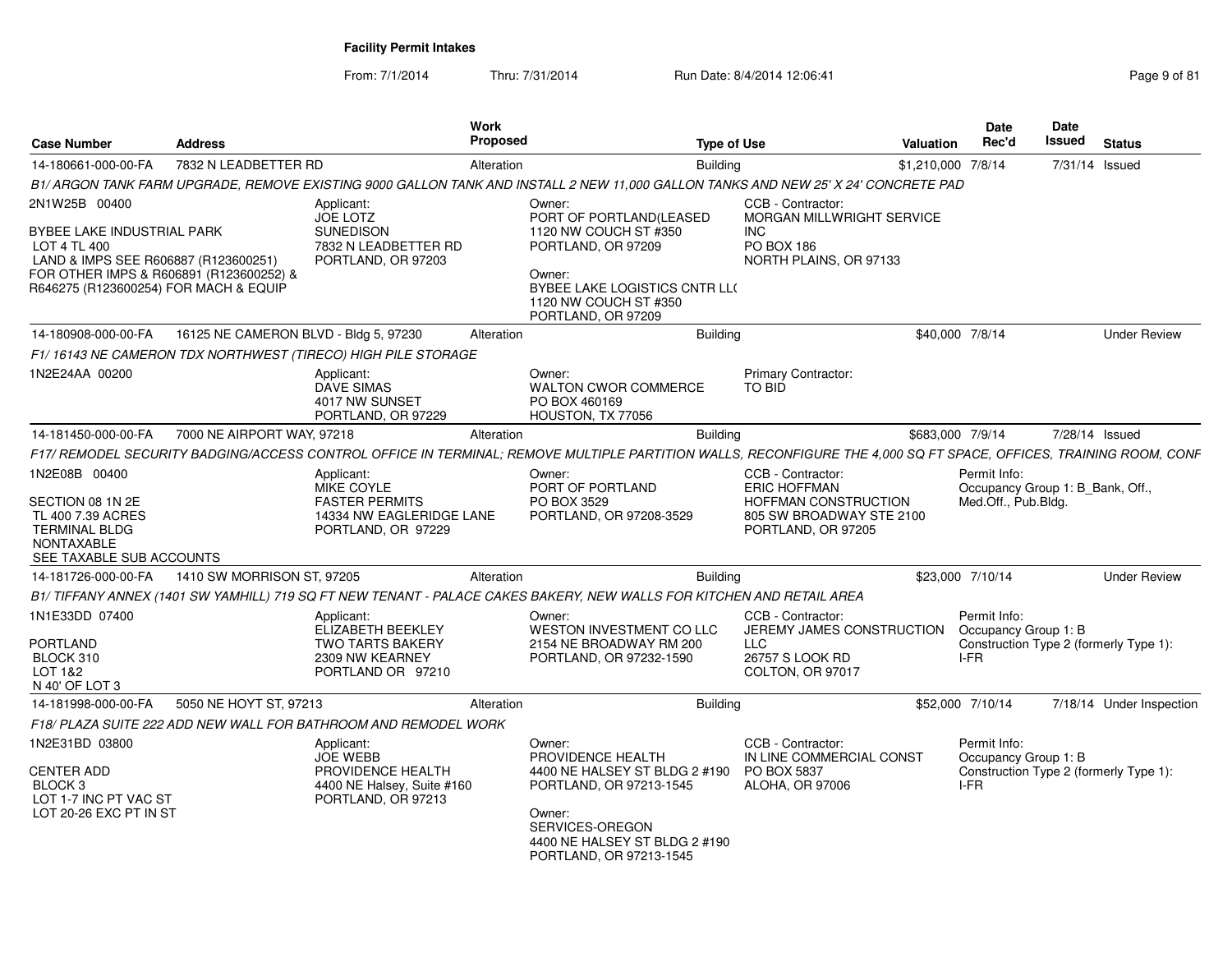From: 7/1/2014Thru: 7/31/2014 Run Date: 8/4/2014 12:06:41 Research 2010 Rage 9 of 81

| <b>Case Number</b>                                                                                                                                                                      | <b>Address</b>                        |                                                                                                            | Work<br><b>Proposed</b> | <b>Type of Use</b>                                                                                                                                                                           |                                                                                                                           | <b>Valuation</b>   | Date<br>Rec'd                       | Date<br><b>Issued</b>            | <b>Status</b>                          |
|-----------------------------------------------------------------------------------------------------------------------------------------------------------------------------------------|---------------------------------------|------------------------------------------------------------------------------------------------------------|-------------------------|----------------------------------------------------------------------------------------------------------------------------------------------------------------------------------------------|---------------------------------------------------------------------------------------------------------------------------|--------------------|-------------------------------------|----------------------------------|----------------------------------------|
| 14-180661-000-00-FA                                                                                                                                                                     | 7832 N LEADBETTER RD                  |                                                                                                            | Alteration              | <b>Building</b>                                                                                                                                                                              |                                                                                                                           | \$1,210,000 7/8/14 |                                     |                                  | 7/31/14 Issued                         |
|                                                                                                                                                                                         |                                       |                                                                                                            |                         | B1/ ARGON TANK FARM UPGRADE. REMOVE EXISTING 9000 GALLON TANK AND INSTALL 2 NEW 11.000 GALLON TANKS AND NEW 25' X 24' CONCRETE PAD                                                           |                                                                                                                           |                    |                                     |                                  |                                        |
| 2N1W25B 00400<br>BYBEE LAKE INDUSTRIAL PARK<br>LOT 4 TL 400<br>LAND & IMPS SEE R606887 (R123600251)<br>FOR OTHER IMPS & R606891 (R123600252) &<br>R646275 (R123600254) FOR MACH & EQUIP |                                       | Applicant:<br><b>JOE LOTZ</b><br><b>SUNEDISON</b><br>7832 N LEADBETTER RD<br>PORTLAND, OR 97203            |                         | Owner:<br>PORT OF PORTLAND(LEASED<br>1120 NW COUCH ST #350<br>PORTLAND, OR 97209<br>Owner:<br>BYBEE LAKE LOGISTICS CNTR LL(<br>1120 NW COUCH ST #350                                         | CCB - Contractor:<br>MORGAN MILLWRIGHT SERVICE<br><b>INC</b><br>PO BOX 186<br>NORTH PLAINS, OR 97133                      |                    |                                     |                                  |                                        |
| 14-180908-000-00-FA                                                                                                                                                                     | 16125 NE CAMERON BLVD - Bldg 5, 97230 |                                                                                                            | Alteration              | PORTLAND, OR 97209<br><b>Building</b>                                                                                                                                                        |                                                                                                                           | \$40,000 7/8/14    |                                     |                                  | <b>Under Review</b>                    |
|                                                                                                                                                                                         |                                       | F1/16143 NE CAMERON TDX NORTHWEST (TIRECO) HIGH PILE STORAGE                                               |                         |                                                                                                                                                                                              |                                                                                                                           |                    |                                     |                                  |                                        |
| 1N2E24AA 00200                                                                                                                                                                          |                                       | Applicant:<br><b>DAVE SIMAS</b><br>4017 NW SUNSET<br>PORTLAND, OR 97229                                    |                         | Owner:<br><b>WALTON CWOR COMMERCE</b><br>PO BOX 460169<br>HOUSTON, TX 77056                                                                                                                  | Primary Contractor:<br>TO BID                                                                                             |                    |                                     |                                  |                                        |
| 14-181450-000-00-FA                                                                                                                                                                     | 7000 NE AIRPORT WAY, 97218            |                                                                                                            | Alteration              | Building                                                                                                                                                                                     |                                                                                                                           | \$683,000 7/9/14   |                                     |                                  | 7/28/14 Issued                         |
|                                                                                                                                                                                         |                                       |                                                                                                            |                         | F17/ REMODEL SECURITY BADGING/ACCESS CONTROL OFFICE IN TERMINAL: REMOVE MULTIPLE PARTITION WALLS. RECONFIGURE THE 4.000 SQ FT SPACE. OFFICES. TRAINING ROOM. CONF                            |                                                                                                                           |                    |                                     |                                  |                                        |
| 1N2E08B 00400<br>SECTION 08 1N 2E<br>TL 400 7.39 ACRES<br><b>TERMINAL BLDG</b><br><b>NONTAXABLE</b><br>SEE TAXABLE SUB ACCOUNTS                                                         |                                       | Applicant:<br><b>MIKE COYLE</b><br><b>FASTER PERMITS</b><br>14334 NW EAGLERIDGE LANE<br>PORTLAND, OR 97229 |                         | Owner:<br>PORT OF PORTLAND<br>PO BOX 3529<br>PORTLAND, OR 97208-3529                                                                                                                         | CCB - Contractor:<br><b>ERIC HOFFMAN</b><br><b>HOFFMAN CONSTRUCTION</b><br>805 SW BROADWAY STE 2100<br>PORTLAND, OR 97205 |                    | Permit Info:<br>Med.Off., Pub.Bldg. | Occupancy Group 1: B Bank, Off., |                                        |
| 14-181726-000-00-FA                                                                                                                                                                     | 1410 SW MORRISON ST. 97205            |                                                                                                            | Alteration              | <b>Building</b>                                                                                                                                                                              |                                                                                                                           | \$23,000 7/10/14   |                                     |                                  | <b>Under Review</b>                    |
|                                                                                                                                                                                         |                                       |                                                                                                            |                         | B1/TIFFANY ANNEX (1401 SW YAMHILL) 719 SQ FT NEW TENANT - PALACE CAKES BAKERY, NEW WALLS FOR KITCHEN AND RETAIL AREA                                                                         |                                                                                                                           |                    |                                     |                                  |                                        |
| 1N1E33DD 07400<br>PORTLAND<br>BLOCK 310<br>LOT 1&2<br>N 40' OF LOT 3                                                                                                                    |                                       | Applicant:<br>ELIZABETH BEEKLEY<br><b>TWO TARTS BAKERY</b><br>2309 NW KEARNEY<br>PORTLAND OR 97210         |                         | Owner:<br>WESTON INVESTMENT CO LLC<br>2154 NE BROADWAY RM 200<br>PORTLAND, OR 97232-1590                                                                                                     | CCB - Contractor:<br>JEREMY JAMES CONSTRUCTION<br>LLC<br>26757 S LOOK RD<br>COLTON, OR 97017                              |                    | Permit Info:<br>I-FR                | Occupancy Group 1: B             | Construction Type 2 (formerly Type 1): |
| 14-181998-000-00-FA                                                                                                                                                                     | 5050 NE HOYT ST, 97213                |                                                                                                            | Alteration              | <b>Building</b>                                                                                                                                                                              |                                                                                                                           | \$52,000 7/10/14   |                                     |                                  | 7/18/14 Under Inspection               |
|                                                                                                                                                                                         |                                       | F18/ PLAZA SUITE 222 ADD NEW WALL FOR BATHROOM AND REMODEL WORK                                            |                         |                                                                                                                                                                                              |                                                                                                                           |                    |                                     |                                  |                                        |
| 1N2E31BD 03800<br><b>CENTER ADD</b><br>BLOCK <sub>3</sub><br>LOT 1-7 INC PT VAC ST<br>LOT 20-26 EXC PT IN ST                                                                            |                                       | Applicant:<br><b>JOE WEBB</b><br>PROVIDENCE HEALTH<br>4400 NE Halsey, Suite #160<br>PORTLAND, OR 97213     |                         | Owner:<br>PROVIDENCE HEALTH<br>4400 NE HALSEY ST BLDG 2 #190 PO BOX 5837<br>PORTLAND, OR 97213-1545<br>Owner:<br>SERVICES-OREGON<br>4400 NE HALSEY ST BLDG 2 #190<br>PORTLAND, OR 97213-1545 | CCB - Contractor:<br>IN LINE COMMERCIAL CONST<br><b>ALOHA, OR 97006</b>                                                   |                    | Permit Info:<br>I-FR                | Occupancy Group 1: B             | Construction Type 2 (formerly Type 1): |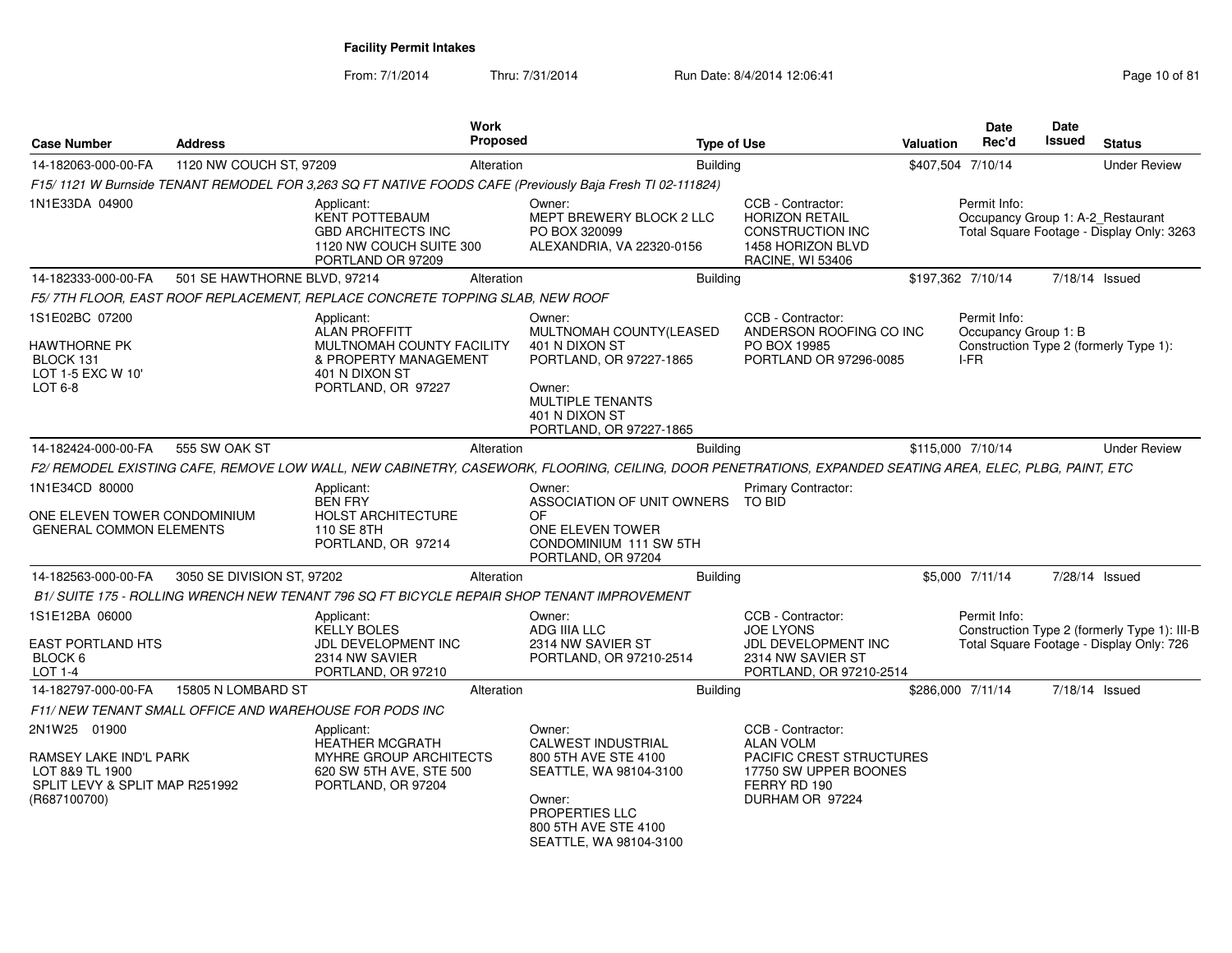From: 7/1/2014Thru: 7/31/2014 Run Date: 8/4/2014 12:06:41 Page 10 of 81

| <b>Case Number</b>                                                                                          | <b>Address</b>                                          | Work<br><b>Proposed</b>                                                                                                                                  | <b>Type of Use</b>                                                                                                                                               |                                                                                                                               | <b>Valuation</b> | Date<br>Rec'd                                     | Date<br><b>Issued</b> | <b>Status</b>                                                                            |
|-------------------------------------------------------------------------------------------------------------|---------------------------------------------------------|----------------------------------------------------------------------------------------------------------------------------------------------------------|------------------------------------------------------------------------------------------------------------------------------------------------------------------|-------------------------------------------------------------------------------------------------------------------------------|------------------|---------------------------------------------------|-----------------------|------------------------------------------------------------------------------------------|
| 14-182063-000-00-FA                                                                                         | 1120 NW COUCH ST, 97209                                 | Alteration                                                                                                                                               | <b>Building</b>                                                                                                                                                  |                                                                                                                               |                  | \$407,504 7/10/14                                 |                       | <b>Under Review</b>                                                                      |
|                                                                                                             |                                                         | F15/1121 W Burnside TENANT REMODEL FOR 3,263 SQ FT NATIVE FOODS CAFE (Previously Baja Fresh TI 02-111824)                                                |                                                                                                                                                                  |                                                                                                                               |                  |                                                   |                       |                                                                                          |
| 1N1E33DA 04900                                                                                              |                                                         | Applicant:<br><b>KENT POTTEBAUM</b><br><b>GBD ARCHITECTS INC</b><br>1120 NW COUCH SUITE 300<br>PORTLAND OR 97209                                         | Owner:<br>MEPT BREWERY BLOCK 2 LLC<br>PO BOX 320099<br>ALEXANDRIA, VA 22320-0156                                                                                 | CCB - Contractor:<br><b>HORIZON RETAIL</b><br><b>CONSTRUCTION INC</b><br>1458 HORIZON BLVD<br><b>RACINE, WI 53406</b>         |                  | Permit Info:<br>Occupancy Group 1: A-2_Restaurant |                       | Total Square Footage - Display Only: 3263                                                |
| 14-182333-000-00-FA                                                                                         | 501 SE HAWTHORNE BLVD, 97214                            | Alteration                                                                                                                                               | <b>Building</b>                                                                                                                                                  |                                                                                                                               |                  | \$197,362 7/10/14                                 |                       | 7/18/14 Issued                                                                           |
|                                                                                                             |                                                         | F5/ 7TH FLOOR, EAST ROOF REPLACEMENT, REPLACE CONCRETE TOPPING SLAB, NEW ROOF                                                                            |                                                                                                                                                                  |                                                                                                                               |                  |                                                   |                       |                                                                                          |
| 1S1E02BC 07200<br>HAWTHORNE PK<br>BLOCK 131<br>LOT 1-5 EXC W 10'<br>LOT 6-8                                 |                                                         | Applicant:<br><b>ALAN PROFFITT</b><br>MULTNOMAH COUNTY FACILITY<br>& PROPERTY MANAGEMENT<br>401 N DIXON ST<br>PORTLAND, OR 97227                         | Owner:<br>MULTNOMAH COUNTY(LEASED<br>401 N DIXON ST<br>PORTLAND, OR 97227-1865<br>Owner:<br><b>MULTIPLE TENANTS</b><br>401 N DIXON ST<br>PORTLAND, OR 97227-1865 | CCB - Contractor:<br>ANDERSON ROOFING CO INC<br>PO BOX 19985<br>PORTLAND OR 97296-0085                                        |                  | Permit Info:<br>Occupancy Group 1: B<br>I-FR      |                       | Construction Type 2 (formerly Type 1):                                                   |
| 14-182424-000-00-FA                                                                                         | 555 SW OAK ST                                           | Alteration                                                                                                                                               | Building                                                                                                                                                         |                                                                                                                               |                  | \$115,000 7/10/14                                 |                       | <b>Under Review</b>                                                                      |
|                                                                                                             |                                                         | F2/ REMODEL EXISTING CAFE, REMOVE LOW WALL, NEW CABINETRY, CASEWORK, FLOORING, CEILING, DOOR PENETRATIONS, EXPANDED SEATING AREA, ELEC, PLBG, PAINT, ETC |                                                                                                                                                                  |                                                                                                                               |                  |                                                   |                       |                                                                                          |
| 1N1E34CD 80000<br>ONE ELEVEN TOWER CONDOMINIUM<br><b>GENERAL COMMON ELEMENTS</b>                            |                                                         | Applicant:<br><b>BEN FRY</b><br><b>HOLST ARCHITECTURE</b><br>110 SE 8TH<br>PORTLAND, OR 97214                                                            | Owner:<br>ASSOCIATION OF UNIT OWNERS<br>OF<br>ONE ELEVEN TOWER<br>CONDOMINIUM 111 SW 5TH<br>PORTLAND, OR 97204                                                   | Primary Contractor:<br>TO BID                                                                                                 |                  |                                                   |                       |                                                                                          |
| 14-182563-000-00-FA                                                                                         | 3050 SE DIVISION ST, 97202                              | Alteration                                                                                                                                               | <b>Building</b>                                                                                                                                                  |                                                                                                                               |                  | \$5,000 7/11/14                                   |                       | 7/28/14 Issued                                                                           |
|                                                                                                             |                                                         | B1/ SUITE 175 - ROLLING WRENCH NEW TENANT 796 SQ FT BICYCLE REPAIR SHOP TENANT IMPROVEMENT                                                               |                                                                                                                                                                  |                                                                                                                               |                  |                                                   |                       |                                                                                          |
| 1S1E12BA 06000<br><b>EAST PORTLAND HTS</b><br>BLOCK 6<br>LOT 1-4                                            |                                                         | Applicant:<br><b>KELLY BOLES</b><br>JDL DEVELOPMENT INC<br>2314 NW SAVIER<br>PORTLAND, OR 97210                                                          | Owner:<br>ADG IIIA LLC<br>2314 NW SAVIER ST<br>PORTLAND, OR 97210-2514                                                                                           | CCB - Contractor:<br><b>JOE LYONS</b><br>JDL DEVELOPMENT INC<br>2314 NW SAVIER ST<br>PORTLAND, OR 97210-2514                  |                  | Permit Info:                                      |                       | Construction Type 2 (formerly Type 1): III-B<br>Total Square Footage - Display Only: 726 |
| 14-182797-000-00-FA                                                                                         | 15805 N LOMBARD ST                                      | Alteration                                                                                                                                               | <b>Building</b>                                                                                                                                                  |                                                                                                                               |                  | \$286,000 7/11/14                                 |                       | 7/18/14 Issued                                                                           |
|                                                                                                             | F11/ NEW TENANT SMALL OFFICE AND WAREHOUSE FOR PODS INC |                                                                                                                                                          |                                                                                                                                                                  |                                                                                                                               |                  |                                                   |                       |                                                                                          |
| 2N1W25 01900<br>RAMSEY LAKE IND'L PARK<br>LOT 8&9 TL 1900<br>SPLIT LEVY & SPLIT MAP R251992<br>(R687100700) |                                                         | Applicant:<br><b>HEATHER MCGRATH</b><br><b>MYHRE GROUP ARCHITECTS</b><br>620 SW 5TH AVE, STE 500<br>PORTLAND, OR 97204                                   | Owner:<br>CALWEST INDUSTRIAL<br>800 5TH AVE STE 4100<br>SEATTLE, WA 98104-3100<br>Owner:<br>PROPERTIES LLC<br>800 5TH AVE STE 4100<br>SEATTLE, WA 98104-3100     | CCB - Contractor:<br><b>ALAN VOLM</b><br>PACIFIC CREST STRUCTURES<br>17750 SW UPPER BOONES<br>FERRY RD 190<br>DURHAM OR 97224 |                  |                                                   |                       |                                                                                          |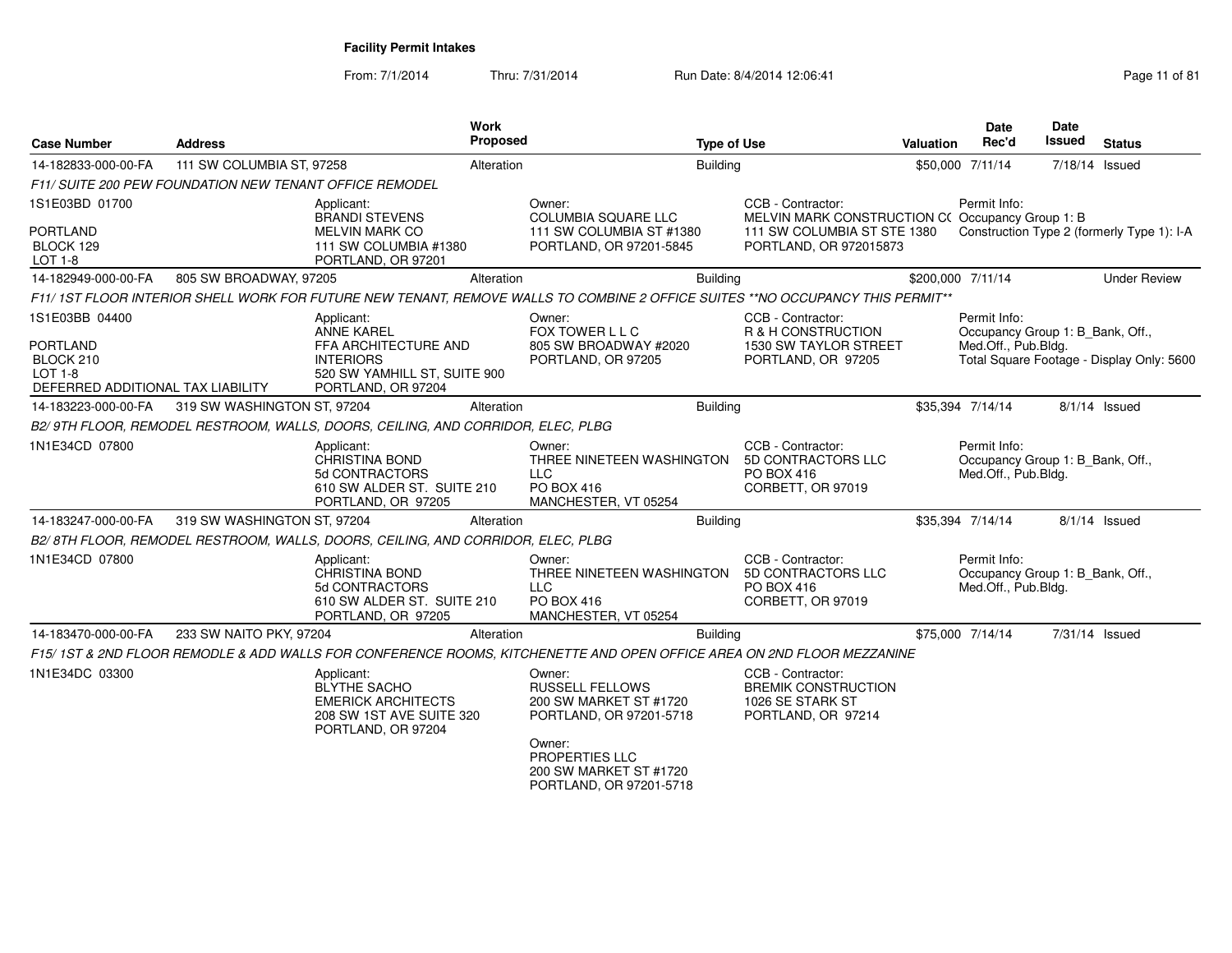From: 7/1/2014

| <b>Case Number</b>                                                                                    | <b>Address</b>                                          | Work<br><b>Proposed</b>                                                                                                           |                                                                                                | <b>Type of Use</b> |                                                                                                                                | <b>Valuation</b> | Date<br>Rec'd                                                           | Date<br><b>Issued</b> | <b>Status</b>                              |
|-------------------------------------------------------------------------------------------------------|---------------------------------------------------------|-----------------------------------------------------------------------------------------------------------------------------------|------------------------------------------------------------------------------------------------|--------------------|--------------------------------------------------------------------------------------------------------------------------------|------------------|-------------------------------------------------------------------------|-----------------------|--------------------------------------------|
| 14-182833-000-00-FA                                                                                   | 111 SW COLUMBIA ST, 97258                               | Alteration                                                                                                                        |                                                                                                | Building           |                                                                                                                                |                  | \$50,000 7/11/14                                                        | 7/18/14 Issued        |                                            |
|                                                                                                       | F11/ SUITE 200 PEW FOUNDATION NEW TENANT OFFICE REMODEL |                                                                                                                                   |                                                                                                |                    |                                                                                                                                |                  |                                                                         |                       |                                            |
| 1S1E03BD 01700<br><b>PORTLAND</b><br>BLOCK 129<br>LOT 1-8                                             |                                                         | Applicant:<br><b>BRANDI STEVENS</b><br><b>MELVIN MARK CO</b><br>111 SW COLUMBIA #1380<br>PORTLAND, OR 97201                       | Owner:<br>COLUMBIA SQUARE LLC<br>111 SW COLUMBIA ST #1380<br>PORTLAND, OR 97201-5845           |                    | CCB - Contractor:<br>MELVIN MARK CONSTRUCTION C(Occupancy Group 1: B)<br>111 SW COLUMBIA ST STE 1380<br>PORTLAND, OR 972015873 |                  | Permit Info:                                                            |                       | Construction Type 2 (formerly Type 1): I-A |
| 14-182949-000-00-FA                                                                                   | 805 SW BROADWAY, 97205                                  | Alteration                                                                                                                        |                                                                                                | <b>Building</b>    |                                                                                                                                |                  | \$200,000 7/11/14                                                       |                       | <b>Under Review</b>                        |
|                                                                                                       |                                                         | F11/1ST FLOOR INTERIOR SHELL WORK FOR FUTURE NEW TENANT, REMOVE WALLS TO COMBINE 2 OFFICE SUITES **NO OCCUPANCY THIS PERMIT**     |                                                                                                |                    |                                                                                                                                |                  |                                                                         |                       |                                            |
| 1S1E03BB 04400<br><b>PORTLAND</b><br>BLOCK 210<br><b>LOT 1-8</b><br>DEFERRED ADDITIONAL TAX LIABILITY |                                                         | Applicant:<br><b>ANNE KAREL</b><br>FFA ARCHITECTURE AND<br><b>INTERIORS</b><br>520 SW YAMHILL ST, SUITE 900<br>PORTLAND, OR 97204 | Owner:<br>FOX TOWER L L C<br>805 SW BROADWAY #2020<br>PORTLAND, OR 97205                       |                    | CCB - Contractor:<br>R & H CONSTRUCTION<br>1530 SW TAYLOR STREET<br>PORTLAND, OR 97205                                         |                  | Permit Info:<br>Occupancy Group 1: B Bank, Off.,<br>Med.Off., Pub.Bldg. |                       | Total Square Footage - Display Only: 5600  |
| 14-183223-000-00-FA                                                                                   | 319 SW WASHINGTON ST, 97204                             | Alteration                                                                                                                        |                                                                                                | Building           |                                                                                                                                |                  | \$35,394 7/14/14                                                        |                       | 8/1/14 Issued                              |
|                                                                                                       |                                                         | B2/9TH FLOOR, REMODEL RESTROOM, WALLS, DOORS, CEILING, AND CORRIDOR, ELEC, PLBG                                                   |                                                                                                |                    |                                                                                                                                |                  |                                                                         |                       |                                            |
| 1N1E34CD 07800                                                                                        |                                                         | Applicant:<br><b>CHRISTINA BOND</b><br>5d CONTRACTORS<br>610 SW ALDER ST. SUITE 210<br>PORTLAND, OR 97205                         | Owner:<br>THREE NINETEEN WASHINGTON<br><b>LLC</b><br>PO BOX 416<br>MANCHESTER, VT 05254        |                    | CCB - Contractor:<br>5D CONTRACTORS LLC<br>PO BOX 416<br>CORBETT, OR 97019                                                     |                  | Permit Info:<br>Occupancy Group 1: B_Bank, Off.,<br>Med.Off., Pub.Bldg. |                       |                                            |
| 14-183247-000-00-FA                                                                                   | 319 SW WASHINGTON ST, 97204                             | Alteration                                                                                                                        |                                                                                                | <b>Building</b>    |                                                                                                                                |                  | \$35,394 7/14/14                                                        |                       | $8/1/14$ Issued                            |
|                                                                                                       |                                                         | B2/8TH FLOOR, REMODEL RESTROOM, WALLS, DOORS, CEILING, AND CORRIDOR, ELEC, PLBG                                                   |                                                                                                |                    |                                                                                                                                |                  |                                                                         |                       |                                            |
| 1N1E34CD 07800                                                                                        |                                                         | Applicant:<br>CHRISTINA BOND<br>5d CONTRACTORS<br>610 SW ALDER ST. SUITE 210<br>PORTLAND, OR 97205                                | Owner:<br>THREE NINETEEN WASHINGTON<br><b>LLC</b><br><b>PO BOX 416</b><br>MANCHESTER, VT 05254 |                    | CCB - Contractor:<br>5D CONTRACTORS LLC<br>PO BOX 416<br>CORBETT, OR 97019                                                     |                  | Permit Info:<br>Occupancy Group 1: B_Bank, Off.,<br>Med.Off., Pub.Bldg. |                       |                                            |
| 14-183470-000-00-FA                                                                                   | 233 SW NAITO PKY, 97204                                 | Alteration                                                                                                                        |                                                                                                | Building           |                                                                                                                                |                  | \$75,000 7/14/14                                                        | 7/31/14 Issued        |                                            |
|                                                                                                       |                                                         | F15/1ST & 2ND FLOOR REMODLE & ADD WALLS FOR CONFERENCE ROOMS, KITCHENETTE AND OPEN OFFICE AREA ON 2ND FLOOR MEZZANINE             |                                                                                                |                    |                                                                                                                                |                  |                                                                         |                       |                                            |
| 1N1E34DC 03300                                                                                        |                                                         | Applicant:<br>BLYTHE SACHO<br><b>EMERICK ARCHITECTS</b><br>208 SW 1ST AVE SUITE 320<br>PORTLAND, OR 97204                         | Owner:<br><b>RUSSELL FELLOWS</b><br>200 SW MARKET ST #1720<br>PORTLAND, OR 97201-5718          |                    | CCB - Contractor:<br><b>BREMIK CONSTRUCTION</b><br>1026 SE STARK ST<br>PORTLAND, OR 97214                                      |                  |                                                                         |                       |                                            |
|                                                                                                       |                                                         |                                                                                                                                   | Owner:<br>PROPERTIES LLC<br>200 SW MARKET ST #1720<br>PORTLAND, OR 97201-5718                  |                    |                                                                                                                                |                  |                                                                         |                       |                                            |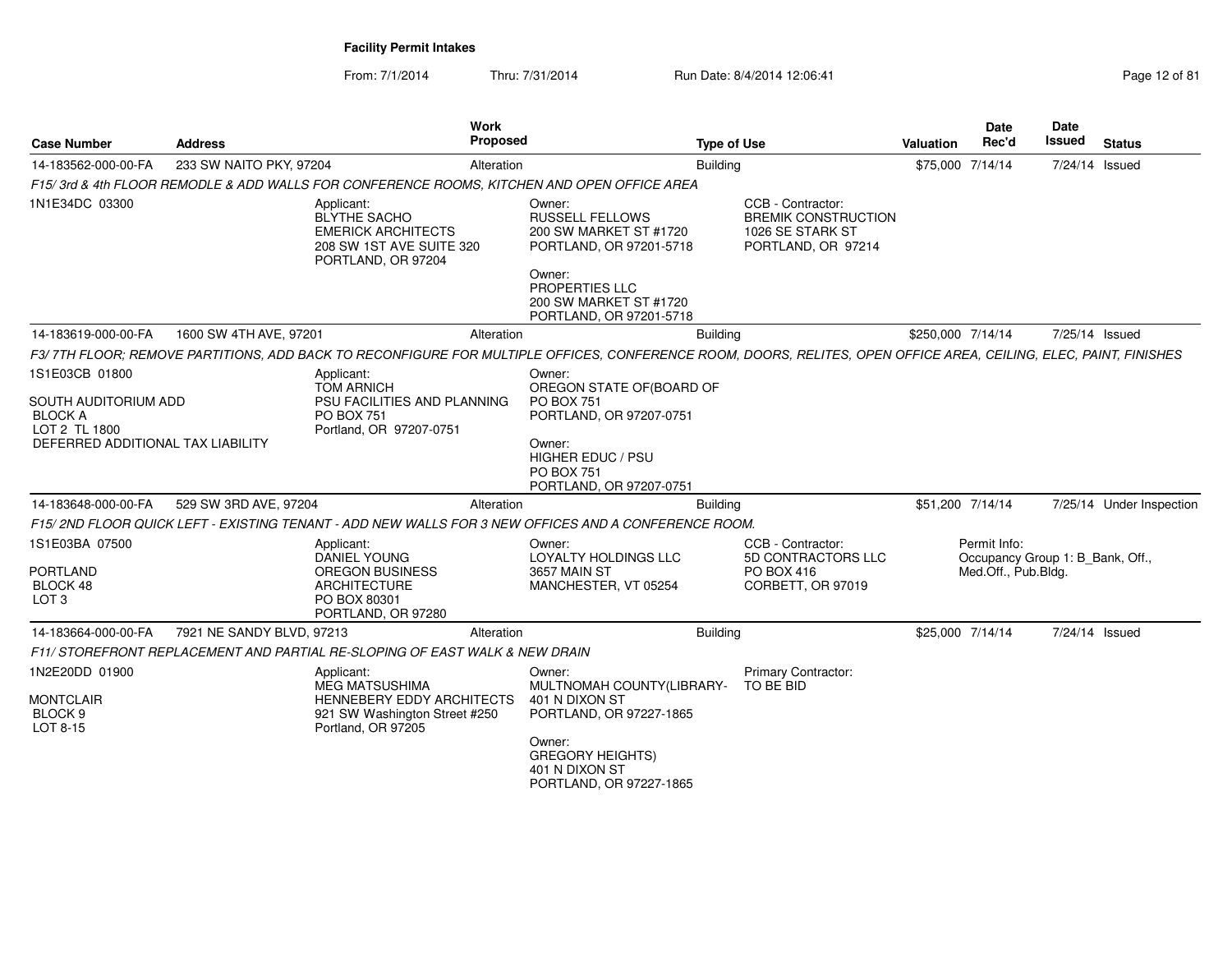| <b>Case Number</b>                                                   | <b>Address</b>            | Work<br><b>Proposed</b>                                                                                                                                          |                                                                                                                                                                    | <b>Type of Use</b> |                                                                                           | <b>Valuation</b>  | <b>Date</b><br>Rec'd                                                    | <b>Date</b><br>Issued | <b>Status</b>            |
|----------------------------------------------------------------------|---------------------------|------------------------------------------------------------------------------------------------------------------------------------------------------------------|--------------------------------------------------------------------------------------------------------------------------------------------------------------------|--------------------|-------------------------------------------------------------------------------------------|-------------------|-------------------------------------------------------------------------|-----------------------|--------------------------|
| 14-183562-000-00-FA                                                  | 233 SW NAITO PKY, 97204   | Alteration                                                                                                                                                       |                                                                                                                                                                    | <b>Building</b>    |                                                                                           | \$75,000 7/14/14  |                                                                         | 7/24/14 Issued        |                          |
|                                                                      |                           | F15/3rd & 4th FLOOR REMODLE & ADD WALLS FOR CONFERENCE ROOMS, KITCHEN AND OPEN OFFICE AREA                                                                       |                                                                                                                                                                    |                    |                                                                                           |                   |                                                                         |                       |                          |
| 1N1E34DC 03300                                                       |                           | Applicant:<br><b>BLYTHE SACHO</b><br><b>EMERICK ARCHITECTS</b><br>208 SW 1ST AVE SUITE 320<br>PORTLAND, OR 97204                                                 | Owner:<br><b>RUSSELL FELLOWS</b><br>200 SW MARKET ST #1720<br>PORTLAND, OR 97201-5718<br>Owner:                                                                    |                    | CCB - Contractor:<br><b>BREMIK CONSTRUCTION</b><br>1026 SE STARK ST<br>PORTLAND, OR 97214 |                   |                                                                         |                       |                          |
|                                                                      |                           |                                                                                                                                                                  | <b>PROPERTIES LLC</b><br>200 SW MARKET ST #1720<br>PORTLAND, OR 97201-5718                                                                                         |                    |                                                                                           |                   |                                                                         |                       |                          |
| 14-183619-000-00-FA                                                  | 1600 SW 4TH AVE, 97201    | Alteration                                                                                                                                                       |                                                                                                                                                                    | <b>Building</b>    |                                                                                           | \$250,000 7/14/14 |                                                                         | 7/25/14 Issued        |                          |
|                                                                      |                           | F3/7TH FLOOR; REMOVE PARTITIONS, ADD BACK TO RECONFIGURE FOR MULTIPLE OFFICES, CONFERENCE ROOM, DOORS, RELITES, OPEN OFFICE AREA, CEILING, ELEC, PAINT, FINISHES |                                                                                                                                                                    |                    |                                                                                           |                   |                                                                         |                       |                          |
| 1S1E03CB 01800<br><b>SOUTH AUDITORIUM ADD</b><br><b>BLOCK A</b>      |                           | Applicant:<br><b>TOM ARNICH</b><br>PSU FACILITIES AND PLANNING<br><b>PO BOX 751</b>                                                                              | Owner:<br>OREGON STATE OF (BOARD OF<br><b>PO BOX 751</b><br>PORTLAND, OR 97207-0751                                                                                |                    |                                                                                           |                   |                                                                         |                       |                          |
| LOT 2 TL 1800<br>DEFERRED ADDITIONAL TAX LIABILITY                   |                           | Portland, OR 97207-0751                                                                                                                                          | Owner:<br>HIGHER EDUC / PSU<br><b>PO BOX 751</b><br>PORTLAND, OR 97207-0751                                                                                        |                    |                                                                                           |                   |                                                                         |                       |                          |
| 14-183648-000-00-FA                                                  | 529 SW 3RD AVE, 97204     | Alteration                                                                                                                                                       |                                                                                                                                                                    | <b>Building</b>    |                                                                                           | \$51,200 7/14/14  |                                                                         |                       | 7/25/14 Under Inspection |
|                                                                      |                           | F15/2ND FLOOR QUICK LEFT - EXISTING TENANT - ADD NEW WALLS FOR 3 NEW OFFICES AND A CONFERENCE ROOM.                                                              |                                                                                                                                                                    |                    |                                                                                           |                   |                                                                         |                       |                          |
| 1S1E03BA 07500<br><b>PORTLAND</b><br>BLOCK 48<br>LOT <sub>3</sub>    |                           | Applicant:<br>DANIEL YOUNG<br><b>OREGON BUSINESS</b><br><b>ARCHITECTURE</b><br>PO BOX 80301<br>PORTLAND, OR 97280                                                | Owner:<br>LOYALTY HOLDINGS LLC<br>3657 MAIN ST<br>MANCHESTER, VT 05254                                                                                             |                    | CCB - Contractor:<br>5D CONTRACTORS LLC<br>PO BOX 416<br>CORBETT, OR 97019                |                   | Permit Info:<br>Occupancy Group 1: B_Bank, Off.,<br>Med.Off., Pub.Bldg. |                       |                          |
| 14-183664-000-00-FA                                                  | 7921 NE SANDY BLVD, 97213 | Alteration                                                                                                                                                       |                                                                                                                                                                    | <b>Building</b>    |                                                                                           | \$25,000 7/14/14  |                                                                         | 7/24/14 Issued        |                          |
|                                                                      |                           | F11/STOREFRONT REPLACEMENT AND PARTIAL RE-SLOPING OF EAST WALK & NEW DRAIN                                                                                       |                                                                                                                                                                    |                    |                                                                                           |                   |                                                                         |                       |                          |
| 1N2E20DD 01900<br><b>MONTCLAIR</b><br>BLOCK <sub>9</sub><br>LOT 8-15 |                           | Applicant:<br><b>MEG MATSUSHIMA</b><br>HENNEBERY EDDY ARCHITECTS<br>921 SW Washington Street #250<br>Portland, OR 97205                                          | Owner:<br>MULTNOMAH COUNTY(LIBRARY-<br>401 N DIXON ST<br>PORTLAND, OR 97227-1865<br>Owner:<br><b>GREGORY HEIGHTS)</b><br>401 N DIXON ST<br>PORTLAND, OR 97227-1865 |                    | Primary Contractor:<br>TO BE BID                                                          |                   |                                                                         |                       |                          |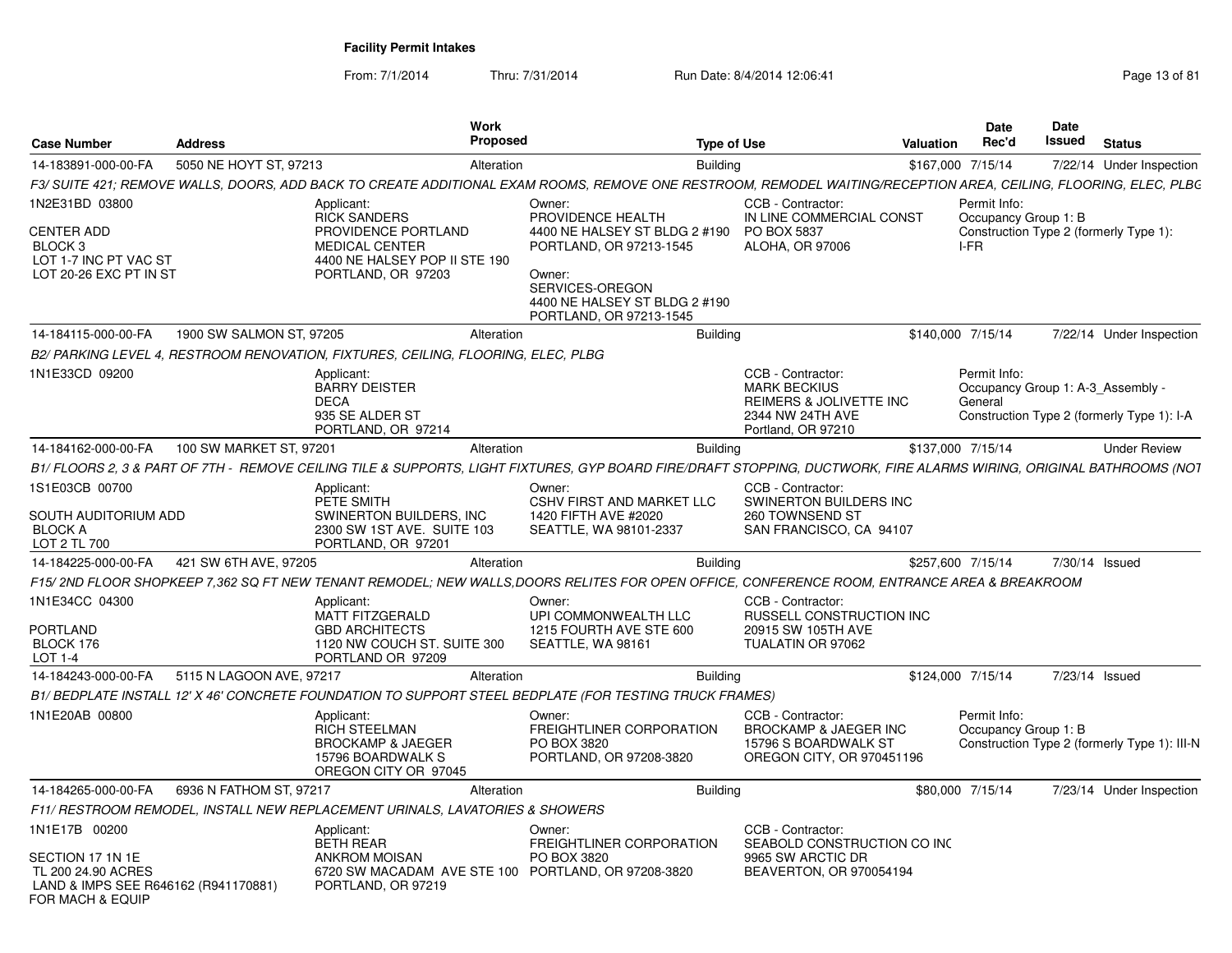| <b>Case Number</b>                                                                                                  | <b>Address</b>           | Work<br>Proposed                                                                                                                         | <b>Type of Use</b>                                                                                                                                                               |                                                                                                               | Valuation | Date<br>Rec'd                                                | Date<br>Issued | <b>Status</b>                                |
|---------------------------------------------------------------------------------------------------------------------|--------------------------|------------------------------------------------------------------------------------------------------------------------------------------|----------------------------------------------------------------------------------------------------------------------------------------------------------------------------------|---------------------------------------------------------------------------------------------------------------|-----------|--------------------------------------------------------------|----------------|----------------------------------------------|
| 14-183891-000-00-FA                                                                                                 | 5050 NE HOYT ST, 97213   | Alteration                                                                                                                               | <b>Building</b>                                                                                                                                                                  |                                                                                                               |           | \$167,000 7/15/14                                            |                | 7/22/14 Under Inspection                     |
|                                                                                                                     |                          |                                                                                                                                          | F3/ SUITE 421: REMOVE WALLS, DOORS, ADD BACK TO CREATE ADDITIONAL EXAM ROOMS, REMOVE ONE RESTROOM, REMODEL WAITING/RECEPTION AREA, CEILING, FLOORING, ELEC, PLBG                 |                                                                                                               |           |                                                              |                |                                              |
| 1N2E31BD 03800<br><b>CENTER ADD</b><br>BLOCK <sub>3</sub><br>LOT 1-7 INC PT VAC ST<br>LOT 20-26 EXC PT IN ST        |                          | Applicant:<br><b>RICK SANDERS</b><br>PROVIDENCE PORTLAND<br><b>MEDICAL CENTER</b><br>4400 NE HALSEY POP II STE 190<br>PORTLAND, OR 97203 | Owner:<br>PROVIDENCE HEALTH<br>4400 NE HALSEY ST BLDG 2 #190<br>PORTLAND, OR 97213-1545<br>Owner:<br>SERVICES-OREGON<br>4400 NE HALSEY ST BLDG 2 #190<br>PORTLAND, OR 97213-1545 | CCB - Contractor:<br>IN LINE COMMERCIAL CONST<br>PO BOX 5837<br>ALOHA, OR 97006                               |           | Permit Info:<br>Occupancy Group 1: B<br>I-FR                 |                | Construction Type 2 (formerly Type 1):       |
| 14-184115-000-00-FA                                                                                                 | 1900 SW SALMON ST, 97205 | Alteration                                                                                                                               | <b>Building</b>                                                                                                                                                                  |                                                                                                               |           | \$140,000 7/15/14                                            |                | 7/22/14 Under Inspection                     |
|                                                                                                                     |                          | B2/ PARKING LEVEL 4, RESTROOM RENOVATION, FIXTURES, CEILING, FLOORING, ELEC, PLBG                                                        |                                                                                                                                                                                  |                                                                                                               |           |                                                              |                |                                              |
| 1N1E33CD 09200                                                                                                      |                          | Applicant:<br><b>BARRY DEISTER</b><br><b>DECA</b><br>935 SE ALDER ST<br>PORTLAND, OR 97214                                               |                                                                                                                                                                                  | CCB - Contractor:<br><b>MARK BECKIUS</b><br>REIMERS & JOLIVETTE INC<br>2344 NW 24TH AVE<br>Portland, OR 97210 |           | Permit Info:<br>Occupancy Group 1: A-3 Assembly -<br>General |                | Construction Type 2 (formerly Type 1): I-A   |
| 14-184162-000-00-FA                                                                                                 | 100 SW MARKET ST, 97201  | Alteration                                                                                                                               | <b>Building</b>                                                                                                                                                                  |                                                                                                               |           | \$137,000 7/15/14                                            |                | <b>Under Review</b>                          |
|                                                                                                                     |                          |                                                                                                                                          | B1/ FLOORS 2. 3 & PART OF 7TH -  REMOVE CEILING TILE & SUPPORTS. LIGHT FIXTURES. GYP BOARD FIRE/DRAFT STOPPING. DUCTWORK. FIRE ALARMS WIRING. ORIGINAL BATHROOMS (NOT            |                                                                                                               |           |                                                              |                |                                              |
| 1S1E03CB 00700<br>SOUTH AUDITORIUM ADD<br><b>BLOCK A</b><br>LOT 2 TL 700                                            |                          | Applicant:<br>PETE SMITH<br>SWINERTON BUILDERS, INC.<br>2300 SW 1ST AVE. SUITE 103<br>PORTLAND, OR 97201                                 | Owner:<br>CSHV FIRST AND MARKET LLC<br>1420 FIFTH AVE #2020<br>SEATTLE, WA 98101-2337                                                                                            | CCB - Contractor:<br>SWINERTON BUILDERS INC<br>260 TOWNSEND ST<br>SAN FRANCISCO, CA 94107                     |           |                                                              |                |                                              |
| 14-184225-000-00-FA                                                                                                 | 421 SW 6TH AVE, 97205    | Alteration                                                                                                                               | <b>Building</b>                                                                                                                                                                  |                                                                                                               |           | \$257,600 7/15/14                                            | 7/30/14 Issued |                                              |
|                                                                                                                     |                          |                                                                                                                                          | F15/ 2ND FLOOR SHOPKEEP 7.362 SQ FT NEW TENANT REMODEL: NEW WALLS.DOORS RELITES FOR OPEN OFFICE. CONFERENCE ROOM. ENTRANCE AREA & BREAKROOM                                      |                                                                                                               |           |                                                              |                |                                              |
| 1N1E34CC 04300<br>PORTLAND<br>BLOCK 176<br>LOT 1-4                                                                  |                          | Applicant:<br><b>MATT FITZGERALD</b><br><b>GBD ARCHITECTS</b><br>1120 NW COUCH ST. SUITE 300<br>PORTLAND OR 97209                        | Owner:<br>UPI COMMONWEALTH LLC<br>1215 FOURTH AVE STE 600<br>SEATTLE, WA 98161                                                                                                   | CCB - Contractor:<br>RUSSELL CONSTRUCTION INC<br>20915 SW 105TH AVE<br>TUALATIN OR 97062                      |           |                                                              |                |                                              |
| 14-184243-000-00-FA                                                                                                 | 5115 N LAGOON AVE, 97217 | Alteration                                                                                                                               | <b>Building</b>                                                                                                                                                                  |                                                                                                               |           | \$124,000 7/15/14                                            | 7/23/14 Issued |                                              |
|                                                                                                                     |                          |                                                                                                                                          | B1/BEDPLATE INSTALL 12' X 46' CONCRETE FOUNDATION TO SUPPORT STEEL BEDPLATE (FOR TESTING TRUCK FRAMES)                                                                           |                                                                                                               |           |                                                              |                |                                              |
| 1N1E20AB 00800                                                                                                      |                          | Applicant:<br><b>RICH STEELMAN</b><br><b>BROCKAMP &amp; JAEGER</b><br>15796 BOARDWALK S<br>OREGON CITY OR 97045                          | Owner:<br>FREIGHTLINER CORPORATION<br>PO BOX 3820<br>PORTLAND, OR 97208-3820                                                                                                     | CCB - Contractor:<br>BROCKAMP & JAEGER INC<br>15796 S BOARDWALK ST<br>OREGON CITY, OR 970451196               |           | Permit Info:<br>Occupancy Group 1: B                         |                | Construction Type 2 (formerly Type 1): III-N |
| 14-184265-000-00-FA                                                                                                 | 6936 N FATHOM ST. 97217  | Alteration                                                                                                                               | <b>Building</b>                                                                                                                                                                  |                                                                                                               |           | \$80,000 7/15/14                                             |                | 7/23/14 Under Inspection                     |
|                                                                                                                     |                          | F11/ RESTROOM REMODEL, INSTALL NEW REPLACEMENT URINALS, LAVATORIES & SHOWERS                                                             |                                                                                                                                                                                  |                                                                                                               |           |                                                              |                |                                              |
| 1N1E17B 00200<br>SECTION 17 1N 1E<br>TL 200 24.90 ACRES<br>LAND & IMPS SEE R646162 (R941170881)<br>FOR MACH & EQUIP |                          | Applicant:<br><b>BETH REAR</b><br><b>ANKROM MOISAN</b><br>6720 SW MACADAM AVE STE 100 PORTLAND, OR 97208-3820<br>PORTLAND, OR 97219      | Owner:<br>FREIGHTLINER CORPORATION<br>PO BOX 3820                                                                                                                                | CCB - Contractor:<br>SEABOLD CONSTRUCTION CO INC<br>9965 SW ARCTIC DR<br>BEAVERTON, OR 970054194              |           |                                                              |                |                                              |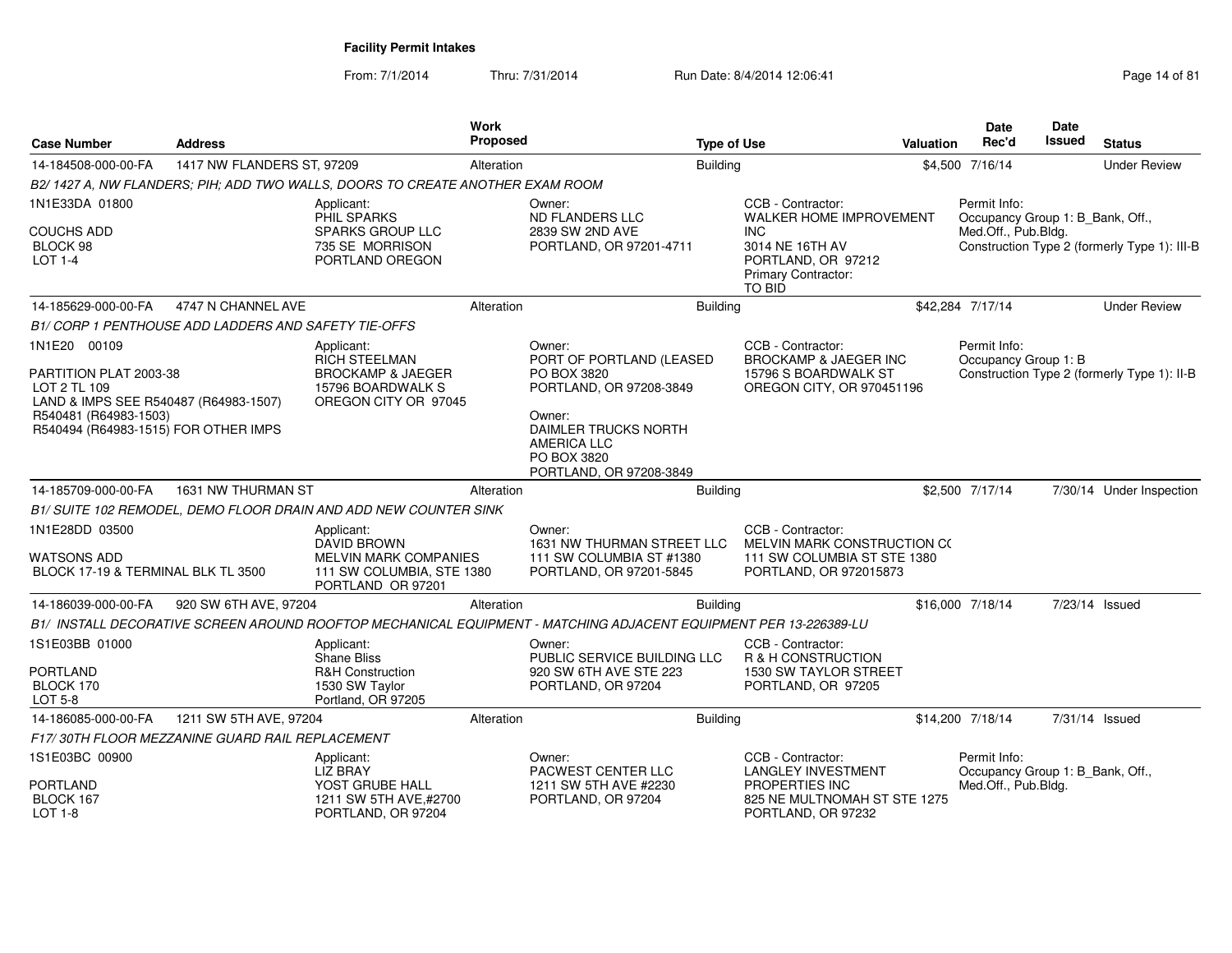| <b>Case Number</b>                                                                                                                               | <b>Address</b>                                       |                                                                                                   | <b>Work</b><br><b>Proposed</b> |                                                                                                                                                  | <b>Type of Use</b> |                                                                                             | Valuation | <b>Date</b><br>Rec'd                             | Date<br><b>Issued</b> | <b>Status</b>                                |
|--------------------------------------------------------------------------------------------------------------------------------------------------|------------------------------------------------------|---------------------------------------------------------------------------------------------------|--------------------------------|--------------------------------------------------------------------------------------------------------------------------------------------------|--------------------|---------------------------------------------------------------------------------------------|-----------|--------------------------------------------------|-----------------------|----------------------------------------------|
| 14-184508-000-00-FA                                                                                                                              | 1417 NW FLANDERS ST, 97209                           |                                                                                                   | Alteration                     |                                                                                                                                                  | <b>Building</b>    |                                                                                             |           | \$4,500 7/16/14                                  |                       | <b>Under Review</b>                          |
|                                                                                                                                                  |                                                      | B2/1427 A. NW FLANDERS: PIH: ADD TWO WALLS, DOORS TO CREATE ANOTHER EXAM ROOM                     |                                |                                                                                                                                                  |                    |                                                                                             |           |                                                  |                       |                                              |
| 1N1E33DA 01800                                                                                                                                   |                                                      | Applicant:<br>PHIL SPARKS                                                                         |                                | Owner:<br><b>ND FLANDERS LLC</b>                                                                                                                 |                    | CCB - Contractor:<br><b>WALKER HOME IMPROVEMENT</b>                                         |           | Permit Info:<br>Occupancy Group 1: B_Bank, Off., |                       |                                              |
| <b>COUCHS ADD</b><br>BLOCK 98<br><b>LOT 1-4</b>                                                                                                  |                                                      | <b>SPARKS GROUP LLC</b><br>735 SE MORRISON<br>PORTLAND OREGON                                     |                                | 2839 SW 2ND AVE<br>PORTLAND, OR 97201-4711                                                                                                       |                    | <b>INC</b><br>3014 NE 16TH AV<br>PORTLAND, OR 97212<br>Primary Contractor:<br><b>TO BID</b> |           | Med.Off., Pub.Bldg.                              |                       | Construction Type 2 (formerly Type 1): III-B |
| 14-185629-000-00-FA                                                                                                                              | 4747 N CHANNEL AVE                                   |                                                                                                   | Alteration                     |                                                                                                                                                  | <b>Building</b>    |                                                                                             |           | \$42,284 7/17/14                                 |                       | <b>Under Review</b>                          |
|                                                                                                                                                  | B1/ CORP 1 PENTHOUSE ADD LADDERS AND SAFETY TIE-OFFS |                                                                                                   |                                |                                                                                                                                                  |                    |                                                                                             |           |                                                  |                       |                                              |
| 1N1E20 00109                                                                                                                                     |                                                      | Applicant:                                                                                        |                                | Owner:                                                                                                                                           |                    | CCB - Contractor:                                                                           |           | Permit Info:                                     |                       |                                              |
| PARTITION PLAT 2003-38<br>LOT 2 TL 109<br>LAND & IMPS SEE R540487 (R64983-1507)<br>R540481 (R64983-1503)<br>R540494 (R64983-1515) FOR OTHER IMPS |                                                      | <b>RICH STEELMAN</b><br><b>BROCKAMP &amp; JAEGER</b><br>15796 BOARDWALK S<br>OREGON CITY OR 97045 |                                | PORT OF PORTLAND (LEASED<br>PO BOX 3820<br>PORTLAND, OR 97208-3849<br>Owner:<br><b>DAIMLER TRUCKS NORTH</b><br><b>AMERICA LLC</b><br>PO BOX 3820 |                    | <b>BROCKAMP &amp; JAEGER INC</b><br>15796 S BOARDWALK ST<br>OREGON CITY, OR 970451196       |           | Occupancy Group 1: B                             |                       | Construction Type 2 (formerly Type 1): II-B  |
|                                                                                                                                                  |                                                      |                                                                                                   |                                | PORTLAND, OR 97208-3849                                                                                                                          |                    |                                                                                             |           |                                                  |                       |                                              |
| 14-185709-000-00-FA                                                                                                                              | 1631 NW THURMAN ST                                   | B1/ SUITE 102 REMODEL, DEMO FLOOR DRAIN AND ADD NEW COUNTER SINK                                  | Alteration                     |                                                                                                                                                  | <b>Building</b>    |                                                                                             |           | \$2,500 7/17/14                                  |                       | 7/30/14 Under Inspection                     |
| 1N1E28DD 03500                                                                                                                                   |                                                      | Applicant:                                                                                        |                                | Owner:                                                                                                                                           |                    | CCB - Contractor:                                                                           |           |                                                  |                       |                                              |
| <b>WATSONS ADD</b><br>BLOCK 17-19 & TERMINAL BLK TL 3500                                                                                         |                                                      | DAVID BROWN<br>MELVIN MARK COMPANIES<br>111 SW COLUMBIA, STE 1380<br>PORTLAND OR 97201            |                                | 1631 NW THURMAN STREET LLC<br>111 SW COLUMBIA ST #1380<br>PORTLAND, OR 97201-5845                                                                |                    | MELVIN MARK CONSTRUCTION CO<br>111 SW COLUMBIA ST STE 1380<br>PORTLAND, OR 972015873        |           |                                                  |                       |                                              |
| 14-186039-000-00-FA                                                                                                                              | 920 SW 6TH AVE, 97204                                |                                                                                                   | Alteration                     |                                                                                                                                                  | <b>Building</b>    |                                                                                             |           | \$16,000 7/18/14                                 |                       | 7/23/14 Issued                               |
|                                                                                                                                                  |                                                      |                                                                                                   |                                | B1/ INSTALL DECORATIVE SCREEN AROUND ROOFTOP MECHANICAL EQUIPMENT - MATCHING ADJACENT EQUIPMENT PER 13-226389-LU                                 |                    |                                                                                             |           |                                                  |                       |                                              |
| 1S1E03BB 01000                                                                                                                                   |                                                      | Applicant:<br><b>Shane Bliss</b>                                                                  |                                | Owner:<br>PUBLIC SERVICE BUILDING LLC                                                                                                            |                    | CCB - Contractor:<br>R & H CONSTRUCTION                                                     |           |                                                  |                       |                                              |
| <b>PORTLAND</b><br>BLOCK 170<br>LOT 5-8                                                                                                          |                                                      | <b>R&amp;H Construction</b><br>1530 SW Taylor<br>Portland, OR 97205                               |                                | 920 SW 6TH AVE STE 223<br>PORTLAND, OR 97204                                                                                                     |                    | 1530 SW TAYLOR STREET<br>PORTLAND, OR 97205                                                 |           |                                                  |                       |                                              |
| 14-186085-000-00-FA                                                                                                                              | 1211 SW 5TH AVE, 97204                               |                                                                                                   | Alteration                     |                                                                                                                                                  | <b>Building</b>    |                                                                                             |           | \$14,200 7/18/14                                 |                       | 7/31/14 Issued                               |
|                                                                                                                                                  | F17/30TH FLOOR MEZZANINE GUARD RAIL REPLACEMENT      |                                                                                                   |                                |                                                                                                                                                  |                    |                                                                                             |           |                                                  |                       |                                              |
| 1S1E03BC 00900                                                                                                                                   |                                                      | Applicant:<br><b>LIZ BRAY</b>                                                                     |                                | Owner:<br><b>PACWEST CENTER LLC</b>                                                                                                              |                    | CCB - Contractor:<br><b>LANGLEY INVESTMENT</b>                                              |           | Permit Info:<br>Occupancy Group 1: B Bank, Off., |                       |                                              |
| <b>PORTLAND</b><br>BLOCK 167<br>$LOT 1-8$                                                                                                        |                                                      | YOST GRUBE HALL<br>1211 SW 5TH AVE,#2700<br>PORTLAND, OR 97204                                    |                                | 1211 SW 5TH AVE #2230<br>PORTLAND, OR 97204                                                                                                      |                    | PROPERTIES INC<br>825 NE MULTNOMAH ST STE 1275<br>PORTLAND, OR 97232                        |           | Med.Off., Pub.Bldg.                              |                       |                                              |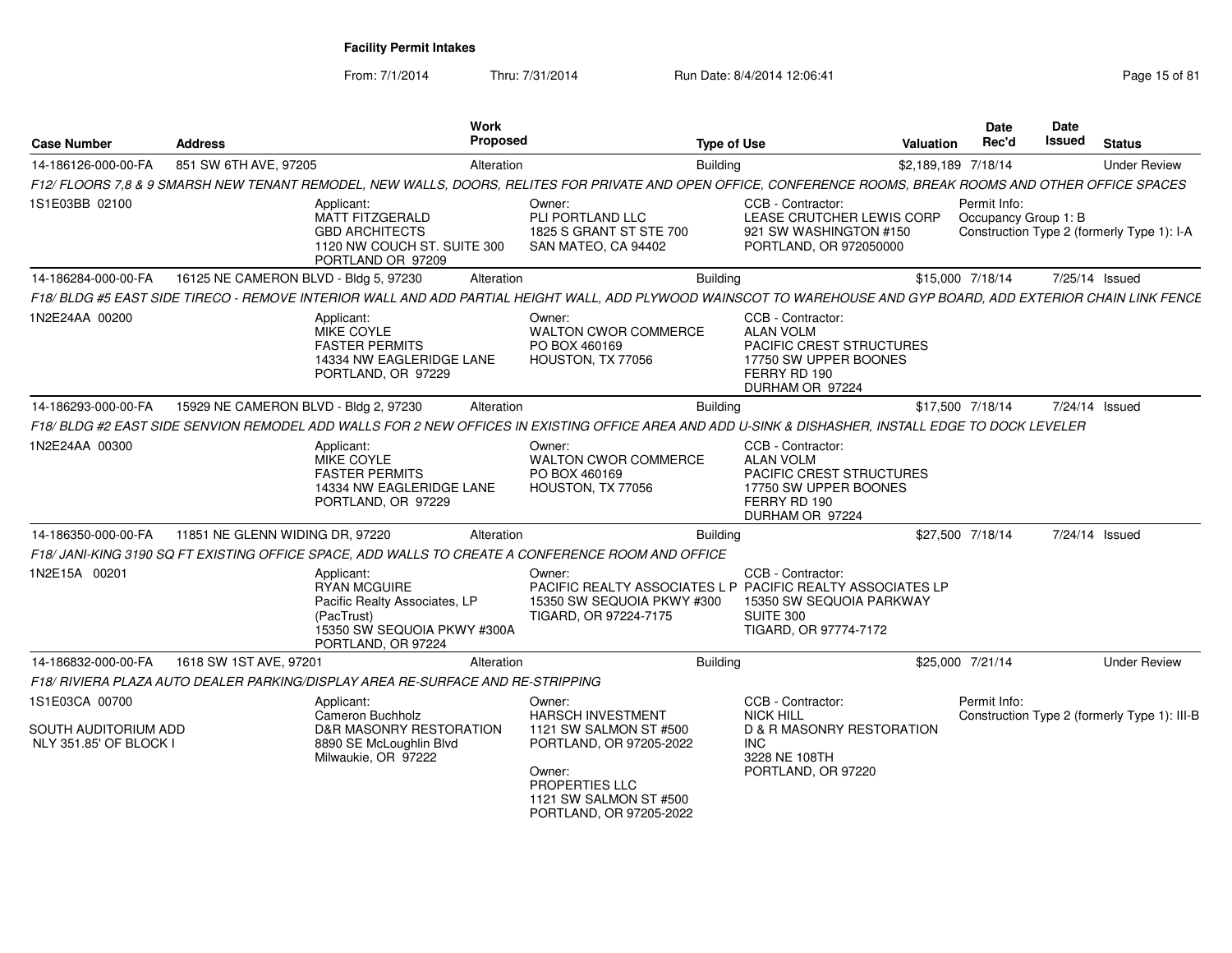From: 7/1/2014

Thru: 7/31/2014 Run Date: 8/4/2014 12:06:41 Page 15 of 81

| <b>Case Number</b>                             | <b>Address</b>                        | Work<br>Proposed                                                                                                                                                 |                                                                                                                                           | <b>Type of Use</b> |                                                                                                                               | <b>Valuation</b>    | Date<br>Rec'd    | Date<br>Issued       | <b>Status</b>                                |
|------------------------------------------------|---------------------------------------|------------------------------------------------------------------------------------------------------------------------------------------------------------------|-------------------------------------------------------------------------------------------------------------------------------------------|--------------------|-------------------------------------------------------------------------------------------------------------------------------|---------------------|------------------|----------------------|----------------------------------------------|
| 14-186126-000-00-FA                            | 851 SW 6TH AVE, 97205                 | Alteration                                                                                                                                                       |                                                                                                                                           | Building           |                                                                                                                               | \$2,189,189 7/18/14 |                  |                      | <b>Under Review</b>                          |
|                                                |                                       | F12/ FLOORS 7,8 & 9 SMARSH NEW TENANT REMODEL, NEW WALLS, DOORS, RELITES FOR PRIVATE AND OPEN OFFICE, CONFERENCE ROOMS, BREAK ROOMS AND OTHER OFFICE SPACES      |                                                                                                                                           |                    |                                                                                                                               |                     |                  |                      |                                              |
| 1S1E03BB 02100                                 |                                       | Applicant:<br><b>MATT FITZGERALD</b><br><b>GBD ARCHITECTS</b><br>1120 NW COUCH ST. SUITE 300<br>PORTLAND OR 97209                                                | Owner:<br>PLI PORTLAND LLC<br>1825 S GRANT ST STE 700<br>SAN MATEO, CA 94402                                                              |                    | CCB - Contractor:<br>LEASE CRUTCHER LEWIS CORP<br>921 SW WASHINGTON #150<br>PORTLAND, OR 972050000                            |                     | Permit Info:     | Occupancy Group 1: B | Construction Type 2 (formerly Type 1): I-A   |
| 14-186284-000-00-FA                            | 16125 NE CAMERON BLVD - Bldg 5, 97230 | Alteration                                                                                                                                                       |                                                                                                                                           | <b>Building</b>    |                                                                                                                               |                     | \$15,000 7/18/14 |                      | 7/25/14 Issued                               |
|                                                |                                       | F18/ BLDG #5 EAST SIDE TIRECO - REMOVE INTERIOR WALL AND ADD PARTIAL HEIGHT WALL, ADD PLYWOOD WAINSCOT TO WAREHOUSE AND GYP BOARD, ADD EXTERIOR CHAIN LINK FENCE |                                                                                                                                           |                    |                                                                                                                               |                     |                  |                      |                                              |
| 1N2E24AA 00200                                 |                                       | Applicant:<br><b>MIKE COYLE</b><br><b>FASTER PERMITS</b><br>14334 NW EAGLERIDGE LANE<br>PORTLAND, OR 97229                                                       | Owner:<br><b>WALTON CWOR COMMERCE</b><br>PO BOX 460169<br>HOUSTON, TX 77056                                                               |                    | CCB - Contractor:<br><b>ALAN VOLM</b><br>PACIFIC CREST STRUCTURES<br>17750 SW UPPER BOONES<br>FERRY RD 190<br>DURHAM OR 97224 |                     |                  |                      |                                              |
| 14-186293-000-00-FA                            | 15929 NE CAMERON BLVD - Bldg 2, 97230 | Alteration                                                                                                                                                       |                                                                                                                                           | <b>Building</b>    |                                                                                                                               |                     | \$17,500 7/18/14 |                      | 7/24/14 Issued                               |
|                                                |                                       | F18/ BLDG #2 EAST SIDE SENVION REMODEL ADD WALLS FOR 2 NEW OFFICES IN EXISTING OFFICE AREA AND ADD U-SINK & DISHASHER, INSTALL EDGE TO DOCK LEVELER              |                                                                                                                                           |                    |                                                                                                                               |                     |                  |                      |                                              |
| 1N2E24AA 00300                                 |                                       | Applicant:<br>MIKE COYLE<br><b>FASTER PERMITS</b><br>14334 NW EAGLERIDGE LANE<br>PORTLAND, OR 97229                                                              | Owner:<br><b>WALTON CWOR COMMERCE</b><br>PO BOX 460169<br>HOUSTON, TX 77056                                                               |                    | CCB - Contractor:<br><b>ALAN VOLM</b><br>PACIFIC CREST STRUCTURES<br>17750 SW UPPER BOONES<br>FERRY RD 190<br>DURHAM OR 97224 |                     |                  |                      |                                              |
| 14-186350-000-00-FA                            | 11851 NE GLENN WIDING DR, 97220       | Alteration                                                                                                                                                       |                                                                                                                                           | <b>Building</b>    |                                                                                                                               |                     | \$27.500 7/18/14 |                      | 7/24/14 Issued                               |
|                                                |                                       | F18/ JANI-KING 3190 SQ FT EXISTING OFFICE SPACE, ADD WALLS TO CREATE A CONFERENCE ROOM AND OFFICE                                                                |                                                                                                                                           |                    |                                                                                                                               |                     |                  |                      |                                              |
| 1N2E15A 00201                                  |                                       | Applicant:<br><b>RYAN MCGUIRE</b><br>Pacific Realty Associates, LP<br>(PacTrust)<br>15350 SW SEQUOIA PKWY #300A<br>PORTLAND, OR 97224                            | Owner:<br>PACIFIC REALTY ASSOCIATES L P PACIFIC REALTY ASSOCIATES LP<br>15350 SW SEQUOIA PKWY #300<br>TIGARD, OR 97224-7175               |                    | CCB - Contractor:<br>15350 SW SEQUOIA PARKWAY<br>SUITE 300<br>TIGARD, OR 97774-7172                                           |                     |                  |                      |                                              |
| 14-186832-000-00-FA                            | 1618 SW 1ST AVE, 97201                | Alteration                                                                                                                                                       |                                                                                                                                           | <b>Building</b>    |                                                                                                                               |                     | \$25,000 7/21/14 |                      | <b>Under Review</b>                          |
|                                                |                                       | F18/ RIVIERA PLAZA AUTO DEALER PARKING/DISPLAY AREA RE-SURFACE AND RE-STRIPPING                                                                                  |                                                                                                                                           |                    |                                                                                                                               |                     |                  |                      |                                              |
| 1S1E03CA 00700                                 |                                       | Applicant:<br>Cameron Buchholz                                                                                                                                   | Owner:<br><b>HARSCH INVESTMENT</b>                                                                                                        |                    | CCB - Contractor:<br><b>NICK HILL</b>                                                                                         |                     | Permit Info:     |                      | Construction Type 2 (formerly Type 1): III-B |
| SOUTH AUDITORIUM ADD<br>NLY 351.85' OF BLOCK I |                                       | <b>D&amp;R MASONRY RESTORATION</b><br>8890 SE McLoughlin Blvd<br>Milwaukie, OR 97222                                                                             | 1121 SW SALMON ST #500<br>PORTLAND, OR 97205-2022<br>Owner:<br><b>PROPERTIES LLC</b><br>1121 SW SALMON ST #500<br>PORTLAND, OR 97205-2022 |                    | <b>D &amp; R MASONRY RESTORATION</b><br><b>INC</b><br>3228 NE 108TH<br>PORTLAND, OR 97220                                     |                     |                  |                      |                                              |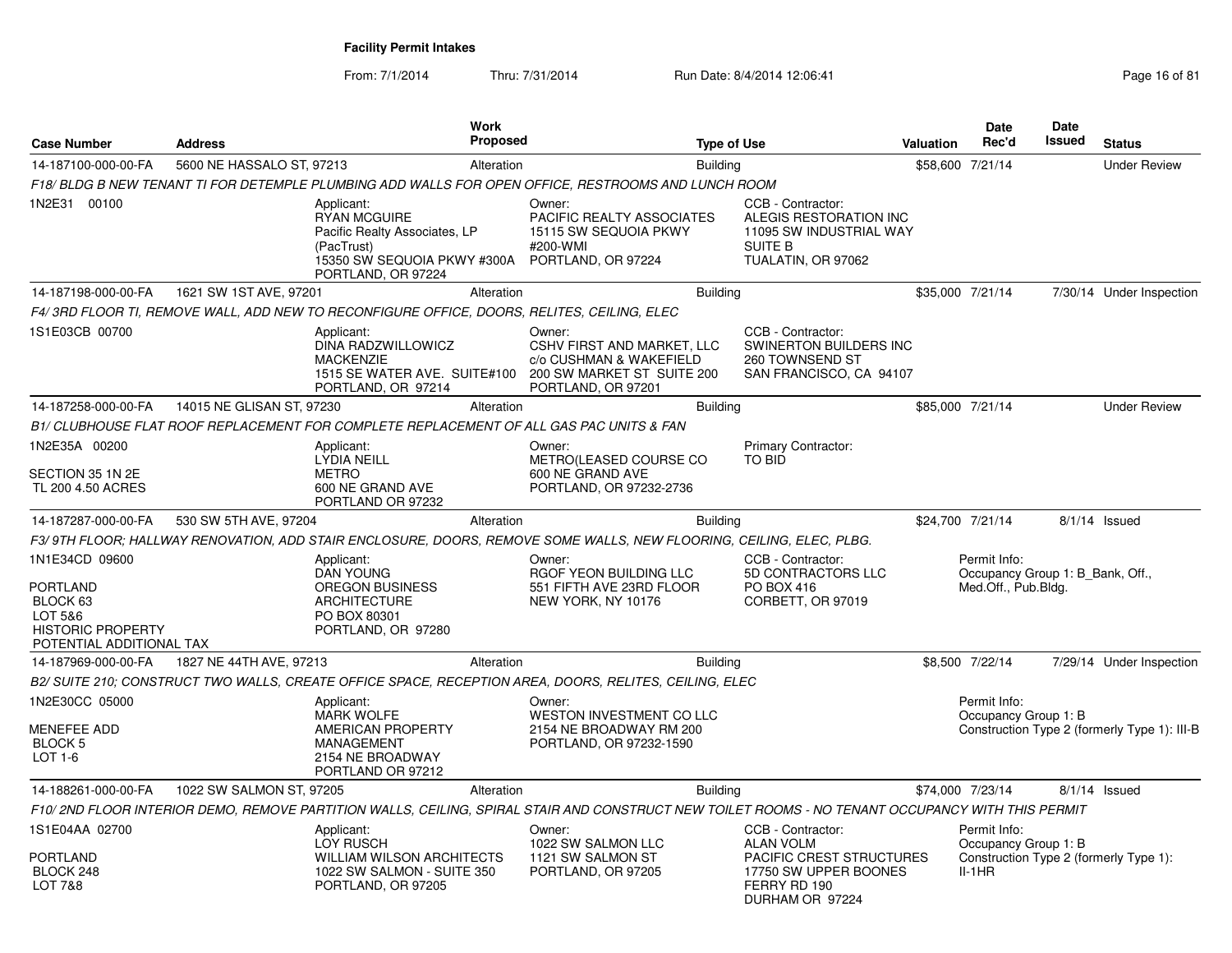From: 7/1/2014Thru: 7/31/2014 Run Date: 8/4/2014 12:06:41 Page 16 of 81

| <b>Case Number</b>                                                                                        | <b>Address</b>            |                                                                                                                                       | Work<br>Proposed |                                                                                                                                                  | <b>Type of Use</b>                                                                                             | <b>Valuation</b> | Date<br>Rec'd                                                           | Date<br>Issued | <b>Status</b>                                |
|-----------------------------------------------------------------------------------------------------------|---------------------------|---------------------------------------------------------------------------------------------------------------------------------------|------------------|--------------------------------------------------------------------------------------------------------------------------------------------------|----------------------------------------------------------------------------------------------------------------|------------------|-------------------------------------------------------------------------|----------------|----------------------------------------------|
| 14-187100-000-00-FA                                                                                       | 5600 NE HASSALO ST, 97213 |                                                                                                                                       | Alteration       | <b>Building</b>                                                                                                                                  |                                                                                                                |                  | \$58,600 7/21/14                                                        |                | <b>Under Review</b>                          |
|                                                                                                           |                           |                                                                                                                                       |                  | F18/ BLDG B NEW TENANT TI FOR DETEMPLE PLUMBING ADD WALLS FOR OPEN OFFICE, RESTROOMS AND LUNCH ROOM                                              |                                                                                                                |                  |                                                                         |                |                                              |
| 1N2E31 00100                                                                                              |                           | Applicant:<br><b>RYAN MCGUIRE</b><br>Pacific Realty Associates, LP<br>(PacTrust)<br>15350 SW SEQUOIA PKWY #300A<br>PORTLAND, OR 97224 |                  | Owner:<br>PACIFIC REALTY ASSOCIATES<br>15115 SW SEQUOIA PKWY<br>#200-WMI<br>PORTLAND, OR 97224                                                   | CCB - Contractor:<br>ALEGIS RESTORATION INC<br>11095 SW INDUSTRIAL WAY<br><b>SUITE B</b><br>TUALATIN, OR 97062 |                  |                                                                         |                |                                              |
| 14-187198-000-00-FA                                                                                       | 1621 SW 1ST AVE, 97201    |                                                                                                                                       | Alteration       | <b>Building</b>                                                                                                                                  |                                                                                                                |                  | \$35,000 7/21/14                                                        |                | 7/30/14 Under Inspection                     |
|                                                                                                           |                           | F4/3RD FLOOR TI, REMOVE WALL, ADD NEW TO RECONFIGURE OFFICE, DOORS, RELITES, CEILING, ELEC                                            |                  |                                                                                                                                                  |                                                                                                                |                  |                                                                         |                |                                              |
| 1S1E03CB 00700                                                                                            |                           | Applicant:<br>DINA RADZWILLOWICZ<br><b>MACKENZIE</b><br>1515 SE WATER AVE. SUITE#100<br>PORTLAND, OR 97214                            |                  | Owner:<br>CSHV FIRST AND MARKET, LLC<br>c/o CUSHMAN & WAKEFIELD<br>200 SW MARKET ST SUITE 200<br>PORTLAND, OR 97201                              | CCB - Contractor:<br><b>SWINERTON BUILDERS INC</b><br>260 TOWNSEND ST<br>SAN FRANCISCO, CA 94107               |                  |                                                                         |                |                                              |
| 14-187258-000-00-FA                                                                                       | 14015 NE GLISAN ST, 97230 |                                                                                                                                       | Alteration       | <b>Building</b>                                                                                                                                  |                                                                                                                |                  | \$85,000 7/21/14                                                        |                | <b>Under Review</b>                          |
|                                                                                                           |                           | B1/ CLUBHOUSE FLAT ROOF REPLACEMENT FOR COMPLETE REPLACEMENT OF ALL GAS PAC UNITS & FAN                                               |                  |                                                                                                                                                  |                                                                                                                |                  |                                                                         |                |                                              |
| 1N2E35A 00200                                                                                             |                           | Applicant:<br><b>LYDIA NEILL</b>                                                                                                      |                  | Owner:<br>METRO(LEASED COURSE CO                                                                                                                 | <b>Primary Contractor:</b><br><b>TO BID</b>                                                                    |                  |                                                                         |                |                                              |
| SECTION 35 1N 2E<br>TL 200 4.50 ACRES                                                                     |                           | <b>METRO</b><br>600 NE GRAND AVE<br>PORTLAND OR 97232                                                                                 |                  | 600 NE GRAND AVE<br>PORTLAND, OR 97232-2736                                                                                                      |                                                                                                                |                  |                                                                         |                |                                              |
| 14-187287-000-00-FA                                                                                       | 530 SW 5TH AVE, 97204     |                                                                                                                                       | Alteration       | <b>Building</b>                                                                                                                                  |                                                                                                                |                  | \$24,700 7/21/14                                                        |                | 8/1/14 Issued                                |
|                                                                                                           |                           |                                                                                                                                       |                  | F3/9TH FLOOR: HALLWAY RENOVATION, ADD STAIR ENCLOSURE, DOORS, REMOVE SOME WALLS, NEW FLOORING, CEILING, ELEC, PLBG.                              |                                                                                                                |                  |                                                                         |                |                                              |
| 1N1E34CD 09600<br>PORTLAND<br>BLOCK 63<br>LOT 5&6<br><b>HISTORIC PROPERTY</b><br>POTENTIAL ADDITIONAL TAX |                           | Applicant:<br><b>DAN YOUNG</b><br><b>OREGON BUSINESS</b><br><b>ARCHITECTURE</b><br>PO BOX 80301<br>PORTLAND, OR 97280                 |                  | Owner:<br>RGOF YEON BUILDING LLC<br>551 FIFTH AVE 23RD FLOOR<br>NEW YORK, NY 10176                                                               | CCB - Contractor:<br>5D CONTRACTORS LLC<br>PO BOX 416<br>CORBETT, OR 97019                                     |                  | Permit Info:<br>Occupancy Group 1: B Bank, Off.,<br>Med.Off., Pub.Bldg. |                |                                              |
| 14-187969-000-00-FA                                                                                       | 1827 NE 44TH AVE, 97213   |                                                                                                                                       | Alteration       | <b>Building</b>                                                                                                                                  |                                                                                                                |                  | \$8,500 7/22/14                                                         |                | 7/29/14 Under Inspection                     |
|                                                                                                           |                           |                                                                                                                                       |                  | B2/ SUITE 210; CONSTRUCT TWO WALLS, CREATE OFFICE SPACE, RECEPTION AREA, DOORS, RELITES, CEILING, ELEC                                           |                                                                                                                |                  |                                                                         |                |                                              |
| 1N2E30CC 05000<br><b>MENEFEE ADD</b><br><b>BLOCK 5</b><br>$LOT 1-6$                                       |                           | Applicant:<br><b>MARK WOLFE</b><br>AMERICAN PROPERTY<br>MANAGEMENT<br>2154 NE BROADWAY                                                |                  | Owner:<br><b>WESTON INVESTMENT CO LLC</b><br>2154 NE BROADWAY RM 200<br>PORTLAND, OR 97232-1590                                                  |                                                                                                                |                  | Permit Info:<br>Occupancy Group 1: B                                    |                | Construction Type 2 (formerly Type 1): III-B |
| 14-188261-000-00-FA                                                                                       | 1022 SW SALMON ST, 97205  | PORTLAND OR 97212                                                                                                                     | Alteration       | <b>Building</b>                                                                                                                                  |                                                                                                                |                  | \$74,000 7/23/14                                                        |                | $8/1/14$ Issued                              |
|                                                                                                           |                           |                                                                                                                                       |                  | F10/2ND FLOOR INTERIOR DEMO, REMOVE PARTITION WALLS, CEILING, SPIRAL STAIR AND CONSTRUCT NEW TOILET ROOMS - NO TENANT OCCUPANCY WITH THIS PERMIT |                                                                                                                |                  |                                                                         |                |                                              |
| 1S1E04AA 02700<br>PORTLAND                                                                                |                           | Applicant:<br><b>LOY RUSCH</b><br><b>WILLIAM WILSON ARCHITECTS</b>                                                                    |                  | Owner:<br>1022 SW SALMON LLC<br>1121 SW SALMON ST                                                                                                | CCB - Contractor:<br><b>ALAN VOLM</b><br><b>PACIFIC CREST STRUCTURES</b>                                       |                  | Permit Info:<br>Occupancy Group 1: B                                    |                | Construction Type 2 (formerly Type 1):       |
| BLOCK 248<br>LOT 7&8                                                                                      |                           | 1022 SW SALMON - SUITE 350<br>PORTLAND, OR 97205                                                                                      |                  | PORTLAND, OR 97205                                                                                                                               | 17750 SW UPPER BOONES<br>FERRY RD 190<br>DURHAM OR 97224                                                       |                  | II-1HR                                                                  |                |                                              |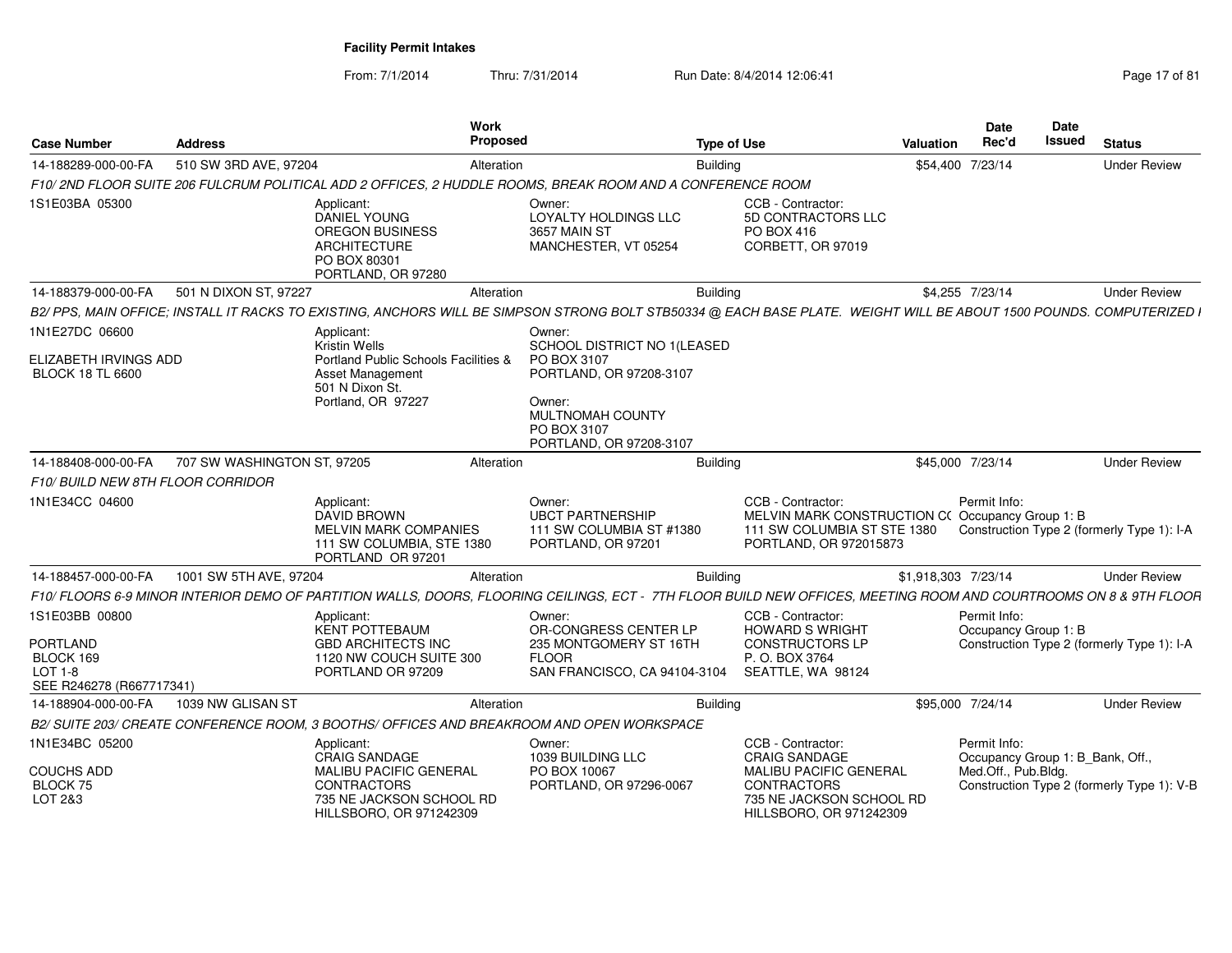From: 7/1/2014

Thru: 7/31/2014 Run Date: 8/4/2014 12:06:41 Page 17 of 81

| <b>Case Number</b>                                                                      | <b>Address</b>              | Work<br><b>Proposed</b>                                                                                                                                              |                                                                                                                       | <b>Type of Use</b> |                                                                                                                                                         | <b>Valuation</b>    | <b>Date</b><br>Rec'd                 | <b>Date</b><br>Issued            | <b>Status</b>                              |
|-----------------------------------------------------------------------------------------|-----------------------------|----------------------------------------------------------------------------------------------------------------------------------------------------------------------|-----------------------------------------------------------------------------------------------------------------------|--------------------|---------------------------------------------------------------------------------------------------------------------------------------------------------|---------------------|--------------------------------------|----------------------------------|--------------------------------------------|
| 14-188289-000-00-FA                                                                     | 510 SW 3RD AVE, 97204       | Alteration                                                                                                                                                           |                                                                                                                       | <b>Building</b>    |                                                                                                                                                         | \$54,400 7/23/14    |                                      |                                  | <b>Under Review</b>                        |
|                                                                                         |                             | F10/ 2ND FLOOR SUITE 206 FULCRUM POLITICAL ADD 2 OFFICES. 2 HUDDLE ROOMS. BREAK ROOM AND A CONFERENCE ROOM                                                           |                                                                                                                       |                    |                                                                                                                                                         |                     |                                      |                                  |                                            |
| 1S1E03BA 05300                                                                          |                             | Applicant:<br>DANIEL YOUNG<br><b>OREGON BUSINESS</b><br><b>ARCHITECTURE</b><br>PO BOX 80301<br>PORTLAND, OR 97280                                                    | Owner:<br>LOYALTY HOLDINGS LLC<br>3657 MAIN ST<br>MANCHESTER, VT 05254                                                |                    | CCB - Contractor:<br>5D CONTRACTORS LLC<br>PO BOX 416<br>CORBETT, OR 97019                                                                              |                     |                                      |                                  |                                            |
| 14-188379-000-00-FA                                                                     | 501 N DIXON ST, 97227       | Alteration                                                                                                                                                           |                                                                                                                       | <b>Building</b>    |                                                                                                                                                         | \$4,255 7/23/14     |                                      |                                  | <b>Under Review</b>                        |
|                                                                                         |                             | B2/ PPS, MAIN OFFICE; INSTALL IT RACKS TO EXISTING, ANCHORS WILL BE SIMPSON STRONG BOLT STB50334 @ EACH BASE PLATE. WEIGHT WILL BE ABOUT 1500 POUNDS. COMPUTERIZED I |                                                                                                                       |                    |                                                                                                                                                         |                     |                                      |                                  |                                            |
| 1N1E27DC 06600                                                                          |                             | Applicant:<br>Kristin Wells                                                                                                                                          | Owner:<br><b>SCHOOL DISTRICT NO 1/LEASED</b>                                                                          |                    |                                                                                                                                                         |                     |                                      |                                  |                                            |
| ELIZABETH IRVINGS ADD<br><b>BLOCK 18 TL 6600</b>                                        |                             | Portland Public Schools Facilities &<br>Asset Management<br>501 N Dixon St.<br>Portland, OR 97227                                                                    | PO BOX 3107<br>PORTLAND, OR 97208-3107<br>Owner:<br><b>MULTNOMAH COUNTY</b><br>PO BOX 3107<br>PORTLAND, OR 97208-3107 |                    |                                                                                                                                                         |                     |                                      |                                  |                                            |
| 14-188408-000-00-FA                                                                     | 707 SW WASHINGTON ST, 97205 | Alteration                                                                                                                                                           |                                                                                                                       | <b>Building</b>    |                                                                                                                                                         | \$45,000 7/23/14    |                                      |                                  | <b>Under Review</b>                        |
| F10/ BUILD NEW 8TH FLOOR CORRIDOR                                                       |                             |                                                                                                                                                                      |                                                                                                                       |                    |                                                                                                                                                         |                     |                                      |                                  |                                            |
| 1N1E34CC 04600                                                                          |                             | Applicant:<br><b>DAVID BROWN</b><br><b>MELVIN MARK COMPANIES</b><br>111 SW COLUMBIA, STE 1380<br>PORTLAND OR 97201                                                   | Owner:<br><b>UBCT PARTNERSHIP</b><br>111 SW COLUMBIA ST #1380<br>PORTLAND, OR 97201                                   |                    | CCB - Contractor:<br>MELVIN MARK CONSTRUCTION C(Occupancy Group 1: B<br>111 SW COLUMBIA ST STE 1380<br>PORTLAND, OR 972015873                           |                     | Permit Info:                         |                                  | Construction Type 2 (formerly Type 1): I-A |
| 14-188457-000-00-FA                                                                     | 1001 SW 5TH AVE, 97204      | Alteration                                                                                                                                                           |                                                                                                                       | <b>Building</b>    |                                                                                                                                                         | \$1,918,303 7/23/14 |                                      |                                  | <b>Under Review</b>                        |
|                                                                                         |                             | F10/ FLOORS 6-9 MINOR INTERIOR DEMO OF PARTITION WALLS, DOORS, FLOORING CEILINGS, ECT - 7TH FLOOR BUILD NEW OFFICES, MEETING ROOM AND COURTROOMS ON 8 & 9TH FLOOR    |                                                                                                                       |                    |                                                                                                                                                         |                     |                                      |                                  |                                            |
| 1S1E03BB 00800<br><b>PORTLAND</b><br>BLOCK 169<br>$LOT 1-8$<br>SEE R246278 (R667717341) |                             | Applicant:<br><b>KENT POTTEBAUM</b><br><b>GBD ARCHITECTS INC</b><br>1120 NW COUCH SUITE 300<br>PORTLAND OR 97209                                                     | Owner:<br>OR-CONGRESS CENTER LP<br>235 MONTGOMERY ST 16TH<br><b>FLOOR</b><br>SAN FRANCISCO, CA 94104-3104             |                    | CCB - Contractor:<br><b>HOWARD S WRIGHT</b><br><b>CONSTRUCTORS LP</b><br>P. O. BOX 3764<br>SEATTLE, WA 98124                                            |                     | Permit Info:<br>Occupancy Group 1: B |                                  | Construction Type 2 (formerly Type 1): I-A |
| 14-188904-000-00-FA                                                                     | 1039 NW GLISAN ST           | Alteration                                                                                                                                                           |                                                                                                                       | <b>Building</b>    |                                                                                                                                                         | \$95,000 7/24/14    |                                      |                                  | <b>Under Review</b>                        |
|                                                                                         |                             | B2/ SUITE 203/ CREATE CONFERENCE ROOM, 3 BOOTHS/ OFFICES AND BREAKROOM AND OPEN WORKSPACE                                                                            |                                                                                                                       |                    |                                                                                                                                                         |                     |                                      |                                  |                                            |
| 1N1E34BC 05200<br><b>COUCHS ADD</b><br>BLOCK 75<br>LOT 2&3                              |                             | Applicant:<br><b>CRAIG SANDAGE</b><br><b>MALIBU PACIFIC GENERAL</b><br><b>CONTRACTORS</b><br>735 NE JACKSON SCHOOL RD<br>HILLSBORO, OR 971242309                     | Owner:<br>1039 BUILDING LLC<br>PO BOX 10067<br>PORTLAND, OR 97296-0067                                                |                    | CCB - Contractor:<br><b>CRAIG SANDAGE</b><br><b>MALIBU PACIFIC GENERAL</b><br><b>CONTRACTORS</b><br>735 NE JACKSON SCHOOL RD<br>HILLSBORO, OR 971242309 |                     | Permit Info:<br>Med.Off., Pub.Bldg.  | Occupancy Group 1: B_Bank, Off., | Construction Type 2 (formerly Type 1): V-B |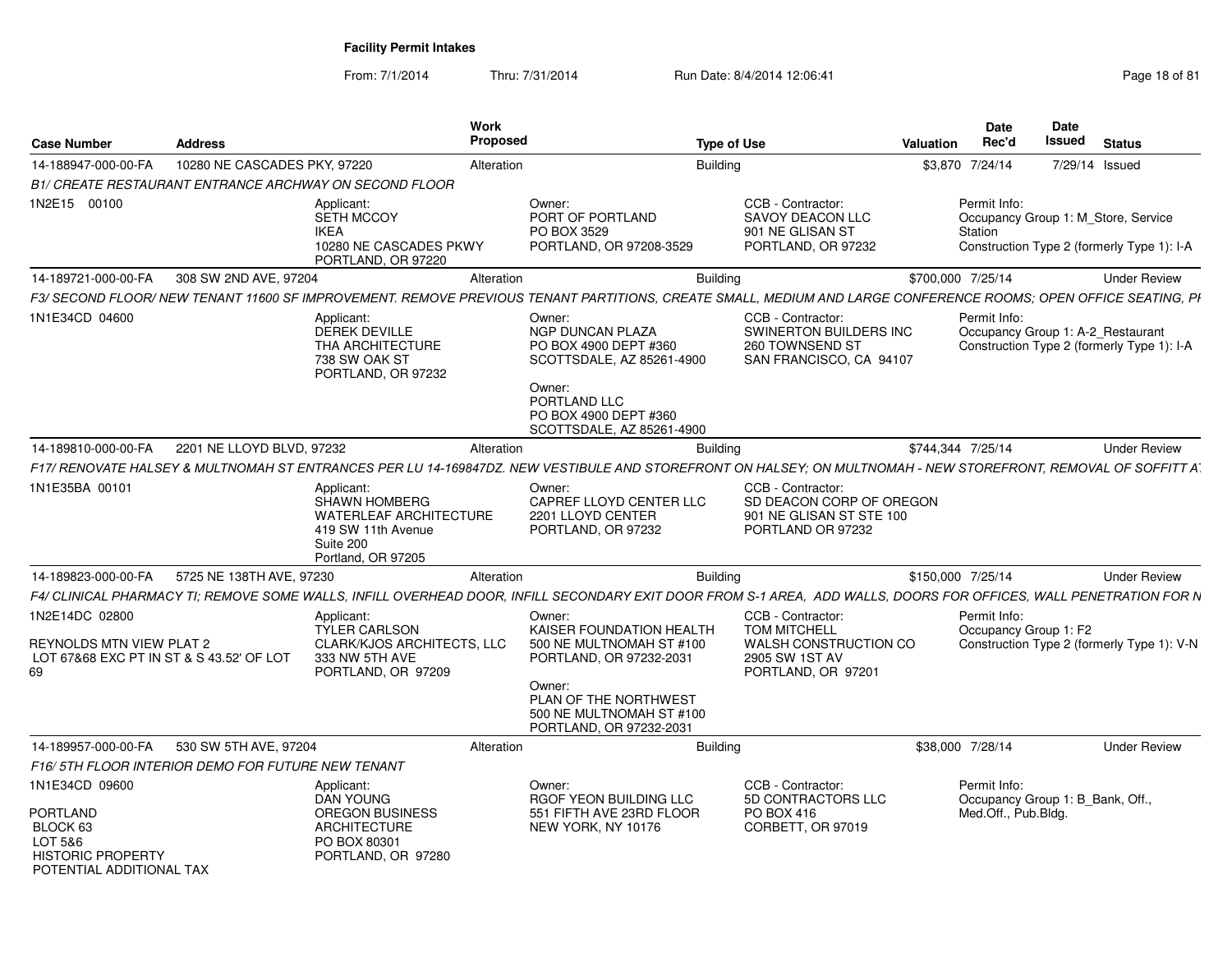| <b>Case Number</b>                                                                                               | <b>Address</b>                                    |                                                                                                                              | Work<br><b>Proposed</b> |                                                                                                                                                                                     | <b>Type of Use</b>                                                                                        | Valuation         | <b>Date</b><br>Rec'd                                                    | <b>Date</b><br><b>Issued</b> | <b>Status</b>                                                                     |
|------------------------------------------------------------------------------------------------------------------|---------------------------------------------------|------------------------------------------------------------------------------------------------------------------------------|-------------------------|-------------------------------------------------------------------------------------------------------------------------------------------------------------------------------------|-----------------------------------------------------------------------------------------------------------|-------------------|-------------------------------------------------------------------------|------------------------------|-----------------------------------------------------------------------------------|
| 14-188947-000-00-FA                                                                                              | 10280 NE CASCADES PKY, 97220                      |                                                                                                                              | Alteration              | <b>Building</b>                                                                                                                                                                     |                                                                                                           |                   | \$3,870 7/24/14                                                         |                              | 7/29/14 Issued                                                                    |
|                                                                                                                  |                                                   | B1/ CREATE RESTAURANT ENTRANCE ARCHWAY ON SECOND FLOOR                                                                       |                         |                                                                                                                                                                                     |                                                                                                           |                   |                                                                         |                              |                                                                                   |
| 1N2E15 00100                                                                                                     |                                                   | Applicant:<br>SETH MCCOY<br><b>IKEA</b><br>10280 NE CASCADES PKWY<br>PORTLAND, OR 97220                                      |                         | Owner:<br>PORT OF PORTLAND<br>PO BOX 3529<br>PORTLAND, OR 97208-3529                                                                                                                | CCB - Contractor:<br><b>SAVOY DEACON LLC</b><br>901 NE GLISAN ST<br>PORTLAND, OR 97232                    |                   | Permit Info:<br>Station                                                 |                              | Occupancy Group 1: M_Store, Service<br>Construction Type 2 (formerly Type 1): I-A |
| 14-189721-000-00-FA                                                                                              | 308 SW 2ND AVE, 97204                             |                                                                                                                              | Alteration              | <b>Building</b>                                                                                                                                                                     |                                                                                                           | \$700,000 7/25/14 |                                                                         |                              | <b>Under Review</b>                                                               |
|                                                                                                                  |                                                   |                                                                                                                              |                         | F3/ SECOND FLOOR/ NEW TENANT 11600 SF IMPROVEMENT. REMOVE PREVIOUS TENANT PARTITIONS, CREATE SMALL, MEDIUM AND LARGE CONFERENCE ROOMS; OPEN OFFICE SEATING, PI                      |                                                                                                           |                   |                                                                         |                              |                                                                                   |
| 1N1E34CD 04600                                                                                                   |                                                   | Applicant:<br><b>DEREK DEVILLE</b><br>THA ARCHITECTURE<br>738 SW OAK ST<br>PORTLAND, OR 97232                                |                         | Owner:<br>NGP DUNCAN PLAZA<br>PO BOX 4900 DEPT #360<br>SCOTTSDALE, AZ 85261-4900<br>Owner:<br>PORTLAND LLC<br>PO BOX 4900 DEPT #360<br>SCOTTSDALE, AZ 85261-4900                    | CCB - Contractor:<br>SWINERTON BUILDERS INC<br>260 TOWNSEND ST<br>SAN FRANCISCO, CA 94107                 |                   | Permit Info:                                                            |                              | Occupancy Group 1: A-2_Restaurant<br>Construction Type 2 (formerly Type 1): I-A   |
| 14-189810-000-00-FA                                                                                              | 2201 NE LLOYD BLVD, 97232                         |                                                                                                                              | Alteration              | <b>Building</b>                                                                                                                                                                     |                                                                                                           | \$744.344 7/25/14 |                                                                         |                              | <b>Under Review</b>                                                               |
|                                                                                                                  |                                                   |                                                                                                                              |                         | F17/ RENOVATE HALSEY & MULTNOMAH ST ENTRANCES PER LU 14-169847DZ. NEW VESTIBULE AND STOREFRONT ON HALSEY; ON MULTNOMAH - NEW STOREFRONT, REMOVAL OF SOFFITT A                       |                                                                                                           |                   |                                                                         |                              |                                                                                   |
| 1N1E35BA 00101                                                                                                   |                                                   | Applicant:<br><b>SHAWN HOMBERG</b><br><b>WATERLEAF ARCHITECTURE</b><br>419 SW 11th Avenue<br>Suite 200<br>Portland, OR 97205 |                         | Owner<br>CAPREF LLOYD CENTER LLC<br>2201 LLOYD CENTER<br>PORTLAND, OR 97232                                                                                                         | CCB - Contractor:<br>SD DEACON CORP OF OREGON<br>901 NE GLISAN ST STE 100<br>PORTLAND OR 97232            |                   |                                                                         |                              |                                                                                   |
| 14-189823-000-00-FA                                                                                              | 5725 NE 138TH AVE, 97230                          |                                                                                                                              | Alteration              | <b>Building</b>                                                                                                                                                                     |                                                                                                           | \$150,000 7/25/14 |                                                                         |                              | <b>Under Review</b>                                                               |
|                                                                                                                  |                                                   |                                                                                                                              |                         | F4/ CLINICAL PHARMACY TI: REMOVE SOME WALLS. INFILL OVERHEAD DOOR. INFILL SECONDARY EXIT DOOR FROM S-1 AREA.  ADD WALLS. DOORS FOR OFFICES. WALL PENETRATION FOR N                  |                                                                                                           |                   |                                                                         |                              |                                                                                   |
| 1N2E14DC 02800<br>REYNOLDS MTN VIEW PLAT 2<br>LOT 67&68 EXC PT IN ST & S 43.52' OF LOT<br>69                     |                                                   | Applicant:<br><b>TYLER CARLSON</b><br>CLARK/KJOS ARCHITECTS, LLC<br>333 NW 5TH AVE<br>PORTLAND, OR 97209                     |                         | Owner:<br>KAISER FOUNDATION HEALTH<br>500 NE MULTNOMAH ST #100<br>PORTLAND, OR 97232-2031<br>Owner:<br>PLAN OF THE NORTHWEST<br>500 NE MULTNOMAH ST #100<br>PORTLAND, OR 97232-2031 | CCB - Contractor:<br><b>TOM MITCHELL</b><br>WALSH CONSTRUCTION CO<br>2905 SW 1ST AV<br>PORTLAND, OR 97201 |                   | Permit Info:<br>Occupancy Group 1: F2                                   |                              | Construction Type 2 (formerly Type 1): V-N                                        |
| 14-189957-000-00-FA                                                                                              | 530 SW 5TH AVE, 97204                             |                                                                                                                              | Alteration              | <b>Building</b>                                                                                                                                                                     |                                                                                                           |                   | \$38,000 7/28/14                                                        |                              | <b>Under Review</b>                                                               |
|                                                                                                                  | F16/5TH FLOOR INTERIOR DEMO FOR FUTURE NEW TENANT |                                                                                                                              |                         |                                                                                                                                                                                     |                                                                                                           |                   |                                                                         |                              |                                                                                   |
| 1N1E34CD 09600<br><b>PORTLAND</b><br>BLOCK 63<br>LOT 5&6<br><b>HISTORIC PROPERTY</b><br>POTENTIAL ADDITIONAL TAX |                                                   | Applicant:<br>DAN YOUNG<br><b>OREGON BUSINESS</b><br><b>ARCHITECTURE</b><br>PO BOX 80301<br>PORTLAND, OR 97280               |                         | Owner:<br>RGOF YEON BUILDING LLC<br>551 FIFTH AVE 23RD FLOOR<br>NEW YORK, NY 10176                                                                                                  | CCB - Contractor:<br>5D CONTRACTORS LLC<br>PO BOX 416<br>CORBETT, OR 97019                                |                   | Permit Info:<br>Occupancy Group 1: B_Bank, Off.,<br>Med.Off., Pub.Bldg. |                              |                                                                                   |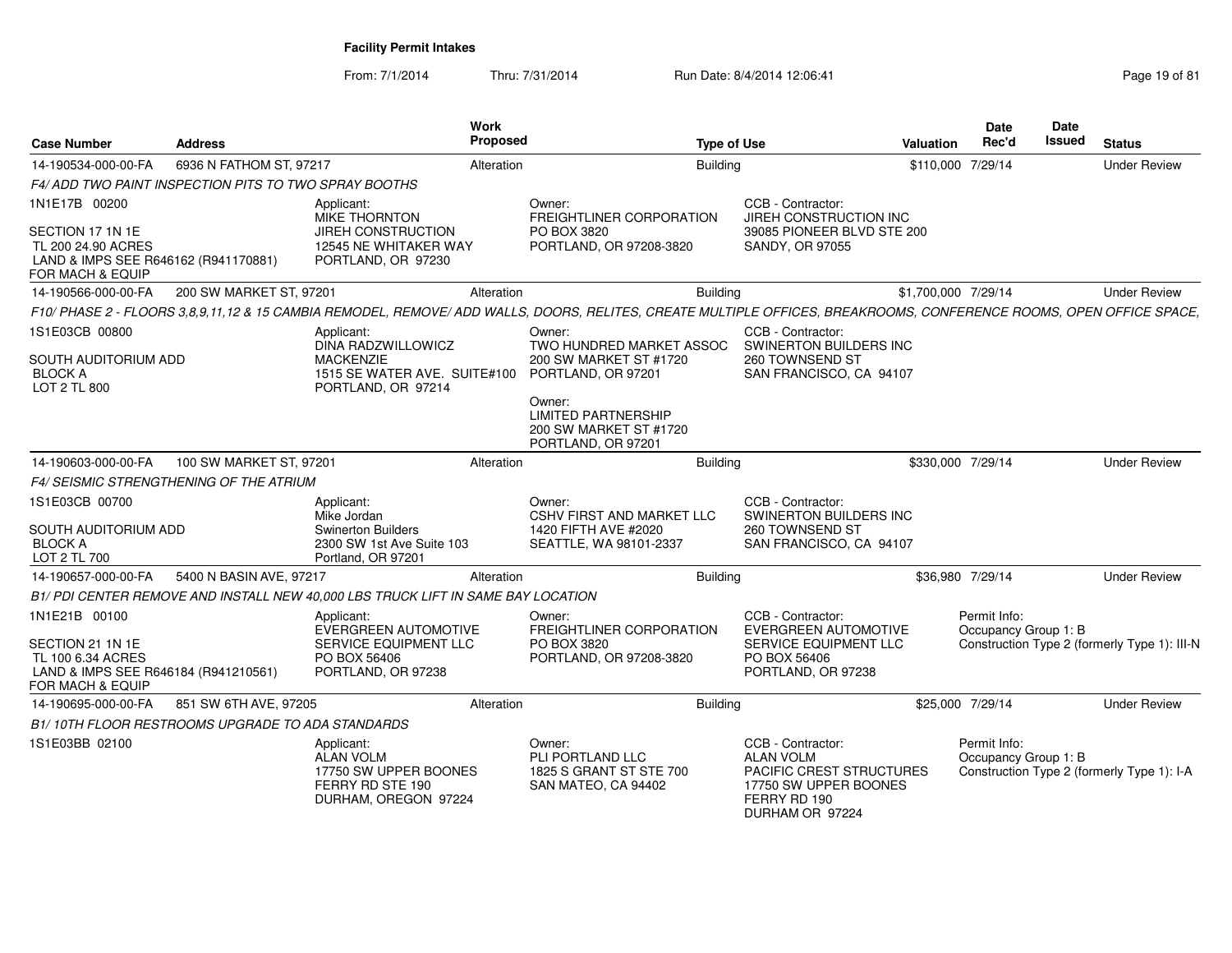From: 7/1/2014

| <b>Case Number</b>                                                                                                  | <b>Address</b>                                       | Work<br><b>Proposed</b>                                                                                         | <b>Type of Use</b>                                                                                                                                                         |                                                                                                                                      | <b>Valuation</b>    | <b>Date</b><br>Rec'd                 | <b>Date</b><br>Issued | <b>Status</b>                                |
|---------------------------------------------------------------------------------------------------------------------|------------------------------------------------------|-----------------------------------------------------------------------------------------------------------------|----------------------------------------------------------------------------------------------------------------------------------------------------------------------------|--------------------------------------------------------------------------------------------------------------------------------------|---------------------|--------------------------------------|-----------------------|----------------------------------------------|
| 14-190534-000-00-FA                                                                                                 | 6936 N FATHOM ST, 97217                              | Alteration                                                                                                      | <b>Building</b>                                                                                                                                                            |                                                                                                                                      | \$110,000 7/29/14   |                                      |                       | <b>Under Review</b>                          |
|                                                                                                                     | F4/ADD TWO PAINT INSPECTION PITS TO TWO SPRAY BOOTHS |                                                                                                                 |                                                                                                                                                                            |                                                                                                                                      |                     |                                      |                       |                                              |
| 1N1E17B 00200<br>SECTION 17 1N 1E<br>TL 200 24.90 ACRES<br>LAND & IMPS SEE R646162 (R941170881)<br>FOR MACH & EQUIP |                                                      | Applicant:<br>MIKE THORNTON<br><b>JIREH CONSTRUCTION</b><br>12545 NE WHITAKER WAY<br>PORTLAND, OR 97230         | Owner:<br><b>FREIGHTLINER CORPORATION</b><br>PO BOX 3820<br>PORTLAND, OR 97208-3820                                                                                        | CCB - Contractor:<br>JIREH CONSTRUCTION INC<br>39085 PIONEER BLVD STE 200<br>SANDY, OR 97055                                         |                     |                                      |                       |                                              |
| 14-190566-000-00-FA                                                                                                 | 200 SW MARKET ST, 97201                              | Alteration                                                                                                      | <b>Building</b>                                                                                                                                                            |                                                                                                                                      | \$1,700,000 7/29/14 |                                      |                       | <b>Under Review</b>                          |
|                                                                                                                     |                                                      |                                                                                                                 | F10/ PHASE 2 - FLOORS 3,8,9,11,12 & 15 CAMBIA REMODEL, REMOVE/ ADD WALLS, DOORS, RELITES, CREATE MULTIPLE OFFICES, BREAKROOMS, CONFERENCE ROOMS, OPEN OFFICE SPACE,        |                                                                                                                                      |                     |                                      |                       |                                              |
| 1S1E03CB 00800<br>SOUTH AUDITORIUM ADD<br><b>BLOCK A</b><br>LOT 2 TL 800                                            |                                                      | Applicant:<br>DINA RADZWILLOWICZ<br><b>MACKENZIE</b><br>1515 SE WATER AVE. SUITE#100<br>PORTLAND, OR 97214      | Owner:<br>TWO HUNDRED MARKET ASSOC<br>200 SW MARKET ST #1720<br>PORTLAND, OR 97201<br>Owner:<br><b>LIMITED PARTNERSHIP</b><br>200 SW MARKET ST #1720<br>PORTLAND, OR 97201 | CCB - Contractor:<br>SWINERTON BUILDERS INC<br>260 TOWNSEND ST<br>SAN FRANCISCO, CA 94107                                            |                     |                                      |                       |                                              |
| 14-190603-000-00-FA                                                                                                 | 100 SW MARKET ST, 97201                              | Alteration                                                                                                      | <b>Building</b>                                                                                                                                                            |                                                                                                                                      | \$330,000 7/29/14   |                                      |                       | <b>Under Review</b>                          |
|                                                                                                                     | <b>F4/ SEISMIC STRENGTHENING OF THE ATRIUM</b>       |                                                                                                                 |                                                                                                                                                                            |                                                                                                                                      |                     |                                      |                       |                                              |
| 1S1E03CB 00700<br>SOUTH AUDITORIUM ADD<br><b>BLOCK A</b><br>LOT 2 TL 700                                            |                                                      | Applicant:<br>Mike Jordan<br><b>Swinerton Builders</b><br>2300 SW 1st Ave Suite 103<br>Portland, OR 97201       | Owner:<br><b>CSHV FIRST AND MARKET LLC</b><br>1420 FIFTH AVE #2020<br>SEATTLE, WA 98101-2337                                                                               | CCB - Contractor:<br>SWINERTON BUILDERS INC<br>260 TOWNSEND ST<br>SAN FRANCISCO, CA 94107                                            |                     |                                      |                       |                                              |
| 14-190657-000-00-FA                                                                                                 | 5400 N BASIN AVE, 97217                              | Alteration                                                                                                      | <b>Building</b>                                                                                                                                                            |                                                                                                                                      | \$36,980 7/29/14    |                                      |                       | <b>Under Review</b>                          |
|                                                                                                                     |                                                      | B1/ PDI CENTER REMOVE AND INSTALL NEW 40,000 LBS TRUCK LIFT IN SAME BAY LOCATION                                |                                                                                                                                                                            |                                                                                                                                      |                     |                                      |                       |                                              |
| 1N1E21B 00100<br>SECTION 21 1N 1E<br>TL 100 6.34 ACRES<br>LAND & IMPS SEE R646184 (R941210561)<br>FOR MACH & EQUIP  |                                                      | Applicant:<br><b>EVERGREEN AUTOMOTIVE</b><br><b>SERVICE EQUIPMENT LLC</b><br>PO BOX 56406<br>PORTLAND, OR 97238 | Owner:<br>FREIGHTLINER CORPORATION<br>PO BOX 3820<br>PORTLAND, OR 97208-3820                                                                                               | CCB - Contractor:<br>EVERGREEN AUTOMOTIVE<br>SERVICE EQUIPMENT LLC<br>PO BOX 56406<br>PORTLAND, OR 97238                             |                     | Permit Info:<br>Occupancy Group 1: B |                       | Construction Type 2 (formerly Type 1): III-N |
| 14-190695-000-00-FA                                                                                                 | 851 SW 6TH AVE, 97205                                | Alteration                                                                                                      | <b>Building</b>                                                                                                                                                            |                                                                                                                                      | \$25,000 7/29/14    |                                      |                       | <b>Under Review</b>                          |
|                                                                                                                     | B1/10TH FLOOR RESTROOMS UPGRADE TO ADA STANDARDS     |                                                                                                                 |                                                                                                                                                                            |                                                                                                                                      |                     |                                      |                       |                                              |
| 1S1E03BB 02100                                                                                                      |                                                      | Applicant:<br><b>ALAN VOLM</b><br>17750 SW UPPER BOONES<br>FERRY RD STE 190<br>DURHAM, OREGON 97224             | Owner:<br>PLI PORTLAND LLC<br>1825 S GRANT ST STE 700<br>SAN MATEO, CA 94402                                                                                               | CCB - Contractor:<br><b>ALAN VOLM</b><br><b>PACIFIC CREST STRUCTURES</b><br>17750 SW UPPER BOONES<br>FERRY RD 190<br>DURHAM OR 97224 |                     | Permit Info:<br>Occupancy Group 1: B |                       | Construction Type 2 (formerly Type 1): I-A   |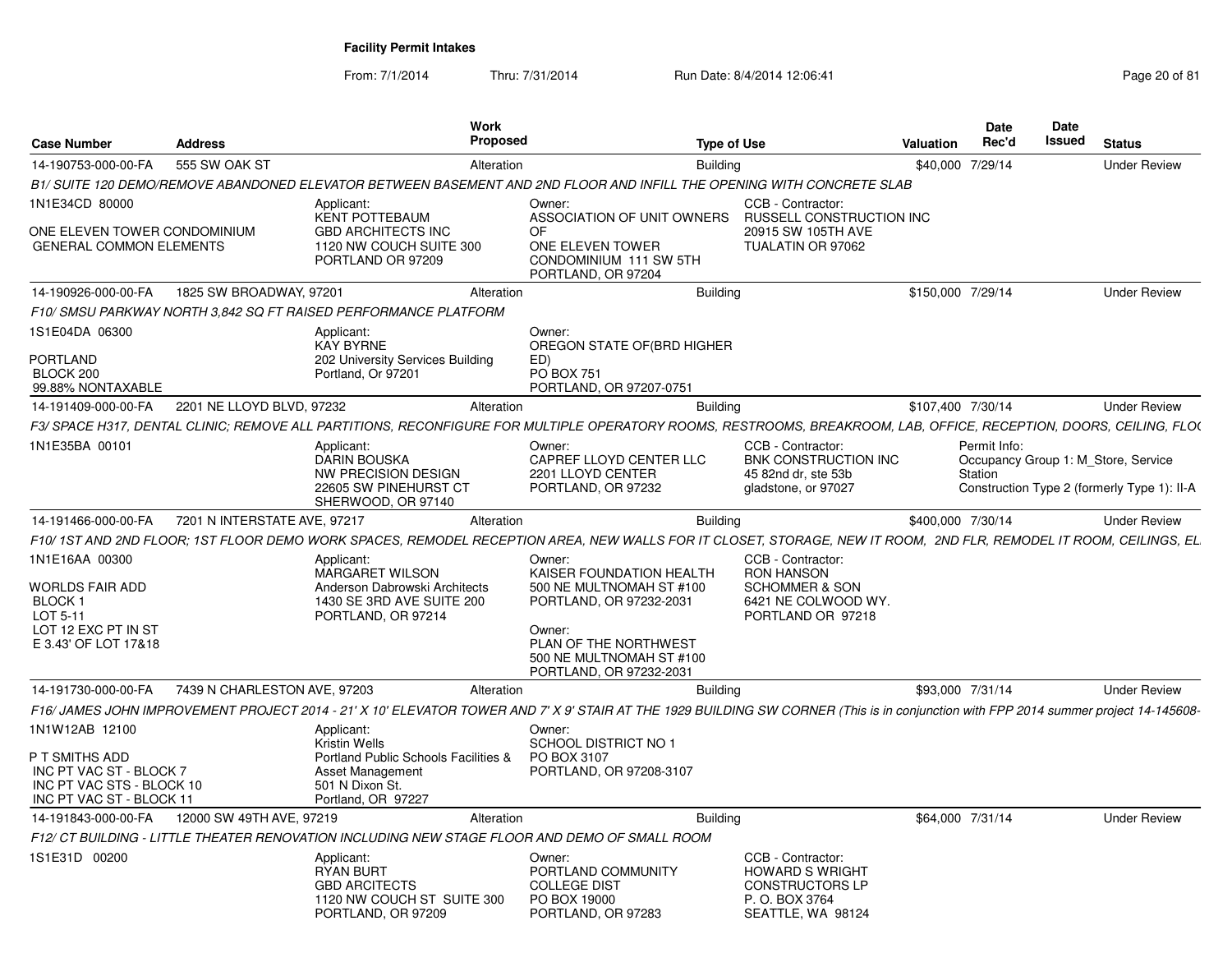| <b>Case Number</b>                                                                                                   | <b>Address</b>               | Work<br><b>Proposed</b>                                                                                                                                                             |                                                                                                                                                                                     | <b>Type of Use</b>                                                                                              | Valuation         | <b>Date</b><br>Rec'd    | Date<br>Issued | <b>Status</b>                                                                      |
|----------------------------------------------------------------------------------------------------------------------|------------------------------|-------------------------------------------------------------------------------------------------------------------------------------------------------------------------------------|-------------------------------------------------------------------------------------------------------------------------------------------------------------------------------------|-----------------------------------------------------------------------------------------------------------------|-------------------|-------------------------|----------------|------------------------------------------------------------------------------------|
| 14-190753-000-00-FA                                                                                                  | 555 SW OAK ST                | Alteration                                                                                                                                                                          | <b>Building</b>                                                                                                                                                                     |                                                                                                                 |                   | \$40,000 7/29/14        |                | <b>Under Review</b>                                                                |
|                                                                                                                      |                              | B1/SUITE 120 DEMO/REMOVE ABANDONED ELEVATOR BETWEEN BASEMENT AND 2ND FLOOR AND INFILL THE OPENING WITH CONCRETE SLAB                                                                |                                                                                                                                                                                     |                                                                                                                 |                   |                         |                |                                                                                    |
| 1N1E34CD 80000                                                                                                       |                              | Applicant:                                                                                                                                                                          | Owner:                                                                                                                                                                              | CCB - Contractor:                                                                                               |                   |                         |                |                                                                                    |
| ONE ELEVEN TOWER CONDOMINIUM<br><b>GENERAL COMMON ELEMENTS</b>                                                       |                              | <b>KENT POTTEBAUM</b><br><b>GBD ARCHITECTS INC</b><br>1120 NW COUCH SUITE 300<br>PORTLAND OR 97209                                                                                  | ASSOCIATION OF UNIT OWNERS<br><b>OF</b><br>ONE ELEVEN TOWER<br>CONDOMINIUM 111 SW 5TH<br>PORTLAND, OR 97204                                                                         | <b>RUSSELL CONSTRUCTION INC</b><br>20915 SW 105TH AVE<br>TUALATIN OR 97062                                      |                   |                         |                |                                                                                    |
| 14-190926-000-00-FA                                                                                                  | 1825 SW BROADWAY, 97201      | Alteration                                                                                                                                                                          | <b>Building</b>                                                                                                                                                                     |                                                                                                                 | \$150,000 7/29/14 |                         |                | <b>Under Review</b>                                                                |
|                                                                                                                      |                              | F10/ SMSU PARKWAY NORTH 3.842 SQ FT RAISED PERFORMANCE PLATFORM                                                                                                                     |                                                                                                                                                                                     |                                                                                                                 |                   |                         |                |                                                                                    |
| 1S1E04DA 06300<br><b>PORTLAND</b><br>BLOCK 200<br>99.88% NONTAXABLE                                                  |                              | Applicant:<br><b>KAY BYRNE</b><br>202 University Services Building<br>Portland, Or 97201                                                                                            | Owner:<br>OREGON STATE OF (BRD HIGHER<br>ED)<br><b>PO BOX 751</b><br>PORTLAND, OR 97207-0751                                                                                        |                                                                                                                 |                   |                         |                |                                                                                    |
| 14-191409-000-00-FA                                                                                                  | 2201 NE LLOYD BLVD, 97232    | Alteration                                                                                                                                                                          | <b>Building</b>                                                                                                                                                                     |                                                                                                                 | \$107,400 7/30/14 |                         |                | <b>Under Review</b>                                                                |
|                                                                                                                      |                              | F3/ SPACE H317, DENTAL CLINIC; REMOVE ALL PARTITIONS, RECONFIGURE FOR MULTIPLE OPERATORY ROOMS, RESTROOMS, BREAKROOM, LAB, OFFICE, RECEPTION, DOORS, CEILING, FLO(                  |                                                                                                                                                                                     |                                                                                                                 |                   |                         |                |                                                                                    |
| 1N1E35BA 00101                                                                                                       |                              | Applicant:<br><b>DARIN BOUSKA</b><br>NW PRECISION DESIGN<br>22605 SW PINEHURST CT<br>SHERWOOD, OR 97140                                                                             | Owner:<br>CAPREF LLOYD CENTER LLC<br>2201 LLOYD CENTER<br>PORTLAND, OR 97232                                                                                                        | CCB - Contractor:<br>BNK CONSTRUCTION INC<br>45 82nd dr. ste 53b<br>gladstone, or 97027                         |                   | Permit Info:<br>Station |                | Occupancy Group 1: M Store, Service<br>Construction Type 2 (formerly Type 1): II-A |
| 14-191466-000-00-FA                                                                                                  | 7201 N INTERSTATE AVE, 97217 | Alteration                                                                                                                                                                          | <b>Building</b>                                                                                                                                                                     |                                                                                                                 | \$400,000 7/30/14 |                         |                | <b>Under Review</b>                                                                |
|                                                                                                                      |                              | F10/1ST AND 2ND FLOOR; 1ST FLOOR DEMO WORK SPACES, REMODEL RECEPTION AREA, NEW WALLS FOR IT CLOSET, STORAGE, NEW IT ROOM, 2ND FLR, REMODEL IT ROOM, CEILINGS, EL                    |                                                                                                                                                                                     |                                                                                                                 |                   |                         |                |                                                                                    |
| 1N1E16AA 00300<br><b>WORLDS FAIR ADD</b><br><b>BLOCK1</b><br>LOT 5-11<br>LOT 12 EXC PT IN ST<br>E 3.43' OF LOT 17&18 |                              | Applicant:<br><b>MARGARET WILSON</b><br>Anderson Dabrowski Architects<br>1430 SE 3RD AVE SUITE 200<br>PORTLAND, OR 97214                                                            | Owner:<br>KAISER FOUNDATION HEALTH<br>500 NE MULTNOMAH ST #100<br>PORTLAND, OR 97232-2031<br>Owner:<br>PLAN OF THE NORTHWEST<br>500 NE MULTNOMAH ST #100<br>PORTLAND, OR 97232-2031 | CCB - Contractor:<br><b>RON HANSON</b><br><b>SCHOMMER &amp; SON</b><br>6421 NE COLWOOD WY.<br>PORTLAND OR 97218 |                   |                         |                |                                                                                    |
| 14-191730-000-00-FA                                                                                                  | 7439 N CHARLESTON AVE, 97203 | Alteration                                                                                                                                                                          | <b>Building</b>                                                                                                                                                                     |                                                                                                                 |                   | \$93,000 7/31/14        |                | <b>Under Review</b>                                                                |
|                                                                                                                      |                              | F16/JAMES JOHN IMPROVEMENT PROJECT 2014 - 21' X 10' ELEVATOR TOWER AND 7' X 9' STAIR AT THE 1929 BUILDING SW CORNER (This is in conjunction with FPP 2014 summer project 14-145608- |                                                                                                                                                                                     |                                                                                                                 |                   |                         |                |                                                                                    |
| 1N1W12AB 12100<br>P T SMITHS ADD<br>INC PT VAC ST - BLOCK 7<br>INC PT VAC STS - BLOCK 10<br>INC PT VAC ST - BLOCK 11 |                              | Applicant:<br><b>Kristin Wells</b><br>Portland Public Schools Facilities &<br>Asset Management<br>501 N Dixon St.<br>Portland, OR 97227                                             | Owner:<br><b>SCHOOL DISTRICT NO 1</b><br>PO BOX 3107<br>PORTLAND, OR 97208-3107                                                                                                     |                                                                                                                 |                   |                         |                |                                                                                    |
| 14-191843-000-00-FA                                                                                                  | 12000 SW 49TH AVE, 97219     | Alteration                                                                                                                                                                          | <b>Building</b>                                                                                                                                                                     |                                                                                                                 |                   | \$64,000 7/31/14        |                | <b>Under Review</b>                                                                |
|                                                                                                                      |                              | F12/ CT BUILDING - LITTLE THEATER RENOVATION INCLUDING NEW STAGE FLOOR AND DEMO OF SMALL ROOM                                                                                       |                                                                                                                                                                                     |                                                                                                                 |                   |                         |                |                                                                                    |
| 1S1E31D 00200                                                                                                        |                              | Applicant:<br><b>RYAN BURT</b><br><b>GBD ARCITECTS</b><br>1120 NW COUCH ST SUITE 300<br>PORTLAND, OR 97209                                                                          | Owner:<br>PORTLAND COMMUNITY<br><b>COLLEGE DIST</b><br>PO BOX 19000<br>PORTLAND, OR 97283                                                                                           | CCB - Contractor:<br><b>HOWARD S WRIGHT</b><br><b>CONSTRUCTORS LP</b><br>P. O. BOX 3764<br>SEATTLE, WA 98124    |                   |                         |                |                                                                                    |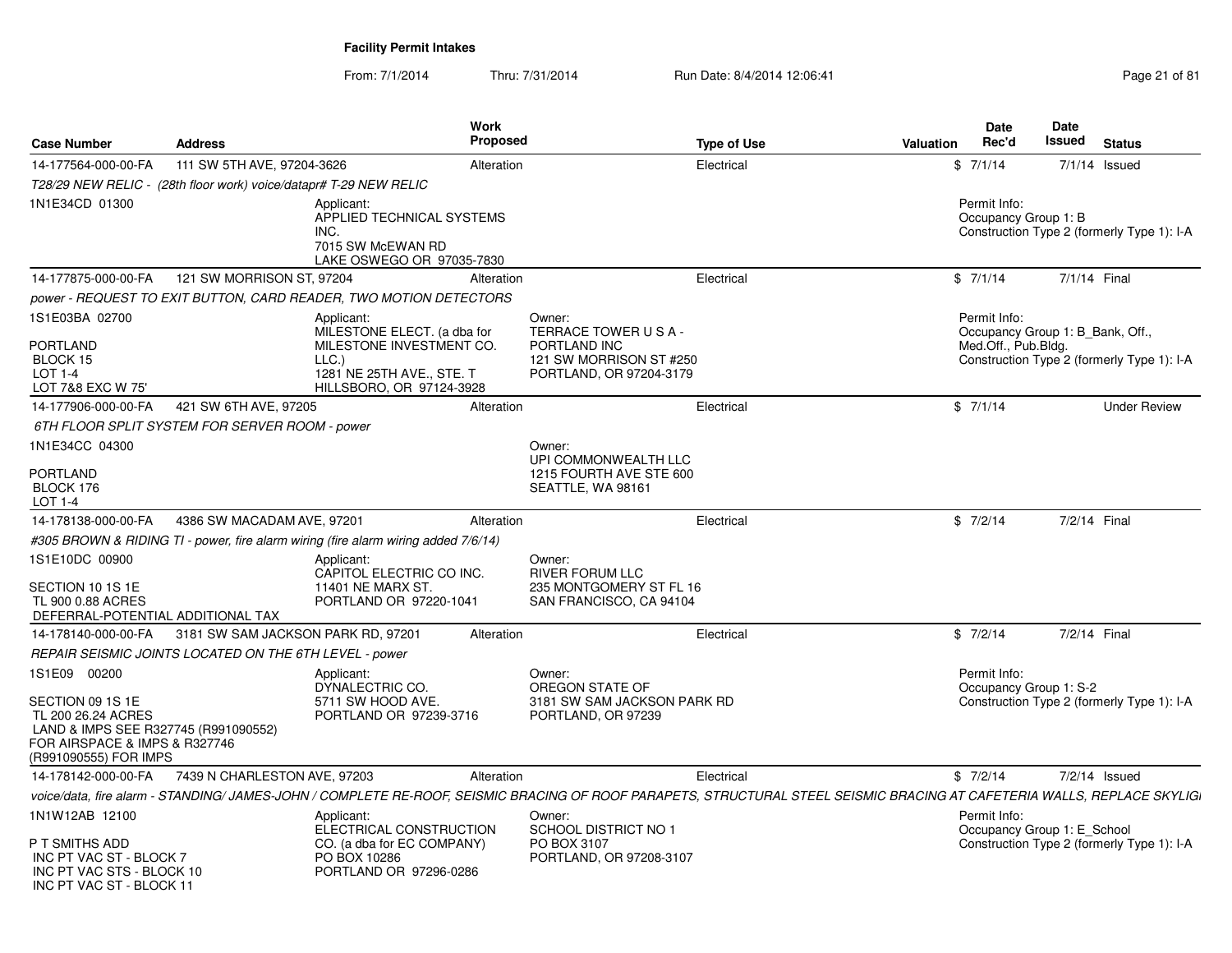INC PT VAC ST - BLOCK 11

| <b>Case Number</b>                                                                                                                       | <b>Address</b>                                                    | Work<br>Proposed                                                                                                                       |                                                                                                    | <b>Type of Use</b><br><b>Valuation</b>                                                                                                                                  | Date<br>Rec'd                                                           | Date<br>Issued | <b>Status</b>                              |
|------------------------------------------------------------------------------------------------------------------------------------------|-------------------------------------------------------------------|----------------------------------------------------------------------------------------------------------------------------------------|----------------------------------------------------------------------------------------------------|-------------------------------------------------------------------------------------------------------------------------------------------------------------------------|-------------------------------------------------------------------------|----------------|--------------------------------------------|
| 14-177564-000-00-FA                                                                                                                      | 111 SW 5TH AVE, 97204-3626                                        | Alteration                                                                                                                             |                                                                                                    | Electrical                                                                                                                                                              | \$7/1/14                                                                |                | $7/1/14$ Issued                            |
|                                                                                                                                          | T28/29 NEW RELIC - (28th floor work) voice/datapr# T-29 NEW RELIC |                                                                                                                                        |                                                                                                    |                                                                                                                                                                         |                                                                         |                |                                            |
| 1N1E34CD 01300                                                                                                                           |                                                                   | Applicant:<br>APPLIED TECHNICAL SYSTEMS<br>INC.<br>7015 SW McEWAN RD<br>LAKE OSWEGO OR 97035-7830                                      |                                                                                                    |                                                                                                                                                                         | Permit Info:<br>Occupancy Group 1: B                                    |                | Construction Type 2 (formerly Type 1): I-A |
| 14-177875-000-00-FA                                                                                                                      | 121 SW MORRISON ST, 97204                                         | Alteration                                                                                                                             |                                                                                                    | Electrical                                                                                                                                                              | \$7/1/14                                                                |                | 7/1/14 Final                               |
|                                                                                                                                          |                                                                   | power - REQUEST TO EXIT BUTTON, CARD READER, TWO MOTION DETECTORS                                                                      |                                                                                                    |                                                                                                                                                                         |                                                                         |                |                                            |
| 1S1E03BA 02700<br><b>PORTLAND</b><br>BLOCK 15<br>$LOT 1-4$<br>LOT 7&8 EXC W 75'                                                          |                                                                   | Applicant:<br>MILESTONE ELECT. (a dba for<br>MILESTONE INVESTMENT CO.<br>LLC.<br>1281 NE 25TH AVE., STE. T<br>HILLSBORO, OR 97124-3928 | Owner:<br>TERRACE TOWER USA-<br>PORTLAND INC<br>121 SW MORRISON ST #250<br>PORTLAND, OR 97204-3179 |                                                                                                                                                                         | Permit Info:<br>Occupancy Group 1: B Bank, Off.,<br>Med.Off., Pub.Bldg. |                | Construction Type 2 (formerly Type 1): I-A |
| 14-177906-000-00-FA                                                                                                                      | 421 SW 6TH AVE, 97205                                             | Alteration                                                                                                                             |                                                                                                    | Electrical                                                                                                                                                              | \$7/1/14                                                                |                | <b>Under Review</b>                        |
|                                                                                                                                          | 6TH FLOOR SPLIT SYSTEM FOR SERVER ROOM - power                    |                                                                                                                                        |                                                                                                    |                                                                                                                                                                         |                                                                         |                |                                            |
| 1N1E34CC 04300                                                                                                                           |                                                                   |                                                                                                                                        | Owner<br>UPI COMMONWEALTH LLC                                                                      |                                                                                                                                                                         |                                                                         |                |                                            |
| <b>PORTLAND</b><br>BLOCK 176<br>LOT 1-4                                                                                                  |                                                                   |                                                                                                                                        | 1215 FOURTH AVE STE 600<br>SEATTLE, WA 98161                                                       |                                                                                                                                                                         |                                                                         |                |                                            |
| 14-178138-000-00-FA                                                                                                                      | 4386 SW MACADAM AVE, 97201                                        | Alteration                                                                                                                             |                                                                                                    | Electrical                                                                                                                                                              | \$7/2/14                                                                |                | 7/2/14 Final                               |
|                                                                                                                                          |                                                                   | #305 BROWN & RIDING TI - power, fire alarm wiring (fire alarm wiring added 7/6/14)                                                     |                                                                                                    |                                                                                                                                                                         |                                                                         |                |                                            |
| 1S1E10DC 00900<br>SECTION 10 1S 1E<br>TL 900 0.88 ACRES<br>DEFERRAL-POTENTIAL ADDITIONAL TAX                                             |                                                                   | Applicant:<br>CAPITOL ELECTRIC CO INC.<br><b>11401 NE MARX ST.</b><br>PORTLAND OR 97220-1041                                           | Owner:<br><b>RIVER FORUM LLC</b><br>235 MONTGOMERY ST FL 16<br>SAN FRANCISCO, CA 94104             |                                                                                                                                                                         |                                                                         |                |                                            |
| 14-178140-000-00-FA                                                                                                                      | 3181 SW SAM JACKSON PARK RD, 97201                                | Alteration                                                                                                                             |                                                                                                    | Electrical                                                                                                                                                              | \$7/2/14                                                                |                | 7/2/14 Final                               |
|                                                                                                                                          | REPAIR SEISMIC JOINTS LOCATED ON THE 6TH LEVEL - power            |                                                                                                                                        |                                                                                                    |                                                                                                                                                                         |                                                                         |                |                                            |
| 1S1E09 00200                                                                                                                             |                                                                   | Applicant:<br>DYNALECTRIC CO.                                                                                                          | Owner:<br>OREGON STATE OF                                                                          |                                                                                                                                                                         | Permit Info:<br>Occupancy Group 1: S-2                                  |                |                                            |
| SECTION 09 1S 1E<br>TL 200 26.24 ACRES<br>LAND & IMPS SEE R327745 (R991090552)<br>FOR AIRSPACE & IMPS & R327746<br>(R991090555) FOR IMPS |                                                                   | 5711 SW HOOD AVE.<br>PORTLAND OR 97239-3716                                                                                            | 3181 SW SAM JACKSON PARK RD<br>PORTLAND, OR 97239                                                  |                                                                                                                                                                         |                                                                         |                | Construction Type 2 (formerly Type 1): I-A |
| 14-178142-000-00-FA                                                                                                                      | 7439 N CHARLESTON AVE, 97203                                      | Alteration                                                                                                                             |                                                                                                    | Electrical                                                                                                                                                              | \$7/2/14                                                                |                | 7/2/14 Issued                              |
|                                                                                                                                          |                                                                   |                                                                                                                                        |                                                                                                    | voice/data, fire alarm - STANDING/ JAMES-JOHN / COMPLETE RE-ROOF, SEISMIC BRACING OF ROOF PARAPETS, STRUCTURAL STEEL SEISMIC BRACING AT CAFETERIA WALLS, REPLACE SKYLIG |                                                                         |                |                                            |
| 1N1W12AB 12100<br>P T SMITHS ADD                                                                                                         |                                                                   | Applicant:<br>ELECTRICAL CONSTRUCTION<br>CO. (a dba for EC COMPANY)                                                                    | Owner:<br>SCHOOL DISTRICT NO 1<br>PO BOX 3107                                                      |                                                                                                                                                                         | Permit Info:<br>Occupancy Group 1: E_School                             |                | Construction Type 2 (formerly Type 1): I-A |
| INC PT VAC ST - BLOCK 7<br>INC PT VAC STS - BLOCK 10                                                                                     |                                                                   | PO BOX 10286<br>PORTLAND OR 97296-0286                                                                                                 | PORTLAND, OR 97208-3107                                                                            |                                                                                                                                                                         |                                                                         |                |                                            |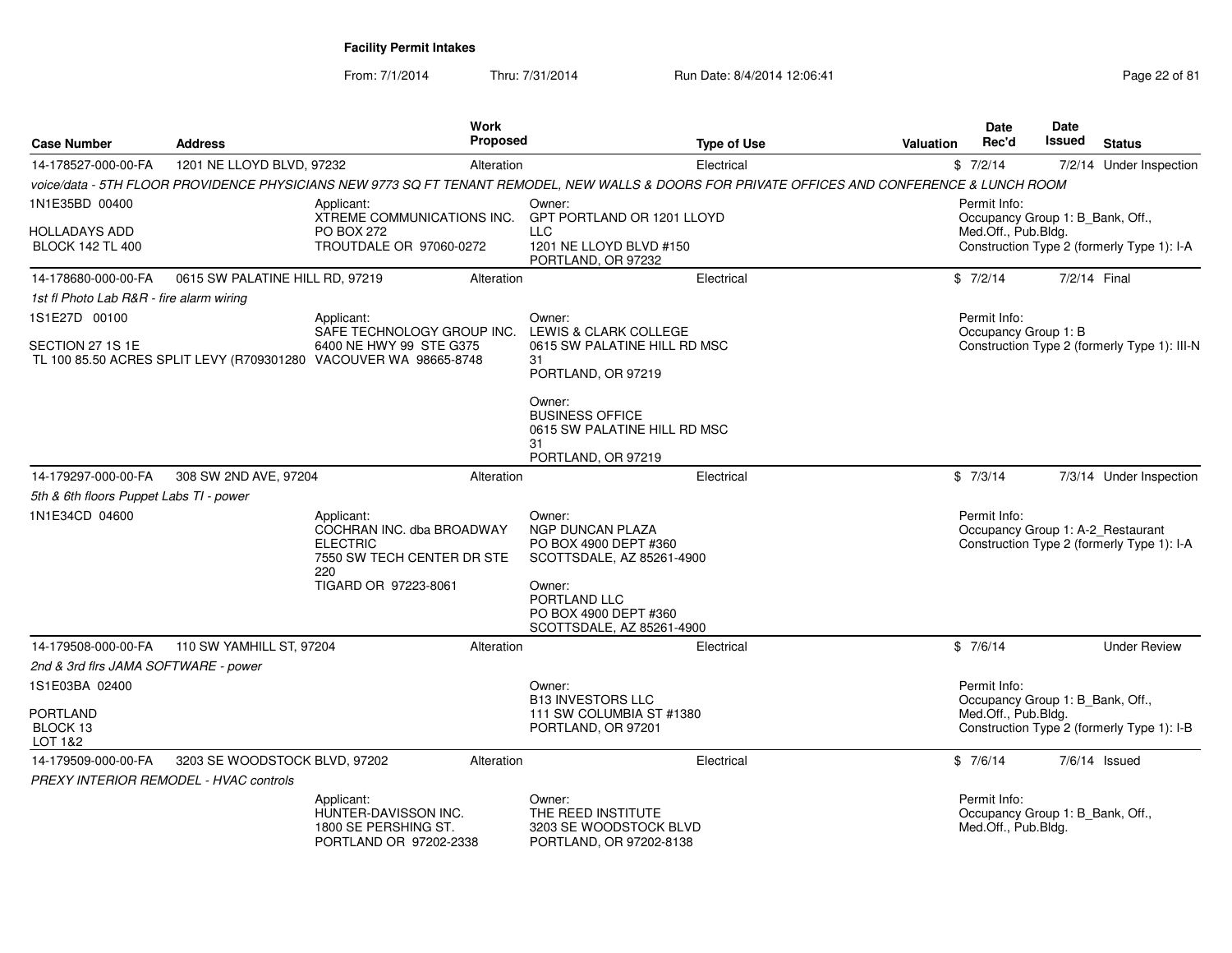From: 7/1/2014

| <b>Case Number</b>                            | <b>Address</b>                  | Work<br>Proposed                                                                                                                              |                                                                                              | <b>Type of Use</b> | Valuation | <b>Date</b><br>Rec'd                                                    | <b>Date</b><br>Issued | <b>Status</b>                                                                   |
|-----------------------------------------------|---------------------------------|-----------------------------------------------------------------------------------------------------------------------------------------------|----------------------------------------------------------------------------------------------|--------------------|-----------|-------------------------------------------------------------------------|-----------------------|---------------------------------------------------------------------------------|
| 14-178527-000-00-FA                           | 1201 NE LLOYD BLVD, 97232       | Alteration                                                                                                                                    |                                                                                              | Electrical         |           | \$7/2/14                                                                |                       | 7/2/14 Under Inspection                                                         |
|                                               |                                 | voice/data - 5TH FLOOR PROVIDENCE PHYSICIANS NEW 9773 SQ FT TENANT REMODEL, NEW WALLS & DOORS FOR PRIVATE OFFICES AND CONFERENCE & LUNCH ROOM |                                                                                              |                    |           |                                                                         |                       |                                                                                 |
| 1N1E35BD 00400                                |                                 | Applicant:                                                                                                                                    | Owner:                                                                                       |                    |           | Permit Info:                                                            |                       |                                                                                 |
| HOLLADAYS ADD<br><b>BLOCK 142 TL 400</b>      |                                 | XTREME COMMUNICATIONS INC.<br><b>PO BOX 272</b><br>TROUTDALE OR 97060-0272                                                                    | GPT PORTLAND OR 1201 LLOYD<br><b>LLC</b><br>1201 NE LLOYD BLVD #150<br>PORTLAND, OR 97232    |                    |           | Occupancy Group 1: B_Bank, Off.,<br>Med.Off., Pub.Bldg.                 |                       | Construction Type 2 (formerly Type 1): I-A                                      |
| 14-178680-000-00-FA                           | 0615 SW PALATINE HILL RD, 97219 | Alteration                                                                                                                                    |                                                                                              | Electrical         |           | \$7/2/14                                                                | 7/2/14 Final          |                                                                                 |
| 1st fl Photo Lab R&R - fire alarm wiring      |                                 |                                                                                                                                               |                                                                                              |                    |           |                                                                         |                       |                                                                                 |
| 1S1E27D 00100                                 |                                 | Applicant:                                                                                                                                    | Owner:                                                                                       |                    |           | Permit Info:                                                            |                       |                                                                                 |
| SECTION 27 1S 1E                              |                                 | SAFE TECHNOLOGY GROUP INC.<br>6400 NE HWY 99 STE G375<br>TL 100 85.50 ACRES SPLIT LEVY (R709301280 VACOUVER WA 98665-8748                     | LEWIS & CLARK COLLEGE<br>0615 SW PALATINE HILL RD MSC<br>31<br>PORTLAND, OR 97219            |                    |           | Occupancy Group 1: B                                                    |                       | Construction Type 2 (formerly Type 1): III-N                                    |
|                                               |                                 |                                                                                                                                               | Owner:<br><b>BUSINESS OFFICE</b><br>0615 SW PALATINE HILL RD MSC<br>31<br>PORTLAND, OR 97219 |                    |           |                                                                         |                       |                                                                                 |
| 14-179297-000-00-FA                           | 308 SW 2ND AVE, 97204           | Alteration                                                                                                                                    |                                                                                              | Electrical         |           | \$7/3/14                                                                |                       | 7/3/14 Under Inspection                                                         |
| 5th & 6th floors Puppet Labs TI - power       |                                 |                                                                                                                                               |                                                                                              |                    |           |                                                                         |                       |                                                                                 |
| 1N1E34CD 04600                                |                                 | Applicant:<br>COCHRAN INC. dba BROADWAY<br><b>ELECTRIC</b><br>7550 SW TECH CENTER DR STE<br>220                                               | Owner:<br><b>NGP DUNCAN PLAZA</b><br>PO BOX 4900 DEPT #360<br>SCOTTSDALE, AZ 85261-4900      |                    |           | Permit Info:                                                            |                       | Occupancy Group 1: A-2_Restaurant<br>Construction Type 2 (formerly Type 1): I-A |
|                                               |                                 | TIGARD OR 97223-8061                                                                                                                          | Owner:<br>PORTLAND LLC<br>PO BOX 4900 DEPT #360<br>SCOTTSDALE, AZ 85261-4900                 |                    |           |                                                                         |                       |                                                                                 |
| 14-179508-000-00-FA                           | 110 SW YAMHILL ST, 97204        | Alteration                                                                                                                                    |                                                                                              | Electrical         |           | \$7/6/14                                                                |                       | <b>Under Review</b>                                                             |
| 2nd & 3rd firs JAMA SOFTWARE - power          |                                 |                                                                                                                                               |                                                                                              |                    |           |                                                                         |                       |                                                                                 |
| 1S1E03BA 02400                                |                                 |                                                                                                                                               | Owner:                                                                                       |                    |           | Permit Info:                                                            |                       |                                                                                 |
| <b>PORTLAND</b><br>BLOCK 13<br>LOT 1&2        |                                 |                                                                                                                                               | <b>B13 INVESTORS LLC</b><br>111 SW COLUMBIA ST #1380<br>PORTLAND, OR 97201                   |                    |           | Occupancy Group 1: B_Bank, Off.,<br>Med.Off., Pub.Bldg.                 |                       | Construction Type 2 (formerly Type 1): I-B                                      |
| 14-179509-000-00-FA                           | 3203 SE WOODSTOCK BLVD, 97202   | Alteration                                                                                                                                    |                                                                                              | Electrical         |           | \$7/6/14                                                                |                       | $7/6/14$ Issued                                                                 |
| <b>PREXY INTERIOR REMODEL - HVAC controls</b> |                                 |                                                                                                                                               |                                                                                              |                    |           |                                                                         |                       |                                                                                 |
|                                               |                                 | Applicant:<br>HUNTER-DAVISSON INC.<br>1800 SE PERSHING ST.<br>PORTLAND OR 97202-2338                                                          | Owner:<br>THE REED INSTITUTE<br>3203 SE WOODSTOCK BLVD<br>PORTLAND, OR 97202-8138            |                    |           | Permit Info:<br>Occupancy Group 1: B_Bank, Off.,<br>Med.Off., Pub.Bldg. |                       |                                                                                 |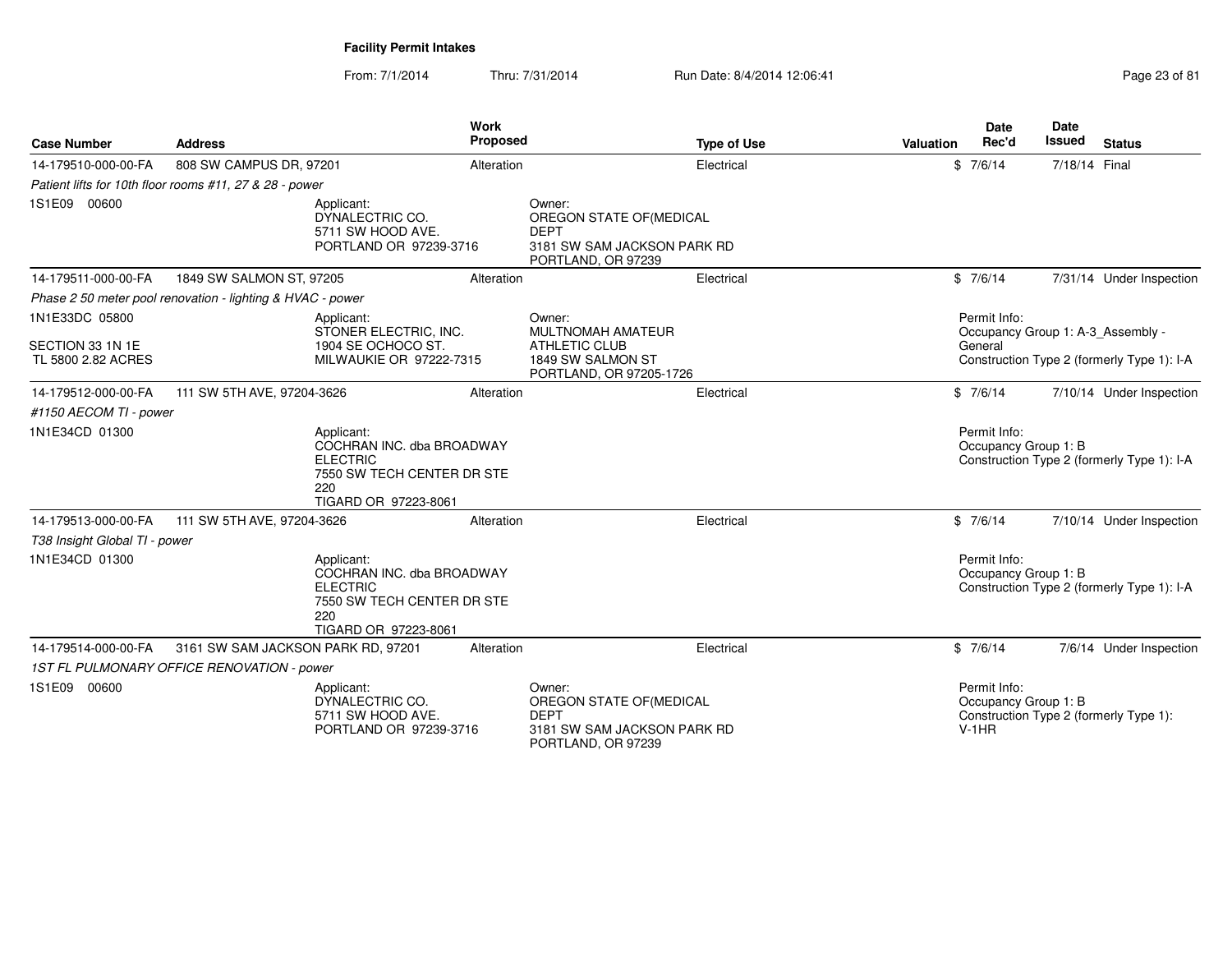| <b>Case Number</b>            | <b>Address</b>                                             |                                                                                                                         | <b>Work</b><br><b>Proposed</b> |                                                                                                        | <b>Type of Use</b> | Valuation | Date<br>Rec'd                                   | <b>Date</b><br><b>Issued</b> | <b>Status</b>                              |
|-------------------------------|------------------------------------------------------------|-------------------------------------------------------------------------------------------------------------------------|--------------------------------|--------------------------------------------------------------------------------------------------------|--------------------|-----------|-------------------------------------------------|------------------------------|--------------------------------------------|
| 14-179510-000-00-FA           | 808 SW CAMPUS DR, 97201                                    |                                                                                                                         | Alteration                     |                                                                                                        | Electrical         |           | \$7/6/14                                        | 7/18/14 Final                |                                            |
|                               | Patient lifts for 10th floor rooms #11, 27 & 28 - power    |                                                                                                                         |                                |                                                                                                        |                    |           |                                                 |                              |                                            |
| 1S1E09 00600                  |                                                            | Applicant:<br>DYNALECTRIC CO.<br>5711 SW HOOD AVE.<br>PORTLAND OR 97239-3716                                            |                                | Owner:<br>OREGON STATE OF (MEDICAL<br><b>DEPT</b><br>3181 SW SAM JACKSON PARK RD<br>PORTLAND, OR 97239 |                    |           |                                                 |                              |                                            |
| 14-179511-000-00-FA           | 1849 SW SALMON ST, 97205                                   |                                                                                                                         | Alteration                     |                                                                                                        | Electrical         |           | \$7/6/14                                        |                              | 7/31/14 Under Inspection                   |
|                               | Phase 2 50 meter pool renovation - lighting & HVAC - power |                                                                                                                         |                                |                                                                                                        |                    |           |                                                 |                              |                                            |
| 1N1E33DC 05800                |                                                            | Applicant:                                                                                                              |                                | Owner:                                                                                                 |                    |           | Permit Info:                                    |                              |                                            |
| SECTION 33 1N 1E              |                                                            | STONER ELECTRIC. INC.<br>1904 SE OCHOCO ST.                                                                             |                                | <b>MULTNOMAH AMATEUR</b><br><b>ATHLETIC CLUB</b>                                                       |                    |           | General                                         |                              | Occupancy Group 1: A-3_Assembly -          |
| TL 5800 2.82 ACRES            |                                                            | MILWAUKIE OR 97222-7315                                                                                                 |                                | 1849 SW SALMON ST<br>PORTLAND, OR 97205-1726                                                           |                    |           |                                                 |                              | Construction Type 2 (formerly Type 1): I-A |
| 14-179512-000-00-FA           | 111 SW 5TH AVE, 97204-3626                                 |                                                                                                                         | Alteration                     |                                                                                                        | Electrical         |           | \$7/6/14                                        |                              | 7/10/14 Under Inspection                   |
| #1150 AECOM TI - power        |                                                            |                                                                                                                         |                                |                                                                                                        |                    |           |                                                 |                              |                                            |
| 1N1E34CD 01300                |                                                            | Applicant:<br>COCHRAN INC. dba BROADWAY<br><b>ELECTRIC</b><br>7550 SW TECH CENTER DR STE<br>220<br>TIGARD OR 97223-8061 |                                |                                                                                                        |                    |           | Permit Info:<br>Occupancy Group 1: B            |                              | Construction Type 2 (formerly Type 1): I-A |
| 14-179513-000-00-FA           | 111 SW 5TH AVE, 97204-3626                                 |                                                                                                                         | Alteration                     |                                                                                                        | Electrical         |           | \$7/6/14                                        |                              | 7/10/14 Under Inspection                   |
| T38 Insight Global TI - power |                                                            |                                                                                                                         |                                |                                                                                                        |                    |           |                                                 |                              |                                            |
| 1N1E34CD 01300                |                                                            | Applicant:<br>COCHRAN INC. dba BROADWAY<br><b>ELECTRIC</b><br>7550 SW TECH CENTER DR STE<br>220<br>TIGARD OR 97223-8061 |                                |                                                                                                        |                    |           | Permit Info:<br>Occupancy Group 1: B            |                              | Construction Type 2 (formerly Type 1): I-A |
| 14-179514-000-00-FA           | 3161 SW SAM JACKSON PARK RD, 97201                         |                                                                                                                         | Alteration                     |                                                                                                        | Electrical         |           | \$7/6/14                                        |                              | 7/6/14 Under Inspection                    |
|                               | 1ST FL PULMONARY OFFICE RENOVATION - power                 |                                                                                                                         |                                |                                                                                                        |                    |           |                                                 |                              |                                            |
| 1S1E09 00600                  |                                                            | Applicant:<br>DYNALECTRIC CO.<br>5711 SW HOOD AVE.<br>PORTLAND OR 97239-3716                                            |                                | Owner:<br>OREGON STATE OF(MEDICAL<br><b>DEPT</b><br>3181 SW SAM JACKSON PARK RD<br>PORTLAND, OR 97239  |                    |           | Permit Info:<br>Occupancy Group 1: B<br>$V-1HR$ |                              | Construction Type 2 (formerly Type 1):     |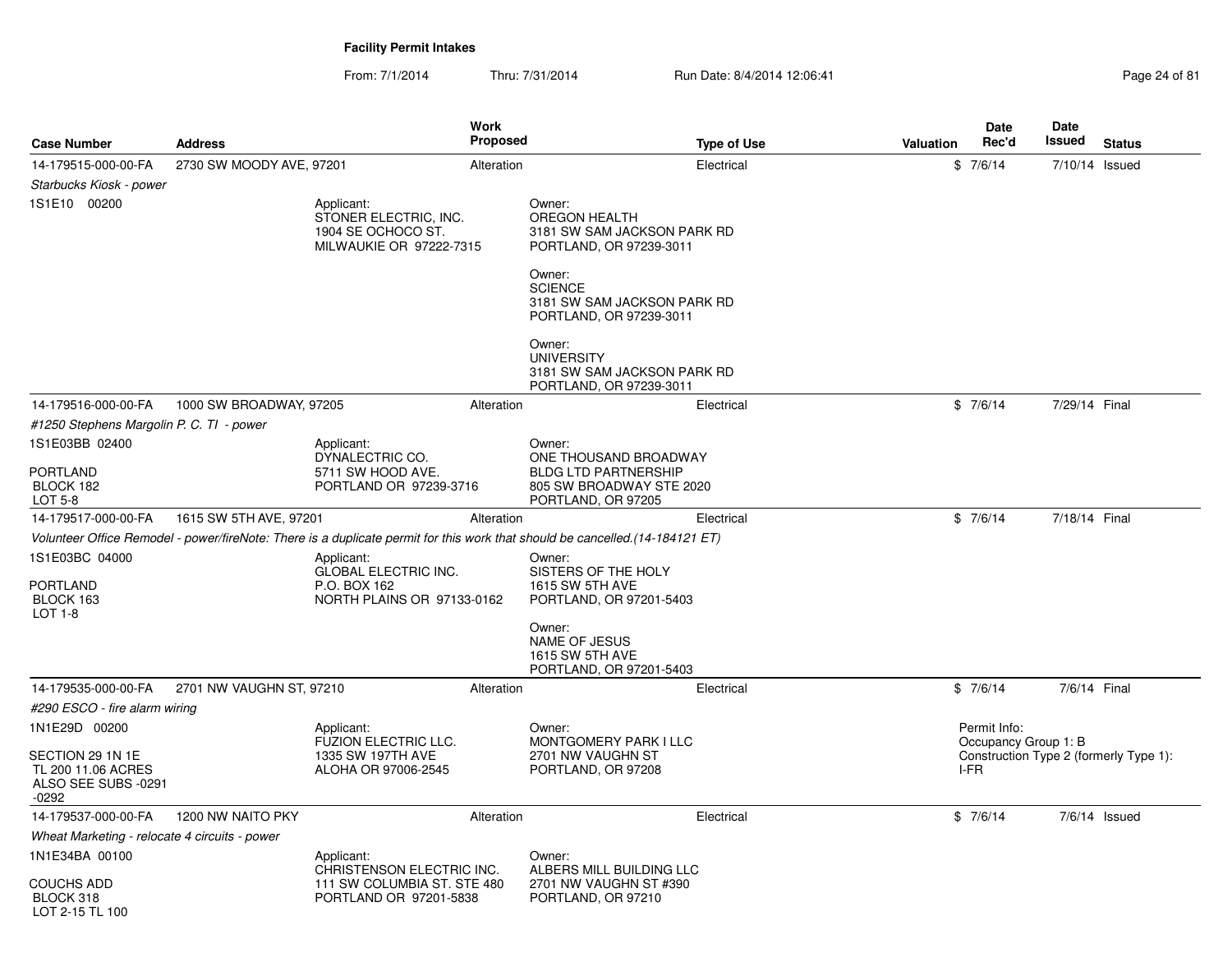From: 7/1/2014Thru: 7/31/2014 Run Date: 8/4/2014 12:06:41 Page 24 of 81

| <b>Case Number</b>                                                       | <b>Address</b>           |                                                                                         | Work<br>Proposed |                                                                                                                              | <b>Type of Use</b> | Valuation | <b>Date</b><br>Rec'd                 | Date<br>Issued | <b>Status</b>                          |
|--------------------------------------------------------------------------|--------------------------|-----------------------------------------------------------------------------------------|------------------|------------------------------------------------------------------------------------------------------------------------------|--------------------|-----------|--------------------------------------|----------------|----------------------------------------|
| 14-179515-000-00-FA                                                      | 2730 SW MOODY AVE, 97201 |                                                                                         | Alteration       |                                                                                                                              | Electrical         |           | \$7/6/14                             | 7/10/14 Issued |                                        |
| Starbucks Kiosk - power                                                  |                          |                                                                                         |                  |                                                                                                                              |                    |           |                                      |                |                                        |
| 1S1E10 00200                                                             |                          | Applicant:<br>STONER ELECTRIC, INC.<br>1904 SE OCHOCO ST.<br>MILWAUKIE OR 97222-7315    |                  | Owner:<br><b>OREGON HEALTH</b><br>3181 SW SAM JACKSON PARK RD<br>PORTLAND, OR 97239-3011                                     |                    |           |                                      |                |                                        |
|                                                                          |                          |                                                                                         |                  | Owner:<br><b>SCIENCE</b><br>3181 SW SAM JACKSON PARK RD<br>PORTLAND, OR 97239-3011                                           |                    |           |                                      |                |                                        |
|                                                                          |                          |                                                                                         |                  | Owner:<br><b>UNIVERSITY</b><br>3181 SW SAM JACKSON PARK RD<br>PORTLAND, OR 97239-3011                                        |                    |           |                                      |                |                                        |
| 14-179516-000-00-FA                                                      | 1000 SW BROADWAY, 97205  |                                                                                         | Alteration       |                                                                                                                              | Electrical         |           | \$7/6/14                             | 7/29/14 Final  |                                        |
| #1250 Stephens Margolin P. C. TI - power                                 |                          |                                                                                         |                  |                                                                                                                              |                    |           |                                      |                |                                        |
| 1S1E03BB 02400                                                           |                          | Applicant:<br>DYNALECTRIC CO.                                                           |                  | Owner:<br>ONE THOUSAND BROADWAY                                                                                              |                    |           |                                      |                |                                        |
| <b>PORTLAND</b><br>BLOCK 182<br>LOT 5-8                                  |                          | 5711 SW HOOD AVE.<br>PORTLAND OR 97239-3716                                             |                  | <b>BLDG LTD PARTNERSHIP</b><br>805 SW BROADWAY STE 2020<br>PORTLAND, OR 97205                                                |                    |           |                                      |                |                                        |
| 14-179517-000-00-FA                                                      | 1615 SW 5TH AVE, 97201   |                                                                                         | Alteration       |                                                                                                                              | Electrical         |           | \$7/6/14                             | 7/18/14 Final  |                                        |
|                                                                          |                          |                                                                                         |                  | Volunteer Office Remodel - power/fireNote: There is a duplicate permit for this work that should be cancelled.(14-184121 ET) |                    |           |                                      |                |                                        |
| 1S1E03BC 04000<br><b>PORTLAND</b><br>BLOCK 163<br>LOT 1-8                |                          | Applicant:<br><b>GLOBAL ELECTRIC INC.</b><br>P.O. BOX 162<br>NORTH PLAINS OR 97133-0162 |                  | Owner:<br>SISTERS OF THE HOLY<br><b>1615 SW 5TH AVE</b><br>PORTLAND, OR 97201-5403                                           |                    |           |                                      |                |                                        |
|                                                                          |                          |                                                                                         |                  | Owner:<br><b>NAME OF JESUS</b><br><b>1615 SW 5TH AVE</b><br>PORTLAND, OR 97201-5403                                          |                    |           |                                      |                |                                        |
| 14-179535-000-00-FA                                                      | 2701 NW VAUGHN ST, 97210 |                                                                                         | Alteration       |                                                                                                                              | Electrical         |           | \$7/6/14                             | 7/6/14 Final   |                                        |
| #290 ESCO - fire alarm wiring                                            |                          |                                                                                         |                  |                                                                                                                              |                    |           |                                      |                |                                        |
| 1N1E29D 00200                                                            |                          | Applicant:<br><b>FUZION ELECTRIC LLC.</b>                                               |                  | Owner:<br>MONTGOMERY PARK I LLC                                                                                              |                    |           | Permit Info:<br>Occupancy Group 1: B |                |                                        |
| SECTION 29 1N 1E<br>TL 200 11.06 ACRES<br>ALSO SEE SUBS -0291<br>$-0292$ |                          | 1335 SW 197TH AVE<br>ALOHA OR 97006-2545                                                |                  | 2701 NW VAUGHN ST<br>PORTLAND, OR 97208                                                                                      |                    |           | I-FR                                 |                | Construction Type 2 (formerly Type 1): |
| 14-179537-000-00-FA                                                      | 1200 NW NAITO PKY        |                                                                                         | Alteration       |                                                                                                                              | Electrical         |           | \$7/6/14                             |                | $7/6/14$ Issued                        |
| Wheat Marketing - relocate 4 circuits - power                            |                          |                                                                                         |                  |                                                                                                                              |                    |           |                                      |                |                                        |
| 1N1E34BA 00100                                                           |                          | Applicant:                                                                              |                  | Owner:                                                                                                                       |                    |           |                                      |                |                                        |
| <b>COUCHS ADD</b><br>BLOCK 318<br>LOT 2-15 TL 100                        |                          | CHRISTENSON ELECTRIC INC.<br>111 SW COLUMBIA ST. STE 480<br>PORTLAND OR 97201-5838      |                  | ALBERS MILL BUILDING LLC<br>2701 NW VAUGHN ST #390<br>PORTLAND, OR 97210                                                     |                    |           |                                      |                |                                        |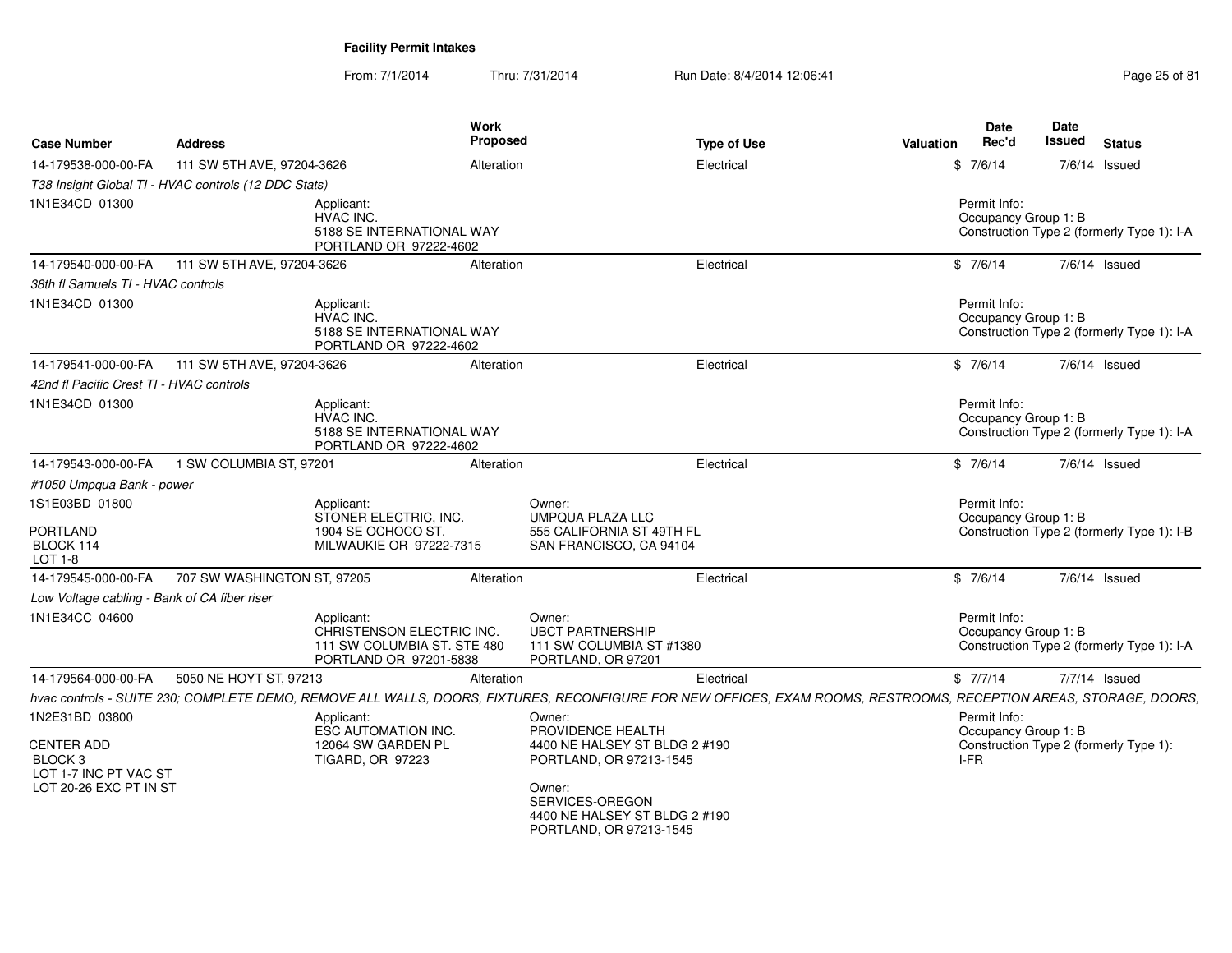| <b>Case Number</b>                                                                                           | <b>Address</b>                                       |                                                                                                  | Work<br>Proposed |                                                                                                                                                                                  | <b>Type of Use</b> | Valuation | Date<br>Rec'd                                | Date<br>Issued | <b>Status</b>                              |
|--------------------------------------------------------------------------------------------------------------|------------------------------------------------------|--------------------------------------------------------------------------------------------------|------------------|----------------------------------------------------------------------------------------------------------------------------------------------------------------------------------|--------------------|-----------|----------------------------------------------|----------------|--------------------------------------------|
| 14-179538-000-00-FA                                                                                          | 111 SW 5TH AVE, 97204-3626                           |                                                                                                  | Alteration       |                                                                                                                                                                                  | Electrical         |           | \$7/6/14                                     |                | 7/6/14 Issued                              |
|                                                                                                              | T38 Insight Global TI - HVAC controls (12 DDC Stats) |                                                                                                  |                  |                                                                                                                                                                                  |                    |           |                                              |                |                                            |
| 1N1E34CD 01300                                                                                               |                                                      | Applicant:<br>HVAC INC.<br>5188 SE INTERNATIONAL WAY<br>PORTLAND OR 97222-4602                   |                  |                                                                                                                                                                                  |                    |           | Permit Info:<br>Occupancy Group 1: B         |                | Construction Type 2 (formerly Type 1): I-A |
| 14-179540-000-00-FA                                                                                          | 111 SW 5TH AVE, 97204-3626                           |                                                                                                  | Alteration       |                                                                                                                                                                                  | Electrical         |           | \$7/6/14                                     |                | $7/6/14$ Issued                            |
| 38th fl Samuels TI - HVAC controls                                                                           |                                                      |                                                                                                  |                  |                                                                                                                                                                                  |                    |           |                                              |                |                                            |
| 1N1E34CD 01300                                                                                               |                                                      | Applicant:<br>HVAC INC.<br>5188 SE INTERNATIONAL WAY<br>PORTLAND OR 97222-4602                   |                  |                                                                                                                                                                                  |                    |           | Permit Info:<br>Occupancy Group 1: B         |                | Construction Type 2 (formerly Type 1): I-A |
| 14-179541-000-00-FA                                                                                          | 111 SW 5TH AVE, 97204-3626                           |                                                                                                  | Alteration       |                                                                                                                                                                                  | Electrical         |           | \$7/6/14                                     |                | $7/6/14$ Issued                            |
| 42nd fl Pacific Crest TI - HVAC controls                                                                     |                                                      |                                                                                                  |                  |                                                                                                                                                                                  |                    |           |                                              |                |                                            |
| 1N1E34CD 01300                                                                                               |                                                      | Applicant:<br>HVAC INC.<br>5188 SE INTERNATIONAL WAY<br>PORTLAND OR 97222-4602                   |                  |                                                                                                                                                                                  |                    |           | Permit Info:<br>Occupancy Group 1: B         |                | Construction Type 2 (formerly Type 1): I-A |
| 14-179543-000-00-FA                                                                                          | 1 SW COLUMBIA ST, 97201                              |                                                                                                  | Alteration       |                                                                                                                                                                                  | Electrical         |           | \$7/6/14                                     |                | 7/6/14 Issued                              |
| #1050 Umpqua Bank - power                                                                                    |                                                      |                                                                                                  |                  |                                                                                                                                                                                  |                    |           |                                              |                |                                            |
| 1S1E03BD 01800<br>PORTLAND<br>BLOCK 114<br>LOT 1-8                                                           |                                                      | Applicant:<br>STONER ELECTRIC. INC.<br>1904 SE OCHOCO ST.<br>MILWAUKIE OR 97222-7315             |                  | Owner:<br><b>UMPQUA PLAZA LLC</b><br>555 CALIFORNIA ST 49TH FL<br>SAN FRANCISCO, CA 94104                                                                                        |                    |           | Permit Info:<br>Occupancy Group 1: B         |                | Construction Type 2 (formerly Type 1): I-B |
| 14-179545-000-00-FA                                                                                          | 707 SW WASHINGTON ST, 97205                          |                                                                                                  | Alteration       |                                                                                                                                                                                  | Electrical         |           | \$7/6/14                                     |                | 7/6/14 Issued                              |
| Low Voltage cabling - Bank of CA fiber riser                                                                 |                                                      |                                                                                                  |                  |                                                                                                                                                                                  |                    |           |                                              |                |                                            |
| 1N1E34CC 04600                                                                                               |                                                      | Applicant:<br>CHRISTENSON ELECTRIC INC.<br>111 SW COLUMBIA ST. STE 480<br>PORTLAND OR 97201-5838 |                  | Owner:<br><b>UBCT PARTNERSHIP</b><br>111 SW COLUMBIA ST #1380<br>PORTLAND, OR 97201                                                                                              |                    |           | Permit Info:<br>Occupancy Group 1: B         |                | Construction Type 2 (formerly Type 1): I-A |
| 14-179564-000-00-FA                                                                                          | 5050 NE HOYT ST, 97213                               |                                                                                                  | Alteration       |                                                                                                                                                                                  | Electrical         |           | \$7/7/14                                     |                | $7/7/14$ Issued                            |
|                                                                                                              |                                                      |                                                                                                  |                  | hvac controls - SUITE 230; COMPLETE DEMO, REMOVE ALL WALLS, DOORS, FIXTURES, RECONFIGURE FOR NEW OFFICES, EXAM ROOMS, RESTROOMS, RECEPTION AREAS, STORAGE, DOORS,                |                    |           |                                              |                |                                            |
| 1N2E31BD 03800<br><b>CENTER ADD</b><br>BLOCK <sub>3</sub><br>LOT 1-7 INC PT VAC ST<br>LOT 20-26 EXC PT IN ST |                                                      | Applicant:<br><b>ESC AUTOMATION INC.</b><br>12064 SW GARDEN PL<br><b>TIGARD, OR 97223</b>        |                  | Owner:<br>PROVIDENCE HEALTH<br>4400 NE HALSEY ST BLDG 2 #190<br>PORTLAND, OR 97213-1545<br>Owner:<br>SERVICES-OREGON<br>4400 NE HALSEY ST BLDG 2 #190<br>PORTLAND, OR 97213-1545 |                    |           | Permit Info:<br>Occupancy Group 1: B<br>I-FR |                | Construction Type 2 (formerly Type 1):     |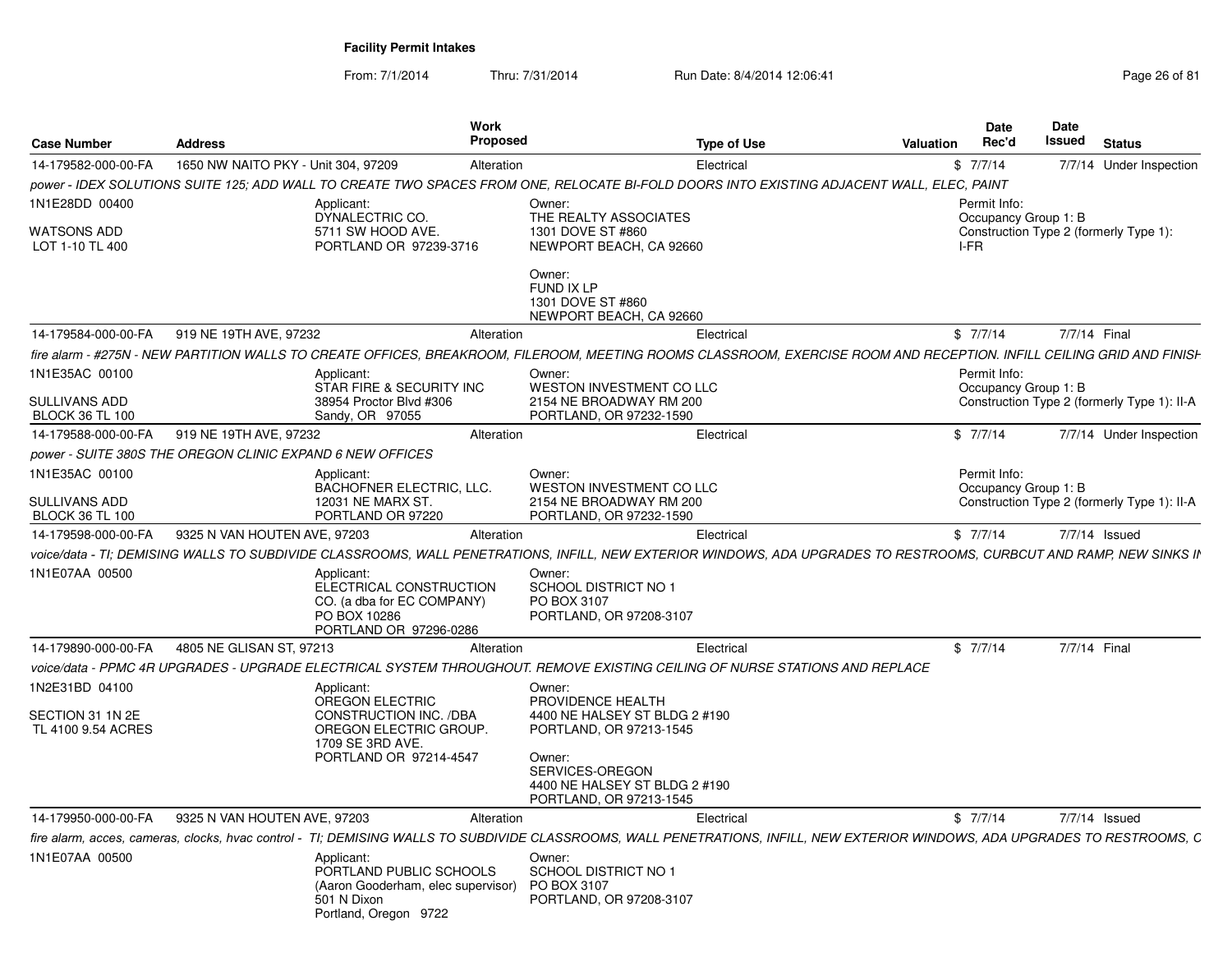From: 7/1/2014

|                                                |                                                           | Work                                                                                                                                                                         |                                                                                       |                    |                  | <b>Date</b>                          | Date         |                                             |
|------------------------------------------------|-----------------------------------------------------------|------------------------------------------------------------------------------------------------------------------------------------------------------------------------------|---------------------------------------------------------------------------------------|--------------------|------------------|--------------------------------------|--------------|---------------------------------------------|
| <b>Case Number</b>                             | <b>Address</b>                                            | Proposed                                                                                                                                                                     |                                                                                       | <b>Type of Use</b> | <b>Valuation</b> | Rec'd                                | Issued       | <b>Status</b>                               |
| 14-179582-000-00-FA                            | 1650 NW NAITO PKY - Unit 304, 97209                       | Alteration                                                                                                                                                                   |                                                                                       | Electrical         |                  | \$7/7/14                             |              | 7/7/14 Under Inspection                     |
|                                                |                                                           | power - IDEX SOLUTIONS SUITE 125; ADD WALL TO CREATE TWO SPACES FROM ONE, RELOCATE BI-FOLD DOORS INTO EXISTING ADJACENT WALL, ELEC, PAINT                                    |                                                                                       |                    |                  |                                      |              |                                             |
| 1N1E28DD 00400                                 |                                                           | Applicant:<br>DYNALECTRIC CO.                                                                                                                                                | Owner:<br>THE REALTY ASSOCIATES                                                       |                    |                  | Permit Info:<br>Occupancy Group 1: B |              |                                             |
| <b>WATSONS ADD</b><br>LOT 1-10 TL 400          |                                                           | 5711 SW HOOD AVE.<br>PORTLAND OR 97239-3716                                                                                                                                  | 1301 DOVE ST #860<br>NEWPORT BEACH, CA 92660                                          |                    |                  | I-FR                                 |              | Construction Type 2 (formerly Type 1):      |
|                                                |                                                           |                                                                                                                                                                              | Owner:<br>FUND IX LP<br>1301 DOVE ST #860<br>NEWPORT BEACH, CA 92660                  |                    |                  |                                      |              |                                             |
| 14-179584-000-00-FA                            | 919 NE 19TH AVE, 97232                                    | Alteration                                                                                                                                                                   |                                                                                       | Electrical         |                  | \$7/7/14                             | 7/7/14 Final |                                             |
|                                                |                                                           | fire alarm - #275N - NEW PARTITION WALLS TO CREATE OFFICES, BREAKROOM, FILEROOM, MEETING ROOMS CLASSROOM, EXERCISE ROOM AND RECEPTION. INFILL CEILING GRID AND FINISH        |                                                                                       |                    |                  |                                      |              |                                             |
| 1N1E35AC 00100                                 |                                                           | Applicant:<br>STAR FIRE & SECURITY INC                                                                                                                                       | Owner:<br>WESTON INVESTMENT CO LLC                                                    |                    |                  | Permit Info:<br>Occupancy Group 1: B |              |                                             |
| <b>SULLIVANS ADD</b><br><b>BLOCK 36 TL 100</b> |                                                           | 38954 Proctor Blvd #306<br>Sandy, OR 97055                                                                                                                                   | 2154 NE BROADWAY RM 200<br>PORTLAND, OR 97232-1590                                    |                    |                  |                                      |              | Construction Type 2 (formerly Type 1): II-A |
| 14-179588-000-00-FA                            | 919 NE 19TH AVE, 97232                                    | Alteration                                                                                                                                                                   |                                                                                       | Electrical         |                  | \$7/7/14                             |              | 7/7/14 Under Inspection                     |
|                                                | power - SUITE 380S THE OREGON CLINIC EXPAND 6 NEW OFFICES |                                                                                                                                                                              |                                                                                       |                    |                  |                                      |              |                                             |
| 1N1E35AC 00100                                 |                                                           | Applicant:<br>BACHOFNER ELECTRIC, LLC.                                                                                                                                       | Owner:<br>WESTON INVESTMENT CO LLC                                                    |                    |                  | Permit Info:<br>Occupancy Group 1: B |              |                                             |
| <b>SULLIVANS ADD</b><br><b>BLOCK 36 TL 100</b> |                                                           | 12031 NE MARX ST.<br>PORTLAND OR 97220                                                                                                                                       | 2154 NE BROADWAY RM 200<br>PORTLAND, OR 97232-1590                                    |                    |                  |                                      |              | Construction Type 2 (formerly Type 1): II-A |
| 14-179598-000-00-FA                            | 9325 N VAN HOUTEN AVE, 97203                              | Alteration                                                                                                                                                                   |                                                                                       | Electrical         |                  | \$7/7/14                             |              | 7/7/14 Issued                               |
|                                                |                                                           | voice/data - TI; DEMISING WALLS TO SUBDIVIDE CLASSROOMS, WALL PENETRATIONS, INFILL, NEW EXTERIOR WINDOWS, ADA UPGRADES TO RESTROOMS, CURBCUT AND RAMP, NEW SINKS II          |                                                                                       |                    |                  |                                      |              |                                             |
| 1N1E07AA 00500                                 |                                                           | Applicant:<br>ELECTRICAL CONSTRUCTION                                                                                                                                        | Owner:<br>SCHOOL DISTRICT NO 1                                                        |                    |                  |                                      |              |                                             |
|                                                |                                                           | CO. (a dba for EC COMPANY)<br>PO BOX 10286<br>PORTLAND OR 97296-0286                                                                                                         | PO BOX 3107<br>PORTLAND, OR 97208-3107                                                |                    |                  |                                      |              |                                             |
| 14-179890-000-00-FA                            | 4805 NE GLISAN ST, 97213                                  | Alteration                                                                                                                                                                   |                                                                                       | Electrical         |                  | \$7/7/14                             | 7/7/14 Final |                                             |
|                                                |                                                           | voice/data - PPMC 4R UPGRADES - UPGRADE ELECTRICAL SYSTEM THROUGHOUT. REMOVE EXISTING CEILING OF NURSE STATIONS AND REPLACE                                                  |                                                                                       |                    |                  |                                      |              |                                             |
| 1N2E31BD 04100                                 |                                                           | Applicant:                                                                                                                                                                   | Owner:                                                                                |                    |                  |                                      |              |                                             |
| SECTION 31 1N 2E<br>TL 4100 9.54 ACRES         |                                                           | <b>OREGON ELECTRIC</b><br>CONSTRUCTION INC. /DBA<br>OREGON ELECTRIC GROUP.                                                                                                   | PROVIDENCE HEALTH<br>4400 NE HALSEY ST BLDG 2 #190<br>PORTLAND, OR 97213-1545         |                    |                  |                                      |              |                                             |
|                                                |                                                           | 1709 SE 3RD AVE.<br>PORTLAND OR 97214-4547                                                                                                                                   | Owner:<br>SERVICES-OREGON<br>4400 NE HALSEY ST BLDG 2 #190<br>PORTLAND, OR 97213-1545 |                    |                  |                                      |              |                                             |
| 14-179950-000-00-FA                            | 9325 N VAN HOUTEN AVE, 97203                              | Alteration                                                                                                                                                                   |                                                                                       | Electrical         |                  | \$7/7/14                             |              | 7/7/14 Issued                               |
|                                                |                                                           | fire alarm, acces, cameras, clocks, hvac control - TI; DEMISING WALLS TO SUBDIVIDE CLASSROOMS, WALL PENETRATIONS, INFILL, NEW EXTERIOR WINDOWS, ADA UPGRADES TO RESTROOMS, C |                                                                                       |                    |                  |                                      |              |                                             |
| 1N1E07AA 00500                                 |                                                           | Applicant:<br>PORTLAND PUBLIC SCHOOLS                                                                                                                                        | Owner:<br><b>SCHOOL DISTRICT NO 1</b>                                                 |                    |                  |                                      |              |                                             |
|                                                |                                                           | (Aaron Gooderham, elec supervisor)<br>501 N Dixon<br>Portland, Oregon 9722                                                                                                   | PO BOX 3107<br>PORTLAND, OR 97208-3107                                                |                    |                  |                                      |              |                                             |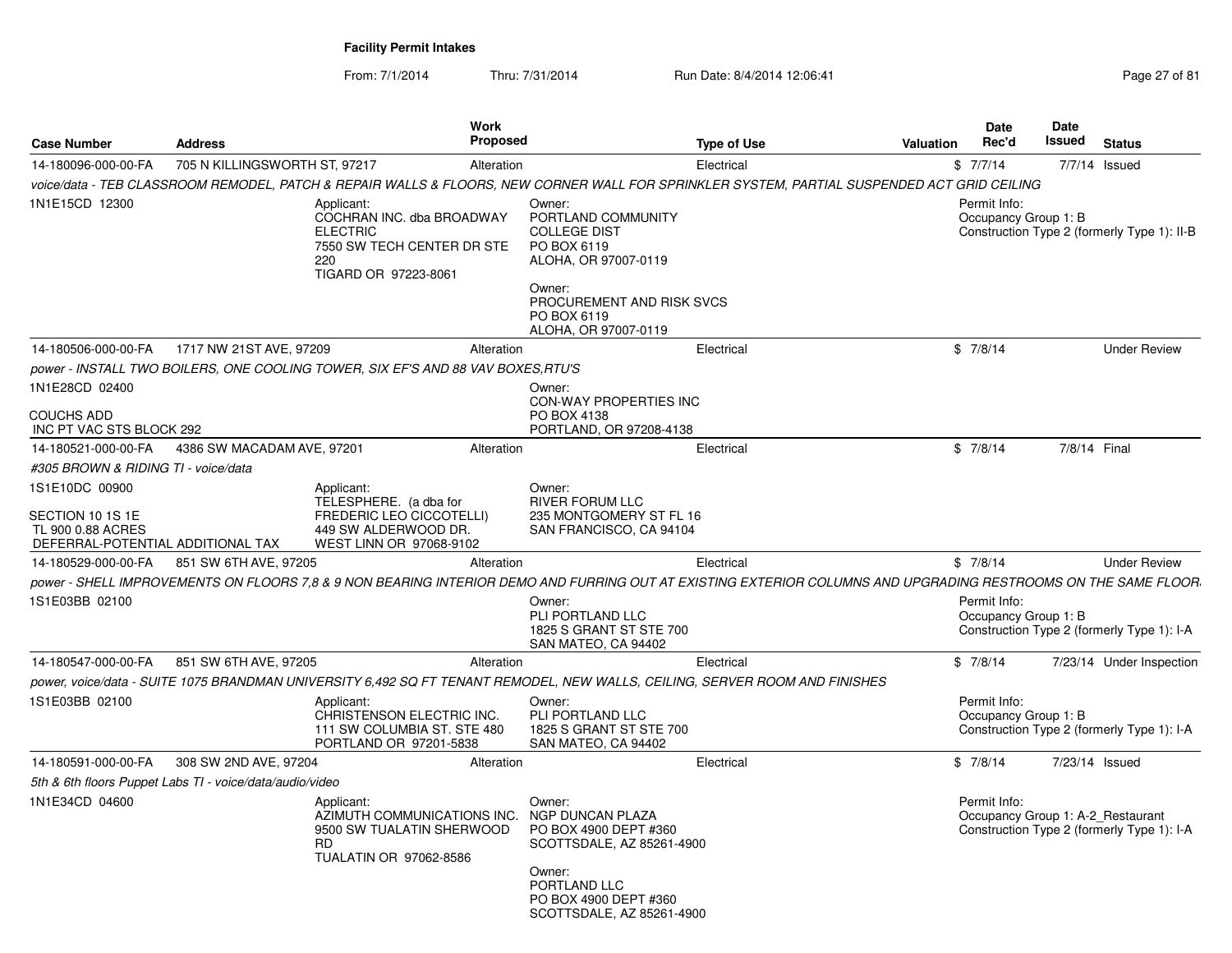From: 7/1/2014Thru: 7/31/2014 Run Date: 8/4/2014 12:06:41 Page 27 of 81

| <b>Case Number</b>                                                         | <b>Address</b>                                           | Work                                                                                                                    | <b>Proposed</b>                                                                                                                                                          | <b>Type of Use</b> | Valuation | <b>Date</b><br>Rec'd                 | <b>Date</b><br>Issued | <b>Status</b>                                                                   |
|----------------------------------------------------------------------------|----------------------------------------------------------|-------------------------------------------------------------------------------------------------------------------------|--------------------------------------------------------------------------------------------------------------------------------------------------------------------------|--------------------|-----------|--------------------------------------|-----------------------|---------------------------------------------------------------------------------|
| 14-180096-000-00-FA                                                        | 705 N KILLINGSWORTH ST, 97217                            |                                                                                                                         | Alteration                                                                                                                                                               | Electrical         |           | \$7/7/14                             |                       | 7/7/14 Issued                                                                   |
|                                                                            |                                                          |                                                                                                                         | voice/data - TEB CLASSROOM REMODEL, PATCH & REPAIR WALLS & FLOORS, NEW CORNER WALL FOR SPRINKLER SYSTEM, PARTIAL SUSPENDED ACT GRID CEILING                              |                    |           |                                      |                       |                                                                                 |
| 1N1E15CD 12300                                                             |                                                          | Applicant:<br>COCHRAN INC. dba BROADWAY<br><b>ELECTRIC</b><br>7550 SW TECH CENTER DR STE<br>220<br>TIGARD OR 97223-8061 | Owner:<br>PORTLAND COMMUNITY<br><b>COLLEGE DIST</b><br>PO BOX 6119<br>ALOHA, OR 97007-0119<br>Owner:<br>PROCUREMENT AND RISK SVCS<br>PO BOX 6119<br>ALOHA, OR 97007-0119 |                    |           | Permit Info:<br>Occupancy Group 1: B |                       | Construction Type 2 (formerly Type 1): II-B                                     |
| 14-180506-000-00-FA                                                        | 1717 NW 21ST AVE, 97209                                  |                                                                                                                         | Alteration                                                                                                                                                               | Electrical         |           | \$7/8/14                             |                       | <b>Under Review</b>                                                             |
|                                                                            |                                                          | power - INSTALL TWO BOILERS, ONE COOLING TOWER, SIX EF'S AND 88 VAV BOXES,RTU'S                                         |                                                                                                                                                                          |                    |           |                                      |                       |                                                                                 |
| 1N1E28CD 02400                                                             |                                                          |                                                                                                                         | Owner:<br>CON-WAY PROPERTIES INC                                                                                                                                         |                    |           |                                      |                       |                                                                                 |
| COUCHS ADD<br>INC PT VAC STS BLOCK 292                                     |                                                          |                                                                                                                         | PO BOX 4138<br>PORTLAND, OR 97208-4138                                                                                                                                   |                    |           |                                      |                       |                                                                                 |
| 14-180521-000-00-FA                                                        | 4386 SW MACADAM AVE, 97201                               |                                                                                                                         | Alteration                                                                                                                                                               | Electrical         |           | \$7/8/14                             |                       | 7/8/14 Final                                                                    |
| #305 BROWN & RIDING TI - voice/data                                        |                                                          |                                                                                                                         |                                                                                                                                                                          |                    |           |                                      |                       |                                                                                 |
| 1S1E10DC 00900                                                             |                                                          | Applicant:<br>TELESPHERE. (a dba for                                                                                    | Owner:<br><b>RIVER FORUM LLC</b>                                                                                                                                         |                    |           |                                      |                       |                                                                                 |
| SECTION 10 1S 1E<br>TL 900 0.88 ACRES<br>DEFERRAL-POTENTIAL ADDITIONAL TAX |                                                          | <b>FREDERIC LEO CICCOTELLI)</b><br>449 SW ALDERWOOD DR.<br>WEST LINN OR 97068-9102                                      | 235 MONTGOMERY ST FL 16<br>SAN FRANCISCO, CA 94104                                                                                                                       |                    |           |                                      |                       |                                                                                 |
| 14-180529-000-00-FA                                                        | 851 SW 6TH AVE, 97205                                    |                                                                                                                         | Alteration                                                                                                                                                               | Electrical         |           | \$7/8/14                             |                       | <b>Under Review</b>                                                             |
|                                                                            |                                                          |                                                                                                                         | power - SHELL IMPROVEMENTS ON FLOORS 7.8 & 9 NON BEARING INTERIOR DEMO AND FURRING OUT AT EXISTING EXTERIOR COLUMNS AND UPGRADING RESTROOMS ON THE SAME FLOOR            |                    |           |                                      |                       |                                                                                 |
| 1S1E03BB 02100                                                             |                                                          |                                                                                                                         | Owner:<br>PLI PORTLAND LLC<br>1825 S GRANT ST STE 700<br>SAN MATEO, CA 94402                                                                                             |                    |           | Permit Info:<br>Occupancy Group 1: B |                       | Construction Type 2 (formerly Type 1): I-A                                      |
| 14-180547-000-00-FA                                                        | 851 SW 6TH AVE, 97205                                    |                                                                                                                         | Alteration                                                                                                                                                               | Electrical         |           | \$7/8/14                             |                       | 7/23/14 Under Inspection                                                        |
|                                                                            |                                                          |                                                                                                                         | power, voice/data - SUITE 1075 BRANDMAN UNIVERSITY 6,492 SQ FT TENANT REMODEL, NEW WALLS, CEILING, SERVER ROOM AND FINISHES                                              |                    |           |                                      |                       |                                                                                 |
| 1S1E03BB 02100                                                             |                                                          | Applicant:<br>CHRISTENSON ELECTRIC INC.<br>111 SW COLUMBIA ST. STE 480<br>PORTLAND OR 97201-5838                        | Owner:<br>PLI PORTLAND LLC<br>1825 S GRANT ST STE 700<br>SAN MATEO, CA 94402                                                                                             |                    |           | Permit Info:<br>Occupancy Group 1: B |                       | Construction Type 2 (formerly Type 1): I-A                                      |
| 14-180591-000-00-FA                                                        | 308 SW 2ND AVE, 97204                                    |                                                                                                                         | Alteration                                                                                                                                                               | Electrical         |           | \$7/8/14                             |                       | 7/23/14 Issued                                                                  |
|                                                                            | 5th & 6th floors Puppet Labs TI - voice/data/audio/video |                                                                                                                         |                                                                                                                                                                          |                    |           |                                      |                       |                                                                                 |
| 1N1E34CD 04600                                                             |                                                          | Applicant:<br>AZIMUTH COMMUNICATIONS INC.<br>9500 SW TUALATIN SHERWOOD<br><b>RD</b><br>TUALATIN OR 97062-8586           | Owner:<br>NGP DUNCAN PLAZA<br>PO BOX 4900 DEPT #360<br>SCOTTSDALE, AZ 85261-4900<br>Owner:<br>PORTLAND LLC                                                               |                    |           | Permit Info:                         |                       | Occupancy Group 1: A-2 Restaurant<br>Construction Type 2 (formerly Type 1): I-A |
|                                                                            |                                                          |                                                                                                                         | PO BOX 4900 DEPT #360<br>SCOTTSDALE, AZ 85261-4900                                                                                                                       |                    |           |                                      |                       |                                                                                 |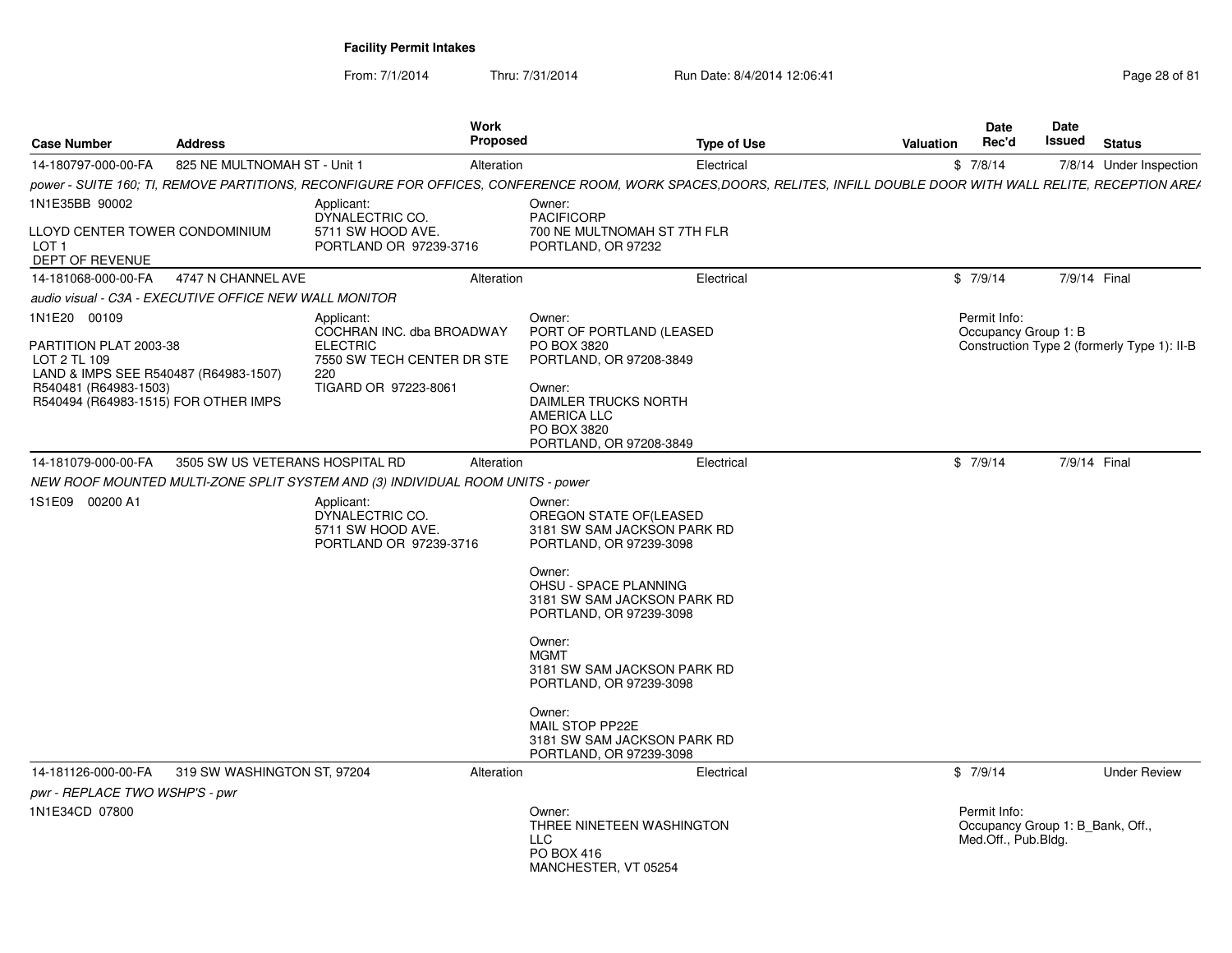From: 7/1/2014

| <b>Case Number</b>                                                                                                                                               | <b>Address</b>                  | Work<br><b>Proposed</b>                                                                                                                                             |                                                                                                                                                                                | <b>Type of Use</b> | Valuation | <b>Date</b><br>Rec'd                                                    | Date<br>Issued | <b>Status</b>                               |
|------------------------------------------------------------------------------------------------------------------------------------------------------------------|---------------------------------|---------------------------------------------------------------------------------------------------------------------------------------------------------------------|--------------------------------------------------------------------------------------------------------------------------------------------------------------------------------|--------------------|-----------|-------------------------------------------------------------------------|----------------|---------------------------------------------|
| 14-180797-000-00-FA                                                                                                                                              | 825 NE MULTNOMAH ST - Unit 1    | Alteration                                                                                                                                                          |                                                                                                                                                                                | Electrical         |           | \$7/8/14                                                                |                | 7/8/14 Under Inspection                     |
|                                                                                                                                                                  |                                 | power - SUITE 160; TI, REMOVE PARTITIONS, RECONFIGURE FOR OFFICES, CONFERENCE ROOM, WORK SPACES,DOORS, RELITES, INFILL DOUBLE DOOR WITH WALL RELITE, RECEPTION AREA |                                                                                                                                                                                |                    |           |                                                                         |                |                                             |
| 1N1E35BB 90002                                                                                                                                                   |                                 | Applicant:<br>DYNALECTRIC CO.                                                                                                                                       | Owner:<br><b>PACIFICORP</b>                                                                                                                                                    |                    |           |                                                                         |                |                                             |
| LLOYD CENTER TOWER CONDOMINIUM<br>LOT <sub>1</sub><br>DEPT OF REVENUE                                                                                            |                                 | 5711 SW HOOD AVE.<br>PORTLAND OR 97239-3716                                                                                                                         | 700 NE MULTNOMAH ST 7TH FLR<br>PORTLAND, OR 97232                                                                                                                              |                    |           |                                                                         |                |                                             |
| 14-181068-000-00-FA                                                                                                                                              | 4747 N CHANNEL AVE              | Alteration                                                                                                                                                          |                                                                                                                                                                                | Electrical         |           | \$7/9/14                                                                | 7/9/14 Final   |                                             |
| audio visual - C3A - EXECUTIVE OFFICE NEW WALL MONITOR                                                                                                           |                                 |                                                                                                                                                                     |                                                                                                                                                                                |                    |           |                                                                         |                |                                             |
| 1N1E20 00109<br>PARTITION PLAT 2003-38<br>LOT 2 TL 109<br>LAND & IMPS SEE R540487 (R64983-1507)<br>R540481 (R64983-1503)<br>R540494 (R64983-1515) FOR OTHER IMPS |                                 | Applicant:<br>COCHRAN INC. dba BROADWAY<br><b>ELECTRIC</b><br>7550 SW TECH CENTER DR STE<br>220<br>TIGARD OR 97223-8061                                             | Owner:<br>PORT OF PORTLAND (LEASED<br>PO BOX 3820<br>PORTLAND, OR 97208-3849<br>Owner:<br>DAIMLER TRUCKS NORTH<br><b>AMERICA LLC</b><br>PO BOX 3820<br>PORTLAND, OR 97208-3849 |                    |           | Permit Info:<br>Occupancy Group 1: B                                    |                | Construction Type 2 (formerly Type 1): II-B |
| 14-181079-000-00-FA                                                                                                                                              | 3505 SW US VETERANS HOSPITAL RD | Alteration                                                                                                                                                          |                                                                                                                                                                                | Electrical         |           | \$7/9/14                                                                | 7/9/14 Final   |                                             |
|                                                                                                                                                                  |                                 |                                                                                                                                                                     |                                                                                                                                                                                |                    |           |                                                                         |                |                                             |
| 1S1E09 00200 A1                                                                                                                                                  |                                 | NEW ROOF MOUNTED MULTI-ZONE SPLIT SYSTEM AND (3) INDIVIDUAL ROOM UNITS - power                                                                                      |                                                                                                                                                                                |                    |           |                                                                         |                |                                             |
|                                                                                                                                                                  |                                 | Applicant:<br>DYNALECTRIC CO.<br>5711 SW HOOD AVE.<br>PORTLAND OR 97239-3716                                                                                        | Owner:<br>OREGON STATE OF (LEASED<br>3181 SW SAM JACKSON PARK RD<br>PORTLAND, OR 97239-3098                                                                                    |                    |           |                                                                         |                |                                             |
|                                                                                                                                                                  |                                 |                                                                                                                                                                     | Owner:<br>OHSU - SPACE PLANNING<br>3181 SW SAM JACKSON PARK RD<br>PORTLAND, OR 97239-3098                                                                                      |                    |           |                                                                         |                |                                             |
|                                                                                                                                                                  |                                 |                                                                                                                                                                     | Owner:<br><b>MGMT</b><br>3181 SW SAM JACKSON PARK RD<br>PORTLAND, OR 97239-3098                                                                                                |                    |           |                                                                         |                |                                             |
|                                                                                                                                                                  |                                 |                                                                                                                                                                     | Owner:<br>MAIL STOP PP22E<br>3181 SW SAM JACKSON PARK RD<br>PORTLAND, OR 97239-3098                                                                                            |                    |           |                                                                         |                |                                             |
| 14-181126-000-00-FA                                                                                                                                              | 319 SW WASHINGTON ST, 97204     | Alteration                                                                                                                                                          |                                                                                                                                                                                | Electrical         |           | \$7/9/14                                                                |                | <b>Under Review</b>                         |
| pwr - REPLACE TWO WSHP'S - pwr                                                                                                                                   |                                 |                                                                                                                                                                     |                                                                                                                                                                                |                    |           |                                                                         |                |                                             |
| 1N1E34CD 07800                                                                                                                                                   |                                 |                                                                                                                                                                     | Owner:<br>THREE NINETEEN WASHINGTON<br><b>LLC</b><br>PO BOX 416<br>MANCHESTER, VT 05254                                                                                        |                    |           | Permit Info:<br>Occupancy Group 1: B_Bank, Off.,<br>Med.Off., Pub.Bldg. |                |                                             |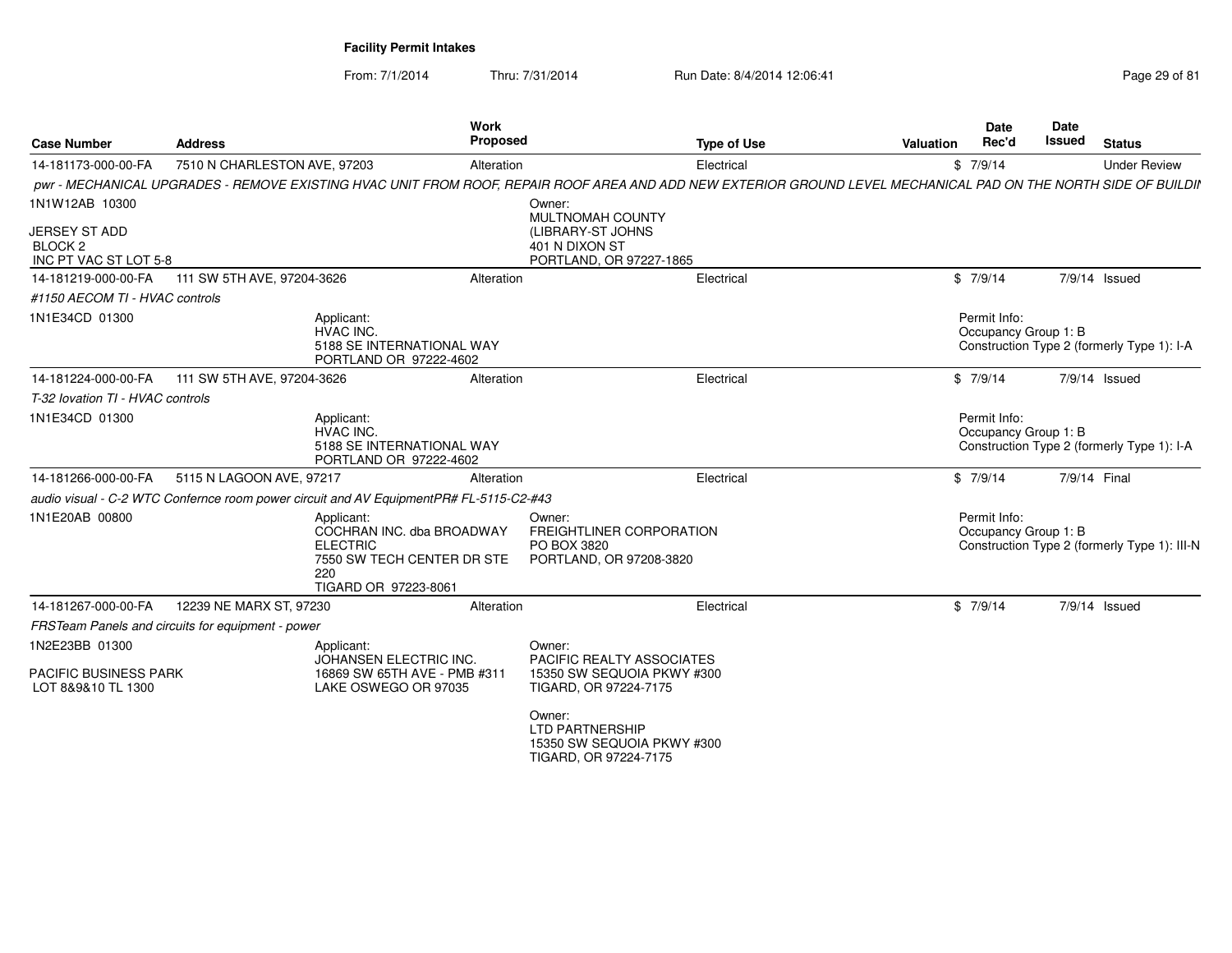| <b>Case Number</b>                                                  | <b>Address</b>                                    |                                                                                                                         | <b>Work</b><br>Proposed | <b>Type of Use</b>                                                                                                                                              | <b>Valuation</b> | <b>Date</b><br>Rec'd                 | Date<br><b>Issued</b> | <b>Status</b>                                |
|---------------------------------------------------------------------|---------------------------------------------------|-------------------------------------------------------------------------------------------------------------------------|-------------------------|-----------------------------------------------------------------------------------------------------------------------------------------------------------------|------------------|--------------------------------------|-----------------------|----------------------------------------------|
| 14-181173-000-00-FA                                                 | 7510 N CHARLESTON AVE, 97203                      |                                                                                                                         | Alteration              | Electrical                                                                                                                                                      |                  | \$7/9/14                             |                       | <b>Under Review</b>                          |
|                                                                     |                                                   |                                                                                                                         |                         | pwr - MECHANICAL UPGRADES - REMOVE EXISTING HVAC UNIT FROM ROOF, REPAIR ROOF AREA AND ADD NEW EXTERIOR GROUND LEVEL MECHANICAL PAD ON THE NORTH SIDE OF BUILDII |                  |                                      |                       |                                              |
| 1N1W12AB 10300                                                      |                                                   |                                                                                                                         |                         | Owner:<br><b>MULTNOMAH COUNTY</b>                                                                                                                               |                  |                                      |                       |                                              |
| <b>JERSEY ST ADD</b><br>BLOCK <sub>2</sub><br>INC PT VAC ST LOT 5-8 |                                                   |                                                                                                                         |                         | (LIBRARY-ST JOHNS<br>401 N DIXON ST<br>PORTLAND, OR 97227-1865                                                                                                  |                  |                                      |                       |                                              |
| 14-181219-000-00-FA                                                 | 111 SW 5TH AVE, 97204-3626                        |                                                                                                                         | Alteration              | Electrical                                                                                                                                                      |                  | \$7/9/14                             |                       | 7/9/14 Issued                                |
| #1150 AECOM TI - HVAC controls                                      |                                                   |                                                                                                                         |                         |                                                                                                                                                                 |                  |                                      |                       |                                              |
| 1N1E34CD 01300                                                      |                                                   | Applicant:<br><b>HVAC INC.</b><br>5188 SE INTERNATIONAL WAY<br>PORTLAND OR 97222-4602                                   |                         |                                                                                                                                                                 |                  | Permit Info:<br>Occupancy Group 1: B |                       | Construction Type 2 (formerly Type 1): I-A   |
| 14-181224-000-00-FA                                                 | 111 SW 5TH AVE, 97204-3626                        |                                                                                                                         | Alteration              | Electrical                                                                                                                                                      |                  | \$7/9/14                             |                       | 7/9/14 Issued                                |
| T-32 lovation TI - HVAC controls                                    |                                                   |                                                                                                                         |                         |                                                                                                                                                                 |                  |                                      |                       |                                              |
| 1N1E34CD 01300                                                      |                                                   | Applicant:<br>HVAC INC.<br>5188 SE INTERNATIONAL WAY<br>PORTLAND OR 97222-4602                                          |                         |                                                                                                                                                                 |                  | Permit Info:<br>Occupancy Group 1: B |                       | Construction Type 2 (formerly Type 1): I-A   |
| 14-181266-000-00-FA                                                 | 5115 N LAGOON AVE, 97217                          |                                                                                                                         | Alteration              | Electrical                                                                                                                                                      |                  | \$7/9/14                             | 7/9/14 Final          |                                              |
|                                                                     |                                                   | audio visual - C-2 WTC Confernce room power circuit and AV EquipmentPR# FL-5115-C2-#43                                  |                         |                                                                                                                                                                 |                  |                                      |                       |                                              |
| 1N1E20AB 00800                                                      |                                                   | Applicant:<br>COCHRAN INC. dba BROADWAY<br><b>ELECTRIC</b><br>7550 SW TECH CENTER DR STE<br>220<br>TIGARD OR 97223-8061 |                         | Owner:<br>FREIGHTLINER CORPORATION<br>PO BOX 3820<br>PORTLAND, OR 97208-3820                                                                                    |                  | Permit Info:<br>Occupancy Group 1: B |                       | Construction Type 2 (formerly Type 1): III-N |
| 14-181267-000-00-FA                                                 | 12239 NE MARX ST, 97230                           |                                                                                                                         | Alteration              | Electrical                                                                                                                                                      |                  | \$7/9/14                             |                       | 7/9/14 Issued                                |
|                                                                     | FRSTeam Panels and circuits for equipment - power |                                                                                                                         |                         |                                                                                                                                                                 |                  |                                      |                       |                                              |
| 1N2E23BB 01300                                                      |                                                   | Applicant:<br>JOHANSEN ELECTRIC INC.                                                                                    |                         | Owner:<br>PACIFIC REALTY ASSOCIATES                                                                                                                             |                  |                                      |                       |                                              |
| <b>PACIFIC BUSINESS PARK</b><br>LOT 8&9&10 TL 1300                  |                                                   | 16869 SW 65TH AVE - PMB #311<br>LAKE OSWEGO OR 97035                                                                    |                         | 15350 SW SEQUOIA PKWY #300<br>TIGARD, OR 97224-7175                                                                                                             |                  |                                      |                       |                                              |
|                                                                     |                                                   |                                                                                                                         |                         | Owner:<br><b>LTD PARTNERSHIP</b><br>15350 SW SEQUOIA PKWY #300<br>TIGARD, OR 97224-7175                                                                         |                  |                                      |                       |                                              |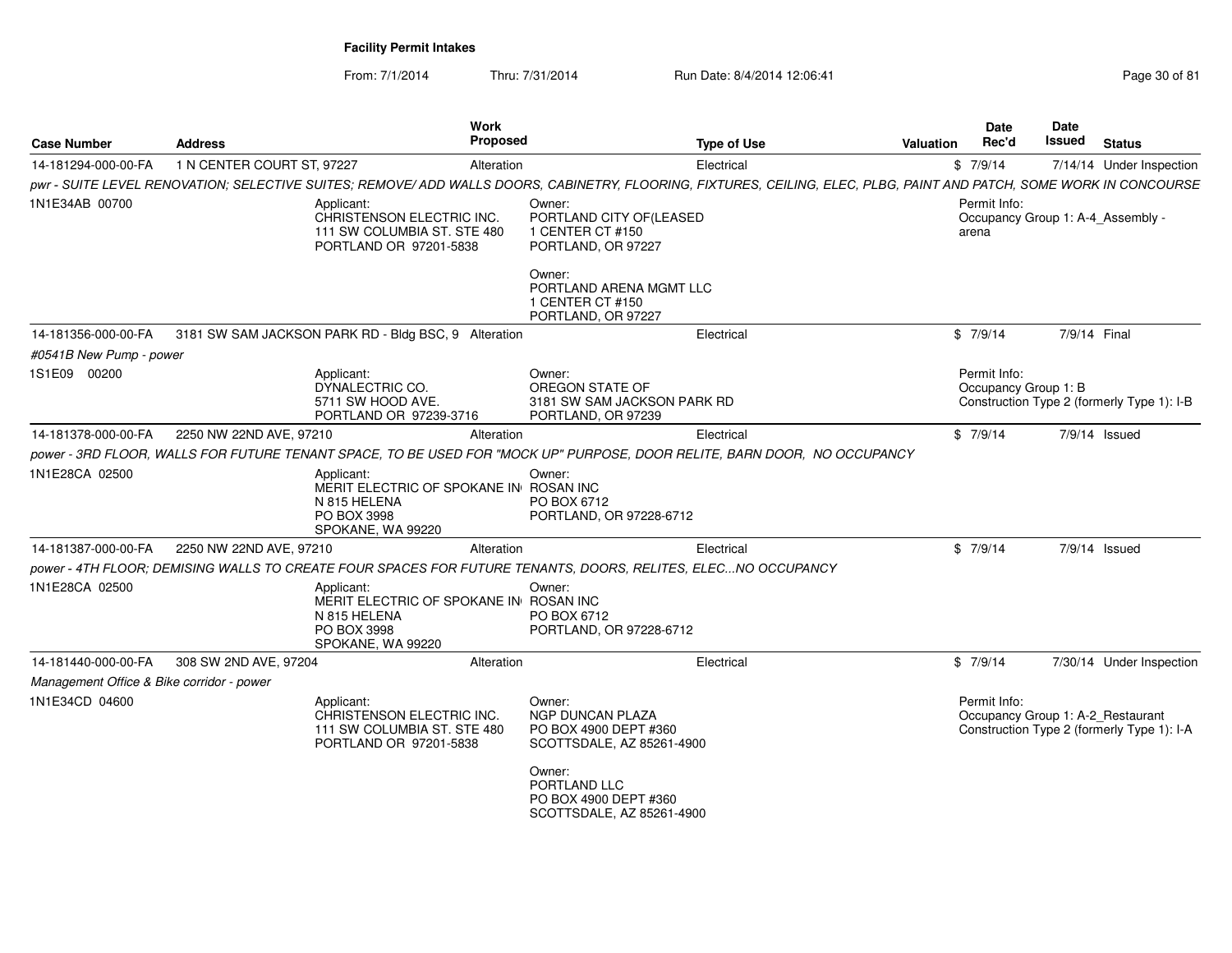| <b>Case Number</b>                        | <b>Address</b>             | Work<br>Proposed                                                                                                                                                     |                                                                                         | <b>Type of Use</b> | <b>Valuation</b> | Date<br>Rec'd                                              | Date<br><b>Issued</b> | <b>Status</b>                              |
|-------------------------------------------|----------------------------|----------------------------------------------------------------------------------------------------------------------------------------------------------------------|-----------------------------------------------------------------------------------------|--------------------|------------------|------------------------------------------------------------|-----------------------|--------------------------------------------|
| 14-181294-000-00-FA                       | 1 N CENTER COURT ST, 97227 | Alteration                                                                                                                                                           |                                                                                         | Electrical         |                  | \$7/9/14                                                   |                       | 7/14/14 Under Inspection                   |
|                                           |                            | pwr - SUITE LEVEL RENOVATION; SELECTIVE SUITES; REMOVE/ ADD WALLS DOORS, CABINETRY, FLOORING, FIXTURES, CEILING, ELEC, PLBG, PAINT AND PATCH, SOME WORK IN CONCOURSE |                                                                                         |                    |                  |                                                            |                       |                                            |
| 1N1E34AB 00700                            |                            | Applicant:<br>CHRISTENSON ELECTRIC INC.<br>111 SW COLUMBIA ST. STE 480<br>PORTLAND OR 97201-5838                                                                     | Owner:<br>PORTLAND CITY OF(LEASED<br>1 CENTER CT #150<br>PORTLAND, OR 97227             |                    |                  | Permit Info:<br>Occupancy Group 1: A-4_Assembly -<br>arena |                       |                                            |
|                                           |                            |                                                                                                                                                                      | Owner:<br>PORTLAND ARENA MGMT LLC<br>1 CENTER CT #150<br>PORTLAND, OR 97227             |                    |                  |                                                            |                       |                                            |
| 14-181356-000-00-FA                       |                            | 3181 SW SAM JACKSON PARK RD - Bldg BSC, 9 Alteration                                                                                                                 |                                                                                         | Electrical         |                  | \$7/9/14                                                   | 7/9/14 Final          |                                            |
| #0541B New Pump - power                   |                            |                                                                                                                                                                      |                                                                                         |                    |                  |                                                            |                       |                                            |
| 1S1E09 00200                              |                            | Applicant:<br>DYNALECTRIC CO.<br>5711 SW HOOD AVE.<br>PORTLAND OR 97239-3716                                                                                         | Owner:<br>OREGON STATE OF<br>3181 SW SAM JACKSON PARK RD<br>PORTLAND, OR 97239          |                    |                  | Permit Info:<br>Occupancy Group 1: B                       |                       | Construction Type 2 (formerly Type 1): I-B |
| 14-181378-000-00-FA                       | 2250 NW 22ND AVE, 97210    | Alteration                                                                                                                                                           |                                                                                         | Electrical         |                  | \$7/9/14                                                   |                       | $7/9/14$ Issued                            |
|                                           |                            | power - 3RD FLOOR, WALLS FOR FUTURE TENANT SPACE, TO BE USED FOR "MOCK UP" PURPOSE, DOOR RELITE, BARN DOOR, NO OCCUPANCY                                             |                                                                                         |                    |                  |                                                            |                       |                                            |
| 1N1E28CA 02500                            |                            | Applicant:<br>MERIT ELECTRIC OF SPOKANE IN ROSAN INC<br>N 815 HELENA<br>PO BOX 3998<br>SPOKANE, WA 99220                                                             | Owner:<br>PO BOX 6712<br>PORTLAND, OR 97228-6712                                        |                    |                  |                                                            |                       |                                            |
| 14-181387-000-00-FA                       | 2250 NW 22ND AVE, 97210    | Alteration                                                                                                                                                           |                                                                                         | Electrical         |                  | \$7/9/14                                                   |                       | 7/9/14 Issued                              |
|                                           |                            | power - 4TH FLOOR; DEMISING WALLS TO CREATE FOUR SPACES FOR FUTURE TENANTS, DOORS, RELITES, ELECNO OCCUPANCY                                                         |                                                                                         |                    |                  |                                                            |                       |                                            |
| 1N1E28CA 02500                            |                            | Applicant:<br>MERIT ELECTRIC OF SPOKANE IN ROSAN INC<br>N 815 HELENA<br>PO BOX 3998<br>SPOKANE, WA 99220                                                             | Owner:<br>PO BOX 6712<br>PORTLAND, OR 97228-6712                                        |                    |                  |                                                            |                       |                                            |
| 14-181440-000-00-FA                       | 308 SW 2ND AVE, 97204      | Alteration                                                                                                                                                           |                                                                                         | Electrical         |                  | \$7/9/14                                                   |                       | 7/30/14 Under Inspection                   |
| Management Office & Bike corridor - power |                            |                                                                                                                                                                      |                                                                                         |                    |                  |                                                            |                       |                                            |
| 1N1E34CD 04600                            |                            | Applicant:<br>CHRISTENSON ELECTRIC INC.<br>111 SW COLUMBIA ST. STE 480<br>PORTLAND OR 97201-5838                                                                     | Owner:<br><b>NGP DUNCAN PLAZA</b><br>PO BOX 4900 DEPT #360<br>SCOTTSDALE, AZ 85261-4900 |                    |                  | Permit Info:<br>Occupancy Group 1: A-2_Restaurant          |                       | Construction Type 2 (formerly Type 1): I-A |
|                                           |                            |                                                                                                                                                                      | Owner:<br>PORTLAND LLC<br>PO BOX 4900 DEPT #360<br>SCOTTSDALE, AZ 85261-4900            |                    |                  |                                                            |                       |                                            |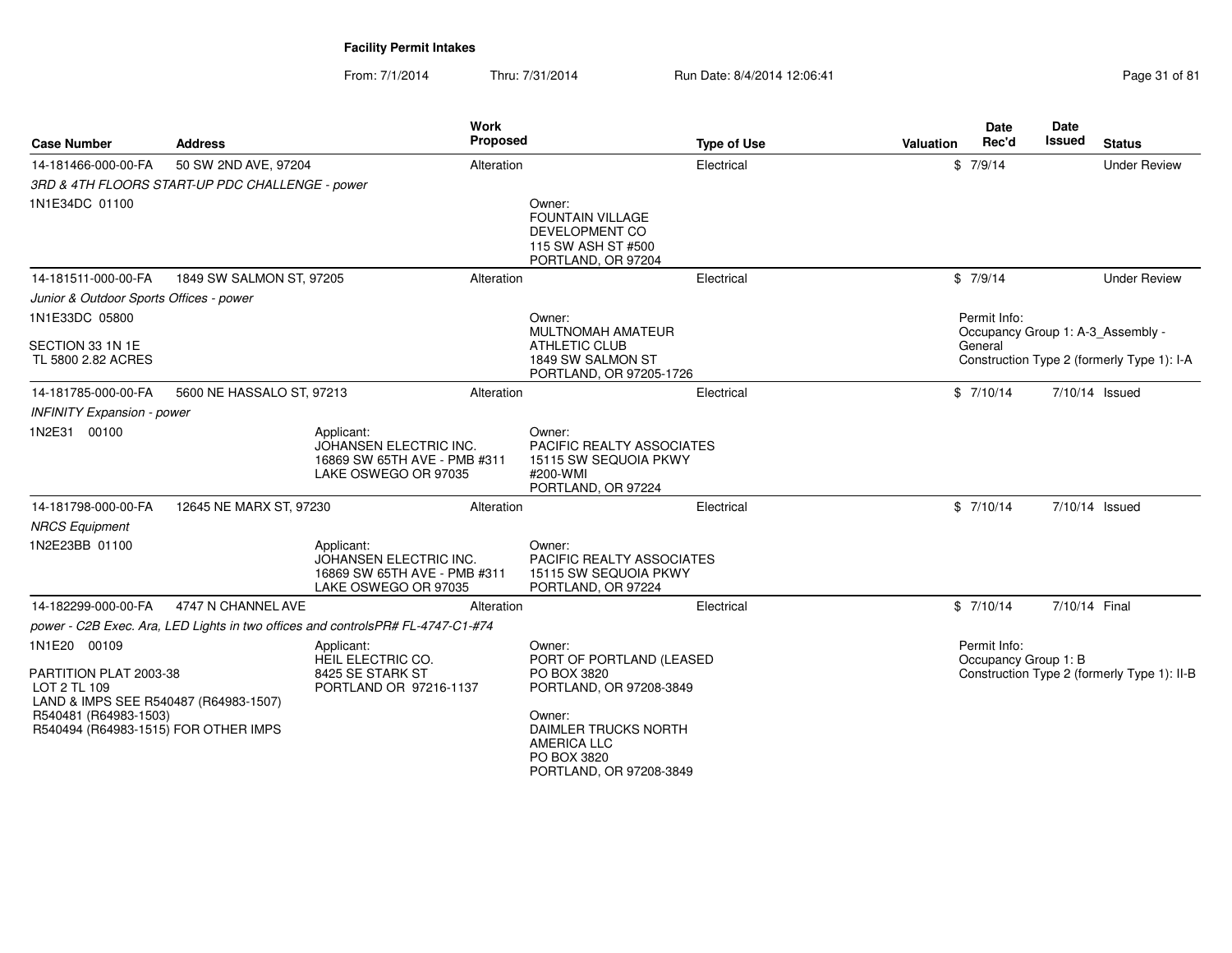From: 7/1/2014

Thru: 7/31/2014 Run Date: 8/4/2014 12:06:41 Page 31 of 81

| <b>Case Number</b>                                                              | <b>Address</b>                                  | Work<br><b>Proposed</b>                                                                      |                                                                                                 | <b>Type of Use</b> | <b>Valuation</b> | <b>Date</b><br>Rec'd | <b>Date</b><br>Issued | <b>Status</b>                               |
|---------------------------------------------------------------------------------|-------------------------------------------------|----------------------------------------------------------------------------------------------|-------------------------------------------------------------------------------------------------|--------------------|------------------|----------------------|-----------------------|---------------------------------------------|
| 14-181466-000-00-FA                                                             | 50 SW 2ND AVE, 97204                            | Alteration                                                                                   |                                                                                                 | Electrical         |                  | \$7/9/14             |                       | <b>Under Review</b>                         |
|                                                                                 | 3RD & 4TH FLOORS START-UP PDC CHALLENGE - power |                                                                                              |                                                                                                 |                    |                  |                      |                       |                                             |
| 1N1E34DC 01100                                                                  |                                                 |                                                                                              | Owner:<br><b>FOUNTAIN VILLAGE</b><br>DEVELOPMENT CO<br>115 SW ASH ST #500<br>PORTLAND, OR 97204 |                    |                  |                      |                       |                                             |
| 14-181511-000-00-FA                                                             | 1849 SW SALMON ST, 97205                        | Alteration                                                                                   |                                                                                                 | Electrical         |                  | \$7/9/14             |                       | <b>Under Review</b>                         |
| Junior & Outdoor Sports Offices - power                                         |                                                 |                                                                                              |                                                                                                 |                    |                  |                      |                       |                                             |
| 1N1E33DC 05800                                                                  |                                                 |                                                                                              | Owner:<br>MULTNOMAH AMATEUR                                                                     |                    |                  | Permit Info:         |                       | Occupancy Group 1: A-3 Assembly -           |
| SECTION 33 1N 1E<br>TL 5800 2.82 ACRES                                          |                                                 |                                                                                              | <b>ATHLETIC CLUB</b><br>1849 SW SALMON ST<br>PORTLAND, OR 97205-1726                            |                    |                  | General              |                       | Construction Type 2 (formerly Type 1): I-A  |
| 14-181785-000-00-FA                                                             | 5600 NE HASSALO ST, 97213                       | Alteration                                                                                   |                                                                                                 | Electrical         |                  | \$7/10/14            |                       | 7/10/14 Issued                              |
| <b>INFINITY Expansion - power</b>                                               |                                                 |                                                                                              |                                                                                                 |                    |                  |                      |                       |                                             |
| 1N2E31 00100                                                                    |                                                 | Applicant:<br>JOHANSEN ELECTRIC INC.<br>16869 SW 65TH AVE - PMB #311<br>LAKE OSWEGO OR 97035 | Owner:<br>PACIFIC REALTY ASSOCIATES<br>15115 SW SEQUOIA PKWY<br>#200-WMI<br>PORTLAND, OR 97224  |                    |                  |                      |                       |                                             |
| 14-181798-000-00-FA                                                             | 12645 NE MARX ST, 97230                         | Alteration                                                                                   |                                                                                                 | Electrical         |                  | \$7/10/14            |                       | 7/10/14 Issued                              |
| <b>NRCS Equipment</b>                                                           |                                                 |                                                                                              |                                                                                                 |                    |                  |                      |                       |                                             |
| 1N2E23BB 01100                                                                  |                                                 | Applicant:<br>JOHANSEN ELECTRIC INC.<br>16869 SW 65TH AVE - PMB #311<br>LAKE OSWEGO OR 97035 | Owner:<br>PACIFIC REALTY ASSOCIATES<br>15115 SW SEQUOIA PKWY<br>PORTLAND, OR 97224              |                    |                  |                      |                       |                                             |
| 14-182299-000-00-FA                                                             | 4747 N CHANNEL AVE                              | Alteration                                                                                   |                                                                                                 | Electrical         |                  | \$7/10/14            | 7/10/14 Final         |                                             |
|                                                                                 |                                                 | power - C2B Exec. Ara, LED Lights in two offices and controlsPR# FL-4747-C1-#74              |                                                                                                 |                    |                  |                      |                       |                                             |
| 1N1E20 00109                                                                    |                                                 | Applicant:<br>HEIL ELECTRIC CO.                                                              | Owner:                                                                                          |                    |                  | Permit Info:         |                       |                                             |
| PARTITION PLAT 2003-38<br>LOT 2 TL 109<br>LAND & IMPS SEE R540487 (R64983-1507) |                                                 | 8425 SE STARK ST<br>PORTLAND OR 97216-1137                                                   | PORT OF PORTLAND (LEASED<br>PO BOX 3820<br>PORTLAND, OR 97208-3849                              |                    |                  | Occupancy Group 1: B |                       | Construction Type 2 (formerly Type 1): II-B |
| R540481 (R64983-1503)<br>R540494 (R64983-1515) FOR OTHER IMPS                   |                                                 |                                                                                              | Owner:<br>DAIMLER TRUCKS NORTH<br><b>AMERICA LLC</b><br>PO BOX 3820<br>PORTLAND, OR 97208-3849  |                    |                  |                      |                       |                                             |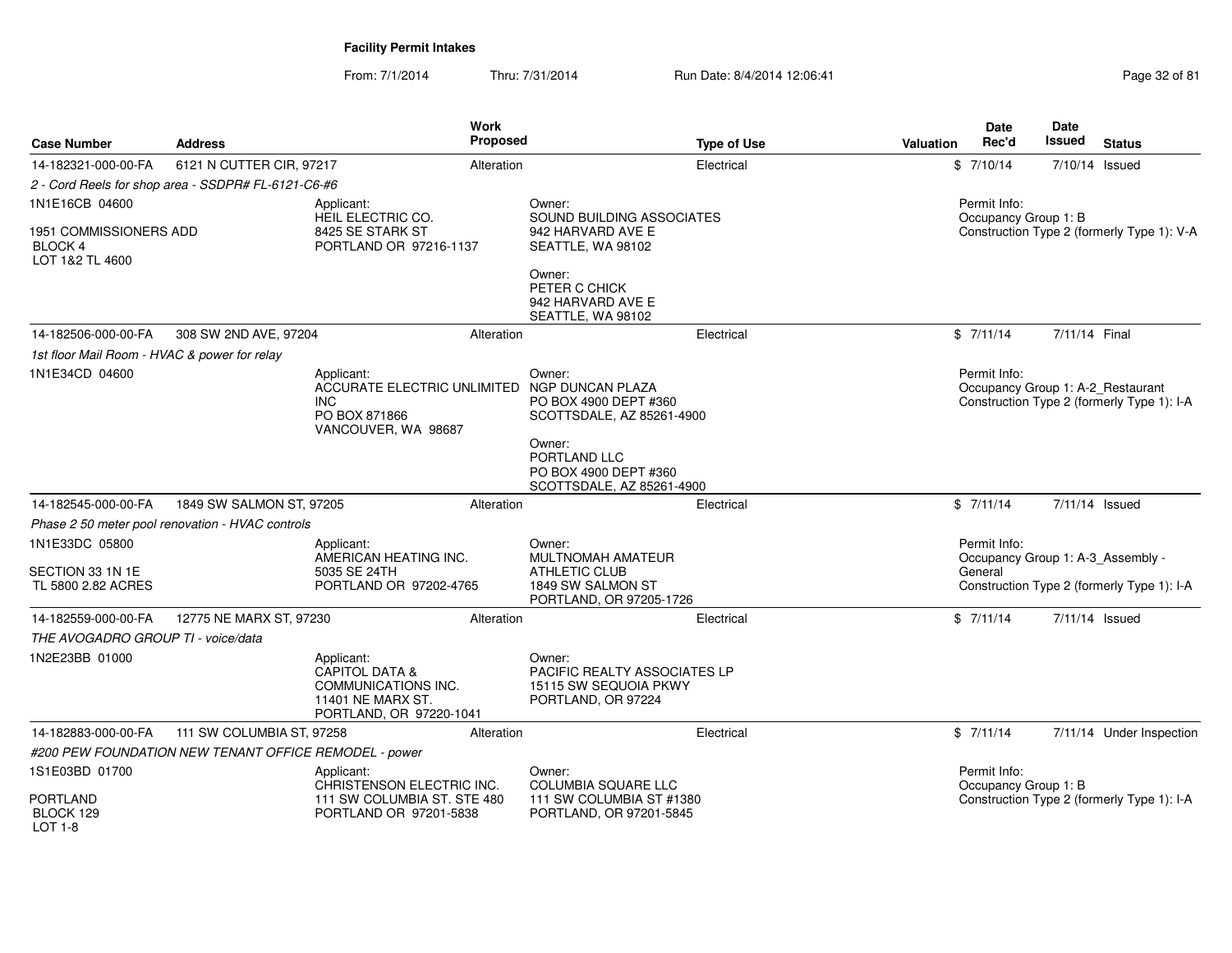| <b>Case Number</b>                                                | <b>Address</b>                                        |                                                                                                                | <b>Work</b><br><b>Proposed</b> |                                                                                              | <b>Type of Use</b> | Valuation | <b>Date</b><br>Rec'd                 | <b>Date</b><br>Issued | <b>Status</b>                                                                   |
|-------------------------------------------------------------------|-------------------------------------------------------|----------------------------------------------------------------------------------------------------------------|--------------------------------|----------------------------------------------------------------------------------------------|--------------------|-----------|--------------------------------------|-----------------------|---------------------------------------------------------------------------------|
| 14-182321-000-00-FA                                               | 6121 N CUTTER CIR, 97217                              |                                                                                                                | Alteration                     |                                                                                              | Electrical         |           | \$7/10/14                            |                       | 7/10/14 Issued                                                                  |
|                                                                   | 2 - Cord Reels for shop area - SSDPR# FL-6121-C6-#6   |                                                                                                                |                                |                                                                                              |                    |           |                                      |                       |                                                                                 |
| 1N1E16CB 04600                                                    |                                                       | Applicant:<br>HEIL ELECTRIC CO.                                                                                |                                | Owner:<br>SOUND BUILDING ASSOCIATES                                                          |                    |           | Permit Info:<br>Occupancy Group 1: B |                       |                                                                                 |
| <b>1951 COMMISSIONERS ADD</b><br><b>BLOCK4</b><br>LOT 1&2 TL 4600 |                                                       | 8425 SE STARK ST<br>PORTLAND OR 97216-1137                                                                     |                                | 942 HARVARD AVE E<br>SEATTLE, WA 98102                                                       |                    |           |                                      |                       | Construction Type 2 (formerly Type 1): V-A                                      |
|                                                                   |                                                       |                                                                                                                |                                | Owner:<br>PETER C CHICK<br>942 HARVARD AVE E<br>SEATTLE, WA 98102                            |                    |           |                                      |                       |                                                                                 |
| 14-182506-000-00-FA                                               | 308 SW 2ND AVE, 97204                                 |                                                                                                                | Alteration                     |                                                                                              | Electrical         |           | \$7/11/14                            | 7/11/14 Final         |                                                                                 |
| 1st floor Mail Room - HVAC & power for relay                      |                                                       |                                                                                                                |                                |                                                                                              |                    |           |                                      |                       |                                                                                 |
| 1N1E34CD 04600                                                    |                                                       | Applicant:<br>ACCURATE ELECTRIC UNLIMITED<br><b>INC</b><br>PO BOX 871866<br>VANCOUVER, WA 98687                |                                | Owner:<br>NGP DUNCAN PLAZA<br>PO BOX 4900 DEPT #360<br>SCOTTSDALE, AZ 85261-4900             |                    |           | Permit Info:                         |                       | Occupancy Group 1: A-2_Restaurant<br>Construction Type 2 (formerly Type 1): I-A |
|                                                                   |                                                       |                                                                                                                |                                | Owner:<br>PORTLAND LLC<br>PO BOX 4900 DEPT #360<br>SCOTTSDALE, AZ 85261-4900                 |                    |           |                                      |                       |                                                                                 |
| 14-182545-000-00-FA                                               | 1849 SW SALMON ST, 97205                              |                                                                                                                | Alteration                     |                                                                                              | Electrical         |           | \$7/11/14                            |                       | 7/11/14 Issued                                                                  |
|                                                                   | Phase 2 50 meter pool renovation - HVAC controls      |                                                                                                                |                                |                                                                                              |                    |           |                                      |                       |                                                                                 |
| 1N1E33DC 05800                                                    |                                                       | Applicant:<br>AMERICAN HEATING INC.                                                                            |                                | Owner:<br>MULTNOMAH AMATEUR                                                                  |                    |           | Permit Info:                         |                       | Occupancy Group 1: A-3_Assembly -                                               |
| SECTION 33 1N 1E<br>TL 5800 2.82 ACRES                            |                                                       | 5035 SE 24TH<br>PORTLAND OR 97202-4765                                                                         |                                | <b>ATHLETIC CLUB</b><br>1849 SW SALMON ST<br>PORTLAND, OR 97205-1726                         |                    |           | General                              |                       | Construction Type 2 (formerly Type 1): I-A                                      |
| 14-182559-000-00-FA                                               | 12775 NE MARX ST, 97230                               |                                                                                                                | Alteration                     |                                                                                              | Electrical         |           | \$7/11/14                            |                       | 7/11/14 Issued                                                                  |
| THE AVOGADRO GROUP TI - voice/data                                |                                                       |                                                                                                                |                                |                                                                                              |                    |           |                                      |                       |                                                                                 |
| 1N2E23BB 01000                                                    |                                                       | Applicant:<br><b>CAPITOL DATA &amp;</b><br>COMMUNICATIONS INC.<br>11401 NE MARX ST.<br>PORTLAND, OR 97220-1041 |                                | Owner:<br><b>PACIFIC REALTY ASSOCIATES LP</b><br>15115 SW SEQUOIA PKWY<br>PORTLAND, OR 97224 |                    |           |                                      |                       |                                                                                 |
| 14-182883-000-00-FA                                               | 111 SW COLUMBIA ST, 97258                             |                                                                                                                | Alteration                     |                                                                                              | Electrical         |           | \$7/11/14                            |                       | 7/11/14 Under Inspection                                                        |
|                                                                   | #200 PEW FOUNDATION NEW TENANT OFFICE REMODEL - power |                                                                                                                |                                |                                                                                              |                    |           |                                      |                       |                                                                                 |
| 1S1E03BD 01700                                                    |                                                       | Applicant:<br>CHRISTENSON ELECTRIC INC.                                                                        |                                | Owner:<br><b>COLUMBIA SQUARE LLC</b>                                                         |                    |           | Permit Info:<br>Occupancy Group 1: B |                       |                                                                                 |
| <b>PORTLAND</b><br>BLOCK 129<br>LOT 1-8                           |                                                       | 111 SW COLUMBIA ST. STE 480<br>PORTLAND OR 97201-5838                                                          |                                | 111 SW COLUMBIA ST #1380<br>PORTLAND, OR 97201-5845                                          |                    |           |                                      |                       | Construction Type 2 (formerly Type 1): I-A                                      |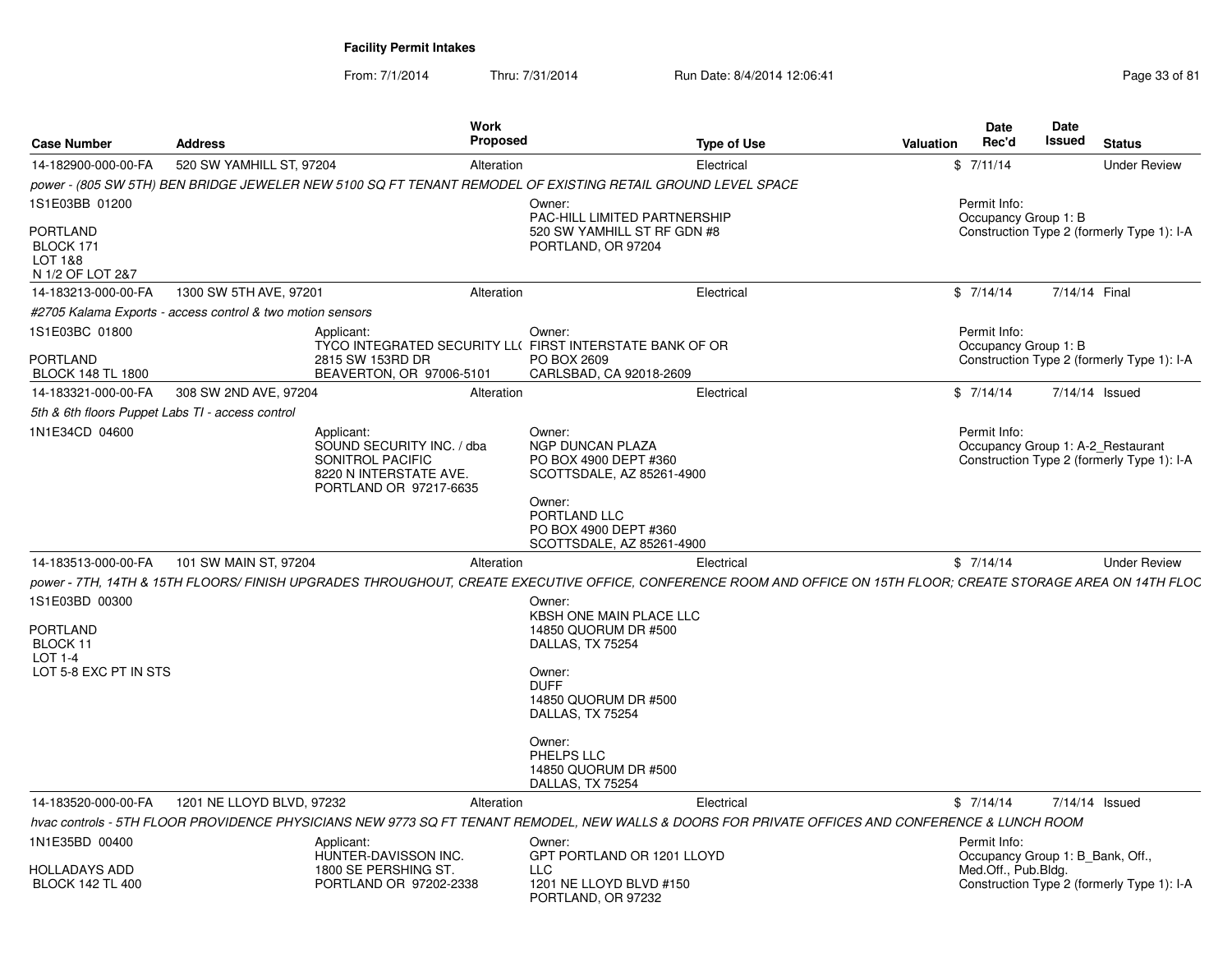| <b>Case Number</b>                                  | <b>Address</b>                                             | <b>Work</b><br><b>Proposed</b>                                                                                                                                   |                                                                                  | <b>Type of Use</b> | <b>Valuation</b> | Date<br>Rec'd                                     | <b>Date</b><br><b>Issued</b> | <b>Status</b>                              |
|-----------------------------------------------------|------------------------------------------------------------|------------------------------------------------------------------------------------------------------------------------------------------------------------------|----------------------------------------------------------------------------------|--------------------|------------------|---------------------------------------------------|------------------------------|--------------------------------------------|
| 14-182900-000-00-FA                                 | 520 SW YAMHILL ST, 97204                                   | Alteration                                                                                                                                                       |                                                                                  | Electrical         |                  | \$7/11/14                                         |                              | <b>Under Review</b>                        |
|                                                     |                                                            | power - (805 SW 5TH) BEN BRIDGE JEWELER NEW 5100 SQ FT TENANT REMODEL OF EXISTING RETAIL GROUND LEVEL SPACE                                                      |                                                                                  |                    |                  |                                                   |                              |                                            |
| 1S1E03BB 01200<br><b>PORTLAND</b>                   |                                                            |                                                                                                                                                                  | Owner:<br>PAC-HILL LIMITED PARTNERSHIP<br>520 SW YAMHILL ST RF GDN #8            |                    |                  | Permit Info:<br>Occupancy Group 1: B              |                              | Construction Type 2 (formerly Type 1): I-A |
| BLOCK 171<br><b>LOT 1&amp;8</b><br>N 1/2 OF LOT 2&7 |                                                            |                                                                                                                                                                  | PORTLAND, OR 97204                                                               |                    |                  |                                                   |                              |                                            |
| 14-183213-000-00-FA                                 | 1300 SW 5TH AVE, 97201                                     | Alteration                                                                                                                                                       |                                                                                  | Electrical         |                  | \$7/14/14                                         | 7/14/14 Final                |                                            |
|                                                     | #2705 Kalama Exports - access control & two motion sensors |                                                                                                                                                                  |                                                                                  |                    |                  |                                                   |                              |                                            |
| 1S1E03BC 01800                                      |                                                            | Applicant:<br>TYCO INTEGRATED SECURITY LL(FIRST INTERSTATE BANK OF OR                                                                                            | Owner:                                                                           |                    |                  | Permit Info:<br>Occupancy Group 1: B              |                              |                                            |
| <b>PORTLAND</b><br><b>BLOCK 148 TL 1800</b>         |                                                            | 2815 SW 153RD DR<br>BEAVERTON, OR 97006-5101                                                                                                                     | PO BOX 2609<br>CARLSBAD, CA 92018-2609                                           |                    |                  |                                                   |                              | Construction Type 2 (formerly Type 1): I-A |
| 14-183321-000-00-FA                                 | 308 SW 2ND AVE, 97204                                      | Alteration                                                                                                                                                       |                                                                                  | Electrical         |                  | \$7/14/14                                         |                              | 7/14/14 Issued                             |
| 5th & 6th floors Puppet Labs TI - access control    |                                                            |                                                                                                                                                                  |                                                                                  |                    |                  |                                                   |                              |                                            |
| 1N1E34CD 04600                                      |                                                            | Applicant:<br>SOUND SECURITY INC. / dba<br>SONITROL PACIFIC<br>8220 N INTERSTATE AVE.<br>PORTLAND OR 97217-6635                                                  | Owner:<br>NGP DUNCAN PLAZA<br>PO BOX 4900 DEPT #360<br>SCOTTSDALE, AZ 85261-4900 |                    |                  | Permit Info:<br>Occupancy Group 1: A-2 Restaurant |                              | Construction Type 2 (formerly Type 1): I-A |
|                                                     |                                                            |                                                                                                                                                                  | Owner:<br>PORTLAND LLC<br>PO BOX 4900 DEPT #360<br>SCOTTSDALE, AZ 85261-4900     |                    |                  |                                                   |                              |                                            |
| 14-183513-000-00-FA                                 | 101 SW MAIN ST, 97204                                      | Alteration                                                                                                                                                       |                                                                                  | Electrical         |                  | \$7/14/14                                         |                              | <b>Under Review</b>                        |
|                                                     |                                                            | power - 7TH, 14TH & 15TH FLOORS/ FINISH UPGRADES THROUGHOUT, CREATE EXECUTIVE OFFICE, CONFERENCE ROOM AND OFFICE ON 15TH FLOOR; CREATE STORAGE AREA ON 14TH FLOC |                                                                                  |                    |                  |                                                   |                              |                                            |
| 1S1E03BD 00300                                      |                                                            |                                                                                                                                                                  | Owner:                                                                           |                    |                  |                                                   |                              |                                            |
| <b>PORTLAND</b><br>BLOCK 11<br><b>LOT 1-4</b>       |                                                            |                                                                                                                                                                  | KBSH ONE MAIN PLACE LLC<br>14850 QUORUM DR #500<br>DALLAS, TX 75254              |                    |                  |                                                   |                              |                                            |
| LOT 5-8 EXC PT IN STS                               |                                                            |                                                                                                                                                                  | Owner:<br><b>DUFF</b><br>14850 QUORUM DR #500<br>DALLAS, TX 75254                |                    |                  |                                                   |                              |                                            |
|                                                     |                                                            |                                                                                                                                                                  | Owner:<br>PHELPS LLC<br>14850 QUORUM DR #500<br>DALLAS, TX 75254                 |                    |                  |                                                   |                              |                                            |
| 14-183520-000-00-FA                                 | 1201 NE LLOYD BLVD, 97232                                  | Alteration                                                                                                                                                       |                                                                                  | Electrical         |                  | \$7/14/14                                         |                              | 7/14/14 Issued                             |
|                                                     |                                                            | hvac controls - 5TH FLOOR PROVIDENCE PHYSICIANS NEW 9773 SQ FT TENANT REMODEL, NEW WALLS & DOORS FOR PRIVATE OFFICES AND CONFERENCE & LUNCH ROOM                 |                                                                                  |                    |                  |                                                   |                              |                                            |
| 1N1E35BD 00400                                      |                                                            | Applicant:<br>HUNTER-DAVISSON INC.                                                                                                                               | Owner:<br>GPT PORTLAND OR 1201 LLOYD                                             |                    |                  | Permit Info:<br>Occupancy Group 1: B Bank, Off.,  |                              |                                            |
| <b>HOLLADAYS ADD</b><br><b>BLOCK 142 TL 400</b>     |                                                            | 1800 SE PERSHING ST.<br>PORTLAND OR 97202-2338                                                                                                                   | <b>LLC</b><br>1201 NE LLOYD BLVD #150<br>PORTLAND, OR 97232                      |                    |                  | Med.Off., Pub.Bldg.                               |                              | Construction Type 2 (formerly Type 1): I-A |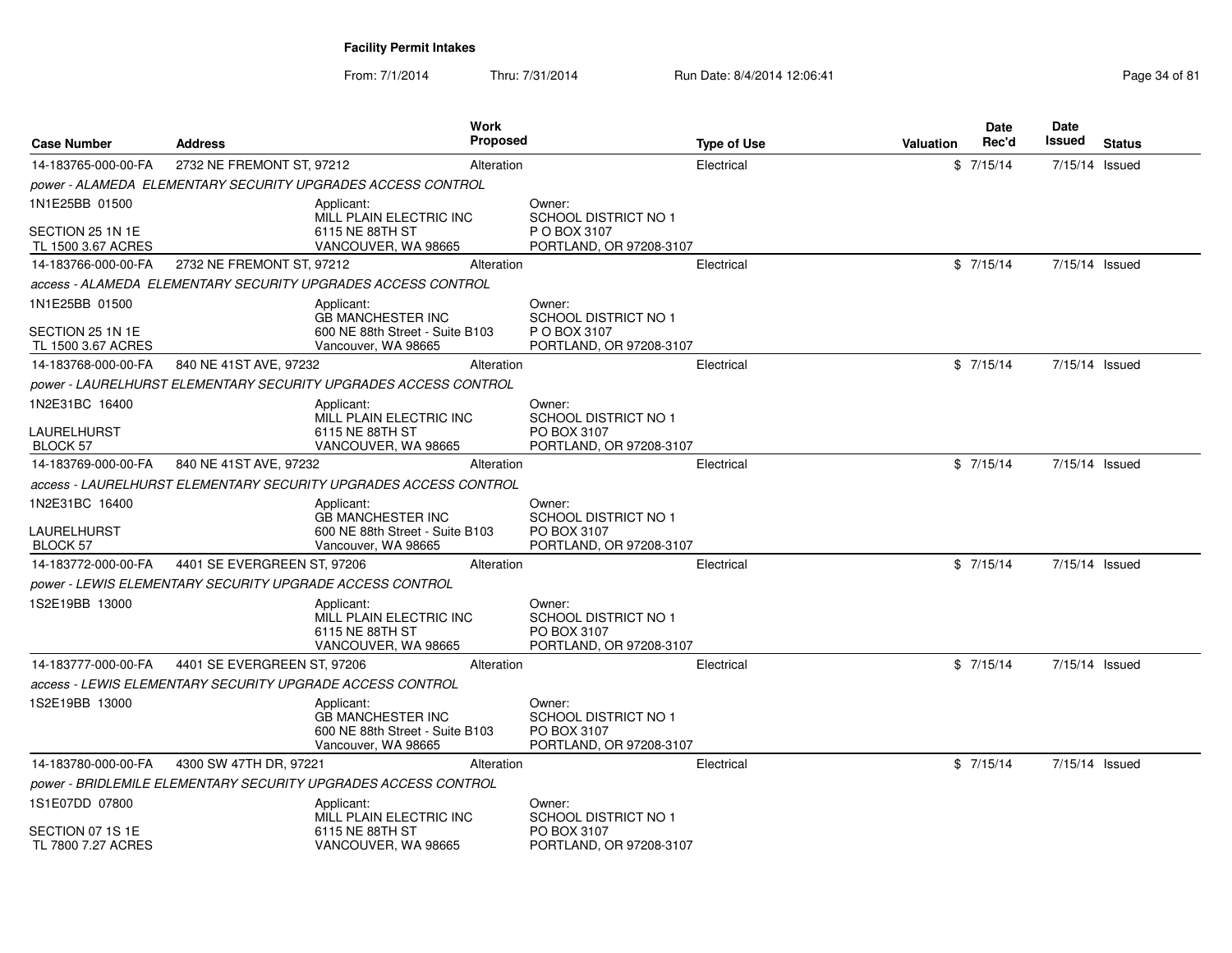From: 7/1/2014Thru: 7/31/2014 Run Date: 8/4/2014 12:06:41

| Page 34 of 81 |  |  |
|---------------|--|--|
|---------------|--|--|

| <b>Case Number</b>                     | <b>Address</b>                                            | Work                                                                                             | Proposed                                                                        | <b>Type of Use</b> | <b>Valuation</b> | Date<br>Rec'd | Date<br>Issued | <b>Status</b> |
|----------------------------------------|-----------------------------------------------------------|--------------------------------------------------------------------------------------------------|---------------------------------------------------------------------------------|--------------------|------------------|---------------|----------------|---------------|
| 14-183765-000-00-FA                    | 2732 NE FREMONT ST, 97212                                 | Alteration                                                                                       |                                                                                 | Electrical         |                  | \$7/15/14     | 7/15/14 Issued |               |
|                                        |                                                           | power - ALAMEDA ELEMENTARY SECURITY UPGRADES ACCESS CONTROL                                      |                                                                                 |                    |                  |               |                |               |
| 1N1E25BB 01500                         |                                                           | Applicant:<br>MILL PLAIN ELECTRIC INC                                                            | Owner:<br><b>SCHOOL DISTRICT NO 1</b>                                           |                    |                  |               |                |               |
| SECTION 25 1N 1E<br>TL 1500 3.67 ACRES |                                                           | 6115 NE 88TH ST<br>VANCOUVER, WA 98665                                                           | P O BOX 3107<br>PORTLAND, OR 97208-3107                                         |                    |                  |               |                |               |
| 14-183766-000-00-FA                    | 2732 NE FREMONT ST, 97212                                 | Alteration                                                                                       |                                                                                 | Electrical         |                  | \$7/15/14     | 7/15/14 Issued |               |
|                                        |                                                           | access - ALAMEDA ELEMENTARY SECURITY UPGRADES ACCESS CONTROL                                     |                                                                                 |                    |                  |               |                |               |
| 1N1E25BB 01500                         |                                                           | Applicant:                                                                                       | Owner:                                                                          |                    |                  |               |                |               |
| SECTION 25 1N 1E<br>TL 1500 3.67 ACRES |                                                           | <b>GB MANCHESTER INC</b><br>600 NE 88th Street - Suite B103<br>Vancouver, WA 98665               | <b>SCHOOL DISTRICT NO 1</b><br>P O BOX 3107<br>PORTLAND, OR 97208-3107          |                    |                  |               |                |               |
| 14-183768-000-00-FA                    | 840 NE 41ST AVE, 97232                                    |                                                                                                  | Alteration                                                                      | Electrical         |                  | \$7/15/14     | 7/15/14 Issued |               |
|                                        |                                                           | power - LAURELHURST ELEMENTARY SECURITY UPGRADES ACCESS CONTROL                                  |                                                                                 |                    |                  |               |                |               |
| 1N2E31BC 16400                         |                                                           | Applicant:<br>MILL PLAIN ELECTRIC INC                                                            | Owner:<br><b>SCHOOL DISTRICT NO 1</b>                                           |                    |                  |               |                |               |
| LAURELHURST<br>BLOCK 57                |                                                           | 6115 NE 88TH ST<br>VANCOUVER, WA 98665                                                           | PO BOX 3107<br>PORTLAND, OR 97208-3107                                          |                    |                  |               |                |               |
| 14-183769-000-00-FA                    | 840 NE 41ST AVE, 97232                                    |                                                                                                  | Alteration                                                                      | Electrical         |                  | \$7/15/14     | 7/15/14 Issued |               |
|                                        |                                                           | access - LAURELHURST ELEMENTARY SECURITY UPGRADES ACCESS CONTROL                                 |                                                                                 |                    |                  |               |                |               |
| 1N2E31BC 16400                         |                                                           | Applicant:                                                                                       | Owner:                                                                          |                    |                  |               |                |               |
| LAURELHURST<br><b>BLOCK 57</b>         |                                                           | <b>GB MANCHESTER INC</b><br>600 NE 88th Street - Suite B103<br>Vancouver, WA 98665               | SCHOOL DISTRICT NO 1<br>PO BOX 3107<br>PORTLAND, OR 97208-3107                  |                    |                  |               |                |               |
| 14-183772-000-00-FA                    | 4401 SE EVERGREEN ST, 97206                               | Alteration                                                                                       |                                                                                 | Electrical         |                  | \$7/15/14     | 7/15/14 Issued |               |
|                                        | power - LEWIS ELEMENTARY SECURITY UPGRADE ACCESS CONTROL  |                                                                                                  |                                                                                 |                    |                  |               |                |               |
| 1S2E19BB 13000                         |                                                           | Applicant:<br>MILL PLAIN ELECTRIC INC<br>6115 NE 88TH ST<br>VANCOUVER, WA 98665                  | Owner:<br><b>SCHOOL DISTRICT NO 1</b><br>PO BOX 3107<br>PORTLAND, OR 97208-3107 |                    |                  |               |                |               |
| 14-183777-000-00-FA                    | 4401 SE EVERGREEN ST. 97206                               | Alteration                                                                                       |                                                                                 | Electrical         |                  | \$7/15/14     | 7/15/14 Issued |               |
|                                        | access - LEWIS ELEMENTARY SECURITY UPGRADE ACCESS CONTROL |                                                                                                  |                                                                                 |                    |                  |               |                |               |
| 1S2E19BB 13000                         |                                                           | Applicant:<br><b>GB MANCHESTER INC</b><br>600 NE 88th Street - Suite B103<br>Vancouver, WA 98665 | Owner:<br>SCHOOL DISTRICT NO 1<br>PO BOX 3107<br>PORTLAND, OR 97208-3107        |                    |                  |               |                |               |
| 14-183780-000-00-FA                    | 4300 SW 47TH DR, 97221                                    | Alteration                                                                                       |                                                                                 | Electrical         |                  | \$7/15/14     | 7/15/14 Issued |               |
|                                        |                                                           | power - BRIDLEMILE ELEMENTARY SECURITY UPGRADES ACCESS CONTROL                                   |                                                                                 |                    |                  |               |                |               |
| 1S1E07DD 07800                         |                                                           | Applicant:<br>MILL PLAIN ELECTRIC INC                                                            | Owner:<br>SCHOOL DISTRICT NO 1                                                  |                    |                  |               |                |               |
| SECTION 07 1S 1E<br>TL 7800 7.27 ACRES |                                                           | 6115 NE 88TH ST<br>VANCOUVER, WA 98665                                                           | PO BOX 3107<br>PORTLAND, OR 97208-3107                                          |                    |                  |               |                |               |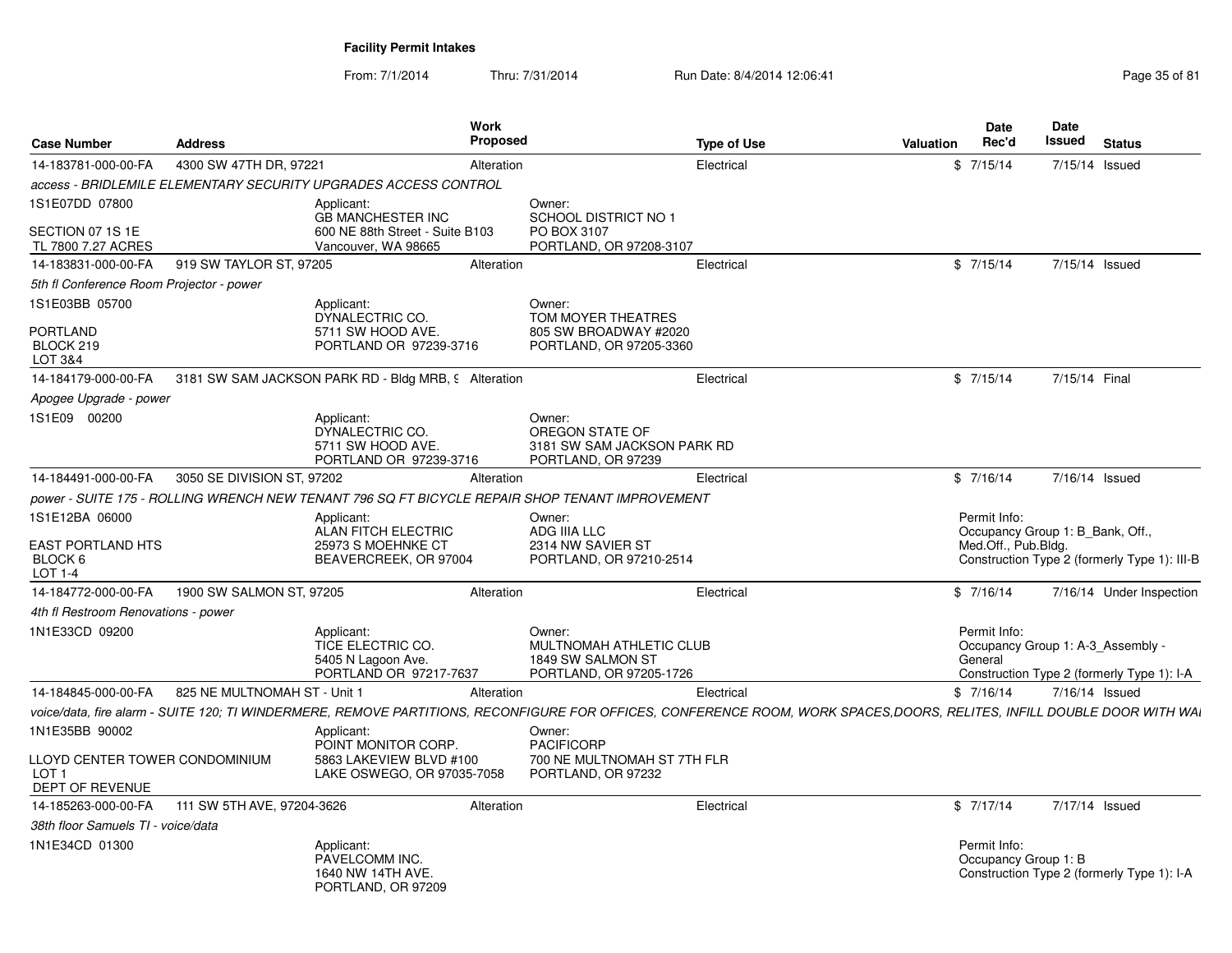From: 7/1/2014Thru: 7/31/2014 Run Date: 8/4/2014 12:06:41 Page 35 of 81

| <b>Case Number</b>                                                    | <b>Address</b>               | Work<br>Proposed                                                                               |                                                                                   | <b>Type of Use</b>                                                                                                                                                      | Valuation | Date<br>Rec'd                                                           | Date<br><b>Issued</b> | <b>Status</b>                                |
|-----------------------------------------------------------------------|------------------------------|------------------------------------------------------------------------------------------------|-----------------------------------------------------------------------------------|-------------------------------------------------------------------------------------------------------------------------------------------------------------------------|-----------|-------------------------------------------------------------------------|-----------------------|----------------------------------------------|
| 14-183781-000-00-FA                                                   | 4300 SW 47TH DR, 97221       | Alteration                                                                                     |                                                                                   | Electrical                                                                                                                                                              |           | \$7/15/14                                                               |                       | 7/15/14 Issued                               |
|                                                                       |                              | access - BRIDLEMILE ELEMENTARY SECURITY UPGRADES ACCESS CONTROL                                |                                                                                   |                                                                                                                                                                         |           |                                                                         |                       |                                              |
| 1S1E07DD 07800<br>SECTION 07 1S 1E                                    |                              | Applicant:<br><b>GB MANCHESTER INC</b><br>600 NE 88th Street - Suite B103                      | Owner:<br><b>SCHOOL DISTRICT NO 1</b><br>PO BOX 3107                              |                                                                                                                                                                         |           |                                                                         |                       |                                              |
| TL 7800 7.27 ACRES                                                    |                              | Vancouver, WA 98665                                                                            | PORTLAND, OR 97208-3107                                                           |                                                                                                                                                                         |           |                                                                         |                       |                                              |
| 14-183831-000-00-FA                                                   | 919 SW TAYLOR ST, 97205      | Alteration                                                                                     |                                                                                   | Electrical                                                                                                                                                              |           | \$7/15/14                                                               |                       | 7/15/14 Issued                               |
| 5th fl Conference Room Projector - power                              |                              |                                                                                                |                                                                                   |                                                                                                                                                                         |           |                                                                         |                       |                                              |
| 1S1E03BB 05700                                                        |                              | Applicant:<br>DYNALECTRIC CO.                                                                  | Owner:<br>TOM MOYER THEATRES                                                      |                                                                                                                                                                         |           |                                                                         |                       |                                              |
| <b>PORTLAND</b><br>BLOCK 219<br>LOT 3&4                               |                              | 5711 SW HOOD AVE.<br>PORTLAND OR 97239-3716                                                    | 805 SW BROADWAY #2020<br>PORTLAND, OR 97205-3360                                  |                                                                                                                                                                         |           |                                                                         |                       |                                              |
| 14-184179-000-00-FA                                                   |                              | 3181 SW SAM JACKSON PARK RD - Bldg MRB, 9 Alteration                                           |                                                                                   | Electrical                                                                                                                                                              |           | \$7/15/14                                                               | 7/15/14 Final         |                                              |
| Apogee Upgrade - power                                                |                              |                                                                                                |                                                                                   |                                                                                                                                                                         |           |                                                                         |                       |                                              |
| 1S1E09 00200                                                          |                              | Applicant:<br>DYNALECTRIC CO.<br>5711 SW HOOD AVE.<br>PORTLAND OR 97239-3716                   | Owner:<br>OREGON STATE OF<br>3181 SW SAM JACKSON PARK RD<br>PORTLAND, OR 97239    |                                                                                                                                                                         |           |                                                                         |                       |                                              |
| 14-184491-000-00-FA                                                   | 3050 SE DIVISION ST, 97202   | Alteration                                                                                     |                                                                                   | Electrical                                                                                                                                                              |           | \$7/16/14                                                               |                       | 7/16/14 Issued                               |
|                                                                       |                              | power - SUITE 175 - ROLLING WRENCH NEW TENANT 796 SQ FT BICYCLE REPAIR SHOP TENANT IMPROVEMENT |                                                                                   |                                                                                                                                                                         |           |                                                                         |                       |                                              |
| 1S1E12BA 06000<br><b>EAST PORTLAND HTS</b><br>BLOCK 6<br>LOT 1-4      |                              | Applicant:<br>ALAN FITCH ELECTRIC<br>25973 S MOEHNKE CT<br>BEAVERCREEK, OR 97004               | Owner:<br>ADG IIIA LLC<br>2314 NW SAVIER ST<br>PORTLAND, OR 97210-2514            |                                                                                                                                                                         |           | Permit Info:<br>Occupancy Group 1: B_Bank, Off.,<br>Med.Off., Pub.Bldg. |                       | Construction Type 2 (formerly Type 1): III-B |
| 14-184772-000-00-FA                                                   | 1900 SW SALMON ST, 97205     | Alteration                                                                                     |                                                                                   | Electrical                                                                                                                                                              |           | \$7/16/14                                                               |                       | 7/16/14 Under Inspection                     |
| 4th fl Restroom Renovations - power                                   |                              |                                                                                                |                                                                                   |                                                                                                                                                                         |           |                                                                         |                       |                                              |
| 1N1E33CD 09200                                                        |                              | Applicant:<br>TICE ELECTRIC CO.<br>5405 N Lagoon Ave.<br>PORTLAND OR 97217-7637                | Owner:<br>MULTNOMAH ATHLETIC CLUB<br>1849 SW SALMON ST<br>PORTLAND, OR 97205-1726 |                                                                                                                                                                         |           | Permit Info:<br>Occupancy Group 1: A-3 Assembly -<br>General            |                       | Construction Type 2 (formerly Type 1): I-A   |
| 14-184845-000-00-FA                                                   | 825 NE MULTNOMAH ST - Unit 1 | Alteration                                                                                     |                                                                                   | Electrical                                                                                                                                                              |           | \$7/16/14                                                               |                       | 7/16/14 Issued                               |
|                                                                       |                              |                                                                                                |                                                                                   | voice/data, fire alarm - SUITE 120; TI WINDERMERE, REMOVE PARTITIONS, RECONFIGURE FOR OFFICES, CONFERENCE ROOM, WORK SPACES,DOORS, RELITES, INFILL DOUBLE DOOR WITH WAI |           |                                                                         |                       |                                              |
| 1N1E35BB 90002                                                        |                              | Applicant:<br>POINT MONITOR CORP.                                                              | Owner:<br><b>PACIFICORP</b>                                                       |                                                                                                                                                                         |           |                                                                         |                       |                                              |
| LLOYD CENTER TOWER CONDOMINIUM<br>LOT <sub>1</sub><br>DEPT OF REVENUE |                              | 5863 LAKEVIEW BLVD #100<br>LAKE OSWEGO, OR 97035-7058                                          | 700 NE MULTNOMAH ST 7TH FLR<br>PORTLAND, OR 97232                                 |                                                                                                                                                                         |           |                                                                         |                       |                                              |
| 14-185263-000-00-FA                                                   | 111 SW 5TH AVE, 97204-3626   | Alteration                                                                                     |                                                                                   | Electrical                                                                                                                                                              |           | \$7/17/14                                                               |                       | 7/17/14 Issued                               |
| 38th floor Samuels TI - voice/data                                    |                              |                                                                                                |                                                                                   |                                                                                                                                                                         |           |                                                                         |                       |                                              |
| 1N1E34CD 01300                                                        |                              | Applicant:<br>PAVELCOMM INC.<br>1640 NW 14TH AVE.<br>PORTLAND, OR 97209                        |                                                                                   |                                                                                                                                                                         |           | Permit Info:<br>Occupancy Group 1: B                                    |                       | Construction Type 2 (formerly Type 1): I-A   |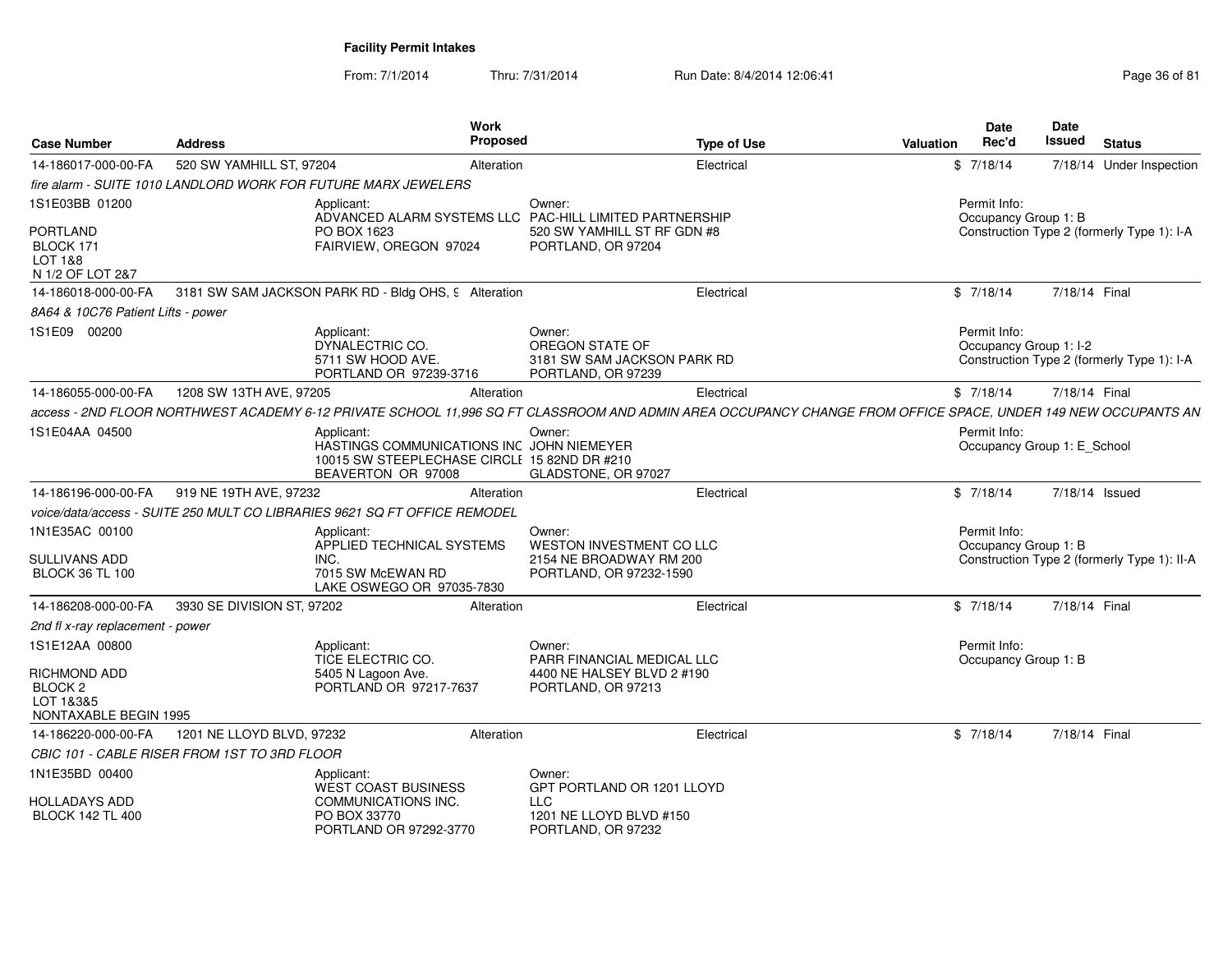From: 7/1/2014Thru: 7/31/2014 Run Date: 8/4/2014 12:06:41 Page 36 of 81

| <b>Case Number</b>                                                   | <b>Address</b>                               | Work<br>Proposed                                                                                                                                              |                                                                                | <b>Type of Use</b> | <b>Valuation</b> | Date<br>Rec'd                               | <b>Date</b><br><b>Issued</b> | <b>Status</b>                               |
|----------------------------------------------------------------------|----------------------------------------------|---------------------------------------------------------------------------------------------------------------------------------------------------------------|--------------------------------------------------------------------------------|--------------------|------------------|---------------------------------------------|------------------------------|---------------------------------------------|
| 14-186017-000-00-FA                                                  | 520 SW YAMHILL ST, 97204                     | Alteration                                                                                                                                                    |                                                                                | Electrical         |                  | \$7/18/14                                   |                              | 7/18/14 Under Inspection                    |
|                                                                      |                                              | fire alarm - SUITE 1010 LANDLORD WORK FOR FUTURE MARX JEWELERS                                                                                                |                                                                                |                    |                  |                                             |                              |                                             |
| 1S1E03BB 01200                                                       |                                              | Applicant:<br>ADVANCED ALARM SYSTEMS LLC PAC-HILL LIMITED PARTNERSHIP                                                                                         | Owner:                                                                         |                    |                  | Permit Info:<br>Occupancy Group 1: B        |                              |                                             |
| PORTLAND<br>BLOCK 171<br>LOT 1&8<br>N 1/2 OF LOT 2&7                 |                                              | PO BOX 1623<br>FAIRVIEW, OREGON 97024                                                                                                                         | 520 SW YAMHILL ST RF GDN #8<br>PORTLAND, OR 97204                              |                    |                  |                                             |                              | Construction Type 2 (formerly Type 1): I-A  |
| 14-186018-000-00-FA                                                  |                                              | 3181 SW SAM JACKSON PARK RD - Bldg OHS, 9 Alteration                                                                                                          |                                                                                | Electrical         |                  | \$7/18/14                                   | 7/18/14 Final                |                                             |
| 8A64 & 10C76 Patient Lifts - power                                   |                                              |                                                                                                                                                               |                                                                                |                    |                  |                                             |                              |                                             |
| 1S1E09 00200                                                         |                                              | Applicant:<br>DYNALECTRIC CO.<br>5711 SW HOOD AVE.<br>PORTLAND OR 97239-3716                                                                                  | Owner:<br>OREGON STATE OF<br>3181 SW SAM JACKSON PARK RD<br>PORTLAND, OR 97239 |                    |                  | Permit Info:<br>Occupancy Group 1: I-2      |                              | Construction Type 2 (formerly Type 1): I-A  |
| 14-186055-000-00-FA                                                  | 1208 SW 13TH AVE, 97205                      | Alteration                                                                                                                                                    |                                                                                | Electrical         |                  | \$7/18/14                                   | 7/18/14 Final                |                                             |
|                                                                      |                                              | access - 2ND FLOOR NORTHWEST ACADEMY 6-12 PRIVATE SCHOOL 11.996 SQ FT CLASSROOM AND ADMIN AREA OCCUPANCY CHANGE FROM OFFICE SPACE, UNDER 149 NEW OCCUPANTS AN |                                                                                |                    |                  |                                             |                              |                                             |
| 1S1E04AA 04500                                                       |                                              | Applicant:<br>HASTINGS COMMUNICATIONS INC JOHN NIEMEYER<br>10015 SW STEEPLECHASE CIRCLI 15 82ND DR #210<br>BEAVERTON OR 97008                                 | Owner:<br>GLADSTONE, OR 97027                                                  |                    |                  | Permit Info:<br>Occupancy Group 1: E_School |                              |                                             |
| 14-186196-000-00-FA                                                  | 919 NE 19TH AVE, 97232                       | Alteration                                                                                                                                                    |                                                                                | Electrical         |                  | \$7/18/14                                   | 7/18/14 Issued               |                                             |
|                                                                      |                                              | voice/data/access - SUITE 250 MULT CO LIBRARIES 9621 SQ FT OFFICE REMODEL                                                                                     |                                                                                |                    |                  |                                             |                              |                                             |
| 1N1E35AC 00100                                                       |                                              | Applicant:                                                                                                                                                    | Owner:                                                                         |                    |                  | Permit Info:                                |                              |                                             |
| SULLIVANS ADD                                                        |                                              | APPLIED TECHNICAL SYSTEMS<br>INC.                                                                                                                             | WESTON INVESTMENT CO LLC<br>2154 NE BROADWAY RM 200                            |                    |                  | Occupancy Group 1: B                        |                              | Construction Type 2 (formerly Type 1): II-A |
| <b>BLOCK 36 TL 100</b>                                               |                                              | 7015 SW McEWAN RD<br>LAKE OSWEGO OR 97035-7830                                                                                                                | PORTLAND, OR 97232-1590                                                        |                    |                  |                                             |                              |                                             |
| 14-186208-000-00-FA                                                  | 3930 SE DIVISION ST, 97202                   | Alteration                                                                                                                                                    |                                                                                | Electrical         |                  | \$7/18/14                                   | 7/18/14 Final                |                                             |
| 2nd fl x-ray replacement - power                                     |                                              |                                                                                                                                                               |                                                                                |                    |                  |                                             |                              |                                             |
| 1S1E12AA 00800                                                       |                                              | Applicant:<br>TICE ELECTRIC CO.                                                                                                                               | Owner:<br>PARR FINANCIAL MEDICAL LLC                                           |                    |                  | Permit Info:<br>Occupancy Group 1: B        |                              |                                             |
| <b>RICHMOND ADD</b><br>BLOCK 2<br>LOT 1&3&5<br>NONTAXABLE BEGIN 1995 |                                              | 5405 N Lagoon Ave.<br>PORTLAND OR 97217-7637                                                                                                                  | 4400 NE HALSEY BLVD 2 #190<br>PORTLAND, OR 97213                               |                    |                  |                                             |                              |                                             |
| 14-186220-000-00-FA                                                  | 1201 NE LLOYD BLVD, 97232                    | Alteration                                                                                                                                                    |                                                                                | Electrical         |                  | \$7/18/14                                   | 7/18/14 Final                |                                             |
|                                                                      | CBIC 101 - CABLE RISER FROM 1ST TO 3RD FLOOR |                                                                                                                                                               |                                                                                |                    |                  |                                             |                              |                                             |
| 1N1E35BD 00400                                                       |                                              | Applicant:<br>WEST COAST BUSINESS                                                                                                                             | Owner:<br>GPT PORTLAND OR 1201 LLOYD                                           |                    |                  |                                             |                              |                                             |
| HOLLADAYS ADD<br><b>BLOCK 142 TL 400</b>                             |                                              | COMMUNICATIONS INC.<br>PO BOX 33770<br>PORTLAND OR 97292-3770                                                                                                 | LLC.<br>1201 NE LLOYD BLVD #150<br>PORTLAND, OR 97232                          |                    |                  |                                             |                              |                                             |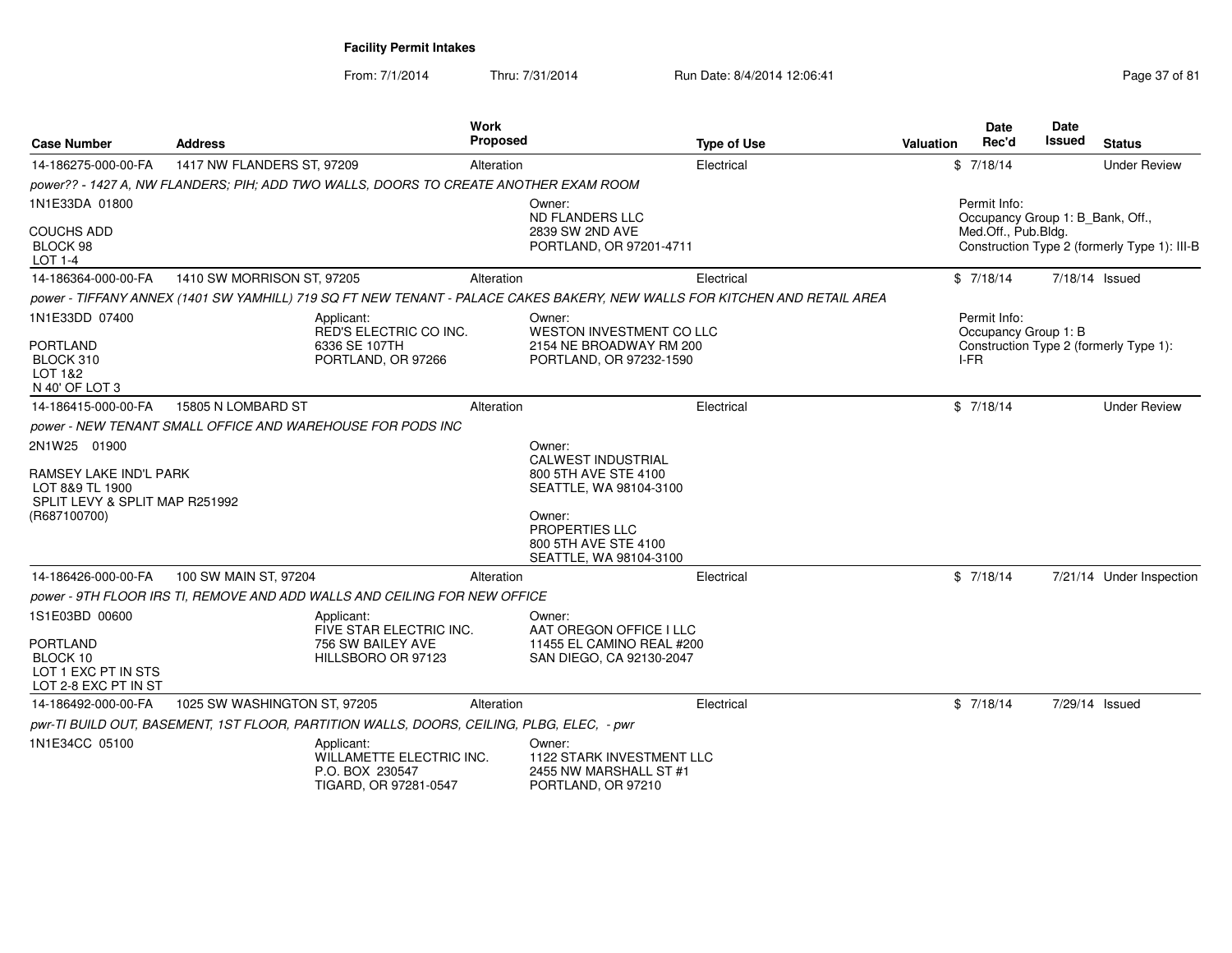| <b>Case Number</b>                                                          | <b>Address</b>                                                                                                            | <b>Work</b><br>Proposed                                  | <b>Type of Use</b>                                    | <b>Valuation</b> | Date<br>Rec'd                                    | <b>Date</b><br>Issued | <b>Status</b>                                |
|-----------------------------------------------------------------------------|---------------------------------------------------------------------------------------------------------------------------|----------------------------------------------------------|-------------------------------------------------------|------------------|--------------------------------------------------|-----------------------|----------------------------------------------|
| 14-186275-000-00-FA                                                         | 1417 NW FLANDERS ST, 97209                                                                                                | Alteration                                               | Electrical                                            |                  | \$7/18/14                                        |                       | <b>Under Review</b>                          |
|                                                                             | power?? - 1427 A, NW FLANDERS; PIH; ADD TWO WALLS, DOORS TO CREATE ANOTHER EXAM ROOM                                      |                                                          |                                                       |                  |                                                  |                       |                                              |
| 1N1E33DA 01800                                                              |                                                                                                                           | Owner:<br><b>ND FLANDERS LLC</b>                         |                                                       |                  | Permit Info:<br>Occupancy Group 1: B_Bank, Off., |                       |                                              |
| <b>COUCHS ADD</b><br><b>BLOCK 98</b><br>LOT 1-4                             |                                                                                                                           | 2839 SW 2ND AVE                                          | PORTLAND, OR 97201-4711                               |                  | Med.Off., Pub.Bldg.                              |                       | Construction Type 2 (formerly Type 1): III-B |
| 14-186364-000-00-FA                                                         | 1410 SW MORRISON ST, 97205                                                                                                | Alteration                                               | Electrical                                            |                  | \$7/18/14                                        |                       | 7/18/14 Issued                               |
|                                                                             | power - TIFFANY ANNEX (1401 SW YAMHILL) 719 SQ FT NEW TENANT - PALACE CAKES BAKERY, NEW WALLS FOR KITCHEN AND RETAIL AREA |                                                          |                                                       |                  |                                                  |                       |                                              |
| 1N1E33DD 07400                                                              | Applicant:<br><b>RED'S ELECTRIC CO INC.</b>                                                                               | Owner:                                                   | <b>WESTON INVESTMENT CO LLC</b>                       |                  | Permit Info:<br>Occupancy Group 1: B             |                       |                                              |
| <b>PORTLAND</b><br>BLOCK 310<br>LOT 1&2<br>N 40' OF LOT 3                   | 6336 SE 107TH<br>PORTLAND, OR 97266                                                                                       |                                                          | 2154 NE BROADWAY RM 200<br>PORTLAND, OR 97232-1590    |                  | I-FR                                             |                       | Construction Type 2 (formerly Type 1):       |
| 14-186415-000-00-FA                                                         | 15805 N LOMBARD ST                                                                                                        | Alteration                                               | Electrical                                            |                  | \$7/18/14                                        |                       | <b>Under Review</b>                          |
|                                                                             | power - NEW TENANT SMALL OFFICE AND WAREHOUSE FOR PODS INC                                                                |                                                          |                                                       |                  |                                                  |                       |                                              |
| 2N1W25 01900                                                                |                                                                                                                           | Owner:<br><b>CALWEST INDUSTRIAL</b>                      |                                                       |                  |                                                  |                       |                                              |
| RAMSEY LAKE IND'L PARK<br>LOT 8&9 TL 1900<br>SPLIT LEVY & SPLIT MAP R251992 |                                                                                                                           | 800 5TH AVE STE 4100                                     | SEATTLE, WA 98104-3100                                |                  |                                                  |                       |                                              |
| (R687100700)                                                                |                                                                                                                           | Owner:<br><b>PROPERTIES LLC</b><br>800 5TH AVE STE 4100  | SEATTLE, WA 98104-3100                                |                  |                                                  |                       |                                              |
| 14-186426-000-00-FA                                                         | 100 SW MAIN ST, 97204                                                                                                     | Alteration                                               | Electrical                                            |                  | \$7/18/14                                        |                       | 7/21/14 Under Inspection                     |
|                                                                             | power - 9TH FLOOR IRS TI, REMOVE AND ADD WALLS AND CEILING FOR NEW OFFICE                                                 |                                                          |                                                       |                  |                                                  |                       |                                              |
| 1S1E03BD 00600                                                              | Applicant:<br>FIVE STAR ELECTRIC INC.                                                                                     | Owner:                                                   | AAT OREGON OFFICE I LLC                               |                  |                                                  |                       |                                              |
| <b>PORTLAND</b><br>BLOCK 10<br>LOT 1 EXC PT IN STS<br>LOT 2-8 EXC PT IN ST  | 756 SW BAILEY AVE<br>HILLSBORO OR 97123                                                                                   |                                                          | 11455 EL CAMINO REAL #200<br>SAN DIEGO, CA 92130-2047 |                  |                                                  |                       |                                              |
| 14-186492-000-00-FA                                                         | 1025 SW WASHINGTON ST, 97205                                                                                              | Alteration                                               | Electrical                                            |                  | \$7/18/14                                        |                       | 7/29/14 Issued                               |
|                                                                             | pwr-TI BUILD OUT, BASEMENT, 1ST FLOOR, PARTITION WALLS, DOORS, CEILING, PLBG, ELEC, - pwr                                 |                                                          |                                                       |                  |                                                  |                       |                                              |
| 1N1E34CC 05100                                                              | Applicant:<br>P.O. BOX 230547<br>TIGARD, OR 97281-0547                                                                    | Owner:<br>WILLAMETTE ELECTRIC INC.<br>PORTLAND, OR 97210 | 1122 STARK INVESTMENT LLC<br>2455 NW MARSHALL ST #1   |                  |                                                  |                       |                                              |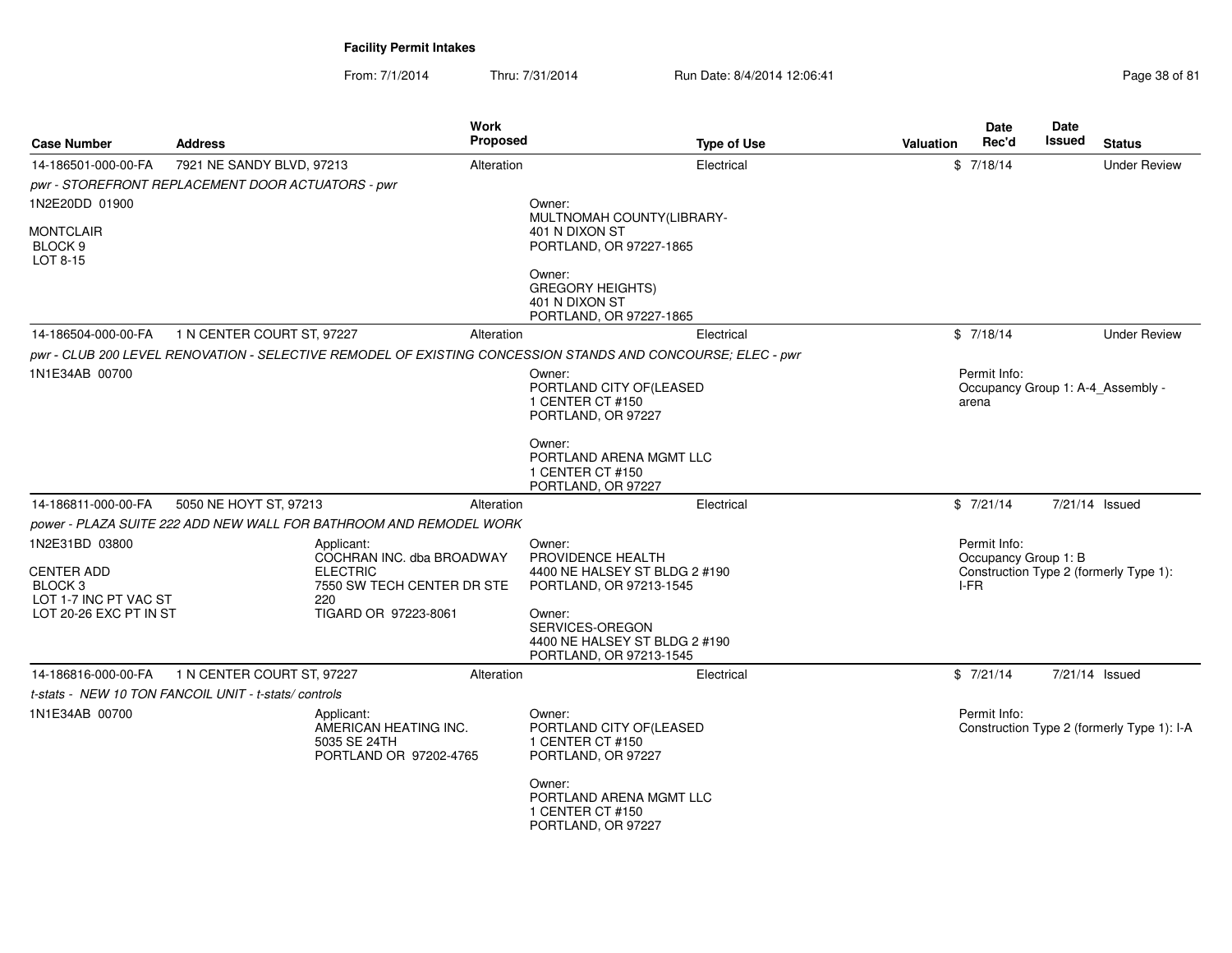| <b>Case Number</b>                                                                 | <b>Address</b>                                                                                  | Work<br><b>Proposed</b> | <b>Type of Use</b>                                                                                          | Valuation | Date<br>Rec'd                                | <b>Date</b><br>Issued | <b>Status</b>                              |
|------------------------------------------------------------------------------------|-------------------------------------------------------------------------------------------------|-------------------------|-------------------------------------------------------------------------------------------------------------|-----------|----------------------------------------------|-----------------------|--------------------------------------------|
| 14-186501-000-00-FA                                                                | 7921 NE SANDY BLVD, 97213<br>pwr - STOREFRONT REPLACEMENT DOOR ACTUATORS - pwr                  | Alteration              | Electrical                                                                                                  |           | \$7/18/14                                    |                       | <b>Under Review</b>                        |
| 1N2E20DD 01900                                                                     |                                                                                                 |                         | Owner:<br>MULTNOMAH COUNTY(LIBRARY-                                                                         |           |                                              |                       |                                            |
| <b>MONTCLAIR</b><br>BLOCK <sub>9</sub><br>LOT 8-15                                 |                                                                                                 |                         | 401 N DIXON ST<br>PORTLAND, OR 97227-1865                                                                   |           |                                              |                       |                                            |
|                                                                                    |                                                                                                 |                         | Owner:<br><b>GREGORY HEIGHTS)</b><br>401 N DIXON ST<br>PORTLAND, OR 97227-1865                              |           |                                              |                       |                                            |
| 14-186504-000-00-FA                                                                | 1 N CENTER COURT ST, 97227                                                                      | Alteration              | Electrical                                                                                                  |           | \$7/18/14                                    |                       | <b>Under Review</b>                        |
|                                                                                    |                                                                                                 |                         | pwr - CLUB 200 LEVEL RENOVATION - SELECTIVE REMODEL OF EXISTING CONCESSION STANDS AND CONCOURSE: ELEC - pwr |           |                                              |                       |                                            |
| 1N1E34AB 00700                                                                     |                                                                                                 |                         | Owner:<br>PORTLAND CITY OF(LEASED<br>1 CENTER CT #150<br>PORTLAND, OR 97227                                 |           | Permit Info:<br>arena                        |                       | Occupancy Group 1: A-4 Assembly -          |
|                                                                                    |                                                                                                 |                         | Owner:<br>PORTLAND ARENA MGMT LLC<br>1 CENTER CT #150<br>PORTLAND, OR 97227                                 |           |                                              |                       |                                            |
| 14-186811-000-00-FA                                                                | 5050 NE HOYT ST, 97213                                                                          | Alteration              | Electrical                                                                                                  |           | \$7/21/14                                    |                       | 7/21/14 Issued                             |
|                                                                                    | power - PLAZA SUITE 222 ADD NEW WALL FOR BATHROOM AND REMODEL WORK                              |                         |                                                                                                             |           |                                              |                       |                                            |
| 1N2E31BD 03800<br><b>CENTER ADD</b><br>BLOCK <sub>3</sub><br>LOT 1-7 INC PT VAC ST | Applicant:<br>COCHRAN INC. dba BROADWAY<br><b>ELECTRIC</b><br>7550 SW TECH CENTER DR STE<br>220 |                         | Owner:<br>PROVIDENCE HEALTH<br>4400 NE HALSEY ST BLDG 2 #190<br>PORTLAND, OR 97213-1545                     |           | Permit Info:<br>Occupancy Group 1: B<br>I-FR |                       | Construction Type 2 (formerly Type 1):     |
| LOT 20-26 EXC PT IN ST                                                             | TIGARD OR 97223-8061                                                                            |                         | Owner:<br>SERVICES-OREGON<br>4400 NE HALSEY ST BLDG 2 #190<br>PORTLAND, OR 97213-1545                       |           |                                              |                       |                                            |
| 14-186816-000-00-FA                                                                | 1 N CENTER COURT ST, 97227                                                                      | Alteration              | Electrical                                                                                                  |           | \$7/21/14                                    |                       | 7/21/14 Issued                             |
|                                                                                    | t-stats - NEW 10 TON FANCOIL UNIT - t-stats/controls                                            |                         |                                                                                                             |           |                                              |                       |                                            |
| 1N1E34AB 00700                                                                     | Applicant:<br>AMERICAN HEATING INC.<br>5035 SE 24TH<br>PORTLAND OR 97202-4765                   |                         | Owner:<br>PORTLAND CITY OF (LEASED<br>1 CENTER CT #150<br>PORTLAND, OR 97227                                |           | Permit Info:                                 |                       | Construction Type 2 (formerly Type 1): I-A |
|                                                                                    |                                                                                                 |                         | Owner:<br>PORTLAND ARENA MGMT LLC<br>1 CENTER CT #150<br>PORTLAND, OR 97227                                 |           |                                              |                       |                                            |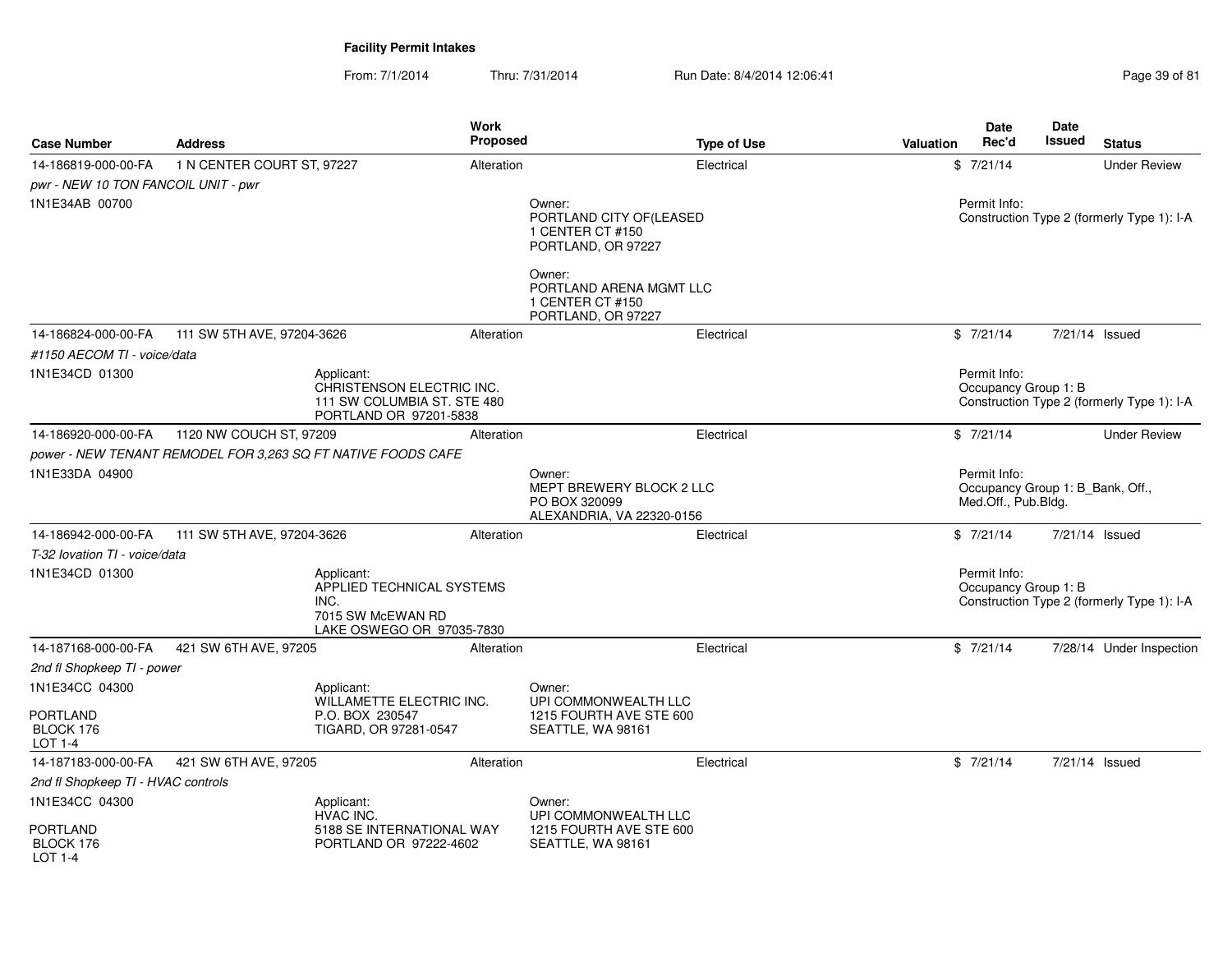| <b>Case Number</b>                      | <b>Address</b>             | Work<br>Proposed                                                                                  |                                                                                  | <b>Type of Use</b> | <b>Valuation</b> | <b>Date</b><br>Rec'd                                                    | Date<br>Issued | <b>Status</b>                              |
|-----------------------------------------|----------------------------|---------------------------------------------------------------------------------------------------|----------------------------------------------------------------------------------|--------------------|------------------|-------------------------------------------------------------------------|----------------|--------------------------------------------|
| 14-186819-000-00-FA                     | 1 N CENTER COURT ST, 97227 | Alteration                                                                                        |                                                                                  | Electrical         |                  | \$7/21/14                                                               |                | <b>Under Review</b>                        |
| pwr - NEW 10 TON FANCOIL UNIT - pwr     |                            |                                                                                                   |                                                                                  |                    |                  |                                                                         |                |                                            |
| 1N1E34AB 00700                          |                            |                                                                                                   | Owner:<br>PORTLAND CITY OF(LEASED<br>1 CENTER CT #150<br>PORTLAND, OR 97227      |                    |                  | Permit Info:                                                            |                | Construction Type 2 (formerly Type 1): I-A |
|                                         |                            |                                                                                                   | Owner:<br>PORTLAND ARENA MGMT LLC<br>1 CENTER CT #150<br>PORTLAND, OR 97227      |                    |                  |                                                                         |                |                                            |
| 14-186824-000-00-FA                     | 111 SW 5TH AVE, 97204-3626 | Alteration                                                                                        |                                                                                  | Electrical         |                  | \$7/21/14                                                               |                | 7/21/14 Issued                             |
| #1150 AECOM TI - voice/data             |                            |                                                                                                   |                                                                                  |                    |                  |                                                                         |                |                                            |
| 1N1E34CD 01300                          |                            | Applicant:<br>CHRISTENSON ELECTRIC INC.<br>111 SW COLUMBIA ST, STE 480<br>PORTLAND OR 97201-5838  |                                                                                  |                    |                  | Permit Info:<br>Occupancy Group 1: B                                    |                | Construction Type 2 (formerly Type 1): I-A |
| 14-186920-000-00-FA                     | 1120 NW COUCH ST, 97209    | Alteration                                                                                        |                                                                                  | Electrical         |                  | \$7/21/14                                                               |                | <b>Under Review</b>                        |
|                                         |                            | power - NEW TENANT REMODEL FOR 3.263 SQ FT NATIVE FOODS CAFE                                      |                                                                                  |                    |                  |                                                                         |                |                                            |
| 1N1E33DA 04900                          |                            |                                                                                                   | Owner:<br>MEPT BREWERY BLOCK 2 LLC<br>PO BOX 320099<br>ALEXANDRIA, VA 22320-0156 |                    |                  | Permit Info:<br>Occupancy Group 1: B_Bank, Off.,<br>Med.Off., Pub.Bldg. |                |                                            |
| 14-186942-000-00-FA                     | 111 SW 5TH AVE, 97204-3626 | Alteration                                                                                        |                                                                                  | Electrical         |                  | \$7/21/14                                                               |                | 7/21/14 Issued                             |
| T-32 lovation TI - voice/data           |                            |                                                                                                   |                                                                                  |                    |                  |                                                                         |                |                                            |
| 1N1E34CD 01300                          |                            | Applicant:<br>APPLIED TECHNICAL SYSTEMS<br>INC.<br>7015 SW McEWAN RD<br>LAKE OSWEGO OR 97035-7830 |                                                                                  |                    |                  | Permit Info:<br>Occupancy Group 1: B                                    |                | Construction Type 2 (formerly Type 1): I-A |
| 14-187168-000-00-FA                     | 421 SW 6TH AVE, 97205      | Alteration                                                                                        |                                                                                  | Electrical         |                  | \$7/21/14                                                               |                | 7/28/14 Under Inspection                   |
| 2nd fl Shopkeep TI - power              |                            |                                                                                                   |                                                                                  |                    |                  |                                                                         |                |                                            |
| 1N1E34CC 04300                          |                            | Applicant:<br><b>WILLAMETTE ELECTRIC INC.</b>                                                     | Owner:<br>UPI COMMONWEALTH LLC                                                   |                    |                  |                                                                         |                |                                            |
| <b>PORTLAND</b><br>BLOCK 176<br>LOT 1-4 |                            | P.O. BOX 230547<br>TIGARD, OR 97281-0547                                                          | 1215 FOURTH AVE STE 600<br>SEATTLE, WA 98161                                     |                    |                  |                                                                         |                |                                            |
| 14-187183-000-00-FA                     | 421 SW 6TH AVE, 97205      | Alteration                                                                                        |                                                                                  | Electrical         |                  | \$7/21/14                                                               |                | 7/21/14 Issued                             |
| 2nd fl Shopkeep TI - HVAC controls      |                            |                                                                                                   |                                                                                  |                    |                  |                                                                         |                |                                            |
| 1N1E34CC 04300                          |                            | Applicant:<br>HVAC INC.                                                                           | Owner:<br>UPI COMMONWEALTH LLC                                                   |                    |                  |                                                                         |                |                                            |
| <b>PORTLAND</b><br>BLOCK 176<br>LOT 1-4 |                            | 5188 SE INTERNATIONAL WAY<br>PORTLAND OR 97222-4602                                               | 1215 FOURTH AVE STE 600<br>SEATTLE, WA 98161                                     |                    |                  |                                                                         |                |                                            |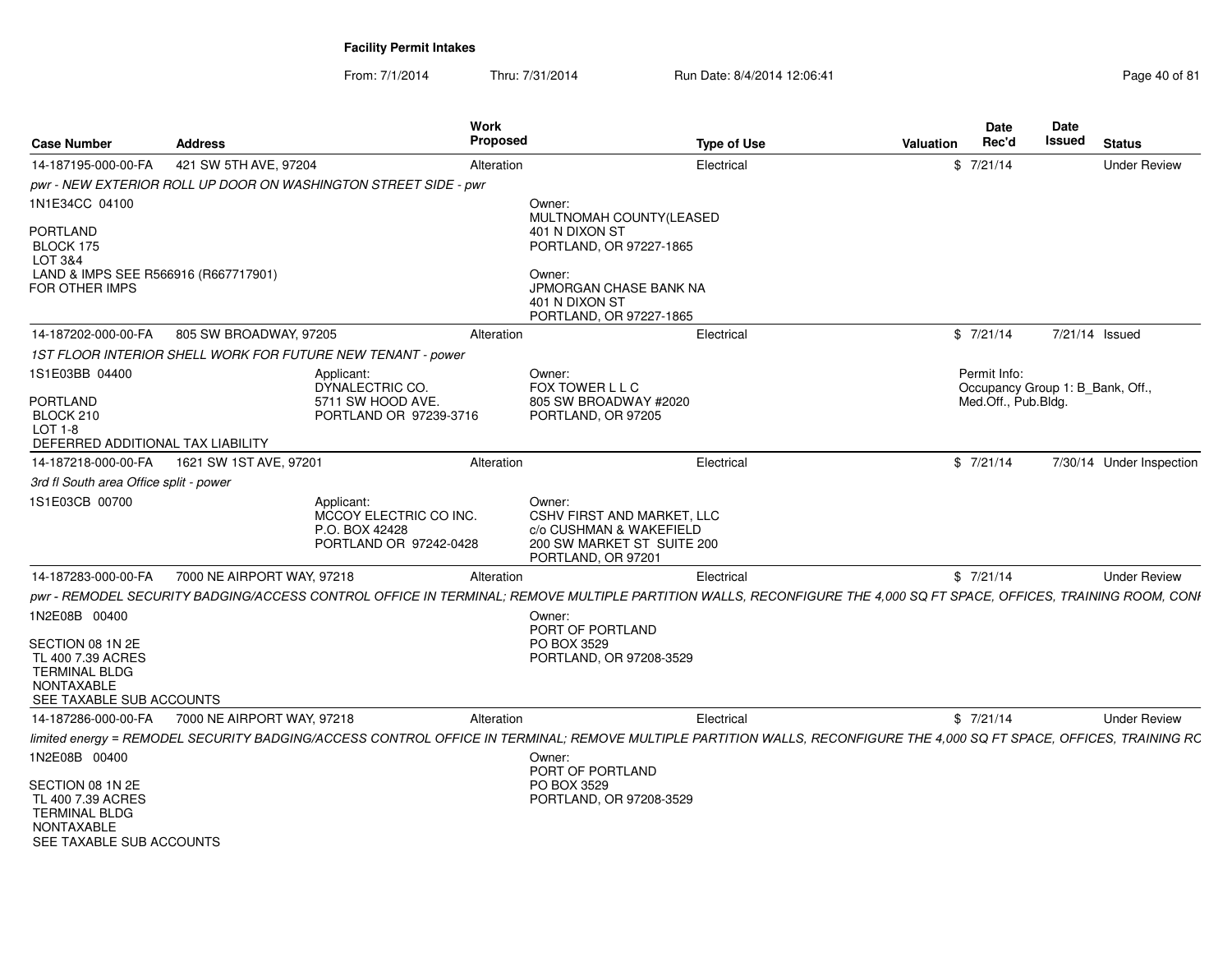| <b>Case Number</b>                                                                                             | <b>Address</b>                                                  |                                                                                  | Proposed   |                                                                                                                            | <b>Type of Use</b>                                                                                                                                                    | <b>Valuation</b> | <b>Date</b><br>Rec'd                             | <b>Issued</b>  | <b>Status</b>            |
|----------------------------------------------------------------------------------------------------------------|-----------------------------------------------------------------|----------------------------------------------------------------------------------|------------|----------------------------------------------------------------------------------------------------------------------------|-----------------------------------------------------------------------------------------------------------------------------------------------------------------------|------------------|--------------------------------------------------|----------------|--------------------------|
| 14-187195-000-00-FA                                                                                            | 421 SW 5TH AVE, 97204                                           |                                                                                  | Alteration |                                                                                                                            | Electrical                                                                                                                                                            |                  | \$7/21/14                                        |                | <b>Under Review</b>      |
|                                                                                                                | pwr - NEW EXTERIOR ROLL UP DOOR ON WASHINGTON STREET SIDE - pwr |                                                                                  |            |                                                                                                                            |                                                                                                                                                                       |                  |                                                  |                |                          |
| 1N1E34CC 04100                                                                                                 |                                                                 |                                                                                  |            | Owner:                                                                                                                     |                                                                                                                                                                       |                  |                                                  |                |                          |
| <b>PORTLAND</b>                                                                                                |                                                                 |                                                                                  |            | MULTNOMAH COUNTY(LEASED<br>401 N DIXON ST                                                                                  |                                                                                                                                                                       |                  |                                                  |                |                          |
| BLOCK 175                                                                                                      |                                                                 |                                                                                  |            | PORTLAND, OR 97227-1865                                                                                                    |                                                                                                                                                                       |                  |                                                  |                |                          |
| LOT 3&4                                                                                                        |                                                                 |                                                                                  |            |                                                                                                                            |                                                                                                                                                                       |                  |                                                  |                |                          |
| LAND & IMPS SEE R566916 (R667717901)<br><b>FOR OTHER IMPS</b>                                                  |                                                                 |                                                                                  |            | Owner:<br>JPMORGAN CHASE BANK NA                                                                                           |                                                                                                                                                                       |                  |                                                  |                |                          |
|                                                                                                                |                                                                 |                                                                                  |            | 401 N DIXON ST                                                                                                             |                                                                                                                                                                       |                  |                                                  |                |                          |
|                                                                                                                |                                                                 |                                                                                  |            | PORTLAND, OR 97227-1865                                                                                                    |                                                                                                                                                                       |                  |                                                  |                |                          |
| 14-187202-000-00-FA                                                                                            | 805 SW BROADWAY, 97205                                          |                                                                                  | Alteration |                                                                                                                            | Electrical                                                                                                                                                            |                  | \$7/21/14                                        | 7/21/14 Issued |                          |
|                                                                                                                | 1ST FLOOR INTERIOR SHELL WORK FOR FUTURE NEW TENANT - power     |                                                                                  |            |                                                                                                                            |                                                                                                                                                                       |                  |                                                  |                |                          |
| 1S1E03BB 04400                                                                                                 |                                                                 | Applicant:<br>DYNALECTRIC CO.                                                    |            | Owner:<br>FOX TOWER L L C                                                                                                  |                                                                                                                                                                       |                  | Permit Info:<br>Occupancy Group 1: B_Bank, Off., |                |                          |
| PORTLAND<br>BLOCK 210                                                                                          |                                                                 | 5711 SW HOOD AVE.<br>PORTLAND OR 97239-3716                                      |            | 805 SW BROADWAY #2020<br>PORTLAND, OR 97205                                                                                |                                                                                                                                                                       |                  | Med.Off., Pub.Bldg.                              |                |                          |
| $LOT 1-8$                                                                                                      |                                                                 |                                                                                  |            |                                                                                                                            |                                                                                                                                                                       |                  |                                                  |                |                          |
| DEFERRED ADDITIONAL TAX LIABILITY                                                                              |                                                                 |                                                                                  |            |                                                                                                                            |                                                                                                                                                                       |                  |                                                  |                |                          |
| 14-187218-000-00-FA                                                                                            | 1621 SW 1ST AVE, 97201                                          |                                                                                  | Alteration |                                                                                                                            | Electrical                                                                                                                                                            |                  | \$7/21/14                                        |                | 7/30/14 Under Inspection |
| 3rd fl South area Office split - power                                                                         |                                                                 |                                                                                  |            |                                                                                                                            |                                                                                                                                                                       |                  |                                                  |                |                          |
| 1S1E03CB 00700                                                                                                 |                                                                 | Applicant:<br>MCCOY ELECTRIC CO INC.<br>P.O. BOX 42428<br>PORTLAND OR 97242-0428 |            | Owner:<br><b>CSHV FIRST AND MARKET, LLC</b><br>c/o CUSHMAN & WAKEFIELD<br>200 SW MARKET ST SUITE 200<br>PORTLAND, OR 97201 |                                                                                                                                                                       |                  |                                                  |                |                          |
| 14-187283-000-00-FA                                                                                            | 7000 NE AIRPORT WAY, 97218                                      |                                                                                  | Alteration |                                                                                                                            | Electrical                                                                                                                                                            |                  | \$7/21/14                                        |                | <b>Under Review</b>      |
|                                                                                                                |                                                                 |                                                                                  |            |                                                                                                                            | pwr - REMODEL SECURITY BADGING/ACCESS CONTROL OFFICE IN TERMINAL; REMOVE MULTIPLE PARTITION WALLS, RECONFIGURE THE 4,000 SQ FT SPACE, OFFICES, TRAINING ROOM, CONI    |                  |                                                  |                |                          |
| 1N2E08B 00400                                                                                                  |                                                                 |                                                                                  |            | Owner:<br>PORT OF PORTLAND                                                                                                 |                                                                                                                                                                       |                  |                                                  |                |                          |
| SECTION 08 1N 2E                                                                                               |                                                                 |                                                                                  |            | PO BOX 3529                                                                                                                |                                                                                                                                                                       |                  |                                                  |                |                          |
| TL 400 7.39 ACRES<br><b>TERMINAL BLDG</b>                                                                      |                                                                 |                                                                                  |            | PORTLAND, OR 97208-3529                                                                                                    |                                                                                                                                                                       |                  |                                                  |                |                          |
| <b>NONTAXABLE</b>                                                                                              |                                                                 |                                                                                  |            |                                                                                                                            |                                                                                                                                                                       |                  |                                                  |                |                          |
| SEE TAXABLE SUB ACCOUNTS                                                                                       |                                                                 |                                                                                  |            |                                                                                                                            |                                                                                                                                                                       |                  |                                                  |                |                          |
| 14-187286-000-00-FA                                                                                            | 7000 NE AIRPORT WAY, 97218                                      |                                                                                  | Alteration |                                                                                                                            | Electrical                                                                                                                                                            |                  | \$7/21/14                                        |                | <b>Under Review</b>      |
|                                                                                                                |                                                                 |                                                                                  |            |                                                                                                                            | limited energy = REMODEL SECURITY BADGING/ACCESS CONTROL OFFICE IN TERMINAL; REMOVE MULTIPLE PARTITION WALLS, RECONFIGURE THE 4,000 SQ FT SPACE, OFFICES, TRAINING RC |                  |                                                  |                |                          |
| 1N2E08B 00400                                                                                                  |                                                                 |                                                                                  |            | Owner:<br>PORT OF PORTLAND                                                                                                 |                                                                                                                                                                       |                  |                                                  |                |                          |
| SECTION 08 1N 2E<br>TL 400 7.39 ACRES<br><b>TERMINAL BLDG</b><br><b>NONTAXABLE</b><br>SEE TAXABLE SUB ACCOUNTS |                                                                 |                                                                                  |            | PO BOX 3529<br>PORTLAND, OR 97208-3529                                                                                     |                                                                                                                                                                       |                  |                                                  |                |                          |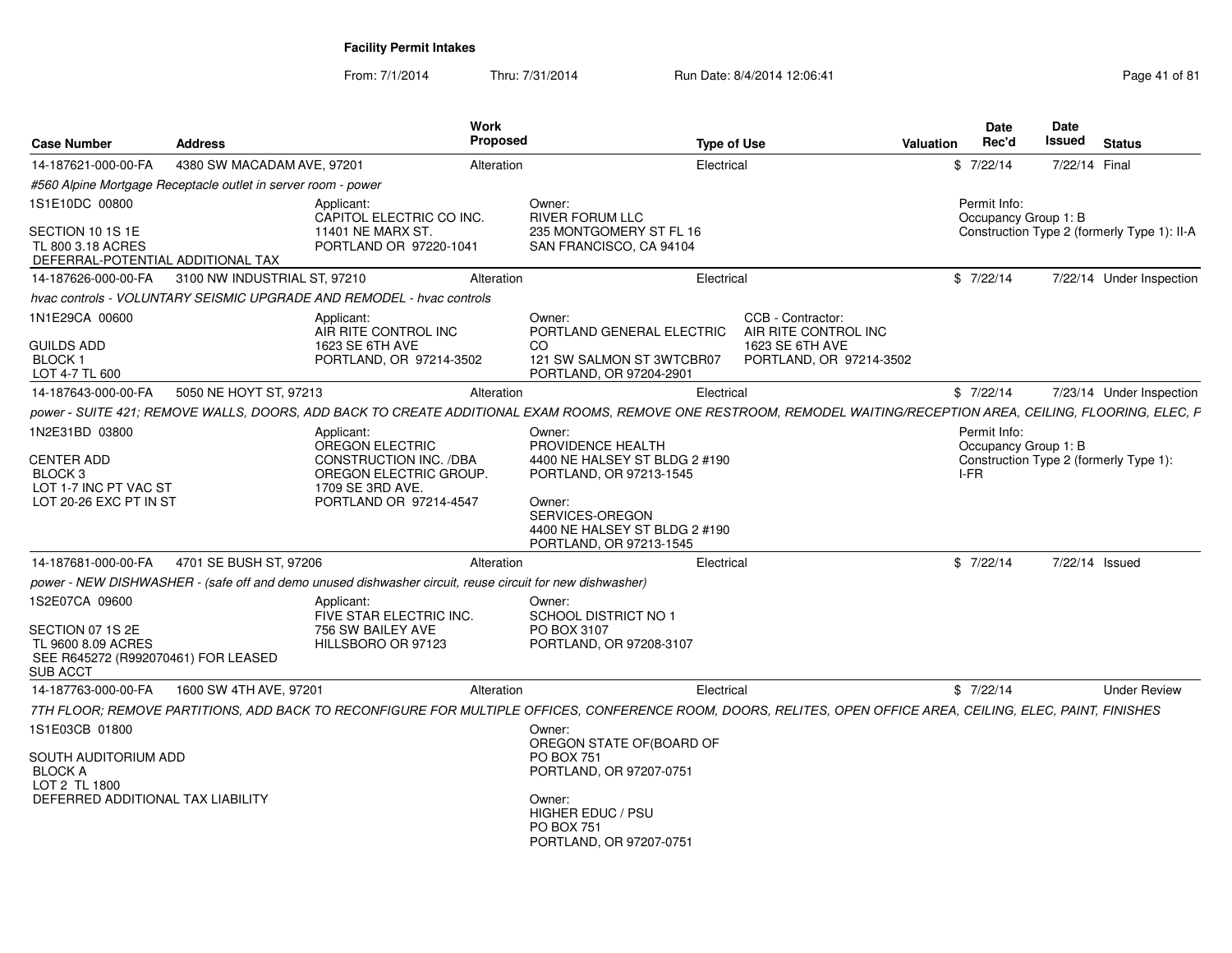From: 7/1/2014Thru: 7/31/2014 Run Date: 8/4/2014 12:06:41 Page 41 of 81

| <b>Case Number</b>                                                                                                 | <b>Address</b>                                                | Work<br><b>Proposed</b>                                                                                                                                           |                                                                                                                                                                                  | <b>Type of Use</b>                                                                      | <b>Valuation</b> | <b>Date</b><br>Rec'd                         | Date<br>Issued | <b>Status</b>                               |
|--------------------------------------------------------------------------------------------------------------------|---------------------------------------------------------------|-------------------------------------------------------------------------------------------------------------------------------------------------------------------|----------------------------------------------------------------------------------------------------------------------------------------------------------------------------------|-----------------------------------------------------------------------------------------|------------------|----------------------------------------------|----------------|---------------------------------------------|
| 14-187621-000-00-FA                                                                                                | 4380 SW MACADAM AVE, 97201                                    | Alteration                                                                                                                                                        |                                                                                                                                                                                  | Electrical                                                                              |                  | \$7/22/14                                    | 7/22/14 Final  |                                             |
|                                                                                                                    | #560 Alpine Mortgage Receptacle outlet in server room - power |                                                                                                                                                                   |                                                                                                                                                                                  |                                                                                         |                  |                                              |                |                                             |
| 1S1E10DC 00800<br>SECTION 10 1S 1E                                                                                 |                                                               | Applicant:<br>CAPITOL ELECTRIC CO INC.<br>11401 NE MARX ST.                                                                                                       | Owner:<br><b>RIVER FORUM LLC</b><br>235 MONTGOMERY ST FL 16                                                                                                                      |                                                                                         |                  | Permit Info:<br>Occupancy Group 1: B         |                | Construction Type 2 (formerly Type 1): II-A |
| TL 800 3.18 ACRES<br>DEFERRAL-POTENTIAL ADDITIONAL TAX                                                             |                                                               | PORTLAND OR 97220-1041                                                                                                                                            | SAN FRANCISCO, CA 94104                                                                                                                                                          |                                                                                         |                  |                                              |                |                                             |
| 14-187626-000-00-FA                                                                                                | 3100 NW INDUSTRIAL ST, 97210                                  | Alteration                                                                                                                                                        |                                                                                                                                                                                  | Electrical                                                                              |                  | \$7/22/14                                    |                | 7/22/14 Under Inspection                    |
|                                                                                                                    |                                                               | hvac controls - VOLUNTARY SEISMIC UPGRADE AND REMODEL - hvac controls                                                                                             |                                                                                                                                                                                  |                                                                                         |                  |                                              |                |                                             |
| 1N1E29CA 00600<br><b>GUILDS ADD</b><br><b>BLOCK1</b><br>LOT 4-7 TL 600                                             |                                                               | Applicant:<br>AIR RITE CONTROL INC<br>1623 SE 6TH AVE<br>PORTLAND, OR 97214-3502                                                                                  | Owner:<br>PORTLAND GENERAL ELECTRIC<br>CO.<br>121 SW SALMON ST 3WTCBR07<br>PORTLAND, OR 97204-2901                                                                               | CCB - Contractor:<br>AIR RITE CONTROL INC<br>1623 SE 6TH AVE<br>PORTLAND, OR 97214-3502 |                  |                                              |                |                                             |
| 14-187643-000-00-FA                                                                                                | 5050 NE HOYT ST, 97213                                        | Alteration                                                                                                                                                        |                                                                                                                                                                                  | Electrical                                                                              |                  | \$7/22/14                                    |                | 7/23/14 Under Inspection                    |
|                                                                                                                    |                                                               | power - SUITE 421; REMOVE WALLS, DOORS, ADD BACK TO CREATE ADDITIONAL EXAM ROOMS, REMOVE ONE RESTROOM, REMODEL WAITING/RECEPTION AREA, CEILING, FLOORING, ELEC, F |                                                                                                                                                                                  |                                                                                         |                  |                                              |                |                                             |
| 1N2E31BD 03800<br><b>CENTER ADD</b><br>BLOCK <sub>3</sub><br>LOT 1-7 INC PT VAC ST<br>LOT 20-26 EXC PT IN ST       |                                                               | Applicant:<br>OREGON ELECTRIC<br>CONSTRUCTION INC. /DBA<br>OREGON ELECTRIC GROUP.<br>1709 SE 3RD AVE.<br>PORTLAND OR 97214-4547                                   | Owner:<br>PROVIDENCE HEALTH<br>4400 NE HALSEY ST BLDG 2 #190<br>PORTLAND, OR 97213-1545<br>Owner:<br>SERVICES-OREGON<br>4400 NE HALSEY ST BLDG 2 #190<br>PORTLAND, OR 97213-1545 |                                                                                         |                  | Permit Info:<br>Occupancy Group 1: B<br>I-FR |                | Construction Type 2 (formerly Type 1):      |
| 14-187681-000-00-FA                                                                                                | 4701 SE BUSH ST, 97206                                        | Alteration                                                                                                                                                        |                                                                                                                                                                                  | Electrical                                                                              |                  | \$7/22/14                                    |                | 7/22/14 Issued                              |
|                                                                                                                    |                                                               | power - NEW DISHWASHER - (safe off and demo unused dishwasher circuit, reuse circuit for new dishwasher)                                                          |                                                                                                                                                                                  |                                                                                         |                  |                                              |                |                                             |
| 1S2E07CA 09600<br>SECTION 07 1S 2E<br>TL 9600 8.09 ACRES<br>SEE R645272 (R992070461) FOR LEASED<br><b>SUB ACCT</b> |                                                               | Applicant:<br>FIVE STAR ELECTRIC INC.<br>756 SW BAILEY AVE<br>HILLSBORO OR 97123                                                                                  | Owner:<br>SCHOOL DISTRICT NO 1<br>PO BOX 3107<br>PORTLAND, OR 97208-3107                                                                                                         |                                                                                         |                  |                                              |                |                                             |
| 14-187763-000-00-FA                                                                                                | 1600 SW 4TH AVE, 97201                                        | Alteration                                                                                                                                                        |                                                                                                                                                                                  | Electrical                                                                              |                  | \$7/22/14                                    |                | <b>Under Review</b>                         |
|                                                                                                                    |                                                               | 7TH FLOOR; REMOVE PARTITIONS, ADD BACK TO RECONFIGURE FOR MULTIPLE OFFICES, CONFERENCE ROOM, DOORS, RELITES, OPEN OFFICE AREA, CEILING, ELEC, PAINT, FINISHES     |                                                                                                                                                                                  |                                                                                         |                  |                                              |                |                                             |
| 1S1E03CB 01800<br>SOUTH AUDITORIUM ADD<br><b>BLOCK A</b><br>LOT 2 TL 1800                                          |                                                               |                                                                                                                                                                   | Owner:<br>OREGON STATE OF (BOARD OF<br><b>PO BOX 751</b><br>PORTLAND, OR 97207-0751                                                                                              |                                                                                         |                  |                                              |                |                                             |
| DEFERRED ADDITIONAL TAX LIABILITY                                                                                  |                                                               |                                                                                                                                                                   | Owner:<br>HIGHER EDUC / PSU<br><b>PO BOX 751</b><br>PORTLAND, OR 97207-0751                                                                                                      |                                                                                         |                  |                                              |                |                                             |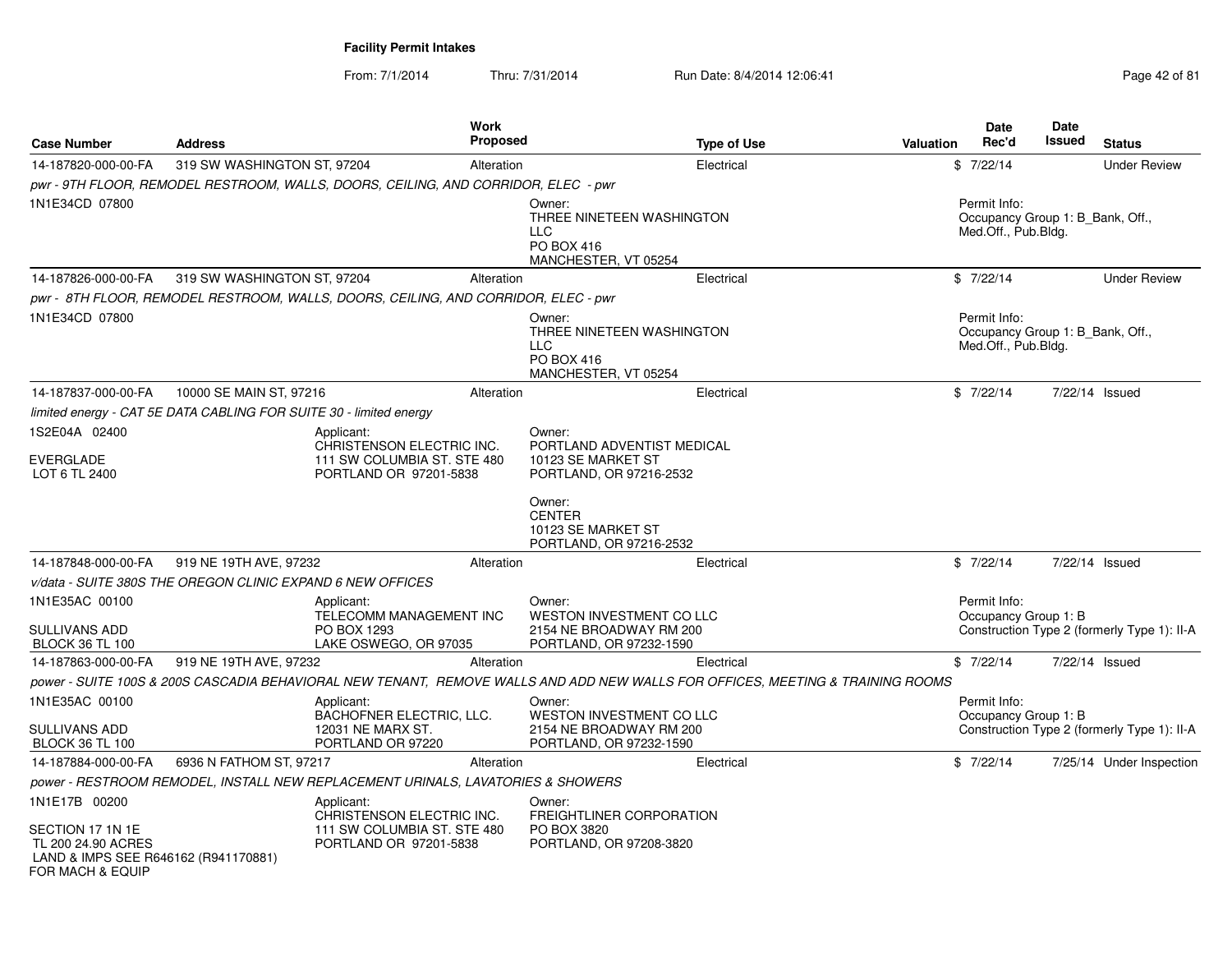From: 7/1/2014

| <b>Case Number</b>                                                                                 | <b>Address</b>                                                                     | Work<br><b>Proposed</b>                                  | <b>Type of Use</b>                                                                                                             | Date<br>Rec'd<br>Valuation           | <b>Date</b><br><b>Issued</b><br><b>Status</b> |
|----------------------------------------------------------------------------------------------------|------------------------------------------------------------------------------------|----------------------------------------------------------|--------------------------------------------------------------------------------------------------------------------------------|--------------------------------------|-----------------------------------------------|
| 14-187820-000-00-FA                                                                                | 319 SW WASHINGTON ST, 97204                                                        | Alteration                                               | Electrical                                                                                                                     | \$7/22/14                            | <b>Under Review</b>                           |
|                                                                                                    | pwr - 9TH FLOOR, REMODEL RESTROOM, WALLS, DOORS, CEILING, AND CORRIDOR, ELEC - pwr |                                                          |                                                                                                                                |                                      |                                               |
| 1N1E34CD 07800                                                                                     |                                                                                    | LLC                                                      | Owner:<br>THREE NINETEEN WASHINGTON<br>PO BOX 416<br>MANCHESTER, VT 05254                                                      | Permit Info:<br>Med.Off., Pub.Bldg.  | Occupancy Group 1: B Bank, Off.,              |
| 14-187826-000-00-FA                                                                                | 319 SW WASHINGTON ST, 97204                                                        | Alteration                                               | Electrical                                                                                                                     | \$7/22/14                            | <b>Under Review</b>                           |
|                                                                                                    | pwr - 8TH FLOOR, REMODEL RESTROOM, WALLS, DOORS, CEILING, AND CORRIDOR, ELEC - pwr |                                                          |                                                                                                                                |                                      |                                               |
| 1N1E34CD 07800                                                                                     |                                                                                    | <b>LLC</b>                                               | Owner:<br>THREE NINETEEN WASHINGTON<br>PO BOX 416<br>MANCHESTER, VT 05254                                                      | Permit Info:<br>Med.Off., Pub.Bldg.  | Occupancy Group 1: B Bank, Off.,              |
| 14-187837-000-00-FA                                                                                | 10000 SE MAIN ST, 97216                                                            | Alteration                                               | Electrical                                                                                                                     | \$7/22/14                            | 7/22/14 Issued                                |
|                                                                                                    | limited energy - CAT 5E DATA CABLING FOR SUITE 30 - limited energy                 |                                                          |                                                                                                                                |                                      |                                               |
| 1S2E04A 02400                                                                                      | Applicant:                                                                         |                                                          | Owner:                                                                                                                         |                                      |                                               |
| <b>EVERGLADE</b><br>LOT 6 TL 2400                                                                  | PORTLAND OR 97201-5838                                                             | CHRISTENSON ELECTRIC INC.<br>111 SW COLUMBIA ST. STE 480 | PORTLAND ADVENTIST MEDICAL<br>10123 SE MARKET ST<br>PORTLAND, OR 97216-2532                                                    |                                      |                                               |
|                                                                                                    |                                                                                    |                                                          | Owner:<br><b>CENTER</b><br>10123 SE MARKET ST<br>PORTLAND, OR 97216-2532                                                       |                                      |                                               |
| 14-187848-000-00-FA                                                                                | 919 NE 19TH AVE, 97232                                                             | Alteration                                               | Electrical                                                                                                                     | \$7/22/14                            | 7/22/14 Issued                                |
|                                                                                                    | v/data - SUITE 380S THE OREGON CLINIC EXPAND 6 NEW OFFICES                         |                                                          |                                                                                                                                |                                      |                                               |
| 1N1E35AC 00100<br><b>SULLIVANS ADD</b>                                                             | Applicant:<br>PO BOX 1293                                                          | TELECOMM MANAGEMENT INC                                  | Owner:<br>WESTON INVESTMENT CO LLC<br>2154 NE BROADWAY RM 200                                                                  | Permit Info:<br>Occupancy Group 1: B | Construction Type 2 (formerly Type 1): II-A   |
| <b>BLOCK 36 TL 100</b>                                                                             | LAKE OSWEGO, OR 97035                                                              |                                                          | PORTLAND, OR 97232-1590                                                                                                        |                                      |                                               |
| 14-187863-000-00-FA                                                                                | 919 NE 19TH AVE, 97232                                                             | Alteration                                               | Electrical                                                                                                                     | \$7/22/14                            | 7/22/14 Issued                                |
|                                                                                                    |                                                                                    |                                                          | power - SUITE 100S & 200S CASCADIA BEHAVIORAL NEW TENANT, REMOVE WALLS AND ADD NEW WALLS FOR OFFICES, MEETING & TRAINING ROOMS |                                      |                                               |
| 1N1E35AC 00100                                                                                     | Applicant:                                                                         | BACHOFNER ELECTRIC, LLC.                                 | Owner:<br><b>WESTON INVESTMENT CO LLC</b>                                                                                      | Permit Info:<br>Occupancy Group 1: B |                                               |
| SULLIVANS ADD<br><b>BLOCK 36 TL 100</b>                                                            | 12031 NE MARX ST.<br>PORTLAND OR 97220                                             |                                                          | 2154 NE BROADWAY RM 200<br>PORTLAND, OR 97232-1590                                                                             |                                      | Construction Type 2 (formerly Type 1): II-A   |
| 14-187884-000-00-FA                                                                                | 6936 N FATHOM ST, 97217                                                            | Alteration                                               | Electrical                                                                                                                     | \$7/22/14                            | 7/25/14 Under Inspection                      |
|                                                                                                    | power - RESTROOM REMODEL, INSTALL NEW REPLACEMENT URINALS, LAVATORIES & SHOWERS    |                                                          |                                                                                                                                |                                      |                                               |
| 1N1E17B 00200                                                                                      | Applicant:                                                                         |                                                          | Owner:                                                                                                                         |                                      |                                               |
| SECTION 17 1N 1E<br>TL 200 24.90 ACRES<br>LAND & IMPS SEE R646162 (R941170881)<br>FOR MACH & EQUIP | PORTLAND OR 97201-5838                                                             | CHRISTENSON ELECTRIC INC.<br>111 SW COLUMBIA ST. STE 480 | <b>FREIGHTLINER CORPORATION</b><br>PO BOX 3820<br>PORTLAND, OR 97208-3820                                                      |                                      |                                               |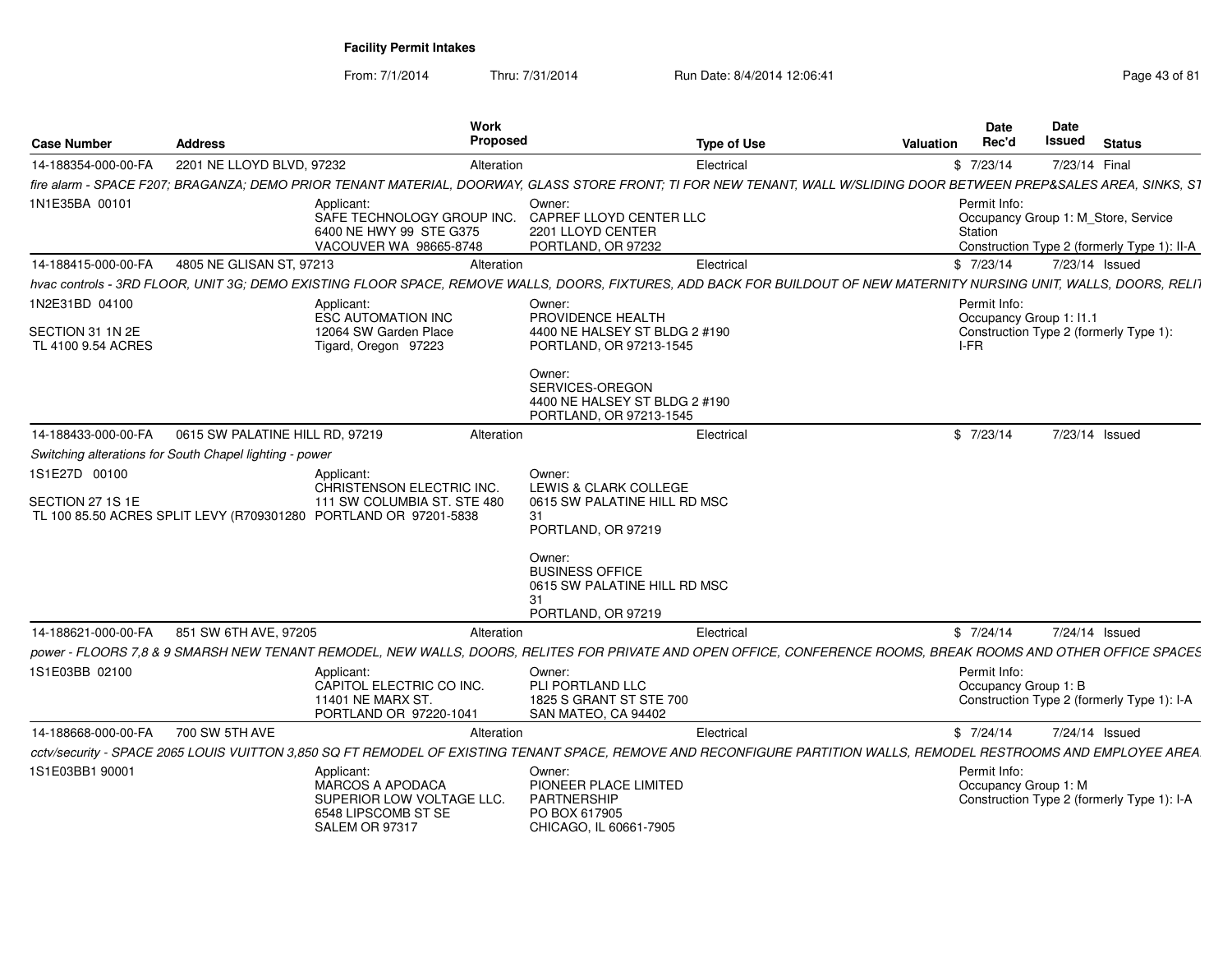From: 7/1/2014

| <b>Case Number</b>                                       | <b>Address</b>                                          |                                                                                                                                            | Work<br>Proposed |                                                                                                                                                                        | <b>Type of Use</b> | Valuation | <b>Date</b><br>Rec'd                            | Date<br>Issued<br><b>Status</b>                                                    |
|----------------------------------------------------------|---------------------------------------------------------|--------------------------------------------------------------------------------------------------------------------------------------------|------------------|------------------------------------------------------------------------------------------------------------------------------------------------------------------------|--------------------|-----------|-------------------------------------------------|------------------------------------------------------------------------------------|
| 14-188354-000-00-FA                                      | 2201 NE LLOYD BLVD, 97232                               |                                                                                                                                            | Alteration       | Electrical                                                                                                                                                             |                    |           | \$7/23/14                                       | 7/23/14 Final                                                                      |
|                                                          |                                                         |                                                                                                                                            |                  | fire alarm - SPACE F207; BRAGANZA; DEMO PRIOR TENANT MATERIAL, DOORWAY, GLASS STORE FRONT; TI FOR NEW TENANT, WALL W/SLIDING DOOR BETWEEN PREP&SALES AREA, SINKS, S1   |                    |           |                                                 |                                                                                    |
| 1N1E35BA 00101                                           |                                                         | Applicant<br>SAFE TECHNOLOGY GROUP INC.<br>6400 NE HWY 99 STE G375<br>VACOUVER WA 98665-8748                                               | Owner:           | CAPREF LLOYD CENTER LLC<br>2201 LLOYD CENTER<br>PORTLAND, OR 97232                                                                                                     |                    |           | Permit Info:<br>Station                         | Occupancy Group 1: M_Store, Service<br>Construction Type 2 (formerly Type 1): II-A |
| 14-188415-000-00-FA                                      | 4805 NE GLISAN ST. 97213                                |                                                                                                                                            | Alteration       | Electrical                                                                                                                                                             |                    |           | \$7/23/14                                       | 7/23/14 Issued                                                                     |
|                                                          |                                                         |                                                                                                                                            |                  | hvac controls - 3RD FLOOR, UNIT 3G: DEMO EXISTING FLOOR SPACE, REMOVE WALLS, DOORS, FIXTURES, ADD BACK FOR BUILDOUT OF NEW MATERNITY NURSING UNIT, WALLS, DOORS, RELIT |                    |           |                                                 |                                                                                    |
| 1N2E31BD 04100<br>SECTION 31 1N 2E<br>TL 4100 9.54 ACRES |                                                         | Applicant:<br><b>ESC AUTOMATION INC</b><br>12064 SW Garden Place<br>Tigard, Oregon 97223                                                   |                  | Owner:<br>PROVIDENCE HEALTH<br>4400 NE HALSEY ST BLDG 2 #190<br>PORTLAND, OR 97213-1545                                                                                |                    |           | Permit Info:<br>Occupancy Group 1: I1.1<br>I-FR | Construction Type 2 (formerly Type 1):                                             |
|                                                          |                                                         |                                                                                                                                            |                  | Owner:<br>SERVICES-OREGON<br>4400 NE HALSEY ST BLDG 2 #190<br>PORTLAND, OR 97213-1545                                                                                  |                    |           |                                                 |                                                                                    |
| 14-188433-000-00-FA                                      | 0615 SW PALATINE HILL RD, 97219                         |                                                                                                                                            | Alteration       | Electrical                                                                                                                                                             |                    |           | \$7/23/14                                       | 7/23/14 Issued                                                                     |
|                                                          | Switching alterations for South Chapel lighting - power |                                                                                                                                            |                  |                                                                                                                                                                        |                    |           |                                                 |                                                                                    |
| 1S1E27D 00100<br>SECTION 27 1S 1E                        |                                                         | Applicant:<br>CHRISTENSON ELECTRIC INC.<br>111 SW COLUMBIA ST. STE 480<br>TL 100 85.50 ACRES SPLIT LEVY (R709301280 PORTLAND OR 97201-5838 | Owner:<br>31     | LEWIS & CLARK COLLEGE<br>0615 SW PALATINE HILL RD MSC<br>PORTLAND, OR 97219                                                                                            |                    |           |                                                 |                                                                                    |
|                                                          |                                                         |                                                                                                                                            | 31               | Owner:<br><b>BUSINESS OFFICE</b><br>0615 SW PALATINE HILL RD MSC<br>PORTLAND, OR 97219                                                                                 |                    |           |                                                 |                                                                                    |
| 14-188621-000-00-FA                                      | 851 SW 6TH AVE, 97205                                   |                                                                                                                                            | Alteration       | Electrical                                                                                                                                                             |                    |           | \$7/24/14                                       | 7/24/14 Issued                                                                     |
|                                                          |                                                         |                                                                                                                                            |                  | power - FLOORS 7,8 & 9 SMARSH NEW TENANT REMODEL, NEW WALLS, DOORS, RELITES FOR PRIVATE AND OPEN OFFICE, CONFERENCE ROOMS, BREAK ROOMS AND OTHER OFFICE SPACES         |                    |           |                                                 |                                                                                    |
| 1S1E03BB 02100                                           |                                                         | Applicant:<br>CAPITOL ELECTRIC CO INC.<br>11401 NE MARX ST.<br>PORTLAND OR 97220-1041                                                      |                  | Owner:<br>PLI PORTLAND LLC<br>1825 S GRANT ST STE 700<br>SAN MATEO, CA 94402                                                                                           |                    |           | Permit Info:<br>Occupancy Group 1: B            | Construction Type 2 (formerly Type 1): I-A                                         |
| 14-188668-000-00-FA                                      | 700 SW 5TH AVE                                          |                                                                                                                                            | Alteration       | Electrical                                                                                                                                                             |                    |           | \$7/24/14                                       | 7/24/14 Issued                                                                     |
|                                                          |                                                         |                                                                                                                                            |                  | cctv/security - SPACE 2065 LOUIS VUITTON 3,850 SQ FT REMODEL OF EXISTING TENANT SPACE, REMOVE AND RECONFIGURE PARTITION WALLS, REMODEL RESTROOMS AND EMPLOYEE AREA     |                    |           |                                                 |                                                                                    |
| 1S1E03BB1 90001                                          |                                                         | Applicant:<br>MARCOS A APODACA<br>SUPERIOR LOW VOLTAGE LLC.<br>6548 LIPSCOMB ST SE<br>SALEM OR 97317                                       | Owner:           | PIONEER PLACE LIMITED<br>PARTNERSHIP<br>PO BOX 617905<br>CHICAGO, IL 60661-7905                                                                                        |                    |           | Permit Info:<br>Occupancy Group 1: M            | Construction Type 2 (formerly Type 1): I-A                                         |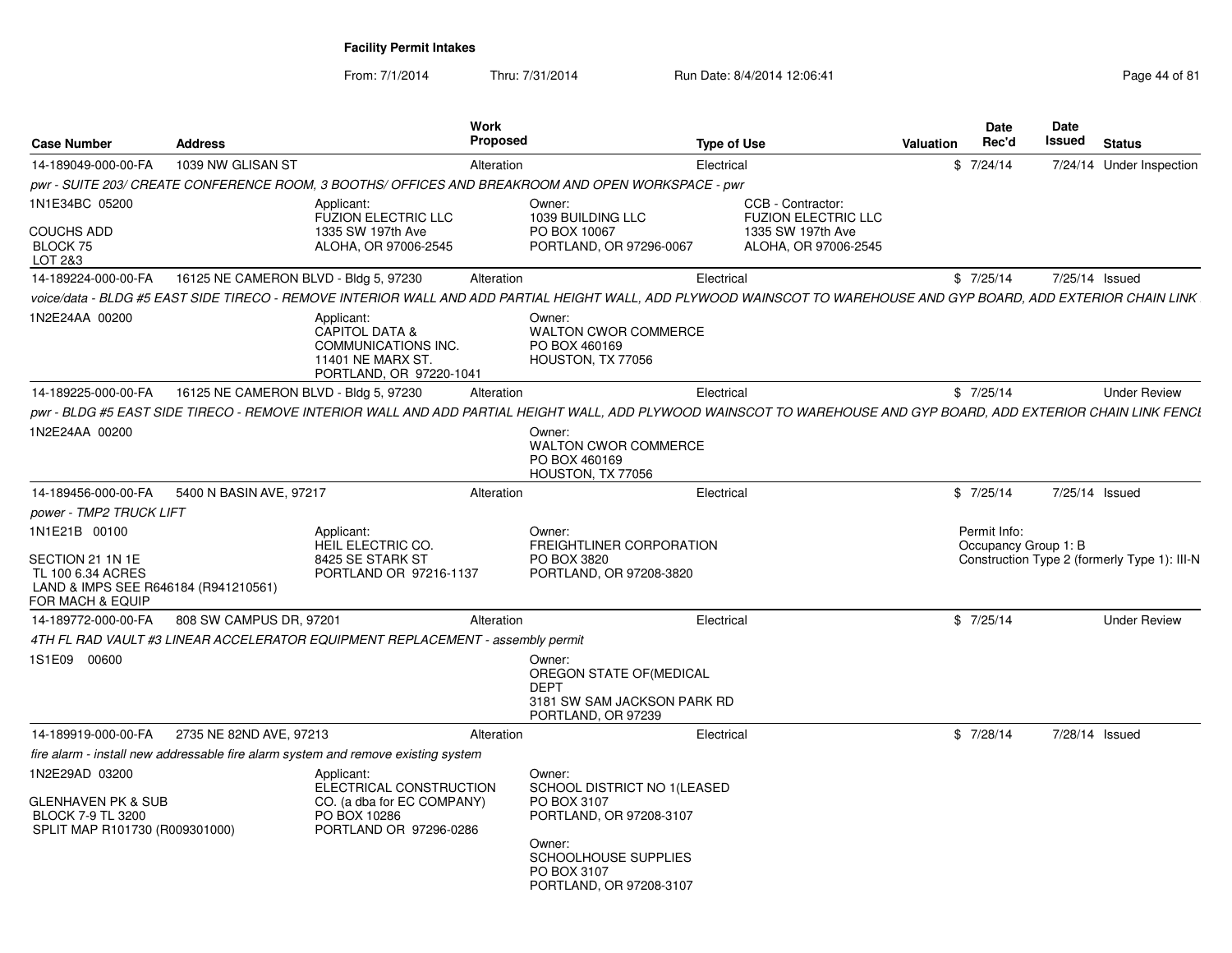| <b>Case Number</b>                                                                                                 | <b>Address</b>                        |                                                                                                               | Work<br><b>Proposed</b> |                                                                                                                                                                    | <b>Type of Use</b> |                                                 | <b>Valuation</b> | Date<br>Rec'd                        | Date<br><b>Issued</b> | <b>Status</b>                                |
|--------------------------------------------------------------------------------------------------------------------|---------------------------------------|---------------------------------------------------------------------------------------------------------------|-------------------------|--------------------------------------------------------------------------------------------------------------------------------------------------------------------|--------------------|-------------------------------------------------|------------------|--------------------------------------|-----------------------|----------------------------------------------|
| 14-189049-000-00-FA                                                                                                | 1039 NW GLISAN ST                     |                                                                                                               | Alteration              |                                                                                                                                                                    | Electrical         |                                                 |                  | \$7/24/14                            |                       | 7/24/14 Under Inspection                     |
|                                                                                                                    |                                       |                                                                                                               |                         | pwr - SUITE 203/ CREATE CONFERENCE ROOM, 3 BOOTHS/ OFFICES AND BREAKROOM AND OPEN WORKSPACE - pwr                                                                  |                    |                                                 |                  |                                      |                       |                                              |
| 1N1E34BC 05200                                                                                                     |                                       | Applicant:<br><b>FUZION ELECTRIC LLC</b>                                                                      |                         | Owner:<br>1039 BUILDING LLC                                                                                                                                        |                    | CCB - Contractor:<br><b>FUZION ELECTRIC LLC</b> |                  |                                      |                       |                                              |
| <b>COUCHS ADD</b><br>BLOCK 75<br>LOT 2&3                                                                           |                                       | 1335 SW 197th Ave<br>ALOHA, OR 97006-2545                                                                     |                         | PO BOX 10067<br>PORTLAND, OR 97296-0067                                                                                                                            |                    | 1335 SW 197th Ave<br>ALOHA, OR 97006-2545       |                  |                                      |                       |                                              |
| 14-189224-000-00-FA                                                                                                | 16125 NE CAMERON BLVD - Bldg 5, 97230 |                                                                                                               | Alteration              |                                                                                                                                                                    | Electrical         |                                                 |                  | \$7/25/14                            |                       | 7/25/14 Issued                               |
|                                                                                                                    |                                       |                                                                                                               |                         | voice/data - BLDG #5 EAST SIDE TIRECO - REMOVE INTERIOR WALL AND ADD PARTIAL HEIGHT WALL, ADD PLYWOOD WAINSCOT TO WAREHOUSE AND GYP BOARD, ADD EXTERIOR CHAIN LINK |                    |                                                 |                  |                                      |                       |                                              |
| 1N2E24AA 00200                                                                                                     |                                       | Applicant:<br>CAPITOL DATA &<br>COMMUNICATIONS INC.<br>11401 NE MARX ST.<br>PORTLAND, OR 97220-1041           |                         | Owner:<br><b>WALTON CWOR COMMERCE</b><br>PO BOX 460169<br>HOUSTON, TX 77056                                                                                        |                    |                                                 |                  |                                      |                       |                                              |
| 14-189225-000-00-FA                                                                                                | 16125 NE CAMERON BLVD - Bldg 5, 97230 |                                                                                                               | Alteration              |                                                                                                                                                                    | Electrical         |                                                 |                  | \$7/25/14                            |                       | <b>Under Review</b>                          |
|                                                                                                                    |                                       |                                                                                                               |                         | pwr - BLDG #5 EAST SIDE TIRECO - REMOVE INTERIOR WALL AND ADD PARTIAL HEIGHT WALL, ADD PLYWOOD WAINSCOT TO WAREHOUSE AND GYP BOARD, ADD EXTERIOR CHAIN LINK FENCI  |                    |                                                 |                  |                                      |                       |                                              |
| 1N2E24AA 00200                                                                                                     |                                       |                                                                                                               |                         | Owner:<br><b>WALTON CWOR COMMERCE</b><br>PO BOX 460169<br>HOUSTON, TX 77056                                                                                        |                    |                                                 |                  |                                      |                       |                                              |
| 14-189456-000-00-FA                                                                                                | 5400 N BASIN AVE, 97217               |                                                                                                               | Alteration              |                                                                                                                                                                    | Electrical         |                                                 |                  | \$7/25/14                            |                       | 7/25/14 Issued                               |
| power - TMP2 TRUCK LIFT                                                                                            |                                       |                                                                                                               |                         |                                                                                                                                                                    |                    |                                                 |                  |                                      |                       |                                              |
| 1N1E21B 00100<br>SECTION 21 1N 1E<br>TL 100 6.34 ACRES<br>LAND & IMPS SEE R646184 (R941210561)<br>FOR MACH & EQUIP |                                       | Applicant:<br>HEIL ELECTRIC CO.<br>8425 SE STARK ST<br>PORTLAND OR 97216-1137                                 |                         | Owner:<br>FREIGHTLINER CORPORATION<br>PO BOX 3820<br>PORTLAND, OR 97208-3820                                                                                       |                    |                                                 |                  | Permit Info:<br>Occupancy Group 1: B |                       | Construction Type 2 (formerly Type 1): III-N |
| 14-189772-000-00-FA                                                                                                | 808 SW CAMPUS DR, 97201               |                                                                                                               | Alteration              |                                                                                                                                                                    | Electrical         |                                                 |                  | \$7/25/14                            |                       | <b>Under Review</b>                          |
|                                                                                                                    |                                       | 4TH FL RAD VAULT #3 LINEAR ACCELERATOR EQUIPMENT REPLACEMENT - assembly permit                                |                         |                                                                                                                                                                    |                    |                                                 |                  |                                      |                       |                                              |
| 1S1E09 00600                                                                                                       |                                       |                                                                                                               |                         | Owner:<br>OREGON STATE OF (MEDICAL<br><b>DEPT</b><br>3181 SW SAM JACKSON PARK RD<br>PORTLAND, OR 97239                                                             |                    |                                                 |                  |                                      |                       |                                              |
| 14-189919-000-00-FA                                                                                                | 2735 NE 82ND AVE, 97213               |                                                                                                               | Alteration              |                                                                                                                                                                    | Electrical         |                                                 |                  | \$7/28/14                            |                       | 7/28/14 Issued                               |
|                                                                                                                    |                                       | fire alarm - install new addressable fire alarm system and remove existing system                             |                         |                                                                                                                                                                    |                    |                                                 |                  |                                      |                       |                                              |
| 1N2E29AD 03200<br><b>GLENHAVEN PK &amp; SUB</b><br><b>BLOCK 7-9 TL 3200</b><br>SPLIT MAP R101730 (R009301000)      |                                       | Applicant:<br>ELECTRICAL CONSTRUCTION<br>CO. (a dba for EC COMPANY)<br>PO BOX 10286<br>PORTLAND OR 97296-0286 |                         | Owner:<br>SCHOOL DISTRICT NO 1(LEASED<br>PO BOX 3107<br>PORTLAND, OR 97208-3107<br>Owner:<br>SCHOOLHOUSE SUPPLIES<br>PO BOX 3107<br>PORTLAND, OR 97208-3107        |                    |                                                 |                  |                                      |                       |                                              |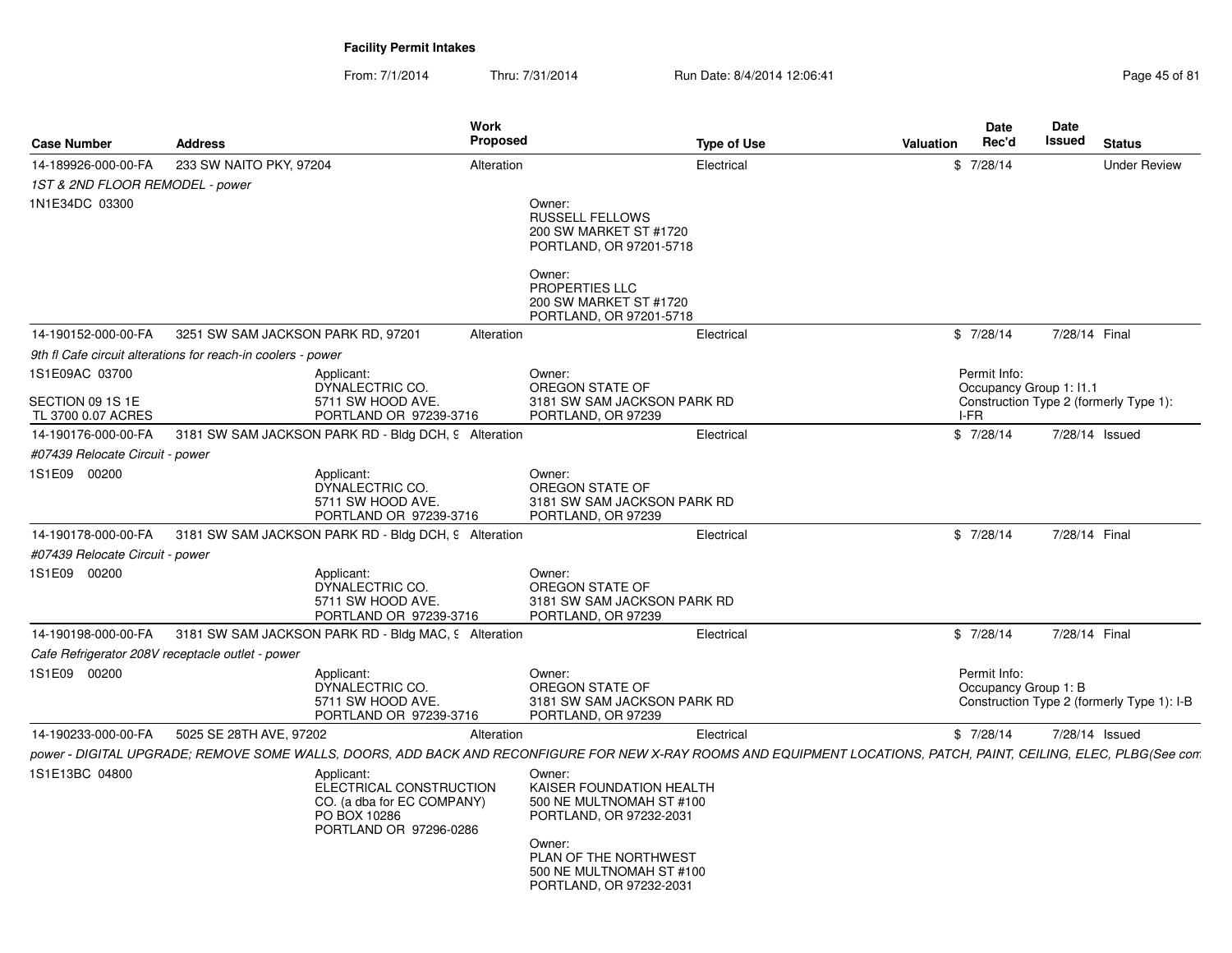| <b>Case Number</b>                               | <b>Address</b>                                               |                                                                                                               | Work<br><b>Proposed</b> |                                                                                                                                                                                     | <b>Type of Use</b> | Valuation | Date<br>Rec'd                        | Date<br><b>Issued</b> | <b>Status</b>                              |
|--------------------------------------------------|--------------------------------------------------------------|---------------------------------------------------------------------------------------------------------------|-------------------------|-------------------------------------------------------------------------------------------------------------------------------------------------------------------------------------|--------------------|-----------|--------------------------------------|-----------------------|--------------------------------------------|
| 14-189926-000-00-FA                              | 233 SW NAITO PKY, 97204                                      |                                                                                                               | Alteration              |                                                                                                                                                                                     | Electrical         |           | \$7/28/14                            |                       | Under Review                               |
| 1ST & 2ND FLOOR REMODEL - power                  |                                                              |                                                                                                               |                         |                                                                                                                                                                                     |                    |           |                                      |                       |                                            |
| 1N1E34DC 03300                                   |                                                              |                                                                                                               |                         | Owner:<br><b>RUSSELL FELLOWS</b><br>200 SW MARKET ST #1720<br>PORTLAND, OR 97201-5718<br>Owner:<br>PROPERTIES LLC<br>200 SW MARKET ST #1720                                         |                    |           |                                      |                       |                                            |
| 14-190152-000-00-FA                              | 3251 SW SAM JACKSON PARK RD, 97201                           |                                                                                                               | Alteration              | PORTLAND, OR 97201-5718                                                                                                                                                             | Electrical         |           | \$7/28/14                            | 7/28/14 Final         |                                            |
|                                                  | 9th fl Cafe circuit alterations for reach-in coolers - power |                                                                                                               |                         |                                                                                                                                                                                     |                    |           |                                      |                       |                                            |
| 1S1E09AC 03700                                   |                                                              | Applicant:                                                                                                    |                         | Owner:                                                                                                                                                                              |                    |           | Permit Info:                         |                       |                                            |
| SECTION 09 1S 1E<br>TL 3700 0.07 ACRES           |                                                              | DYNALECTRIC CO.<br>5711 SW HOOD AVE.<br>PORTLAND OR 97239-3716                                                |                         | OREGON STATE OF<br>3181 SW SAM JACKSON PARK RD<br>PORTLAND, OR 97239                                                                                                                |                    |           | Occupancy Group 1: 11.1<br>I-FR      |                       | Construction Type 2 (formerly Type 1):     |
| 14-190176-000-00-FA                              | 3181 SW SAM JACKSON PARK RD - Bldg DCH, 9 Alteration         |                                                                                                               |                         |                                                                                                                                                                                     | Electrical         |           | \$7/28/14                            |                       | 7/28/14 Issued                             |
| #07439 Relocate Circuit - power                  |                                                              |                                                                                                               |                         |                                                                                                                                                                                     |                    |           |                                      |                       |                                            |
| 1S1E09 00200                                     |                                                              | Applicant:<br>DYNALECTRIC CO.<br>5711 SW HOOD AVE.<br>PORTLAND OR 97239-3716                                  |                         | Owner:<br>OREGON STATE OF<br>3181 SW SAM JACKSON PARK RD<br>PORTLAND, OR 97239                                                                                                      |                    |           |                                      |                       |                                            |
| 14-190178-000-00-FA                              | 3181 SW SAM JACKSON PARK RD - Bldg DCH, 9 Alteration         |                                                                                                               |                         |                                                                                                                                                                                     | Electrical         |           | \$7/28/14                            | 7/28/14 Final         |                                            |
| #07439 Relocate Circuit - power                  |                                                              |                                                                                                               |                         |                                                                                                                                                                                     |                    |           |                                      |                       |                                            |
| 1S1E09 00200                                     |                                                              | Applicant:<br>DYNALECTRIC CO.<br>5711 SW HOOD AVE.<br>PORTLAND OR 97239-3716                                  |                         | Owner:<br>OREGON STATE OF<br>3181 SW SAM JACKSON PARK RD<br>PORTLAND, OR 97239                                                                                                      |                    |           |                                      |                       |                                            |
| 14-190198-000-00-FA                              | 3181 SW SAM JACKSON PARK RD - Bldg MAC, 9 Alteration         |                                                                                                               |                         |                                                                                                                                                                                     | Electrical         |           | \$7/28/14                            | 7/28/14 Final         |                                            |
| Cafe Refrigerator 208V receptacle outlet - power |                                                              |                                                                                                               |                         |                                                                                                                                                                                     |                    |           |                                      |                       |                                            |
| 1S1E09 00200                                     |                                                              | Applicant:<br>DYNALECTRIC CO.<br>5711 SW HOOD AVE.<br>PORTLAND OR 97239-3716                                  |                         | Owner:<br>OREGON STATE OF<br>3181 SW SAM JACKSON PARK RD<br>PORTLAND, OR 97239                                                                                                      |                    |           | Permit Info:<br>Occupancy Group 1: B |                       | Construction Type 2 (formerly Type 1): I-B |
| 14-190233-000-00-FA                              | 5025 SE 28TH AVE, 97202                                      |                                                                                                               | Alteration              |                                                                                                                                                                                     | Electrical         |           | \$7/28/14                            |                       | 7/28/14 Issued                             |
|                                                  |                                                              |                                                                                                               |                         | power - DIGITAL UPGRADE; REMOVE SOME WALLS, DOORS, ADD BACK AND RECONFIGURE FOR NEW X-RAY ROOMS AND EQUIPMENT LOCATIONS, PATCH, PAINT, CEILING, ELEC, PLBG(See con                  |                    |           |                                      |                       |                                            |
| 1S1E13BC 04800                                   |                                                              | Applicant:<br>ELECTRICAL CONSTRUCTION<br>CO. (a dba for EC COMPANY)<br>PO BOX 10286<br>PORTLAND OR 97296-0286 |                         | Owner:<br>KAISER FOUNDATION HEALTH<br>500 NE MULTNOMAH ST #100<br>PORTLAND, OR 97232-2031<br>Owner:<br>PLAN OF THE NORTHWEST<br>500 NE MULTNOMAH ST #100<br>PORTLAND, OR 97232-2031 |                    |           |                                      |                       |                                            |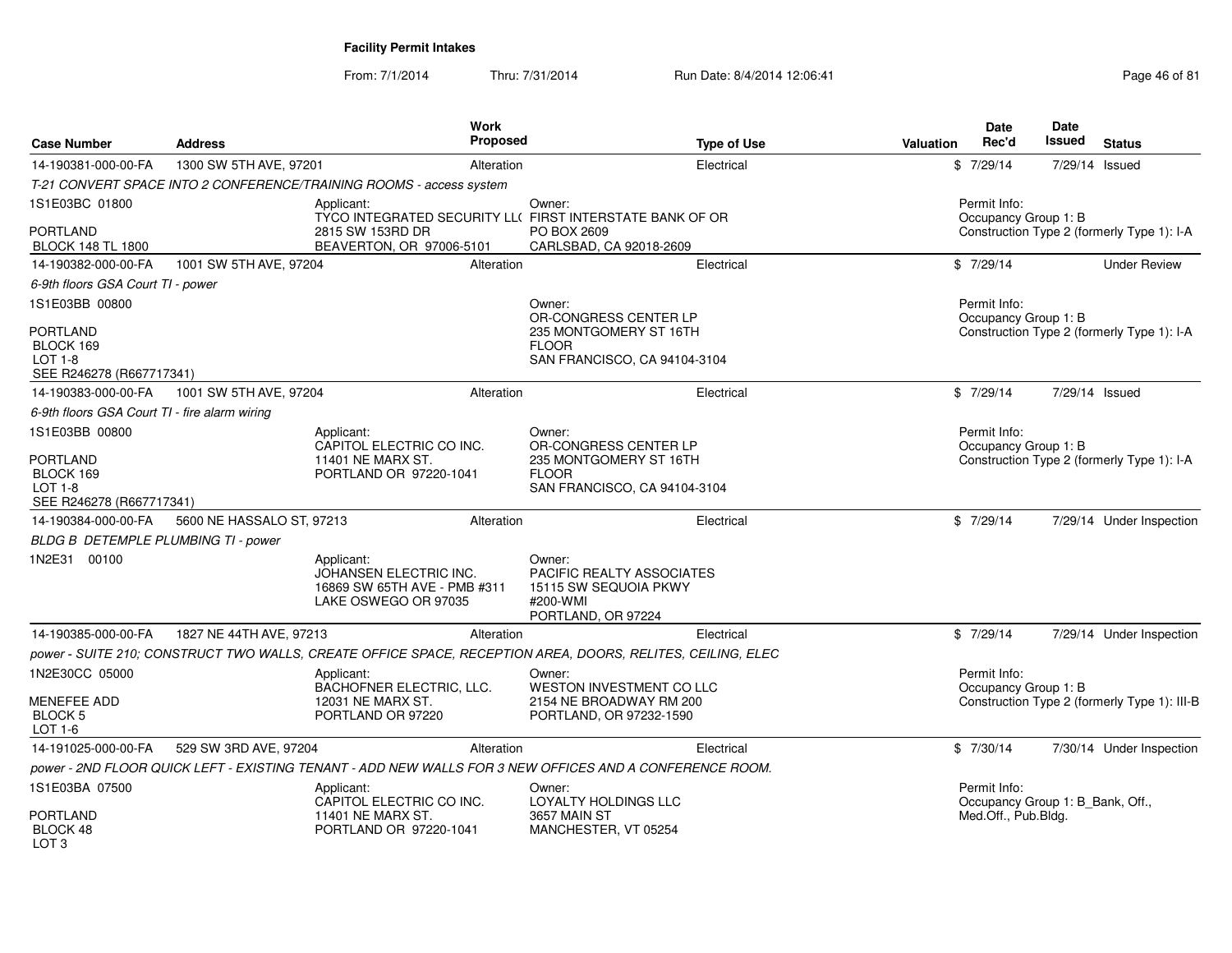|                                                                            |                           |                                                                                              | Work            |                                                                                                            |                    |                  | Date                                             | Date   |                                              |
|----------------------------------------------------------------------------|---------------------------|----------------------------------------------------------------------------------------------|-----------------|------------------------------------------------------------------------------------------------------------|--------------------|------------------|--------------------------------------------------|--------|----------------------------------------------|
| <b>Case Number</b>                                                         | <b>Address</b>            |                                                                                              | <b>Proposed</b> |                                                                                                            | <b>Type of Use</b> | <b>Valuation</b> | Rec'd                                            | Issued | <b>Status</b>                                |
| 14-190381-000-00-FA                                                        | 1300 SW 5TH AVE, 97201    |                                                                                              | Alteration      |                                                                                                            | Electrical         |                  | \$7/29/14                                        |        | 7/29/14 Issued                               |
|                                                                            |                           | T-21 CONVERT SPACE INTO 2 CONFERENCE/TRAINING ROOMS - access system                          |                 |                                                                                                            |                    |                  |                                                  |        |                                              |
| 1S1E03BC 01800                                                             |                           | Applicant:                                                                                   |                 | Owner:<br>TYCO INTEGRATED SECURITY LL( FIRST INTERSTATE BANK OF OR                                         |                    |                  | Permit Info:<br>Occupancy Group 1: B             |        |                                              |
| <b>PORTLAND</b><br><b>BLOCK 148 TL 1800</b>                                |                           | 2815 SW 153RD DR<br>BEAVERTON, OR 97006-5101                                                 |                 | PO BOX 2609<br>CARLSBAD, CA 92018-2609                                                                     |                    |                  |                                                  |        | Construction Type 2 (formerly Type 1): I-A   |
| 14-190382-000-00-FA                                                        | 1001 SW 5TH AVE, 97204    |                                                                                              | Alteration      |                                                                                                            | Electrical         |                  | \$7/29/14                                        |        | <b>Under Review</b>                          |
| 6-9th floors GSA Court TI - power                                          |                           |                                                                                              |                 |                                                                                                            |                    |                  |                                                  |        |                                              |
| 1S1E03BB 00800                                                             |                           |                                                                                              |                 | Owner:<br>OR-CONGRESS CENTER LP                                                                            |                    |                  | Permit Info:<br>Occupancy Group 1: B             |        |                                              |
| <b>PORTLAND</b><br>BLOCK 169<br><b>LOT 1-8</b><br>SEE R246278 (R667717341) |                           |                                                                                              |                 | 235 MONTGOMERY ST 16TH<br><b>FLOOR</b><br>SAN FRANCISCO, CA 94104-3104                                     |                    |                  |                                                  |        | Construction Type 2 (formerly Type 1): I-A   |
| 14-190383-000-00-FA                                                        | 1001 SW 5TH AVE, 97204    |                                                                                              | Alteration      |                                                                                                            | Electrical         |                  | \$7/29/14                                        |        | 7/29/14 Issued                               |
| 6-9th floors GSA Court TI - fire alarm wiring                              |                           |                                                                                              |                 |                                                                                                            |                    |                  |                                                  |        |                                              |
| 1S1E03BB 00800                                                             |                           | Applicant:                                                                                   |                 | Owner:                                                                                                     |                    |                  | Permit Info:                                     |        |                                              |
| <b>PORTLAND</b><br>BLOCK 169<br><b>LOT 1-8</b>                             |                           | CAPITOL ELECTRIC CO INC.<br>11401 NE MARX ST.<br>PORTLAND OR 97220-1041                      |                 | OR-CONGRESS CENTER LP<br>235 MONTGOMERY ST 16TH<br><b>FLOOR</b><br>SAN FRANCISCO, CA 94104-3104            |                    |                  | Occupancy Group 1: B                             |        | Construction Type 2 (formerly Type 1): I-A   |
| SEE R246278 (R667717341)<br>14-190384-000-00-FA                            | 5600 NE HASSALO ST, 97213 |                                                                                              | Alteration      |                                                                                                            | Electrical         |                  | \$7/29/14                                        |        |                                              |
|                                                                            |                           |                                                                                              |                 |                                                                                                            |                    |                  |                                                  |        | 7/29/14 Under Inspection                     |
| BLDG B DETEMPLE PLUMBING TI - power                                        |                           |                                                                                              |                 |                                                                                                            |                    |                  |                                                  |        |                                              |
| 1N2E31 00100                                                               |                           | Applicant:<br>JOHANSEN ELECTRIC INC.<br>16869 SW 65TH AVE - PMB #311<br>LAKE OSWEGO OR 97035 |                 | Owner:<br>PACIFIC REALTY ASSOCIATES<br>15115 SW SEQUOIA PKWY<br>#200-WMI<br>PORTLAND, OR 97224             |                    |                  |                                                  |        |                                              |
| 14-190385-000-00-FA                                                        | 1827 NE 44TH AVE, 97213   |                                                                                              | Alteration      |                                                                                                            | Electrical         |                  | \$7/29/14                                        |        | 7/29/14 Under Inspection                     |
|                                                                            |                           |                                                                                              |                 | power - SUITE 210; CONSTRUCT TWO WALLS, CREATE OFFICE SPACE, RECEPTION AREA, DOORS, RELITES, CEILING, ELEC |                    |                  |                                                  |        |                                              |
| 1N2E30CC 05000                                                             |                           | Applicant:<br>BACHOFNER ELECTRIC, LLC.                                                       |                 | Owner:<br><b>WESTON INVESTMENT CO LLC</b>                                                                  |                    |                  | Permit Info:<br>Occupancy Group 1: B             |        |                                              |
| <b>MENEFEE ADD</b><br>BLOCK <sub>5</sub><br>LOT 1-6                        |                           | 12031 NE MARX ST.<br>PORTLAND OR 97220                                                       |                 | 2154 NE BROADWAY RM 200<br>PORTLAND, OR 97232-1590                                                         |                    |                  |                                                  |        | Construction Type 2 (formerly Type 1): III-B |
| 14-191025-000-00-FA                                                        | 529 SW 3RD AVE, 97204     |                                                                                              | Alteration      |                                                                                                            | Electrical         |                  | \$7/30/14                                        |        | 7/30/14 Under Inspection                     |
|                                                                            |                           |                                                                                              |                 | power - 2ND FLOOR QUICK LEFT - EXISTING TENANT - ADD NEW WALLS FOR 3 NEW OFFICES AND A CONFERENCE ROOM.    |                    |                  |                                                  |        |                                              |
| 1S1E03BA 07500                                                             |                           | Applicant:<br>CAPITOL ELECTRIC CO INC.                                                       |                 | Owner:<br>LOYALTY HOLDINGS LLC                                                                             |                    |                  | Permit Info:<br>Occupancy Group 1: B_Bank, Off., |        |                                              |
| <b>PORTLAND</b><br>BLOCK 48<br>LOT <sub>3</sub>                            |                           | 11401 NE MARX ST.<br>PORTLAND OR 97220-1041                                                  |                 | 3657 MAIN ST<br>MANCHESTER, VT 05254                                                                       |                    |                  | Med.Off., Pub.Bldg.                              |        |                                              |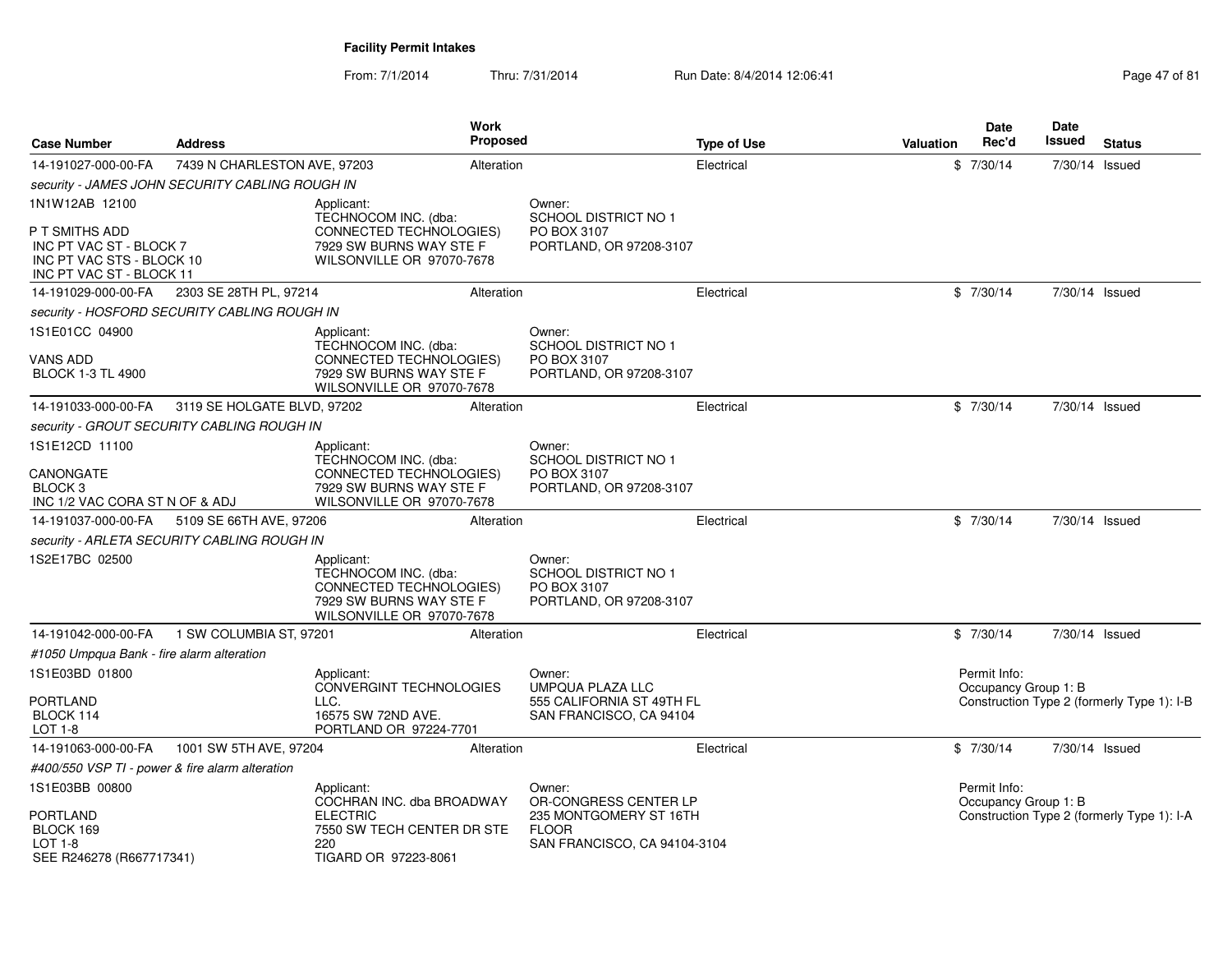| <b>Case Number</b>                                                                                 | <b>Address</b>                                  |                                                                                                                              | Work<br><b>Proposed</b> |                                                                                 | <b>Type of Use</b> | Valuation | Date<br>Rec'd                        | <b>Date</b><br>Issued | <b>Status</b>                              |
|----------------------------------------------------------------------------------------------------|-------------------------------------------------|------------------------------------------------------------------------------------------------------------------------------|-------------------------|---------------------------------------------------------------------------------|--------------------|-----------|--------------------------------------|-----------------------|--------------------------------------------|
| 14-191027-000-00-FA                                                                                | 7439 N CHARLESTON AVE, 97203                    |                                                                                                                              | Alteration              |                                                                                 | Electrical         |           | \$7/30/14                            | 7/30/14 Issued        |                                            |
|                                                                                                    | security - JAMES JOHN SECURITY CABLING ROUGH IN |                                                                                                                              |                         |                                                                                 |                    |           |                                      |                       |                                            |
| 1N1W12AB 12100                                                                                     |                                                 | Applicant:<br>TECHNOCOM INC. (dba:                                                                                           |                         | Owner:<br><b>SCHOOL DISTRICT NO 1</b>                                           |                    |           |                                      |                       |                                            |
| P T SMITHS ADD<br>INC PT VAC ST - BLOCK 7<br>INC PT VAC STS - BLOCK 10<br>INC PT VAC ST - BLOCK 11 |                                                 | CONNECTED TECHNOLOGIES)<br>7929 SW BURNS WAY STE F<br>WILSONVILLE OR 97070-7678                                              |                         | PO BOX 3107<br>PORTLAND, OR 97208-3107                                          |                    |           |                                      |                       |                                            |
| 14-191029-000-00-FA                                                                                | 2303 SE 28TH PL, 97214                          |                                                                                                                              | Alteration              |                                                                                 | Electrical         |           | \$7/30/14                            | 7/30/14 Issued        |                                            |
|                                                                                                    | security - HOSFORD SECURITY CABLING ROUGH IN    |                                                                                                                              |                         |                                                                                 |                    |           |                                      |                       |                                            |
| 1S1E01CC 04900                                                                                     |                                                 | Applicant:<br>TECHNOCOM INC. (dba:                                                                                           |                         | Owner:<br><b>SCHOOL DISTRICT NO 1</b>                                           |                    |           |                                      |                       |                                            |
| <b>VANS ADD</b><br><b>BLOCK 1-3 TL 4900</b>                                                        |                                                 | CONNECTED TECHNOLOGIES)<br>7929 SW BURNS WAY STE F<br>WILSONVILLE OR 97070-7678                                              |                         | PO BOX 3107<br>PORTLAND, OR 97208-3107                                          |                    |           |                                      |                       |                                            |
| 14-191033-000-00-FA                                                                                | 3119 SE HOLGATE BLVD, 97202                     |                                                                                                                              | Alteration              |                                                                                 | Electrical         |           | \$7/30/14                            | 7/30/14 Issued        |                                            |
|                                                                                                    | security - GROUT SECURITY CABLING ROUGH IN      |                                                                                                                              |                         |                                                                                 |                    |           |                                      |                       |                                            |
| 1S1E12CD 11100                                                                                     |                                                 | Applicant:                                                                                                                   |                         | Owner:                                                                          |                    |           |                                      |                       |                                            |
| CANONGATE<br>BLOCK <sub>3</sub><br>INC 1/2 VAC CORA ST N OF & ADJ                                  |                                                 | TECHNOCOM INC. (dba:<br>CONNECTED TECHNOLOGIES)<br>7929 SW BURNS WAY STE F<br>WILSONVILLE OR 97070-7678                      |                         | SCHOOL DISTRICT NO 1<br>PO BOX 3107<br>PORTLAND, OR 97208-3107                  |                    |           |                                      |                       |                                            |
| 14-191037-000-00-FA                                                                                | 5109 SE 66TH AVE, 97206                         |                                                                                                                              | Alteration              |                                                                                 | Electrical         |           | \$7/30/14                            | 7/30/14 Issued        |                                            |
|                                                                                                    | security - ARLETA SECURITY CABLING ROUGH IN     |                                                                                                                              |                         |                                                                                 |                    |           |                                      |                       |                                            |
| 1S2E17BC 02500                                                                                     |                                                 | Applicant:<br>TECHNOCOM INC. (dba:<br><b>CONNECTED TECHNOLOGIES)</b><br>7929 SW BURNS WAY STE F<br>WILSONVILLE OR 97070-7678 |                         | Owner:<br><b>SCHOOL DISTRICT NO 1</b><br>PO BOX 3107<br>PORTLAND, OR 97208-3107 |                    |           |                                      |                       |                                            |
| 14-191042-000-00-FA                                                                                | 1 SW COLUMBIA ST, 97201                         |                                                                                                                              | Alteration              |                                                                                 | Electrical         |           | \$7/30/14                            | 7/30/14 Issued        |                                            |
| #1050 Umpqua Bank - fire alarm alteration                                                          |                                                 |                                                                                                                              |                         |                                                                                 |                    |           |                                      |                       |                                            |
| 1S1E03BD 01800                                                                                     |                                                 | Applicant:<br><b>CONVERGINT TECHNOLOGIES</b>                                                                                 |                         | Owner:<br>UMPQUA PLAZA LLC                                                      |                    |           | Permit Info:<br>Occupancy Group 1: B |                       |                                            |
| <b>PORTLAND</b><br>BLOCK 114<br>LOT 1-8                                                            |                                                 | LLC.<br>16575 SW 72ND AVE.<br>PORTLAND OR 97224-7701                                                                         |                         | 555 CALIFORNIA ST 49TH FL<br>SAN FRANCISCO, CA 94104                            |                    |           |                                      |                       | Construction Type 2 (formerly Type 1): I-B |
| 14-191063-000-00-FA                                                                                | 1001 SW 5TH AVE, 97204                          |                                                                                                                              | Alteration              |                                                                                 | Electrical         |           | \$7/30/14                            | 7/30/14 Issued        |                                            |
| #400/550 VSP TI - power & fire alarm alteration                                                    |                                                 |                                                                                                                              |                         |                                                                                 |                    |           |                                      |                       |                                            |
| 1S1E03BB 00800<br>PORTLAND                                                                         |                                                 | Applicant:<br>COCHRAN INC. dba BROADWAY<br><b>ELECTRIC</b>                                                                   |                         | Owner:<br>OR-CONGRESS CENTER LP<br>235 MONTGOMERY ST 16TH                       |                    |           | Permit Info:<br>Occupancy Group 1: B |                       | Construction Type 2 (formerly Type 1): I-A |
| BLOCK 169<br><b>LOT 1-8</b><br>SEE R246278 (R667717341)                                            |                                                 | 7550 SW TECH CENTER DR STE<br>220<br>TIGARD OR 97223-8061                                                                    |                         | <b>FLOOR</b><br>SAN FRANCISCO, CA 94104-3104                                    |                    |           |                                      |                       |                                            |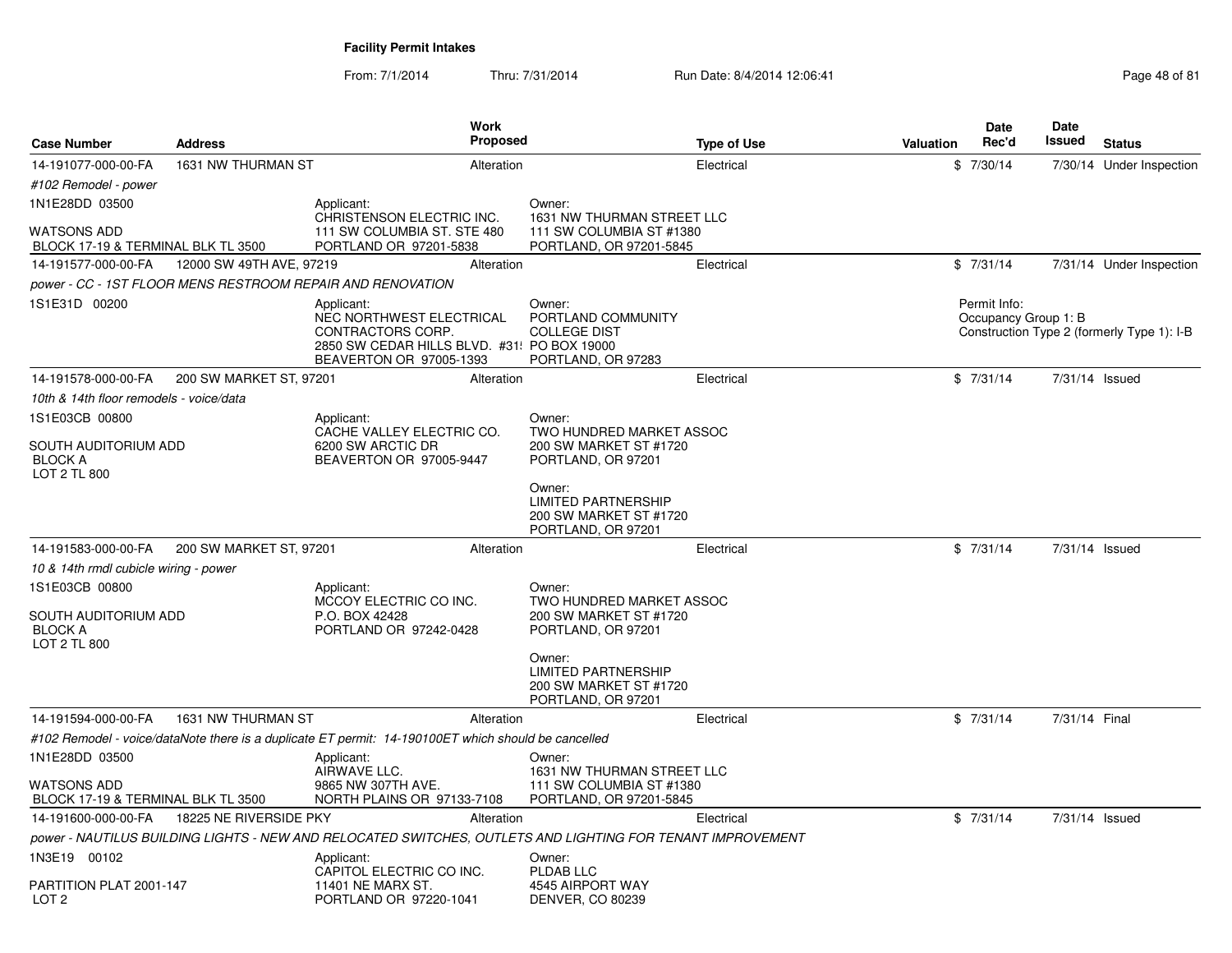| <b>Case Number</b>                                            | <b>Address</b>           | Work<br><b>Proposed</b>                                                                                                               |                                                                                      | <b>Type of Use</b> | <b>Valuation</b> | Date<br>Rec'd                        | <b>Date</b><br>Issued | <b>Status</b>                              |
|---------------------------------------------------------------|--------------------------|---------------------------------------------------------------------------------------------------------------------------------------|--------------------------------------------------------------------------------------|--------------------|------------------|--------------------------------------|-----------------------|--------------------------------------------|
| 14-191077-000-00-FA                                           | 1631 NW THURMAN ST       | Alteration                                                                                                                            |                                                                                      | Electrical         |                  | \$7/30/14                            |                       | 7/30/14 Under Inspection                   |
| #102 Remodel - power                                          |                          |                                                                                                                                       |                                                                                      |                    |                  |                                      |                       |                                            |
| 1N1E28DD 03500                                                |                          | Applicant:                                                                                                                            | Owner:                                                                               |                    |                  |                                      |                       |                                            |
| <b>WATSONS ADD</b><br>BLOCK 17-19 & TERMINAL BLK TL 3500      |                          | CHRISTENSON ELECTRIC INC.<br>111 SW COLUMBIA ST. STE 480<br>PORTLAND OR 97201-5838                                                    | 1631 NW THURMAN STREET LLC<br>111 SW COLUMBIA ST #1380<br>PORTLAND, OR 97201-5845    |                    |                  |                                      |                       |                                            |
| 14-191577-000-00-FA                                           | 12000 SW 49TH AVE, 97219 | Alteration                                                                                                                            |                                                                                      | Electrical         |                  | \$7/31/14                            |                       | 7/31/14 Under Inspection                   |
|                                                               |                          | power - CC - 1ST FLOOR MENS RESTROOM REPAIR AND RENOVATION                                                                            |                                                                                      |                    |                  |                                      |                       |                                            |
| 1S1E31D 00200                                                 |                          | Applicant:<br>NEC NORTHWEST ELECTRICAL<br>CONTRACTORS CORP.<br>2850 SW CEDAR HILLS BLVD. #31: PO BOX 19000<br>BEAVERTON OR 97005-1393 | Owner:<br>PORTLAND COMMUNITY<br><b>COLLEGE DIST</b><br>PORTLAND, OR 97283            |                    |                  | Permit Info:<br>Occupancy Group 1: B |                       | Construction Type 2 (formerly Type 1): I-B |
| 14-191578-000-00-FA                                           | 200 SW MARKET ST, 97201  | Alteration                                                                                                                            |                                                                                      | Electrical         |                  | \$7/31/14                            | 7/31/14 Issued        |                                            |
| 10th & 14th floor remodels - voice/data                       |                          |                                                                                                                                       |                                                                                      |                    |                  |                                      |                       |                                            |
| 1S1E03CB 00800                                                |                          | Applicant:                                                                                                                            | Owner:                                                                               |                    |                  |                                      |                       |                                            |
| SOUTH AUDITORIUM ADD<br><b>BLOCK A</b><br><b>LOT 2 TL 800</b> |                          | CACHE VALLEY ELECTRIC CO.<br>6200 SW ARCTIC DR<br>BEAVERTON OR 97005-9447                                                             | TWO HUNDRED MARKET ASSOC<br>200 SW MARKET ST #1720<br>PORTLAND, OR 97201             |                    |                  |                                      |                       |                                            |
|                                                               |                          |                                                                                                                                       | Owner:<br><b>LIMITED PARTNERSHIP</b><br>200 SW MARKET ST #1720<br>PORTLAND, OR 97201 |                    |                  |                                      |                       |                                            |
| 14-191583-000-00-FA                                           | 200 SW MARKET ST, 97201  | Alteration                                                                                                                            |                                                                                      | Electrical         |                  | \$7/31/14                            | 7/31/14 Issued        |                                            |
| 10 & 14th rmdl cubicle wiring - power                         |                          |                                                                                                                                       |                                                                                      |                    |                  |                                      |                       |                                            |
| 1S1E03CB 00800                                                |                          | Applicant:<br>MCCOY ELECTRIC CO INC.                                                                                                  | Owner:<br>TWO HUNDRED MARKET ASSOC                                                   |                    |                  |                                      |                       |                                            |
| SOUTH AUDITORIUM ADD<br><b>BLOCK A</b><br><b>LOT 2 TL 800</b> |                          | P.O. BOX 42428<br>PORTLAND OR 97242-0428                                                                                              | 200 SW MARKET ST #1720<br>PORTLAND, OR 97201                                         |                    |                  |                                      |                       |                                            |
|                                                               |                          |                                                                                                                                       | Owner:<br><b>LIMITED PARTNERSHIP</b><br>200 SW MARKET ST #1720<br>PORTLAND, OR 97201 |                    |                  |                                      |                       |                                            |
| 14-191594-000-00-FA                                           | 1631 NW THURMAN ST       | Alteration                                                                                                                            |                                                                                      | Electrical         |                  | \$7/31/14                            | 7/31/14 Final         |                                            |
|                                                               |                          | #102 Remodel - voice/dataNote there is a duplicate ET permit: 14-190100ET which should be cancelled                                   |                                                                                      |                    |                  |                                      |                       |                                            |
| 1N1E28DD 03500                                                |                          | Applicant:<br>AIRWAVE LLC.                                                                                                            | Owner:<br>1631 NW THURMAN STREET LLC                                                 |                    |                  |                                      |                       |                                            |
| WATSONS ADD<br>BLOCK 17-19 & TERMINAL BLK TL 3500             |                          | 9865 NW 307TH AVE.<br>NORTH PLAINS OR 97133-7108                                                                                      | 111 SW COLUMBIA ST #1380<br>PORTLAND, OR 97201-5845                                  |                    |                  |                                      |                       |                                            |
| 14-191600-000-00-FA                                           | 18225 NE RIVERSIDE PKY   | Alteration                                                                                                                            |                                                                                      | Electrical         |                  | \$7/31/14                            | 7/31/14 Issued        |                                            |
|                                                               |                          | power - NAUTILUS BUILDING LIGHTS - NEW AND RELOCATED SWITCHES, OUTLETS AND LIGHTING FOR TENANT IMPROVEMENT                            |                                                                                      |                    |                  |                                      |                       |                                            |
| 1N3E19 00102<br>PARTITION PLAT 2001-147<br>LOT <sub>2</sub>   |                          | Applicant:<br>CAPITOL ELECTRIC CO INC.<br>11401 NE MARX ST.<br>PORTLAND OR 97220-1041                                                 | Owner:<br>PLDAB LLC<br>4545 AIRPORT WAY<br><b>DENVER, CO 80239</b>                   |                    |                  |                                      |                       |                                            |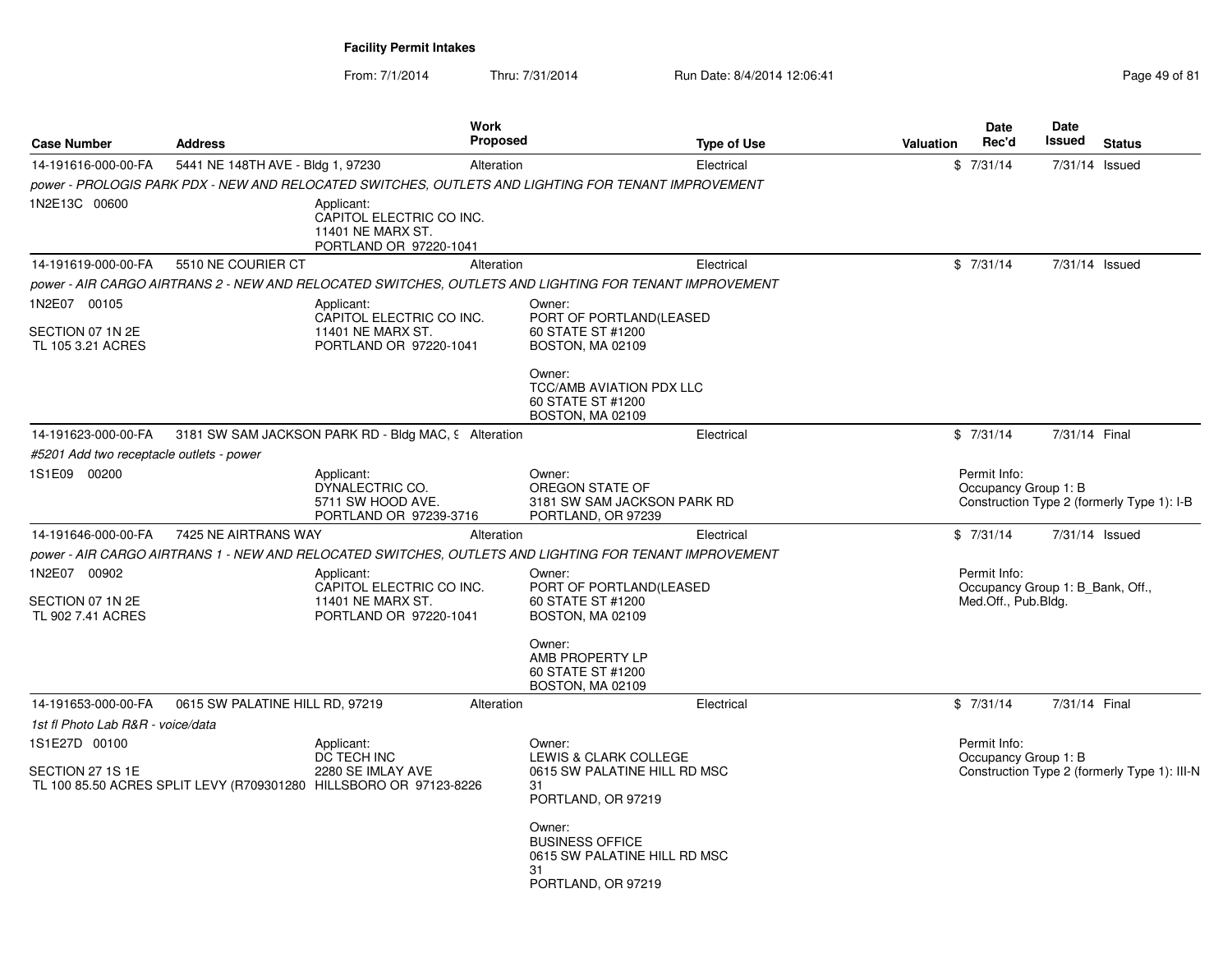| <b>Case Number</b>                                    | <b>Address</b>                    | <b>Work</b><br><b>Proposed</b>                                                                         |                                                                                              | <b>Type of Use</b> | <b>Valuation</b> | <b>Date</b><br>Rec'd                                                    | <b>Date</b><br>Issued | <b>Status</b>                                |
|-------------------------------------------------------|-----------------------------------|--------------------------------------------------------------------------------------------------------|----------------------------------------------------------------------------------------------|--------------------|------------------|-------------------------------------------------------------------------|-----------------------|----------------------------------------------|
| 14-191616-000-00-FA                                   | 5441 NE 148TH AVE - Bldg 1, 97230 | Alteration                                                                                             |                                                                                              | Electrical         |                  | \$7/31/14                                                               | 7/31/14 Issued        |                                              |
|                                                       |                                   | power - PROLOGIS PARK PDX - NEW AND RELOCATED SWITCHES, OUTLETS AND LIGHTING FOR TENANT IMPROVEMENT    |                                                                                              |                    |                  |                                                                         |                       |                                              |
| 1N2E13C 00600                                         |                                   | Applicant:<br>CAPITOL ELECTRIC CO INC.<br>11401 NE MARX ST.<br>PORTLAND OR 97220-1041                  |                                                                                              |                    |                  |                                                                         |                       |                                              |
| 14-191619-000-00-FA                                   | 5510 NE COURIER CT                | Alteration                                                                                             |                                                                                              | Electrical         |                  | \$7/31/14                                                               | 7/31/14 Issued        |                                              |
|                                                       |                                   | power - AIR CARGO AIRTRANS 2 - NEW AND RELOCATED SWITCHES, OUTLETS AND LIGHTING FOR TENANT IMPROVEMENT |                                                                                              |                    |                  |                                                                         |                       |                                              |
| 1N2E07 00105<br>SECTION 07 1N 2E<br>TL 105 3.21 ACRES |                                   | Applicant:<br>CAPITOL ELECTRIC CO INC.<br>11401 NE MARX ST.<br>PORTLAND OR 97220-1041                  | Owner:<br>PORT OF PORTLAND(LEASED<br>60 STATE ST #1200<br>BOSTON, MA 02109                   |                    |                  |                                                                         |                       |                                              |
|                                                       |                                   |                                                                                                        | Owner:<br><b>TCC/AMB AVIATION PDX LLC</b><br>60 STATE ST #1200<br><b>BOSTON, MA 02109</b>    |                    |                  |                                                                         |                       |                                              |
| 14-191623-000-00-FA                                   |                                   | 3181 SW SAM JACKSON PARK RD - Bldg MAC, 9 Alteration                                                   |                                                                                              | Electrical         |                  | \$7/31/14                                                               | 7/31/14 Final         |                                              |
| #5201 Add two receptacle outlets - power              |                                   |                                                                                                        |                                                                                              |                    |                  |                                                                         |                       |                                              |
| 1S1E09 00200                                          |                                   | Applicant:<br>DYNALECTRIC CO.<br>5711 SW HOOD AVE.<br>PORTLAND OR 97239-3716                           | Owner:<br>OREGON STATE OF<br>3181 SW SAM JACKSON PARK RD<br>PORTLAND, OR 97239               |                    |                  | Permit Info:<br>Occupancy Group 1: B                                    |                       | Construction Type 2 (formerly Type 1): I-B   |
| 14-191646-000-00-FA                                   | 7425 NE AIRTRANS WAY              | Alteration                                                                                             |                                                                                              | Electrical         |                  | \$7/31/14                                                               | 7/31/14 Issued        |                                              |
|                                                       |                                   | power - AIR CARGO AIRTRANS 1 - NEW AND RELOCATED SWITCHES, OUTLETS AND LIGHTING FOR TENANT IMPROVEMENT |                                                                                              |                    |                  |                                                                         |                       |                                              |
| 1N2E07 00902<br>SECTION 07 1N 2E<br>TL 902 7.41 ACRES |                                   | Applicant:<br>CAPITOL ELECTRIC CO INC.<br>11401 NE MARX ST.<br>PORTLAND OR 97220-1041                  | Owner:<br>PORT OF PORTLAND (LEASED<br>60 STATE ST #1200<br><b>BOSTON, MA 02109</b>           |                    |                  | Permit Info:<br>Occupancy Group 1: B Bank, Off.,<br>Med.Off., Pub.Bldg. |                       |                                              |
|                                                       |                                   |                                                                                                        | Owner:<br>AMB PROPERTY LP<br>60 STATE ST #1200<br>BOSTON, MA 02109                           |                    |                  |                                                                         |                       |                                              |
| 14-191653-000-00-FA                                   | 0615 SW PALATINE HILL RD, 97219   | Alteration                                                                                             |                                                                                              | Electrical         |                  | \$7/31/14                                                               | 7/31/14 Final         |                                              |
| 1st fl Photo Lab R&R - voice/data                     |                                   |                                                                                                        |                                                                                              |                    |                  |                                                                         |                       |                                              |
| 1S1E27D 00100                                         |                                   | Applicant:                                                                                             | Owner:                                                                                       |                    |                  | Permit Info:                                                            |                       |                                              |
| SECTION 27 1S 1E                                      |                                   | DC TECH INC<br>2280 SE IMLAY AVE<br>TL 100 85.50 ACRES SPLIT LEVY (R709301280 HILLSBORO OR 97123-8226  | LEWIS & CLARK COLLEGE<br>0615 SW PALATINE HILL RD MSC<br>31<br>PORTLAND, OR 97219            |                    |                  | Occupancy Group 1: B                                                    |                       | Construction Type 2 (formerly Type 1): III-N |
|                                                       |                                   |                                                                                                        | Owner:<br><b>BUSINESS OFFICE</b><br>0615 SW PALATINE HILL RD MSC<br>31<br>PORTLAND, OR 97219 |                    |                  |                                                                         |                       |                                              |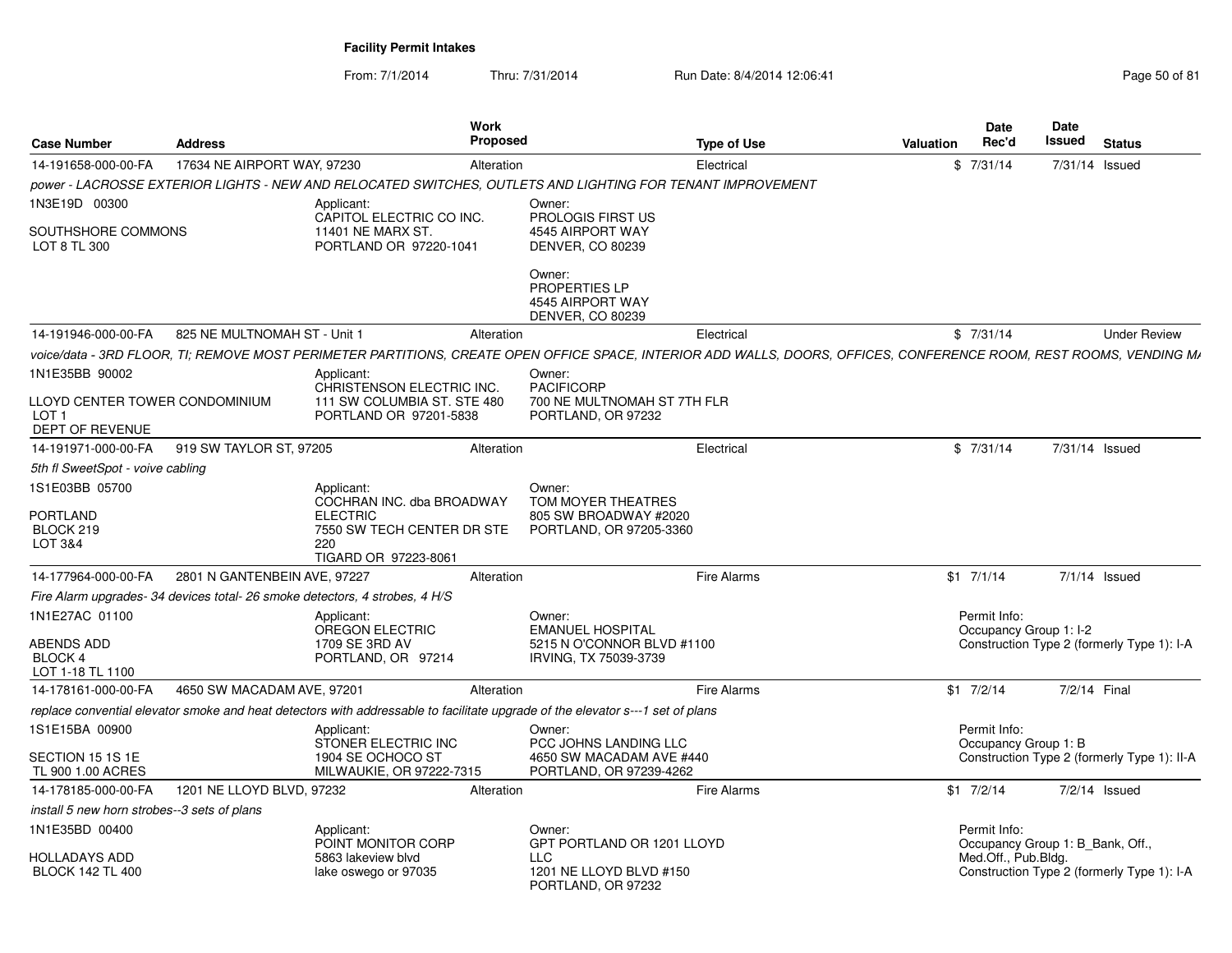From: 7/1/2014Thru: 7/31/2014 Run Date: 8/4/2014 12:06:41 Page 50 of 81

| <b>Case Number</b>                                                    | <b>Address</b>               | Work<br><b>Proposed</b>                                                                                                                                             |                                                                                          | Type of Use        | Valuation | <b>Date</b><br>Rec'd                             | Date<br>Issued | <b>Status</b>                               |
|-----------------------------------------------------------------------|------------------------------|---------------------------------------------------------------------------------------------------------------------------------------------------------------------|------------------------------------------------------------------------------------------|--------------------|-----------|--------------------------------------------------|----------------|---------------------------------------------|
| 14-191658-000-00-FA                                                   | 17634 NE AIRPORT WAY, 97230  | Alteration                                                                                                                                                          |                                                                                          | Electrical         |           | \$7/31/14                                        | 7/31/14 Issued |                                             |
|                                                                       |                              | power - LACROSSE EXTERIOR LIGHTS - NEW AND RELOCATED SWITCHES. OUTLETS AND LIGHTING FOR TENANT IMPROVEMENT                                                          |                                                                                          |                    |           |                                                  |                |                                             |
| 1N3E19D 00300                                                         |                              | Applicant:                                                                                                                                                          | Owner:                                                                                   |                    |           |                                                  |                |                                             |
| SOUTHSHORE COMMONS<br>LOT 8 TL 300                                    |                              | CAPITOL ELECTRIC CO INC.<br>11401 NE MARX ST.<br>PORTLAND OR 97220-1041                                                                                             | PROLOGIS FIRST US<br>4545 AIRPORT WAY<br><b>DENVER, CO 80239</b>                         |                    |           |                                                  |                |                                             |
|                                                                       |                              |                                                                                                                                                                     | Owner:<br>PROPERTIES LP<br>4545 AIRPORT WAY<br><b>DENVER, CO 80239</b>                   |                    |           |                                                  |                |                                             |
| 14-191946-000-00-FA                                                   | 825 NE MULTNOMAH ST - Unit 1 | Alteration                                                                                                                                                          |                                                                                          | Electrical         |           | \$7/31/14                                        |                | <b>Under Review</b>                         |
|                                                                       |                              | voice/data - 3RD FLOOR. TI: REMOVE MOST PERIMETER PARTITIONS. CREATE OPEN OFFICE SPACE. INTERIOR ADD WALLS. DOORS. OFFICES. CONFERENCE ROOM. REST ROOMS. VENDING M/ |                                                                                          |                    |           |                                                  |                |                                             |
| 1N1E35BB 90002                                                        |                              | Applicant:                                                                                                                                                          | Owner:                                                                                   |                    |           |                                                  |                |                                             |
| LLOYD CENTER TOWER CONDOMINIUM<br>LOT <sub>1</sub><br>DEPT OF REVENUE |                              | CHRISTENSON ELECTRIC INC.<br>111 SW COLUMBIA ST. STE 480<br>PORTLAND OR 97201-5838                                                                                  | <b>PACIFICORP</b><br>700 NE MULTNOMAH ST 7TH FLR<br>PORTLAND, OR 97232                   |                    |           |                                                  |                |                                             |
| 14-191971-000-00-FA                                                   | 919 SW TAYLOR ST, 97205      | Alteration                                                                                                                                                          |                                                                                          | Electrical         |           | \$7/31/14                                        | 7/31/14 Issued |                                             |
| 5th fl SweetSpot - voive cabling                                      |                              |                                                                                                                                                                     |                                                                                          |                    |           |                                                  |                |                                             |
| 1S1E03BB 05700<br>PORTLAND<br>BLOCK 219<br>LOT 3&4                    |                              | Applicant:<br>COCHRAN INC. dba BROADWAY<br><b>ELECTRIC</b><br>7550 SW TECH CENTER DR STE<br>220<br>TIGARD OR 97223-8061                                             | Owner:<br>TOM MOYER THEATRES<br>805 SW BROADWAY #2020<br>PORTLAND, OR 97205-3360         |                    |           |                                                  |                |                                             |
| 14-177964-000-00-FA                                                   | 2801 N GANTENBEIN AVE, 97227 | Alteration                                                                                                                                                          |                                                                                          | Fire Alarms        |           | $$1$ $7/1/14$                                    |                | 7/1/14 Issued                               |
|                                                                       |                              | Fire Alarm upgrades- 34 devices total- 26 smoke detectors, 4 strobes, 4 H/S                                                                                         |                                                                                          |                    |           |                                                  |                |                                             |
| 1N1E27AC 01100<br>ABENDS ADD<br>BLOCK 4<br>LOT 1-18 TL 1100           |                              | Applicant:<br><b>OREGON ELECTRIC</b><br>1709 SE 3RD AV<br>PORTLAND, OR 97214                                                                                        | Owner:<br><b>EMANUEL HOSPITAL</b><br>5215 N O'CONNOR BLVD #1100<br>IRVING, TX 75039-3739 |                    |           | Permit Info:<br>Occupancy Group 1: I-2           |                | Construction Type 2 (formerly Type 1): I-A  |
| 14-178161-000-00-FA                                                   | 4650 SW MACADAM AVE, 97201   | Alteration                                                                                                                                                          |                                                                                          | Fire Alarms        |           | $$1 \t7/2/14$                                    | 7/2/14 Final   |                                             |
|                                                                       |                              | replace convential elevator smoke and heat detectors with addressable to facilitate upgrade of the elevator s---1 set of plans                                      |                                                                                          |                    |           |                                                  |                |                                             |
| 1S1E15BA 00900                                                        |                              | Applicant:<br>STONER ELECTRIC INC                                                                                                                                   | Owner:<br>PCC JOHNS LANDING LLC                                                          |                    |           | Permit Info:                                     |                |                                             |
| SECTION 15 1S 1E<br>TL 900 1.00 ACRES                                 |                              | 1904 SE OCHOCO ST<br>MILWAUKIE, OR 97222-7315                                                                                                                       | 4650 SW MACADAM AVE #440<br>PORTLAND, OR 97239-4262                                      |                    |           | Occupancy Group 1: B                             |                | Construction Type 2 (formerly Type 1): II-A |
| 14-178185-000-00-FA                                                   | 1201 NE LLOYD BLVD, 97232    | Alteration                                                                                                                                                          |                                                                                          | <b>Fire Alarms</b> |           | $$1$ $7/2/14$                                    |                | 7/2/14 Issued                               |
| install 5 new horn strobes--3 sets of plans                           |                              |                                                                                                                                                                     |                                                                                          |                    |           |                                                  |                |                                             |
| 1N1E35BD 00400                                                        |                              | Applicant:<br>POINT MONITOR CORP                                                                                                                                    | Owner:<br>GPT PORTLAND OR 1201 LLOYD                                                     |                    |           | Permit Info:<br>Occupancy Group 1: B Bank, Off., |                |                                             |
| HOLLADAYS ADD<br><b>BLOCK 142 TL 400</b>                              |                              | 5863 lakeview blvd<br>lake oswego or 97035                                                                                                                          | <b>LLC</b><br>1201 NE LLOYD BLVD #150<br>PORTLAND, OR 97232                              |                    |           | Med.Off., Pub.Bldg.                              |                | Construction Type 2 (formerly Type 1): I-A  |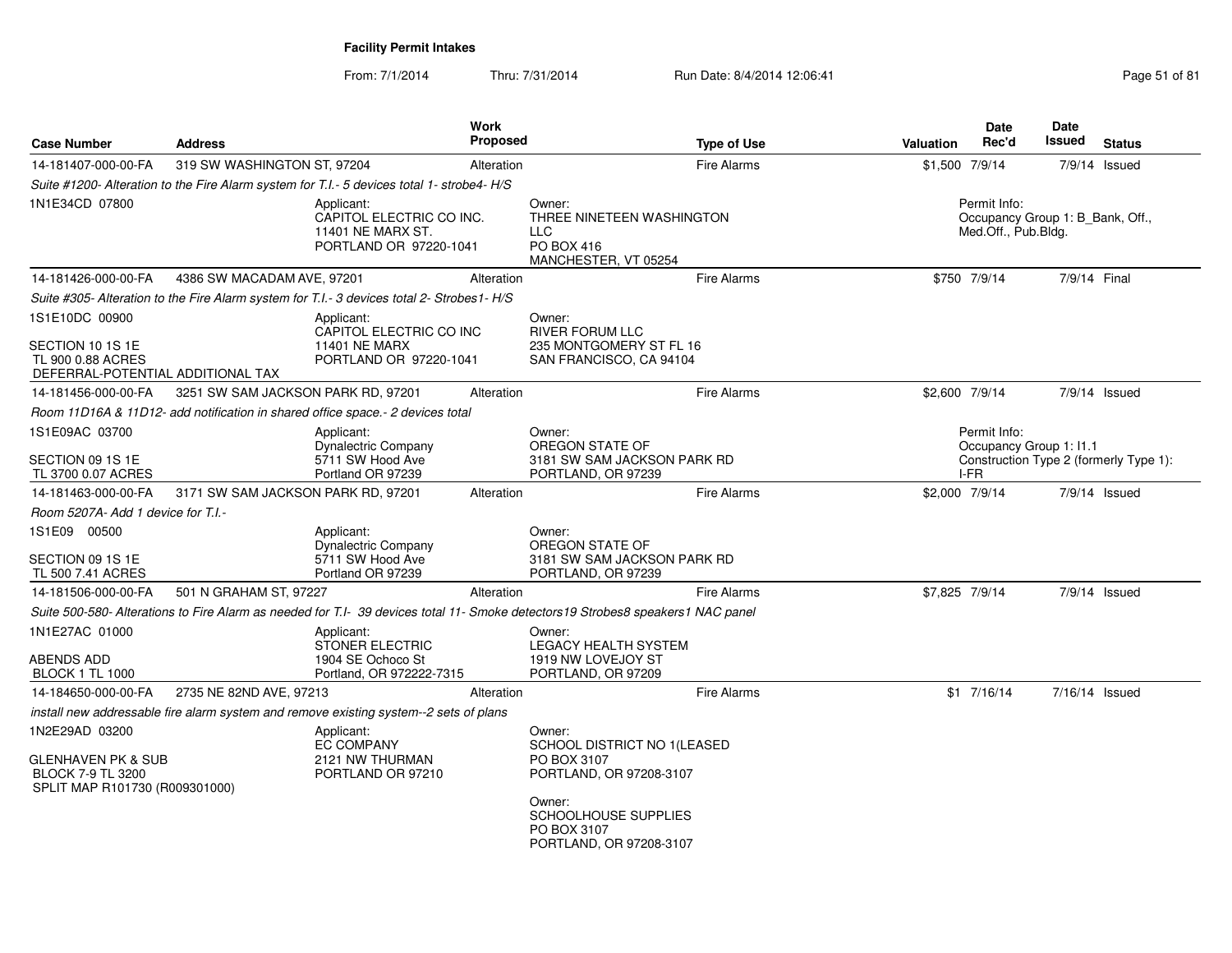From: 7/1/2014Thru: 7/31/2014 Run Date: 8/4/2014 12:06:41 Page 51 of 81

| <b>Case Number</b>                                                                                            | <b>Address</b>                     | Work<br><b>Proposed</b>                                                                                                           |                                                                                           | <b>Type of Use</b> | Valuation      | <b>Date</b><br>Rec'd                            | Date<br>Issued<br><b>Status</b>        |
|---------------------------------------------------------------------------------------------------------------|------------------------------------|-----------------------------------------------------------------------------------------------------------------------------------|-------------------------------------------------------------------------------------------|--------------------|----------------|-------------------------------------------------|----------------------------------------|
| 14-181407-000-00-FA                                                                                           | 319 SW WASHINGTON ST, 97204        | Alteration                                                                                                                        |                                                                                           | <b>Fire Alarms</b> | \$1,500 7/9/14 |                                                 | $7/9/14$ Issued                        |
|                                                                                                               |                                    | Suite #1200- Alteration to the Fire Alarm system for T.I.- 5 devices total 1- strobe4- H/S                                        |                                                                                           |                    |                |                                                 |                                        |
| 1N1E34CD 07800                                                                                                |                                    | Applicant:<br>CAPITOL ELECTRIC CO INC.<br>11401 NE MARX ST.<br>PORTLAND OR 97220-1041                                             | Owner:<br>THREE NINETEEN WASHINGTON<br><b>LLC</b><br>PO BOX 416<br>MANCHESTER, VT 05254   |                    |                | Permit Info:<br>Med.Off., Pub.Bldg.             | Occupancy Group 1: B Bank, Off.,       |
| 14-181426-000-00-FA                                                                                           | 4386 SW MACADAM AVE, 97201         | Alteration                                                                                                                        |                                                                                           | <b>Fire Alarms</b> |                | \$750 7/9/14                                    | 7/9/14 Final                           |
|                                                                                                               |                                    | Suite #305- Alteration to the Fire Alarm system for T.I.- 3 devices total 2- Strobes1- H/S                                        |                                                                                           |                    |                |                                                 |                                        |
| 1S1E10DC 00900<br>SECTION 10 1S 1E<br>TL 900 0.88 ACRES<br>DEFERRAL-POTENTIAL ADDITIONAL TAX                  |                                    | Applicant:<br>CAPITOL ELECTRIC CO INC<br><b>11401 NE MARX</b><br>PORTLAND OR 97220-1041                                           | Owner:<br><b>RIVER FORUM LLC</b><br>235 MONTGOMERY ST FL 16<br>SAN FRANCISCO, CA 94104    |                    |                |                                                 |                                        |
| 14-181456-000-00-FA                                                                                           | 3251 SW SAM JACKSON PARK RD, 97201 | Alteration                                                                                                                        |                                                                                           | <b>Fire Alarms</b> |                | \$2,600 7/9/14                                  | $7/9/14$ Issued                        |
|                                                                                                               |                                    | Room 11D16A & 11D12- add notification in shared office space.- 2 devices total                                                    |                                                                                           |                    |                |                                                 |                                        |
| 1S1E09AC 03700<br>SECTION 09 1S 1E<br>TL 3700 0.07 ACRES                                                      |                                    | Applicant:<br><b>Dynalectric Company</b><br>5711 SW Hood Ave<br>Portland OR 97239                                                 | Owner:<br>OREGON STATE OF<br>3181 SW SAM JACKSON PARK RD<br>PORTLAND, OR 97239            |                    |                | Permit Info:<br>Occupancy Group 1: I1.1<br>I-FR | Construction Type 2 (formerly Type 1): |
| 14-181463-000-00-FA                                                                                           | 3171 SW SAM JACKSON PARK RD, 97201 | Alteration                                                                                                                        |                                                                                           | <b>Fire Alarms</b> | \$2,000 7/9/14 |                                                 | 7/9/14 Issued                          |
| Room 5207A- Add 1 device for T.I.-                                                                            |                                    |                                                                                                                                   |                                                                                           |                    |                |                                                 |                                        |
| 1S1E09 00500<br>SECTION 09 1S 1E<br>TL 500 7.41 ACRES                                                         |                                    | Applicant:<br>Dynalectric Company<br>5711 SW Hood Ave<br>Portland OR 97239                                                        | Owner:<br>OREGON STATE OF<br>3181 SW SAM JACKSON PARK RD<br>PORTLAND, OR 97239            |                    |                |                                                 |                                        |
| 14-181506-000-00-FA                                                                                           | 501 N GRAHAM ST, 97227             | Alteration                                                                                                                        |                                                                                           | <b>Fire Alarms</b> |                | \$7,825 7/9/14                                  | $7/9/14$ Issued                        |
|                                                                                                               |                                    | Suite 500-580- Alterations to Fire Alarm as needed for T.I- 39 devices total 11- Smoke detectors 19 Strobes8 speakers 1 NAC panel |                                                                                           |                    |                |                                                 |                                        |
| 1N1E27AC 01000<br>ABENDS ADD<br><b>BLOCK 1 TL 1000</b>                                                        |                                    | Applicant:<br><b>STONER ELECTRIC</b><br>1904 SE Ochoco St<br>Portland, OR 972222-7315                                             | Owner:<br><b>LEGACY HEALTH SYSTEM</b><br>1919 NW LOVEJOY ST<br>PORTLAND, OR 97209         |                    |                |                                                 |                                        |
| 14-184650-000-00-FA                                                                                           | 2735 NE 82ND AVE, 97213            | Alteration                                                                                                                        |                                                                                           | <b>Fire Alarms</b> |                | $$1$ 7/16/14                                    | 7/16/14 Issued                         |
|                                                                                                               |                                    | install new addressable fire alarm system and remove existing system--2 sets of plans                                             |                                                                                           |                    |                |                                                 |                                        |
| 1N2E29AD 03200<br><b>GLENHAVEN PK &amp; SUB</b><br><b>BLOCK 7-9 TL 3200</b><br>SPLIT MAP R101730 (R009301000) |                                    | Applicant:<br>EC COMPANY<br>2121 NW THURMAN<br>PORTLAND OR 97210                                                                  | Owner:<br>SCHOOL DISTRICT NO 1(LEASED<br>PO BOX 3107<br>PORTLAND, OR 97208-3107<br>Owner: |                    |                |                                                 |                                        |
|                                                                                                               |                                    |                                                                                                                                   | <b>SCHOOLHOUSE SUPPLIES</b><br>PO BOX 3107<br>PORTLAND, OR 97208-3107                     |                    |                |                                                 |                                        |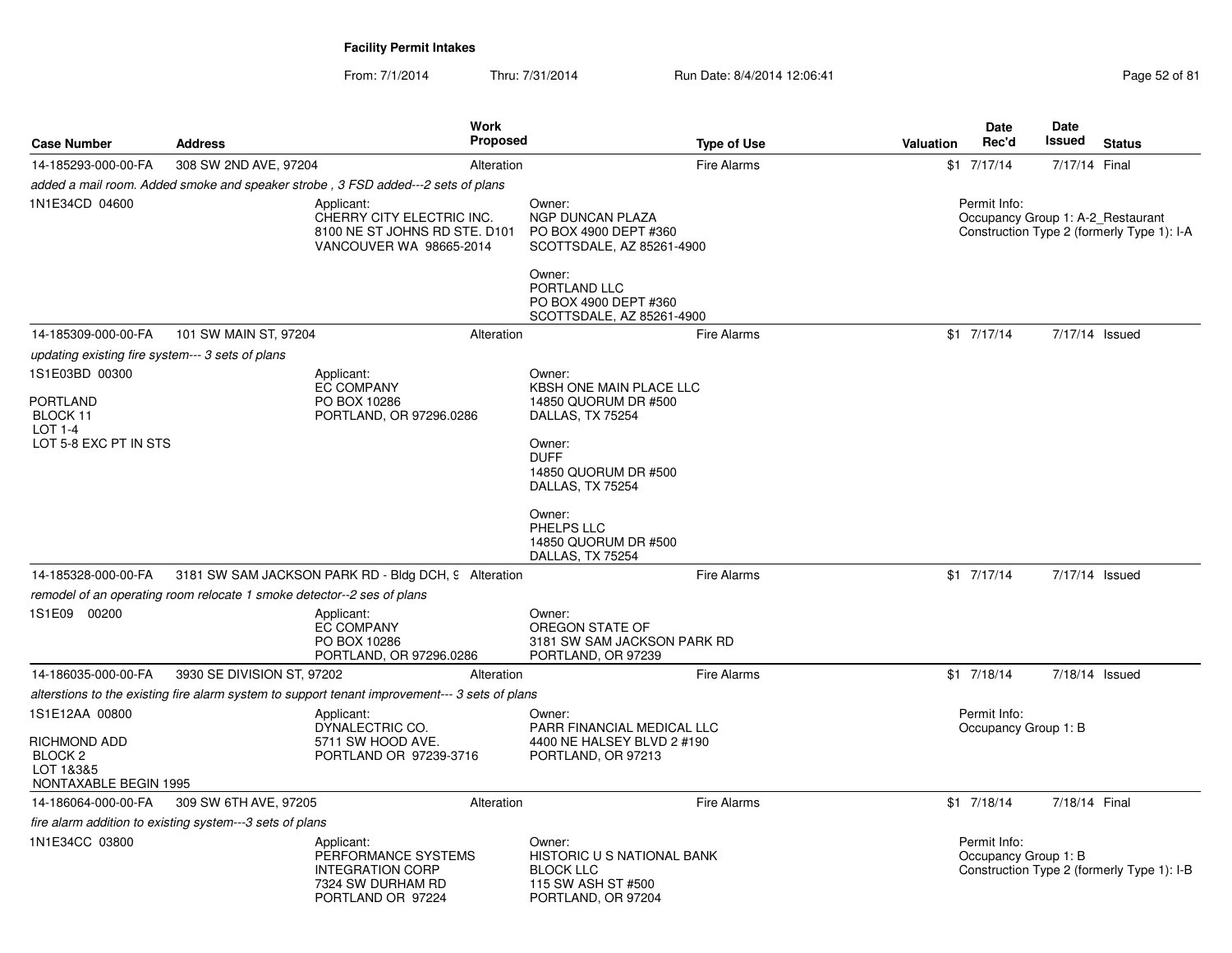From: 7/1/2014Thru: 7/31/2014 Run Date: 8/4/2014 12:06:41 Page 52 of 81

| <b>Case Number</b>                                                       | <b>Address</b>                                                         | Work<br>Proposed                                                                                       |                                                                                                             | <b>Type of Use</b> | Valuation | <b>Date</b><br>Rec'd                              | Date<br>Issued | <b>Status</b>                              |
|--------------------------------------------------------------------------|------------------------------------------------------------------------|--------------------------------------------------------------------------------------------------------|-------------------------------------------------------------------------------------------------------------|--------------------|-----------|---------------------------------------------------|----------------|--------------------------------------------|
| 14-185293-000-00-FA                                                      | 308 SW 2ND AVE, 97204                                                  | Alteration                                                                                             |                                                                                                             | <b>Fire Alarms</b> |           | $$1$ $7/17/14$                                    | 7/17/14 Final  |                                            |
|                                                                          |                                                                        | added a mail room. Added smoke and speaker strobe, 3 FSD added---2 sets of plans                       |                                                                                                             |                    |           |                                                   |                |                                            |
| 1N1E34CD 04600                                                           |                                                                        | Applicant:<br>CHERRY CITY ELECTRIC INC.<br>8100 NE ST JOHNS RD STE. D101<br>VANCOUVER WA 98665-2014    | Owner:<br><b>NGP DUNCAN PLAZA</b><br>PO BOX 4900 DEPT #360<br>SCOTTSDALE, AZ 85261-4900                     |                    |           | Permit Info:<br>Occupancy Group 1: A-2 Restaurant |                | Construction Type 2 (formerly Type 1): I-A |
|                                                                          |                                                                        |                                                                                                        | Owner:<br>PORTLAND LLC<br>PO BOX 4900 DEPT #360<br>SCOTTSDALE, AZ 85261-4900                                |                    |           |                                                   |                |                                            |
| 14-185309-000-00-FA                                                      | 101 SW MAIN ST, 97204                                                  | Alteration                                                                                             |                                                                                                             | <b>Fire Alarms</b> |           | $$1$ 7/17/14                                      | 7/17/14 Issued |                                            |
| updating existing fire system--- 3 sets of plans                         |                                                                        |                                                                                                        |                                                                                                             |                    |           |                                                   |                |                                            |
| 1S1E03BD 00300<br><b>PORTLAND</b><br>BLOCK 11                            |                                                                        | Applicant:<br><b>EC COMPANY</b><br>PO BOX 10286<br>PORTLAND, OR 97296.0286                             | Owner:<br>KBSH ONE MAIN PLACE LLC<br>14850 QUORUM DR #500<br>DALLAS, TX 75254                               |                    |           |                                                   |                |                                            |
| LOT 1-4<br>LOT 5-8 EXC PT IN STS                                         |                                                                        |                                                                                                        | Owner:<br><b>DUFF</b><br>14850 QUORUM DR #500<br>DALLAS, TX 75254                                           |                    |           |                                                   |                |                                            |
|                                                                          |                                                                        |                                                                                                        | Owner:<br>PHELPS LLC<br>14850 QUORUM DR #500<br>DALLAS, TX 75254                                            |                    |           |                                                   |                |                                            |
| 14-185328-000-00-FA                                                      |                                                                        | 3181 SW SAM JACKSON PARK RD - Bldg DCH, 9 Alteration                                                   |                                                                                                             | <b>Fire Alarms</b> |           | $$1$ 7/17/14                                      | 7/17/14 Issued |                                            |
|                                                                          | remodel of an operating room relocate 1 smoke detector--2 ses of plans |                                                                                                        |                                                                                                             |                    |           |                                                   |                |                                            |
| 1S1E09 00200                                                             |                                                                        | Applicant:<br>EC COMPANY<br>PO BOX 10286<br>PORTLAND, OR 97296.0286                                    | Owner:<br>OREGON STATE OF<br>3181 SW SAM JACKSON PARK RD<br>PORTLAND, OR 97239                              |                    |           |                                                   |                |                                            |
| 14-186035-000-00-FA                                                      | 3930 SE DIVISION ST, 97202                                             | Alteration                                                                                             |                                                                                                             | Fire Alarms        |           | $$1$ 7/18/14                                      | 7/18/14 Issued |                                            |
|                                                                          |                                                                        | alterstions to the existing fire alarm system to support tenant improvement--- 3 sets of plans         |                                                                                                             |                    |           |                                                   |                |                                            |
| 1S1E12AA 00800                                                           |                                                                        | Applicant:                                                                                             | Owner:                                                                                                      |                    |           | Permit Info:                                      |                |                                            |
| RICHMOND ADD<br>BLOCK <sub>2</sub><br>LOT 1&3&5<br>NONTAXABLE BEGIN 1995 |                                                                        | DYNALECTRIC CO.<br>5711 SW HOOD AVE.<br>PORTLAND OR 97239-3716                                         | PARR FINANCIAL MEDICAL LLC<br>4400 NE HALSEY BLVD 2 #190<br>PORTLAND, OR 97213                              |                    |           | Occupancy Group 1: B                              |                |                                            |
| 14-186064-000-00-FA                                                      | 309 SW 6TH AVE, 97205                                                  | Alteration                                                                                             |                                                                                                             | <b>Fire Alarms</b> |           | $$1$ 7/18/14                                      | 7/18/14 Final  |                                            |
|                                                                          | fire alarm addition to existing system---3 sets of plans               |                                                                                                        |                                                                                                             |                    |           |                                                   |                |                                            |
| 1N1E34CC 03800                                                           |                                                                        | Applicant:<br>PERFORMANCE SYSTEMS<br><b>INTEGRATION CORP</b><br>7324 SW DURHAM RD<br>PORTLAND OR 97224 | Owner:<br><b>HISTORIC U S NATIONAL BANK</b><br><b>BLOCK LLC</b><br>115 SW ASH ST #500<br>PORTLAND, OR 97204 |                    |           | Permit Info:<br>Occupancy Group 1: B              |                | Construction Type 2 (formerly Type 1): I-B |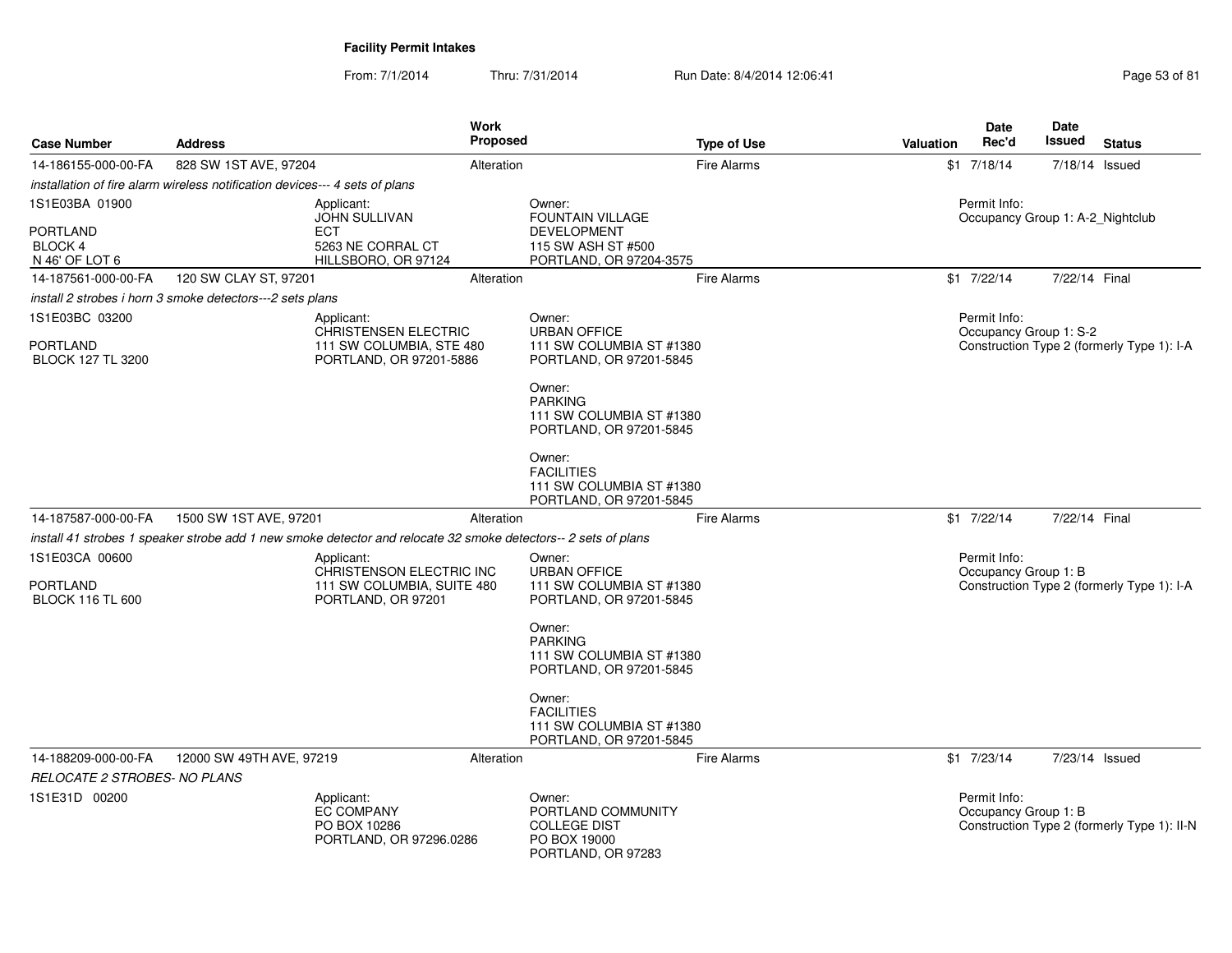| <b>Case Number</b>                                                                  | <b>Address</b>                                                                                                                                         | <b>Work</b><br><b>Proposed</b>                                                             |                                                                                                                                                                                                                                    | <b>Type of Use</b> | <b>Valuation</b> | Date<br>Rec'd                                        | Date<br>Issued | <b>Status</b>                               |
|-------------------------------------------------------------------------------------|--------------------------------------------------------------------------------------------------------------------------------------------------------|--------------------------------------------------------------------------------------------|------------------------------------------------------------------------------------------------------------------------------------------------------------------------------------------------------------------------------------|--------------------|------------------|------------------------------------------------------|----------------|---------------------------------------------|
| 14-186155-000-00-FA                                                                 | 828 SW 1ST AVE, 97204                                                                                                                                  | Alteration                                                                                 |                                                                                                                                                                                                                                    | <b>Fire Alarms</b> |                  | $$1$ 7/18/14                                         | 7/18/14 Issued |                                             |
|                                                                                     | installation of fire alarm wireless notification devices--- 4 sets of plans                                                                            |                                                                                            |                                                                                                                                                                                                                                    |                    |                  |                                                      |                |                                             |
| 1S1E03BA 01900<br><b>PORTLAND</b><br>BLOCK 4<br>N 46' OF LOT 6                      | Applicant:<br><b>ECT</b>                                                                                                                               | <b>JOHN SULLIVAN</b><br>5263 NE CORRAL CT<br>HILLSBORO, OR 97124                           | Owner:<br><b>FOUNTAIN VILLAGE</b><br><b>DEVELOPMENT</b><br>115 SW ASH ST #500<br>PORTLAND, OR 97204-3575                                                                                                                           |                    |                  | Permit Info:<br>Occupancy Group 1: A-2 Nightclub     |                |                                             |
| 14-187561-000-00-FA                                                                 | 120 SW CLAY ST, 97201                                                                                                                                  | Alteration                                                                                 |                                                                                                                                                                                                                                    | <b>Fire Alarms</b> |                  | $$1$ 7/22/14                                         | 7/22/14 Final  |                                             |
|                                                                                     | install 2 strobes i horn 3 smoke detectors---2 sets plans                                                                                              |                                                                                            |                                                                                                                                                                                                                                    |                    |                  |                                                      |                |                                             |
| 1S1E03BC 03200<br><b>PORTLAND</b><br><b>BLOCK 127 TL 3200</b>                       | Applicant:                                                                                                                                             | <b>CHRISTENSEN ELECTRIC</b><br>111 SW COLUMBIA, STE 480<br>PORTLAND, OR 97201-5886         | Owner:<br><b>URBAN OFFICE</b><br>111 SW COLUMBIA ST #1380<br>PORTLAND, OR 97201-5845<br>Owner:<br><b>PARKING</b><br>111 SW COLUMBIA ST #1380<br>PORTLAND, OR 97201-5845<br>Owner:<br><b>FACILITIES</b><br>111 SW COLUMBIA ST #1380 |                    |                  | Permit Info:<br>Occupancy Group 1: S-2               |                | Construction Type 2 (formerly Type 1): I-A  |
|                                                                                     |                                                                                                                                                        |                                                                                            | PORTLAND, OR 97201-5845                                                                                                                                                                                                            |                    |                  |                                                      | 7/22/14 Final  |                                             |
| 14-187587-000-00-FA<br>1S1E03CA 00600<br><b>PORTLAND</b><br><b>BLOCK 116 TL 600</b> | 1500 SW 1ST AVE, 97201<br>install 41 strobes 1 speaker strobe add 1 new smoke detector and relocate 32 smoke detectors-- 2 sets of plans<br>Applicant: | Alteration<br>CHRISTENSON ELECTRIC INC<br>111 SW COLUMBIA, SUITE 480<br>PORTLAND, OR 97201 | Owner:<br><b>URBAN OFFICE</b><br>111 SW COLUMBIA ST #1380<br>PORTLAND, OR 97201-5845                                                                                                                                               | <b>Fire Alarms</b> |                  | $$1$ 7/22/14<br>Permit Info:<br>Occupancy Group 1: B |                | Construction Type 2 (formerly Type 1): I-A  |
|                                                                                     |                                                                                                                                                        |                                                                                            | Owner:<br><b>PARKING</b><br>111 SW COLUMBIA ST #1380<br>PORTLAND, OR 97201-5845<br>Owner:<br><b>FACILITIES</b><br>111 SW COLUMBIA ST #1380<br>PORTLAND, OR 97201-5845                                                              |                    |                  |                                                      |                |                                             |
| 14-188209-000-00-FA                                                                 | 12000 SW 49TH AVE, 97219                                                                                                                               | Alteration                                                                                 |                                                                                                                                                                                                                                    | <b>Fire Alarms</b> |                  | $$1$ 7/23/14                                         | 7/23/14 Issued |                                             |
| RELOCATE 2 STROBES- NO PLANS                                                        |                                                                                                                                                        |                                                                                            |                                                                                                                                                                                                                                    |                    |                  |                                                      |                |                                             |
| 1S1E31D 00200                                                                       | Applicant:                                                                                                                                             | <b>EC COMPANY</b><br>PO BOX 10286<br>PORTLAND, OR 97296.0286                               | Owner:<br>PORTLAND COMMUNITY<br><b>COLLEGE DIST</b><br>PO BOX 19000<br>PORTLAND, OR 97283                                                                                                                                          |                    |                  | Permit Info:<br>Occupancy Group 1: B                 |                | Construction Type 2 (formerly Type 1): II-N |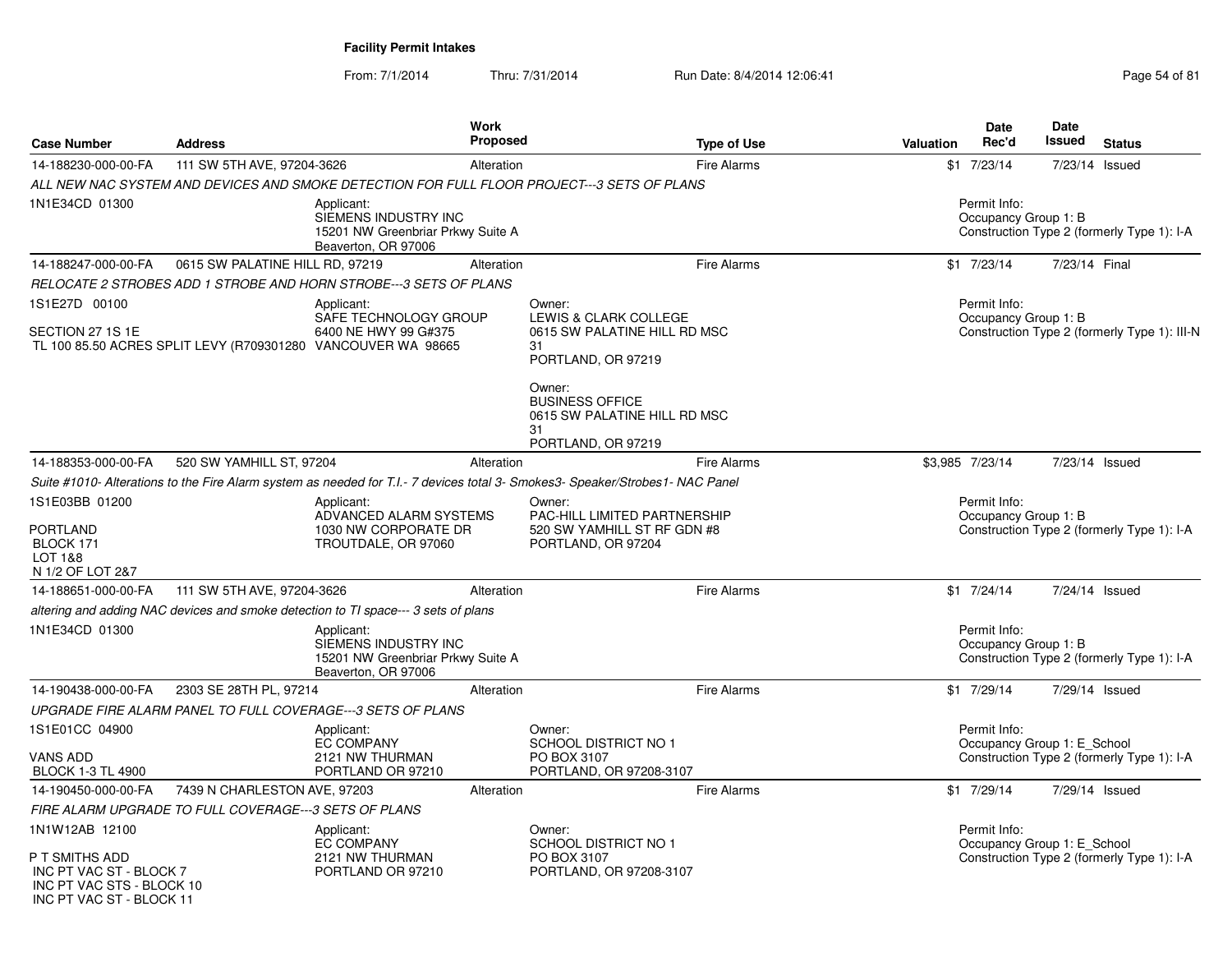INC PT VAC ST - BLOCK 11

From: 7/1/2014Thru: 7/31/2014 Run Date: 8/4/2014 12:06:41 Page 54 of 81

| <b>Case Number</b>                                                                       | <b>Address</b>                                        |                                                                                                               | <b>Work</b><br><b>Proposed</b> | <b>Type of Use</b>                                                                                                            | <b>Valuation</b> | <b>Date</b><br>Rec'd                        | <b>Date</b><br>Issued | <b>Status</b>                                |
|------------------------------------------------------------------------------------------|-------------------------------------------------------|---------------------------------------------------------------------------------------------------------------|--------------------------------|-------------------------------------------------------------------------------------------------------------------------------|------------------|---------------------------------------------|-----------------------|----------------------------------------------|
| 14-188230-000-00-FA                                                                      | 111 SW 5TH AVE, 97204-3626                            |                                                                                                               | Alteration                     | <b>Fire Alarms</b>                                                                                                            |                  | $$1$ 7/23/14                                |                       | 7/23/14 Issued                               |
|                                                                                          |                                                       |                                                                                                               |                                | ALL NEW NAC SYSTEM AND DEVICES AND SMOKE DETECTION FOR FULL FLOOR PROJECT---3 SETS OF PLANS                                   |                  |                                             |                       |                                              |
| 1N1E34CD 01300                                                                           |                                                       | Applicant:<br>SIEMENS INDUSTRY INC<br>15201 NW Greenbriar Prkwy Suite A<br>Beaverton, OR 97006                |                                |                                                                                                                               |                  | Permit Info:<br>Occupancy Group 1: B        |                       | Construction Type 2 (formerly Type 1): I-A   |
| 14-188247-000-00-FA                                                                      | 0615 SW PALATINE HILL RD, 97219                       |                                                                                                               | Alteration                     | <b>Fire Alarms</b>                                                                                                            |                  | $$1$ 7/23/14                                | 7/23/14 Final         |                                              |
|                                                                                          |                                                       | RELOCATE 2 STROBES ADD 1 STROBE AND HORN STROBE---3 SETS OF PLANS                                             |                                |                                                                                                                               |                  |                                             |                       |                                              |
| 1S1E27D 00100                                                                            |                                                       | Applicant:                                                                                                    |                                | Owner:                                                                                                                        |                  | Permit Info:                                |                       |                                              |
| SECTION 27 1S 1E                                                                         |                                                       | SAFE TECHNOLOGY GROUP<br>6400 NE HWY 99 G#375<br>TL 100 85.50 ACRES SPLIT LEVY (R709301280 VANCOUVER WA 98665 |                                | LEWIS & CLARK COLLEGE<br>0615 SW PALATINE HILL RD MSC<br>31<br>PORTLAND, OR 97219                                             |                  | Occupancy Group 1: B                        |                       | Construction Type 2 (formerly Type 1): III-N |
|                                                                                          |                                                       |                                                                                                               |                                | Owner:<br><b>BUSINESS OFFICE</b><br>0615 SW PALATINE HILL RD MSC<br>31<br>PORTLAND, OR 97219                                  |                  |                                             |                       |                                              |
| 14-188353-000-00-FA                                                                      | 520 SW YAMHILL ST, 97204                              |                                                                                                               | Alteration                     | <b>Fire Alarms</b>                                                                                                            |                  | \$3,985 7/23/14                             |                       | 7/23/14 Issued                               |
|                                                                                          |                                                       |                                                                                                               |                                | Suite #1010- Alterations to the Fire Alarm system as needed for T.I.- 7 devices total 3- Smokes3- Speaker/Strobes1- NAC Panel |                  |                                             |                       |                                              |
| 1S1E03BB 01200<br><b>PORTLAND</b><br>BLOCK 171<br><b>LOT 1&amp;8</b><br>N 1/2 OF LOT 2&7 |                                                       | Applicant:<br>ADVANCED ALARM SYSTEMS<br>1030 NW CORPORATE DR<br>TROUTDALE, OR 97060                           |                                | Owner:<br>PAC-HILL LIMITED PARTNERSHIP<br>520 SW YAMHILL ST RF GDN #8<br>PORTLAND, OR 97204                                   |                  | Permit Info:<br>Occupancy Group 1: B        |                       | Construction Type 2 (formerly Type 1): I-A   |
| 14-188651-000-00-FA                                                                      | 111 SW 5TH AVE, 97204-3626                            |                                                                                                               | Alteration                     | <b>Fire Alarms</b>                                                                                                            |                  | $$1$ $7/24/14$                              |                       | 7/24/14 Issued                               |
|                                                                                          |                                                       | altering and adding NAC devices and smoke detection to TI space--- 3 sets of plans                            |                                |                                                                                                                               |                  |                                             |                       |                                              |
| 1N1E34CD 01300                                                                           |                                                       | Applicant:<br>SIEMENS INDUSTRY INC<br>15201 NW Greenbriar Prkwy Suite A<br>Beaverton, OR 97006                |                                |                                                                                                                               |                  | Permit Info:<br>Occupancy Group 1: B        |                       | Construction Type 2 (formerly Type 1): I-A   |
| 14-190438-000-00-FA                                                                      | 2303 SE 28TH PL, 97214                                |                                                                                                               | Alteration                     | <b>Fire Alarms</b>                                                                                                            |                  | $$1$ 7/29/14                                |                       | 7/29/14 Issued                               |
|                                                                                          |                                                       | UPGRADE FIRE ALARM PANEL TO FULL COVERAGE---3 SETS OF PLANS                                                   |                                |                                                                                                                               |                  |                                             |                       |                                              |
| 1S1E01CC 04900                                                                           |                                                       | Applicant:<br><b>EC COMPANY</b>                                                                               |                                | Owner:<br>SCHOOL DISTRICT NO 1                                                                                                |                  | Permit Info:<br>Occupancy Group 1: E_School |                       |                                              |
| <b>VANS ADD</b><br><b>BLOCK 1-3 TL 4900</b>                                              |                                                       | 2121 NW THURMAN<br>PORTLAND OR 97210                                                                          |                                | PO BOX 3107<br>PORTLAND, OR 97208-3107                                                                                        |                  |                                             |                       | Construction Type 2 (formerly Type 1): I-A   |
| 14-190450-000-00-FA                                                                      | 7439 N CHARLESTON AVE, 97203                          |                                                                                                               | Alteration                     | <b>Fire Alarms</b>                                                                                                            |                  | \$1 7/29/14                                 |                       | 7/29/14 Issued                               |
|                                                                                          | FIRE ALARM UPGRADE TO FULL COVERAGE---3 SETS OF PLANS |                                                                                                               |                                |                                                                                                                               |                  |                                             |                       |                                              |
| 1N1W12AB 12100                                                                           |                                                       | Applicant:                                                                                                    |                                | Owner:                                                                                                                        |                  | Permit Info:                                |                       |                                              |
| P T SMITHS ADD<br>INC PT VAC ST - BLOCK 7<br>INC PT VAC STS - BLOCK 10                   |                                                       | <b>EC COMPANY</b><br>2121 NW THURMAN<br>PORTLAND OR 97210                                                     |                                | <b>SCHOOL DISTRICT NO 1</b><br>PO BOX 3107<br>PORTLAND, OR 97208-3107                                                         |                  | Occupancy Group 1: E School                 |                       | Construction Type 2 (formerly Type 1): I-A   |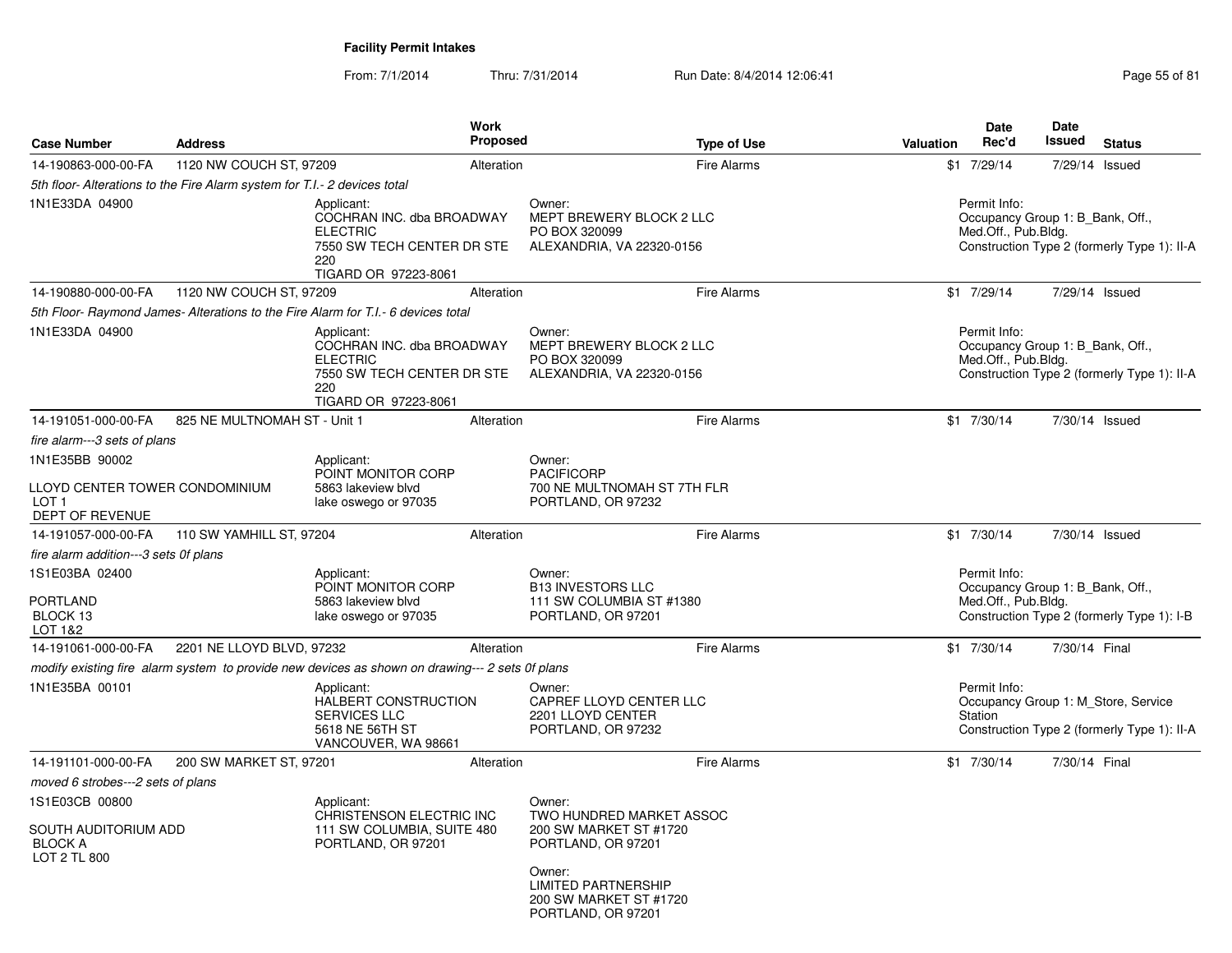From: 7/1/2014Thru: 7/31/2014 Run Date: 8/4/2014 12:06:41 Page 55 of 81

| <b>Case Number</b>                                                       | <b>Address</b>                                                            |                                                                                                                         | <b>Work</b><br><b>Proposed</b> |                                                                                                                                                                            | <b>Type of Use</b> | Valuation | Date<br>Rec'd                       | Date<br>Issued<br><b>Status</b>                                                    |
|--------------------------------------------------------------------------|---------------------------------------------------------------------------|-------------------------------------------------------------------------------------------------------------------------|--------------------------------|----------------------------------------------------------------------------------------------------------------------------------------------------------------------------|--------------------|-----------|-------------------------------------|------------------------------------------------------------------------------------|
| 14-190863-000-00-FA                                                      | 1120 NW COUCH ST, 97209                                                   |                                                                                                                         | Alteration                     |                                                                                                                                                                            | <b>Fire Alarms</b> |           | \$1 7/29/14                         | 7/29/14 Issued                                                                     |
|                                                                          | 5th floor- Alterations to the Fire Alarm system for T.I.- 2 devices total |                                                                                                                         |                                |                                                                                                                                                                            |                    |           |                                     |                                                                                    |
| 1N1E33DA 04900                                                           |                                                                           | Applicant:<br>COCHRAN INC. dba BROADWAY<br><b>ELECTRIC</b><br>7550 SW TECH CENTER DR STE<br>220<br>TIGARD OR 97223-8061 |                                | Owner:<br>MEPT BREWERY BLOCK 2 LLC<br>PO BOX 320099<br>ALEXANDRIA, VA 22320-0156                                                                                           |                    |           | Permit Info:<br>Med.Off., Pub.Bldg. | Occupancy Group 1: B_Bank, Off.,<br>Construction Type 2 (formerly Type 1): II-A    |
| 14-190880-000-00-FA                                                      | 1120 NW COUCH ST, 97209                                                   |                                                                                                                         | Alteration                     |                                                                                                                                                                            | <b>Fire Alarms</b> |           | \$1 7/29/14                         | 7/29/14 Issued                                                                     |
|                                                                          |                                                                           | 5th Floor- Raymond James- Alterations to the Fire Alarm for T.I.- 6 devices total                                       |                                |                                                                                                                                                                            |                    |           |                                     |                                                                                    |
| 1N1E33DA 04900                                                           |                                                                           | Applicant:<br>COCHRAN INC. dba BROADWAY<br><b>ELECTRIC</b><br>7550 SW TECH CENTER DR STE<br>220<br>TIGARD OR 97223-8061 |                                | Owner:<br>MEPT BREWERY BLOCK 2 LLC<br>PO BOX 320099<br>ALEXANDRIA, VA 22320-0156                                                                                           |                    |           | Permit Info:<br>Med.Off., Pub.Bldg. | Occupancy Group 1: B Bank, Off.,<br>Construction Type 2 (formerly Type 1): II-A    |
| 14-191051-000-00-FA                                                      | 825 NE MULTNOMAH ST - Unit 1                                              |                                                                                                                         | Alteration                     |                                                                                                                                                                            | <b>Fire Alarms</b> |           | $$1$ 7/30/14                        | 7/30/14 Issued                                                                     |
| fire alarm---3 sets of plans                                             |                                                                           |                                                                                                                         |                                |                                                                                                                                                                            |                    |           |                                     |                                                                                    |
| 1N1E35BB 90002                                                           |                                                                           | Applicant:                                                                                                              |                                | Owner:                                                                                                                                                                     |                    |           |                                     |                                                                                    |
| LLOYD CENTER TOWER CONDOMINIUM<br>LOT 1<br>DEPT OF REVENUE               |                                                                           | POINT MONITOR CORP<br>5863 lakeview blvd<br>lake oswego or 97035                                                        |                                | <b>PACIFICORP</b><br>700 NE MULTNOMAH ST 7TH FLR<br>PORTLAND, OR 97232                                                                                                     |                    |           |                                     |                                                                                    |
| 14-191057-000-00-FA                                                      | 110 SW YAMHILL ST, 97204                                                  |                                                                                                                         | Alteration                     |                                                                                                                                                                            | <b>Fire Alarms</b> |           | $$1$ 7/30/14                        | 7/30/14 Issued                                                                     |
| fire alarm addition---3 sets 0f plans                                    |                                                                           |                                                                                                                         |                                |                                                                                                                                                                            |                    |           |                                     |                                                                                    |
| 1S1E03BA 02400<br>PORTLAND<br>BLOCK 13<br>LOT 1&2                        |                                                                           | Applicant:<br>POINT MONITOR CORP<br>5863 lakeview blvd<br>lake oswego or 97035                                          |                                | Owner:<br><b>B13 INVESTORS LLC</b><br>111 SW COLUMBIA ST #1380<br>PORTLAND, OR 97201                                                                                       |                    |           | Permit Info:<br>Med.Off., Pub.Bldg. | Occupancy Group 1: B_Bank, Off.,<br>Construction Type 2 (formerly Type 1): I-B     |
| 14-191061-000-00-FA                                                      | 2201 NE LLOYD BLVD, 97232                                                 |                                                                                                                         | Alteration                     |                                                                                                                                                                            | <b>Fire Alarms</b> |           | $$1$ 7/30/14                        | 7/30/14 Final                                                                      |
|                                                                          |                                                                           | modify existing fire alarm system to provide new devices as shown on drawing--- 2 sets 0f plans                         |                                |                                                                                                                                                                            |                    |           |                                     |                                                                                    |
| 1N1E35BA 00101                                                           |                                                                           | Applicant:<br>HALBERT CONSTRUCTION<br><b>SERVICES LLC</b><br>5618 NE 56TH ST<br>VANCOUVER, WA 98661                     |                                | Owner:<br>CAPREF LLOYD CENTER LLC<br>2201 LLOYD CENTER<br>PORTLAND, OR 97232                                                                                               |                    |           | Permit Info:<br>Station             | Occupancy Group 1: M_Store, Service<br>Construction Type 2 (formerly Type 1): II-A |
| 14-191101-000-00-FA                                                      | 200 SW MARKET ST, 97201                                                   |                                                                                                                         | Alteration                     |                                                                                                                                                                            | <b>Fire Alarms</b> |           | $$1$ 7/30/14                        | 7/30/14 Final                                                                      |
| moved 6 strobes---2 sets of plans                                        |                                                                           |                                                                                                                         |                                |                                                                                                                                                                            |                    |           |                                     |                                                                                    |
| 1S1E03CB 00800<br>SOUTH AUDITORIUM ADD<br><b>BLOCK A</b><br>LOT 2 TL 800 |                                                                           | Applicant:<br>CHRISTENSON ELECTRIC INC<br>111 SW COLUMBIA, SUITE 480<br>PORTLAND, OR 97201                              |                                | Owner:<br>TWO HUNDRED MARKET ASSOC<br>200 SW MARKET ST #1720<br>PORTLAND, OR 97201<br>Owner:<br><b>LIMITED PARTNERSHIP</b><br>200 SW MARKET ST #1720<br>PORTLAND, OR 97201 |                    |           |                                     |                                                                                    |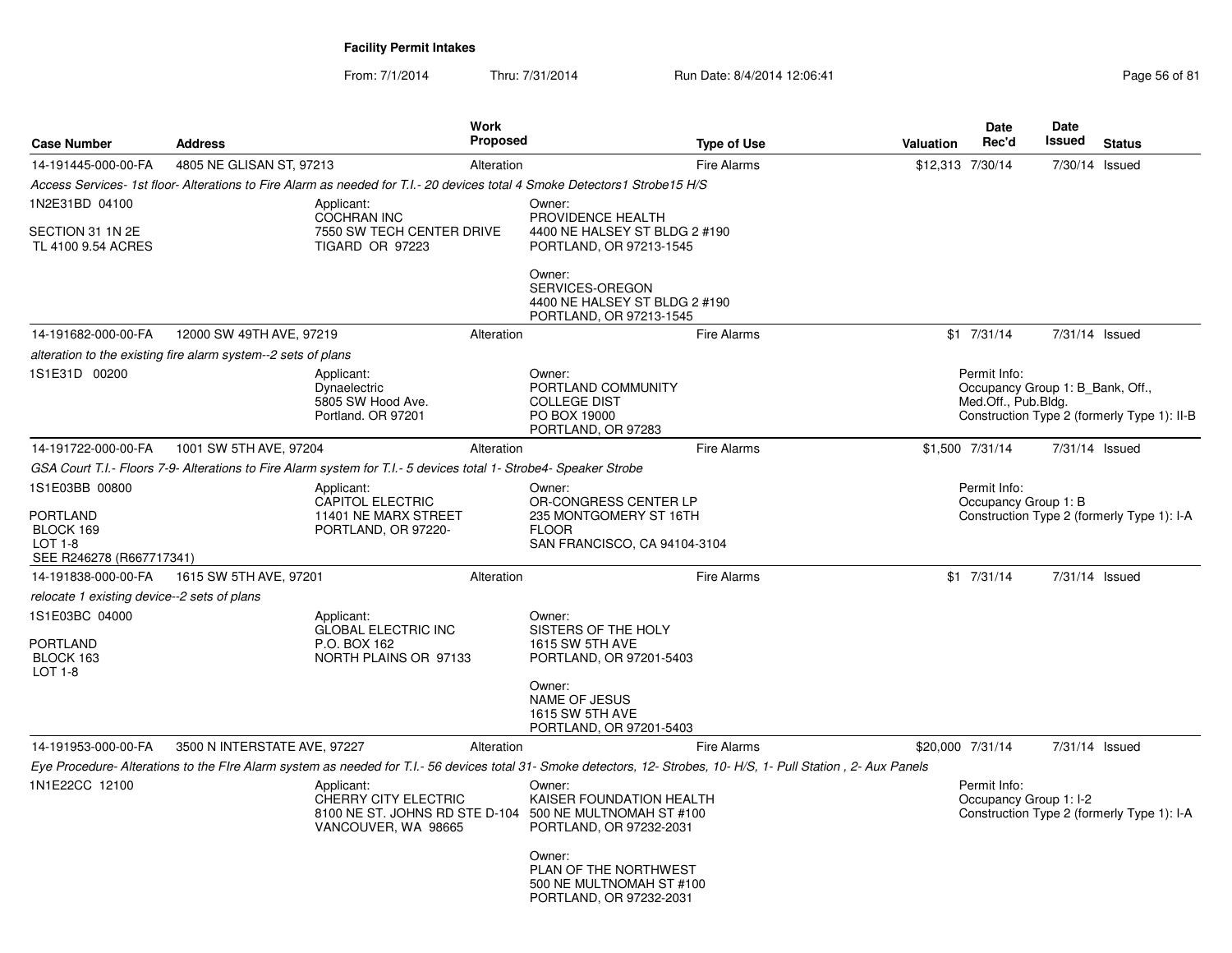From: 7/1/2014Thru: 7/31/2014 Run Date: 8/4/2014 12:06:41 Page 56 of 81

| <b>Case Number</b>                                                                           | <b>Address</b>                                                |                                                                                                                   | <b>Work</b><br><b>Proposed</b> |                                                                                                                                                                     | <b>Type of Use</b> | <b>Valuation</b> | <b>Date</b><br>Rec'd                                                               | Date<br>Issued | <b>Status</b>                               |
|----------------------------------------------------------------------------------------------|---------------------------------------------------------------|-------------------------------------------------------------------------------------------------------------------|--------------------------------|---------------------------------------------------------------------------------------------------------------------------------------------------------------------|--------------------|------------------|------------------------------------------------------------------------------------|----------------|---------------------------------------------|
| 14-191445-000-00-FA                                                                          | 4805 NE GLISAN ST, 97213                                      |                                                                                                                   | Alteration                     |                                                                                                                                                                     | <b>Fire Alarms</b> |                  | \$12,313 7/30/14                                                                   | 7/30/14 Issued |                                             |
|                                                                                              |                                                               |                                                                                                                   |                                | Access Services- 1st floor-Alterations to Fire Alarm as needed for T.I.- 20 devices total 4 Smoke Detectors1 Strobe15 H/S                                           |                    |                  |                                                                                    |                |                                             |
| 1N2E31BD 04100                                                                               |                                                               | Applicant:                                                                                                        |                                | Owner:                                                                                                                                                              |                    |                  |                                                                                    |                |                                             |
| SECTION 31 1N 2E<br>TL 4100 9.54 ACRES                                                       |                                                               | COCHRAN INC<br>7550 SW TECH CENTER DRIVE<br>TIGARD OR 97223                                                       |                                | PROVIDENCE HEALTH<br>4400 NE HALSEY ST BLDG 2 #190<br>PORTLAND, OR 97213-1545                                                                                       |                    |                  |                                                                                    |                |                                             |
|                                                                                              |                                                               |                                                                                                                   |                                | Owner:<br>SERVICES-OREGON<br>4400 NE HALSEY ST BLDG 2 #190<br>PORTLAND, OR 97213-1545                                                                               |                    |                  |                                                                                    |                |                                             |
| 14-191682-000-00-FA                                                                          | 12000 SW 49TH AVE, 97219                                      |                                                                                                                   | Alteration                     |                                                                                                                                                                     | <b>Fire Alarms</b> |                  | $$1$ $7/31/14$                                                                     | 7/31/14 Issued |                                             |
|                                                                                              | alteration to the existing fire alarm system--2 sets of plans |                                                                                                                   |                                |                                                                                                                                                                     |                    |                  |                                                                                    |                |                                             |
| 1S1E31D 00200                                                                                |                                                               | Applicant:<br>Dynaelectric<br>5805 SW Hood Ave.<br>Portland, OR 97201                                             |                                | Owner:<br>PORTLAND COMMUNITY<br><b>COLLEGE DIST</b><br>PO BOX 19000<br>PORTLAND, OR 97283                                                                           |                    |                  | Permit Info:<br>Occupancy Group 1: B_Bank, Off.,<br>Med.Off., Pub.Bldg.            |                | Construction Type 2 (formerly Type 1): II-B |
| 14-191722-000-00-FA                                                                          | 1001 SW 5TH AVE, 97204                                        |                                                                                                                   | Alteration                     |                                                                                                                                                                     | <b>Fire Alarms</b> |                  | \$1,500 7/31/14                                                                    | 7/31/14 Issued |                                             |
|                                                                                              |                                                               | GSA Court T.I.- Floors 7-9- Alterations to Fire Alarm system for T.I.- 5 devices total 1- Strobe4- Speaker Strobe |                                |                                                                                                                                                                     |                    |                  |                                                                                    |                |                                             |
| 1S1E03BB 00800<br><b>PORTLAND</b><br>BLOCK 169<br><b>LOT 1-8</b><br>SEE R246278 (R667717341) |                                                               | Applicant:<br><b>CAPITOL ELECTRIC</b><br>11401 NE MARX STREET<br>PORTLAND, OR 97220-                              |                                | Owner:<br>OR-CONGRESS CENTER LP<br>235 MONTGOMERY ST 16TH<br><b>FLOOR</b><br>SAN FRANCISCO, CA 94104-3104                                                           |                    |                  | Permit Info:<br>Occupancy Group 1: B<br>Construction Type 2 (formerly Type 1): I-A |                |                                             |
| 14-191838-000-00-FA                                                                          | 1615 SW 5TH AVE, 97201                                        |                                                                                                                   | Alteration                     |                                                                                                                                                                     | <b>Fire Alarms</b> |                  | $$1$ 7/31/14                                                                       | 7/31/14 Issued |                                             |
| relocate 1 existing device--2 sets of plans                                                  |                                                               |                                                                                                                   |                                |                                                                                                                                                                     |                    |                  |                                                                                    |                |                                             |
| 1S1E03BC 04000<br><b>PORTLAND</b><br>BLOCK 163<br><b>LOT 1-8</b>                             |                                                               | Applicant:<br><b>GLOBAL ELECTRIC INC</b><br>P.O. BOX 162<br>NORTH PLAINS OR 97133                                 |                                | Owner:<br>SISTERS OF THE HOLY<br><b>1615 SW 5TH AVE</b><br>PORTLAND, OR 97201-5403<br>Owner:<br><b>NAME OF JESUS</b><br>1615 SW 5TH AVE<br>PORTLAND, OR 97201-5403  |                    |                  |                                                                                    |                |                                             |
| 14-191953-000-00-FA                                                                          | 3500 N INTERSTATE AVE, 97227                                  |                                                                                                                   | Alteration                     |                                                                                                                                                                     | <b>Fire Alarms</b> |                  | \$20,000 7/31/14                                                                   | 7/31/14 Issued |                                             |
|                                                                                              |                                                               |                                                                                                                   |                                | Eye Procedure- Alterations to the Flre Alarm system as needed for T.I.- 56 devices total 31- Smoke detectors, 12- Strobes, 10- H/S, 1- Pull Station , 2- Aux Panels |                    |                  |                                                                                    |                |                                             |
| 1N1E22CC 12100                                                                               |                                                               | Applicant:<br>CHERRY CITY ELECTRIC<br>8100 NE ST. JOHNS RD STE D-104<br>VANCOUVER, WA 98665                       |                                | Owner:<br>KAISER FOUNDATION HEALTH<br>500 NE MULTNOMAH ST #100<br>PORTLAND, OR 97232-2031                                                                           |                    |                  | Permit Info:<br>Occupancy Group 1: I-2                                             |                | Construction Type 2 (formerly Type 1): I-A  |
|                                                                                              |                                                               |                                                                                                                   |                                | Owner:<br>PLAN OF THE NORTHWEST<br>500 NE MULTNOMAH ST #100<br>PORTLAND, OR 97232-2031                                                                              |                    |                  |                                                                                    |                |                                             |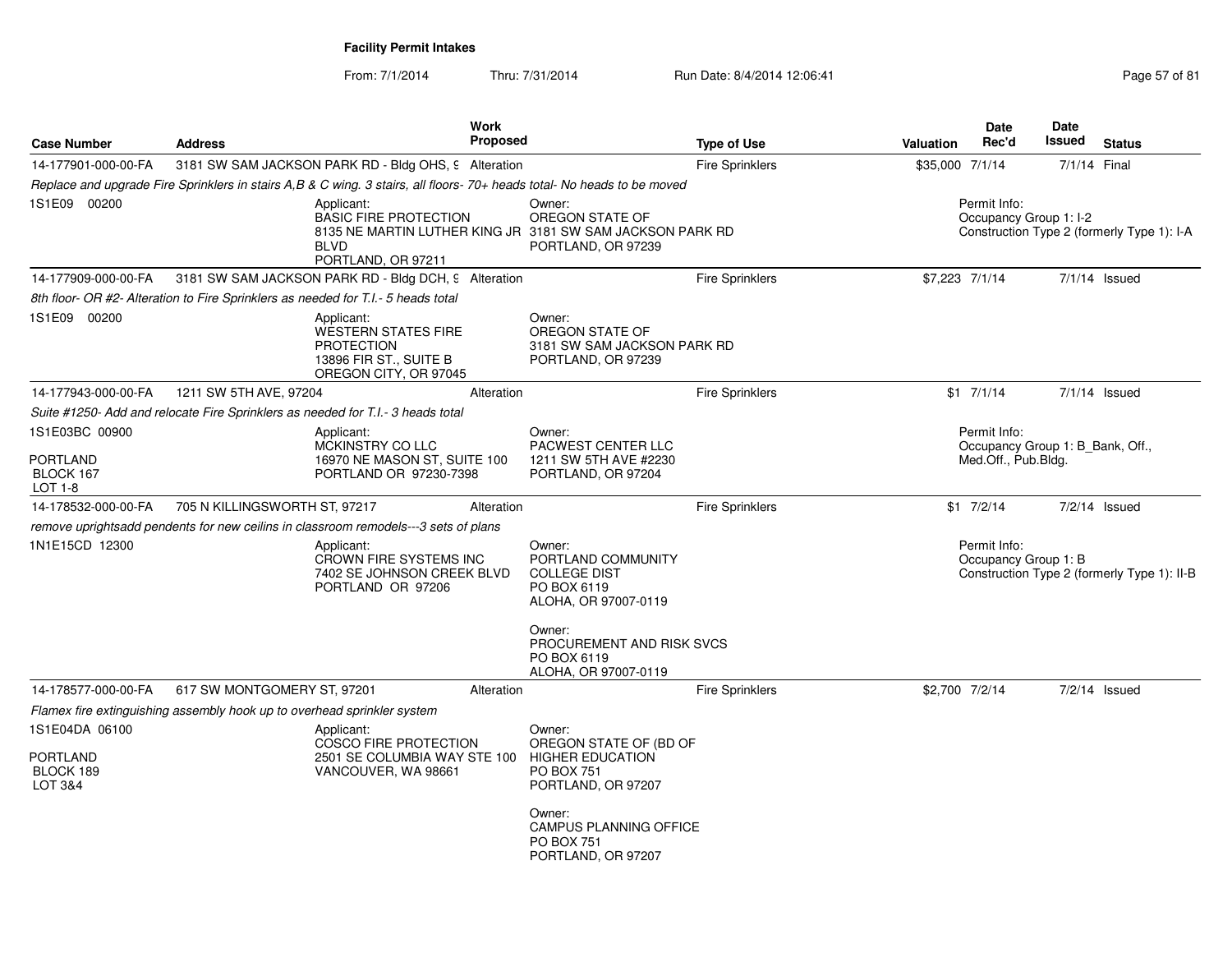From: 7/1/2014Thru: 7/31/2014 Run Date: 8/4/2014 12:06:41 Page 57 of 81

|                                  |                                                                         |                                                                                                           | <b>Work</b>     |                                                                                                                         |                        |                  | <b>Date</b>                                      | <b>Date</b>  |                                             |
|----------------------------------|-------------------------------------------------------------------------|-----------------------------------------------------------------------------------------------------------|-----------------|-------------------------------------------------------------------------------------------------------------------------|------------------------|------------------|--------------------------------------------------|--------------|---------------------------------------------|
| <b>Case Number</b>               | <b>Address</b>                                                          |                                                                                                           | <b>Proposed</b> |                                                                                                                         | <b>Type of Use</b>     | <b>Valuation</b> | Rec'd                                            | Issued       | <b>Status</b>                               |
| 14-177901-000-00-FA              |                                                                         | 3181 SW SAM JACKSON PARK RD - Bldg OHS, 9 Alteration                                                      |                 |                                                                                                                         | Fire Sprinklers        | \$35,000 7/1/14  |                                                  | 7/1/14 Final |                                             |
|                                  |                                                                         |                                                                                                           |                 | Replace and upgrade Fire Sprinklers in stairs A,B & C wing. 3 stairs, all floors- 70+ heads total- No heads to be moved |                        |                  |                                                  |              |                                             |
| 1S1E09 00200                     |                                                                         | Applicant:<br><b>BASIC FIRE PROTECTION</b><br><b>BIVD</b><br>PORTLAND, OR 97211                           |                 | Owner:<br>OREGON STATE OF<br>8135 NE MARTIN LUTHER KING JR 3181 SW SAM JACKSON PARK RD<br>PORTLAND, OR 97239            |                        |                  | Permit Info:<br>Occupancy Group 1: I-2           |              | Construction Type 2 (formerly Type 1): I-A  |
| 14-177909-000-00-FA              |                                                                         | 3181 SW SAM JACKSON PARK RD - Bldg DCH, 9 Alteration                                                      |                 |                                                                                                                         | <b>Fire Sprinklers</b> | \$7,223 7/1/14   |                                                  |              | $7/1/14$ Issued                             |
|                                  |                                                                         | 8th floor- OR #2- Alteration to Fire Sprinklers as needed for T.I.- 5 heads total                         |                 |                                                                                                                         |                        |                  |                                                  |              |                                             |
| 1S1E09 00200                     |                                                                         | Applicant:<br>WESTERN STATES FIRE<br><b>PROTECTION</b><br>13896 FIR ST., SUITE B<br>OREGON CITY, OR 97045 |                 | Owner:<br>OREGON STATE OF<br>3181 SW SAM JACKSON PARK RD<br>PORTLAND, OR 97239                                          |                        |                  |                                                  |              |                                             |
| 14-177943-000-00-FA              | 1211 SW 5TH AVE, 97204                                                  |                                                                                                           | Alteration      |                                                                                                                         | Fire Sprinklers        |                  | $$1$ $7/1/14$                                    |              | $7/1/14$ Issued                             |
|                                  |                                                                         | Suite #1250- Add and relocate Fire Sprinklers as needed for T.I.- 3 heads total                           |                 |                                                                                                                         |                        |                  |                                                  |              |                                             |
| 1S1E03BC 00900                   |                                                                         | Applicant:<br>MCKINSTRY CO LLC                                                                            |                 | Owner:<br>PACWEST CENTER LLC                                                                                            |                        |                  | Permit Info:<br>Occupancy Group 1: B_Bank, Off., |              |                                             |
| PORTLAND<br>BLOCK 167<br>LOT 1-8 |                                                                         | 16970 NE MASON ST, SUITE 100<br>PORTLAND OR 97230-7398                                                    |                 | 1211 SW 5TH AVE #2230<br>PORTLAND, OR 97204                                                                             |                        |                  | Med.Off., Pub.Bldg.                              |              |                                             |
| 14-178532-000-00-FA              | 705 N KILLINGSWORTH ST, 97217                                           |                                                                                                           | Alteration      |                                                                                                                         | <b>Fire Sprinklers</b> |                  | $$1 \t7/2/14$                                    |              | $7/2/14$ Issued                             |
|                                  |                                                                         | remove uprightsadd pendents for new ceilins in classroom remodels---3 sets of plans                       |                 |                                                                                                                         |                        |                  |                                                  |              |                                             |
| 1N1E15CD 12300                   |                                                                         | Applicant:<br>CROWN FIRE SYSTEMS INC<br>7402 SE JOHNSON CREEK BLVD<br>PORTLAND OR 97206                   |                 | Owner:<br>PORTLAND COMMUNITY<br><b>COLLEGE DIST</b><br>PO BOX 6119<br>ALOHA, OR 97007-0119                              |                        |                  | Permit Info:<br>Occupancy Group 1: B             |              | Construction Type 2 (formerly Type 1): II-B |
|                                  |                                                                         |                                                                                                           |                 | Owner:<br>PROCUREMENT AND RISK SVCS<br>PO BOX 6119<br>ALOHA, OR 97007-0119                                              |                        |                  |                                                  |              |                                             |
| 14-178577-000-00-FA              | 617 SW MONTGOMERY ST, 97201                                             |                                                                                                           | Alteration      |                                                                                                                         | <b>Fire Sprinklers</b> | \$2,700 7/2/14   |                                                  |              | $7/2/14$ Issued                             |
|                                  | Flamex fire extinguishing assembly hook up to overhead sprinkler system |                                                                                                           |                 |                                                                                                                         |                        |                  |                                                  |              |                                             |
| 1S1E04DA 06100<br>PORTLAND       |                                                                         | Applicant:<br><b>COSCO FIRE PROTECTION</b><br>2501 SE COLUMBIA WAY STE 100                                |                 | Owner:<br>OREGON STATE OF (BD OF<br><b>HIGHER EDUCATION</b>                                                             |                        |                  |                                                  |              |                                             |
| BLOCK 189<br><b>LOT 3&amp;4</b>  |                                                                         | VANCOUVER, WA 98661                                                                                       |                 | <b>PO BOX 751</b><br>PORTLAND, OR 97207                                                                                 |                        |                  |                                                  |              |                                             |
|                                  |                                                                         |                                                                                                           |                 | Owner:<br><b>CAMPUS PLANNING OFFICE</b><br><b>PO BOX 751</b><br>PORTLAND, OR 97207                                      |                        |                  |                                                  |              |                                             |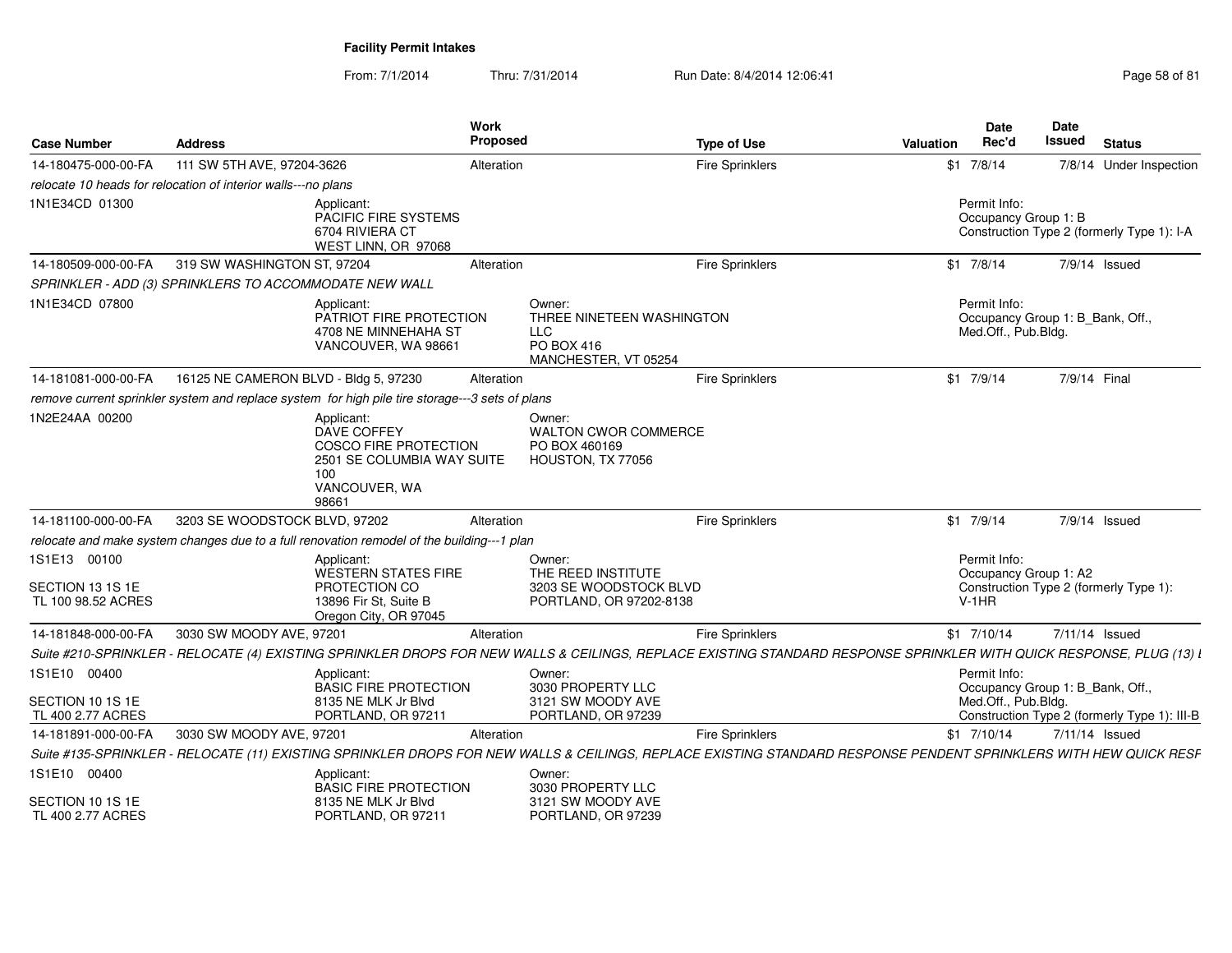| <b>Case Number</b>                                     | <b>Address</b>                                                                                                                                                       | <b>Work</b><br><b>Proposed</b>                                            |                                                                                         | <b>Type of Use</b>     | Valuation | <b>Date</b><br>Rec'd                                                    | Date<br>Issued | <b>Status</b>                                |
|--------------------------------------------------------|----------------------------------------------------------------------------------------------------------------------------------------------------------------------|---------------------------------------------------------------------------|-----------------------------------------------------------------------------------------|------------------------|-----------|-------------------------------------------------------------------------|----------------|----------------------------------------------|
| 14-180475-000-00-FA                                    | 111 SW 5TH AVE, 97204-3626                                                                                                                                           | Alteration                                                                |                                                                                         | <b>Fire Sprinklers</b> |           | $$1 \t7/8/14$                                                           |                | 7/8/14 Under Inspection                      |
|                                                        | relocate 10 heads for relocation of interior walls---no plans                                                                                                        |                                                                           |                                                                                         |                        |           |                                                                         |                |                                              |
| 1N1E34CD 01300                                         | Applicant:<br>6704 RIVIERA CT                                                                                                                                        | PACIFIC FIRE SYSTEMS<br>WEST LINN, OR 97068                               |                                                                                         |                        |           | Permit Info:<br>Occupancy Group 1: B                                    |                | Construction Type 2 (formerly Type 1): I-A   |
| 14-180509-000-00-FA                                    | 319 SW WASHINGTON ST, 97204                                                                                                                                          | Alteration                                                                |                                                                                         | <b>Fire Sprinklers</b> |           | $$1 \t7/8/14$                                                           |                | 7/9/14 Issued                                |
|                                                        | SPRINKLER - ADD (3) SPRINKLERS TO ACCOMMODATE NEW WALL                                                                                                               |                                                                           |                                                                                         |                        |           |                                                                         |                |                                              |
| 1N1E34CD 07800                                         | Applicant:                                                                                                                                                           | PATRIOT FIRE PROTECTION<br>4708 NE MINNEHAHA ST<br>VANCOUVER, WA 98661    | Owner:<br>THREE NINETEEN WASHINGTON<br><b>LLC</b><br>PO BOX 416<br>MANCHESTER, VT 05254 |                        |           | Permit Info:<br>Occupancy Group 1: B_Bank, Off.,<br>Med.Off., Pub.Bldg. |                |                                              |
| 14-181081-000-00-FA                                    | 16125 NE CAMERON BLVD - Bldg 5, 97230                                                                                                                                | Alteration                                                                |                                                                                         | Fire Sprinklers        |           | $$1$ 7/9/14                                                             | 7/9/14 Final   |                                              |
|                                                        | remove current sprinkler system and replace system for high pile tire storage---3 sets of plans                                                                      |                                                                           |                                                                                         |                        |           |                                                                         |                |                                              |
| 1N2E24AA 00200                                         | Applicant:<br>DAVE COFFEY<br>100<br>VANCOUVER, WA<br>98661                                                                                                           | COSCO FIRE PROTECTION<br>2501 SE COLUMBIA WAY SUITE                       | Owner:<br><b>WALTON CWOR COMMERCE</b><br>PO BOX 460169<br>HOUSTON, TX 77056             |                        |           |                                                                         |                |                                              |
| 14-181100-000-00-FA                                    | 3203 SE WOODSTOCK BLVD, 97202                                                                                                                                        | Alteration                                                                |                                                                                         | Fire Sprinklers        |           | $$1$ 7/9/14                                                             |                | 7/9/14 Issued                                |
|                                                        | relocate and make system changes due to a full renovation remodel of the building---1 plan                                                                           |                                                                           |                                                                                         |                        |           |                                                                         |                |                                              |
| 1S1E13 00100<br>SECTION 13 1S 1E<br>TL 100 98.52 ACRES | Applicant:<br>PROTECTION CO<br>13896 Fir St. Suite B                                                                                                                 | WESTERN STATES FIRE<br>Oregon City, OR 97045                              | Owner:<br>THE REED INSTITUTE<br>3203 SE WOODSTOCK BLVD<br>PORTLAND, OR 97202-8138       |                        |           | Permit Info:<br>Occupancy Group 1: A2<br>$V-1HR$                        |                | Construction Type 2 (formerly Type 1):       |
| 14-181848-000-00-FA                                    | 3030 SW MOODY AVE, 97201                                                                                                                                             | Alteration                                                                |                                                                                         | Fire Sprinklers        |           | $$1$ 7/10/14                                                            |                | 7/11/14 Issued                               |
|                                                        | Suite #210-SPRINKLER - RELOCATE (4) EXISTING SPRINKLER DROPS FOR NEW WALLS & CEILINGS, REPLACE EXISTING STANDARD RESPONSE SPRINKLER WITH QUICK RESPONSE, PLUG (13) L |                                                                           |                                                                                         |                        |           |                                                                         |                |                                              |
| 1S1E10 00400<br>SECTION 10 1S 1E<br>TL 400 2.77 ACRES  | Applicant                                                                                                                                                            | <b>BASIC FIRE PROTECTION</b><br>8135 NE MLK Jr Blvd<br>PORTLAND, OR 97211 | Owner:<br>3030 PROPERTY LLC<br>3121 SW MOODY AVE<br>PORTLAND, OR 97239                  |                        |           | Permit Info:<br>Occupancy Group 1: B_Bank, Off.,<br>Med.Off., Pub.Bldg. |                | Construction Type 2 (formerly Type 1): III-B |
| 14-181891-000-00-FA                                    | 3030 SW MOODY AVE, 97201                                                                                                                                             | Alteration                                                                |                                                                                         | <b>Fire Sprinklers</b> |           | $$1$ 7/10/14                                                            |                | 7/11/14 Issued                               |
|                                                        | Suite #135-SPRINKLER - RELOCATE (11) EXISTING SPRINKLER DROPS FOR NEW WALLS & CEILINGS, REPLACE EXISTING STANDARD RESPONSE PENDENT SPRINKLERS WITH HEW QUICK RESF    |                                                                           |                                                                                         |                        |           |                                                                         |                |                                              |
| 1S1E10 00400                                           | Applicant:                                                                                                                                                           | <b>BASIC FIRE PROTECTION</b>                                              | Owner:<br>3030 PROPERTY LLC                                                             |                        |           |                                                                         |                |                                              |
| SECTION 10 1S 1E<br>TL 400 2.77 ACRES                  |                                                                                                                                                                      | 8135 NE MLK Jr Blvd<br>PORTLAND, OR 97211                                 | 3121 SW MOODY AVE<br>PORTLAND, OR 97239                                                 |                        |           |                                                                         |                |                                              |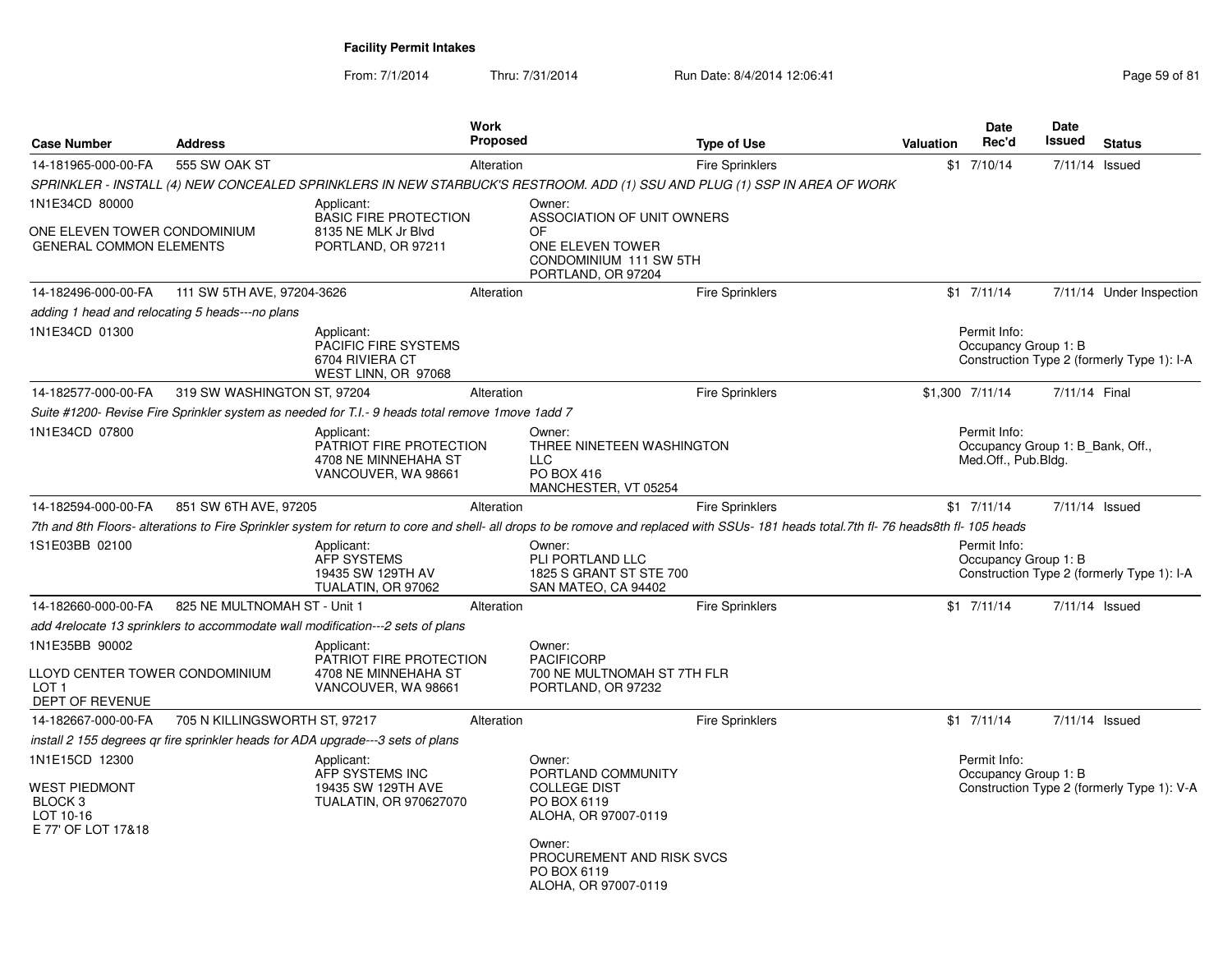From: 7/1/2014Thru: 7/31/2014 Run Date: 8/4/2014 12:06:41 Page 59 of 81

| <b>Case Number</b>                                                                       | <b>Address</b>                |                                                                                                   | Work<br>Proposed |                                                                                                                                   | <b>Type of Use</b>                                                                                                                                                                       | <b>Valuation</b> | <b>Date</b><br>Rec'd                                                    | Date<br><b>Issued</b> | <b>Status</b>                              |
|------------------------------------------------------------------------------------------|-------------------------------|---------------------------------------------------------------------------------------------------|------------------|-----------------------------------------------------------------------------------------------------------------------------------|------------------------------------------------------------------------------------------------------------------------------------------------------------------------------------------|------------------|-------------------------------------------------------------------------|-----------------------|--------------------------------------------|
| 14-181965-000-00-FA                                                                      | 555 SW OAK ST                 |                                                                                                   | Alteration       |                                                                                                                                   | <b>Fire Sprinklers</b>                                                                                                                                                                   |                  | $$1$ 7/10/14                                                            | 7/11/14 Issued        |                                            |
|                                                                                          |                               |                                                                                                   |                  |                                                                                                                                   | SPRINKLER - INSTALL (4) NEW CONCEALED SPRINKLERS IN NEW STARBUCK'S RESTROOM. ADD (1) SSU AND PLUG (1) SSP IN AREA OF WORK                                                                |                  |                                                                         |                       |                                            |
| 1N1E34CD 80000                                                                           |                               | Applicant:<br><b>BASIC FIRE PROTECTION</b>                                                        |                  | Owner:<br>ASSOCIATION OF UNIT OWNERS                                                                                              |                                                                                                                                                                                          |                  |                                                                         |                       |                                            |
| ONE ELEVEN TOWER CONDOMINIUM<br><b>GENERAL COMMON ELEMENTS</b>                           |                               | 8135 NE MLK Jr Blvd<br>PORTLAND, OR 97211                                                         |                  | OF<br>ONE ELEVEN TOWER<br>CONDOMINIUM 111 SW 5TH<br>PORTLAND, OR 97204                                                            |                                                                                                                                                                                          |                  |                                                                         |                       |                                            |
| 14-182496-000-00-FA                                                                      | 111 SW 5TH AVE, 97204-3626    |                                                                                                   | Alteration       |                                                                                                                                   | <b>Fire Sprinklers</b>                                                                                                                                                                   |                  | $$1$ $7/11/14$                                                          |                       | 7/11/14 Under Inspection                   |
| adding 1 head and relocating 5 heads---no plans                                          |                               |                                                                                                   |                  |                                                                                                                                   |                                                                                                                                                                                          |                  |                                                                         |                       |                                            |
| 1N1E34CD 01300                                                                           |                               | Applicant:<br>PACIFIC FIRE SYSTEMS<br>6704 RIVIERA CT<br>WEST LINN, OR 97068                      |                  |                                                                                                                                   |                                                                                                                                                                                          |                  | Permit Info:<br>Occupancy Group 1: B                                    |                       | Construction Type 2 (formerly Type 1): I-A |
| 14-182577-000-00-FA                                                                      | 319 SW WASHINGTON ST, 97204   |                                                                                                   | Alteration       |                                                                                                                                   | <b>Fire Sprinklers</b>                                                                                                                                                                   |                  | \$1,300 7/11/14                                                         | 7/11/14 Final         |                                            |
|                                                                                          |                               | Suite #1200- Revise Fire Sprinkler system as needed for T.I.- 9 heads total remove 1 move 1 add 7 |                  |                                                                                                                                   |                                                                                                                                                                                          |                  |                                                                         |                       |                                            |
| 1N1E34CD 07800                                                                           |                               | Applicant:<br>PATRIOT FIRE PROTECTION<br>4708 NE MINNEHAHA ST<br>VANCOUVER, WA 98661              |                  | Owner:<br>THREE NINETEEN WASHINGTON<br><b>LLC</b><br>PO BOX 416<br>MANCHESTER, VT 05254                                           |                                                                                                                                                                                          |                  | Permit Info:<br>Occupancy Group 1: B_Bank, Off.,<br>Med.Off., Pub.Bldg. |                       |                                            |
| 14-182594-000-00-FA                                                                      | 851 SW 6TH AVE, 97205         |                                                                                                   | Alteration       |                                                                                                                                   | <b>Fire Sprinklers</b>                                                                                                                                                                   |                  | $$1$ 7/11/14                                                            | 7/11/14 Issued        |                                            |
|                                                                                          |                               |                                                                                                   |                  |                                                                                                                                   | 7th and 8th Floors- alterations to Fire Sprinkler system for return to core and shell- all drops to be romove and replaced with SSUs- 181 heads total. 7th fl- 76 heads8th fl- 105 heads |                  |                                                                         |                       |                                            |
| 1S1E03BB 02100                                                                           |                               | Applicant:<br><b>AFP SYSTEMS</b><br>19435 SW 129TH AV<br>TUALATIN, OR 97062                       |                  | Owner:<br>PLI PORTLAND LLC<br>1825 S GRANT ST STE 700<br>SAN MATEO, CA 94402                                                      |                                                                                                                                                                                          |                  | Permit Info:<br>Occupancy Group 1: B                                    |                       | Construction Type 2 (formerly Type 1): I-A |
| 14-182660-000-00-FA                                                                      | 825 NE MULTNOMAH ST - Unit 1  |                                                                                                   | Alteration       |                                                                                                                                   | Fire Sprinklers                                                                                                                                                                          |                  | $$1$ $7/11/14$                                                          | 7/11/14 Issued        |                                            |
|                                                                                          |                               | add 4relocate 13 sprinklers to accommodate wall modification---2 sets of plans                    |                  |                                                                                                                                   |                                                                                                                                                                                          |                  |                                                                         |                       |                                            |
| 1N1E35BB 90002<br>LLOYD CENTER TOWER CONDOMINIUM<br>LOT <sub>1</sub><br>DEPT OF REVENUE  |                               | Applicant:<br>PATRIOT FIRE PROTECTION<br>4708 NE MINNEHAHA ST<br>VANCOUVER, WA 98661              |                  | Owner:<br><b>PACIFICORP</b><br>700 NE MULTNOMAH ST 7TH FLR<br>PORTLAND, OR 97232                                                  |                                                                                                                                                                                          |                  |                                                                         |                       |                                            |
| 14-182667-000-00-FA                                                                      | 705 N KILLINGSWORTH ST, 97217 |                                                                                                   | Alteration       |                                                                                                                                   | <b>Fire Sprinklers</b>                                                                                                                                                                   |                  | $$1$ $7/11/14$                                                          |                       | 7/11/14 Issued                             |
|                                                                                          |                               | install 2 155 degrees qr fire sprinkler heads for ADA upgrade---3 sets of plans                   |                  |                                                                                                                                   |                                                                                                                                                                                          |                  |                                                                         |                       |                                            |
| 1N1E15CD 12300<br>WEST PIEDMONT<br>BLOCK <sub>3</sub><br>LOT 10-16<br>E 77' OF LOT 17&18 |                               | Applicant:<br>AFP SYSTEMS INC<br>19435 SW 129TH AVE<br><b>TUALATIN, OR 970627070</b>              |                  | Owner:<br>PORTLAND COMMUNITY<br><b>COLLEGE DIST</b><br>PO BOX 6119<br>ALOHA, OR 97007-0119<br>Owner:<br>PROCUREMENT AND RISK SVCS |                                                                                                                                                                                          |                  | Permit Info:<br>Occupancy Group 1: B                                    |                       | Construction Type 2 (formerly Type 1): V-A |
|                                                                                          |                               |                                                                                                   |                  | PO BOX 6119<br>ALOHA, OR 97007-0119                                                                                               |                                                                                                                                                                                          |                  |                                                                         |                       |                                            |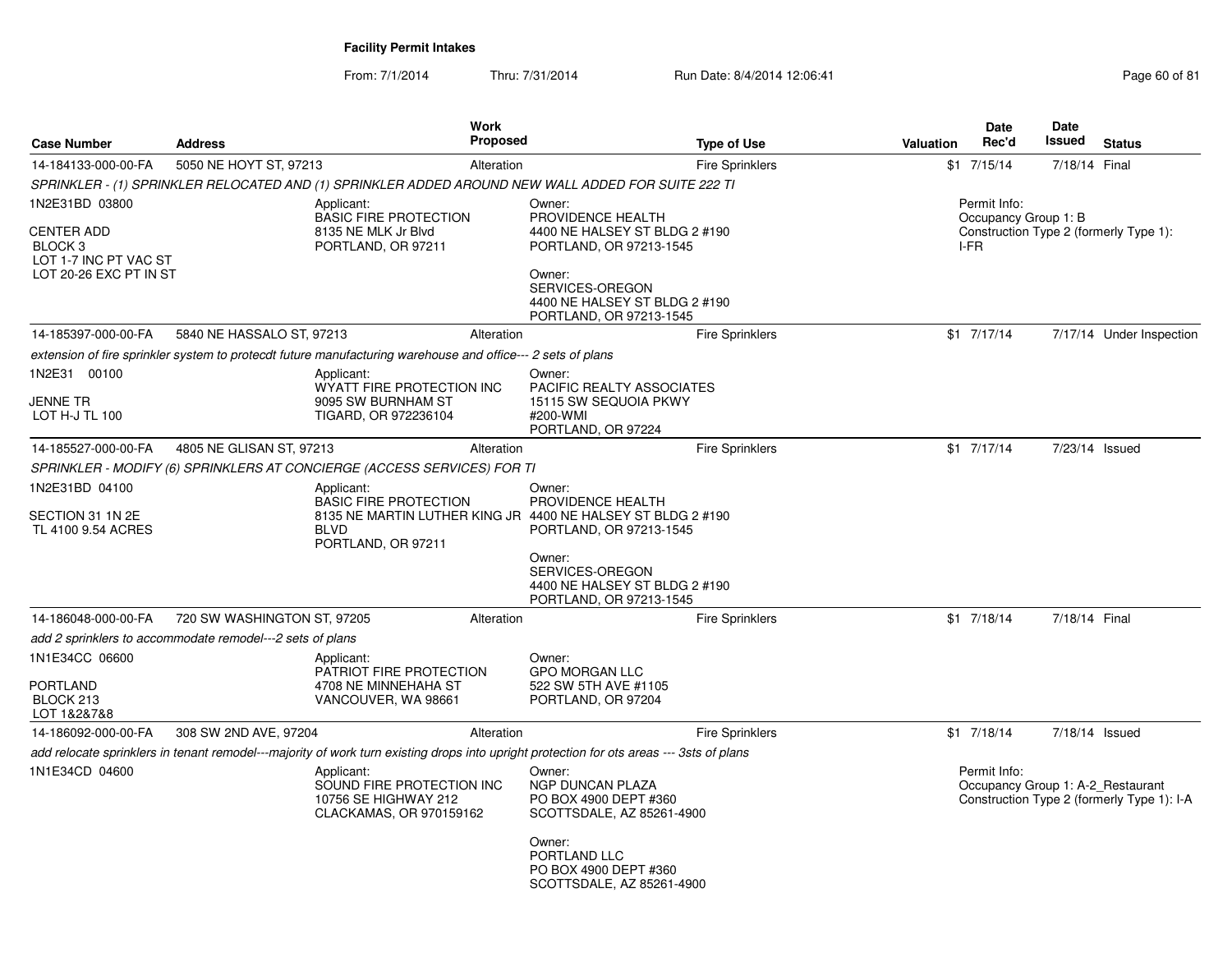From: 7/1/2014Thru: 7/31/2014 Run Date: 8/4/2014 12:06:41 Page 60 of 81

| <b>Case Number</b>                                                                         | <b>Address</b>                                            |                                                                                                                                          | <b>Work</b><br><b>Proposed</b> |                                                                                                                                             | <b>Type of Use</b>     | <b>Valuation</b> | <b>Date</b><br>Rec'd         | <b>Date</b><br>Issued | <b>Status</b>                                                                   |
|--------------------------------------------------------------------------------------------|-----------------------------------------------------------|------------------------------------------------------------------------------------------------------------------------------------------|--------------------------------|---------------------------------------------------------------------------------------------------------------------------------------------|------------------------|------------------|------------------------------|-----------------------|---------------------------------------------------------------------------------|
| 14-184133-000-00-FA                                                                        | 5050 NE HOYT ST, 97213                                    |                                                                                                                                          | Alteration                     |                                                                                                                                             | <b>Fire Sprinklers</b> |                  | $$1$ $7/15/14$               | 7/18/14 Final         |                                                                                 |
|                                                                                            |                                                           | SPRINKLER - (1) SPRINKLER RELOCATED AND (1) SPRINKLER ADDED AROUND NEW WALL ADDED FOR SUITE 222 TI                                       |                                |                                                                                                                                             |                        |                  |                              |                       |                                                                                 |
| 1N2E31BD 03800                                                                             |                                                           | Applicant:                                                                                                                               |                                | Owner:                                                                                                                                      |                        |                  | Permit Info:                 |                       |                                                                                 |
| <b>CENTER ADD</b><br>BLOCK <sub>3</sub><br>LOT 1-7 INC PT VAC ST<br>LOT 20-26 EXC PT IN ST |                                                           | <b>BASIC FIRE PROTECTION</b><br>8135 NE MLK Jr Blvd<br>PORTLAND, OR 97211                                                                |                                | PROVIDENCE HEALTH<br>4400 NE HALSEY ST BLDG 2 #190<br>PORTLAND, OR 97213-1545<br>Owner:<br>SERVICES-OREGON<br>4400 NE HALSEY ST BLDG 2 #190 |                        |                  | Occupancy Group 1: B<br>I-FR |                       | Construction Type 2 (formerly Type 1):                                          |
|                                                                                            |                                                           |                                                                                                                                          |                                | PORTLAND, OR 97213-1545                                                                                                                     |                        |                  |                              |                       |                                                                                 |
| 14-185397-000-00-FA                                                                        | 5840 NE HASSALO ST, 97213                                 |                                                                                                                                          | Alteration                     |                                                                                                                                             | <b>Fire Sprinklers</b> |                  | $$1$ $7/17/14$               |                       | 7/17/14 Under Inspection                                                        |
|                                                                                            |                                                           | extension of fire sprinkler system to protecdt future manufacturing warehouse and office--- 2 sets of plans                              |                                |                                                                                                                                             |                        |                  |                              |                       |                                                                                 |
| 1N2E31 00100                                                                               |                                                           | Applicant:<br>WYATT FIRE PROTECTION INC                                                                                                  |                                | Owner:<br>PACIFIC REALTY ASSOCIATES                                                                                                         |                        |                  |                              |                       |                                                                                 |
| JENNE TR<br>LOT H-J TL 100                                                                 |                                                           | 9095 SW BURNHAM ST<br>TIGARD, OR 972236104                                                                                               |                                | 15115 SW SEQUOIA PKWY<br>#200-WMI<br>PORTLAND, OR 97224                                                                                     |                        |                  |                              |                       |                                                                                 |
| 14-185527-000-00-FA                                                                        | 4805 NE GLISAN ST, 97213                                  |                                                                                                                                          | Alteration                     |                                                                                                                                             | <b>Fire Sprinklers</b> |                  | $$1$ $7/17/14$               |                       | 7/23/14 Issued                                                                  |
|                                                                                            |                                                           | SPRINKLER - MODIFY (6) SPRINKLERS AT CONCIERGE (ACCESS SERVICES) FOR TI                                                                  |                                |                                                                                                                                             |                        |                  |                              |                       |                                                                                 |
| 1N2E31BD 04100<br>SECTION 31 1N 2E<br>TL 4100 9.54 ACRES                                   |                                                           | Applicant:<br><b>BASIC FIRE PROTECTION</b><br><b>BLVD</b><br>PORTLAND, OR 97211                                                          |                                | Owner:<br>PROVIDENCE HEALTH<br>8135 NE MARTIN LUTHER KING JR 4400 NE HALSEY ST BLDG 2 #190<br>PORTLAND, OR 97213-1545<br>Owner:             |                        |                  |                              |                       |                                                                                 |
|                                                                                            |                                                           |                                                                                                                                          |                                | SERVICES-OREGON<br>4400 NE HALSEY ST BLDG 2 #190<br>PORTLAND, OR 97213-1545                                                                 |                        |                  |                              |                       |                                                                                 |
| 14-186048-000-00-FA                                                                        | 720 SW WASHINGTON ST, 97205                               |                                                                                                                                          | Alteration                     |                                                                                                                                             | <b>Fire Sprinklers</b> |                  | $$1$ 7/18/14                 | 7/18/14 Final         |                                                                                 |
|                                                                                            | add 2 sprinklers to accommodate remodel---2 sets of plans |                                                                                                                                          |                                |                                                                                                                                             |                        |                  |                              |                       |                                                                                 |
| 1N1E34CC 06600<br><b>PORTLAND</b><br>BLOCK 213<br>LOT 1&2&7&8                              |                                                           | Applicant:<br>PATRIOT FIRE PROTECTION<br>4708 NE MINNEHAHA ST<br>VANCOUVER, WA 98661                                                     |                                | Owner:<br><b>GPO MORGAN LLC</b><br>522 SW 5TH AVE #1105<br>PORTLAND, OR 97204                                                               |                        |                  |                              |                       |                                                                                 |
| 14-186092-000-00-FA                                                                        | 308 SW 2ND AVE, 97204                                     |                                                                                                                                          | Alteration                     |                                                                                                                                             | <b>Fire Sprinklers</b> |                  | $$1$ 7/18/14                 |                       | 7/18/14 Issued                                                                  |
|                                                                                            |                                                           | add relocate sprinklers in tenant remodel---majority of work turn existing drops into upright protection for ots areas --- 3sts of plans |                                |                                                                                                                                             |                        |                  |                              |                       |                                                                                 |
| 1N1E34CD 04600                                                                             |                                                           | Applicant:<br>SOUND FIRE PROTECTION INC<br>10756 SE HIGHWAY 212<br>CLACKAMAS, OR 970159162                                               |                                | Owner:<br><b>NGP DUNCAN PLAZA</b><br>PO BOX 4900 DEPT #360<br>SCOTTSDALE, AZ 85261-4900                                                     |                        |                  | Permit Info:                 |                       | Occupancy Group 1: A-2 Restaurant<br>Construction Type 2 (formerly Type 1): I-A |
|                                                                                            |                                                           |                                                                                                                                          |                                | Owner:<br>PORTLAND LLC<br>PO BOX 4900 DEPT #360<br>SCOTTSDALE, AZ 85261-4900                                                                |                        |                  |                              |                       |                                                                                 |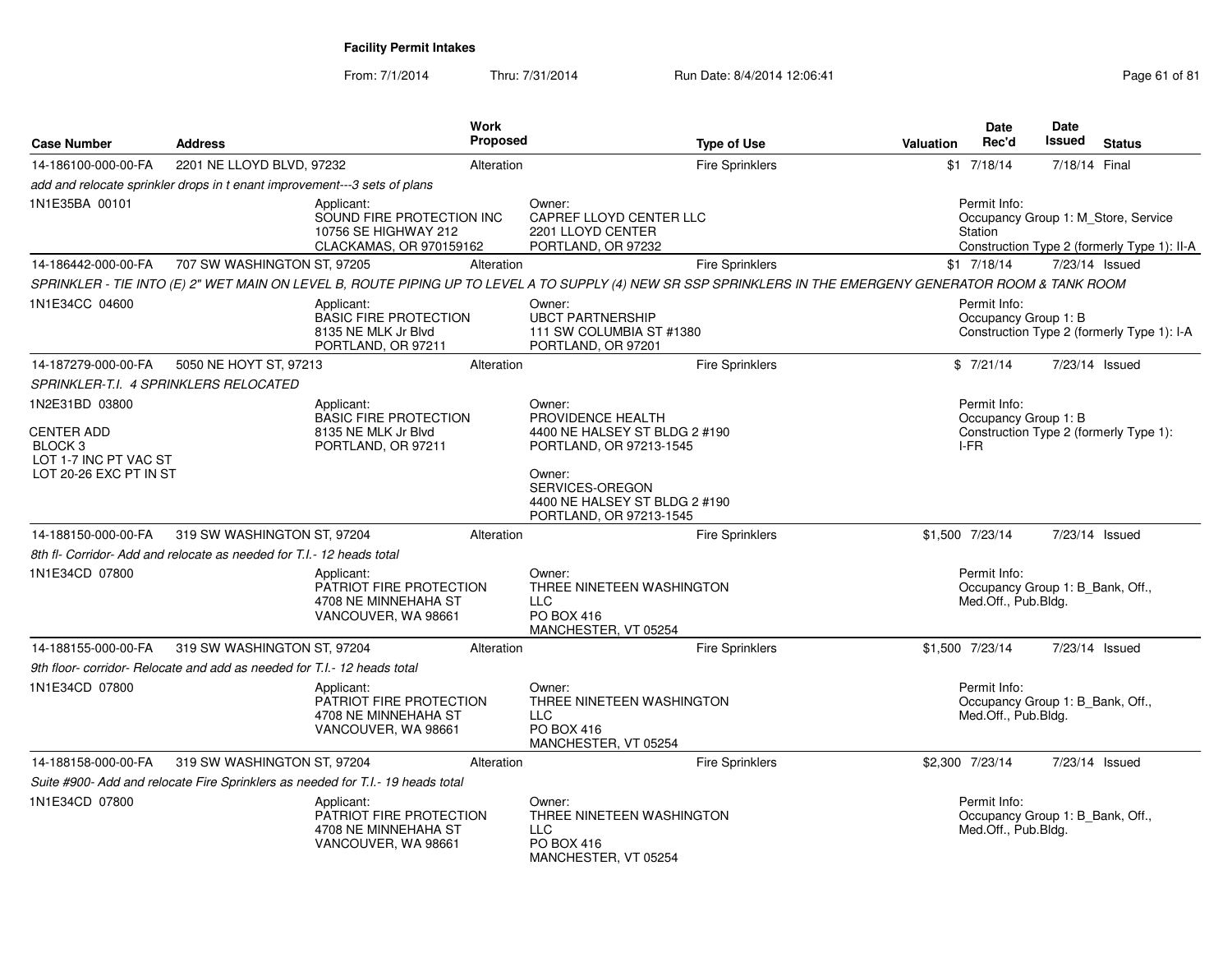From: 7/1/2014Thru: 7/31/2014 Run Date: 8/4/2014 12:06:41 Page 61 of 81

| <b>Case Number</b>                                                                                                         | <b>Address</b>                                                            |                                                                                            | <b>Work</b><br><b>Proposed</b> |                                                                                                                                                                                  | <b>Type of Use</b>     | <b>Valuation</b>                                                                       | <b>Date</b><br>Rec'd                                                    | <b>Date</b><br>Issued | <b>Status</b>                                                                      |  |
|----------------------------------------------------------------------------------------------------------------------------|---------------------------------------------------------------------------|--------------------------------------------------------------------------------------------|--------------------------------|----------------------------------------------------------------------------------------------------------------------------------------------------------------------------------|------------------------|----------------------------------------------------------------------------------------|-------------------------------------------------------------------------|-----------------------|------------------------------------------------------------------------------------|--|
| 14-186100-000-00-FA                                                                                                        | 2201 NE LLOYD BLVD, 97232                                                 |                                                                                            | Alteration                     |                                                                                                                                                                                  | <b>Fire Sprinklers</b> |                                                                                        | $$1$ 7/18/14                                                            | 7/18/14 Final         |                                                                                    |  |
|                                                                                                                            | add and relocate sprinkler drops in t enant improvement---3 sets of plans |                                                                                            |                                |                                                                                                                                                                                  |                        |                                                                                        |                                                                         |                       |                                                                                    |  |
| 1N1E35BA 00101                                                                                                             |                                                                           | Applicant:<br>SOUND FIRE PROTECTION INC<br>10756 SE HIGHWAY 212<br>CLACKAMAS, OR 970159162 |                                | Owner:<br>CAPREF LLOYD CENTER LLC<br>2201 LLOYD CENTER<br>PORTLAND, OR 97232                                                                                                     |                        |                                                                                        | Permit Info:<br>Station                                                 |                       | Occupancy Group 1: M_Store, Service<br>Construction Type 2 (formerly Type 1): II-A |  |
| 14-186442-000-00-FA                                                                                                        | 707 SW WASHINGTON ST, 97205                                               |                                                                                            | Alteration                     |                                                                                                                                                                                  | <b>Fire Sprinklers</b> |                                                                                        | $$1$ 7/18/14                                                            |                       | 7/23/14 Issued                                                                     |  |
|                                                                                                                            |                                                                           |                                                                                            |                                | SPRINKLER - TIE INTO (E) 2" WET MAIN ON LEVEL B, ROUTE PIPING UP TO LEVEL A TO SUPPLY (4) NEW SR SSP SPRINKLERS IN THE EMERGENY GENERATOR ROOM & TANK ROOM                       |                        |                                                                                        |                                                                         |                       |                                                                                    |  |
| 1N1E34CC 04600                                                                                                             |                                                                           | Applicant:<br><b>BASIC FIRE PROTECTION</b><br>8135 NE MLK Jr Blvd<br>PORTLAND, OR 97211    |                                | Owner:<br><b>UBCT PARTNERSHIP</b><br>111 SW COLUMBIA ST #1380<br>PORTLAND, OR 97201                                                                                              |                        |                                                                                        | Permit Info:<br>Occupancy Group 1: B                                    |                       | Construction Type 2 (formerly Type 1): I-A                                         |  |
| 14-187279-000-00-FA                                                                                                        | 5050 NE HOYT ST, 97213                                                    |                                                                                            | Alteration                     |                                                                                                                                                                                  | <b>Fire Sprinklers</b> |                                                                                        | \$7/21/14                                                               |                       | 7/23/14 Issued                                                                     |  |
|                                                                                                                            | SPRINKLER-T.I. 4 SPRINKLERS RELOCATED                                     |                                                                                            |                                |                                                                                                                                                                                  |                        |                                                                                        |                                                                         |                       |                                                                                    |  |
| 1N2E31BD 03800<br>Applicant:<br><b>CENTER ADD</b><br>BLOCK <sub>3</sub><br>LOT 1-7 INC PT VAC ST<br>LOT 20-26 EXC PT IN ST |                                                                           | <b>BASIC FIRE PROTECTION</b><br>8135 NE MLK Jr Blvd<br>PORTLAND, OR 97211                  |                                | Owner:<br>PROVIDENCE HEALTH<br>4400 NE HALSEY ST BLDG 2 #190<br>PORTLAND, OR 97213-1545<br>Owner:<br>SERVICES-OREGON<br>4400 NE HALSEY ST BLDG 2 #190<br>PORTLAND, OR 97213-1545 |                        | Permit Info:<br>Occupancy Group 1: B<br>Construction Type 2 (formerly Type 1):<br>I-FR |                                                                         |                       |                                                                                    |  |
| 14-188150-000-00-FA                                                                                                        | 319 SW WASHINGTON ST, 97204                                               |                                                                                            | Alteration                     |                                                                                                                                                                                  | <b>Fire Sprinklers</b> |                                                                                        | \$1.500 7/23/14                                                         |                       | 7/23/14 Issued                                                                     |  |
|                                                                                                                            | 8th fl- Corridor-Add and relocate as needed for T.I.-12 heads total       |                                                                                            |                                |                                                                                                                                                                                  |                        |                                                                                        |                                                                         |                       |                                                                                    |  |
| 1N1E34CD 07800                                                                                                             |                                                                           | Applicant:<br>PATRIOT FIRE PROTECTION<br>4708 NE MINNEHAHA ST<br>VANCOUVER, WA 98661       |                                | Owner:<br>THREE NINETEEN WASHINGTON<br><b>LLC</b><br>PO BOX 416<br>MANCHESTER, VT 05254                                                                                          |                        |                                                                                        | Permit Info:<br>Occupancy Group 1: B_Bank, Off.,<br>Med.Off., Pub.Bldg. |                       |                                                                                    |  |
| 14-188155-000-00-FA                                                                                                        | 319 SW WASHINGTON ST, 97204                                               |                                                                                            | Alteration                     |                                                                                                                                                                                  | <b>Fire Sprinklers</b> |                                                                                        | \$1,500 7/23/14                                                         |                       | 7/23/14 Issued                                                                     |  |
|                                                                                                                            | 9th floor- corridor- Relocate and add as needed for T.I.- 12 heads total  |                                                                                            |                                |                                                                                                                                                                                  |                        |                                                                                        |                                                                         |                       |                                                                                    |  |
| 1N1E34CD 07800                                                                                                             |                                                                           | Applicant:<br>PATRIOT FIRE PROTECTION<br>4708 NE MINNEHAHA ST<br>VANCOUVER, WA 98661       |                                | Owner:<br>THREE NINETEEN WASHINGTON<br>LLC<br>PO BOX 416<br>MANCHESTER, VT 05254                                                                                                 |                        |                                                                                        | Permit Info:<br>Occupancy Group 1: B Bank, Off.,<br>Med.Off., Pub.Bldg. |                       |                                                                                    |  |
| 14-188158-000-00-FA                                                                                                        | 319 SW WASHINGTON ST, 97204                                               |                                                                                            | Alteration                     |                                                                                                                                                                                  | <b>Fire Sprinklers</b> |                                                                                        | \$2,300 7/23/14                                                         |                       | 7/23/14 Issued                                                                     |  |
|                                                                                                                            |                                                                           | Suite #900- Add and relocate Fire Sprinklers as needed for T.I.- 19 heads total            |                                |                                                                                                                                                                                  |                        |                                                                                        |                                                                         |                       |                                                                                    |  |
| 1N1E34CD 07800                                                                                                             |                                                                           | Applicant:<br>PATRIOT FIRE PROTECTION<br>4708 NE MINNEHAHA ST<br>VANCOUVER, WA 98661       |                                | Owner:<br>THREE NINETEEN WASHINGTON<br><b>LLC</b><br>PO BOX 416<br>MANCHESTER, VT 05254                                                                                          |                        |                                                                                        | Permit Info:<br>Occupancy Group 1: B_Bank, Off.,<br>Med.Off., Pub.Bldg. |                       |                                                                                    |  |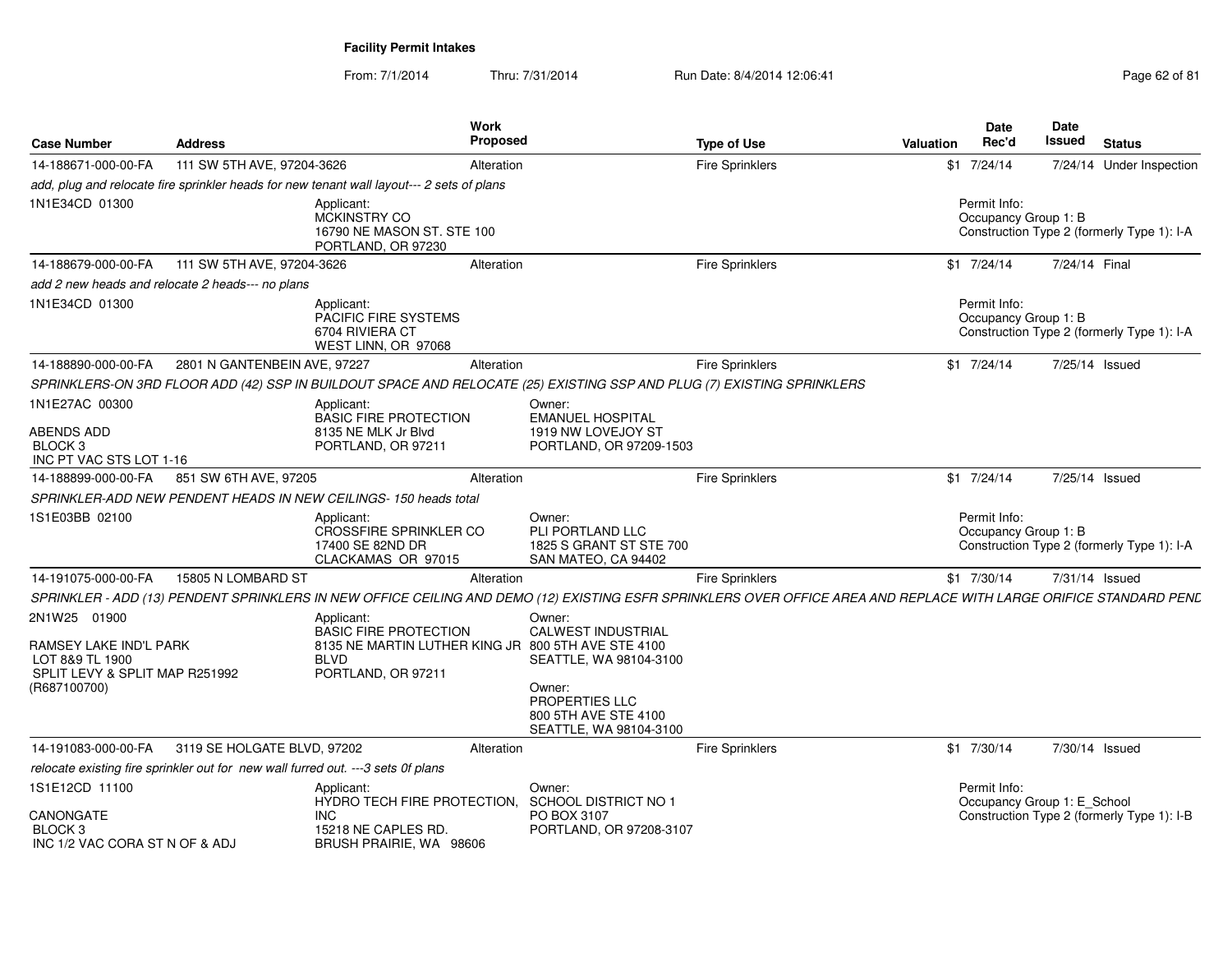From: 7/1/2014Thru: 7/31/2014 Run Date: 8/4/2014 12:06:41 Page 62 of 81

| <b>Case Number</b>                                                          | <b>Address</b>                                                                   |                                                                                           | Work<br>Proposed |                                                                              | <b>Type of Use</b>                                                                                                                                                 | Valuation | Date<br>Rec'd                        | <b>Date</b><br><b>Issued</b><br><b>Status</b> |  |
|-----------------------------------------------------------------------------|----------------------------------------------------------------------------------|-------------------------------------------------------------------------------------------|------------------|------------------------------------------------------------------------------|--------------------------------------------------------------------------------------------------------------------------------------------------------------------|-----------|--------------------------------------|-----------------------------------------------|--|
| 14-188671-000-00-FA                                                         | 111 SW 5TH AVE, 97204-3626                                                       |                                                                                           | Alteration       |                                                                              | <b>Fire Sprinklers</b>                                                                                                                                             |           | $$1$ 7/24/14                         | 7/24/14 Under Inspection                      |  |
|                                                                             |                                                                                  | add, plug and relocate fire sprinkler heads for new tenant wall layout--- 2 sets of plans |                  |                                                                              |                                                                                                                                                                    |           |                                      |                                               |  |
| 1N1E34CD 01300                                                              |                                                                                  | Applicant:<br>MCKINSTRY CO<br>16790 NE MASON ST. STE 100<br>PORTLAND, OR 97230            |                  |                                                                              |                                                                                                                                                                    |           | Permit Info:<br>Occupancy Group 1: B | Construction Type 2 (formerly Type 1): I-A    |  |
| 14-188679-000-00-FA                                                         | 111 SW 5TH AVE, 97204-3626                                                       |                                                                                           | Alteration       |                                                                              | <b>Fire Sprinklers</b>                                                                                                                                             |           | $$1$ 7/24/14                         | 7/24/14 Final                                 |  |
|                                                                             | add 2 new heads and relocate 2 heads--- no plans                                 |                                                                                           |                  |                                                                              |                                                                                                                                                                    |           |                                      |                                               |  |
| 1N1E34CD 01300                                                              |                                                                                  | Applicant:<br><b>PACIFIC FIRE SYSTEMS</b><br>6704 RIVIERA CT<br>WEST LINN, OR 97068       |                  |                                                                              |                                                                                                                                                                    |           | Permit Info:<br>Occupancy Group 1: B | Construction Type 2 (formerly Type 1): I-A    |  |
| 14-188890-000-00-FA                                                         | 2801 N GANTENBEIN AVE, 97227                                                     |                                                                                           | Alteration       |                                                                              | <b>Fire Sprinklers</b>                                                                                                                                             |           | $$1$ 7/24/14                         | 7/25/14 Issued                                |  |
|                                                                             |                                                                                  |                                                                                           |                  |                                                                              | SPRINKLERS-ON 3RD FLOOR ADD (42) SSP IN BUILDOUT SPACE AND RELOCATE (25) EXISTING SSP AND PLUG (7) EXISTING SPRINKLERS                                             |           |                                      |                                               |  |
| 1N1E27AC 00300                                                              |                                                                                  | Applicant:<br><b>BASIC FIRE PROTECTION</b>                                                |                  | Owner:<br><b>EMANUEL HOSPITAL</b>                                            |                                                                                                                                                                    |           |                                      |                                               |  |
| <b>ABENDS ADD</b><br>BLOCK <sub>3</sub><br>INC PT VAC STS LOT 1-16          |                                                                                  | 8135 NE MLK Jr Blvd<br>PORTLAND, OR 97211                                                 |                  | 1919 NW LOVEJOY ST<br>PORTLAND, OR 97209-1503                                |                                                                                                                                                                    |           |                                      |                                               |  |
| 14-188899-000-00-FA                                                         | 851 SW 6TH AVE, 97205                                                            |                                                                                           | Alteration       |                                                                              | <b>Fire Sprinklers</b>                                                                                                                                             |           | $$1$ 7/24/14                         | 7/25/14 Issued                                |  |
|                                                                             |                                                                                  | SPRINKLER-ADD NEW PENDENT HEADS IN NEW CEILINGS- 150 heads total                          |                  |                                                                              |                                                                                                                                                                    |           |                                      |                                               |  |
| 1S1E03BB 02100                                                              |                                                                                  | Applicant:<br><b>CROSSFIRE SPRINKLER CO</b><br>17400 SE 82ND DR<br>CLACKAMAS OR 97015     |                  | Owner:<br>PLI PORTLAND LLC<br>1825 S GRANT ST STE 700<br>SAN MATEO, CA 94402 |                                                                                                                                                                    |           | Permit Info:<br>Occupancy Group 1: B | Construction Type 2 (formerly Type 1): I-A    |  |
| 14-191075-000-00-FA                                                         | 15805 N LOMBARD ST                                                               |                                                                                           | Alteration       |                                                                              | <b>Fire Sprinklers</b>                                                                                                                                             |           | \$1 7/30/14                          | 7/31/14 Issued                                |  |
|                                                                             |                                                                                  |                                                                                           |                  |                                                                              | SPRINKLER - ADD (13) PENDENT SPRINKLERS IN NEW OFFICE CEILING AND DEMO (12) EXISTING ESFR SPRINKLERS OVER OFFICE AREA AND REPLACE WITH LARGE ORIFICE STANDARD PENL |           |                                      |                                               |  |
| 2N1W25 01900                                                                |                                                                                  | Applicant:<br><b>BASIC FIRE PROTECTION</b>                                                |                  | Owner:<br><b>CALWEST INDUSTRIAL</b>                                          |                                                                                                                                                                    |           |                                      |                                               |  |
| RAMSEY LAKE IND'L PARK<br>LOT 8&9 TL 1900<br>SPLIT LEVY & SPLIT MAP R251992 |                                                                                  | 8135 NE MARTIN LUTHER KING JR 800 5TH AVE STE 4100<br><b>BLVD</b><br>PORTLAND, OR 97211   |                  | SEATTLE, WA 98104-3100                                                       |                                                                                                                                                                    |           |                                      |                                               |  |
| (R687100700)                                                                |                                                                                  |                                                                                           |                  | Owner:<br>PROPERTIES LLC<br>800 5TH AVE STE 4100<br>SEATTLE, WA 98104-3100   |                                                                                                                                                                    |           |                                      |                                               |  |
| 14-191083-000-00-FA                                                         | 3119 SE HOLGATE BLVD, 97202                                                      |                                                                                           | Alteration       |                                                                              | <b>Fire Sprinklers</b>                                                                                                                                             |           | $$1$ 7/30/14                         | 7/30/14 Issued                                |  |
|                                                                             | relocate existing fire sprinkler out for new wall furred out. ---3 sets 0f plans |                                                                                           |                  |                                                                              |                                                                                                                                                                    |           |                                      |                                               |  |
| 1S1E12CD 11100                                                              |                                                                                  | Applicant:<br>HYDRO TECH FIRE PROTECTION.                                                 |                  | Owner:<br><b>SCHOOL DISTRICT NO 1</b>                                        |                                                                                                                                                                    |           | Permit Info:                         | Occupancy Group 1: E_School                   |  |
| CANONGATE<br>BLOCK <sub>3</sub><br>INC 1/2 VAC CORA ST N OF & ADJ           |                                                                                  | <b>INC</b><br>15218 NE CAPLES RD.<br>BRUSH PRAIRIE, WA 98606                              |                  | PO BOX 3107<br>PORTLAND, OR 97208-3107                                       |                                                                                                                                                                    |           |                                      | Construction Type 2 (formerly Type 1): I-B    |  |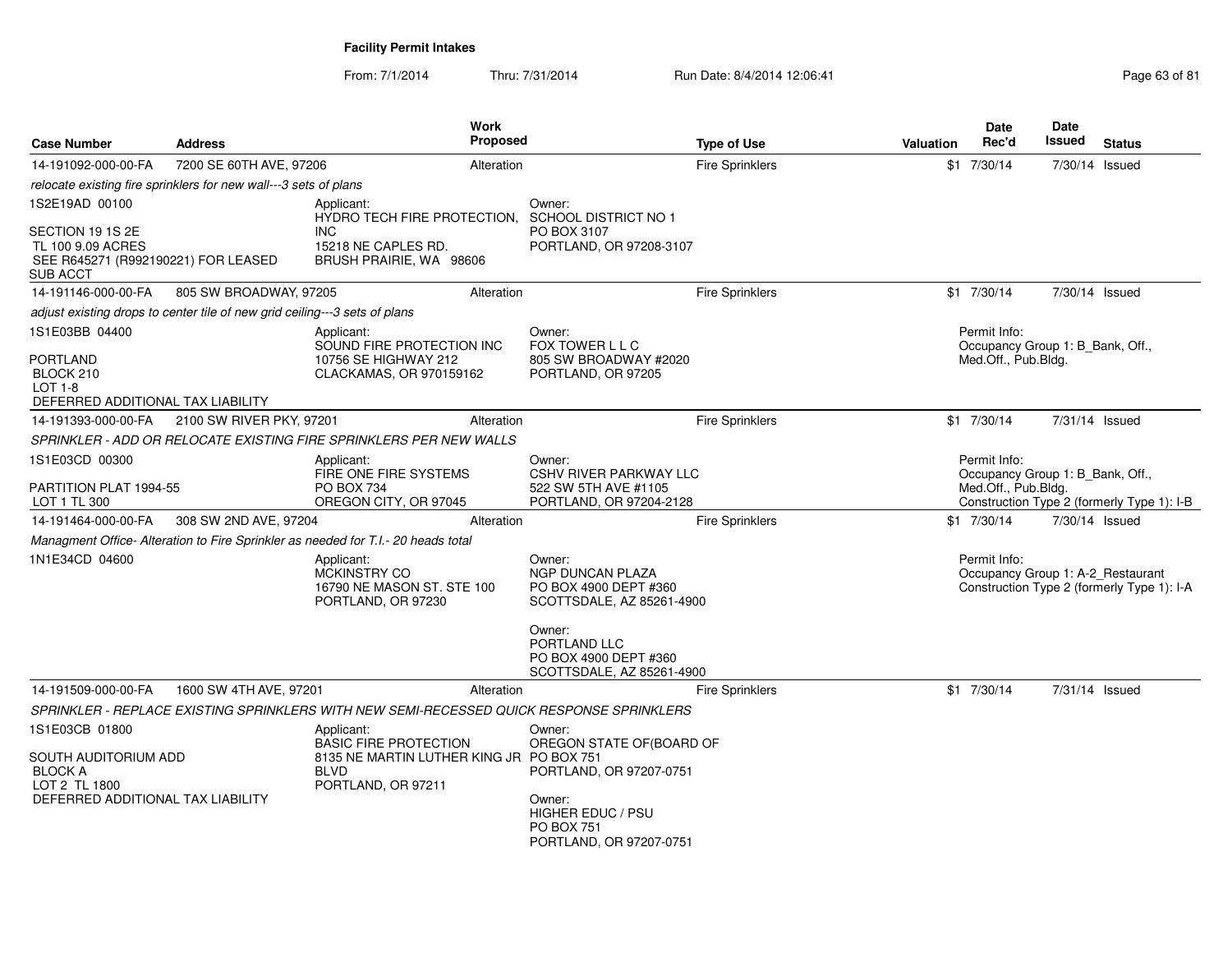From: 7/1/2014Thru: 7/31/2014 Run Date: 8/4/2014 12:06:41 Page 63 of 81

| <b>Case Number</b>                                                                                  | <b>Address</b>                                                             | Work<br>Proposed                                                                                                            |                                                                                         | <b>Type of Use</b>     | <b>Valuation</b> | Date<br>Rec'd                                    | <b>Date</b><br>Issued | <b>Status</b>                                                                   |  |
|-----------------------------------------------------------------------------------------------------|----------------------------------------------------------------------------|-----------------------------------------------------------------------------------------------------------------------------|-----------------------------------------------------------------------------------------|------------------------|------------------|--------------------------------------------------|-----------------------|---------------------------------------------------------------------------------|--|
| 14-191092-000-00-FA                                                                                 | 7200 SE 60TH AVE, 97206                                                    | Alteration                                                                                                                  |                                                                                         | Fire Sprinklers        |                  | $$1$ 7/30/14                                     | 7/30/14 Issued        |                                                                                 |  |
|                                                                                                     | relocate existing fire sprinklers for new wall---3 sets of plans           |                                                                                                                             |                                                                                         |                        |                  |                                                  |                       |                                                                                 |  |
| 1S2E19AD 00100                                                                                      |                                                                            | Applicant:<br>HYDRO TECH FIRE PROTECTION.                                                                                   | Owner:<br>SCHOOL DISTRICT NO 1                                                          |                        |                  |                                                  |                       |                                                                                 |  |
| SECTION 19 1S 2E<br>TL 100 9.09 ACRES<br>SEE R645271 (R992190221) FOR LEASED<br><b>SUB ACCT</b>     |                                                                            | <b>INC</b><br>15218 NE CAPLES RD.<br>BRUSH PRAIRIE, WA 98606                                                                | PO BOX 3107<br>PORTLAND, OR 97208-3107                                                  |                        |                  |                                                  |                       |                                                                                 |  |
| 14-191146-000-00-FA                                                                                 | 805 SW BROADWAY, 97205                                                     | Alteration                                                                                                                  |                                                                                         | <b>Fire Sprinklers</b> |                  | $$1$ 7/30/14                                     | 7/30/14 Issued        |                                                                                 |  |
|                                                                                                     | adjust existing drops to center tile of new grid ceiling---3 sets of plans |                                                                                                                             |                                                                                         |                        |                  |                                                  |                       |                                                                                 |  |
| 1S1E03BB 04400                                                                                      |                                                                            | Applicant:<br>SOUND FIRE PROTECTION INC                                                                                     | Owner:<br>FOX TOWER L L C                                                               |                        |                  | Permit Info:<br>Occupancy Group 1: B Bank, Off., |                       |                                                                                 |  |
| <b>PORTLAND</b><br>BLOCK 210<br>LOT $1-8$<br>DEFERRED ADDITIONAL TAX LIABILITY                      |                                                                            | 10756 SE HIGHWAY 212<br>CLACKAMAS, OR 970159162                                                                             | 805 SW BROADWAY #2020<br>PORTLAND, OR 97205                                             |                        |                  | Med.Off., Pub.Bldg.                              |                       |                                                                                 |  |
| 14-191393-000-00-FA                                                                                 | 2100 SW RIVER PKY, 97201                                                   | Alteration                                                                                                                  |                                                                                         | <b>Fire Sprinklers</b> |                  | $$1$ 7/30/14                                     | 7/31/14 Issued        |                                                                                 |  |
|                                                                                                     |                                                                            | SPRINKLER - ADD OR RELOCATE EXISTING FIRE SPRINKLERS PER NEW WALLS                                                          |                                                                                         |                        |                  |                                                  |                       |                                                                                 |  |
| 1S1E03CD 00300                                                                                      |                                                                            | Applicant:<br>FIRE ONE FIRE SYSTEMS                                                                                         | Owner:<br><b>CSHV RIVER PARKWAY LLC</b>                                                 |                        |                  | Permit Info:<br>Occupancy Group 1: B_Bank, Off., |                       |                                                                                 |  |
| PARTITION PLAT 1994-55<br>LOT 1 TL 300                                                              |                                                                            | PO BOX 734<br>OREGON CITY, OR 97045                                                                                         | 522 SW 5TH AVE #1105<br>PORTLAND, OR 97204-2128                                         |                        |                  | Med.Off., Pub.Bldg.                              |                       | Construction Type 2 (formerly Type 1): I-B                                      |  |
| 14-191464-000-00-FA                                                                                 | 308 SW 2ND AVE, 97204                                                      | Alteration                                                                                                                  |                                                                                         | <b>Fire Sprinklers</b> |                  | $$1$ 7/30/14                                     | 7/30/14 Issued        |                                                                                 |  |
|                                                                                                     |                                                                            |                                                                                                                             |                                                                                         |                        |                  |                                                  |                       |                                                                                 |  |
| Managment Office- Alteration to Fire Sprinkler as needed for T.I.- 20 heads total<br>1N1E34CD 04600 |                                                                            | Applicant:<br><b>MCKINSTRY CO</b><br>16790 NE MASON ST. STE 100<br>PORTLAND, OR 97230                                       | Owner:<br><b>NGP DUNCAN PLAZA</b><br>PO BOX 4900 DEPT #360<br>SCOTTSDALE, AZ 85261-4900 |                        |                  | Permit Info:                                     |                       | Occupancy Group 1: A-2_Restaurant<br>Construction Type 2 (formerly Type 1): I-A |  |
|                                                                                                     |                                                                            |                                                                                                                             | Owner:<br>PORTLAND LLC<br>PO BOX 4900 DEPT #360<br>SCOTTSDALE, AZ 85261-4900            |                        |                  |                                                  |                       |                                                                                 |  |
| 14-191509-000-00-FA                                                                                 | 1600 SW 4TH AVE, 97201                                                     | Alteration                                                                                                                  |                                                                                         | <b>Fire Sprinklers</b> |                  | $$1$ 7/30/14                                     | 7/31/14 Issued        |                                                                                 |  |
|                                                                                                     |                                                                            | SPRINKLER - REPLACE EXISTING SPRINKLERS WITH NEW SEMI-RECESSED QUICK RESPONSE SPRINKLERS                                    |                                                                                         |                        |                  |                                                  |                       |                                                                                 |  |
| 1S1E03CB 01800<br>SOUTH AUDITORIUM ADD<br><b>BLOCK A</b><br>LOT 2 TL 1800                           |                                                                            | Applicant:<br><b>BASIC FIRE PROTECTION</b><br>8135 NE MARTIN LUTHER KING JR PO BOX 751<br><b>BLVD</b><br>PORTLAND, OR 97211 | Owner:<br>OREGON STATE OF(BOARD OF<br>PORTLAND, OR 97207-0751                           |                        |                  |                                                  |                       |                                                                                 |  |
| DEFERRED ADDITIONAL TAX LIABILITY                                                                   |                                                                            |                                                                                                                             | Owner:<br>HIGHER EDUC / PSU<br><b>PO BOX 751</b><br>PORTLAND, OR 97207-0751             |                        |                  |                                                  |                       |                                                                                 |  |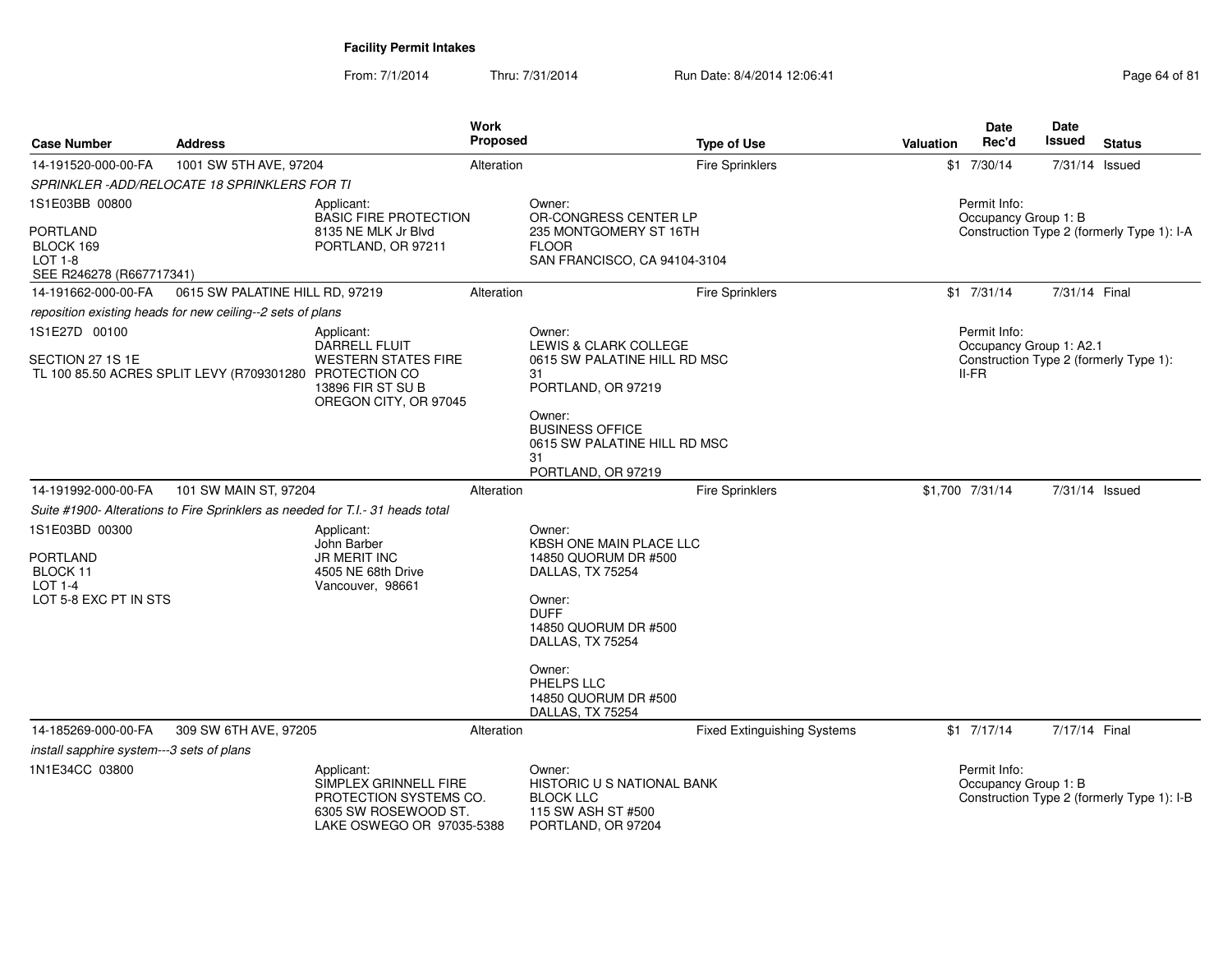| <b>Case Number</b>                                                                                                                                                                        | <b>Address</b>                                                                 |                                                                                                                    | Work<br>Proposed |                                                                                                                                                    | <b>Type of Use</b>                 | Valuation                                  | <b>Date</b><br>Rec'd                               | Date<br>Issued | <b>Status</b>                              |  |
|-------------------------------------------------------------------------------------------------------------------------------------------------------------------------------------------|--------------------------------------------------------------------------------|--------------------------------------------------------------------------------------------------------------------|------------------|----------------------------------------------------------------------------------------------------------------------------------------------------|------------------------------------|--------------------------------------------|----------------------------------------------------|----------------|--------------------------------------------|--|
| 14-191520-000-00-FA                                                                                                                                                                       | 1001 SW 5TH AVE, 97204                                                         |                                                                                                                    | Alteration       |                                                                                                                                                    | Fire Sprinklers                    |                                            | $$1$ 7/30/14                                       | 7/31/14 Issued |                                            |  |
|                                                                                                                                                                                           | SPRINKLER-ADD/RELOCATE 18 SPRINKLERS FOR TI                                    |                                                                                                                    |                  |                                                                                                                                                    |                                    |                                            |                                                    |                |                                            |  |
| 1S1E03BB 00800                                                                                                                                                                            |                                                                                | Applicant:<br><b>BASIC FIRE PROTECTION</b>                                                                         |                  | Owner:<br>OR-CONGRESS CENTER LP                                                                                                                    |                                    |                                            | Permit Info:<br>Occupancy Group 1: B               |                |                                            |  |
| <b>PORTLAND</b><br>BLOCK 169<br>LOT 1-8<br>SEE R246278 (R667717341)                                                                                                                       |                                                                                | 8135 NE MLK Jr Blvd<br>PORTLAND, OR 97211                                                                          |                  | 235 MONTGOMERY ST 16TH<br><b>FLOOR</b><br>SAN FRANCISCO, CA 94104-3104                                                                             |                                    | Construction Type 2 (formerly Type 1): I-A |                                                    |                |                                            |  |
| 14-191662-000-00-FA                                                                                                                                                                       | 0615 SW PALATINE HILL RD, 97219                                                |                                                                                                                    | Alteration       |                                                                                                                                                    | <b>Fire Sprinklers</b>             |                                            | $$1$ 7/31/14                                       | 7/31/14 Final  |                                            |  |
|                                                                                                                                                                                           |                                                                                |                                                                                                                    |                  |                                                                                                                                                    |                                    |                                            |                                                    |                |                                            |  |
| reposition existing heads for new ceiling--2 sets of plans<br>1S1E27D 00100<br>Applicant:<br>DARRELL FLUIT<br>SECTION 27 1S 1E<br>TL 100 85.50 ACRES SPLIT LEVY (R709301280 PROTECTION CO |                                                                                | <b>WESTERN STATES FIRE</b><br>13896 FIR ST SU B<br>OREGON CITY, OR 97045                                           |                  | Owner:<br><b>LEWIS &amp; CLARK COLLEGE</b><br>0615 SW PALATINE HILL RD MSC<br>31<br>PORTLAND, OR 97219<br>Owner:                                   |                                    |                                            | Permit Info:<br>Occupancy Group 1: A2.1<br>$II-FR$ |                | Construction Type 2 (formerly Type 1):     |  |
|                                                                                                                                                                                           |                                                                                |                                                                                                                    |                  | <b>BUSINESS OFFICE</b><br>0615 SW PALATINE HILL RD MSC<br>31<br>PORTLAND, OR 97219                                                                 |                                    |                                            |                                                    |                |                                            |  |
| 14-191992-000-00-FA                                                                                                                                                                       | 101 SW MAIN ST, 97204                                                          |                                                                                                                    | Alteration       |                                                                                                                                                    | Fire Sprinklers                    |                                            | \$1,700 7/31/14                                    | 7/31/14 Issued |                                            |  |
|                                                                                                                                                                                           | Suite #1900- Alterations to Fire Sprinklers as needed for T.I.- 31 heads total |                                                                                                                    |                  |                                                                                                                                                    |                                    |                                            |                                                    |                |                                            |  |
| 1S1E03BD 00300<br><b>PORTLAND</b><br>BLOCK 11<br><b>LOT 1-4</b><br>LOT 5-8 EXC PT IN STS                                                                                                  |                                                                                | Applicant:<br>John Barber<br><b>JR MERIT INC</b><br>4505 NE 68th Drive<br>Vancouver, 98661                         |                  | Owner:<br>KBSH ONE MAIN PLACE LLC<br>14850 QUORUM DR #500<br>DALLAS, TX 75254<br>Owner:<br><b>DUFF</b><br>14850 QUORUM DR #500<br>DALLAS, TX 75254 |                                    |                                            |                                                    |                |                                            |  |
|                                                                                                                                                                                           |                                                                                |                                                                                                                    |                  | Owner:<br>PHELPS LLC<br>14850 QUORUM DR #500<br>DALLAS, TX 75254                                                                                   |                                    |                                            |                                                    |                |                                            |  |
| 14-185269-000-00-FA                                                                                                                                                                       | 309 SW 6TH AVE, 97205                                                          |                                                                                                                    | Alteration       |                                                                                                                                                    | <b>Fixed Extinguishing Systems</b> |                                            | $$1$ $7/17/14$                                     | 7/17/14 Final  |                                            |  |
| install sapphire system---3 sets of plans                                                                                                                                                 |                                                                                |                                                                                                                    |                  |                                                                                                                                                    |                                    |                                            |                                                    |                |                                            |  |
| 1N1E34CC 03800                                                                                                                                                                            |                                                                                | Applicant:<br>SIMPLEX GRINNELL FIRE<br>PROTECTION SYSTEMS CO.<br>6305 SW ROSEWOOD ST.<br>LAKE OSWEGO OR 97035-5388 |                  | Owner:<br>HISTORIC U S NATIONAL BANK<br><b>BLOCK LLC</b><br>115 SW ASH ST #500<br>PORTLAND, OR 97204                                               |                                    |                                            | Permit Info:<br>Occupancy Group 1: B               |                | Construction Type 2 (formerly Type 1): I-B |  |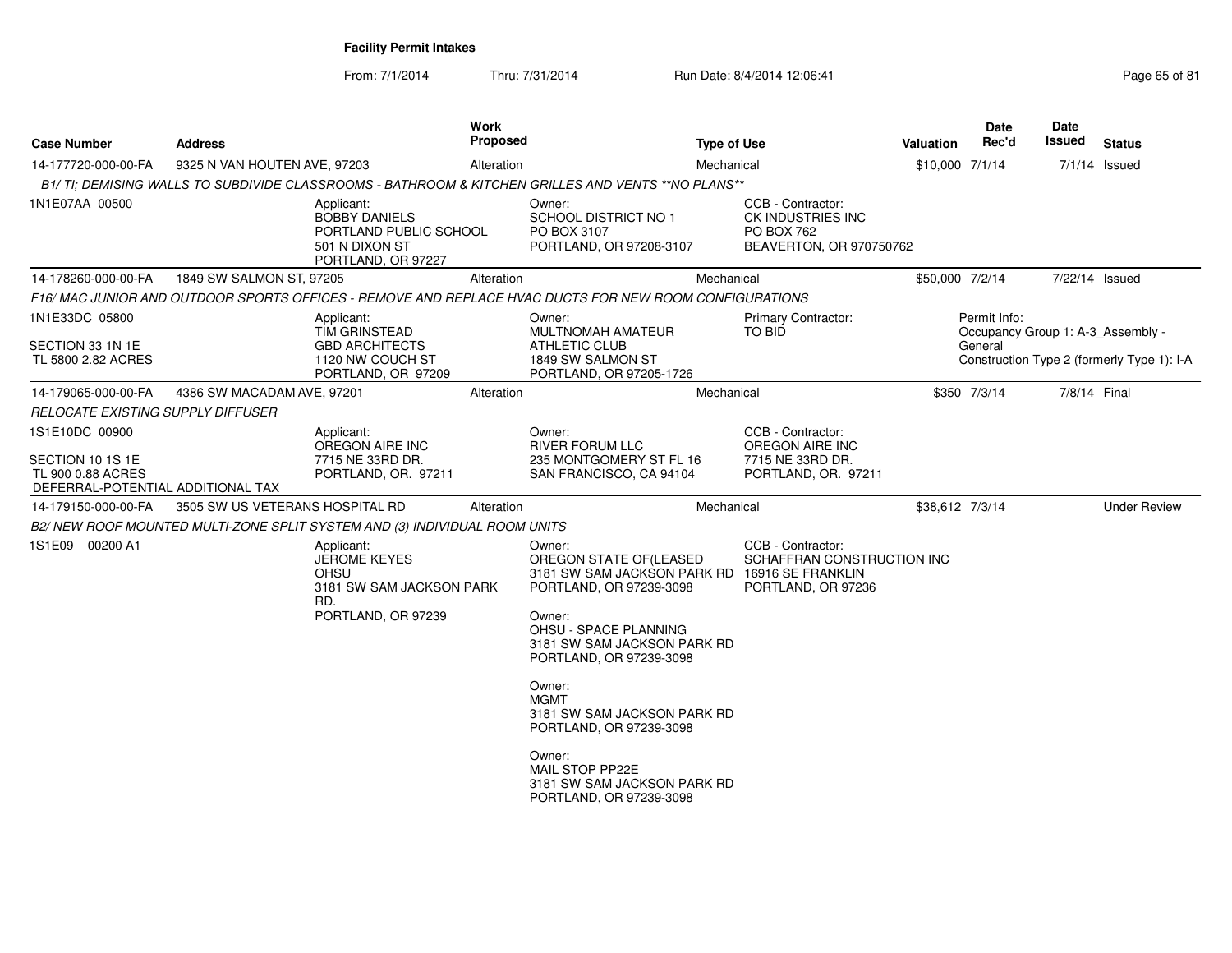From: 7/1/2014Thru: 7/31/2014 Run Date: 8/4/2014 12:06:41 Page 65 of 81

| <b>Case Number</b>                                                                           | <b>Address</b>                  |                                                                                                      | <b>Work</b><br>Proposed |                                                                                                                               | <b>Type of Use</b> |                                                                                            | <b>Valuation</b> | <b>Date</b><br>Rec'd                                         | Date<br>Issued | <b>Status</b>                              |
|----------------------------------------------------------------------------------------------|---------------------------------|------------------------------------------------------------------------------------------------------|-------------------------|-------------------------------------------------------------------------------------------------------------------------------|--------------------|--------------------------------------------------------------------------------------------|------------------|--------------------------------------------------------------|----------------|--------------------------------------------|
| 14-177720-000-00-FA                                                                          | 9325 N VAN HOUTEN AVE, 97203    |                                                                                                      | Alteration              |                                                                                                                               | Mechanical         |                                                                                            | \$10,000 7/1/14  |                                                              |                | $7/1/14$ Issued                            |
|                                                                                              |                                 |                                                                                                      |                         | B1/ TI; DEMISING WALLS TO SUBDIVIDE CLASSROOMS - BATHROOM & KITCHEN GRILLES AND VENTS **NO PLANS**                            |                    |                                                                                            |                  |                                                              |                |                                            |
| 1N1E07AA 00500                                                                               |                                 | Applicant:<br><b>BOBBY DANIELS</b><br>PORTLAND PUBLIC SCHOOL<br>501 N DIXON ST<br>PORTLAND, OR 97227 |                         | Owner:<br><b>SCHOOL DISTRICT NO 1</b><br>PO BOX 3107<br>PORTLAND, OR 97208-3107                                               |                    | CCB - Contractor:<br>CK INDUSTRIES INC<br><b>PO BOX 762</b><br>BEAVERTON, OR 970750762     |                  |                                                              |                |                                            |
| 14-178260-000-00-FA                                                                          | 1849 SW SALMON ST, 97205        |                                                                                                      | Alteration              |                                                                                                                               | Mechanical         |                                                                                            | \$50,000 7/2/14  |                                                              | 7/22/14 Issued |                                            |
|                                                                                              |                                 |                                                                                                      |                         | F16/ MAC JUNIOR AND OUTDOOR SPORTS OFFICES - REMOVE AND REPLACE HVAC DUCTS FOR NEW ROOM CONFIGURATIONS                        |                    |                                                                                            |                  |                                                              |                |                                            |
| 1N1E33DC 05800<br>SECTION 33 1N 1E                                                           |                                 | Applicant:<br><b>TIM GRINSTEAD</b><br><b>GBD ARCHITECTS</b>                                          |                         | Owner:<br><b>MULTNOMAH AMATEUR</b><br><b>ATHLETIC CLUB</b>                                                                    |                    | <b>Primary Contractor:</b><br>TO BID                                                       |                  | Permit Info:<br>Occupancy Group 1: A-3_Assembly -<br>General |                |                                            |
| TL 5800 2.82 ACRES                                                                           |                                 | 1120 NW COUCH ST<br>PORTLAND, OR 97209                                                               |                         | 1849 SW SALMON ST<br>PORTLAND, OR 97205-1726                                                                                  |                    |                                                                                            |                  |                                                              |                | Construction Type 2 (formerly Type 1): I-A |
| 14-179065-000-00-FA                                                                          | 4386 SW MACADAM AVE, 97201      |                                                                                                      | Alteration              |                                                                                                                               | Mechanical         |                                                                                            |                  | \$350 7/3/14                                                 | 7/8/14 Final   |                                            |
| RELOCATE EXISTING SUPPLY DIFFUSER                                                            |                                 |                                                                                                      |                         |                                                                                                                               |                    |                                                                                            |                  |                                                              |                |                                            |
| 1S1E10DC 00900<br>SECTION 10 1S 1E<br>TL 900 0.88 ACRES<br>DEFERRAL-POTENTIAL ADDITIONAL TAX |                                 | Applicant:<br>OREGON AIRE INC<br>7715 NE 33RD DR.<br>PORTLAND, OR. 97211                             |                         | Owner:<br><b>RIVER FORUM LLC</b><br>235 MONTGOMERY ST FL 16<br>SAN FRANCISCO, CA 94104                                        |                    | CCB - Contractor:<br>OREGON AIRE INC<br>7715 NE 33RD DR.<br>PORTLAND, OR. 97211            |                  |                                                              |                |                                            |
| 14-179150-000-00-FA                                                                          | 3505 SW US VETERANS HOSPITAL RD |                                                                                                      | Alteration              |                                                                                                                               | Mechanical         |                                                                                            | \$38,612 7/3/14  |                                                              |                | <b>Under Review</b>                        |
|                                                                                              |                                 | B2/ NEW ROOF MOUNTED MULTI-ZONE SPLIT SYSTEM AND (3) INDIVIDUAL ROOM UNITS                           |                         |                                                                                                                               |                    |                                                                                            |                  |                                                              |                |                                            |
| 1S1E09 00200 A1                                                                              |                                 | Applicant:<br><b>JEROME KEYES</b><br>OHSU<br>3181 SW SAM JACKSON PARK<br>RD.<br>PORTLAND, OR 97239   |                         | Owner:<br>OREGON STATE OF(LEASED<br>3181 SW SAM JACKSON PARK RD<br>PORTLAND, OR 97239-3098<br>Owner:<br>OHSU - SPACE PLANNING |                    | CCB - Contractor:<br>SCHAFFRAN CONSTRUCTION INC<br>16916 SE FRANKLIN<br>PORTLAND, OR 97236 |                  |                                                              |                |                                            |
|                                                                                              |                                 |                                                                                                      |                         | 3181 SW SAM JACKSON PARK RD<br>PORTLAND, OR 97239-3098                                                                        |                    |                                                                                            |                  |                                                              |                |                                            |
|                                                                                              |                                 |                                                                                                      |                         | Owner:<br><b>MGMT</b><br>3181 SW SAM JACKSON PARK RD<br>PORTLAND, OR 97239-3098                                               |                    |                                                                                            |                  |                                                              |                |                                            |
|                                                                                              |                                 |                                                                                                      |                         | Owner:<br>MAIL STOP PP22E<br>3181 SW SAM JACKSON PARK RD<br>PORTLAND, OR 97239-3098                                           |                    |                                                                                            |                  |                                                              |                |                                            |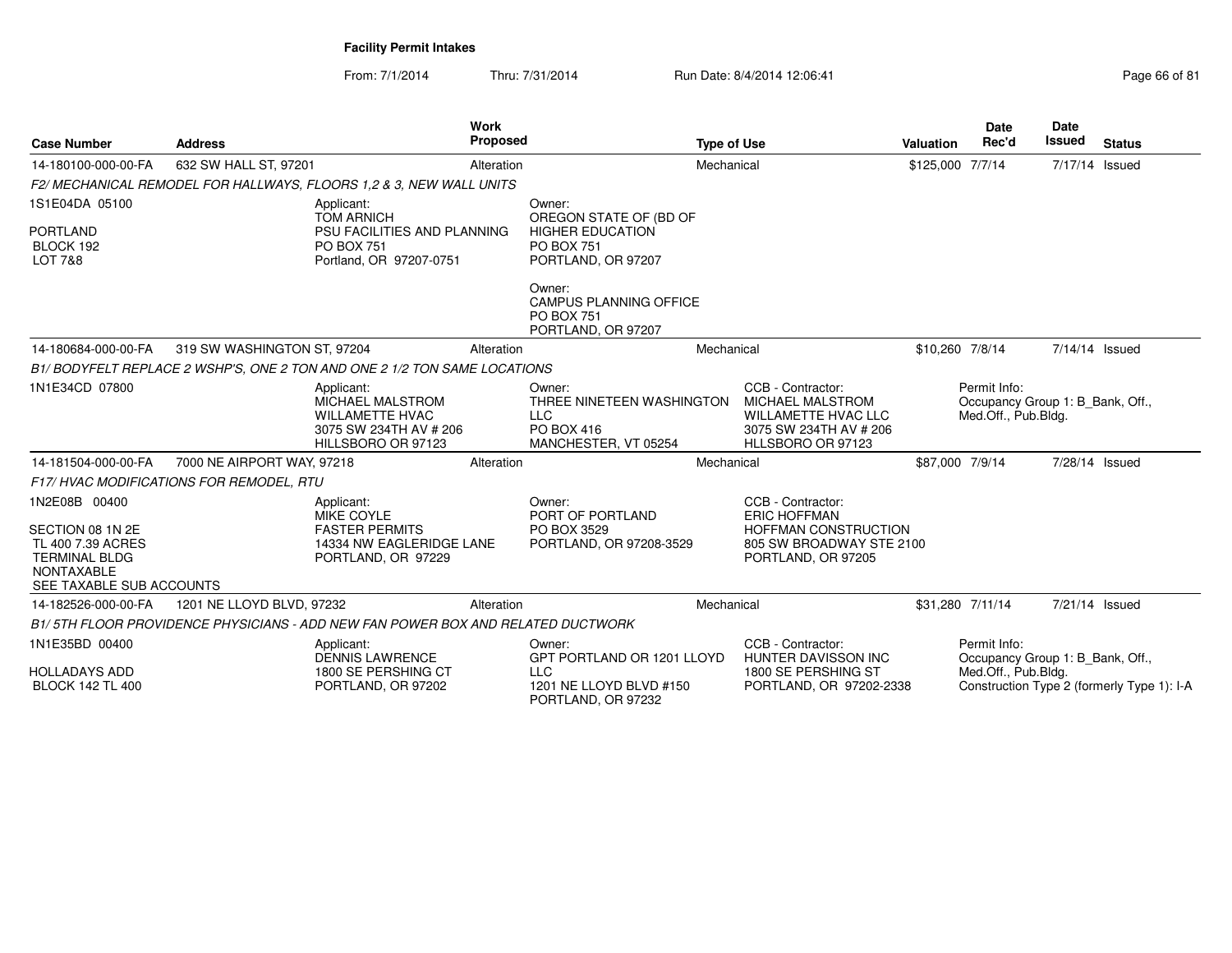From: 7/1/2014Thru: 7/31/2014 Run Date: 8/4/2014 12:06:41

| <b>Case Number</b>                                                                                                              | <b>Address</b>                           |                                                                                                                | Work<br>Proposed |                                                                                                        | <b>Type of Use</b> |                                                                                                                           | <b>Valuation</b> | <b>Date</b><br>Rec'd                                                    | Date<br><b>Issued</b> | <b>Status</b>                              |
|---------------------------------------------------------------------------------------------------------------------------------|------------------------------------------|----------------------------------------------------------------------------------------------------------------|------------------|--------------------------------------------------------------------------------------------------------|--------------------|---------------------------------------------------------------------------------------------------------------------------|------------------|-------------------------------------------------------------------------|-----------------------|--------------------------------------------|
| 14-180100-000-00-FA                                                                                                             | 632 SW HALL ST, 97201                    |                                                                                                                | Alteration       |                                                                                                        | Mechanical         |                                                                                                                           | \$125,000 7/7/14 |                                                                         | 7/17/14 Issued        |                                            |
|                                                                                                                                 |                                          | F2/ MECHANICAL REMODEL FOR HALLWAYS, FLOORS 1.2 & 3, NEW WALL UNITS                                            |                  |                                                                                                        |                    |                                                                                                                           |                  |                                                                         |                       |                                            |
| 1S1E04DA 05100<br><b>PORTLAND</b><br>BLOCK 192<br>LOT 7&8                                                                       |                                          | Applicant:<br><b>TOM ARNICH</b><br>PSU FACILITIES AND PLANNING<br><b>PO BOX 751</b><br>Portland, OR 97207-0751 |                  | Owner:<br>OREGON STATE OF (BD OF<br><b>HIGHER EDUCATION</b><br><b>PO BOX 751</b><br>PORTLAND, OR 97207 |                    |                                                                                                                           |                  |                                                                         |                       |                                            |
|                                                                                                                                 |                                          |                                                                                                                |                  | Owner:<br>CAMPUS PLANNING OFFICE<br><b>PO BOX 751</b><br>PORTLAND, OR 97207                            |                    |                                                                                                                           |                  |                                                                         |                       |                                            |
| 14-180684-000-00-FA                                                                                                             | 319 SW WASHINGTON ST, 97204              |                                                                                                                | Alteration       |                                                                                                        | Mechanical         |                                                                                                                           | \$10,260 7/8/14  |                                                                         | 7/14/14 Issued        |                                            |
|                                                                                                                                 |                                          | B1/BODYFELT REPLACE 2 WSHP'S, ONE 2 TON AND ONE 2 1/2 TON SAME LOCATIONS                                       |                  |                                                                                                        |                    |                                                                                                                           |                  |                                                                         |                       |                                            |
| 1N1E34CD 07800                                                                                                                  |                                          | Applicant:<br>MICHAEL MALSTROM<br><b>WILLAMETTE HVAC</b><br>3075 SW 234TH AV # 206<br>HILLSBORO OR 97123       |                  | Owner:<br>THREE NINETEEN WASHINGTON<br><b>LLC</b><br>PO BOX 416<br>MANCHESTER, VT 05254                |                    | CCB - Contractor:<br>MICHAEL MALSTROM<br><b>WILLAMETTE HVAC LLC</b><br>3075 SW 234TH AV # 206<br>HLLSBORO OR 97123        |                  | Permit Info:<br>Occupancy Group 1: B Bank, Off.,<br>Med.Off., Pub.Bldg. |                       |                                            |
| 14-181504-000-00-FA                                                                                                             | 7000 NE AIRPORT WAY, 97218               |                                                                                                                | Alteration       |                                                                                                        | Mechanical         |                                                                                                                           | \$87,000 7/9/14  |                                                                         | 7/28/14 Issued        |                                            |
|                                                                                                                                 | F17/ HVAC MODIFICATIONS FOR REMODEL, RTU |                                                                                                                |                  |                                                                                                        |                    |                                                                                                                           |                  |                                                                         |                       |                                            |
| 1N2E08B 00400<br>SECTION 08 1N 2E<br>TL 400 7.39 ACRES<br><b>TERMINAL BLDG</b><br><b>NONTAXABLE</b><br>SEE TAXABLE SUB ACCOUNTS |                                          | Applicant:<br><b>MIKE COYLE</b><br><b>FASTER PERMITS</b><br>14334 NW EAGLERIDGE LANE<br>PORTLAND, OR 97229     |                  | Owner:<br>PORT OF PORTLAND<br>PO BOX 3529<br>PORTLAND, OR 97208-3529                                   |                    | CCB - Contractor:<br><b>ERIC HOFFMAN</b><br><b>HOFFMAN CONSTRUCTION</b><br>805 SW BROADWAY STE 2100<br>PORTLAND, OR 97205 |                  |                                                                         |                       |                                            |
| 14-182526-000-00-FA                                                                                                             | 1201 NE LLOYD BLVD, 97232                |                                                                                                                | Alteration       |                                                                                                        | Mechanical         |                                                                                                                           |                  | \$31,280 7/11/14                                                        | 7/21/14 Issued        |                                            |
|                                                                                                                                 |                                          | B1/5TH FLOOR PROVIDENCE PHYSICIANS - ADD NEW FAN POWER BOX AND RELATED DUCTWORK                                |                  |                                                                                                        |                    |                                                                                                                           |                  |                                                                         |                       |                                            |
| 1N1E35BD 00400<br><b>HOLLADAYS ADD</b><br><b>BLOCK 142 TL 400</b>                                                               |                                          | Applicant:<br><b>DENNIS LAWRENCE</b><br>1800 SE PERSHING CT<br>PORTLAND, OR 97202                              |                  | Owner:<br>GPT PORTLAND OR 1201 LLOYD<br><b>LLC</b><br>1201 NE LLOYD BLVD #150<br>PORTLAND, OR 97232    |                    | CCB - Contractor:<br><b>HUNTER DAVISSON INC</b><br>1800 SE PERSHING ST<br>PORTLAND, OR 97202-2338                         |                  | Permit Info:<br>Occupancy Group 1: B Bank, Off.,<br>Med.Off., Pub.Bldg. |                       | Construction Type 2 (formerly Type 1): I-A |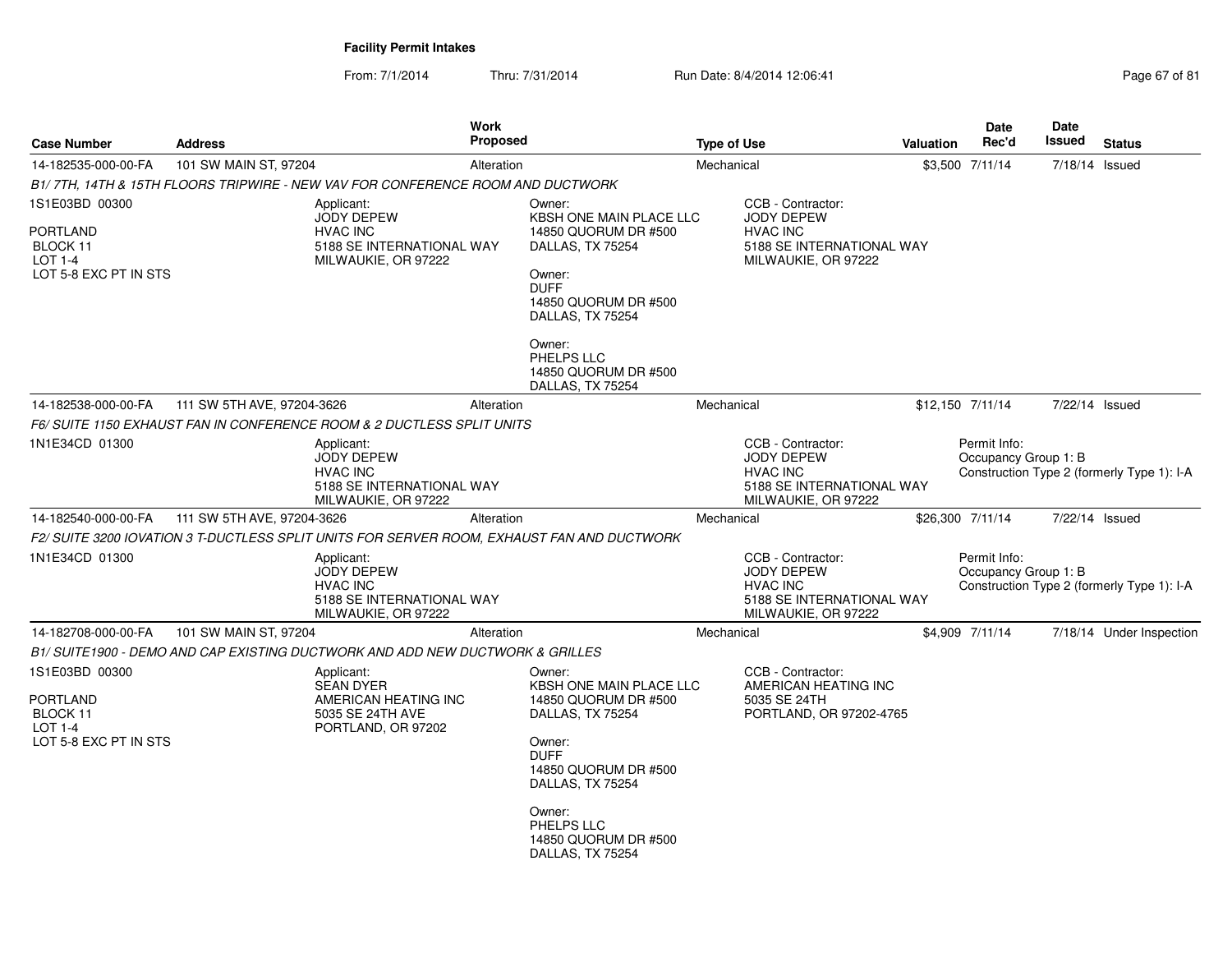From: 7/1/2014Thru: 7/31/2014 Run Date: 8/4/2014 12:06:41 Page 67 of 81

| <b>Case Number</b>                                                                       | <b>Address</b>             | Work<br><b>Proposed</b>                                                                                |                                                                                                                     |                                                                                                 | <b>Type of Use</b> |                                                                                                               | <b>Valuation</b> | Date<br>Rec'd                        | <b>Date</b><br><b>Issued</b> | <b>Status</b>                              |
|------------------------------------------------------------------------------------------|----------------------------|--------------------------------------------------------------------------------------------------------|---------------------------------------------------------------------------------------------------------------------|-------------------------------------------------------------------------------------------------|--------------------|---------------------------------------------------------------------------------------------------------------|------------------|--------------------------------------|------------------------------|--------------------------------------------|
| 14-182535-000-00-FA                                                                      | 101 SW MAIN ST, 97204      | Alteration                                                                                             |                                                                                                                     |                                                                                                 | Mechanical         |                                                                                                               |                  | \$3,500 7/11/14                      | 7/18/14 Issued               |                                            |
|                                                                                          |                            | B1/7TH, 14TH & 15TH FLOORS TRIPWIRE - NEW VAV FOR CONFERENCE ROOM AND DUCTWORK                         |                                                                                                                     |                                                                                                 |                    |                                                                                                               |                  |                                      |                              |                                            |
| 1S1E03BD 00300                                                                           |                            | Applicant:<br><b>JODY DEPEW</b>                                                                        | Owner:                                                                                                              | KBSH ONE MAIN PLACE LLC                                                                         |                    | CCB - Contractor:<br><b>JODY DEPEW</b>                                                                        |                  |                                      |                              |                                            |
| <b>PORTLAND</b><br>BLOCK 11<br>LOT 1-4<br>LOT 5-8 EXC PT IN STS                          |                            | <b>HVAC INC</b><br>5188 SE INTERNATIONAL WAY<br>MILWAUKIE, OR 97222                                    | DALLAS, TX 75254<br>Owner:<br><b>DUFF</b>                                                                           | 14850 QUORUM DR #500<br>14850 QUORUM DR #500                                                    |                    | <b>HVAC INC</b><br>5188 SE INTERNATIONAL WAY<br>MILWAUKIE, OR 97222                                           |                  |                                      |                              |                                            |
|                                                                                          |                            |                                                                                                        | DALLAS, TX 75254<br>Owner:<br>PHELPS LLC<br>DALLAS, TX 75254                                                        | 14850 QUORUM DR #500                                                                            |                    |                                                                                                               |                  |                                      |                              |                                            |
| 14-182538-000-00-FA                                                                      | 111 SW 5TH AVE, 97204-3626 | Alteration                                                                                             |                                                                                                                     |                                                                                                 | Mechanical         |                                                                                                               |                  | \$12,150 7/11/14                     | 7/22/14 Issued               |                                            |
|                                                                                          |                            | F6/SUITE 1150 EXHAUST FAN IN CONFERENCE ROOM & 2 DUCTLESS SPLIT UNITS                                  |                                                                                                                     |                                                                                                 |                    |                                                                                                               |                  |                                      |                              |                                            |
| 1N1E34CD 01300                                                                           |                            | Applicant:<br><b>JODY DEPEW</b><br><b>HVAC INC</b><br>5188 SE INTERNATIONAL WAY<br>MILWAUKIE, OR 97222 |                                                                                                                     |                                                                                                 |                    | CCB - Contractor:<br><b>JODY DEPEW</b><br><b>HVAC INC</b><br>5188 SE INTERNATIONAL WAY<br>MILWAUKIE, OR 97222 |                  | Permit Info:<br>Occupancy Group 1: B |                              | Construction Type 2 (formerly Type 1): I-A |
| 14-182540-000-00-FA                                                                      | 111 SW 5TH AVE, 97204-3626 | Alteration                                                                                             |                                                                                                                     |                                                                                                 | Mechanical         |                                                                                                               |                  | \$26,300 7/11/14                     | 7/22/14 Issued               |                                            |
|                                                                                          |                            | F2/ SUITE 3200 IOVATION 3 T-DUCTLESS SPLIT UNITS FOR SERVER ROOM, EXHAUST FAN AND DUCTWORK             |                                                                                                                     |                                                                                                 |                    |                                                                                                               |                  |                                      |                              |                                            |
| 1N1E34CD 01300                                                                           |                            | Applicant:<br><b>JODY DEPEW</b><br><b>HVAC INC</b><br>5188 SE INTERNATIONAL WAY<br>MILWAUKIE, OR 97222 |                                                                                                                     |                                                                                                 |                    | CCB - Contractor:<br><b>JODY DEPEW</b><br><b>HVAC INC</b><br>5188 SE INTERNATIONAL WAY<br>MILWAUKIE, OR 97222 |                  | Permit Info:<br>Occupancy Group 1: B |                              | Construction Type 2 (formerly Type 1): I-A |
| 14-182708-000-00-FA                                                                      | 101 SW MAIN ST, 97204      | Alteration                                                                                             |                                                                                                                     |                                                                                                 | Mechanical         |                                                                                                               |                  | \$4,909 7/11/14                      |                              | 7/18/14 Under Inspection                   |
|                                                                                          |                            | B1/ SUITE1900 - DEMO AND CAP EXISTING DUCTWORK AND ADD NEW DUCTWORK & GRILLES                          |                                                                                                                     |                                                                                                 |                    |                                                                                                               |                  |                                      |                              |                                            |
| 1S1E03BD 00300<br><b>PORTLAND</b><br>BLOCK 11<br><b>LOT 1-4</b><br>LOT 5-8 EXC PT IN STS |                            | Applicant:<br><b>SEAN DYER</b><br>AMERICAN HEATING INC<br>5035 SE 24TH AVE<br>PORTLAND, OR 97202       | Owner:<br>DALLAS, TX 75254<br>Owner:<br><b>DUFF</b><br>DALLAS, TX 75254<br>Owner:<br>PHELPS LLC<br>DALLAS, TX 75254 | KBSH ONE MAIN PLACE LLC<br>14850 QUORUM DR #500<br>14850 QUORUM DR #500<br>14850 QUORUM DR #500 |                    | CCB - Contractor:<br>AMERICAN HEATING INC<br>5035 SE 24TH<br>PORTLAND, OR 97202-4765                          |                  |                                      |                              |                                            |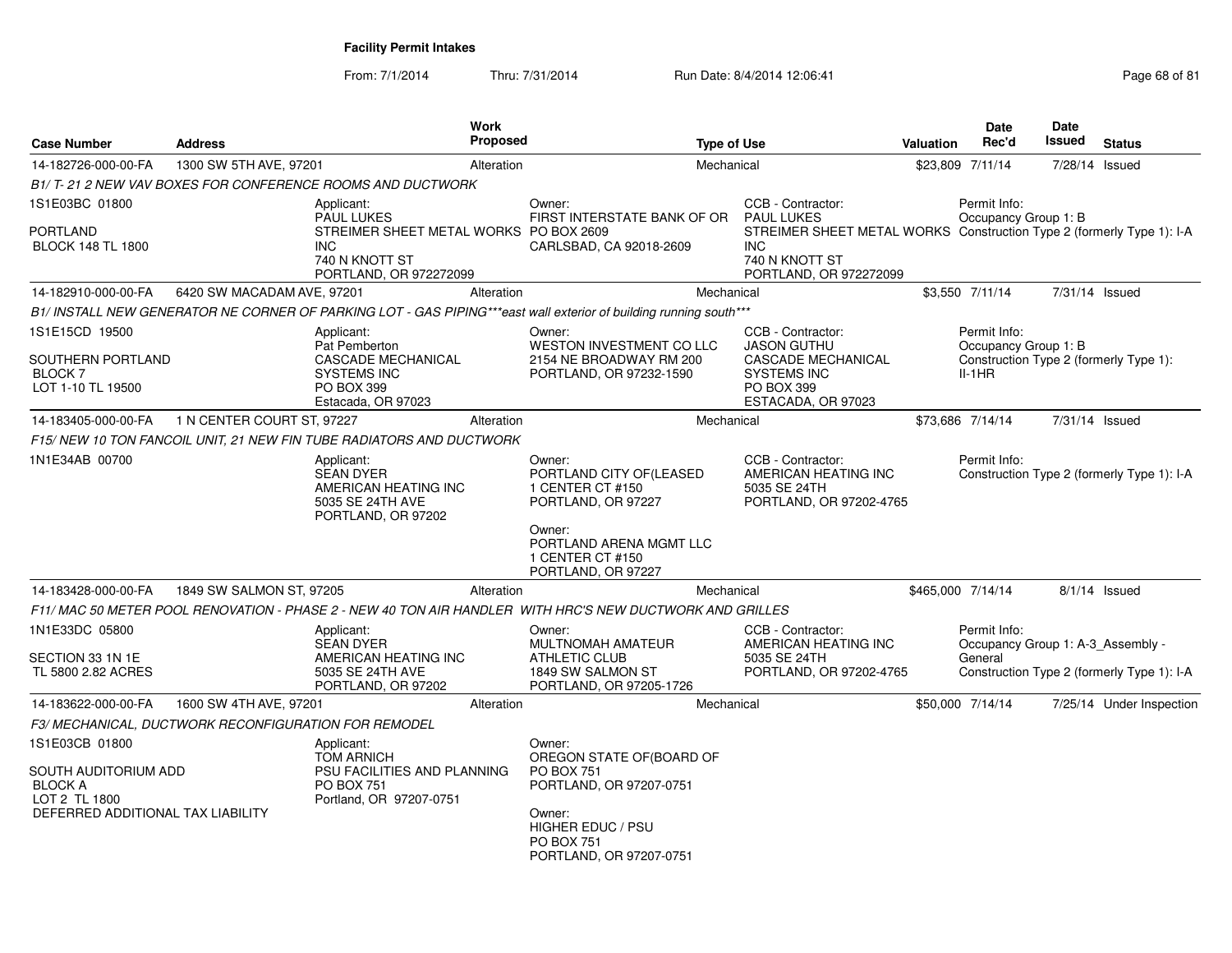From: 7/1/2014Thru: 7/31/2014 Run Date: 8/4/2014 12:06:41 Page 68 of 81

| <b>Case Number</b>                                                        | <b>Address</b>                                       |                                                                                                                | <b>Work</b><br>Proposed |                                                                                                                   | <b>Type of Use</b> |                                                                                                                                 | Valuation | <b>Date</b><br>Rec'd                                         | <b>Date</b><br>Issued | <b>Status</b>                              |
|---------------------------------------------------------------------------|------------------------------------------------------|----------------------------------------------------------------------------------------------------------------|-------------------------|-------------------------------------------------------------------------------------------------------------------|--------------------|---------------------------------------------------------------------------------------------------------------------------------|-----------|--------------------------------------------------------------|-----------------------|--------------------------------------------|
| 14-182726-000-00-FA                                                       | 1300 SW 5TH AVE, 97201                               |                                                                                                                | Alteration              |                                                                                                                   | Mechanical         |                                                                                                                                 |           | \$23,809 7/11/14                                             |                       | 7/28/14 Issued                             |
|                                                                           |                                                      | B1/T-21 2 NEW VAV BOXES FOR CONFERENCE ROOMS AND DUCTWORK                                                      |                         |                                                                                                                   |                    |                                                                                                                                 |           |                                                              |                       |                                            |
| 1S1E03BC 01800                                                            |                                                      | Applicant:<br><b>PAUL LUKES</b>                                                                                |                         | Owner:<br>FIRST INTERSTATE BANK OF OR                                                                             |                    | CCB - Contractor:<br><b>PAUL LUKES</b>                                                                                          |           | Permit Info:<br>Occupancy Group 1: B                         |                       |                                            |
| PORTLAND<br><b>BLOCK 148 TL 1800</b>                                      |                                                      | STREIMER SHEET METAL WORKS PO BOX 2609<br><b>INC</b><br>740 N KNOTT ST<br>PORTLAND, OR 972272099               |                         | CARLSBAD, CA 92018-2609                                                                                           |                    | STREIMER SHEET METAL WORKS Construction Type 2 (formerly Type 1): I-A<br><b>INC</b><br>740 N KNOTT ST<br>PORTLAND, OR 972272099 |           |                                                              |                       |                                            |
| 14-182910-000-00-FA                                                       | 6420 SW MACADAM AVE, 97201                           |                                                                                                                | Alteration              |                                                                                                                   | Mechanical         |                                                                                                                                 |           | \$3,550 7/11/14                                              |                       | 7/31/14 Issued                             |
|                                                                           |                                                      |                                                                                                                |                         | B1/ INSTALL NEW GENERATOR NE CORNER OF PARKING LOT - GAS PIPING***east wall exterior of building running south*** |                    |                                                                                                                                 |           |                                                              |                       |                                            |
| 1S1E15CD 19500                                                            |                                                      | Applicant:<br>Pat Pemberton                                                                                    |                         | Owner:<br><b>WESTON INVESTMENT CO LLC</b>                                                                         |                    | CCB - Contractor:<br><b>JASON GUTHU</b>                                                                                         |           | Permit Info:<br>Occupancy Group 1: B                         |                       |                                            |
| SOUTHERN PORTLAND<br><b>BLOCK 7</b><br>LOT 1-10 TL 19500                  |                                                      | CASCADE MECHANICAL<br><b>SYSTEMS INC</b><br>PO BOX 399<br>Estacada, OR 97023                                   |                         | 2154 NE BROADWAY RM 200<br>PORTLAND, OR 97232-1590                                                                |                    | CASCADE MECHANICAL<br><b>SYSTEMS INC</b><br><b>PO BOX 399</b><br>ESTACADA, OR 97023                                             |           | $II-1HR$                                                     |                       | Construction Type 2 (formerly Type 1):     |
| 14-183405-000-00-FA                                                       | 1 N CENTER COURT ST, 97227                           |                                                                                                                | Alteration              |                                                                                                                   | Mechanical         |                                                                                                                                 |           | \$73,686 7/14/14                                             | 7/31/14 Issued        |                                            |
|                                                                           |                                                      | F15/NEW 10 TON FANCOIL UNIT, 21 NEW FIN TUBE RADIATORS AND DUCTWORK                                            |                         |                                                                                                                   |                    |                                                                                                                                 |           |                                                              |                       |                                            |
| 1N1E34AB 00700                                                            |                                                      | Applicant:<br><b>SEAN DYER</b><br>AMERICAN HEATING INC<br>5035 SE 24TH AVE<br>PORTLAND, OR 97202               |                         | Owner:<br>PORTLAND CITY OF(LEASED<br>1 CENTER CT #150<br>PORTLAND, OR 97227                                       |                    | CCB - Contractor:<br>AMERICAN HEATING INC<br>5035 SE 24TH<br>PORTLAND, OR 97202-4765                                            |           | Permit Info:                                                 |                       | Construction Type 2 (formerly Type 1): I-A |
|                                                                           |                                                      |                                                                                                                |                         | Owner:<br>PORTLAND ARENA MGMT LLC<br>1 CENTER CT #150<br>PORTLAND, OR 97227                                       |                    |                                                                                                                                 |           |                                                              |                       |                                            |
| 14-183428-000-00-FA                                                       | 1849 SW SALMON ST, 97205                             |                                                                                                                | Alteration              |                                                                                                                   | Mechanical         |                                                                                                                                 |           | \$465,000 7/14/14                                            |                       | $8/1/14$ Issued                            |
|                                                                           |                                                      |                                                                                                                |                         | F11/ MAC 50 METER POOL RENOVATION - PHASE 2 - NEW 40 TON AIR HANDLER WITH HRC'S NEW DUCTWORK AND GRILLES          |                    |                                                                                                                                 |           |                                                              |                       |                                            |
| 1N1E33DC 05800<br>SECTION 33 1N 1E                                        |                                                      | Applicant:<br><b>SEAN DYER</b><br>AMERICAN HEATING INC                                                         |                         | Owner:<br>MULTNOMAH AMATEUR<br><b>ATHLETIC CLUB</b>                                                               |                    | CCB - Contractor:<br>AMERICAN HEATING INC<br>5035 SE 24TH                                                                       |           | Permit Info:<br>Occupancy Group 1: A-3_Assembly -<br>General |                       |                                            |
| TL 5800 2.82 ACRES                                                        |                                                      | 5035 SE 24TH AVE<br>PORTLAND, OR 97202                                                                         |                         | 1849 SW SALMON ST<br>PORTLAND, OR 97205-1726                                                                      |                    | PORTLAND, OR 97202-4765                                                                                                         |           |                                                              |                       | Construction Type 2 (formerly Type 1): I-A |
| 14-183622-000-00-FA                                                       | 1600 SW 4TH AVE, 97201                               |                                                                                                                | Alteration              |                                                                                                                   | Mechanical         |                                                                                                                                 |           | \$50,000 7/14/14                                             |                       | 7/25/14 Under Inspection                   |
|                                                                           | F3/ MECHANICAL, DUCTWORK RECONFIGURATION FOR REMODEL |                                                                                                                |                         |                                                                                                                   |                    |                                                                                                                                 |           |                                                              |                       |                                            |
| 1S1E03CB 01800<br>SOUTH AUDITORIUM ADD<br><b>BLOCK A</b><br>LOT 2 TL 1800 |                                                      | Applicant:<br><b>TOM ARNICH</b><br>PSU FACILITIES AND PLANNING<br><b>PO BOX 751</b><br>Portland, OR 97207-0751 |                         | Owner:<br>OREGON STATE OF(BOARD OF<br><b>PO BOX 751</b><br>PORTLAND, OR 97207-0751                                |                    |                                                                                                                                 |           |                                                              |                       |                                            |
| DEFERRED ADDITIONAL TAX LIABILITY                                         |                                                      |                                                                                                                |                         | Owner:<br><b>HIGHER EDUC / PSU</b><br><b>PO BOX 751</b><br>PORTLAND, OR 97207-0751                                |                    |                                                                                                                                 |           |                                                              |                       |                                            |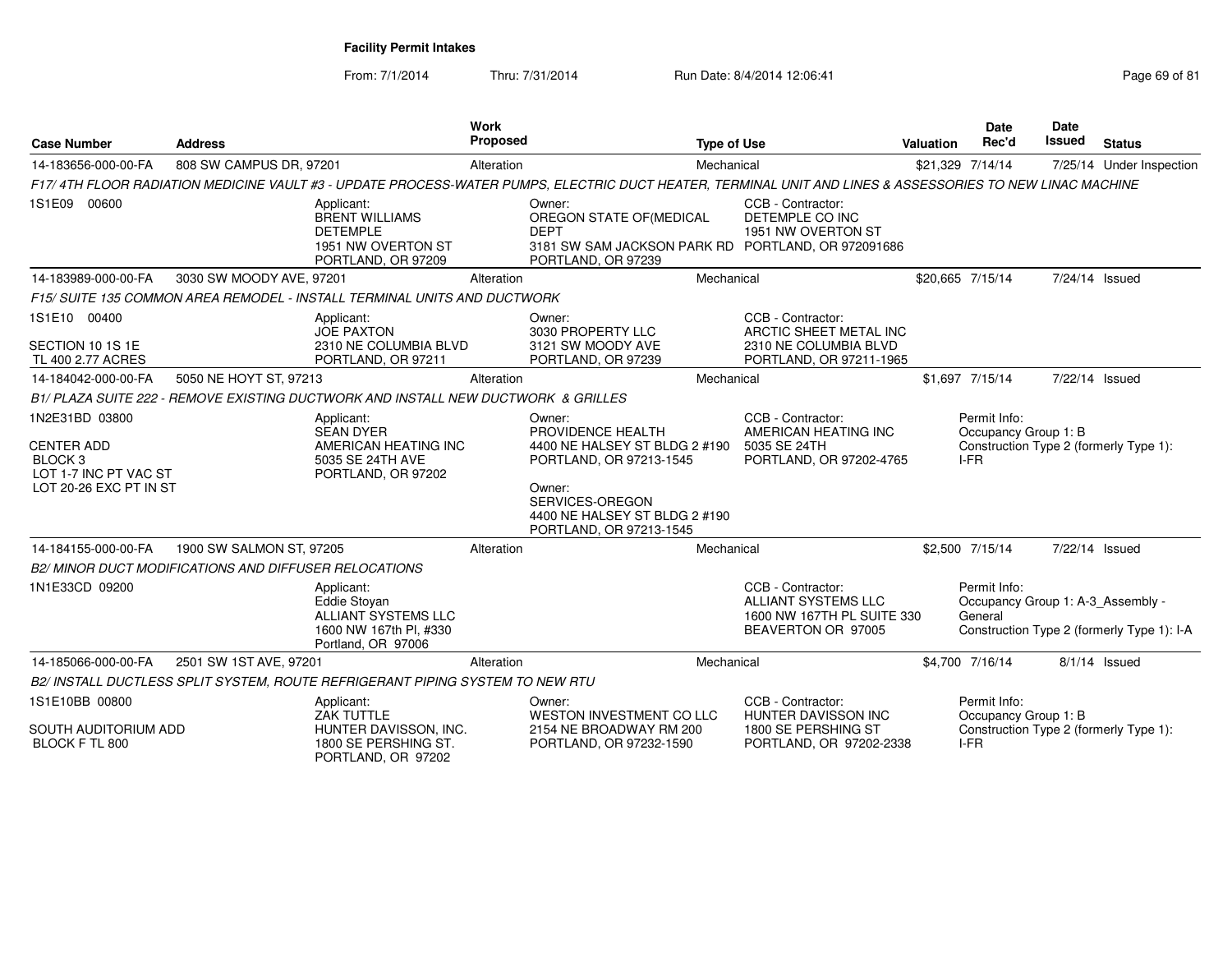From: 7/1/2014

| <b>Case Number</b>                                                                                | <b>Address</b>                                               |                                                                                                                 | Work<br>Proposed |                                                                                                                                                                                  | <b>Type of Use</b> |                                                                                                     | <b>Valuation</b> | Date<br>Rec'd                                                | <b>Date</b><br>Issued | <b>Status</b>                              |
|---------------------------------------------------------------------------------------------------|--------------------------------------------------------------|-----------------------------------------------------------------------------------------------------------------|------------------|----------------------------------------------------------------------------------------------------------------------------------------------------------------------------------|--------------------|-----------------------------------------------------------------------------------------------------|------------------|--------------------------------------------------------------|-----------------------|--------------------------------------------|
| 14-183656-000-00-FA                                                                               | 808 SW CAMPUS DR, 97201                                      |                                                                                                                 | Alteration       |                                                                                                                                                                                  | Mechanical         |                                                                                                     | \$21,329 7/14/14 |                                                              |                       | 7/25/14 Under Inspection                   |
|                                                                                                   |                                                              |                                                                                                                 |                  | F17/4TH FLOOR RADIATION MEDICINE VAULT #3 - UPDATE PROCESS-WATER PUMPS, ELECTRIC DUCT HEATER, TERMINAL UNIT AND LINES & ASSESSORIES TO NEW LINAC MACHINE                         |                    |                                                                                                     |                  |                                                              |                       |                                            |
| 1S1E09 00600                                                                                      |                                                              | Applicant:<br><b>BRENT WILLIAMS</b><br><b>DETEMPLE</b><br>1951 NW OVERTON ST<br>PORTLAND, OR 97209              |                  | Owner:<br>OREGON STATE OF(MEDICAL<br><b>DEPT</b><br>3181 SW SAM JACKSON PARK RD PORTLAND, OR 972091686<br>PORTLAND, OR 97239                                                     |                    | CCB - Contractor:<br>DETEMPLE CO INC<br>1951 NW OVERTON ST                                          |                  |                                                              |                       |                                            |
| 14-183989-000-00-FA                                                                               | 3030 SW MOODY AVE, 97201                                     |                                                                                                                 | Alteration       |                                                                                                                                                                                  | Mechanical         |                                                                                                     |                  | \$20,665 7/15/14                                             | 7/24/14 Issued        |                                            |
|                                                                                                   |                                                              | F15/ SUITE 135 COMMON AREA REMODEL - INSTALL TERMINAL UNITS AND DUCTWORK                                        |                  |                                                                                                                                                                                  |                    |                                                                                                     |                  |                                                              |                       |                                            |
| 1S1E10 00400<br>SECTION 10 1S 1E<br>TL 400 2.77 ACRES                                             |                                                              | Applicant:<br><b>JOE PAXTON</b><br>2310 NE COLUMBIA BLVD<br>PORTLAND, OR 97211                                  |                  | Owner:<br>3030 PROPERTY LLC<br>3121 SW MOODY AVE<br>PORTLAND, OR 97239                                                                                                           |                    | CCB - Contractor:<br>ARCTIC SHEET METAL INC<br>2310 NE COLUMBIA BLVD<br>PORTLAND, OR 97211-1965     |                  |                                                              |                       |                                            |
| 14-184042-000-00-FA                                                                               | 5050 NE HOYT ST, 97213                                       |                                                                                                                 | Alteration       |                                                                                                                                                                                  | Mechanical         |                                                                                                     |                  | \$1,697 7/15/14                                              | 7/22/14 Issued        |                                            |
|                                                                                                   |                                                              | B1/ PLAZA SUITE 222 - REMOVE EXISTING DUCTWORK AND INSTALL NEW DUCTWORK & GRILLES                               |                  |                                                                                                                                                                                  |                    |                                                                                                     |                  |                                                              |                       |                                            |
| 1N2E31BD 03800<br><b>CENTER ADD</b><br>BLOCK 3<br>LOT 1-7 INC PT VAC ST<br>LOT 20-26 EXC PT IN ST |                                                              | Applicant:<br><b>SEAN DYER</b><br>AMERICAN HEATING INC<br>5035 SE 24TH AVE<br>PORTLAND, OR 97202                |                  | Owner:<br>PROVIDENCE HEALTH<br>4400 NE HALSEY ST BLDG 2 #190<br>PORTLAND, OR 97213-1545<br>Owner:<br>SERVICES-OREGON<br>4400 NE HALSEY ST BLDG 2 #190<br>PORTLAND, OR 97213-1545 |                    | CCB - Contractor:<br>AMERICAN HEATING INC<br>5035 SE 24TH<br>PORTLAND, OR 97202-4765                |                  | Permit Info:<br>Occupancy Group 1: B<br>I-FR                 |                       | Construction Type 2 (formerly Type 1):     |
| 14-184155-000-00-FA                                                                               | 1900 SW SALMON ST, 97205                                     |                                                                                                                 | Alteration       |                                                                                                                                                                                  | Mechanical         |                                                                                                     |                  | \$2,500 7/15/14                                              | 7/22/14 Issued        |                                            |
|                                                                                                   | <b>B2/ MINOR DUCT MODIFICATIONS AND DIFFUSER RELOCATIONS</b> |                                                                                                                 |                  |                                                                                                                                                                                  |                    |                                                                                                     |                  |                                                              |                       |                                            |
| 1N1E33CD 09200                                                                                    |                                                              | Applicant:<br><b>Eddie Stovan</b><br><b>ALLIANT SYSTEMS LLC</b><br>1600 NW 167th Pl, #330<br>Portland, OR 97006 |                  |                                                                                                                                                                                  |                    | CCB - Contractor:<br><b>ALLIANT SYSTEMS LLC</b><br>1600 NW 167TH PL SUITE 330<br>BEAVERTON OR 97005 |                  | Permit Info:<br>Occupancy Group 1: A-3_Assembly -<br>General |                       | Construction Type 2 (formerly Type 1): I-A |
| 14-185066-000-00-FA                                                                               | 2501 SW 1ST AVE, 97201                                       |                                                                                                                 | Alteration       |                                                                                                                                                                                  | Mechanical         |                                                                                                     |                  | \$4,700 7/16/14                                              |                       | $8/1/14$ Issued                            |
|                                                                                                   |                                                              | B2/ INSTALL DUCTLESS SPLIT SYSTEM, ROUTE REFRIGERANT PIPING SYSTEM TO NEW RTU                                   |                  |                                                                                                                                                                                  |                    |                                                                                                     |                  |                                                              |                       |                                            |
| 1S1E10BB 00800                                                                                    |                                                              | Applicant:<br>ZAK TUTTLE                                                                                        |                  | Owner:<br>WESTON INVESTMENT CO LLC                                                                                                                                               |                    | CCB - Contractor:<br>HUNTER DAVISSON INC                                                            |                  | Permit Info:<br>Occupancy Group 1: B                         |                       |                                            |
| SOUTH AUDITORIUM ADD<br>BLOCK F TL 800                                                            |                                                              | HUNTER DAVISSON, INC.<br>1800 SE PERSHING ST.<br>PORTLAND, OR 97202                                             |                  | 2154 NE BROADWAY RM 200<br>PORTLAND, OR 97232-1590                                                                                                                               |                    | 1800 SE PERSHING ST<br>PORTLAND, OR 97202-2338                                                      |                  | I-FR                                                         |                       | Construction Type 2 (formerly Type 1):     |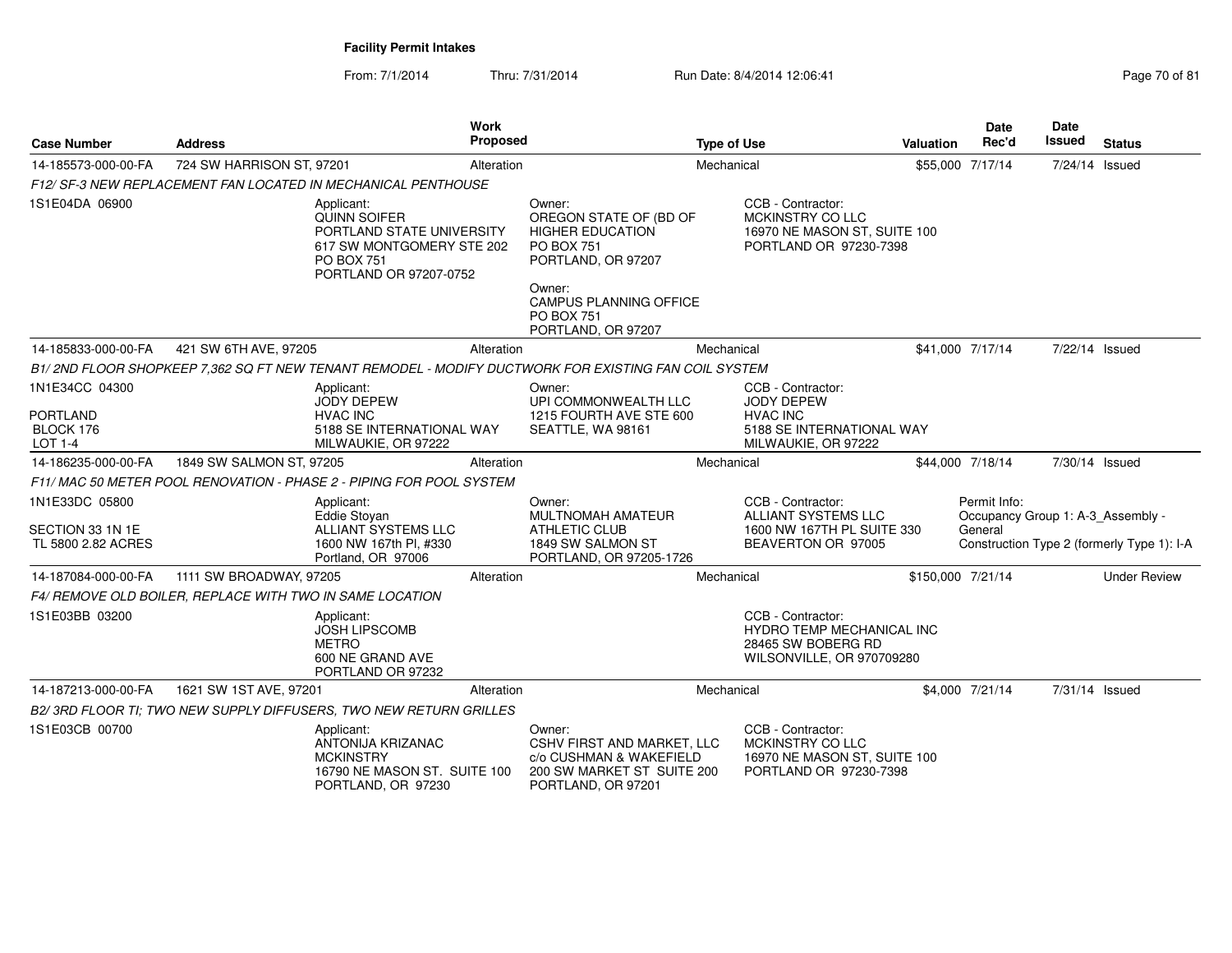| <b>Case Number</b>                                        | <b>Address</b>                                           | <b>Work</b><br>Proposed                                                                                                                    |                                                                                                                                                                                              | <b>Type of Use</b>                                                                                       | <b>Valuation</b>  | <b>Date</b><br>Rec'd                                         | Date<br>Issued | <b>Status</b>                              |
|-----------------------------------------------------------|----------------------------------------------------------|--------------------------------------------------------------------------------------------------------------------------------------------|----------------------------------------------------------------------------------------------------------------------------------------------------------------------------------------------|----------------------------------------------------------------------------------------------------------|-------------------|--------------------------------------------------------------|----------------|--------------------------------------------|
| 14-185573-000-00-FA                                       | 724 SW HARRISON ST, 97201                                | Alteration                                                                                                                                 |                                                                                                                                                                                              | Mechanical                                                                                               |                   | \$55,000 7/17/14                                             | 7/24/14 Issued |                                            |
|                                                           |                                                          | F12/ SF-3 NEW REPLACEMENT FAN LOCATED IN MECHANICAL PENTHOUSE                                                                              |                                                                                                                                                                                              |                                                                                                          |                   |                                                              |                |                                            |
| 1S1E04DA 06900                                            |                                                          | Applicant:<br><b>QUINN SOIFER</b><br>PORTLAND STATE UNIVERSITY<br>617 SW MONTGOMERY STE 202<br><b>PO BOX 751</b><br>PORTLAND OR 97207-0752 | Owner:<br>OREGON STATE OF (BD OF<br><b>HIGHER EDUCATION</b><br><b>PO BOX 751</b><br>PORTLAND, OR 97207<br>Owner:<br><b>CAMPUS PLANNING OFFICE</b><br><b>PO BOX 751</b><br>PORTLAND, OR 97207 | CCB - Contractor:<br>MCKINSTRY CO LLC<br>16970 NE MASON ST, SUITE 100<br>PORTLAND OR 97230-7398          |                   |                                                              |                |                                            |
| 14-185833-000-00-FA                                       | 421 SW 6TH AVE, 97205                                    | Alteration                                                                                                                                 |                                                                                                                                                                                              | Mechanical                                                                                               |                   | \$41,000 7/17/14                                             | 7/22/14 Issued |                                            |
|                                                           |                                                          | B1/2ND FLOOR SHOPKEEP 7,362 SQ FT NEW TENANT REMODEL - MODIFY DUCTWORK FOR EXISTING FAN COIL SYSTEM                                        |                                                                                                                                                                                              |                                                                                                          |                   |                                                              |                |                                            |
| 1N1E34CC 04300<br><b>PORTLAND</b><br>BLOCK 176<br>LOT 1-4 |                                                          | Applicant:<br><b>JODY DEPEW</b><br><b>HVAC INC</b><br>5188 SE INTERNATIONAL WAY<br>MILWAUKIE, OR 97222                                     | Owner:<br>UPI COMMONWEALTH LLC<br>1215 FOURTH AVE STE 600<br>SEATTLE, WA 98161                                                                                                               | CCB - Contractor:<br>JODY DEPEW<br><b>HVAC INC</b><br>5188 SE INTERNATIONAL WAY<br>MILWAUKIE, OR 97222   |                   |                                                              |                |                                            |
| 14-186235-000-00-FA                                       | 1849 SW SALMON ST, 97205                                 | Alteration                                                                                                                                 |                                                                                                                                                                                              | Mechanical                                                                                               |                   | \$44,000 7/18/14                                             | 7/30/14 Issued |                                            |
|                                                           |                                                          | F11/MAC 50 METER POOL RENOVATION - PHASE 2 - PIPING FOR POOL SYSTEM                                                                        |                                                                                                                                                                                              |                                                                                                          |                   |                                                              |                |                                            |
| 1N1E33DC 05800<br>SECTION 33 1N 1E<br>TL 5800 2.82 ACRES  |                                                          | Applicant:<br><b>Eddie Stovan</b><br><b>ALLIANT SYSTEMS LLC</b><br>1600 NW 167th Pl, #330<br>Portland, OR 97006                            | Owner:<br>MULTNOMAH AMATEUR<br><b>ATHLETIC CLUB</b><br>1849 SW SALMON ST<br>PORTLAND, OR 97205-1726                                                                                          | CCB - Contractor:<br>ALLIANT SYSTEMS LLC<br>1600 NW 167TH PL SUITE 330<br>BEAVERTON OR 97005             |                   | Permit Info:<br>Occupancy Group 1: A-3 Assembly -<br>General |                | Construction Type 2 (formerly Type 1): I-A |
| 14-187084-000-00-FA                                       | 1111 SW BROADWAY, 97205                                  | Alteration                                                                                                                                 |                                                                                                                                                                                              | Mechanical                                                                                               | \$150,000 7/21/14 |                                                              |                | <b>Under Review</b>                        |
|                                                           | F4/ REMOVE OLD BOILER, REPLACE WITH TWO IN SAME LOCATION |                                                                                                                                            |                                                                                                                                                                                              |                                                                                                          |                   |                                                              |                |                                            |
| 1S1E03BB 03200                                            |                                                          | Applicant:<br><b>JOSH LIPSCOMB</b><br><b>METRO</b><br>600 NE GRAND AVE<br>PORTLAND OR 97232                                                |                                                                                                                                                                                              | CCB - Contractor:<br><b>HYDRO TEMP MECHANICAL INC</b><br>28465 SW BOBERG RD<br>WILSONVILLE, OR 970709280 |                   |                                                              |                |                                            |
| 14-187213-000-00-FA                                       | 1621 SW 1ST AVE, 97201                                   | Alteration                                                                                                                                 |                                                                                                                                                                                              | Mechanical                                                                                               |                   | \$4,000 7/21/14                                              | 7/31/14 Issued |                                            |
|                                                           |                                                          | B2/3RD FLOOR TI: TWO NEW SUPPLY DIFFUSERS, TWO NEW RETURN GRILLES                                                                          |                                                                                                                                                                                              |                                                                                                          |                   |                                                              |                |                                            |
| 1S1E03CB 00700                                            |                                                          | Applicant:<br>ANTONIJA KRIZANAC<br><b>MCKINSTRY</b><br>16790 NE MASON ST. SUITE 100<br>PORTLAND, OR 97230                                  | Owner:<br>CSHV FIRST AND MARKET, LLC<br>c/o CUSHMAN & WAKEFIELD<br>200 SW MARKET ST SUITE 200<br>PORTLAND, OR 97201                                                                          | CCB - Contractor:<br>MCKINSTRY CO LLC<br>16970 NE MASON ST. SUITE 100<br>PORTLAND OR 97230-7398          |                   |                                                              |                |                                            |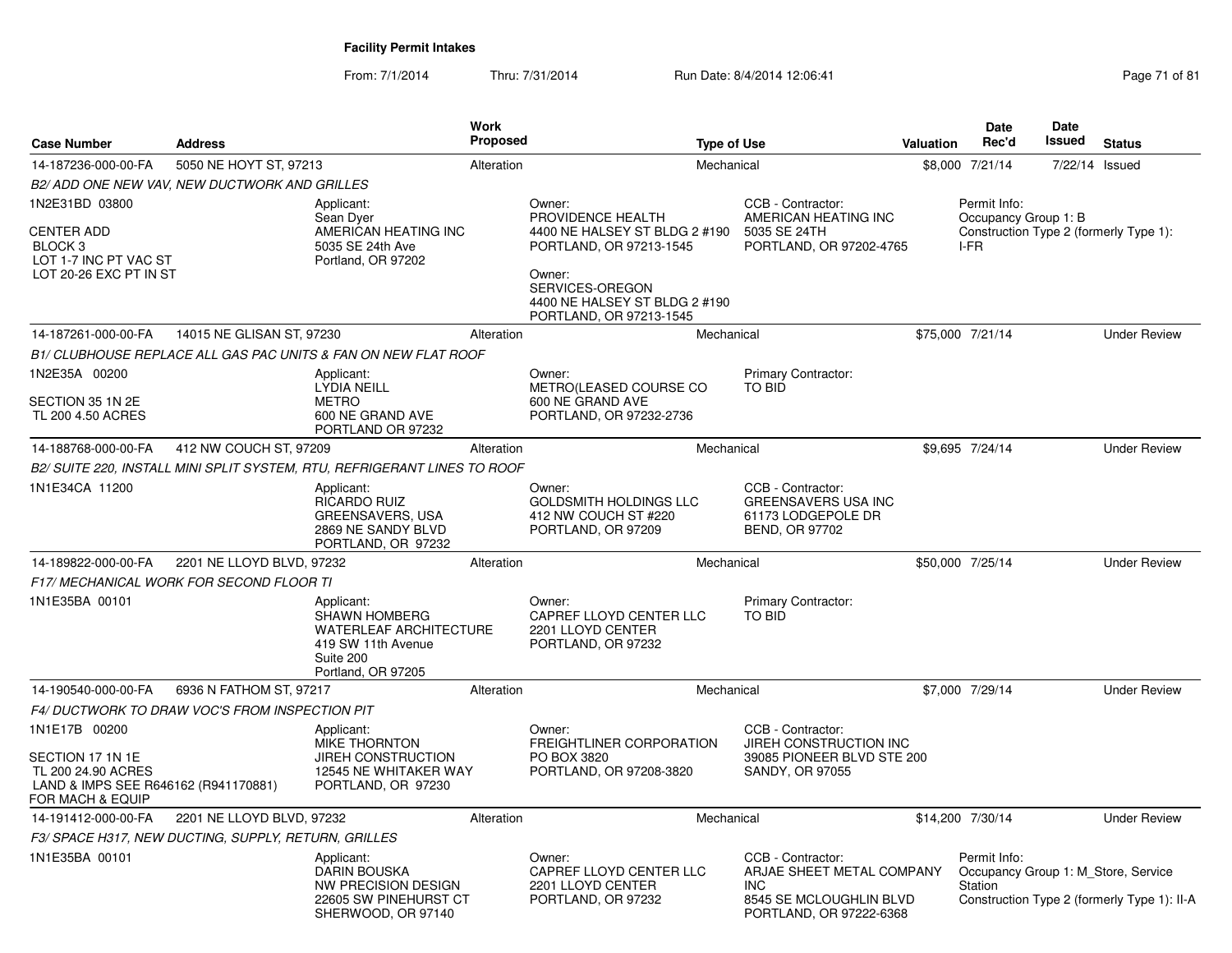From: 7/1/2014Thru: 7/31/2014 Run Date: 8/4/2014 12:06:41 Page 71 of 81

| <b>Case Number</b>                                                                                                  | <b>Address</b>                                       |                                                                                                                              | <b>Work</b><br><b>Proposed</b> |                                                                                                                                                                                  | <b>Type of Use</b>                                                                                                 | <b>Valuation</b> | <b>Date</b><br>Rec'd                                           | Date<br>Issued | <b>Status</b>                               |
|---------------------------------------------------------------------------------------------------------------------|------------------------------------------------------|------------------------------------------------------------------------------------------------------------------------------|--------------------------------|----------------------------------------------------------------------------------------------------------------------------------------------------------------------------------|--------------------------------------------------------------------------------------------------------------------|------------------|----------------------------------------------------------------|----------------|---------------------------------------------|
| 14-187236-000-00-FA                                                                                                 | 5050 NE HOYT ST, 97213                               |                                                                                                                              | Alteration                     |                                                                                                                                                                                  | Mechanical                                                                                                         |                  | \$8,000 7/21/14                                                | 7/22/14 Issued |                                             |
|                                                                                                                     | B2/ ADD ONE NEW VAV, NEW DUCTWORK AND GRILLES        |                                                                                                                              |                                |                                                                                                                                                                                  |                                                                                                                    |                  |                                                                |                |                                             |
| 1N2E31BD 03800<br><b>CENTER ADD</b><br>BLOCK <sub>3</sub><br>LOT 1-7 INC PT VAC ST<br>LOT 20-26 EXC PT IN ST        |                                                      | Applicant:<br>Sean Dyer<br>AMERICAN HEATING INC<br>5035 SE 24th Ave<br>Portland, OR 97202                                    |                                | Owner:<br>PROVIDENCE HEALTH<br>4400 NE HALSEY ST BLDG 2 #190<br>PORTLAND, OR 97213-1545<br>Owner:<br>SERVICES-OREGON<br>4400 NE HALSEY ST BLDG 2 #190<br>PORTLAND, OR 97213-1545 | CCB - Contractor:<br>AMERICAN HEATING INC<br>5035 SE 24TH<br>PORTLAND, OR 97202-4765                               |                  | Permit Info:<br>Occupancy Group 1: B<br>I-FR                   |                | Construction Type 2 (formerly Type 1):      |
| 14-187261-000-00-FA                                                                                                 | 14015 NE GLISAN ST, 97230                            |                                                                                                                              | Alteration                     |                                                                                                                                                                                  | Mechanical                                                                                                         |                  | \$75,000 7/21/14                                               |                | <b>Under Review</b>                         |
|                                                                                                                     |                                                      | B1/ CLUBHOUSE REPLACE ALL GAS PAC UNITS & FAN ON NEW FLAT ROOF                                                               |                                |                                                                                                                                                                                  |                                                                                                                    |                  |                                                                |                |                                             |
| 1N2E35A 00200<br>SECTION 35 1N 2E<br>TL 200 4.50 ACRES                                                              |                                                      | Applicant:<br><b>LYDIA NEILL</b><br><b>METRO</b><br>600 NE GRAND AVE<br>PORTLAND OR 97232                                    |                                | Owner:<br>METRO(LEASED COURSE CO<br>600 NE GRAND AVE<br>PORTLAND, OR 97232-2736                                                                                                  | Primary Contractor:<br>TO BID                                                                                      |                  |                                                                |                |                                             |
| 14-188768-000-00-FA                                                                                                 | 412 NW COUCH ST, 97209                               |                                                                                                                              | Alteration                     |                                                                                                                                                                                  | Mechanical                                                                                                         |                  | \$9,695 7/24/14                                                |                | <b>Under Review</b>                         |
|                                                                                                                     |                                                      | B2/ SUITE 220, INSTALL MINI SPLIT SYSTEM, RTU, REFRIGERANT LINES TO ROOF                                                     |                                |                                                                                                                                                                                  |                                                                                                                    |                  |                                                                |                |                                             |
| 1N1E34CA 11200                                                                                                      |                                                      | Applicant:<br>RICARDO RUIZ<br><b>GREENSAVERS, USA</b><br>2869 NE SANDY BLVD<br>PORTLAND, OR 97232                            |                                | Owner:<br><b>GOLDSMITH HOLDINGS LLC</b><br>412 NW COUCH ST #220<br>PORTLAND, OR 97209                                                                                            | CCB - Contractor:<br><b>GREENSAVERS USA INC</b><br>61173 LODGEPOLE DR<br>BEND, OR 97702                            |                  |                                                                |                |                                             |
| 14-189822-000-00-FA                                                                                                 | 2201 NE LLOYD BLVD, 97232                            |                                                                                                                              | Alteration                     |                                                                                                                                                                                  | Mechanical                                                                                                         |                  | \$50,000 7/25/14                                               |                | <b>Under Review</b>                         |
|                                                                                                                     | <b>F17/ MECHANICAL WORK FOR SECOND FLOOR TI</b>      |                                                                                                                              |                                |                                                                                                                                                                                  |                                                                                                                    |                  |                                                                |                |                                             |
| 1N1E35BA 00101                                                                                                      |                                                      | Applicant:<br><b>SHAWN HOMBERG</b><br><b>WATERLEAF ARCHITECTURE</b><br>419 SW 11th Avenue<br>Suite 200<br>Portland, OR 97205 |                                | Owner:<br>CAPREF LLOYD CENTER LLC<br>2201 LLOYD CENTER<br>PORTLAND, OR 97232                                                                                                     | Primary Contractor:<br>TO BID                                                                                      |                  |                                                                |                |                                             |
| 14-190540-000-00-FA                                                                                                 | 6936 N FATHOM ST, 97217                              |                                                                                                                              | Alteration                     |                                                                                                                                                                                  | Mechanical                                                                                                         |                  | \$7,000 7/29/14                                                |                | <b>Under Review</b>                         |
|                                                                                                                     | F4/ DUCTWORK TO DRAW VOC'S FROM INSPECTION PIT       |                                                                                                                              |                                |                                                                                                                                                                                  |                                                                                                                    |                  |                                                                |                |                                             |
| 1N1E17B 00200<br>SECTION 17 1N 1E<br>TL 200 24.90 ACRES<br>LAND & IMPS SEE R646162 (R941170881)<br>FOR MACH & EQUIP |                                                      | Applicant:<br><b>MIKE THORNTON</b><br><b>JIREH CONSTRUCTION</b><br>12545 NE WHITAKER WAY<br>PORTLAND, OR 97230               |                                | Owner:<br>FREIGHTLINER CORPORATION<br>PO BOX 3820<br>PORTLAND, OR 97208-3820                                                                                                     | CCB - Contractor:<br>JIREH CONSTRUCTION INC<br>39085 PIONEER BLVD STE 200<br>SANDY, OR 97055                       |                  |                                                                |                |                                             |
| 14-191412-000-00-FA                                                                                                 | 2201 NE LLOYD BLVD, 97232                            |                                                                                                                              | Alteration                     |                                                                                                                                                                                  | Mechanical                                                                                                         |                  | \$14,200 7/30/14                                               |                | <b>Under Review</b>                         |
|                                                                                                                     | F3/ SPACE H317, NEW DUCTING, SUPPLY, RETURN, GRILLES |                                                                                                                              |                                |                                                                                                                                                                                  |                                                                                                                    |                  |                                                                |                |                                             |
| 1N1E35BA 00101                                                                                                      |                                                      | Applicant:<br><b>DARIN BOUSKA</b><br><b>NW PRECISION DESIGN</b><br>22605 SW PINEHURST CT<br>SHERWOOD, OR 97140               |                                | Owner:<br>CAPREF LLOYD CENTER LLC<br>2201 LLOYD CENTER<br>PORTLAND, OR 97232                                                                                                     | CCB - Contractor:<br>ARJAE SHEET METAL COMPANY<br><b>INC</b><br>8545 SE MCLOUGHLIN BLVD<br>PORTLAND, OR 97222-6368 |                  | Permit Info:<br>Occupancy Group 1: M Store, Service<br>Station |                | Construction Type 2 (formerly Type 1): II-A |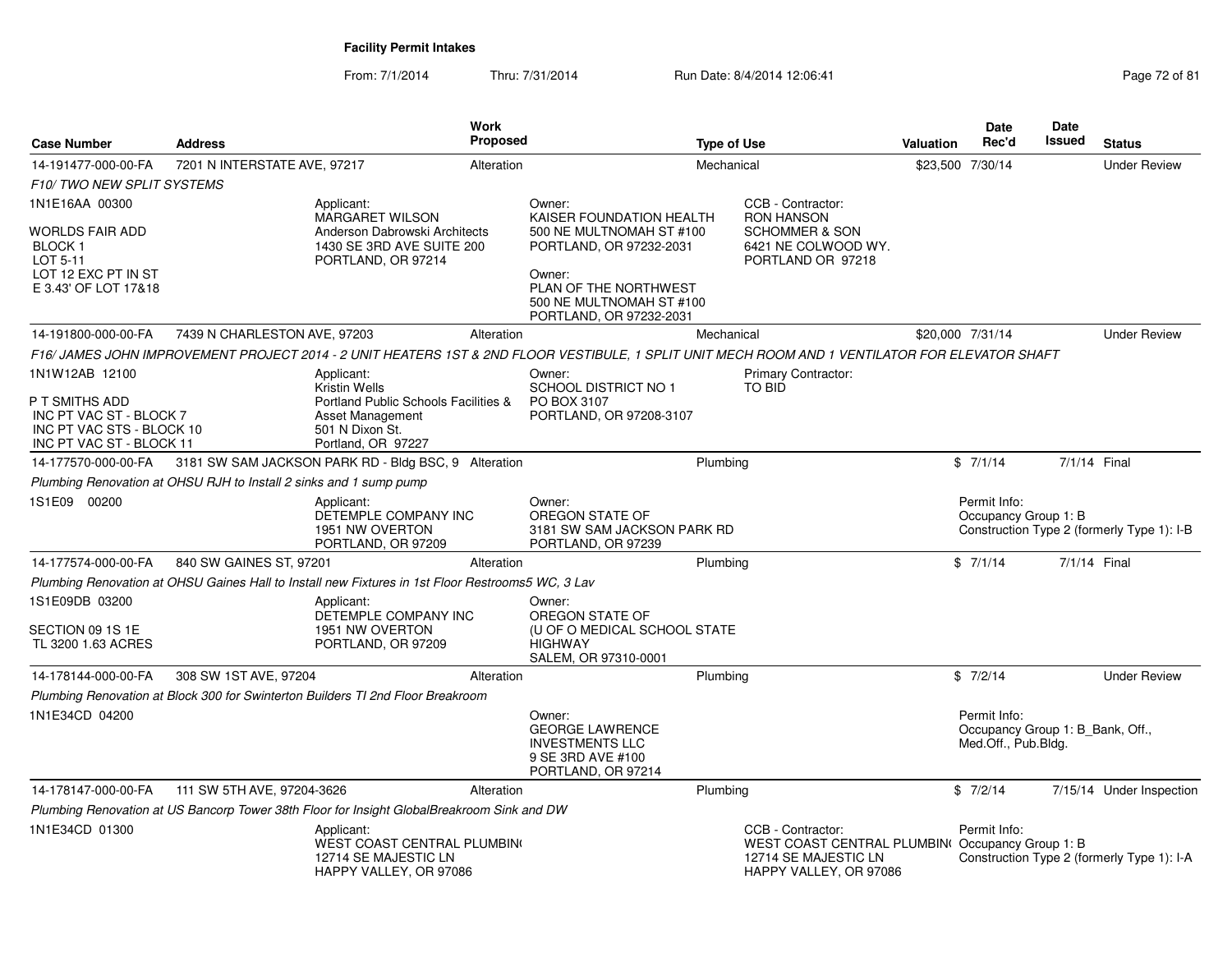| <b>Case Number</b>                                                                                                   | <b>Address</b>                                                     | <b>Work</b><br><b>Proposed</b>                                                                                                                  |                                                                                                                                                                                     | <b>Type of Use</b> |                                                                                                                        | Valuation                                                               | <b>Date</b><br>Rec'd                 | Date<br>Issued | <b>Status</b>                              |
|----------------------------------------------------------------------------------------------------------------------|--------------------------------------------------------------------|-------------------------------------------------------------------------------------------------------------------------------------------------|-------------------------------------------------------------------------------------------------------------------------------------------------------------------------------------|--------------------|------------------------------------------------------------------------------------------------------------------------|-------------------------------------------------------------------------|--------------------------------------|----------------|--------------------------------------------|
| 14-191477-000-00-FA                                                                                                  | 7201 N INTERSTATE AVE, 97217                                       |                                                                                                                                                 | Alteration                                                                                                                                                                          | Mechanical         |                                                                                                                        |                                                                         | \$23,500 7/30/14                     |                | <b>Under Review</b>                        |
| F10/TWO NEW SPLIT SYSTEMS                                                                                            |                                                                    |                                                                                                                                                 |                                                                                                                                                                                     |                    |                                                                                                                        |                                                                         |                                      |                |                                            |
| 1N1E16AA 00300<br>WORLDS FAIR ADD<br>BLOCK 1<br>LOT 5-11<br>LOT 12 EXC PT IN ST<br>E 3.43' OF LOT 17&18              |                                                                    | Applicant:<br><b>MARGARET WILSON</b><br>Anderson Dabrowski Architects<br>1430 SE 3RD AVE SUITE 200<br>PORTLAND, OR 97214                        | Owner:<br>KAISER FOUNDATION HEALTH<br>500 NE MULTNOMAH ST #100<br>PORTLAND, OR 97232-2031<br>Owner:<br>PLAN OF THE NORTHWEST<br>500 NE MULTNOMAH ST #100<br>PORTLAND, OR 97232-2031 |                    | CCB - Contractor:<br><b>RON HANSON</b><br><b>SCHOMMER &amp; SON</b><br>6421 NE COLWOOD WY.<br>PORTLAND OR 97218        |                                                                         |                                      |                |                                            |
| 14-191800-000-00-FA                                                                                                  | 7439 N CHARLESTON AVE, 97203                                       | Alteration                                                                                                                                      |                                                                                                                                                                                     | Mechanical         |                                                                                                                        |                                                                         | \$20,000 7/31/14                     |                | <b>Under Review</b>                        |
|                                                                                                                      |                                                                    | F16/ JAMES JOHN IMPROVEMENT PROJECT 2014 - 2 UNIT HEATERS 1ST & 2ND FLOOR VESTIBULE, 1 SPLIT UNIT MECH ROOM AND 1 VENTILATOR FOR ELEVATOR SHAFT |                                                                                                                                                                                     |                    |                                                                                                                        |                                                                         |                                      |                |                                            |
| 1N1W12AB 12100<br>P T SMITHS ADD<br>INC PT VAC ST - BLOCK 7<br>INC PT VAC STS - BLOCK 10<br>INC PT VAC ST - BLOCK 11 |                                                                    | Applicant:<br><b>Kristin Wells</b><br>Portland Public Schools Facilities &<br>Asset Management<br>501 N Dixon St.<br>Portland, OR 97227         | Owner:<br><b>SCHOOL DISTRICT NO 1</b><br>PO BOX 3107<br>PORTLAND, OR 97208-3107                                                                                                     |                    | <b>Primary Contractor:</b><br><b>TO BID</b>                                                                            |                                                                         |                                      |                |                                            |
| 14-177570-000-00-FA                                                                                                  |                                                                    | 3181 SW SAM JACKSON PARK RD - Bldg BSC, 9 Alteration                                                                                            |                                                                                                                                                                                     | Plumbing           |                                                                                                                        |                                                                         | \$7/1/14                             | 7/1/14 Final   |                                            |
|                                                                                                                      | Plumbing Renovation at OHSU RJH to Install 2 sinks and 1 sump pump |                                                                                                                                                 |                                                                                                                                                                                     |                    |                                                                                                                        |                                                                         |                                      |                |                                            |
| 1S1E09 00200                                                                                                         |                                                                    | Applicant:<br>DETEMPLE COMPANY INC<br>1951 NW OVERTON<br>PORTLAND, OR 97209                                                                     | Owner:<br>OREGON STATE OF<br>3181 SW SAM JACKSON PARK RD<br>PORTLAND, OR 97239                                                                                                      |                    |                                                                                                                        |                                                                         | Permit Info:<br>Occupancy Group 1: B |                | Construction Type 2 (formerly Type 1): I-B |
| 14-177574-000-00-FA                                                                                                  | 840 SW GAINES ST, 97201                                            | Alteration                                                                                                                                      |                                                                                                                                                                                     | Plumbing           |                                                                                                                        |                                                                         | \$7/1/14                             | 7/1/14 Final   |                                            |
|                                                                                                                      |                                                                    | Plumbing Renovation at OHSU Gaines Hall to Install new Fixtures in 1st Floor Restrooms5 WC, 3 Lav                                               |                                                                                                                                                                                     |                    |                                                                                                                        |                                                                         |                                      |                |                                            |
| 1S1E09DB 03200<br>SECTION 09 1S 1E<br>TL 3200 1.63 ACRES                                                             |                                                                    | Applicant:<br>DETEMPLE COMPANY INC<br>1951 NW OVERTON<br>PORTLAND, OR 97209                                                                     | Owner:<br>OREGON STATE OF<br>(U OF O MEDICAL SCHOOL STATE<br><b>HIGHWAY</b><br>SALEM, OR 97310-0001                                                                                 |                    |                                                                                                                        |                                                                         |                                      |                |                                            |
| 14-178144-000-00-FA                                                                                                  | 308 SW 1ST AVE, 97204                                              | Alteration                                                                                                                                      |                                                                                                                                                                                     | Plumbing           |                                                                                                                        |                                                                         | \$7/2/14                             |                | <b>Under Review</b>                        |
|                                                                                                                      |                                                                    | Plumbing Renovation at Block 300 for Swinterton Builders TI 2nd Floor Breakroom                                                                 |                                                                                                                                                                                     |                    |                                                                                                                        |                                                                         |                                      |                |                                            |
| 1N1E34CD 04200                                                                                                       |                                                                    |                                                                                                                                                 | Owner:<br><b>GEORGE LAWRENCE</b><br><b>INVESTMENTS LLC</b><br>9 SE 3RD AVE #100<br>PORTLAND, OR 97214                                                                               |                    |                                                                                                                        | Permit Info:<br>Occupancy Group 1: B_Bank, Off.,<br>Med.Off., Pub.Bldg. |                                      |                |                                            |
| 14-178147-000-00-FA                                                                                                  | 111 SW 5TH AVE, 97204-3626                                         | Alteration                                                                                                                                      |                                                                                                                                                                                     | Plumbing           |                                                                                                                        |                                                                         | \$7/2/14                             |                | 7/15/14 Under Inspection                   |
|                                                                                                                      |                                                                    | Plumbing Renovation at US Bancorp Tower 38th Floor for Insight GlobalBreakroom Sink and DW                                                      |                                                                                                                                                                                     |                    |                                                                                                                        |                                                                         |                                      |                |                                            |
| 1N1E34CD 01300                                                                                                       |                                                                    | Applicant:<br>WEST COAST CENTRAL PLUMBING<br>12714 SE MAJESTIC LN<br>HAPPY VALLEY, OR 97086                                                     |                                                                                                                                                                                     |                    | CCB - Contractor:<br>WEST COAST CENTRAL PLUMBIN(Occupancy Group 1: B<br>12714 SE MAJESTIC LN<br>HAPPY VALLEY, OR 97086 |                                                                         | Permit Info:                         |                | Construction Type 2 (formerly Type 1): I-A |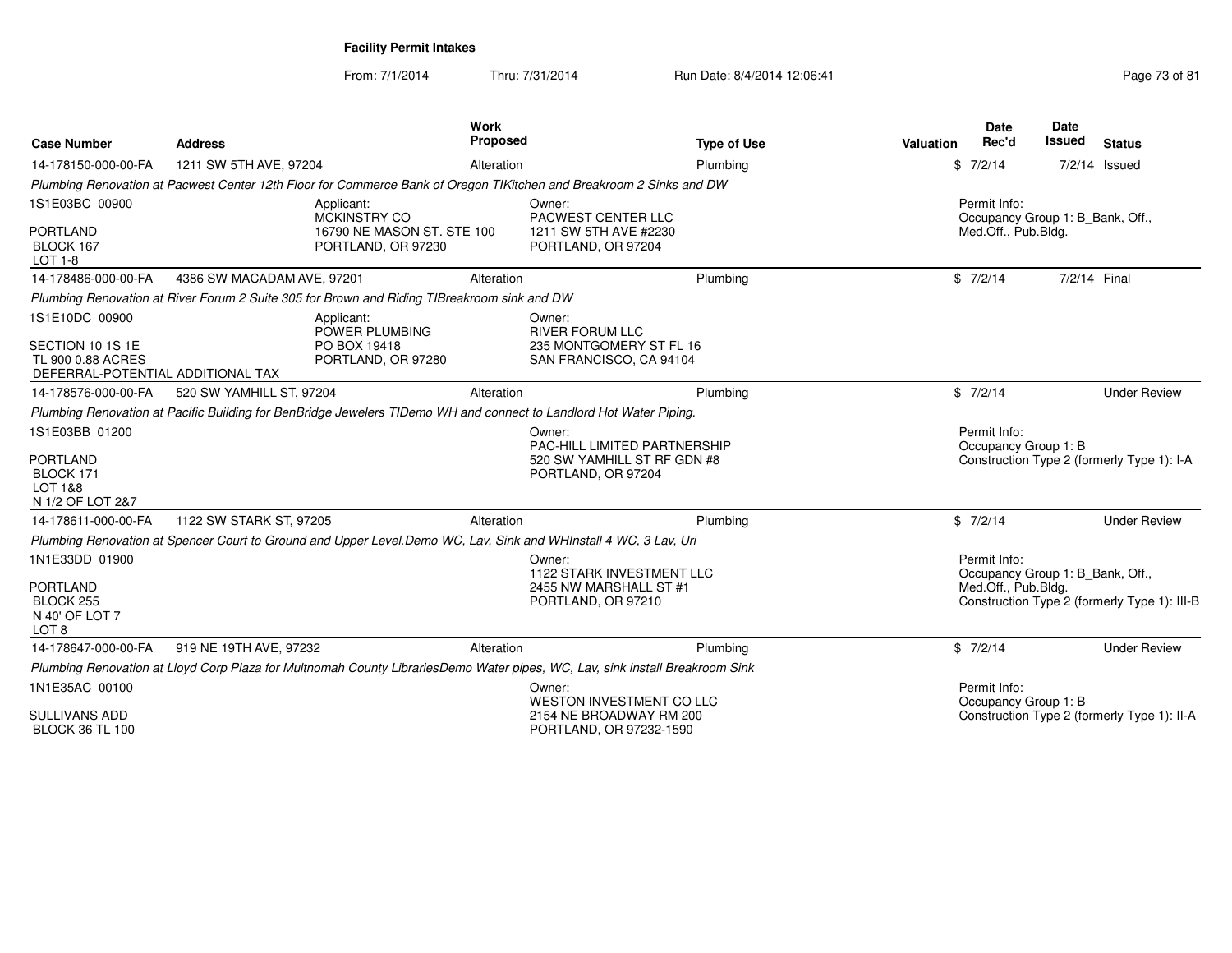| <b>Case Number</b>                                                                           | <b>Address</b>             |                                                                                                                              | <b>Work</b><br><b>Proposed</b> |                                                                                             | <b>Type of Use</b> | <b>Valuation</b> | <b>Date</b><br>Rec'd                                                    | Date<br><b>Issued</b> | <b>Status</b>                                |
|----------------------------------------------------------------------------------------------|----------------------------|------------------------------------------------------------------------------------------------------------------------------|--------------------------------|---------------------------------------------------------------------------------------------|--------------------|------------------|-------------------------------------------------------------------------|-----------------------|----------------------------------------------|
| 14-178150-000-00-FA                                                                          | 1211 SW 5TH AVE, 97204     |                                                                                                                              | Alteration                     |                                                                                             | Plumbing           |                  | \$7/2/14                                                                |                       | $7/2/14$ Issued                              |
|                                                                                              |                            | Plumbing Renovation at Pacwest Center 12th Floor for Commerce Bank of Oregon TIKitchen and Breakroom 2 Sinks and DW          |                                |                                                                                             |                    |                  |                                                                         |                       |                                              |
| 1S1E03BC 00900<br><b>PORTLAND</b><br>BLOCK 167<br><b>LOT 1-8</b>                             |                            | Applicant:<br><b>MCKINSTRY CO</b><br>16790 NE MASON ST. STE 100<br>PORTLAND, OR 97230                                        |                                | Owner:<br>PACWEST CENTER LLC<br>1211 SW 5TH AVE #2230<br>PORTLAND, OR 97204                 |                    |                  | Permit Info:<br>Occupancy Group 1: B_Bank, Off.,<br>Med.Off., Pub.Bldg. |                       |                                              |
| 14-178486-000-00-FA                                                                          | 4386 SW MACADAM AVE, 97201 |                                                                                                                              | Alteration                     |                                                                                             | Plumbing           |                  | \$7/2/14                                                                | 7/2/14 Final          |                                              |
|                                                                                              |                            | Plumbing Renovation at River Forum 2 Suite 305 for Brown and Riding TIBreakroom sink and DW                                  |                                |                                                                                             |                    |                  |                                                                         |                       |                                              |
| 1S1E10DC 00900<br>SECTION 10 1S 1E<br>TL 900 0.88 ACRES<br>DEFERRAL-POTENTIAL ADDITIONAL TAX |                            | Applicant:<br>POWER PLUMBING<br>PO BOX 19418<br>PORTLAND, OR 97280                                                           |                                | Owner:<br><b>RIVER FORUM LLC</b><br>235 MONTGOMERY ST FL 16<br>SAN FRANCISCO, CA 94104      |                    |                  |                                                                         |                       |                                              |
| 14-178576-000-00-FA                                                                          | 520 SW YAMHILL ST, 97204   |                                                                                                                              | Alteration                     |                                                                                             | Plumbing           |                  | \$7/2/14                                                                |                       | <b>Under Review</b>                          |
|                                                                                              |                            | Plumbing Renovation at Pacific Building for BenBridge Jewelers TIDemo WH and connect to Landlord Hot Water Piping.           |                                |                                                                                             |                    |                  |                                                                         |                       |                                              |
| 1S1E03BB 01200<br><b>PORTLAND</b><br>BLOCK 171<br>LOT 1&8<br>N 1/2 OF LOT 2&7                |                            |                                                                                                                              |                                | Owner:<br>PAC-HILL LIMITED PARTNERSHIP<br>520 SW YAMHILL ST RF GDN #8<br>PORTLAND, OR 97204 |                    |                  | Permit Info:<br>Occupancy Group 1: B                                    |                       | Construction Type 2 (formerly Type 1): I-A   |
| 14-178611-000-00-FA                                                                          | 1122 SW STARK ST, 97205    |                                                                                                                              | Alteration                     |                                                                                             | Plumbing           |                  | \$7/2/14                                                                |                       | <b>Under Review</b>                          |
|                                                                                              |                            | Plumbing Renovation at Spencer Court to Ground and Upper Level. Demo WC, Lav, Sink and WHInstall 4 WC, 3 Lav, Uri            |                                |                                                                                             |                    |                  |                                                                         |                       |                                              |
| 1N1E33DD 01900<br><b>PORTLAND</b><br>BLOCK 255<br>N 40' OF LOT 7<br>LOT 8                    |                            |                                                                                                                              |                                | Owner:<br>1122 STARK INVESTMENT LLC<br>2455 NW MARSHALL ST #1<br>PORTLAND, OR 97210         |                    |                  | Permit Info:<br>Occupancy Group 1: B_Bank, Off.,<br>Med.Off., Pub.Bldg. |                       | Construction Type 2 (formerly Type 1): III-B |
| 14-178647-000-00-FA                                                                          | 919 NE 19TH AVE, 97232     |                                                                                                                              | Alteration                     |                                                                                             | Plumbing           |                  | \$7/2/14                                                                |                       | <b>Under Review</b>                          |
|                                                                                              |                            | Plumbing Renovation at Lloyd Corp Plaza for Multnomah County LibrariesDemo Water pipes, WC, Lav, sink install Breakroom Sink |                                |                                                                                             |                    |                  |                                                                         |                       |                                              |
| 1N1E35AC 00100                                                                               |                            |                                                                                                                              |                                | Owner:<br>WESTON INVESTMENT CO LLC                                                          |                    |                  | Permit Info:<br>Occupancy Group 1: B                                    |                       |                                              |
| <b>SULLIVANS ADD</b><br><b>BLOCK 36 TL 100</b>                                               |                            |                                                                                                                              |                                | 2154 NE BROADWAY RM 200<br>PORTLAND, OR 97232-1590                                          |                    |                  |                                                                         |                       | Construction Type 2 (formerly Type 1): II-A  |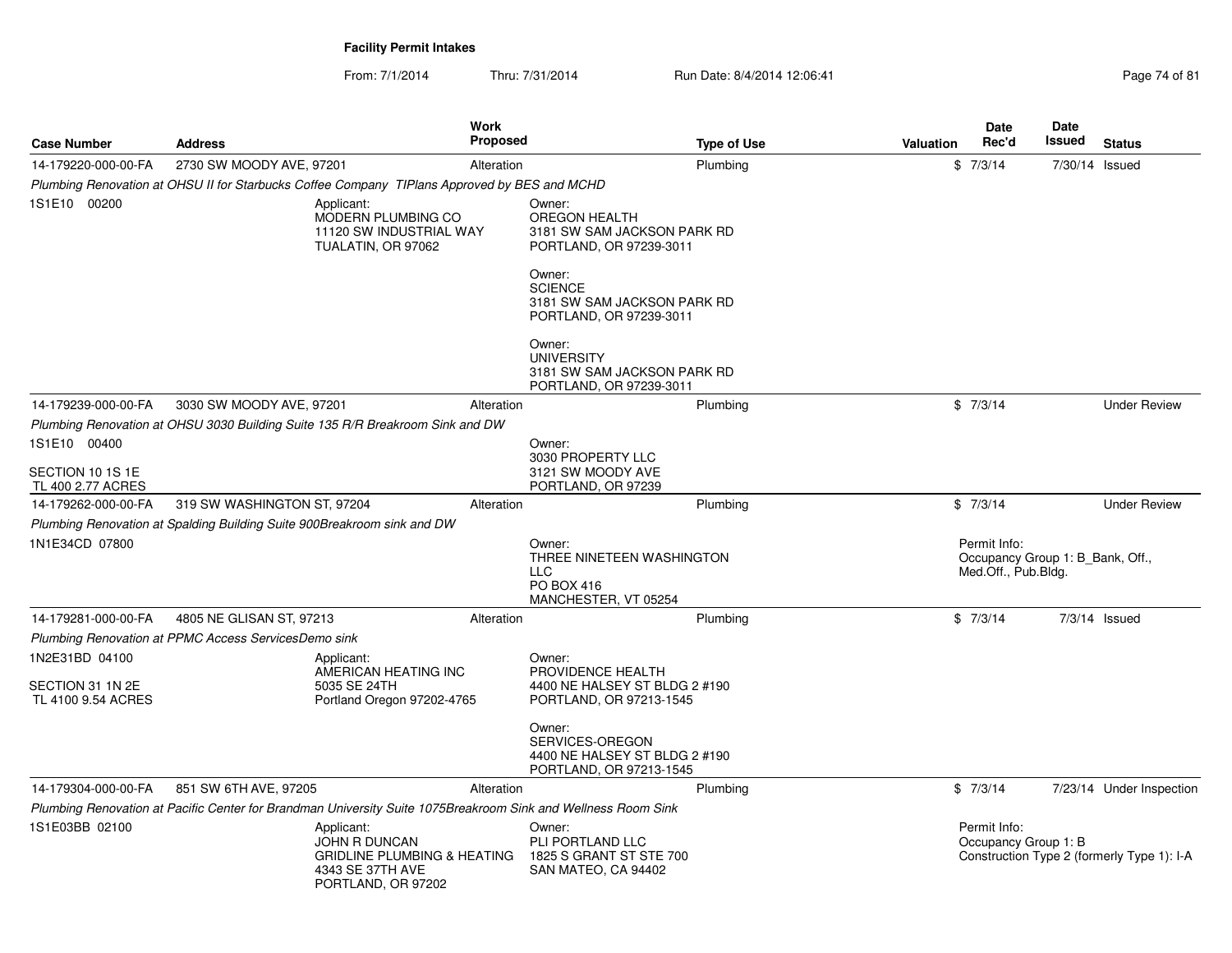| <b>Case Number</b>                     | <b>Address</b>                                                                                                | Work<br><b>Proposed</b>                       | <b>Type of Use</b>                                                                      | <b>Valuation</b> | Date<br>Rec'd                                                           | Date<br>Issued  | <b>Status</b>                              |
|----------------------------------------|---------------------------------------------------------------------------------------------------------------|-----------------------------------------------|-----------------------------------------------------------------------------------------|------------------|-------------------------------------------------------------------------|-----------------|--------------------------------------------|
| 14-179220-000-00-FA                    | 2730 SW MOODY AVE, 97201                                                                                      | Alteration                                    | Plumbing                                                                                |                  | \$7/3/14                                                                | 7/30/14 Issued  |                                            |
|                                        | Plumbing Renovation at OHSU II for Starbucks Coffee Company TIPlans Approved by BES and MCHD                  |                                               |                                                                                         |                  |                                                                         |                 |                                            |
| 1S1E10 00200                           | Applicant:<br>TUALATIN, OR 97062                                                                              | MODERN PLUMBING CO<br>11120 SW INDUSTRIAL WAY | Owner:<br>OREGON HEALTH<br>3181 SW SAM JACKSON PARK RD<br>PORTLAND, OR 97239-3011       |                  |                                                                         |                 |                                            |
|                                        |                                                                                                               |                                               | Owner:<br><b>SCIENCE</b><br>3181 SW SAM JACKSON PARK RD<br>PORTLAND, OR 97239-3011      |                  |                                                                         |                 |                                            |
|                                        |                                                                                                               |                                               | Owner:<br><b>UNIVERSITY</b><br>3181 SW SAM JACKSON PARK RD<br>PORTLAND, OR 97239-3011   |                  |                                                                         |                 |                                            |
| 14-179239-000-00-FA                    | 3030 SW MOODY AVE, 97201                                                                                      | Alteration                                    | Plumbing                                                                                |                  | \$7/3/14                                                                |                 | <b>Under Review</b>                        |
|                                        | Plumbing Renovation at OHSU 3030 Building Suite 135 R/R Breakroom Sink and DW                                 |                                               |                                                                                         |                  |                                                                         |                 |                                            |
| 1S1E10 00400<br>SECTION 10 1S 1E       |                                                                                                               |                                               | Owner:<br>3030 PROPERTY LLC<br>3121 SW MOODY AVE                                        |                  |                                                                         |                 |                                            |
| TL 400 2.77 ACRES                      |                                                                                                               |                                               | PORTLAND, OR 97239                                                                      |                  |                                                                         |                 |                                            |
| 14-179262-000-00-FA                    | 319 SW WASHINGTON ST, 97204                                                                                   | Alteration                                    | Plumbing                                                                                |                  | \$7/3/14                                                                |                 | <b>Under Review</b>                        |
|                                        | Plumbing Renovation at Spalding Building Suite 900Breakroom sink and DW                                       |                                               |                                                                                         |                  |                                                                         |                 |                                            |
| 1N1E34CD 07800                         |                                                                                                               |                                               | Owner:<br>THREE NINETEEN WASHINGTON<br><b>LLC</b><br>PO BOX 416<br>MANCHESTER, VT 05254 |                  | Permit Info:<br>Occupancy Group 1: B_Bank, Off.,<br>Med.Off., Pub.Bldg. |                 |                                            |
| 14-179281-000-00-FA                    | 4805 NE GLISAN ST, 97213                                                                                      | Alteration                                    | Plumbing                                                                                |                  | \$7/3/14                                                                | $7/3/14$ Issued |                                            |
|                                        | Plumbing Renovation at PPMC Access ServicesDemo sink                                                          |                                               |                                                                                         |                  |                                                                         |                 |                                            |
| 1N2E31BD 04100                         | Applicant:                                                                                                    | AMERICAN HEATING INC                          | Owner:<br>PROVIDENCE HEALTH                                                             |                  |                                                                         |                 |                                            |
| SECTION 31 1N 2E<br>TL 4100 9.54 ACRES | 5035 SE 24TH                                                                                                  | Portland Oregon 97202-4765                    | 4400 NE HALSEY ST BLDG 2 #190<br>PORTLAND, OR 97213-1545                                |                  |                                                                         |                 |                                            |
|                                        |                                                                                                               |                                               | Owner:<br>SERVICES-OREGON<br>4400 NE HALSEY ST BLDG 2 #190<br>PORTLAND, OR 97213-1545   |                  |                                                                         |                 |                                            |
| 14-179304-000-00-FA                    | 851 SW 6TH AVE, 97205                                                                                         | Alteration                                    | Plumbing                                                                                |                  | \$7/3/14                                                                |                 | 7/23/14 Under Inspection                   |
|                                        | Plumbing Renovation at Pacific Center for Brandman University Suite 1075Breakroom Sink and Wellness Room Sink |                                               |                                                                                         |                  |                                                                         |                 |                                            |
| 1S1E03BB 02100                         | Applicant:<br>JOHN R DUNCAN<br>4343 SE 37TH AVE<br>PORTLAND, OR 97202                                         | <b>GRIDLINE PLUMBING &amp; HEATING</b>        | Owner:<br>PLI PORTLAND LLC<br>1825 S GRANT ST STE 700<br>SAN MATEO, CA 94402            |                  | Permit Info:<br>Occupancy Group 1: B                                    |                 | Construction Type 2 (formerly Type 1): I-A |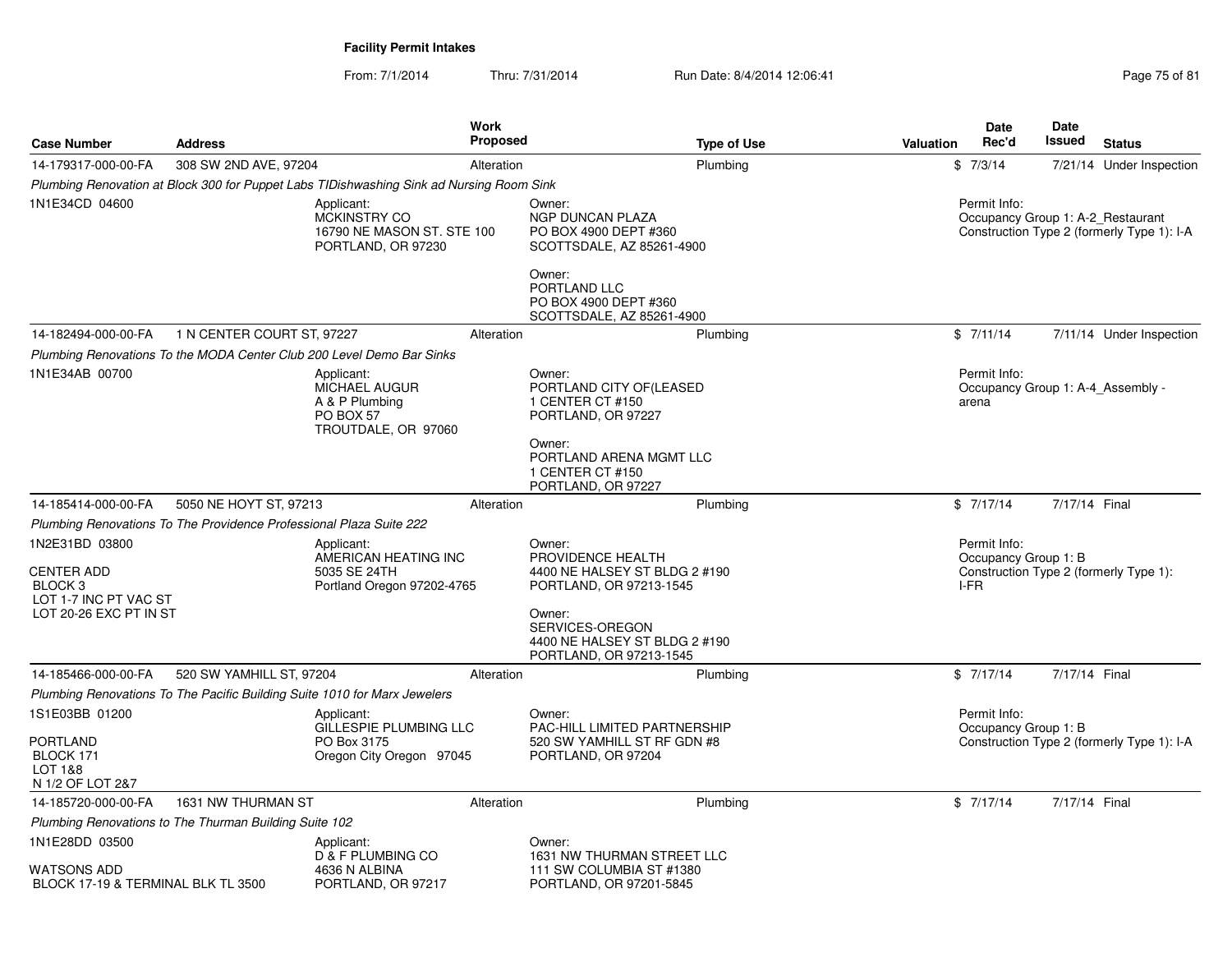From: 7/1/2014Thru: 7/31/2014 Run Date: 8/4/2014 12:06:41 Page 75 of 81

| <b>Case Number</b>                                                         | <b>Address</b>             |                                                                                          | <b>Work</b><br><b>Proposed</b> | <b>Type of Use</b>                                                                          | Valuation | <b>Date</b><br>Rec'd                         | Date<br><b>Issued</b> | <b>Status</b>                                                                   |
|----------------------------------------------------------------------------|----------------------------|------------------------------------------------------------------------------------------|--------------------------------|---------------------------------------------------------------------------------------------|-----------|----------------------------------------------|-----------------------|---------------------------------------------------------------------------------|
| 14-179317-000-00-FA                                                        | 308 SW 2ND AVE, 97204      |                                                                                          | Alteration                     | Plumbing                                                                                    |           | \$7/3/14                                     |                       | 7/21/14 Under Inspection                                                        |
|                                                                            |                            | Plumbing Renovation at Block 300 for Puppet Labs TIDishwashing Sink ad Nursing Room Sink |                                |                                                                                             |           |                                              |                       |                                                                                 |
| 1N1E34CD 04600                                                             |                            | Applicant:<br><b>MCKINSTRY CO</b><br>16790 NE MASON ST. STE 100<br>PORTLAND, OR 97230    |                                | Owner:<br><b>NGP DUNCAN PLAZA</b><br>PO BOX 4900 DEPT #360<br>SCOTTSDALE, AZ 85261-4900     |           | Permit Info:                                 |                       | Occupancy Group 1: A-2 Restaurant<br>Construction Type 2 (formerly Type 1): I-A |
|                                                                            |                            |                                                                                          |                                | Owner:<br>PORTLAND LLC<br>PO BOX 4900 DEPT #360<br>SCOTTSDALE, AZ 85261-4900                |           |                                              |                       |                                                                                 |
| 14-182494-000-00-FA                                                        | 1 N CENTER COURT ST, 97227 |                                                                                          | Alteration                     | Plumbing                                                                                    |           | \$7/11/14                                    |                       | 7/11/14 Under Inspection                                                        |
|                                                                            |                            | Plumbing Renovations To the MODA Center Club 200 Level Demo Bar Sinks                    |                                |                                                                                             |           |                                              |                       |                                                                                 |
| 1N1E34AB 00700                                                             |                            | Applicant:<br><b>MICHAEL AUGUR</b><br>A & P Plumbing<br>PO BOX 57<br>TROUTDALE, OR 97060 |                                | Owner:<br>PORTLAND CITY OF(LEASED<br>1 CENTER CT #150<br>PORTLAND, OR 97227                 |           | Permit Info:<br>arena                        |                       | Occupancy Group 1: A-4 Assembly -                                               |
|                                                                            |                            |                                                                                          |                                | Owner:<br>PORTLAND ARENA MGMT LLC<br>1 CENTER CT #150<br>PORTLAND, OR 97227                 |           |                                              |                       |                                                                                 |
| 14-185414-000-00-FA                                                        | 5050 NE HOYT ST, 97213     |                                                                                          | Alteration                     | Plumbing                                                                                    |           | \$7/17/14                                    | 7/17/14 Final         |                                                                                 |
| Plumbing Renovations To The Providence Professional Plaza Suite 222        |                            |                                                                                          |                                |                                                                                             |           |                                              |                       |                                                                                 |
| 1N2E31BD 03800<br><b>CENTER ADD</b><br>BLOCK <sub>3</sub>                  |                            | Applicant:<br>AMERICAN HEATING INC<br>5035 SE 24TH<br>Portland Oregon 97202-4765         |                                | Owner:<br>PROVIDENCE HEALTH<br>4400 NE HALSEY ST BLDG 2 #190<br>PORTLAND, OR 97213-1545     |           | Permit Info:<br>Occupancy Group 1: B<br>I-FR |                       | Construction Type 2 (formerly Type 1):                                          |
| LOT 1-7 INC PT VAC ST<br>LOT 20-26 EXC PT IN ST                            |                            |                                                                                          |                                | Owner:<br>SERVICES-OREGON<br>4400 NE HALSEY ST BLDG 2 #190<br>PORTLAND, OR 97213-1545       |           |                                              |                       |                                                                                 |
| 14-185466-000-00-FA                                                        | 520 SW YAMHILL ST, 97204   |                                                                                          | Alteration                     | Plumbing                                                                                    |           | \$7/17/14                                    | 7/17/14 Final         |                                                                                 |
|                                                                            |                            | Plumbing Renovations To The Pacific Building Suite 1010 for Marx Jewelers                |                                |                                                                                             |           |                                              |                       |                                                                                 |
| 1S1E03BB 01200                                                             |                            | Applicant:<br>GILLESPIE PLUMBING LLC                                                     |                                | Owner:<br>PAC-HILL LIMITED PARTNERSHIP                                                      |           | Permit Info:<br>Occupancy Group 1: B         |                       |                                                                                 |
| <b>PORTLAND</b><br>BLOCK 171<br>LOT 1&8<br>N 1/2 OF LOT 2&7                |                            | PO Box 3175<br>Oregon City Oregon 97045                                                  |                                | 520 SW YAMHILL ST RF GDN #8<br>PORTLAND, OR 97204                                           |           |                                              |                       | Construction Type 2 (formerly Type 1): I-A                                      |
| 14-185720-000-00-FA                                                        | 1631 NW THURMAN ST         |                                                                                          | Alteration                     | Plumbing                                                                                    |           | \$7/17/14                                    | 7/17/14 Final         |                                                                                 |
| Plumbing Renovations to The Thurman Building Suite 102                     |                            |                                                                                          |                                |                                                                                             |           |                                              |                       |                                                                                 |
| 1N1E28DD 03500<br><b>WATSONS ADD</b><br>BLOCK 17-19 & TERMINAL BLK TL 3500 |                            | Applicant:<br>D & F PLUMBING CO<br>4636 N ALBINA<br>PORTLAND, OR 97217                   |                                | Owner:<br>1631 NW THURMAN STREET LLC<br>111 SW COLUMBIA ST #1380<br>PORTLAND, OR 97201-5845 |           |                                              |                       |                                                                                 |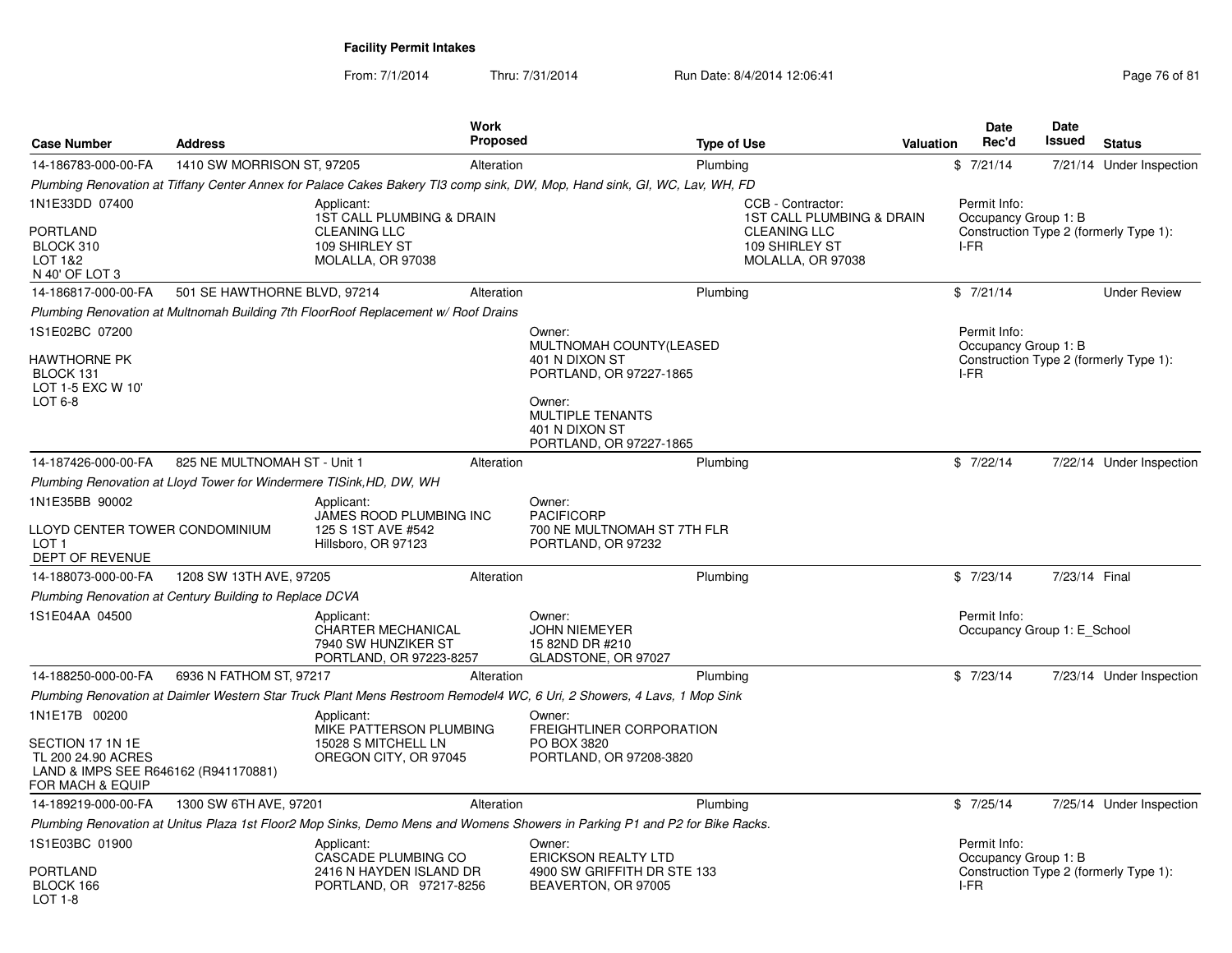From: 7/1/2014Thru: 7/31/2014 Run Date: 8/4/2014 12:06:41 Page 76 of 81

| <b>Case Number</b>                                                                                 | <b>Address</b>                                                       |                                                                                           | <b>Work</b><br>Proposed | <b>Type of Use</b>                                                                                                                                     |                                                            | <b>Valuation</b> | <b>Date</b><br>Rec'd                        | <b>Date</b><br><b>Issued</b> | <b>Status</b>                          |
|----------------------------------------------------------------------------------------------------|----------------------------------------------------------------------|-------------------------------------------------------------------------------------------|-------------------------|--------------------------------------------------------------------------------------------------------------------------------------------------------|------------------------------------------------------------|------------------|---------------------------------------------|------------------------------|----------------------------------------|
| 14-186783-000-00-FA                                                                                | 1410 SW MORRISON ST, 97205                                           |                                                                                           | Alteration              | Plumbing                                                                                                                                               |                                                            |                  | \$7/21/14                                   |                              | 7/21/14 Under Inspection               |
|                                                                                                    |                                                                      |                                                                                           |                         | Plumbing Renovation at Tiffany Center Annex for Palace Cakes Bakery TI3 comp sink, DW, Mop, Hand sink, GI, WC, Lav, WH, FD                             |                                                            |                  |                                             |                              |                                        |
| 1N1E33DD 07400                                                                                     |                                                                      | Applicant:<br><b>1ST CALL PLUMBING &amp; DRAIN</b>                                        |                         |                                                                                                                                                        | CCB - Contractor:<br><b>1ST CALL PLUMBING &amp; DRAIN</b>  |                  | Permit Info:<br>Occupancy Group 1: B        |                              |                                        |
| <b>PORTLAND</b><br>BLOCK 310<br>LOT 1&2<br>N 40' OF LOT 3                                          |                                                                      | <b>CLEANING LLC</b><br>109 SHIRLEY ST<br>MOLALLA, OR 97038                                |                         |                                                                                                                                                        | <b>CLEANING LLC</b><br>109 SHIRLEY ST<br>MOLALLA, OR 97038 |                  | I-FR                                        |                              | Construction Type 2 (formerly Type 1): |
| 14-186817-000-00-FA                                                                                | 501 SE HAWTHORNE BLVD, 97214                                         |                                                                                           | Alteration              | Plumbing                                                                                                                                               |                                                            |                  | \$7/21/14                                   |                              | <b>Under Review</b>                    |
|                                                                                                    |                                                                      | Plumbing Renovation at Multnomah Building 7th FloorRoof Replacement w/ Roof Drains        |                         |                                                                                                                                                        |                                                            |                  |                                             |                              |                                        |
| 1S1E02BC 07200                                                                                     |                                                                      |                                                                                           |                         | Owner:                                                                                                                                                 |                                                            |                  | Permit Info:                                |                              |                                        |
| <b>HAWTHORNE PK</b><br>BLOCK 131<br>LOT 1-5 EXC W 10'<br>LOT 6-8                                   |                                                                      |                                                                                           |                         | MULTNOMAH COUNTY(LEASED<br>401 N DIXON ST<br>PORTLAND, OR 97227-1865<br>Owner:<br><b>MULTIPLE TENANTS</b><br>401 N DIXON ST<br>PORTLAND, OR 97227-1865 |                                                            |                  | Occupancy Group 1: B<br>I-FR                |                              | Construction Type 2 (formerly Type 1): |
| 14-187426-000-00-FA                                                                                | 825 NE MULTNOMAH ST - Unit 1                                         |                                                                                           | Alteration              | Plumbing                                                                                                                                               |                                                            |                  | \$7/22/14                                   |                              | 7/22/14 Under Inspection               |
|                                                                                                    | Plumbing Renovation at Lloyd Tower for Windermere TISink, HD, DW, WH |                                                                                           |                         |                                                                                                                                                        |                                                            |                  |                                             |                              |                                        |
| 1N1E35BB 90002                                                                                     |                                                                      | Applicant:                                                                                |                         | Owner:                                                                                                                                                 |                                                            |                  |                                             |                              |                                        |
| LLOYD CENTER TOWER CONDOMINIUM<br>LOT <sub>1</sub><br>DEPT OF REVENUE                              |                                                                      | JAMES ROOD PLUMBING INC<br>125 S 1ST AVE #542<br>Hillsboro, OR 97123                      |                         | <b>PACIFICORP</b><br>700 NE MULTNOMAH ST 7TH FLR<br>PORTLAND, OR 97232                                                                                 |                                                            |                  |                                             |                              |                                        |
| 14-188073-000-00-FA                                                                                | 1208 SW 13TH AVE, 97205                                              |                                                                                           | Alteration              | Plumbing                                                                                                                                               |                                                            |                  | \$7/23/14                                   | 7/23/14 Final                |                                        |
|                                                                                                    | Plumbing Renovation at Century Building to Replace DCVA              |                                                                                           |                         |                                                                                                                                                        |                                                            |                  |                                             |                              |                                        |
| 1S1E04AA 04500                                                                                     |                                                                      | Applicant:<br><b>CHARTER MECHANICAL</b><br>7940 SW HUNZIKER ST<br>PORTLAND, OR 97223-8257 |                         | Owner:<br><b>JOHN NIEMEYER</b><br>15 82ND DR #210<br>GLADSTONE, OR 97027                                                                               |                                                            |                  | Permit Info:<br>Occupancy Group 1: E School |                              |                                        |
| 14-188250-000-00-FA                                                                                | 6936 N FATHOM ST, 97217                                              |                                                                                           | Alteration              | Plumbing                                                                                                                                               |                                                            |                  | \$7/23/14                                   |                              | 7/23/14 Under Inspection               |
|                                                                                                    |                                                                      |                                                                                           |                         | Plumbing Renovation at Daimler Western Star Truck Plant Mens Restroom Remodel4 WC, 6 Uri, 2 Showers, 4 Lavs, 1 Mop Sink                                |                                                            |                  |                                             |                              |                                        |
| 1N1E17B 00200                                                                                      |                                                                      | Applicant:<br>MIKE PATTERSON PLUMBING                                                     |                         | Owner:<br>FREIGHTLINER CORPORATION                                                                                                                     |                                                            |                  |                                             |                              |                                        |
| SECTION 17 1N 1E<br>TL 200 24.90 ACRES<br>LAND & IMPS SEE R646162 (R941170881)<br>FOR MACH & EQUIP |                                                                      | 15028 S MITCHELL LN<br>OREGON CITY, OR 97045                                              |                         | PO BOX 3820<br>PORTLAND, OR 97208-3820                                                                                                                 |                                                            |                  |                                             |                              |                                        |
| 14-189219-000-00-FA                                                                                | 1300 SW 6TH AVE, 97201                                               |                                                                                           | Alteration              | Plumbing                                                                                                                                               |                                                            |                  | \$7/25/14                                   |                              | 7/25/14 Under Inspection               |
|                                                                                                    |                                                                      |                                                                                           |                         | Plumbing Renovation at Unitus Plaza 1st Floor2 Mop Sinks, Demo Mens and Womens Showers in Parking P1 and P2 for Bike Racks.                            |                                                            |                  |                                             |                              |                                        |
| 1S1E03BC 01900                                                                                     |                                                                      | Applicant:<br>CASCADE PLUMBING CO                                                         |                         | Owner:<br><b>ERICKSON REALTY LTD</b>                                                                                                                   |                                                            |                  | Permit Info:<br>Occupancy Group 1: B        |                              |                                        |
| <b>PORTLAND</b><br>BLOCK 166<br>LOT 1-8                                                            |                                                                      | 2416 N HAYDEN ISLAND DR<br>PORTLAND, OR 97217-8256                                        |                         | 4900 SW GRIFFITH DR STE 133<br>BEAVERTON, OR 97005                                                                                                     |                                                            |                  | I-FR                                        |                              | Construction Type 2 (formerly Type 1): |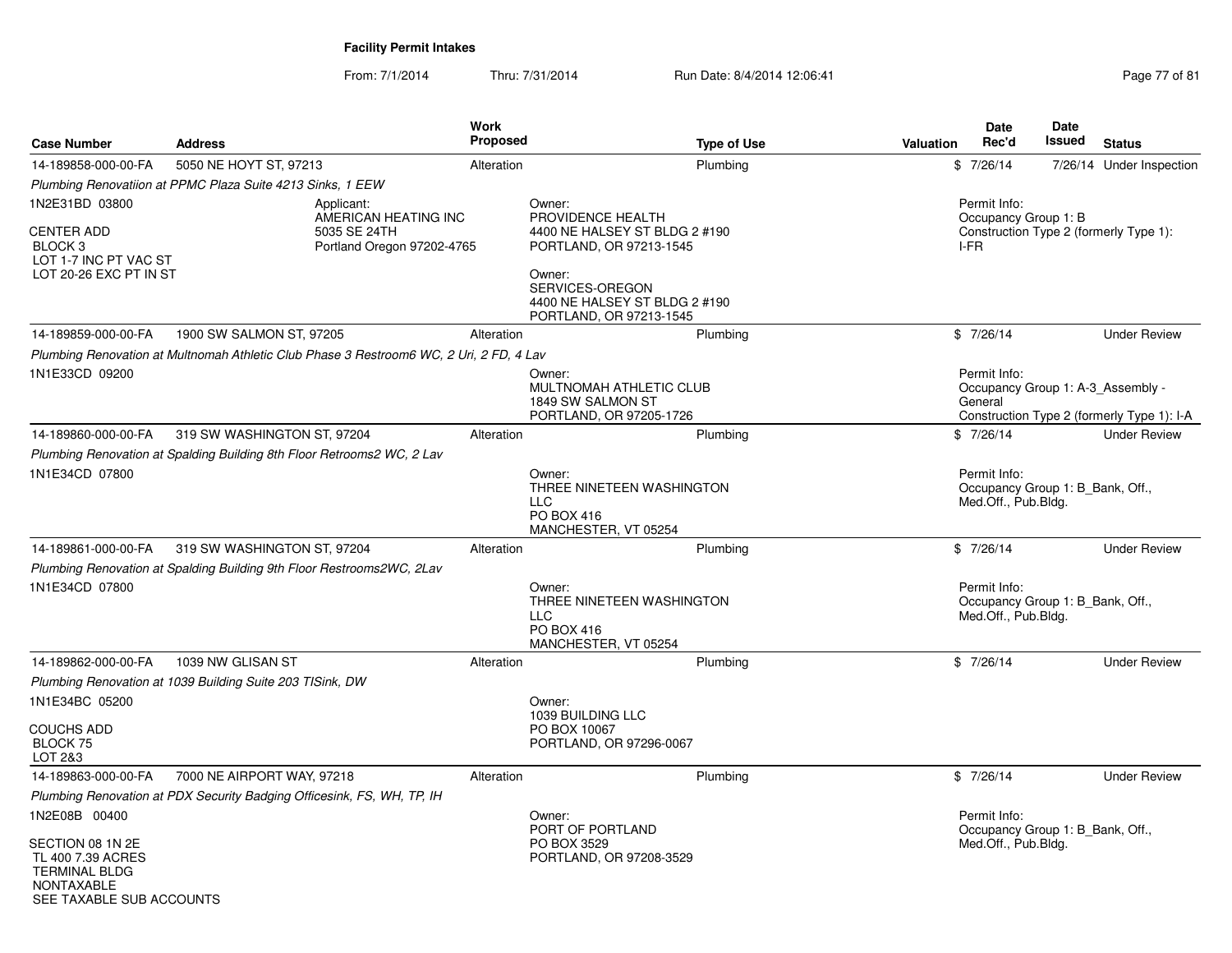From: 7/1/2014Thru: 7/31/2014 Run Date: 8/4/2014 12:06:41 Run Date: 8/4/2014 12:06:41

| <b>Case Number</b>                                                                                    | <b>Address</b>                                                                          | <b>Work</b><br><b>Proposed</b>                     | <b>Type of Use</b>                                                                                                                                                               | Valuation | Date<br>Rec'd                                                           | <b>Date</b><br>Issued | <b>Status</b>                                                                   |
|-------------------------------------------------------------------------------------------------------|-----------------------------------------------------------------------------------------|----------------------------------------------------|----------------------------------------------------------------------------------------------------------------------------------------------------------------------------------|-----------|-------------------------------------------------------------------------|-----------------------|---------------------------------------------------------------------------------|
| 14-189858-000-00-FA                                                                                   | 5050 NE HOYT ST, 97213                                                                  | Alteration                                         | Plumbing                                                                                                                                                                         |           | \$7/26/14                                                               |                       | 7/26/14 Under Inspection                                                        |
|                                                                                                       | Plumbing Renovatiion at PPMC Plaza Suite 4213 Sinks, 1 EEW                              |                                                    |                                                                                                                                                                                  |           |                                                                         |                       |                                                                                 |
| 1N2E31BD 03800<br>CENTER ADD<br>BLOCK <sub>3</sub><br>LOT 1-7 INC PT VAC ST<br>LOT 20-26 EXC PT IN ST | Applicant:<br>5035 SE 24TH                                                              | AMERICAN HEATING INC<br>Portland Oregon 97202-4765 | Owner:<br>PROVIDENCE HEALTH<br>4400 NE HALSEY ST BLDG 2 #190<br>PORTLAND, OR 97213-1545<br>Owner:<br>SERVICES-OREGON<br>4400 NE HALSEY ST BLDG 2 #190<br>PORTLAND, OR 97213-1545 |           | Permit Info:<br>Occupancy Group 1: B<br>I-FR                            |                       | Construction Type 2 (formerly Type 1):                                          |
| 14-189859-000-00-FA                                                                                   | 1900 SW SALMON ST, 97205                                                                | Alteration                                         | Plumbing                                                                                                                                                                         |           | \$7/26/14                                                               |                       | <b>Under Review</b>                                                             |
|                                                                                                       | Plumbing Renovation at Multnomah Athletic Club Phase 3 Restroom6 WC, 2 Uri, 2 FD, 4 Lav |                                                    |                                                                                                                                                                                  |           |                                                                         |                       |                                                                                 |
| 1N1E33CD 09200                                                                                        |                                                                                         |                                                    | Owner:<br>MULTNOMAH ATHLETIC CLUB<br>1849 SW SALMON ST<br>PORTLAND, OR 97205-1726                                                                                                |           | Permit Info:<br>General                                                 |                       | Occupancy Group 1: A-3 Assembly -<br>Construction Type 2 (formerly Type 1): I-A |
| 14-189860-000-00-FA                                                                                   | 319 SW WASHINGTON ST, 97204                                                             | Alteration                                         | Plumbing                                                                                                                                                                         |           | \$7/26/14                                                               |                       | <b>Under Review</b>                                                             |
| 1N1E34CD 07800                                                                                        | Plumbing Renovation at Spalding Building 8th Floor Retrooms2 WC, 2 Lav                  |                                                    | Owner:<br>THREE NINETEEN WASHINGTON<br><b>LLC</b><br>PO BOX 416<br>MANCHESTER, VT 05254                                                                                          |           | Permit Info:<br>Occupancy Group 1: B Bank, Off.,<br>Med.Off., Pub.Bldg. |                       |                                                                                 |
| 14-189861-000-00-FA                                                                                   | 319 SW WASHINGTON ST, 97204                                                             | Alteration                                         | Plumbing                                                                                                                                                                         |           | \$7/26/14                                                               |                       | <b>Under Review</b>                                                             |
| 1N1E34CD 07800                                                                                        | Plumbing Renovation at Spalding Building 9th Floor Restrooms2WC, 2Lav                   |                                                    | Owner:<br>THREE NINETEEN WASHINGTON<br><b>LLC</b><br>PO BOX 416<br>MANCHESTER, VT 05254                                                                                          |           | Permit Info:<br>Occupancy Group 1: B Bank, Off.,<br>Med.Off., Pub.Bldg. |                       |                                                                                 |
| 14-189862-000-00-FA                                                                                   | 1039 NW GLISAN ST                                                                       | Alteration                                         | Plumbing                                                                                                                                                                         |           | \$7/26/14                                                               |                       | <b>Under Review</b>                                                             |
|                                                                                                       | Plumbing Renovation at 1039 Building Suite 203 TISink, DW                               |                                                    |                                                                                                                                                                                  |           |                                                                         |                       |                                                                                 |
| 1N1E34BC 05200                                                                                        |                                                                                         |                                                    | Owner:                                                                                                                                                                           |           |                                                                         |                       |                                                                                 |
| COUCHS ADD<br>BLOCK 75<br>LOT 2&3                                                                     |                                                                                         |                                                    | 1039 BUILDING LLC<br>PO BOX 10067<br>PORTLAND, OR 97296-0067                                                                                                                     |           |                                                                         |                       |                                                                                 |
| 14-189863-000-00-FA                                                                                   | 7000 NE AIRPORT WAY, 97218                                                              | Alteration                                         | Plumbing                                                                                                                                                                         |           | \$7/26/14                                                               |                       | <b>Under Review</b>                                                             |
|                                                                                                       | Plumbing Renovation at PDX Security Badging Officesink, FS, WH, TP, IH                  |                                                    |                                                                                                                                                                                  |           |                                                                         |                       |                                                                                 |
| 1N2E08B 00400                                                                                         |                                                                                         |                                                    | Owner:                                                                                                                                                                           |           | Permit Info:                                                            |                       |                                                                                 |
| SECTION 08 1N 2E<br>TL 400 7.39 ACRES<br><b>TERMINAL BLDG</b><br>NONTAXABLE                           |                                                                                         |                                                    | PORT OF PORTLAND<br>PO BOX 3529<br>PORTLAND, OR 97208-3529                                                                                                                       |           | Occupancy Group 1: B Bank, Off.,<br>Med.Off., Pub.Bldg.                 |                       |                                                                                 |

SEE TAXABLE SUB ACCOUNTS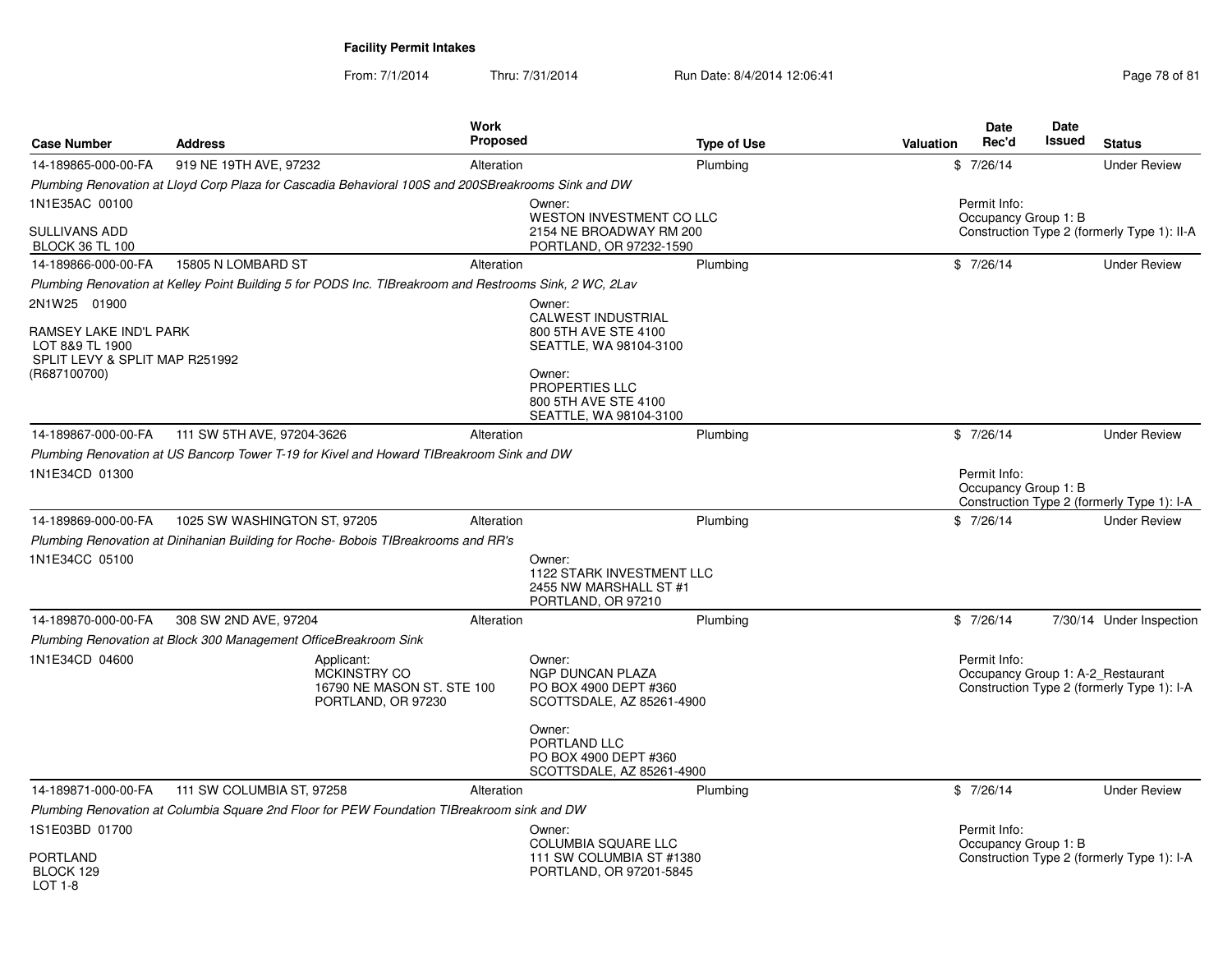From: 7/1/2014

| <b>Case Number</b>                                                                                          | <b>Address</b>                                                                                          | <b>Work</b><br><b>Proposed</b>                                                                           | <b>Type of Use</b>                                                                | <b>Date</b><br>Rec'd<br><b>Valuation</b> | <b>Date</b><br>Issued<br><b>Status</b>                                          |
|-------------------------------------------------------------------------------------------------------------|---------------------------------------------------------------------------------------------------------|----------------------------------------------------------------------------------------------------------|-----------------------------------------------------------------------------------|------------------------------------------|---------------------------------------------------------------------------------|
| 14-189865-000-00-FA                                                                                         | 919 NE 19TH AVE, 97232                                                                                  | Alteration                                                                                               | Plumbing                                                                          | \$7/26/14                                | <b>Under Review</b>                                                             |
|                                                                                                             | Plumbing Renovation at Lloyd Corp Plaza for Cascadia Behavioral 100S and 200SBreakrooms Sink and DW     |                                                                                                          |                                                                                   |                                          |                                                                                 |
| 1N1E35AC 00100<br>SULLIVANS ADD<br><b>BLOCK 36 TL 100</b>                                                   |                                                                                                         | Owner:                                                                                                   | WESTON INVESTMENT CO LLC<br>2154 NE BROADWAY RM 200<br>PORTLAND, OR 97232-1590    | Permit Info:                             | Occupancy Group 1: B<br>Construction Type 2 (formerly Type 1): II-A             |
| 14-189866-000-00-FA                                                                                         | 15805 N LOMBARD ST                                                                                      | Alteration                                                                                               | Plumbing                                                                          | \$7/26/14                                | <b>Under Review</b>                                                             |
|                                                                                                             | Plumbing Renovation at Kelley Point Building 5 for PODS Inc. TIBreakroom and Restrooms Sink, 2 WC, 2Lav |                                                                                                          |                                                                                   |                                          |                                                                                 |
| 2N1W25 01900<br>RAMSEY LAKE IND'L PARK<br>LOT 8&9 TL 1900<br>SPLIT LEVY & SPLIT MAP R251992<br>(R687100700) |                                                                                                         | Owner:<br>CALWEST INDUSTRIAL<br>800 5TH AVE STE 4100<br>Owner:<br>PROPERTIES LLC<br>800 5TH AVE STE 4100 | SEATTLE, WA 98104-3100<br>SEATTLE, WA 98104-3100                                  |                                          |                                                                                 |
| 14-189867-000-00-FA                                                                                         | 111 SW 5TH AVE, 97204-3626                                                                              | Alteration                                                                                               | Plumbing                                                                          | \$7/26/14                                | <b>Under Review</b>                                                             |
| 1N1E34CD 01300                                                                                              | Plumbing Renovation at US Bancorp Tower T-19 for Kivel and Howard TIBreakroom Sink and DW               |                                                                                                          |                                                                                   | Permit Info:                             | Occupancy Group 1: B<br>Construction Type 2 (formerly Type 1): I-A              |
| 14-189869-000-00-FA                                                                                         | 1025 SW WASHINGTON ST, 97205                                                                            | Alteration                                                                                               | Plumbing                                                                          | \$7/26/14                                | <b>Under Review</b>                                                             |
| 1N1E34CC 05100                                                                                              | Plumbing Renovation at Dinihanian Building for Roche-Bobois TIBreakrooms and RR's                       | Owner:<br>PORTLAND, OR 97210                                                                             | <b>1122 STARK INVESTMENT LLC</b><br>2455 NW MARSHALL ST #1                        |                                          |                                                                                 |
| 14-189870-000-00-FA                                                                                         | 308 SW 2ND AVE, 97204                                                                                   | Alteration                                                                                               | Plumbing                                                                          | \$7/26/14                                | 7/30/14 Under Inspection                                                        |
|                                                                                                             | Plumbing Renovation at Block 300 Management OfficeBreakroom Sink                                        |                                                                                                          |                                                                                   |                                          |                                                                                 |
| 1N1E34CD 04600                                                                                              | Applicant:<br><b>MCKINSTRY CO</b><br>PORTLAND, OR 97230                                                 | Owner:<br><b>NGP DUNCAN PLAZA</b><br>16790 NE MASON ST. STE 100                                          | PO BOX 4900 DEPT #360<br>SCOTTSDALE, AZ 85261-4900                                | Permit Info:                             | Occupancy Group 1: A-2 Restaurant<br>Construction Type 2 (formerly Type 1): I-A |
|                                                                                                             |                                                                                                         | Owner:<br>PORTLAND LLC                                                                                   | PO BOX 4900 DEPT #360<br>SCOTTSDALE, AZ 85261-4900                                |                                          |                                                                                 |
| 14-189871-000-00-FA                                                                                         | 111 SW COLUMBIA ST, 97258                                                                               | Alteration                                                                                               | Plumbing                                                                          | \$7/26/14                                | <b>Under Review</b>                                                             |
|                                                                                                             | Plumbing Renovation at Columbia Square 2nd Floor for PEW Foundation TIBreakroom sink and DW             |                                                                                                          |                                                                                   |                                          |                                                                                 |
| 1S1E03BD 01700<br><b>PORTLAND</b><br>BLOCK 129                                                              |                                                                                                         | Owner:                                                                                                   | <b>COLUMBIA SQUARE LLC</b><br>111 SW COLUMBIA ST #1380<br>PORTLAND, OR 97201-5845 | Permit Info:                             | Occupancy Group 1: B<br>Construction Type 2 (formerly Type 1): I-A              |
| LOT 1-8                                                                                                     |                                                                                                         |                                                                                                          |                                                                                   |                                          |                                                                                 |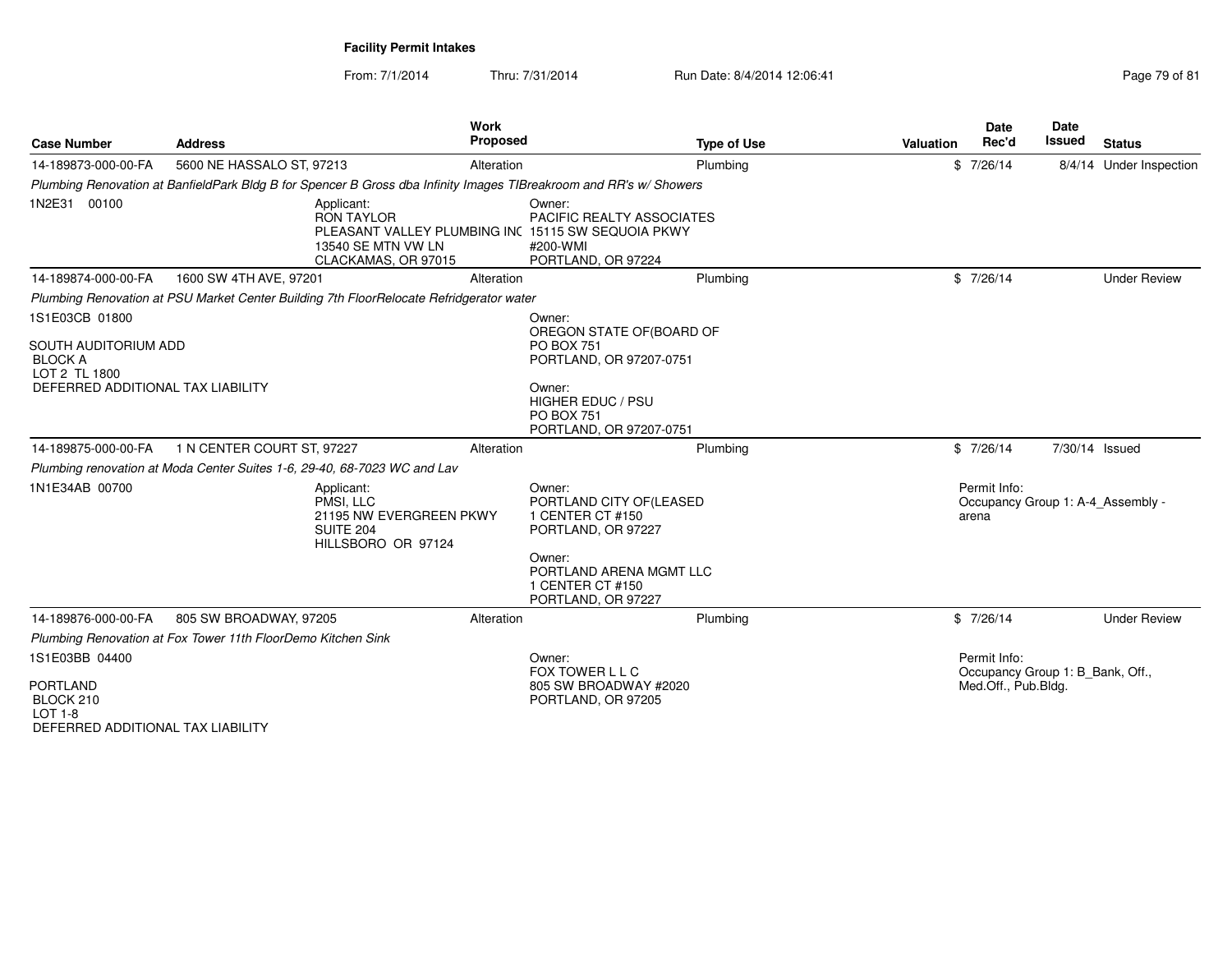| <b>Case Number</b>                                                                                    | <b>Address</b>                                                           | Work<br><b>Proposed</b>                                                                                                            | <b>Type of Use</b>                                                                                                                   | Valuation | <b>Date</b><br>Rec'd                                                    | <b>Date</b><br><b>Issued</b> | <b>Status</b>           |
|-------------------------------------------------------------------------------------------------------|--------------------------------------------------------------------------|------------------------------------------------------------------------------------------------------------------------------------|--------------------------------------------------------------------------------------------------------------------------------------|-----------|-------------------------------------------------------------------------|------------------------------|-------------------------|
| 14-189873-000-00-FA                                                                                   | 5600 NE HASSALO ST, 97213                                                | Alteration                                                                                                                         | Plumbing                                                                                                                             |           | \$7/26/14                                                               |                              | 8/4/14 Under Inspection |
|                                                                                                       |                                                                          | Plumbing Renovation at BanfieldPark Bldg B for Spencer B Gross dba Infinity Images TIBreakroom and RR's w/ Showers                 |                                                                                                                                      |           |                                                                         |                              |                         |
| 1N2E31 00100                                                                                          |                                                                          | Applicant:<br><b>RON TAYLOR</b><br>PLEASANT VALLEY PLUMBING INC 15115 SW SEQUOIA PKWY<br>13540 SE MTN VW LN<br>CLACKAMAS, OR 97015 | Owner:<br>PACIFIC REALTY ASSOCIATES<br>#200-WMI<br>PORTLAND, OR 97224                                                                |           |                                                                         |                              |                         |
| 14-189874-000-00-FA                                                                                   | 1600 SW 4TH AVE, 97201                                                   | Alteration                                                                                                                         | Plumbing                                                                                                                             |           | \$7/26/14                                                               |                              | <b>Under Review</b>     |
|                                                                                                       |                                                                          | Plumbing Renovation at PSU Market Center Building 7th FloorRelocate Refridgerator water                                            |                                                                                                                                      |           |                                                                         |                              |                         |
| 1S1E03CB 01800                                                                                        |                                                                          |                                                                                                                                    | Owner:                                                                                                                               |           |                                                                         |                              |                         |
| SOUTH AUDITORIUM ADD<br><b>BLOCK A</b><br>LOT 2 TL 1800<br>DEFERRED ADDITIONAL TAX LIABILITY          |                                                                          |                                                                                                                                    | OREGON STATE OF (BOARD OF<br><b>PO BOX 751</b><br>PORTLAND, OR 97207-0751<br>Owner:<br><b>HIGHER EDUC / PSU</b>                      |           |                                                                         |                              |                         |
|                                                                                                       |                                                                          |                                                                                                                                    | <b>PO BOX 751</b><br>PORTLAND, OR 97207-0751                                                                                         |           |                                                                         |                              |                         |
| 14-189875-000-00-FA                                                                                   | 1 N CENTER COURT ST, 97227                                               | Alteration                                                                                                                         | Plumbing                                                                                                                             |           | \$7/26/14                                                               | 7/30/14 Issued               |                         |
|                                                                                                       | Plumbing renovation at Moda Center Suites 1-6, 29-40, 68-7023 WC and Lav |                                                                                                                                    |                                                                                                                                      |           |                                                                         |                              |                         |
| 1N1E34AB 00700                                                                                        |                                                                          | Applicant:<br>PMSI, LLC<br>21195 NW EVERGREEN PKWY<br>SUITE 204<br>HILLSBORO OR 97124                                              | Owner:<br>PORTLAND CITY OF(LEASED<br>1 CENTER CT #150<br>PORTLAND, OR 97227<br>Owner:<br>PORTLAND ARENA MGMT LLC<br>1 CENTER CT #150 |           | Permit Info:<br>Occupancy Group 1: A-4 Assembly -<br>arena              |                              |                         |
|                                                                                                       |                                                                          |                                                                                                                                    | PORTLAND, OR 97227                                                                                                                   |           |                                                                         |                              |                         |
| 14-189876-000-00-FA                                                                                   | 805 SW BROADWAY, 97205                                                   | Alteration                                                                                                                         | Plumbing                                                                                                                             |           | \$7/26/14                                                               |                              | <b>Under Review</b>     |
|                                                                                                       | Plumbing Renovation at Fox Tower 11th FloorDemo Kitchen Sink             |                                                                                                                                    |                                                                                                                                      |           |                                                                         |                              |                         |
| 1S1E03BB 04400<br><b>PORTLAND</b><br>BLOCK 210<br><b>LOT 1-8</b><br>DEFERRED ADDITIONAL TAX LIABILITY |                                                                          |                                                                                                                                    | Owner:<br>FOX TOWER L L C<br>805 SW BROADWAY #2020<br>PORTLAND, OR 97205                                                             |           | Permit Info:<br>Occupancy Group 1: B_Bank, Off.,<br>Med.Off., Pub.Bldg. |                              |                         |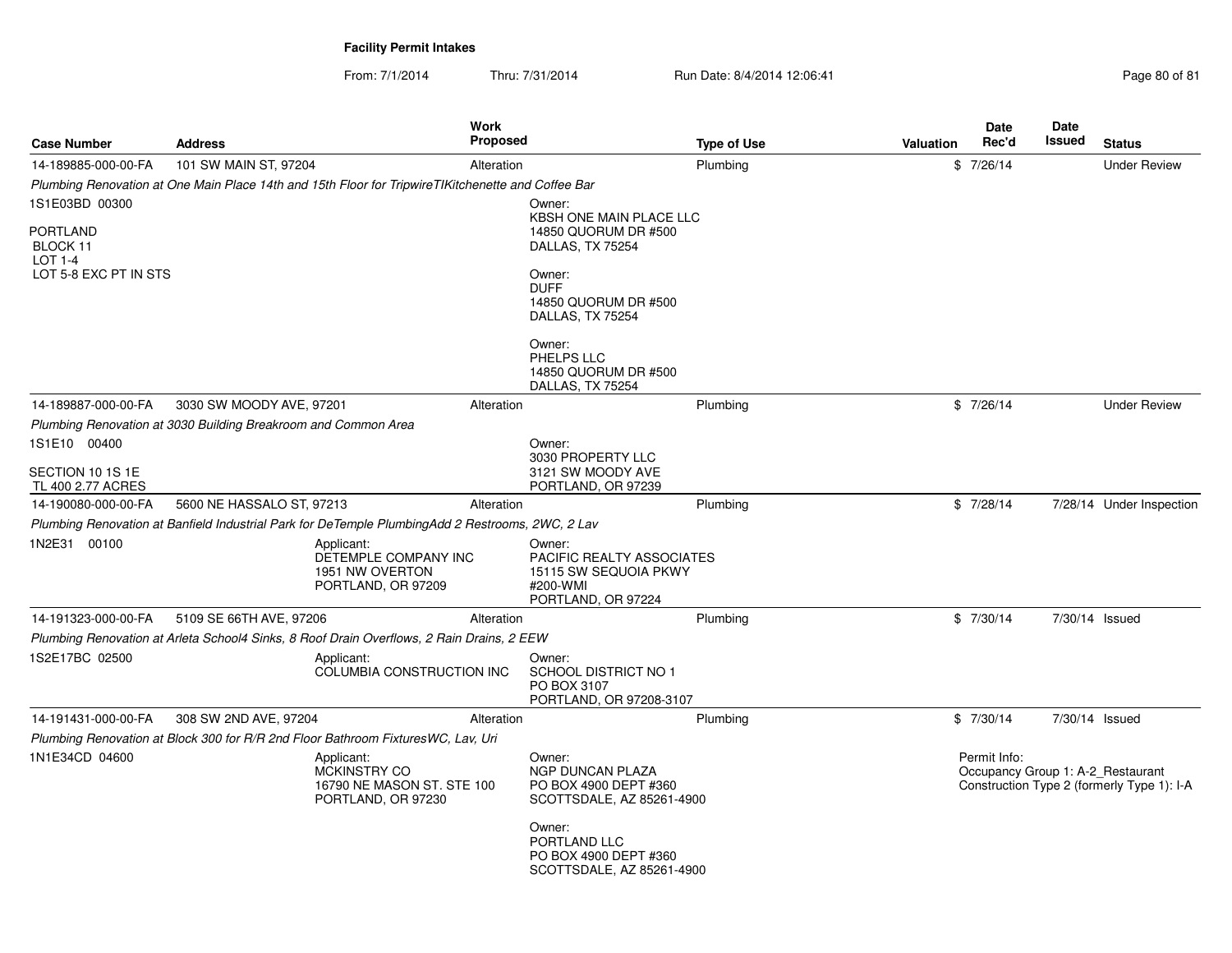| <b>Case Number</b>                                              | <b>Address</b>                                                                                     | <b>Work</b><br><b>Proposed</b>                                          |                                                                                                | <b>Type of Use</b> | Valuation | Date<br>Rec'd | <b>Date</b><br><b>Issued</b> | <b>Status</b>                                                                   |
|-----------------------------------------------------------------|----------------------------------------------------------------------------------------------------|-------------------------------------------------------------------------|------------------------------------------------------------------------------------------------|--------------------|-----------|---------------|------------------------------|---------------------------------------------------------------------------------|
| 14-189885-000-00-FA                                             | 101 SW MAIN ST, 97204                                                                              | Alteration                                                              |                                                                                                | Plumbing           |           | \$7/26/14     |                              | <b>Under Review</b>                                                             |
|                                                                 | Plumbing Renovation at One Main Place 14th and 15th Floor for TripwireTIKitchenette and Coffee Bar |                                                                         |                                                                                                |                    |           |               |                              |                                                                                 |
| 1S1E03BD 00300                                                  |                                                                                                    |                                                                         | Owner:                                                                                         |                    |           |               |                              |                                                                                 |
| <b>PORTLAND</b><br>BLOCK 11<br>LOT 1-4<br>LOT 5-8 EXC PT IN STS |                                                                                                    |                                                                         | <b>KBSH ONE MAIN PLACE LLC</b><br>14850 QUORUM DR #500<br>DALLAS, TX 75254<br>Owner:           |                    |           |               |                              |                                                                                 |
|                                                                 |                                                                                                    |                                                                         | <b>DUFF</b><br>14850 QUORUM DR #500<br>DALLAS, TX 75254                                        |                    |           |               |                              |                                                                                 |
|                                                                 |                                                                                                    |                                                                         | Owner:<br>PHELPS LLC<br>14850 QUORUM DR #500<br>DALLAS, TX 75254                               |                    |           |               |                              |                                                                                 |
| 14-189887-000-00-FA                                             | 3030 SW MOODY AVE, 97201                                                                           | Alteration                                                              |                                                                                                | Plumbing           |           | \$7/26/14     |                              | <b>Under Review</b>                                                             |
|                                                                 | Plumbing Renovation at 3030 Building Breakroom and Common Area                                     |                                                                         |                                                                                                |                    |           |               |                              |                                                                                 |
| 1S1E10 00400<br>SECTION 10 1S 1E                                |                                                                                                    |                                                                         | Owner:<br>3030 PROPERTY LLC<br>3121 SW MOODY AVE                                               |                    |           |               |                              |                                                                                 |
| TL 400 2.77 ACRES                                               |                                                                                                    |                                                                         | PORTLAND, OR 97239                                                                             |                    |           |               |                              |                                                                                 |
| 14-190080-000-00-FA                                             | 5600 NE HASSALO ST, 97213                                                                          | Alteration                                                              |                                                                                                | Plumbing           |           | \$7/28/14     |                              | 7/28/14 Under Inspection                                                        |
|                                                                 | Plumbing Renovation at Banfield Industrial Park for DeTemple PlumbingAdd 2 Restrooms, 2WC, 2 Lav   |                                                                         |                                                                                                |                    |           |               |                              |                                                                                 |
| 1N2E31 00100                                                    | Applicant:                                                                                         | DETEMPLE COMPANY INC<br>1951 NW OVERTON<br>PORTLAND, OR 97209           | Owner:<br>PACIFIC REALTY ASSOCIATES<br>15115 SW SEQUOIA PKWY<br>#200-WMI<br>PORTLAND, OR 97224 |                    |           |               |                              |                                                                                 |
| 14-191323-000-00-FA                                             | 5109 SE 66TH AVE, 97206                                                                            | Alteration                                                              |                                                                                                | Plumbing           |           | \$7/30/14     | 7/30/14 Issued               |                                                                                 |
|                                                                 | Plumbing Renovation at Arleta School4 Sinks, 8 Roof Drain Overflows, 2 Rain Drains, 2 EEW          |                                                                         |                                                                                                |                    |           |               |                              |                                                                                 |
| 1S2E17BC 02500                                                  | Applicant:                                                                                         | COLUMBIA CONSTRUCTION INC                                               | Owner:<br><b>SCHOOL DISTRICT NO 1</b><br>PO BOX 3107<br>PORTLAND, OR 97208-3107                |                    |           |               |                              |                                                                                 |
| 14-191431-000-00-FA                                             | 308 SW 2ND AVE, 97204                                                                              | Alteration                                                              |                                                                                                | Plumbing           |           | \$7/30/14     | 7/30/14 Issued               |                                                                                 |
|                                                                 | Plumbing Renovation at Block 300 for R/R 2nd Floor Bathroom FixturesWC, Lav, Uri                   |                                                                         |                                                                                                |                    |           |               |                              |                                                                                 |
| 1N1E34CD 04600                                                  | Applicant:                                                                                         | <b>MCKINSTRY CO</b><br>16790 NE MASON ST. STE 100<br>PORTLAND, OR 97230 | Owner:<br><b>NGP DUNCAN PLAZA</b><br>PO BOX 4900 DEPT #360<br>SCOTTSDALE, AZ 85261-4900        |                    |           | Permit Info:  |                              | Occupancy Group 1: A-2 Restaurant<br>Construction Type 2 (formerly Type 1): I-A |
|                                                                 |                                                                                                    |                                                                         | Owner:<br>PORTLAND LLC<br>PO BOX 4900 DEPT #360<br>SCOTTSDALE, AZ 85261-4900                   |                    |           |               |                              |                                                                                 |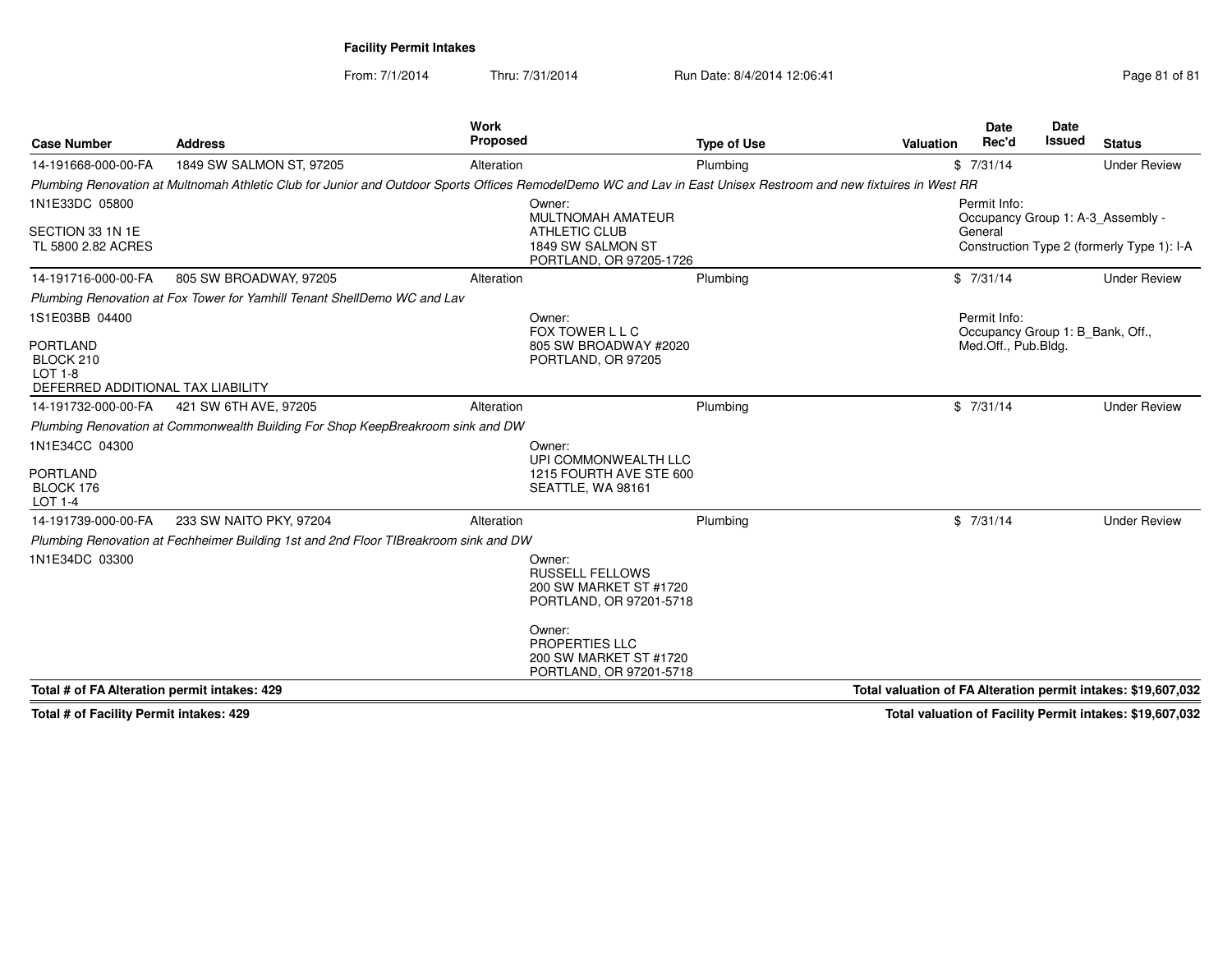From: 7/1/2014

Thru: 7/31/2014 Run Date: 8/4/2014 12:06:41

| Page 81 of 81 |  |  |
|---------------|--|--|
|               |  |  |

| <b>Case Number</b>                                                                             | <b>Address</b>                                                                                                                                                   | Work<br><b>Proposed</b>                                                  | <b>Type of Use</b>      | Valuation                                                     | <b>Date</b><br>Rec'd                | Date<br><b>Issued</b>            | <b>Status</b>                                                                   |
|------------------------------------------------------------------------------------------------|------------------------------------------------------------------------------------------------------------------------------------------------------------------|--------------------------------------------------------------------------|-------------------------|---------------------------------------------------------------|-------------------------------------|----------------------------------|---------------------------------------------------------------------------------|
| 14-191668-000-00-FA                                                                            | 1849 SW SALMON ST, 97205                                                                                                                                         | Alteration                                                               | Plumbing                |                                                               | \$7/31/14                           |                                  | <b>Under Review</b>                                                             |
|                                                                                                | Plumbing Renovation at Multnomah Athletic Club for Junior and Outdoor Sports Offices RemodelDemo WC and Lav in East Unisex Restroom and new fixtuires in West RR |                                                                          |                         |                                                               |                                     |                                  |                                                                                 |
| 1N1E33DC 05800<br>SECTION 33 1N 1E<br>TL 5800 2.82 ACRES                                       |                                                                                                                                                                  | Owner:<br>MULTNOMAH AMATEUR<br><b>ATHLETIC CLUB</b><br>1849 SW SALMON ST | PORTLAND, OR 97205-1726 |                                                               | Permit Info:<br>General             |                                  | Occupancy Group 1: A-3 Assembly -<br>Construction Type 2 (formerly Type 1): I-A |
| 14-191716-000-00-FA                                                                            | 805 SW BROADWAY, 97205                                                                                                                                           | Alteration                                                               | Plumbing                |                                                               | \$7/31/14                           |                                  | <b>Under Review</b>                                                             |
|                                                                                                | Plumbing Renovation at Fox Tower for Yamhill Tenant ShellDemo WC and Lav                                                                                         |                                                                          |                         |                                                               |                                     |                                  |                                                                                 |
| 1S1E03BB 04400<br><b>PORTLAND</b><br>BLOCK 210<br>LOT 1-8<br>DEFERRED ADDITIONAL TAX LIABILITY |                                                                                                                                                                  | Owner:<br>FOX TOWER L L C<br>805 SW BROADWAY #2020<br>PORTLAND, OR 97205 |                         |                                                               | Permit Info:<br>Med.Off., Pub.Bldg. | Occupancy Group 1: B_Bank, Off., |                                                                                 |
| 14-191732-000-00-FA                                                                            | 421 SW 6TH AVE, 97205                                                                                                                                            | Alteration                                                               | Plumbing                |                                                               | \$7/31/14                           |                                  | <b>Under Review</b>                                                             |
|                                                                                                | Plumbing Renovation at Commonwealth Building For Shop KeepBreakroom sink and DW                                                                                  |                                                                          |                         |                                                               |                                     |                                  |                                                                                 |
| 1N1E34CC 04300<br>PORTLAND<br>BLOCK 176<br><b>LOT 1-4</b>                                      |                                                                                                                                                                  | Owner:<br>UPI COMMONWEALTH LLC<br>SEATTLE, WA 98161                      | 1215 FOURTH AVE STE 600 |                                                               |                                     |                                  |                                                                                 |
| 14-191739-000-00-FA                                                                            | 233 SW NAITO PKY, 97204                                                                                                                                          | Alteration                                                               | Plumbing                |                                                               | \$7/31/14                           |                                  | <b>Under Review</b>                                                             |
|                                                                                                | Plumbing Renovation at Fechheimer Building 1st and 2nd Floor TIBreakroom sink and DW                                                                             |                                                                          |                         |                                                               |                                     |                                  |                                                                                 |
| 1N1E34DC 03300                                                                                 |                                                                                                                                                                  | Owner:<br><b>RUSSELL FELLOWS</b><br>200 SW MARKET ST #1720               | PORTLAND, OR 97201-5718 |                                                               |                                     |                                  |                                                                                 |
|                                                                                                |                                                                                                                                                                  | Owner:<br>PROPERTIES LLC<br>200 SW MARKET ST #1720                       | PORTLAND, OR 97201-5718 |                                                               |                                     |                                  |                                                                                 |
| Total # of FA Alteration permit intakes: 429                                                   |                                                                                                                                                                  |                                                                          |                         | Total valuation of FA Alteration permit intakes: \$19,607,032 |                                     |                                  |                                                                                 |

**Total # of Facility Permit intakes: 429**

**Total valuation of Facility Permit intakes: \$19,607,032**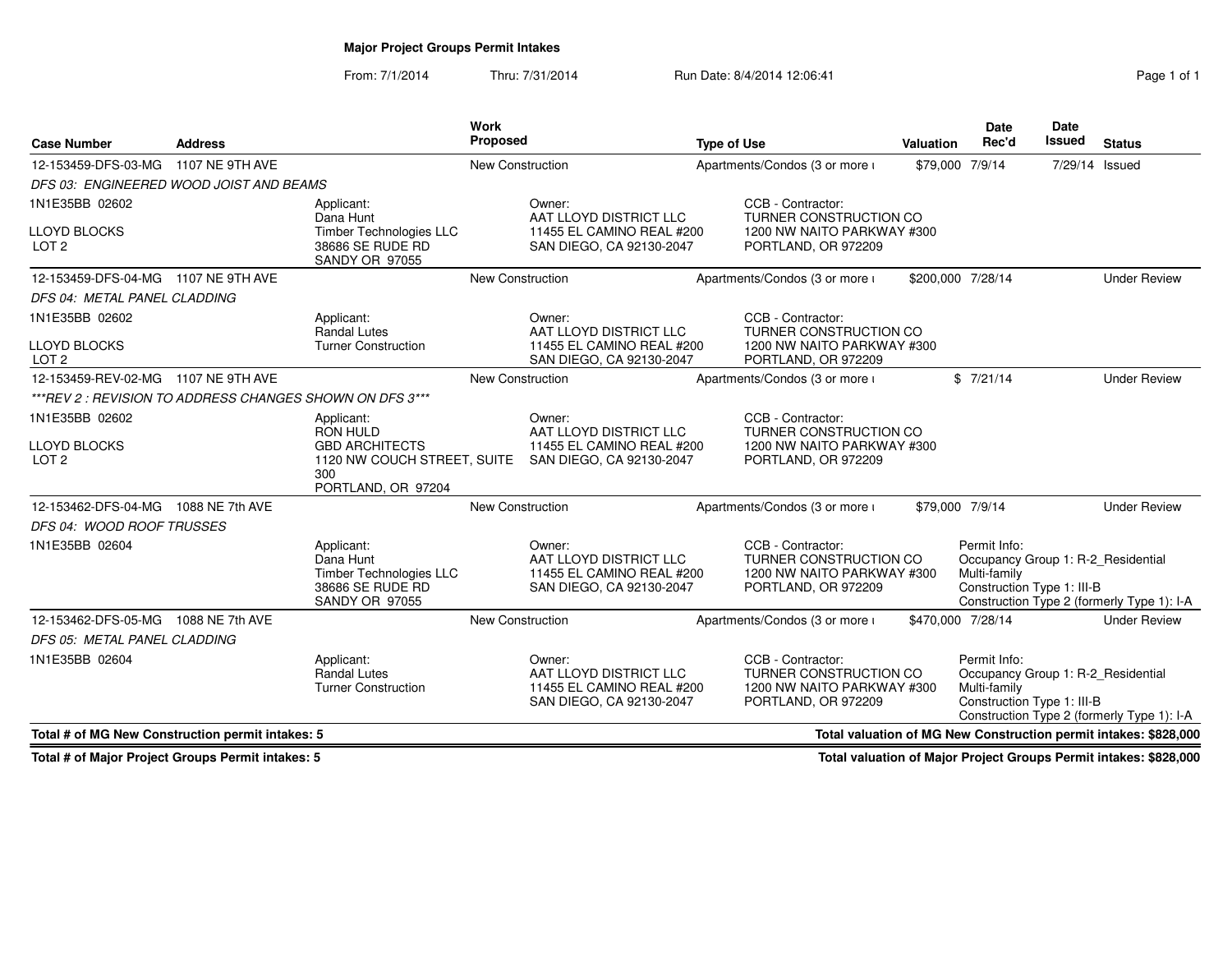## **Major Project Groups Permit Intakes**

**Work Proposed**

From: 7/1/2014Thru: 7/31/2014 Run Date: 8/4/2014 12:06:41 Run Date: 8/4/2014 12:06:41

**Type of Use**

| 12-153459-DFS-03-MG 1107 NE 9TH AVE                      |                                                                                                        | New Construction        |                                                                                           | Apartments/Condos (3 or more i                                                                   | \$79,000 7/9/14              | 7/29/14 Issued                                                                                                 |
|----------------------------------------------------------|--------------------------------------------------------------------------------------------------------|-------------------------|-------------------------------------------------------------------------------------------|--------------------------------------------------------------------------------------------------|------------------------------|----------------------------------------------------------------------------------------------------------------|
| DFS 03: ENGINEERED WOOD JOIST AND BEAMS                  |                                                                                                        |                         |                                                                                           |                                                                                                  |                              |                                                                                                                |
| 1N1E35BB 02602                                           | Applicant:<br>Dana Hunt                                                                                |                         | Owner:<br>AAT LLOYD DISTRICT LLC                                                          | CCB - Contractor:<br><b>TURNER CONSTRUCTION CO</b>                                               |                              |                                                                                                                |
| <b>LLOYD BLOCKS</b><br>LOT <sub>2</sub>                  | <b>Timber Technologies LLC</b><br>38686 SE RUDE RD<br>SANDY OR 97055                                   |                         | 11455 EL CAMINO REAL #200<br>SAN DIEGO, CA 92130-2047                                     | 1200 NW NAITO PARKWAY #300<br>PORTLAND, OR 972209                                                |                              |                                                                                                                |
| 12-153459-DFS-04-MG 1107 NE 9TH AVE                      |                                                                                                        | <b>New Construction</b> |                                                                                           | Apartments/Condos (3 or more i                                                                   | \$200,000 7/28/14            | <b>Under Review</b>                                                                                            |
| DFS 04: METAL PANEL CLADDING                             |                                                                                                        |                         |                                                                                           |                                                                                                  |                              |                                                                                                                |
| 1N1E35BB 02602                                           | Applicant:<br><b>Randal Lutes</b>                                                                      |                         | Owner:<br>AAT LLOYD DISTRICT LLC                                                          | CCB - Contractor:<br>TURNER CONSTRUCTION CO                                                      |                              |                                                                                                                |
| <b>LLOYD BLOCKS</b><br>LOT <sub>2</sub>                  | <b>Turner Construction</b>                                                                             |                         | 11455 EL CAMINO REAL #200<br>SAN DIEGO, CA 92130-2047                                     | 1200 NW NAITO PARKWAY #300<br>PORTLAND, OR 972209                                                |                              |                                                                                                                |
| 12-153459-REV-02-MG<br>1107 NE 9TH AVE                   |                                                                                                        | New Construction        |                                                                                           | Apartments/Condos (3 or more i                                                                   | \$7/21/14                    | <b>Under Review</b>                                                                                            |
| ***REV 2 : REVISION TO ADDRESS CHANGES SHOWN ON DFS 3*** |                                                                                                        |                         |                                                                                           |                                                                                                  |                              |                                                                                                                |
| 1N1E35BB 02602                                           | Applicant:<br><b>RON HULD</b>                                                                          |                         | Owner:<br>AAT LLOYD DISTRICT LLC                                                          | CCB - Contractor:<br><b>TURNER CONSTRUCTION CO</b>                                               |                              |                                                                                                                |
| <b>LLOYD BLOCKS</b><br>LOT <sub>2</sub>                  | <b>GBD ARCHITECTS</b><br>1120 NW COUCH STREET, SUITE<br>300<br>PORTLAND, OR 97204                      |                         | 11455 EL CAMINO REAL #200<br>SAN DIEGO, CA 92130-2047                                     | 1200 NW NAITO PARKWAY #300<br>PORTLAND, OR 972209                                                |                              |                                                                                                                |
| 12-153462-DFS-04-MG<br>1088 NE 7th AVE                   |                                                                                                        | <b>New Construction</b> |                                                                                           | Apartments/Condos (3 or more i                                                                   | \$79,000 7/9/14              | <b>Under Review</b>                                                                                            |
| DFS 04: WOOD ROOF TRUSSES                                |                                                                                                        |                         |                                                                                           |                                                                                                  |                              |                                                                                                                |
| 1N1E35BB 02604                                           | Applicant:<br>Dana Hunt<br><b>Timber Technologies LLC</b><br>38686 SE RUDE RD<br><b>SANDY OR 97055</b> |                         | Owner:<br>AAT LLOYD DISTRICT LLC<br>11455 EL CAMINO REAL #200<br>SAN DIEGO, CA 92130-2047 | CCB - Contractor:<br>TURNER CONSTRUCTION CO<br>1200 NW NAITO PARKWAY #300<br>PORTLAND, OR 972209 | Permit Info:<br>Multi-family | Occupancy Group 1: R-2 Residential<br>Construction Type 1: III-B<br>Construction Type 2 (formerly Type 1): I-A |
| 12-153462-DFS-05-MG<br>1088 NE 7th AVE                   |                                                                                                        | <b>New Construction</b> |                                                                                           | Apartments/Condos (3 or more i                                                                   | \$470,000 7/28/14            | <b>Under Review</b>                                                                                            |
| DFS 05: METAL PANEL CLADDING                             |                                                                                                        |                         |                                                                                           |                                                                                                  |                              |                                                                                                                |
| 1N1E35BB 02604                                           | Applicant:<br>Randal Lutes<br><b>Turner Construction</b>                                               |                         | Owner:<br>AAT LLOYD DISTRICT LLC<br>11455 EL CAMINO REAL #200<br>SAN DIEGO, CA 92130-2047 | CCB - Contractor:<br>TURNER CONSTRUCTION CO<br>1200 NW NAITO PARKWAY #300<br>PORTLAND, OR 972209 | Permit Info:<br>Multi-family | Occupancy Group 1: R-2_Residential<br>Construction Type 1: III-B<br>Construction Type 2 (formerly Type 1): I-A |
| Total # of MG New Construction permit intakes: 5         |                                                                                                        |                         |                                                                                           |                                                                                                  |                              | Total valuation of MG New Construction permit intakes: \$828,000                                               |

**Total # of Major Project Groups Permit intakes: 5**

**Case Number**

**Address**

**Total valuation of Major Project Groups Permit intakes: \$828,000**

**Status**

**Date**Issued

**DateRec'd Issued**

**Valuation**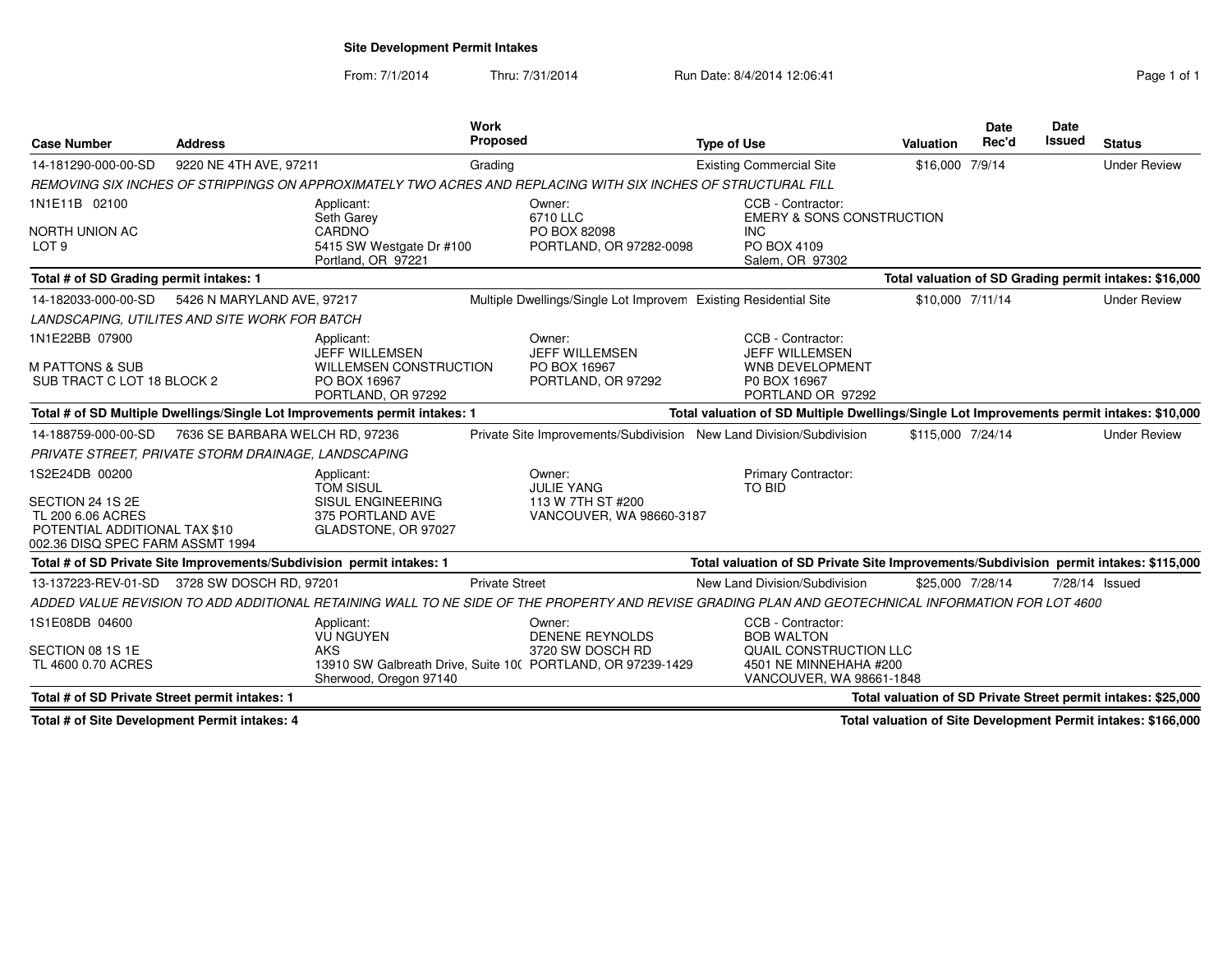**Site Development Permit Intakes**

From: 7/1/2014Thru: 7/31/2014 Run Date: 8/4/2014 12:06:41 Run Date: 8/4/2014 12:06:41

| <b>Case Number</b>                                                                                                           | <b>Address</b>                  |                                                                                                            | Work<br><b>Proposed</b> |                                                                                                                                                    | <b>Type of Use</b> |                                                                                                                               | Valuation         | <b>Date</b><br>Rec'd | <b>Date</b><br>Issued | <b>Status</b>                                                 |
|------------------------------------------------------------------------------------------------------------------------------|---------------------------------|------------------------------------------------------------------------------------------------------------|-------------------------|----------------------------------------------------------------------------------------------------------------------------------------------------|--------------------|-------------------------------------------------------------------------------------------------------------------------------|-------------------|----------------------|-----------------------|---------------------------------------------------------------|
| 14-181290-000-00-SD                                                                                                          | 9220 NE 4TH AVE, 97211          |                                                                                                            | Grading                 |                                                                                                                                                    |                    | <b>Existing Commercial Site</b>                                                                                               | \$16,000 7/9/14   |                      |                       | <b>Under Review</b>                                           |
|                                                                                                                              |                                 |                                                                                                            |                         | REMOVING SIX INCHES OF STRIPPINGS ON APPROXIMATELY TWO ACRES AND REPLACING WITH SIX INCHES OF STRUCTURAL FILL                                      |                    |                                                                                                                               |                   |                      |                       |                                                               |
| 1N1E11B 02100<br>NORTH UNION AC<br>LOT <sub>9</sub>                                                                          |                                 | Applicant:<br>Seth Garey<br>CARDNO<br>5415 SW Westgate Dr #100<br>Portland, OR 97221                       |                         | Owner:<br>6710 LLC<br>PO BOX 82098<br>PORTLAND, OR 97282-0098                                                                                      |                    | CCB - Contractor:<br>EMERY & SONS CONSTRUCTION<br><b>INC</b><br>PO BOX 4109<br>Salem, OR 97302                                |                   |                      |                       |                                                               |
| Total # of SD Grading permit intakes: 1                                                                                      |                                 |                                                                                                            |                         |                                                                                                                                                    |                    |                                                                                                                               |                   |                      |                       | Total valuation of SD Grading permit intakes: \$16,000        |
| 14-182033-000-00-SD                                                                                                          | 5426 N MARYLAND AVE, 97217      |                                                                                                            |                         | Multiple Dwellings/Single Lot Improvem Existing Residential Site                                                                                   |                    |                                                                                                                               | \$10,000 7/11/14  |                      |                       | <b>Under Review</b>                                           |
| LANDSCAPING, UTILITES AND SITE WORK FOR BATCH                                                                                |                                 |                                                                                                            |                         |                                                                                                                                                    |                    |                                                                                                                               |                   |                      |                       |                                                               |
| 1N1E22BB 07900<br>M PATTONS & SUB<br>SUB TRACT C LOT 18 BLOCK 2                                                              |                                 | Applicant:<br><b>JEFF WILLEMSEN</b><br><b>WILLEMSEN CONSTRUCTION</b><br>PO BOX 16967<br>PORTLAND, OR 97292 |                         | Owner:<br><b>JEFF WILLEMSEN</b><br>PO BOX 16967<br>PORTLAND, OR 97292                                                                              |                    | CCB - Contractor:<br><b>JEFF WILLEMSEN</b><br><b>WNB DEVELOPMENT</b><br>P0 BOX 16967<br>PORTLAND OR 97292                     |                   |                      |                       |                                                               |
|                                                                                                                              |                                 | Total # of SD Multiple Dwellings/Single Lot Improvements permit intakes: 1                                 |                         |                                                                                                                                                    |                    | Total valuation of SD Multiple Dwellings/Single Lot Improvements permit intakes: \$10,000                                     |                   |                      |                       |                                                               |
| 14-188759-000-00-SD                                                                                                          | 7636 SE BARBARA WELCH RD, 97236 |                                                                                                            |                         | Private Site Improvements/Subdivision New Land Division/Subdivision                                                                                |                    |                                                                                                                               | \$115,000 7/24/14 |                      |                       | <b>Under Review</b>                                           |
| PRIVATE STREET, PRIVATE STORM DRAINAGE, LANDSCAPING                                                                          |                                 |                                                                                                            |                         |                                                                                                                                                    |                    |                                                                                                                               |                   |                      |                       |                                                               |
| 1S2E24DB 00200<br>SECTION 24 1S 2E<br>TL 200 6.06 ACRES<br>POTENTIAL ADDITIONAL TAX \$10<br>002.36 DISQ SPEC FARM ASSMT 1994 |                                 | Applicant:<br><b>TOM SISUL</b><br><b>SISUL ENGINEERING</b><br>375 PORTLAND AVE<br>GLADSTONE, OR 97027      |                         | Owner:<br><b>JULIE YANG</b><br>113 W 7TH ST #200<br>VANCOUVER, WA 98660-3187                                                                       |                    | <b>Primary Contractor:</b><br>TO BID                                                                                          |                   |                      |                       |                                                               |
| Total # of SD Private Site Improvements/Subdivision permit intakes: 1                                                        |                                 |                                                                                                            |                         |                                                                                                                                                    |                    | Total valuation of SD Private Site Improvements/Subdivision permit intakes: \$115,000                                         |                   |                      |                       |                                                               |
| 13-137223-REV-01-SD 3728 SW DOSCH RD, 97201                                                                                  |                                 |                                                                                                            | <b>Private Street</b>   |                                                                                                                                                    |                    | New Land Division/Subdivision                                                                                                 | \$25,000 7/28/14  |                      | 7/28/14 Issued        |                                                               |
|                                                                                                                              |                                 |                                                                                                            |                         | ADDED VALUE REVISION TO ADD ADDITIONAL RETAINING WALL TO NE SIDE OF THE PROPERTY AND REVISE GRADING PLAN AND GEOTECHNICAL INFORMATION FOR LOT 4600 |                    |                                                                                                                               |                   |                      |                       |                                                               |
| 1S1E08DB 04600<br>SECTION 08 1S 1E<br>TL 4600 0.70 ACRES                                                                     |                                 | Applicant:<br><b>VU NGUYEN</b><br><b>AKS</b><br>Sherwood, Oregon 97140                                     |                         | Owner:<br><b>DENENE REYNOLDS</b><br>3720 SW DOSCH RD<br>13910 SW Galbreath Drive, Suite 100 PORTLAND, OR 97239-1429                                |                    | CCB - Contractor:<br><b>BOB WALTON</b><br><b>QUAIL CONSTRUCTION LLC</b><br>4501 NE MINNEHAHA #200<br>VANCOUVER, WA 98661-1848 |                   |                      |                       |                                                               |
| Total # of SD Private Street permit intakes: 1                                                                               |                                 |                                                                                                            |                         |                                                                                                                                                    |                    |                                                                                                                               |                   |                      |                       | Total valuation of SD Private Street permit intakes: \$25,000 |

**Total # of Site Development Permit intakes: 4**

**Total valuation of Site Development Permit intakes: \$166,000**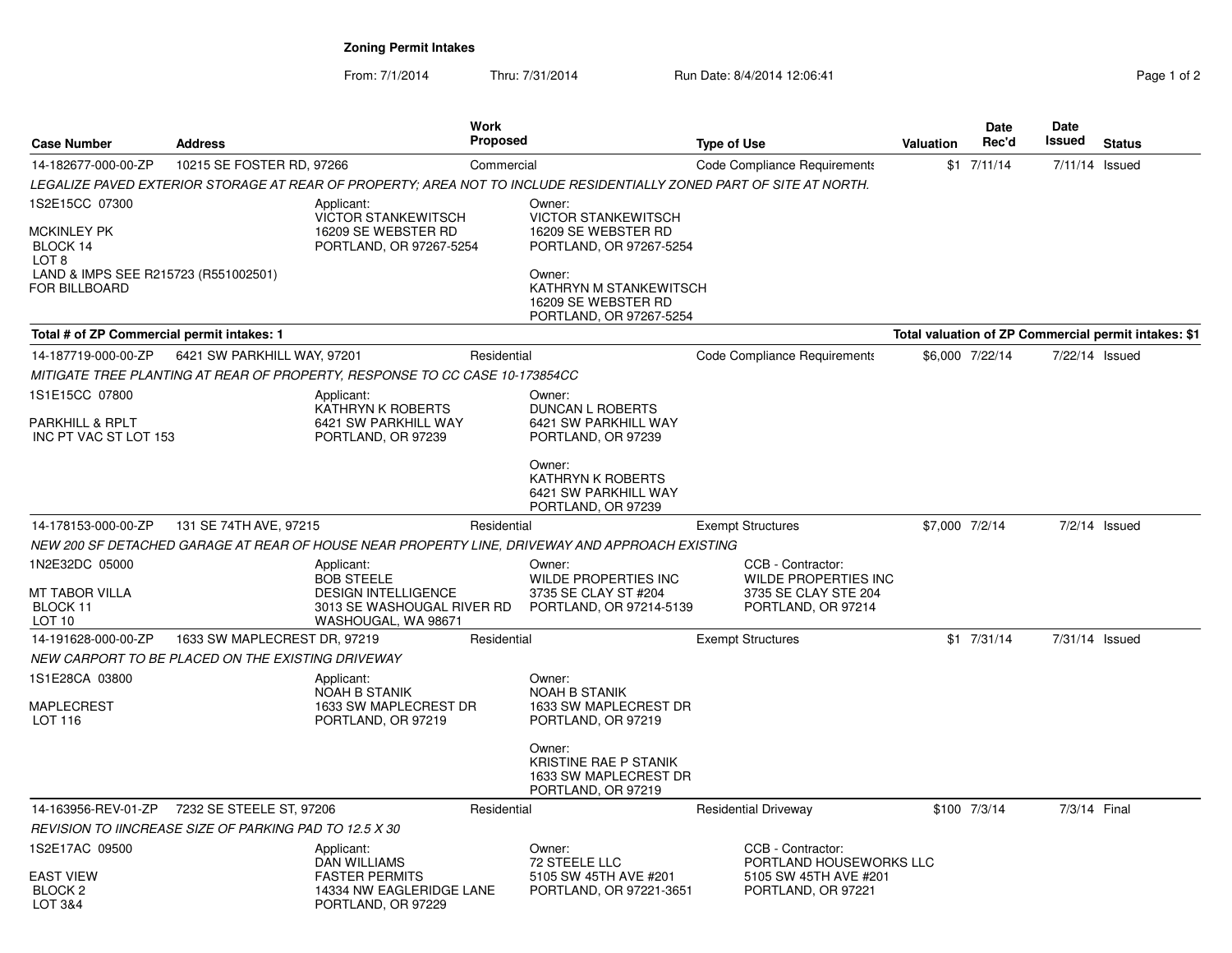**Zoning Permit Intakes**

From: 7/1/2014Thru: 7/31/2014 Run Date: 8/4/2014 12:06:41 Rege 1 of 2

| <b>Case Number</b>                                                                                           | <b>Address</b>                                         | <b>Work</b><br><b>Proposed</b>                                                                                     |             | <b>Type of Use</b>                                                                               |                                                                                                                     |                | <b>Date</b><br>Rec'd | Date<br>Issued | <b>Status</b>                                        |
|--------------------------------------------------------------------------------------------------------------|--------------------------------------------------------|--------------------------------------------------------------------------------------------------------------------|-------------|--------------------------------------------------------------------------------------------------|---------------------------------------------------------------------------------------------------------------------|----------------|----------------------|----------------|------------------------------------------------------|
| 14-182677-000-00-ZP                                                                                          | 10215 SE FOSTER RD, 97266                              |                                                                                                                    | Commercial  |                                                                                                  | <b>Code Compliance Requirements</b>                                                                                 |                | $$1$ $7/11/14$       | 7/11/14 Issued |                                                      |
|                                                                                                              |                                                        |                                                                                                                    |             |                                                                                                  | LEGALIZE PAVED EXTERIOR STORAGE AT REAR OF PROPERTY; AREA NOT TO INCLUDE RESIDENTIALLY ZONED PART OF SITE AT NORTH. |                |                      |                |                                                      |
| 1S2E15CC 07300<br><b>MCKINLEY PK</b><br>BLOCK 14<br>LOT <sub>8</sub><br>LAND & IMPS SEE R215723 (R551002501) |                                                        | Applicant:<br><b>VICTOR STANKEWITSCH</b><br>16209 SE WEBSTER RD<br>PORTLAND, OR 97267-5254                         |             | Owner:<br><b>VICTOR STANKEWITSCH</b><br>16209 SE WEBSTER RD<br>PORTLAND, OR 97267-5254<br>Owner: |                                                                                                                     |                |                      |                |                                                      |
| <b>FOR BILLBOARD</b>                                                                                         |                                                        |                                                                                                                    |             | KATHRYN M STANKEWITSCH<br>16209 SE WEBSTER RD<br>PORTLAND, OR 97267-5254                         |                                                                                                                     |                |                      |                |                                                      |
| Total # of ZP Commercial permit intakes: 1                                                                   |                                                        |                                                                                                                    |             |                                                                                                  |                                                                                                                     |                |                      |                | Total valuation of ZP Commercial permit intakes: \$1 |
| 14-187719-000-00-ZP                                                                                          | 6421 SW PARKHILL WAY, 97201                            |                                                                                                                    | Residential |                                                                                                  | Code Compliance Requirements                                                                                        |                | \$6,000 7/22/14      | 7/22/14 Issued |                                                      |
|                                                                                                              |                                                        | MITIGATE TREE PLANTING AT REAR OF PROPERTY, RESPONSE TO CC CASE 10-173854CC                                        |             |                                                                                                  |                                                                                                                     |                |                      |                |                                                      |
| 1S1E15CC 07800                                                                                               |                                                        | Applicant:<br>KATHRYN K ROBERTS                                                                                    |             | Owner:<br><b>DUNCAN L ROBERTS</b>                                                                |                                                                                                                     |                |                      |                |                                                      |
| PARKHILL & RPLT<br>INC PT VAC ST LOT 153                                                                     |                                                        | 6421 SW PARKHILL WAY<br>PORTLAND, OR 97239                                                                         |             | 6421 SW PARKHILL WAY<br>PORTLAND, OR 97239                                                       |                                                                                                                     |                |                      |                |                                                      |
|                                                                                                              |                                                        |                                                                                                                    |             | Owner:<br>KATHRYN K ROBERTS<br>6421 SW PARKHILL WAY<br>PORTLAND, OR 97239                        |                                                                                                                     |                |                      |                |                                                      |
| 14-178153-000-00-ZP                                                                                          | 131 SE 74TH AVE, 97215                                 |                                                                                                                    | Residential |                                                                                                  | <b>Exempt Structures</b>                                                                                            | \$7,000 7/2/14 |                      |                | 7/2/14 Issued                                        |
|                                                                                                              |                                                        |                                                                                                                    |             | NEW 200 SF DETACHED GARAGE AT REAR OF HOUSE NEAR PROPERTY LINE, DRIVEWAY AND APPROACH EXISTING   |                                                                                                                     |                |                      |                |                                                      |
| 1N2E32DC 05000<br>MT TABOR VILLA<br>BLOCK 11<br>LOT 10                                                       |                                                        | Applicant:<br><b>BOB STEELE</b><br><b>DESIGN INTELLIGENCE</b><br>3013 SE WASHOUGAL RIVER RD<br>WASHOUGAL, WA 98671 |             | Owner:<br><b>WILDE PROPERTIES INC</b><br>3735 SE CLAY ST #204<br>PORTLAND, OR 97214-5139         | CCB - Contractor:<br><b>WILDE PROPERTIES INC</b><br>3735 SE CLAY STE 204<br>PORTLAND, OR 97214                      |                |                      |                |                                                      |
| 14-191628-000-00-ZP                                                                                          | 1633 SW MAPLECREST DR, 97219                           |                                                                                                                    | Residential |                                                                                                  | <b>Exempt Structures</b>                                                                                            |                | $$1$ 7/31/14         | 7/31/14 Issued |                                                      |
|                                                                                                              | NEW CARPORT TO BE PLACED ON THE EXISTING DRIVEWAY      |                                                                                                                    |             |                                                                                                  |                                                                                                                     |                |                      |                |                                                      |
| 1S1E28CA 03800<br><b>MAPLECREST</b><br><b>LOT 116</b>                                                        |                                                        | Applicant:<br><b>NOAH B STANIK</b><br>1633 SW MAPLECREST DR<br>PORTLAND, OR 97219                                  |             | Owner:<br><b>NOAH B STANIK</b><br>1633 SW MAPLECREST DR<br>PORTLAND, OR 97219                    |                                                                                                                     |                |                      |                |                                                      |
|                                                                                                              |                                                        |                                                                                                                    |             | Owner:<br>KRISTINE RAE P STANIK<br>1633 SW MAPLECREST DR<br>PORTLAND, OR 97219                   |                                                                                                                     |                |                      |                |                                                      |
| 14-163956-REV-01-ZP                                                                                          | 7232 SE STEELE ST, 97206                               |                                                                                                                    | Residential |                                                                                                  | <b>Residential Driveway</b>                                                                                         |                | \$100 7/3/14         | 7/3/14 Final   |                                                      |
|                                                                                                              | REVISION TO IINCREASE SIZE OF PARKING PAD TO 12.5 X 30 |                                                                                                                    |             |                                                                                                  |                                                                                                                     |                |                      |                |                                                      |
| 1S2E17AC 09500                                                                                               |                                                        | Applicant:<br>DAN WILLIAMS                                                                                         |             | Owner:<br>72 STEELE LLC                                                                          | CCB - Contractor:<br>PORTLAND HOUSEWORKS LLC                                                                        |                |                      |                |                                                      |
| <b>EAST VIEW</b><br>BLOCK <sub>2</sub><br>LOT 3&4                                                            |                                                        | <b>FASTER PERMITS</b><br>14334 NW EAGLERIDGE LANE<br>PORTLAND, OR 97229                                            |             | 5105 SW 45TH AVE #201<br>PORTLAND, OR 97221-3651                                                 | 5105 SW 45TH AVE #201<br>PORTLAND, OR 97221                                                                         |                |                      |                |                                                      |